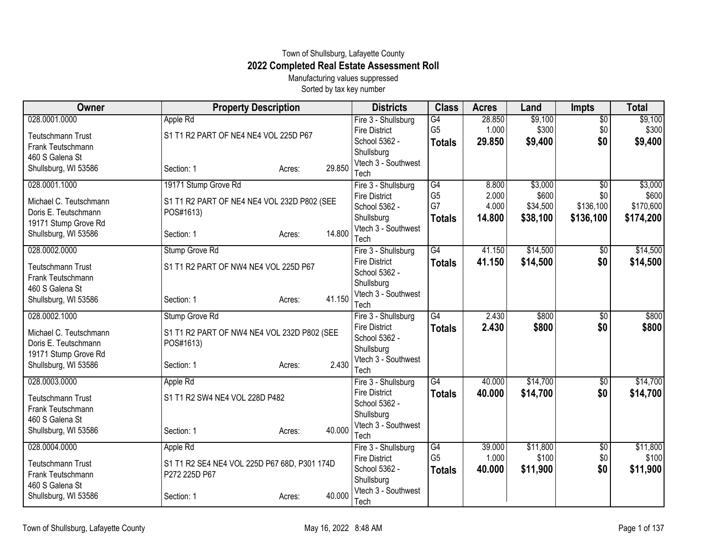## Town of Shullsburg, Lafayette County **2022 Completed Real Estate Assessment Roll**

Manufacturing values suppressed Sorted by tax key number

| Owner                                         | <b>Property Description</b>                  |        |        | <b>Districts</b>                      | <b>Class</b>    | <b>Acres</b> | Land     | <b>Impts</b>    | <b>Total</b> |
|-----------------------------------------------|----------------------------------------------|--------|--------|---------------------------------------|-----------------|--------------|----------|-----------------|--------------|
| 028.0001.0000                                 | Apple Rd                                     |        |        | Fire 3 - Shullsburg                   | $\overline{G4}$ | 28.850       | \$9,100  | $\overline{50}$ | \$9,100      |
| <b>Teutschmann Trust</b>                      | S1 T1 R2 PART OF NE4 NE4 VOL 225D P67        |        |        | <b>Fire District</b>                  | G <sub>5</sub>  | 1.000        | \$300    | \$0             | \$300        |
| Frank Teutschmann                             |                                              |        |        | School 5362 -                         | <b>Totals</b>   | 29.850       | \$9,400  | \$0             | \$9,400      |
| 460 S Galena St                               |                                              |        |        | Shullsburg                            |                 |              |          |                 |              |
| Shullsburg, WI 53586                          | Section: 1                                   | Acres: | 29.850 | Vtech 3 - Southwest                   |                 |              |          |                 |              |
| 028.0001.1000                                 | 19171 Stump Grove Rd                         |        |        | Tech<br>Fire 3 - Shullsburg           | $\overline{G4}$ | 8.800        | \$3,000  | $\overline{50}$ | \$3,000      |
|                                               |                                              |        |        | <b>Fire District</b>                  | G <sub>5</sub>  | 2.000        | \$600    | \$0             | \$600        |
| Michael C. Teutschmann                        | S1 T1 R2 PART OF NE4 NE4 VOL 232D P802 (SEE  |        |        | School 5362 -                         | G7              | 4.000        | \$34,500 | \$136,100       | \$170,600    |
| Doris E. Teutschmann                          | POS#1613)                                    |        |        | Shullsburg                            | <b>Totals</b>   | 14.800       | \$38,100 | \$136,100       | \$174,200    |
| 19171 Stump Grove Rd                          |                                              |        |        | Vtech 3 - Southwest                   |                 |              |          |                 |              |
| Shullsburg, WI 53586                          | Section: 1                                   | Acres: | 14.800 | Tech                                  |                 |              |          |                 |              |
| 028.0002.0000                                 | <b>Stump Grove Rd</b>                        |        |        | Fire 3 - Shullsburg                   | $\overline{G4}$ | 41.150       | \$14,500 | \$0             | \$14,500     |
|                                               | S1 T1 R2 PART OF NW4 NE4 VOL 225D P67        |        |        | <b>Fire District</b>                  | <b>Totals</b>   | 41.150       | \$14,500 | \$0             | \$14,500     |
| <b>Teutschmann Trust</b><br>Frank Teutschmann |                                              |        |        | School 5362 -                         |                 |              |          |                 |              |
| 460 S Galena St                               |                                              |        |        | Shullsburg                            |                 |              |          |                 |              |
| Shullsburg, WI 53586                          | Section: 1                                   | Acres: | 41.150 | Vtech 3 - Southwest                   |                 |              |          |                 |              |
|                                               |                                              |        |        | Tech                                  |                 |              |          |                 |              |
| 028.0002.1000                                 | Stump Grove Rd                               |        |        | Fire 3 - Shullsburg                   | $\overline{G4}$ | 2.430        | \$800    | $\sqrt{$0}$     | \$800        |
| Michael C. Teutschmann                        | S1 T1 R2 PART OF NW4 NE4 VOL 232D P802 (SEE  |        |        | <b>Fire District</b><br>School 5362 - | <b>Totals</b>   | 2.430        | \$800    | \$0             | \$800        |
| Doris E. Teutschmann                          | POS#1613)                                    |        |        | Shullsburg                            |                 |              |          |                 |              |
| 19171 Stump Grove Rd                          |                                              |        |        | Vtech 3 - Southwest                   |                 |              |          |                 |              |
| Shullsburg, WI 53586                          | Section: 1                                   | Acres: | 2.430  | Tech                                  |                 |              |          |                 |              |
| 028.0003.0000                                 | Apple Rd                                     |        |        | Fire 3 - Shullsburg                   | $\overline{G4}$ | 40.000       | \$14,700 | \$0             | \$14,700     |
|                                               | S1 T1 R2 SW4 NE4 VOL 228D P482               |        |        | <b>Fire District</b>                  | <b>Totals</b>   | 40.000       | \$14,700 | \$0             | \$14,700     |
| <b>Teutschmann Trust</b><br>Frank Teutschmann |                                              |        |        | School 5362 -                         |                 |              |          |                 |              |
| 460 S Galena St                               |                                              |        |        | Shullsburg                            |                 |              |          |                 |              |
| Shullsburg, WI 53586                          | Section: 1                                   | Acres: | 40.000 | Vtech 3 - Southwest                   |                 |              |          |                 |              |
|                                               |                                              |        |        | Tech                                  |                 |              |          |                 |              |
| 028.0004.0000                                 | Apple Rd                                     |        |        | Fire 3 - Shullsburg                   | G4              | 39.000       | \$11,800 | \$0             | \$11,800     |
| <b>Teutschmann Trust</b>                      | S1 T1 R2 SE4 NE4 VOL 225D P67 68D, P301 174D |        |        | <b>Fire District</b>                  | G <sub>5</sub>  | 1.000        | \$100    | \$0             | \$100        |
| Frank Teutschmann                             | P272 225D P67                                |        |        | School 5362 -                         | <b>Totals</b>   | 40.000       | \$11,900 | \$0             | \$11,900     |
| 460 S Galena St                               |                                              |        |        | Shullsburg<br>Vtech 3 - Southwest     |                 |              |          |                 |              |
| Shullsburg, WI 53586                          | Section: 1                                   | Acres: | 40.000 | Tech                                  |                 |              |          |                 |              |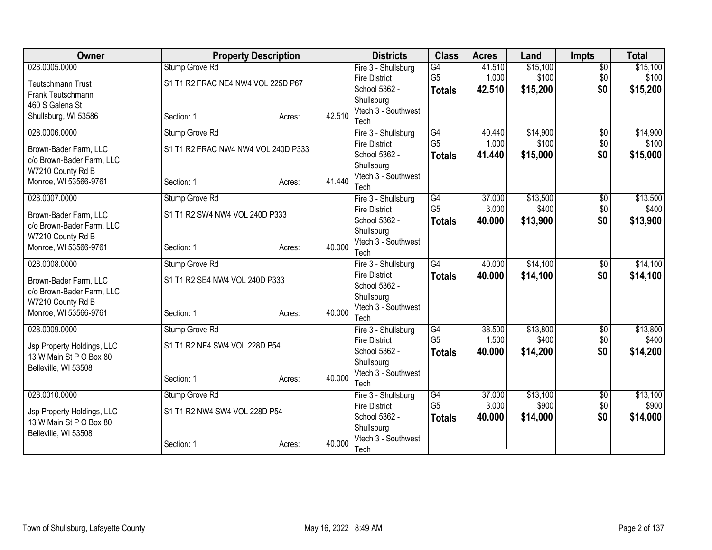| Owner                      | <b>Property Description</b>         |        |        | <b>Districts</b>                            | <b>Class</b>    | <b>Acres</b> | Land     | <b>Impts</b>           | <b>Total</b> |
|----------------------------|-------------------------------------|--------|--------|---------------------------------------------|-----------------|--------------|----------|------------------------|--------------|
| 028.0005.0000              | Stump Grove Rd                      |        |        | Fire 3 - Shullsburg                         | $\overline{G4}$ | 41.510       | \$15,100 | $\overline{50}$        | \$15,100     |
| <b>Teutschmann Trust</b>   | S1 T1 R2 FRAC NE4 NW4 VOL 225D P67  |        |        | <b>Fire District</b>                        | G <sub>5</sub>  | 1.000        | \$100    | \$0                    | \$100        |
| Frank Teutschmann          |                                     |        |        | School 5362 -                               | <b>Totals</b>   | 42.510       | \$15,200 | \$0                    | \$15,200     |
| 460 S Galena St            |                                     |        |        | Shullsburg<br>Vtech 3 - Southwest           |                 |              |          |                        |              |
| Shullsburg, WI 53586       | Section: 1                          | Acres: | 42.510 | Tech                                        |                 |              |          |                        |              |
| 028.0006.0000              | Stump Grove Rd                      |        |        | Fire 3 - Shullsburg                         | $\overline{G4}$ | 40.440       | \$14,900 | $\overline{50}$        | \$14,900     |
| Brown-Bader Farm, LLC      | S1 T1 R2 FRAC NW4 NW4 VOL 240D P333 |        |        | <b>Fire District</b>                        | G <sub>5</sub>  | 1.000        | \$100    | \$0                    | \$100        |
| c/o Brown-Bader Farm, LLC  |                                     |        |        | School 5362 -                               | <b>Totals</b>   | 41.440       | \$15,000 | \$0                    | \$15,000     |
| W7210 County Rd B          |                                     |        |        | Shullsburg                                  |                 |              |          |                        |              |
| Monroe, WI 53566-9761      | Section: 1                          | Acres: | 41.440 | Vtech 3 - Southwest<br>Tech                 |                 |              |          |                        |              |
| 028.0007.0000              | Stump Grove Rd                      |        |        | Fire 3 - Shullsburg                         | G4              | 37.000       | \$13,500 | \$0                    | \$13,500     |
|                            |                                     |        |        | <b>Fire District</b>                        | G <sub>5</sub>  | 3.000        | \$400    | \$0                    | \$400        |
| Brown-Bader Farm, LLC      | S1 T1 R2 SW4 NW4 VOL 240D P333      |        |        | School 5362 -                               | <b>Totals</b>   | 40.000       | \$13,900 | \$0                    | \$13,900     |
| c/o Brown-Bader Farm, LLC  |                                     |        |        | Shullsburg                                  |                 |              |          |                        |              |
| W7210 County Rd B          |                                     |        | 40.000 | Vtech 3 - Southwest                         |                 |              |          |                        |              |
| Monroe, WI 53566-9761      | Section: 1                          | Acres: |        | Tech                                        |                 |              |          |                        |              |
| 028.0008.0000              | Stump Grove Rd                      |        |        | Fire 3 - Shullsburg                         | $\overline{G4}$ | 40.000       | \$14,100 | \$0                    | \$14,100     |
| Brown-Bader Farm, LLC      | S1 T1 R2 SE4 NW4 VOL 240D P333      |        |        | <b>Fire District</b>                        | <b>Totals</b>   | 40.000       | \$14,100 | \$0                    | \$14,100     |
| c/o Brown-Bader Farm, LLC  |                                     |        |        | School 5362 -                               |                 |              |          |                        |              |
| W7210 County Rd B          |                                     |        |        | Shullsburg<br>Vtech 3 - Southwest           |                 |              |          |                        |              |
| Monroe, WI 53566-9761      | Section: 1                          | Acres: | 40.000 | Tech                                        |                 |              |          |                        |              |
| 028.0009.0000              | Stump Grove Rd                      |        |        | Fire 3 - Shullsburg                         | $\overline{G4}$ | 38.500       | \$13,800 | $\overline{$0}$        | \$13,800     |
| Jsp Property Holdings, LLC | S1 T1 R2 NE4 SW4 VOL 228D P54       |        |        | <b>Fire District</b>                        | G <sub>5</sub>  | 1.500        | \$400    | \$0                    | \$400        |
| 13 W Main St P O Box 80    |                                     |        |        | School 5362 -                               | <b>Totals</b>   | 40.000       | \$14,200 | \$0                    | \$14,200     |
| Belleville, WI 53508       |                                     |        |        | Shullsburg                                  |                 |              |          |                        |              |
|                            | Section: 1                          | Acres: | 40.000 | Vtech 3 - Southwest                         |                 |              |          |                        |              |
| 028.0010.0000              |                                     |        |        | Tech                                        | $\overline{G4}$ | 37.000       | \$13,100 |                        | \$13,100     |
|                            | Stump Grove Rd                      |        |        | Fire 3 - Shullsburg<br><b>Fire District</b> | G <sub>5</sub>  | 3.000        | \$900    | $\overline{60}$<br>\$0 | \$900        |
| Jsp Property Holdings, LLC | S1 T1 R2 NW4 SW4 VOL 228D P54       |        |        | School 5362 -                               | <b>Totals</b>   | 40.000       | \$14,000 | \$0                    | \$14,000     |
| 13 W Main St P O Box 80    |                                     |        |        | Shullsburg                                  |                 |              |          |                        |              |
| Belleville, WI 53508       |                                     |        |        | Vtech 3 - Southwest                         |                 |              |          |                        |              |
|                            | Section: 1                          | Acres: | 40.000 | Tech                                        |                 |              |          |                        |              |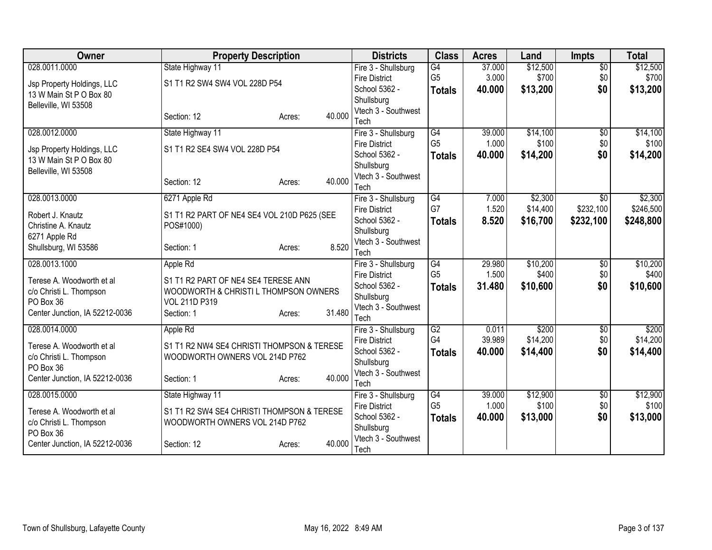| Owner                          | <b>Property Description</b>                 |                  | <b>Districts</b>                  | <b>Class</b>    | <b>Acres</b> | Land     | <b>Impts</b>    | <b>Total</b> |
|--------------------------------|---------------------------------------------|------------------|-----------------------------------|-----------------|--------------|----------|-----------------|--------------|
| 028.0011.0000                  | State Highway 11                            |                  | Fire 3 - Shullsburg               | G4              | 37.000       | \$12,500 | $\overline{50}$ | \$12,500     |
| Jsp Property Holdings, LLC     | S1 T1 R2 SW4 SW4 VOL 228D P54               |                  | <b>Fire District</b>              | G <sub>5</sub>  | 3.000        | \$700    | \$0             | \$700        |
| 13 W Main St P O Box 80        |                                             |                  | School 5362 -                     | <b>Totals</b>   | 40.000       | \$13,200 | \$0             | \$13,200     |
| Belleville, WI 53508           |                                             |                  | Shullsburg<br>Vtech 3 - Southwest |                 |              |          |                 |              |
|                                | Section: 12                                 | 40.000<br>Acres: | Tech                              |                 |              |          |                 |              |
| 028.0012.0000                  | State Highway 11                            |                  | Fire 3 - Shullsburg               | G4              | 39.000       | \$14,100 | $\overline{50}$ | \$14,100     |
|                                |                                             |                  | <b>Fire District</b>              | G <sub>5</sub>  | 1.000        | \$100    | \$0             | \$100        |
| Jsp Property Holdings, LLC     | S1 T1 R2 SE4 SW4 VOL 228D P54               |                  | School 5362 -                     | <b>Totals</b>   | 40.000       | \$14,200 | \$0             | \$14,200     |
| 13 W Main St P O Box 80        |                                             |                  | Shullsburg                        |                 |              |          |                 |              |
| Belleville, WI 53508           |                                             |                  | Vtech 3 - Southwest               |                 |              |          |                 |              |
|                                | Section: 12                                 | 40.000<br>Acres: | Tech                              |                 |              |          |                 |              |
| 028.0013.0000                  | 6271 Apple Rd                               |                  | Fire 3 - Shullsburg               | $\overline{G4}$ | 7.000        | \$2,300  | \$0             | \$2,300      |
| Robert J. Knautz               | S1 T1 R2 PART OF NE4 SE4 VOL 210D P625 (SEE |                  | <b>Fire District</b>              | G7              | 1.520        | \$14,400 | \$232,100       | \$246,500    |
| Christine A. Knautz            | POS#1000)                                   |                  | School 5362 -                     | <b>Totals</b>   | 8.520        | \$16,700 | \$232,100       | \$248,800    |
| 6271 Apple Rd                  |                                             |                  | Shullsburg                        |                 |              |          |                 |              |
| Shullsburg, WI 53586           | Section: 1                                  | 8.520<br>Acres:  | Vtech 3 - Southwest               |                 |              |          |                 |              |
| 028.0013.1000                  | Apple Rd                                    |                  | Tech<br>Fire 3 - Shullsburg       | G4              | 29.980       | \$10,200 | $\overline{50}$ | \$10,200     |
|                                |                                             |                  | <b>Fire District</b>              | G <sub>5</sub>  | 1.500        | \$400    | \$0             | \$400        |
| Terese A. Woodworth et al      | S1 T1 R2 PART OF NE4 SE4 TERESE ANN         |                  | School 5362 -                     | <b>Totals</b>   | 31.480       | \$10,600 | \$0             | \$10,600     |
| c/o Christi L. Thompson        | WOODWORTH & CHRISTI L THOMPSON OWNERS       |                  | Shullsburg                        |                 |              |          |                 |              |
| PO Box 36                      | VOL 211D P319                               |                  | Vtech 3 - Southwest               |                 |              |          |                 |              |
| Center Junction, IA 52212-0036 | Section: 1                                  | 31.480<br>Acres: | Tech                              |                 |              |          |                 |              |
| 028.0014.0000                  | Apple Rd                                    |                  | Fire 3 - Shullsburg               | G2              | 0.011        | \$200    | $\overline{50}$ | \$200        |
| Terese A. Woodworth et al      | S1 T1 R2 NW4 SE4 CHRISTI THOMPSON & TERESE  |                  | <b>Fire District</b>              | G4              | 39.989       | \$14,200 | \$0             | \$14,200     |
| c/o Christi L. Thompson        | WOODWORTH OWNERS VOL 214D P762              |                  | School 5362 -                     | <b>Totals</b>   | 40.000       | \$14,400 | \$0             | \$14,400     |
| PO Box 36                      |                                             |                  | Shullsburg                        |                 |              |          |                 |              |
| Center Junction, IA 52212-0036 | Section: 1                                  | 40.000<br>Acres: | Vtech 3 - Southwest<br>Tech       |                 |              |          |                 |              |
| 028.0015.0000                  | State Highway 11                            |                  | Fire 3 - Shullsburg               | G <sub>4</sub>  | 39.000       | \$12,900 | \$0             | \$12,900     |
|                                |                                             |                  | <b>Fire District</b>              | G <sub>5</sub>  | 1.000        | \$100    | \$0             | \$100        |
| Terese A. Woodworth et al      | S1 T1 R2 SW4 SE4 CHRISTI THOMPSON & TERESE  |                  | School 5362 -                     | <b>Totals</b>   | 40.000       | \$13,000 | \$0             | \$13,000     |
| c/o Christi L. Thompson        | WOODWORTH OWNERS VOL 214D P762              |                  | Shullsburg                        |                 |              |          |                 |              |
| PO Box 36                      |                                             | 40.000           | Vtech 3 - Southwest               |                 |              |          |                 |              |
| Center Junction, IA 52212-0036 | Section: 12                                 | Acres:           | Tech                              |                 |              |          |                 |              |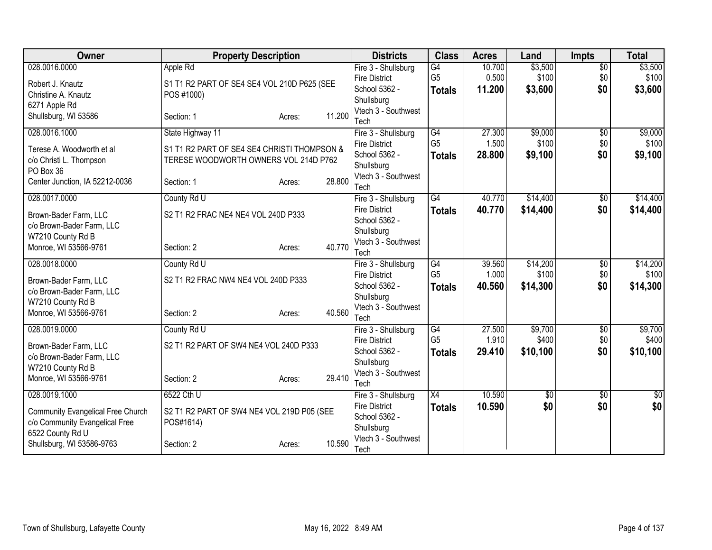| <b>Owner</b>                                | <b>Property Description</b>                 |        |        | <b>Districts</b>                  | <b>Class</b>    | <b>Acres</b> | Land     | <b>Impts</b>    | <b>Total</b> |
|---------------------------------------------|---------------------------------------------|--------|--------|-----------------------------------|-----------------|--------------|----------|-----------------|--------------|
| 028.0016.0000                               | Apple Rd                                    |        |        | Fire 3 - Shullsburg               | G4              | 10.700       | \$3,500  | $\overline{50}$ | \$3,500      |
| Robert J. Knautz                            | S1 T1 R2 PART OF SE4 SE4 VOL 210D P625 (SEE |        |        | <b>Fire District</b>              | G <sub>5</sub>  | 0.500        | \$100    | \$0             | \$100        |
| Christine A. Knautz                         | POS #1000)                                  |        |        | School 5362 -                     | <b>Totals</b>   | 11.200       | \$3,600  | \$0             | \$3,600      |
| 6271 Apple Rd                               |                                             |        |        | Shullsburg<br>Vtech 3 - Southwest |                 |              |          |                 |              |
| Shullsburg, WI 53586                        | Section: 1                                  | Acres: | 11.200 | Tech                              |                 |              |          |                 |              |
| 028.0016.1000                               | State Highway 11                            |        |        | Fire 3 - Shullsburg               | $\overline{G4}$ | 27.300       | \$9,000  | $\overline{50}$ | \$9,000      |
|                                             |                                             |        |        | <b>Fire District</b>              | G <sub>5</sub>  | 1.500        | \$100    | \$0             | \$100        |
| Terese A. Woodworth et all                  | S1 T1 R2 PART OF SE4 SE4 CHRISTI THOMPSON & |        |        | School 5362 -                     | <b>Totals</b>   | 28,800       | \$9,100  | \$0             | \$9,100      |
| c/o Christi L. Thompson                     | TERESE WOODWORTH OWNERS VOL 214D P762       |        |        | Shullsburg                        |                 |              |          |                 |              |
| PO Box 36<br>Center Junction, IA 52212-0036 | Section: 1                                  |        | 28.800 | Vtech 3 - Southwest               |                 |              |          |                 |              |
|                                             |                                             | Acres: |        | Tech                              |                 |              |          |                 |              |
| 028.0017.0000                               | County Rd U                                 |        |        | Fire 3 - Shullsburg               | $\overline{G4}$ | 40.770       | \$14,400 | \$0             | \$14,400     |
| Brown-Bader Farm, LLC                       | S2 T1 R2 FRAC NE4 NE4 VOL 240D P333         |        |        | <b>Fire District</b>              | <b>Totals</b>   | 40.770       | \$14,400 | \$0             | \$14,400     |
| c/o Brown-Bader Farm, LLC                   |                                             |        |        | School 5362 -                     |                 |              |          |                 |              |
| W7210 County Rd B                           |                                             |        |        | Shullsburg<br>Vtech 3 - Southwest |                 |              |          |                 |              |
| Monroe, WI 53566-9761                       | Section: 2                                  | Acres: | 40.770 | Tech                              |                 |              |          |                 |              |
| 028.0018.0000                               | County Rd U                                 |        |        | Fire 3 - Shullsburg               | G4              | 39.560       | \$14,200 | $\overline{50}$ | \$14,200     |
|                                             |                                             |        |        | <b>Fire District</b>              | G <sub>5</sub>  | 1.000        | \$100    | \$0             | \$100        |
| Brown-Bader Farm, LLC                       | S2 T1 R2 FRAC NW4 NE4 VOL 240D P333         |        |        | School 5362 -                     | <b>Totals</b>   | 40.560       | \$14,300 | \$0             | \$14,300     |
| c/o Brown-Bader Farm, LLC                   |                                             |        |        | Shullsburg                        |                 |              |          |                 |              |
| W7210 County Rd B<br>Monroe, WI 53566-9761  | Section: 2                                  |        | 40.560 | Vtech 3 - Southwest               |                 |              |          |                 |              |
|                                             |                                             | Acres: |        | Tech                              |                 |              |          |                 |              |
| 028.0019.0000                               | County Rd U                                 |        |        | Fire 3 - Shullsburg               | G4              | 27.500       | \$9,700  | $\overline{50}$ | \$9,700      |
| Brown-Bader Farm, LLC                       | S2 T1 R2 PART OF SW4 NE4 VOL 240D P333      |        |        | <b>Fire District</b>              | G <sub>5</sub>  | 1.910        | \$400    | \$0             | \$400        |
| c/o Brown-Bader Farm, LLC                   |                                             |        |        | School 5362 -                     | <b>Totals</b>   | 29.410       | \$10,100 | \$0             | \$10,100     |
| W7210 County Rd B                           |                                             |        |        | Shullsburg                        |                 |              |          |                 |              |
| Monroe, WI 53566-9761                       | Section: 2                                  | Acres: | 29.410 | Vtech 3 - Southwest<br>Tech       |                 |              |          |                 |              |
| 028.0019.1000                               | 6522 Cth U                                  |        |        | Fire 3 - Shullsburg               | $\overline{X4}$ | 10.590       | \$0      | \$0             | $\sqrt{50}$  |
|                                             |                                             |        |        | <b>Fire District</b>              | <b>Totals</b>   | 10.590       | \$0      | \$0             | \$0          |
| <b>Community Evangelical Free Church</b>    | S2 T1 R2 PART OF SW4 NE4 VOL 219D P05 (SEE  |        |        | School 5362 -                     |                 |              |          |                 |              |
| c/o Community Evangelical Free              | POS#1614)                                   |        |        | Shullsburg                        |                 |              |          |                 |              |
| 6522 County Rd U                            |                                             |        | 10.590 | Vtech 3 - Southwest               |                 |              |          |                 |              |
| Shullsburg, WI 53586-9763                   | Section: 2                                  | Acres: |        | Tech                              |                 |              |          |                 |              |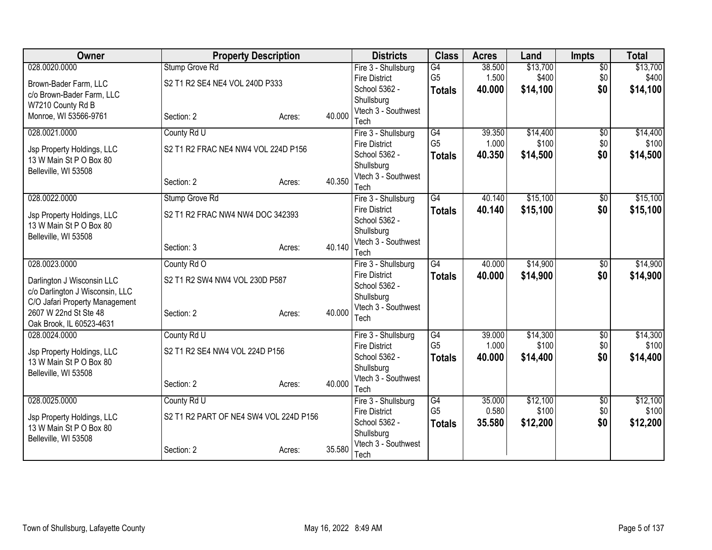| Owner                                                 | <b>Property Description</b>            |        |        | <b>Districts</b>                      | <b>Class</b>   | <b>Acres</b> | Land     | <b>Impts</b>    | <b>Total</b> |
|-------------------------------------------------------|----------------------------------------|--------|--------|---------------------------------------|----------------|--------------|----------|-----------------|--------------|
| 028.0020.0000                                         | Stump Grove Rd                         |        |        | Fire 3 - Shullsburg                   | G4             | 38.500       | \$13,700 | $\overline{50}$ | \$13,700     |
| Brown-Bader Farm, LLC                                 | S2 T1 R2 SE4 NE4 VOL 240D P333         |        |        | <b>Fire District</b>                  | G <sub>5</sub> | 1.500        | \$400    | \$0             | \$400        |
| c/o Brown-Bader Farm, LLC                             |                                        |        |        | School 5362 -                         | <b>Totals</b>  | 40.000       | \$14,100 | \$0             | \$14,100     |
| W7210 County Rd B                                     |                                        |        |        | Shullsburg<br>Vtech 3 - Southwest     |                |              |          |                 |              |
| Monroe, WI 53566-9761                                 | Section: 2                             | Acres: | 40.000 | Tech                                  |                |              |          |                 |              |
| 028.0021.0000                                         | County Rd U                            |        |        | Fire 3 - Shullsburg                   | G4             | 39.350       | \$14,400 | \$0             | \$14,400     |
|                                                       | S2 T1 R2 FRAC NE4 NW4 VOL 224D P156    |        |        | <b>Fire District</b>                  | G <sub>5</sub> | 1.000        | \$100    | \$0             | \$100        |
| Jsp Property Holdings, LLC<br>13 W Main St P O Box 80 |                                        |        |        | School 5362 -                         | <b>Totals</b>  | 40.350       | \$14,500 | \$0             | \$14,500     |
| Belleville, WI 53508                                  |                                        |        |        | Shullsburg                            |                |              |          |                 |              |
|                                                       | Section: 2                             | Acres: | 40.350 | Vtech 3 - Southwest                   |                |              |          |                 |              |
| 028.0022.0000                                         | Stump Grove Rd                         |        |        | Tech<br>Fire 3 - Shullsburg           | G4             | 40.140       | \$15,100 | \$0             | \$15,100     |
|                                                       |                                        |        |        | <b>Fire District</b>                  | <b>Totals</b>  | 40.140       | \$15,100 | \$0             | \$15,100     |
| Jsp Property Holdings, LLC                            | S2 T1 R2 FRAC NW4 NW4 DOC 342393       |        |        | School 5362 -                         |                |              |          |                 |              |
| 13 W Main St P O Box 80                               |                                        |        |        | Shullsburg                            |                |              |          |                 |              |
| Belleville, WI 53508                                  | Section: 3                             | Acres: | 40.140 | Vtech 3 - Southwest                   |                |              |          |                 |              |
|                                                       |                                        |        |        | Tech                                  |                |              |          |                 |              |
| 028.0023.0000                                         | County Rd O                            |        |        | Fire 3 - Shullsburg                   | G4             | 40.000       | \$14,900 | $\overline{50}$ | \$14,900     |
| Darlington J Wisconsin LLC                            | S2 T1 R2 SW4 NW4 VOL 230D P587         |        |        | <b>Fire District</b><br>School 5362 - | <b>Totals</b>  | 40.000       | \$14,900 | \$0             | \$14,900     |
| c/o Darlington J Wisconsin, LLC                       |                                        |        |        | Shullsburg                            |                |              |          |                 |              |
| C/O Jafari Property Management                        |                                        |        |        | Vtech 3 - Southwest                   |                |              |          |                 |              |
| 2607 W 22nd St Ste 48                                 | Section: 2                             | Acres: | 40.000 | Tech                                  |                |              |          |                 |              |
| Oak Brook, IL 60523-4631<br>028.0024.0000             | County Rd U                            |        |        | Fire 3 - Shullsburg                   | G4             | 39.000       | \$14,300 | \$0             | \$14,300     |
|                                                       |                                        |        |        | <b>Fire District</b>                  | G <sub>5</sub> | 1.000        | \$100    | \$0             | \$100        |
| Jsp Property Holdings, LLC                            | S2 T1 R2 SE4 NW4 VOL 224D P156         |        |        | School 5362 -                         | <b>Totals</b>  | 40.000       | \$14,400 | \$0             | \$14,400     |
| 13 W Main St P O Box 80                               |                                        |        |        | Shullsburg                            |                |              |          |                 |              |
| Belleville, WI 53508                                  | Section: 2                             | Acres: | 40.000 | Vtech 3 - Southwest                   |                |              |          |                 |              |
|                                                       |                                        |        |        | Tech                                  |                |              |          |                 |              |
| 028.0025.0000                                         | County Rd U                            |        |        | Fire 3 - Shullsburg                   | G4             | 35.000       | \$12,100 | \$0             | \$12,100     |
| Jsp Property Holdings, LLC                            | S2 T1 R2 PART OF NE4 SW4 VOL 224D P156 |        |        | <b>Fire District</b>                  | G <sub>5</sub> | 0.580        | \$100    | \$0             | \$100        |
| 13 W Main St P O Box 80                               |                                        |        |        | School 5362 -<br>Shullsburg           | <b>Totals</b>  | 35.580       | \$12,200 | \$0             | \$12,200     |
| Belleville, WI 53508                                  |                                        |        |        | Vtech 3 - Southwest                   |                |              |          |                 |              |
|                                                       | Section: 2                             | Acres: | 35.580 | Tech                                  |                |              |          |                 |              |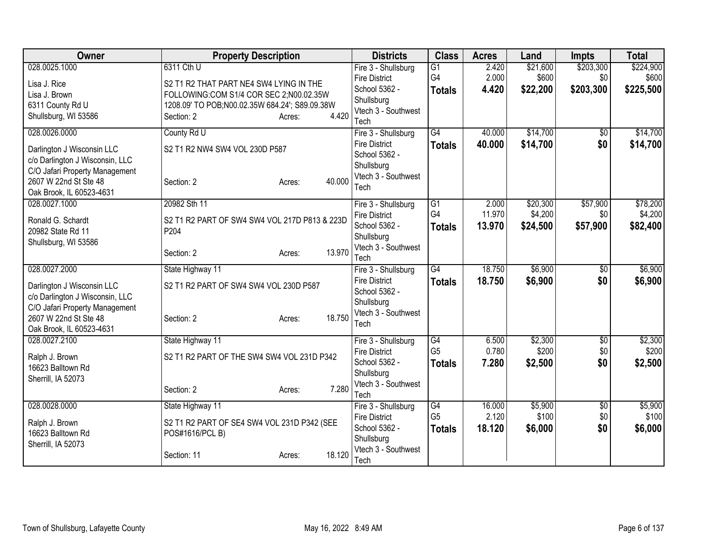| <b>Owner</b>                    | <b>Property Description</b>                                    |        | <b>Districts</b>                  | <b>Class</b>    | <b>Acres</b> | Land     | Impts           | <b>Total</b> |
|---------------------------------|----------------------------------------------------------------|--------|-----------------------------------|-----------------|--------------|----------|-----------------|--------------|
| 028.0025.1000                   | 6311 Cth U                                                     |        | Fire 3 - Shullsburg               | $\overline{G1}$ | 2.420        | \$21,600 | \$203,300       | \$224,900    |
| Lisa J. Rice                    | S2 T1 R2 THAT PART NE4 SW4 LYING IN THE                        |        | <b>Fire District</b>              | G4              | 2.000        | \$600    | \$0             | \$600        |
| Lisa J. Brown                   | FOLLOWING:COM S1/4 COR SEC 2;N00.02.35W                        |        | School 5362 -                     | <b>Totals</b>   | 4.420        | \$22,200 | \$203,300       | \$225,500    |
| 6311 County Rd U                | 1208.09' TO POB;N00.02.35W 684.24'; S89.09.38W                 |        | Shullsburg<br>Vtech 3 - Southwest |                 |              |          |                 |              |
| Shullsburg, WI 53586            | Section: 2<br>Acres:                                           | 4.420  | Tech                              |                 |              |          |                 |              |
| 028.0026.0000                   | County Rd U                                                    |        | Fire 3 - Shullsburg               | $\overline{G4}$ | 40.000       | \$14,700 | $\sqrt{6}$      | \$14,700     |
| Darlington J Wisconsin LLC      | S2 T1 R2 NW4 SW4 VOL 230D P587                                 |        | <b>Fire District</b>              | <b>Totals</b>   | 40.000       | \$14,700 | \$0             | \$14,700     |
| c/o Darlington J Wisconsin, LLC |                                                                |        | School 5362 -                     |                 |              |          |                 |              |
| C/O Jafari Property Management  |                                                                |        | Shullsburg                        |                 |              |          |                 |              |
| 2607 W 22nd St Ste 48           | Section: 2<br>Acres:                                           | 40.000 | Vtech 3 - Southwest               |                 |              |          |                 |              |
| Oak Brook, IL 60523-4631        |                                                                |        | Tech                              |                 |              |          |                 |              |
| 028.0027.1000                   | 20982 Sth 11                                                   |        | Fire 3 - Shullsburg               | G1              | 2.000        | \$20,300 | \$57,900        | \$78,200     |
| Ronald G. Schardt               | S2 T1 R2 PART OF SW4 SW4 VOL 217D P813 & 223D                  |        | <b>Fire District</b>              | G4              | 11.970       | \$4,200  | \$0             | \$4,200      |
| 20982 State Rd 11               | P <sub>204</sub>                                               |        | School 5362 -                     | <b>Totals</b>   | 13.970       | \$24,500 | \$57,900        | \$82,400     |
| Shullsburg, WI 53586            |                                                                |        | Shullsburg<br>Vtech 3 - Southwest |                 |              |          |                 |              |
|                                 | Section: 2<br>Acres:                                           | 13.970 | Tech                              |                 |              |          |                 |              |
| 028.0027.2000                   | State Highway 11                                               |        | Fire 3 - Shullsburg               | $\overline{G4}$ | 18.750       | \$6,900  | $\overline{50}$ | \$6,900      |
| Darlington J Wisconsin LLC      | S2 T1 R2 PART OF SW4 SW4 VOL 230D P587                         |        | <b>Fire District</b>              | <b>Totals</b>   | 18.750       | \$6,900  | \$0             | \$6,900      |
| c/o Darlington J Wisconsin, LLC |                                                                |        | School 5362 -                     |                 |              |          |                 |              |
| C/O Jafari Property Management  |                                                                |        | Shullsburg                        |                 |              |          |                 |              |
| 2607 W 22nd St Ste 48           | Section: 2<br>Acres:                                           | 18.750 | Vtech 3 - Southwest               |                 |              |          |                 |              |
| Oak Brook, IL 60523-4631        |                                                                |        | Tech                              |                 |              |          |                 |              |
| 028.0027.2100                   | State Highway 11                                               |        | Fire 3 - Shullsburg               | G4              | 6.500        | \$2,300  | $\sqrt[6]{}$    | \$2,300      |
| Ralph J. Brown                  | S2 T1 R2 PART OF THE SW4 SW4 VOL 231D P342                     |        | <b>Fire District</b>              | G <sub>5</sub>  | 0.780        | \$200    | \$0             | \$200        |
| 16623 Balltown Rd               |                                                                |        | School 5362 -                     | <b>Totals</b>   | 7.280        | \$2,500  | \$0             | \$2,500      |
| Sherrill, IA 52073              |                                                                |        | Shullsburg<br>Vtech 3 - Southwest |                 |              |          |                 |              |
|                                 | Section: 2<br>Acres:                                           | 7.280  | Tech                              |                 |              |          |                 |              |
| 028.0028.0000                   | State Highway 11                                               |        | Fire 3 - Shullsburg               | G4              | 16.000       | \$5,900  | \$0             | \$5,900      |
| Ralph J. Brown                  |                                                                |        | <b>Fire District</b>              | G <sub>5</sub>  | 2.120        | \$100    | \$0             | \$100        |
| 16623 Balltown Rd               | S2 T1 R2 PART OF SE4 SW4 VOL 231D P342 (SEE<br>POS#1616/PCL B) |        | School 5362 -                     | <b>Totals</b>   | 18.120       | \$6,000  | \$0             | \$6,000      |
| Sherrill, IA 52073              |                                                                |        | Shullsburg                        |                 |              |          |                 |              |
|                                 | Section: 11<br>Acres:                                          | 18.120 | Vtech 3 - Southwest               |                 |              |          |                 |              |
|                                 |                                                                |        | Tech                              |                 |              |          |                 |              |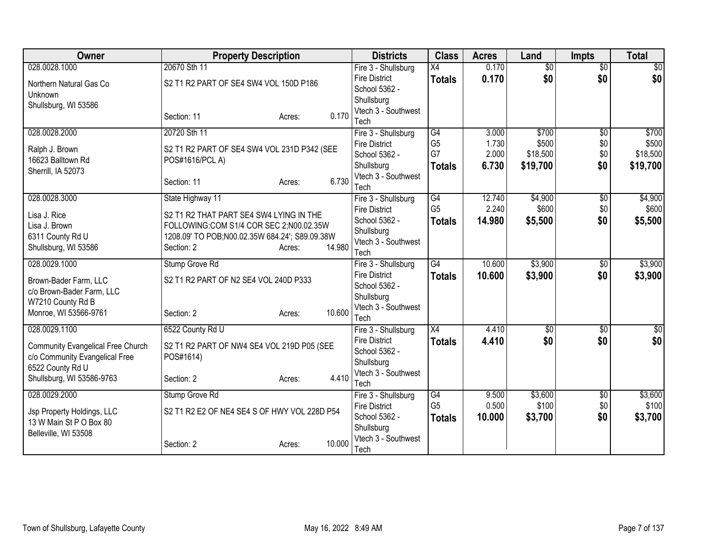| Owner                                    | <b>Property Description</b>                    |                  | <b>Districts</b>                            | <b>Class</b>         | <b>Acres</b>   | Land             | <b>Impts</b>    | <b>Total</b>     |
|------------------------------------------|------------------------------------------------|------------------|---------------------------------------------|----------------------|----------------|------------------|-----------------|------------------|
| 028.0028.1000                            | 20670 Sth 11                                   |                  | Fire 3 - Shullsburg                         | $\overline{X4}$      | 0.170          | $\overline{50}$  | $\overline{50}$ | $\overline{50}$  |
| Northern Natural Gas Co                  | S2 T1 R2 PART OF SE4 SW4 VOL 150D P186         |                  | <b>Fire District</b>                        | <b>Totals</b>        | 0.170          | \$0              | \$0             | \$0              |
| Unknown                                  |                                                |                  | School 5362 -                               |                      |                |                  |                 |                  |
| Shullsburg, WI 53586                     |                                                |                  | Shullsburg                                  |                      |                |                  |                 |                  |
|                                          | Section: 11                                    | 0.170<br>Acres:  | Vtech 3 - Southwest<br>Tech                 |                      |                |                  |                 |                  |
| 028.0028.2000                            | 20720 Sth 11                                   |                  | Fire 3 - Shullsburg                         | G4                   | 3.000          | \$700            | $\overline{50}$ | \$700            |
|                                          |                                                |                  | <b>Fire District</b>                        | G <sub>5</sub>       | 1.730          | \$500            | \$0             | \$500            |
| Ralph J. Brown                           | S2 T1 R2 PART OF SE4 SW4 VOL 231D P342 (SEE    |                  | School 5362 -                               | G7                   | 2.000          | \$18,500         | \$0             | \$18,500         |
| 16623 Balltown Rd                        | POS#1616/PCL A)                                |                  | Shullsburg                                  | <b>Totals</b>        | 6.730          | \$19,700         | \$0             | \$19,700         |
| Sherrill, IA 52073                       |                                                |                  | Vtech 3 - Southwest                         |                      |                |                  |                 |                  |
|                                          | Section: 11                                    | 6.730<br>Acres:  | Tech                                        |                      |                |                  |                 |                  |
| 028.0028.3000                            | State Highway 11                               |                  | Fire 3 - Shullsburg                         | G4                   | 12.740         | \$4,900          | $\overline{50}$ | \$4,900          |
| Lisa J. Rice                             | S2 T1 R2 THAT PART SE4 SW4 LYING IN THE        |                  | <b>Fire District</b>                        | G <sub>5</sub>       | 2.240          | \$600            | \$0             | \$600            |
| Lisa J. Brown                            | FOLLOWING:COM S1/4 COR SEC 2;N00.02.35W        |                  | School 5362 -                               | <b>Totals</b>        | 14.980         | \$5,500          | \$0             | \$5,500          |
| 6311 County Rd U                         | 1208.09' TO POB;N00.02.35W 684.24'; S89.09.38W |                  | Shullsburg                                  |                      |                |                  |                 |                  |
| Shullsburg, WI 53586                     | Section: 2                                     | 14.980<br>Acres: | Vtech 3 - Southwest                         |                      |                |                  |                 |                  |
| 028.0029.1000                            | Stump Grove Rd                                 |                  | Tech<br>Fire 3 - Shullsburg                 | G4                   | 10.600         | \$3,900          | $\overline{50}$ | \$3,900          |
|                                          |                                                |                  | <b>Fire District</b>                        |                      | 10.600         | \$3,900          | \$0             | \$3,900          |
| Brown-Bader Farm, LLC                    | S2 T1 R2 PART OF N2 SE4 VOL 240D P333          |                  | School 5362 -                               | <b>Totals</b>        |                |                  |                 |                  |
| c/o Brown-Bader Farm, LLC                |                                                |                  | Shullsburg                                  |                      |                |                  |                 |                  |
| W7210 County Rd B                        |                                                |                  | Vtech 3 - Southwest                         |                      |                |                  |                 |                  |
| Monroe, WI 53566-9761                    | Section: 2                                     | 10.600<br>Acres: | Tech                                        |                      |                |                  |                 |                  |
| 028.0029.1100                            | 6522 County Rd U                               |                  | Fire 3 - Shullsburg                         | $\overline{X4}$      | 4.410          | $\overline{50}$  | $\overline{50}$ | $\sqrt{50}$      |
| <b>Community Evangelical Free Church</b> | S2 T1 R2 PART OF NW4 SE4 VOL 219D P05 (SEE     |                  | <b>Fire District</b>                        | Totals               | 4.410          | \$0              | \$0             | \$0              |
| c/o Community Evangelical Free           | POS#1614)                                      |                  | School 5362 -                               |                      |                |                  |                 |                  |
| 6522 County Rd U                         |                                                |                  | Shullsburg                                  |                      |                |                  |                 |                  |
| Shullsburg, WI 53586-9763                | Section: 2                                     | 4.410<br>Acres:  | Vtech 3 - Southwest                         |                      |                |                  |                 |                  |
|                                          |                                                |                  | Tech                                        |                      |                |                  |                 |                  |
| 028.0029.2000                            | Stump Grove Rd                                 |                  | Fire 3 - Shullsburg<br><b>Fire District</b> | G4<br>G <sub>5</sub> | 9.500<br>0.500 | \$3,600<br>\$100 | \$0<br>\$0      | \$3,600<br>\$100 |
| Jsp Property Holdings, LLC               | S2 T1 R2 E2 OF NE4 SE4 S OF HWY VOL 228D P54   |                  | School 5362 -                               |                      | 10,000         | \$3,700          | \$0             | \$3,700          |
| 13 W Main St P O Box 80                  |                                                |                  | Shullsburg                                  | <b>Totals</b>        |                |                  |                 |                  |
| Belleville, WI 53508                     |                                                |                  | Vtech 3 - Southwest                         |                      |                |                  |                 |                  |
|                                          | Section: 2                                     | 10.000<br>Acres: | Tech                                        |                      |                |                  |                 |                  |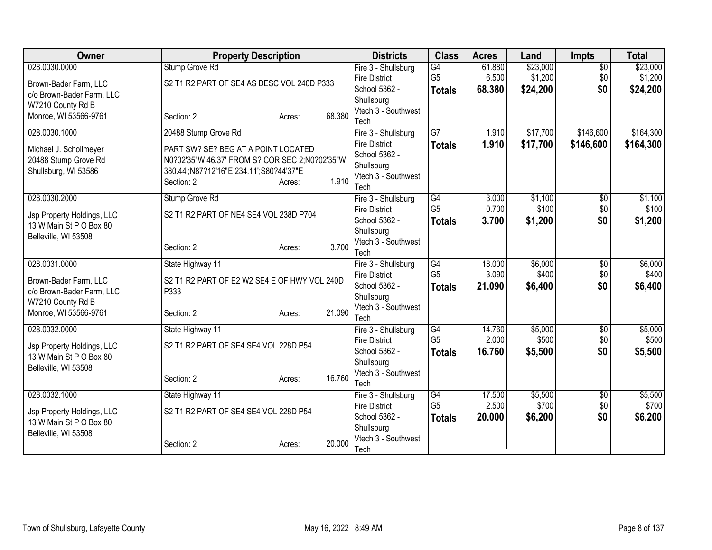| Owner                                                 | <b>Property Description</b>                                                           |        |        | <b>Districts</b>                            | <b>Class</b>                      | <b>Acres</b>    | Land             | <b>Impts</b>    | <b>Total</b>     |
|-------------------------------------------------------|---------------------------------------------------------------------------------------|--------|--------|---------------------------------------------|-----------------------------------|-----------------|------------------|-----------------|------------------|
| 028.0030.0000                                         | Stump Grove Rd                                                                        |        |        | Fire 3 - Shullsburg                         | G4                                | 61.880          | \$23,000         | $\overline{50}$ | \$23,000         |
| Brown-Bader Farm, LLC                                 | S2 T1 R2 PART OF SE4 AS DESC VOL 240D P333                                            |        |        | <b>Fire District</b>                        | G <sub>5</sub>                    | 6.500           | \$1,200          | \$0             | \$1,200          |
| c/o Brown-Bader Farm, LLC                             |                                                                                       |        |        | School 5362 -                               | <b>Totals</b>                     | 68.380          | \$24,200         | \$0             | \$24,200         |
| W7210 County Rd B                                     |                                                                                       |        |        | Shullsburg<br>Vtech 3 - Southwest           |                                   |                 |                  |                 |                  |
| Monroe, WI 53566-9761                                 | Section: 2                                                                            | Acres: | 68.380 | Tech                                        |                                   |                 |                  |                 |                  |
| 028.0030.1000                                         | 20488 Stump Grove Rd                                                                  |        |        | Fire 3 - Shullsburg                         | $\overline{G7}$                   | 1.910           | \$17,700         | \$146,600       | \$164,300        |
|                                                       |                                                                                       |        |        | <b>Fire District</b>                        | <b>Totals</b>                     | 1.910           | \$17,700         | \$146,600       | \$164,300        |
| Michael J. Schollmeyer                                | PART SW? SE? BEG AT A POINT LOCATED<br>N0?02'35"W 46.37' FROM S? COR SEC 2;N0?02'35"W |        |        | School 5362 -                               |                                   |                 |                  |                 |                  |
| 20488 Stump Grove Rd<br>Shullsburg, WI 53586          | 380.44';N87?12'16"E 234.11';S80?44'37"E                                               |        |        | Shullsburg                                  |                                   |                 |                  |                 |                  |
|                                                       | Section: 2                                                                            | Acres: | 1.910  | Vtech 3 - Southwest                         |                                   |                 |                  |                 |                  |
|                                                       |                                                                                       |        |        | Tech                                        |                                   |                 |                  |                 |                  |
| 028.0030.2000                                         | Stump Grove Rd                                                                        |        |        | Fire 3 - Shullsburg                         | $\overline{G4}$<br>G <sub>5</sub> | 3.000<br>0.700  | \$1,100<br>\$100 | \$0             | \$1,100          |
| Jsp Property Holdings, LLC                            | S2 T1 R2 PART OF NE4 SE4 VOL 238D P704                                                |        |        | <b>Fire District</b><br>School 5362 -       |                                   | 3.700           | \$1,200          | \$0<br>\$0      | \$100<br>\$1,200 |
| 13 W Main St P O Box 80                               |                                                                                       |        |        | Shullsburg                                  | <b>Totals</b>                     |                 |                  |                 |                  |
| Belleville, WI 53508                                  |                                                                                       |        |        | Vtech 3 - Southwest                         |                                   |                 |                  |                 |                  |
|                                                       | Section: 2                                                                            | Acres: | 3.700  | Tech                                        |                                   |                 |                  |                 |                  |
| 028.0031.0000                                         | State Highway 11                                                                      |        |        | Fire 3 - Shullsburg                         | G4                                | 18.000          | \$6,000          | $\overline{50}$ | \$6,000          |
| Brown-Bader Farm, LLC                                 | S2 T1 R2 PART OF E2 W2 SE4 E OF HWY VOL 240D                                          |        |        | <b>Fire District</b>                        | G <sub>5</sub>                    | 3.090           | \$400            | \$0             | \$400            |
| c/o Brown-Bader Farm, LLC                             | P333                                                                                  |        |        | School 5362 -                               | <b>Totals</b>                     | 21.090          | \$6,400          | \$0             | \$6,400          |
| W7210 County Rd B                                     |                                                                                       |        |        | Shullsburg                                  |                                   |                 |                  |                 |                  |
| Monroe, WI 53566-9761                                 | Section: 2                                                                            | Acres: | 21.090 | Vtech 3 - Southwest<br>Tech                 |                                   |                 |                  |                 |                  |
| 028.0032.0000                                         | State Highway 11                                                                      |        |        | Fire 3 - Shullsburg                         | $\overline{G4}$                   | 14.760          | \$5,000          | $\overline{50}$ | \$5,000          |
|                                                       |                                                                                       |        |        | <b>Fire District</b>                        | G <sub>5</sub>                    | 2.000           | \$500            | \$0             | \$500            |
| Jsp Property Holdings, LLC<br>13 W Main St P O Box 80 | S2 T1 R2 PART OF SE4 SE4 VOL 228D P54                                                 |        |        | School 5362 -                               | <b>Totals</b>                     | 16.760          | \$5,500          | \$0             | \$5,500          |
| Belleville, WI 53508                                  |                                                                                       |        |        | Shullsburg                                  |                                   |                 |                  |                 |                  |
|                                                       | Section: 2                                                                            | Acres: | 16.760 | Vtech 3 - Southwest                         |                                   |                 |                  |                 |                  |
|                                                       |                                                                                       |        |        | Tech                                        |                                   |                 |                  |                 |                  |
| 028.0032.1000                                         | State Highway 11                                                                      |        |        | Fire 3 - Shullsburg<br><b>Fire District</b> | G4<br>G <sub>5</sub>              | 17.500<br>2.500 | \$5,500<br>\$700 | \$0<br>\$0      | \$5,500<br>\$700 |
| Jsp Property Holdings, LLC                            | S2 T1 R2 PART OF SE4 SE4 VOL 228D P54                                                 |        |        | School 5362 -                               |                                   | 20,000          | \$6,200          | \$0             | \$6,200          |
| 13 W Main St P O Box 80                               |                                                                                       |        |        | Shullsburg                                  | <b>Totals</b>                     |                 |                  |                 |                  |
| Belleville, WI 53508                                  |                                                                                       |        |        | Vtech 3 - Southwest                         |                                   |                 |                  |                 |                  |
|                                                       | Section: 2                                                                            | Acres: | 20.000 | Tech                                        |                                   |                 |                  |                 |                  |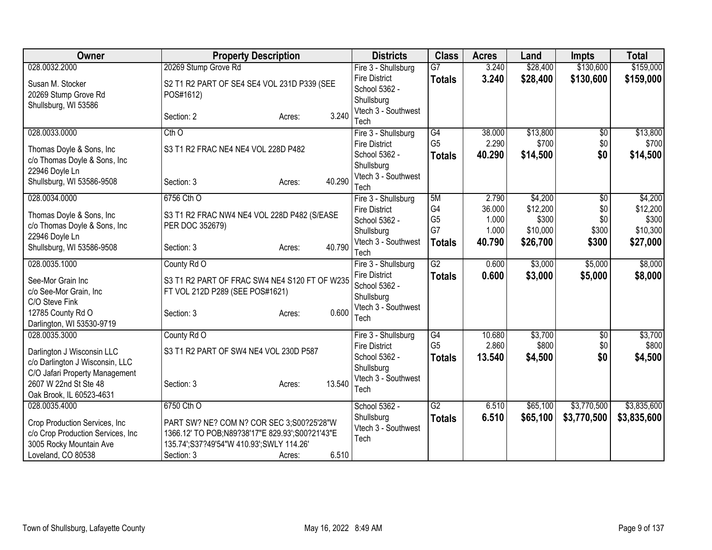| Owner                                                                                         | <b>Property Description</b>                                                                                                              |                                                     | <b>Districts</b>                                                           | <b>Class</b>                                 | <b>Acres</b>                      | Land                                     | <b>Impts</b>               | <b>Total</b>                             |
|-----------------------------------------------------------------------------------------------|------------------------------------------------------------------------------------------------------------------------------------------|-----------------------------------------------------|----------------------------------------------------------------------------|----------------------------------------------|-----------------------------------|------------------------------------------|----------------------------|------------------------------------------|
| 028.0032.2000                                                                                 | 20269 Stump Grove Rd                                                                                                                     |                                                     | Fire 3 - Shullsburg                                                        | $\overline{G7}$                              | 3.240                             | \$28,400                                 | \$130,600                  | \$159,000                                |
| Susan M. Stocker<br>20269 Stump Grove Rd<br>Shullsburg, WI 53586                              | S2 T1 R2 PART OF SE4 SE4 VOL 231D P339 (SEE<br>POS#1612)                                                                                 | <b>Fire District</b><br>School 5362 -<br>Shullsburg | <b>Totals</b>                                                              | 3.240                                        | \$28,400                          | \$130,600                                | \$159,000                  |                                          |
|                                                                                               | Section: 2                                                                                                                               | 3.240<br>Acres:                                     | Vtech 3 - Southwest<br>Tech                                                |                                              |                                   |                                          |                            |                                          |
| 028.0033.0000                                                                                 | $Cth$ <sup>O</sup>                                                                                                                       |                                                     | Fire 3 - Shullsburg                                                        | G4                                           | 38.000                            | \$13,800                                 | \$0                        | \$13,800                                 |
| Thomas Doyle & Sons, Inc<br>c/o Thomas Doyle & Sons, Inc<br>22946 Doyle Ln                    | S3 T1 R2 FRAC NE4 NE4 VOL 228D P482                                                                                                      |                                                     | <b>Fire District</b><br>School 5362 -<br>Shullsburg                        | G <sub>5</sub><br><b>Totals</b>              | 2.290<br>40.290                   | \$700<br>\$14,500                        | \$0<br>\$0                 | \$700<br>\$14,500                        |
| Shullsburg, WI 53586-9508                                                                     | Section: 3                                                                                                                               | 40.290<br>Acres:                                    | Vtech 3 - Southwest<br>Tech                                                |                                              |                                   |                                          |                            |                                          |
| 028.0034.0000<br>Thomas Doyle & Sons, Inc<br>c/o Thomas Doyle & Sons, Inc                     | 6756 Cth O<br>S3 T1 R2 FRAC NW4 NE4 VOL 228D P482 (S/EASE<br>PER DOC 352679)                                                             |                                                     | Fire 3 - Shullsburg<br><b>Fire District</b><br>School 5362 -<br>Shullsburg | 5M<br>G <sub>4</sub><br>G <sub>5</sub><br>G7 | 2.790<br>36.000<br>1.000<br>1.000 | \$4,200<br>\$12,200<br>\$300<br>\$10,000 | \$0<br>\$0<br>\$0<br>\$300 | \$4,200<br>\$12,200<br>\$300<br>\$10,300 |
| 22946 Doyle Ln<br>Shullsburg, WI 53586-9508                                                   | Section: 3                                                                                                                               | 40.790<br>Acres:                                    | Vtech 3 - Southwest<br>Tech                                                | <b>Totals</b>                                | 40.790                            | \$26,700                                 | \$300                      | \$27,000                                 |
| 028.0035.1000                                                                                 | County Rd O                                                                                                                              |                                                     | Fire 3 - Shullsburg                                                        | $\overline{G2}$                              | 0.600                             | \$3,000                                  | \$5,000                    | \$8,000                                  |
| See-Mor Grain Inc<br>c/o See-Mor Grain, Inc<br>C/O Steve Fink                                 | S3 T1 R2 PART OF FRAC SW4 NE4 S120 FT OF W235<br>FT VOL 212D P289 (SEE POS#1621)                                                         |                                                     | <b>Fire District</b><br>School 5362 -<br>Shullsburg                        | <b>Totals</b>                                | 0.600                             | \$3,000                                  | \$5,000                    | \$8,000                                  |
| 12785 County Rd O<br>Darlington, WI 53530-9719                                                | Section: 3                                                                                                                               | 0.600<br>Acres:                                     | Vtech 3 - Southwest<br>Tech                                                |                                              |                                   |                                          |                            |                                          |
| 028.0035.3000                                                                                 | County Rd O                                                                                                                              |                                                     | Fire 3 - Shullsburg                                                        | G4                                           | 10.680                            | \$3,700                                  | \$0                        | \$3,700                                  |
| Darlington J Wisconsin LLC<br>c/o Darlington J Wisconsin, LLC                                 | S3 T1 R2 PART OF SW4 NE4 VOL 230D P587                                                                                                   |                                                     | <b>Fire District</b><br>School 5362 -<br>Shullsburg                        | G <sub>5</sub><br><b>Totals</b>              | 2.860<br>13.540                   | \$800<br>\$4,500                         | \$0<br>\$0                 | \$800<br>\$4,500                         |
| C/O Jafari Property Management<br>2607 W 22nd St Ste 48<br>Oak Brook, IL 60523-4631           | Section: 3                                                                                                                               | 13.540<br>Acres:                                    | Vtech 3 - Southwest<br>Tech                                                |                                              |                                   |                                          |                            |                                          |
| 028.0035.4000                                                                                 | 6750 Cth O                                                                                                                               |                                                     | School 5362 -                                                              | $\overline{G2}$                              | 6.510                             | \$65,100                                 | \$3,770,500                | \$3,835,600                              |
| Crop Production Services, Inc<br>c/o Crop Production Services, Inc<br>3005 Rocky Mountain Ave | PART SW? NE? COM N? COR SEC 3;S00?25'28"W<br>1366.12' TO POB;N89?38'17"E 829.93';S00?21'43"E<br>135.74';S37?49'54"W 410.93';SWLY 114.26' |                                                     | Shullsburg<br>Vtech 3 - Southwest<br>Tech                                  | <b>Totals</b>                                | 6.510                             | \$65,100                                 | \$3,770,500                | \$3,835,600                              |
| Loveland, CO 80538                                                                            | Section: 3                                                                                                                               | 6.510<br>Acres:                                     |                                                                            |                                              |                                   |                                          |                            |                                          |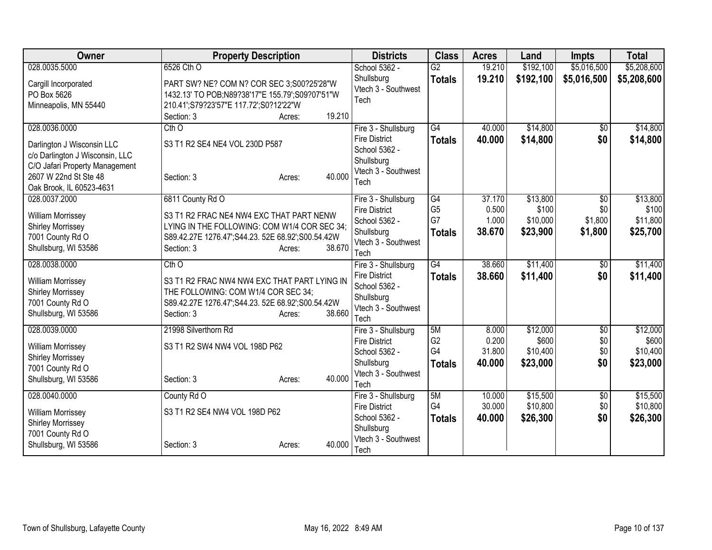| <b>Owner</b>                                                                                                                                                          | <b>Property Description</b>                                                                                                                                                                         | <b>Districts</b>                                                                                          | <b>Class</b>                                             | <b>Acres</b>                       | Land                                      | Impts                                        | <b>Total</b>                              |
|-----------------------------------------------------------------------------------------------------------------------------------------------------------------------|-----------------------------------------------------------------------------------------------------------------------------------------------------------------------------------------------------|-----------------------------------------------------------------------------------------------------------|----------------------------------------------------------|------------------------------------|-------------------------------------------|----------------------------------------------|-------------------------------------------|
| 028.0035.5000                                                                                                                                                         | 6526 Cth O                                                                                                                                                                                          | School 5362 -                                                                                             | $\overline{G2}$                                          | 19.210                             | \$192,100                                 | \$5,016,500                                  | \$5,208,600                               |
| Cargill Incorporated<br>PO Box 5626<br>Minneapolis, MN 55440                                                                                                          | PART SW? NE? COM N? COR SEC 3;S00?25'28"W<br>1432.13' TO POB;N89?38'17"E 155.79';S09?07'51"W<br>210.41';S79?23'57"E 117.72';S0?12'22"W                                                              | Shullsburg<br>Vtech 3 - Southwest<br>Tech                                                                 | <b>Totals</b>                                            | 19.210                             | \$192,100                                 | \$5,016,500                                  | \$5,208,600                               |
|                                                                                                                                                                       | 19.210<br>Section: 3<br>Acres:                                                                                                                                                                      |                                                                                                           |                                                          |                                    |                                           |                                              |                                           |
| 028.0036.0000<br>Darlington J Wisconsin LLC<br>c/o Darlington J Wisconsin, LLC<br>C/O Jafari Property Management<br>2607 W 22nd St Ste 48<br>Oak Brook, IL 60523-4631 | $Cth$ <sup>O</sup><br>S3 T1 R2 SE4 NE4 VOL 230D P587<br>40.000<br>Section: 3<br>Acres:                                                                                                              | Fire 3 - Shullsburg<br><b>Fire District</b><br>School 5362 -<br>Shullsburg<br>Vtech 3 - Southwest<br>Tech | $\overline{G4}$<br><b>Totals</b>                         | 40.000<br>40.000                   | \$14,800<br>\$14,800                      | $\overline{50}$<br>\$0                       | \$14,800<br>\$14,800                      |
| 028.0037.2000<br><b>William Morrissey</b><br><b>Shirley Morrissey</b><br>7001 County Rd O<br>Shullsburg, WI 53586                                                     | 6811 County Rd O<br>S3 T1 R2 FRAC NE4 NW4 EXC THAT PART NENW<br>LYING IN THE FOLLOWING: COM W1/4 COR SEC 34;<br>S89.42.27E 1276.47';S44.23. 52E 68.92';S00.54.42W<br>38.670<br>Section: 3<br>Acres: | Fire 3 - Shullsburg<br><b>Fire District</b><br>School 5362 -<br>Shullsburg<br>Vtech 3 - Southwest<br>Tech | $\overline{G4}$<br>G <sub>5</sub><br>G7<br><b>Totals</b> | 37.170<br>0.500<br>1.000<br>38.670 | \$13,800<br>\$100<br>\$10,000<br>\$23,900 | $\overline{50}$<br>\$0<br>\$1,800<br>\$1,800 | \$13,800<br>\$100<br>\$11,800<br>\$25,700 |
| 028.0038.0000<br><b>William Morrissey</b><br><b>Shirley Morrissey</b><br>7001 County Rd O<br>Shullsburg, WI 53586                                                     | $Cth$ <sup>O</sup><br>S3 T1 R2 FRAC NW4 NW4 EXC THAT PART LYING IN<br>THE FOLLOWING: COM W1/4 COR SEC 34;<br>S89.42.27E 1276.47';S44.23. 52E 68.92';S00.54.42W<br>38.660<br>Section: 3<br>Acres:    | Fire 3 - Shullsburg<br><b>Fire District</b><br>School 5362 -<br>Shullsburg<br>Vtech 3 - Southwest<br>Tech | $\overline{G4}$<br><b>Totals</b>                         | 38.660<br>38.660                   | \$11,400<br>\$11,400                      | $\overline{50}$<br>\$0                       | \$11,400<br>\$11,400                      |
| 028.0039.0000<br><b>William Morrissey</b><br><b>Shirley Morrissey</b><br>7001 County Rd O<br>Shullsburg, WI 53586                                                     | 21998 Silverthorn Rd<br>S3 T1 R2 SW4 NW4 VOL 198D P62<br>40.000<br>Section: 3<br>Acres:                                                                                                             | Fire 3 - Shullsburg<br><b>Fire District</b><br>School 5362 -<br>Shullsburg<br>Vtech 3 - Southwest<br>Tech | 5M<br>G <sub>2</sub><br>G4<br><b>Totals</b>              | 8.000<br>0.200<br>31.800<br>40.000 | \$12,000<br>\$600<br>\$10,400<br>\$23,000 | \$0<br>\$0<br>\$0<br>\$0                     | \$12,000<br>\$600<br>\$10,400<br>\$23,000 |
| 028.0040.0000<br>William Morrissey<br><b>Shirley Morrissey</b><br>7001 County Rd O<br>Shullsburg, WI 53586                                                            | County Rd O<br>S3 T1 R2 SE4 NW4 VOL 198D P62<br>40.000<br>Section: 3<br>Acres:                                                                                                                      | Fire 3 - Shullsburg<br><b>Fire District</b><br>School 5362 -<br>Shullsburg<br>Vtech 3 - Southwest<br>Tech | 5M<br>G4<br><b>Totals</b>                                | 10.000<br>30.000<br>40.000         | \$15,500<br>\$10,800<br>\$26,300          | \$0<br>\$0<br>\$0                            | \$15,500<br>\$10,800<br>\$26,300          |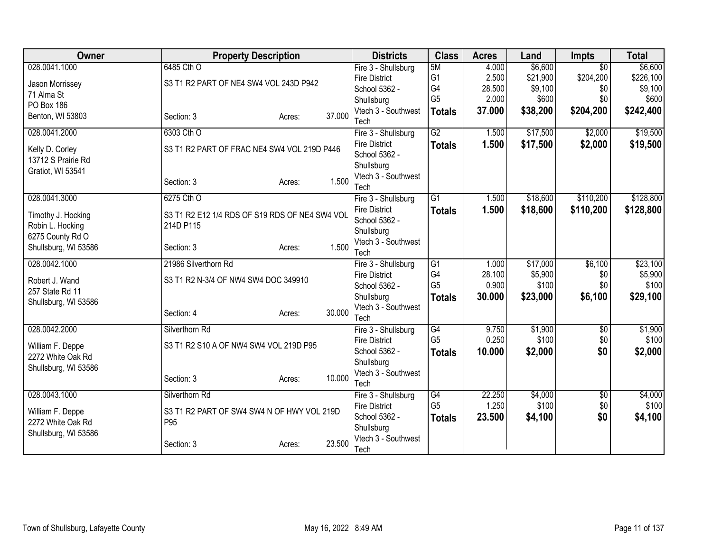| Owner                | <b>Property Description</b>                    |                  | <b>Districts</b>                      | <b>Class</b>    | <b>Acres</b> | Land     | <b>Impts</b>    | <b>Total</b> |
|----------------------|------------------------------------------------|------------------|---------------------------------------|-----------------|--------------|----------|-----------------|--------------|
| 028.0041.1000        | 6485 Cth O                                     |                  | Fire 3 - Shullsburg                   | 5M              | 4.000        | \$6,600  | $\overline{30}$ | \$6,600      |
| Jason Morrissey      | S3 T1 R2 PART OF NE4 SW4 VOL 243D P942         |                  | <b>Fire District</b>                  | G <sub>1</sub>  | 2.500        | \$21,900 | \$204,200       | \$226,100    |
| 71 Alma St           |                                                |                  | School 5362 -                         | G4              | 28.500       | \$9,100  | \$0             | \$9,100      |
| PO Box 186           |                                                |                  | Shullsburg                            | G <sub>5</sub>  | 2.000        | \$600    | \$0             | \$600        |
| Benton, WI 53803     | Section: 3                                     | 37.000<br>Acres: | Vtech 3 - Southwest                   | <b>Totals</b>   | 37.000       | \$38,200 | \$204,200       | \$242,400    |
|                      |                                                |                  | Tech                                  |                 |              |          |                 |              |
| 028.0041.2000        | 6303 Cth O                                     |                  | Fire 3 - Shullsburg                   | $\overline{G2}$ | 1.500        | \$17,500 | \$2,000         | \$19,500     |
| Kelly D. Corley      | S3 T1 R2 PART OF FRAC NE4 SW4 VOL 219D P446    |                  | <b>Fire District</b>                  | <b>Totals</b>   | 1.500        | \$17,500 | \$2,000         | \$19,500     |
| 13712 S Prairie Rd   |                                                |                  | School 5362 -                         |                 |              |          |                 |              |
| Gratiot, WI 53541    |                                                |                  | Shullsburg                            |                 |              |          |                 |              |
|                      | Section: 3                                     | 1.500<br>Acres:  | Vtech 3 - Southwest                   |                 |              |          |                 |              |
|                      |                                                |                  | Tech                                  |                 |              |          |                 |              |
| 028.0041.3000        | 6275 Cth O                                     |                  | Fire 3 - Shullsburg                   | $\overline{G1}$ | 1.500        | \$18,600 | \$110,200       | \$128,800    |
| Timothy J. Hocking   | S3 T1 R2 E12 1/4 RDS OF S19 RDS OF NE4 SW4 VOL |                  | <b>Fire District</b><br>School 5362 - | <b>Totals</b>   | 1.500        | \$18,600 | \$110,200       | \$128,800    |
| Robin L. Hocking     | 214D P115                                      |                  |                                       |                 |              |          |                 |              |
| 6275 County Rd O     |                                                |                  | Shullsburg<br>Vtech 3 - Southwest     |                 |              |          |                 |              |
| Shullsburg, WI 53586 | Section: 3                                     | 1.500<br>Acres:  | Tech                                  |                 |              |          |                 |              |
| 028.0042.1000        | 21986 Silverthorn Rd                           |                  | Fire 3 - Shullsburg                   | $\overline{G1}$ | 1.000        | \$17,000 | \$6,100         | \$23,100     |
|                      |                                                |                  | <b>Fire District</b>                  | G4              | 28.100       | \$5,900  | \$0             | \$5,900      |
| Robert J. Wand       | S3 T1 R2 N-3/4 OF NW4 SW4 DOC 349910           |                  | School 5362 -                         | G <sub>5</sub>  | 0.900        | \$100    | \$0             | \$100        |
| 257 State Rd 11      |                                                |                  | Shullsburg                            | <b>Totals</b>   | 30.000       | \$23,000 | \$6,100         | \$29,100     |
| Shullsburg, WI 53586 |                                                |                  | Vtech 3 - Southwest                   |                 |              |          |                 |              |
|                      | Section: 4                                     | 30.000<br>Acres: | Tech                                  |                 |              |          |                 |              |
| 028.0042.2000        | Silverthorn Rd                                 |                  | Fire 3 - Shullsburg                   | G4              | 9.750        | \$1,900  | $\overline{50}$ | \$1,900      |
|                      |                                                |                  | <b>Fire District</b>                  | G <sub>5</sub>  | 0.250        | \$100    | \$0             | \$100        |
| William F. Deppe     | S3 T1 R2 S10 A OF NW4 SW4 VOL 219D P95         |                  | School 5362 -                         | <b>Totals</b>   | 10.000       | \$2,000  | \$0             | \$2,000      |
| 2272 White Oak Rd    |                                                |                  | Shullsburg                            |                 |              |          |                 |              |
| Shullsburg, WI 53586 |                                                |                  | Vtech 3 - Southwest                   |                 |              |          |                 |              |
|                      | Section: 3                                     | 10.000<br>Acres: | Tech                                  |                 |              |          |                 |              |
| 028.0043.1000        | Silverthorn Rd                                 |                  | Fire 3 - Shullsburg                   | G4              | 22.250       | \$4,000  | $\overline{50}$ | \$4,000      |
|                      |                                                |                  | <b>Fire District</b>                  | G <sub>5</sub>  | 1.250        | \$100    | \$0             | \$100        |
| William F. Deppe     | S3 T1 R2 PART OF SW4 SW4 N OF HWY VOL 219D     |                  | School 5362 -                         | <b>Totals</b>   | 23.500       | \$4,100  | \$0             | \$4,100      |
| 2272 White Oak Rd    | P95                                            |                  | Shullsburg                            |                 |              |          |                 |              |
| Shullsburg, WI 53586 |                                                |                  | Vtech 3 - Southwest                   |                 |              |          |                 |              |
|                      | Section: 3                                     | 23.500<br>Acres: | Tech                                  |                 |              |          |                 |              |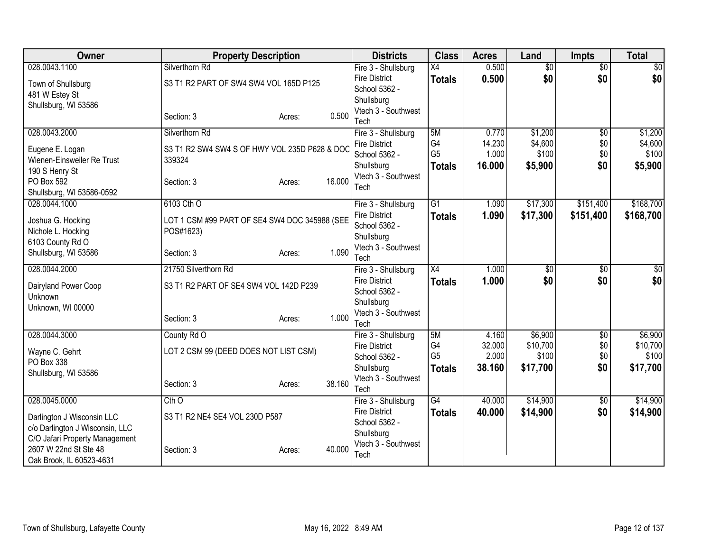| Owner                           | <b>Property Description</b>                   |        |        | <b>Districts</b>                      | <b>Class</b>    | <b>Acres</b>    | Land               | <b>Impts</b>           | <b>Total</b>       |
|---------------------------------|-----------------------------------------------|--------|--------|---------------------------------------|-----------------|-----------------|--------------------|------------------------|--------------------|
| 028.0043.1100                   | Silverthorn Rd                                |        |        | Fire 3 - Shullsburg                   | $\overline{X4}$ | 0.500           | $\overline{50}$    | $\overline{30}$        | $\overline{\$0}$   |
| Town of Shullsburg              | S3 T1 R2 PART OF SW4 SW4 VOL 165D P125        |        |        | <b>Fire District</b>                  | <b>Totals</b>   | 0.500           | \$0                | \$0                    | \$0                |
| 481 W Estey St                  |                                               |        |        | School 5362 -                         |                 |                 |                    |                        |                    |
| Shullsburg, WI 53586            |                                               |        |        | Shullsburg                            |                 |                 |                    |                        |                    |
|                                 | Section: 3                                    | Acres: | 0.500  | Vtech 3 - Southwest                   |                 |                 |                    |                        |                    |
|                                 |                                               |        |        | Tech                                  |                 |                 |                    |                        |                    |
| 028.0043.2000                   | Silverthorn Rd                                |        |        | Fire 3 - Shullsburg                   | 5M<br>G4        | 0.770<br>14.230 | \$1,200<br>\$4,600 | $\overline{50}$<br>\$0 | \$1,200<br>\$4,600 |
| Eugene E. Logan                 | S3 T1 R2 SW4 SW4 S OF HWY VOL 235D P628 & DOC |        |        | <b>Fire District</b><br>School 5362 - | G <sub>5</sub>  | 1.000           | \$100              | \$0                    | \$100              |
| Wienen-Einsweiler Re Trust      | 339324                                        |        |        | Shullsburg                            | <b>Totals</b>   | 16.000          | \$5,900            | \$0                    | \$5,900            |
| 190 S Henry St                  |                                               |        |        | Vtech 3 - Southwest                   |                 |                 |                    |                        |                    |
| PO Box 592                      | Section: 3                                    | Acres: | 16.000 | Tech                                  |                 |                 |                    |                        |                    |
| Shullsburg, WI 53586-0592       |                                               |        |        |                                       |                 |                 |                    |                        |                    |
| 028.0044.1000                   | 6103 Cth O                                    |        |        | Fire 3 - Shullsburg                   | $\overline{G1}$ | 1.090           | \$17,300           | \$151,400              | \$168,700          |
| Joshua G. Hocking               | LOT 1 CSM #99 PART OF SE4 SW4 DOC 345988 (SEE |        |        | <b>Fire District</b>                  | <b>Totals</b>   | 1.090           | \$17,300           | \$151,400              | \$168,700          |
| Nichole L. Hocking              | POS#1623)                                     |        |        | School 5362 -                         |                 |                 |                    |                        |                    |
| 6103 County Rd O                |                                               |        |        | Shullsburg<br>Vtech 3 - Southwest     |                 |                 |                    |                        |                    |
| Shullsburg, WI 53586            | Section: 3                                    | Acres: | 1.090  | Tech                                  |                 |                 |                    |                        |                    |
| 028.0044.2000                   | 21750 Silverthorn Rd                          |        |        | Fire 3 - Shullsburg                   | X4              | 1.000           | \$0                | \$0                    | \$0                |
|                                 |                                               |        |        | <b>Fire District</b>                  | <b>Totals</b>   | 1.000           | \$0                | \$0                    | \$0                |
| Dairyland Power Coop            | S3 T1 R2 PART OF SE4 SW4 VOL 142D P239        |        |        | School 5362 -                         |                 |                 |                    |                        |                    |
| Unknown                         |                                               |        |        | Shullsburg                            |                 |                 |                    |                        |                    |
| Unknown, WI 00000               | Section: 3                                    | Acres: | 1.000  | Vtech 3 - Southwest                   |                 |                 |                    |                        |                    |
|                                 |                                               |        |        | Tech                                  |                 |                 |                    |                        |                    |
| 028.0044.3000                   | County Rd O                                   |        |        | Fire 3 - Shullsburg                   | 5M              | 4.160           | \$6,900            | $\overline{50}$        | \$6,900            |
| Wayne C. Gehrt                  | LOT 2 CSM 99 (DEED DOES NOT LIST CSM)         |        |        | <b>Fire District</b>                  | G4              | 32.000          | \$10,700           | \$0                    | \$10,700           |
| PO Box 338                      |                                               |        |        | School 5362 -                         | G <sub>5</sub>  | 2.000           | \$100              | \$0                    | \$100              |
| Shullsburg, WI 53586            |                                               |        |        | Shullsburg<br>Vtech 3 - Southwest     | <b>Totals</b>   | 38.160          | \$17,700           | \$0                    | \$17,700           |
|                                 | Section: 3                                    | Acres: | 38.160 | Tech                                  |                 |                 |                    |                        |                    |
| 028.0045.0000                   | $Cth$ <sup>O</sup>                            |        |        | Fire 3 - Shullsburg                   | $\overline{G4}$ | 40.000          | \$14,900           | $\sqrt{$0}$            | \$14,900           |
| Darlington J Wisconsin LLC      | S3 T1 R2 NE4 SE4 VOL 230D P587                |        |        | <b>Fire District</b>                  | <b>Totals</b>   | 40.000          | \$14,900           | \$0                    | \$14,900           |
| c/o Darlington J Wisconsin, LLC |                                               |        |        | School 5362 -                         |                 |                 |                    |                        |                    |
| C/O Jafari Property Management  |                                               |        |        | Shullsburg                            |                 |                 |                    |                        |                    |
| 2607 W 22nd St Ste 48           | Section: 3                                    | Acres: | 40.000 | Vtech 3 - Southwest                   |                 |                 |                    |                        |                    |
| Oak Brook, IL 60523-4631        |                                               |        |        | Tech                                  |                 |                 |                    |                        |                    |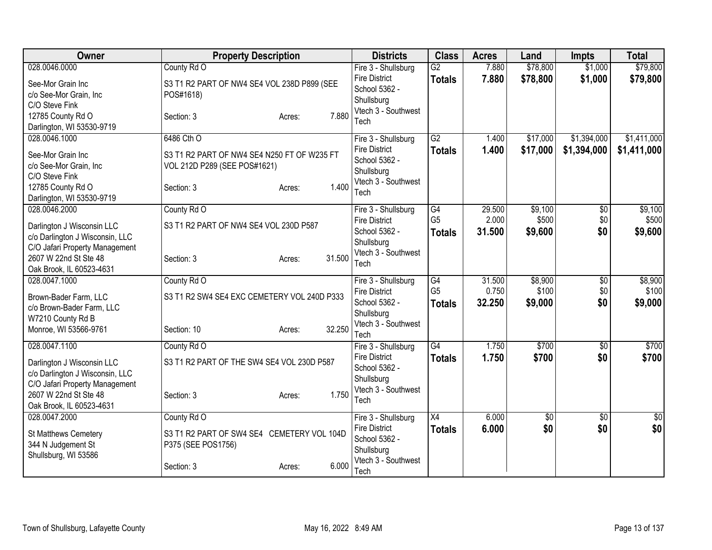| Owner                                                                                                                                                                 | <b>Property Description</b>                                                                                                | <b>Districts</b>                                                                                          | <b>Class</b>                                       | <b>Acres</b>              | Land                        | <b>Impts</b>               | <b>Total</b>                |
|-----------------------------------------------------------------------------------------------------------------------------------------------------------------------|----------------------------------------------------------------------------------------------------------------------------|-----------------------------------------------------------------------------------------------------------|----------------------------------------------------|---------------------------|-----------------------------|----------------------------|-----------------------------|
| 028.0046.0000<br>See-Mor Grain Inc<br>c/o See-Mor Grain, Inc<br>C/O Steve Fink<br>12785 County Rd O<br>Darlington, WI 53530-9719                                      | County Rd O<br>S3 T1 R2 PART OF NW4 SE4 VOL 238D P899 (SEE<br>POS#1618)<br>7.880<br>Section: 3<br>Acres:                   | Fire 3 - Shullsburg<br><b>Fire District</b><br>School 5362 -<br>Shullsburg<br>Vtech 3 - Southwest<br>Tech | G2<br><b>Totals</b>                                | 7.880<br>7.880            | \$78,800<br>\$78,800        | \$1,000<br>\$1,000         | \$79,800<br>\$79,800        |
| 028.0046.1000<br>See-Mor Grain Inc<br>c/o See-Mor Grain, Inc<br>C/O Steve Fink<br>12785 County Rd O<br>Darlington, WI 53530-9719                                      | 6486 Cth O<br>S3 T1 R2 PART OF NW4 SE4 N250 FT OF W235 FT<br>VOL 212D P289 (SEE POS#1621)<br>1.400<br>Section: 3<br>Acres: | Fire 3 - Shullsburg<br><b>Fire District</b><br>School 5362 -<br>Shullsburg<br>Vtech 3 - Southwest<br>Tech | G2<br><b>Totals</b>                                | 1.400<br>1.400            | \$17,000<br>\$17,000        | \$1,394,000<br>\$1,394,000 | \$1,411,000<br>\$1,411,000  |
| 028.0046.2000<br>Darlington J Wisconsin LLC<br>c/o Darlington J Wisconsin, LLC<br>C/O Jafari Property Management<br>2607 W 22nd St Ste 48<br>Oak Brook, IL 60523-4631 | County Rd O<br>S3 T1 R2 PART OF NW4 SE4 VOL 230D P587<br>31.500<br>Section: 3<br>Acres:                                    | Fire 3 - Shullsburg<br><b>Fire District</b><br>School 5362 -<br>Shullsburg<br>Vtech 3 - Southwest<br>Tech | $\overline{G4}$<br>G <sub>5</sub><br><b>Totals</b> | 29.500<br>2.000<br>31.500 | \$9,100<br>\$500<br>\$9,600 | \$0<br>\$0<br>\$0          | \$9,100<br>\$500<br>\$9,600 |
| 028.0047.1000<br>Brown-Bader Farm, LLC<br>c/o Brown-Bader Farm, LLC<br>W7210 County Rd B<br>Monroe, WI 53566-9761                                                     | County Rd O<br>S3 T1 R2 SW4 SE4 EXC CEMETERY VOL 240D P333<br>32.250<br>Section: 10<br>Acres:                              | Fire 3 - Shullsburg<br><b>Fire District</b><br>School 5362 -<br>Shullsburg<br>Vtech 3 - Southwest<br>Tech | G4<br>G <sub>5</sub><br><b>Totals</b>              | 31.500<br>0.750<br>32.250 | \$8,900<br>\$100<br>\$9,000 | \$0<br>\$0<br>\$0          | \$8,900<br>\$100<br>\$9,000 |
| 028.0047.1100<br>Darlington J Wisconsin LLC<br>c/o Darlington J Wisconsin, LLC<br>C/O Jafari Property Management<br>2607 W 22nd St Ste 48<br>Oak Brook, IL 60523-4631 | County Rd O<br>S3 T1 R2 PART OF THE SW4 SE4 VOL 230D P587<br>1.750<br>Section: 3<br>Acres:                                 | Fire 3 - Shullsburg<br>Fire District<br>School 5362 -<br>Shullsburg<br>Vtech 3 - Southwest<br>Tech        | $\overline{G4}$<br><b>Totals</b>                   | 1.750<br>1.750            | \$700<br>\$700              | $\overline{50}$<br>\$0     | \$700<br>\$700              |
| 028.0047.2000<br>St Matthews Cemetery<br>344 N Judgement St<br>Shullsburg, WI 53586                                                                                   | County Rd O<br>S3 T1 R2 PART OF SW4 SE4 CEMETERY VOL 104D<br>P375 (SEE POS1756)<br>6.000<br>Section: 3<br>Acres:           | Fire 3 - Shullsburg<br><b>Fire District</b><br>School 5362 -<br>Shullsburg<br>Vtech 3 - Southwest<br>Tech | X4<br><b>Totals</b>                                | 6.000<br>6.000            | $\overline{50}$<br>\$0      | $\overline{50}$<br>\$0     | $\sqrt{50}$<br>\$0          |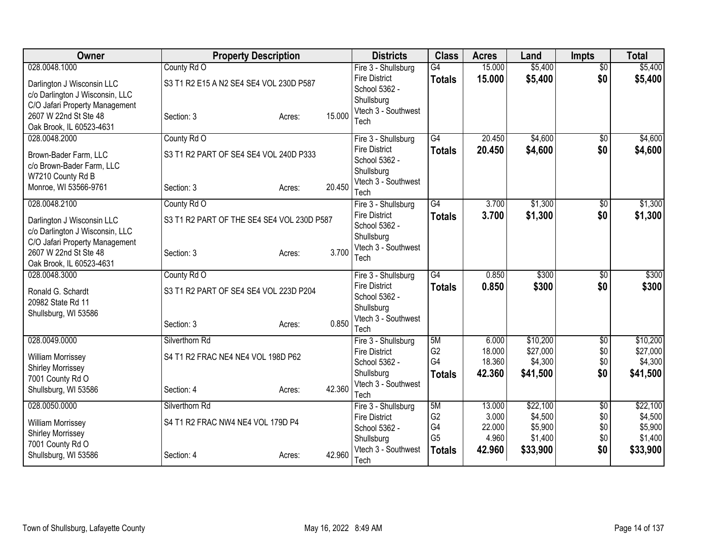| Owner                                                                                                                                                                 | <b>Property Description</b>                                             |        |        | <b>Districts</b>                                                                                          | <b>Class</b>                                                  | <b>Acres</b>                                 | Land                                                  | <b>Impts</b>                    | <b>Total</b>                                          |
|-----------------------------------------------------------------------------------------------------------------------------------------------------------------------|-------------------------------------------------------------------------|--------|--------|-----------------------------------------------------------------------------------------------------------|---------------------------------------------------------------|----------------------------------------------|-------------------------------------------------------|---------------------------------|-------------------------------------------------------|
| 028.0048.1000<br>Darlington J Wisconsin LLC<br>c/o Darlington J Wisconsin, LLC<br>C/O Jafari Property Management<br>2607 W 22nd St Ste 48<br>Oak Brook, IL 60523-4631 | County Rd O<br>S3 T1 R2 E15 A N2 SE4 SE4 VOL 230D P587<br>Section: 3    | Acres: | 15.000 | Fire 3 - Shullsburg<br><b>Fire District</b><br>School 5362 -<br>Shullsburg<br>Vtech 3 - Southwest<br>Tech | $\overline{G4}$<br><b>Totals</b>                              | 15.000<br>15.000                             | \$5,400<br>\$5,400                                    | $\overline{50}$<br>\$0          | \$5,400<br>\$5,400                                    |
| 028.0048.2000<br>Brown-Bader Farm, LLC<br>c/o Brown-Bader Farm, LLC<br>W7210 County Rd B<br>Monroe, WI 53566-9761                                                     | County Rd O<br>S3 T1 R2 PART OF SE4 SE4 VOL 240D P333<br>Section: 3     | Acres: | 20.450 | Fire 3 - Shullsburg<br><b>Fire District</b><br>School 5362 -<br>Shullsburg<br>Vtech 3 - Southwest<br>Tech | G4<br><b>Totals</b>                                           | 20.450<br>20.450                             | \$4,600<br>\$4,600                                    | $\overline{50}$<br>\$0          | \$4,600<br>\$4,600                                    |
| 028.0048.2100<br>Darlington J Wisconsin LLC<br>c/o Darlington J Wisconsin, LLC<br>C/O Jafari Property Management<br>2607 W 22nd St Ste 48<br>Oak Brook, IL 60523-4631 | County Rd O<br>S3 T1 R2 PART OF THE SE4 SE4 VOL 230D P587<br>Section: 3 | Acres: | 3.700  | Fire 3 - Shullsburg<br><b>Fire District</b><br>School 5362 -<br>Shullsburg<br>Vtech 3 - Southwest<br>Tech | $\overline{G4}$<br><b>Totals</b>                              | 3.700<br>3.700                               | \$1,300<br>\$1,300                                    | $\overline{50}$<br>\$0          | \$1,300<br>\$1,300                                    |
| 028.0048.3000<br>Ronald G. Schardt<br>20982 State Rd 11<br>Shullsburg, WI 53586                                                                                       | County Rd O<br>S3 T1 R2 PART OF SE4 SE4 VOL 223D P204<br>Section: 3     | Acres: | 0.850  | Fire 3 - Shullsburg<br><b>Fire District</b><br>School 5362 -<br>Shullsburg<br>Vtech 3 - Southwest<br>Tech | $\overline{G4}$<br><b>Totals</b>                              | 0.850<br>0.850                               | \$300<br>\$300                                        | $\overline{30}$<br>\$0          | \$300<br>\$300                                        |
| 028.0049.0000<br>William Morrissey<br><b>Shirley Morrissey</b><br>7001 County Rd O<br>Shullsburg, WI 53586                                                            | Silverthorn Rd<br>S4 T1 R2 FRAC NE4 NE4 VOL 198D P62<br>Section: 4      | Acres: | 42.360 | Fire 3 - Shullsburg<br><b>Fire District</b><br>School 5362 -<br>Shullsburg<br>Vtech 3 - Southwest<br>Tech | 5M<br>G <sub>2</sub><br>G4<br><b>Totals</b>                   | 6.000<br>18.000<br>18.360<br>42.360          | \$10,200<br>\$27,000<br>\$4,300<br>\$41,500           | \$0<br>\$0<br>\$0<br>\$0        | \$10,200<br>\$27,000<br>\$4,300<br>\$41,500           |
| 028.0050.0000<br><b>William Morrissey</b><br><b>Shirley Morrissey</b><br>7001 County Rd O<br>Shullsburg, WI 53586                                                     | Silverthorn Rd<br>S4 T1 R2 FRAC NW4 NE4 VOL 179D P4<br>Section: 4       | Acres: | 42.960 | Fire 3 - Shullsburg<br><b>Fire District</b><br>School 5362 -<br>Shullsburg<br>Vtech 3 - Southwest<br>Tech | 5M<br>G <sub>2</sub><br>G4<br>G <sub>5</sub><br><b>Totals</b> | 13.000<br>3.000<br>22.000<br>4.960<br>42.960 | \$22,100<br>\$4,500<br>\$5,900<br>\$1,400<br>\$33,900 | \$0<br>\$0<br>\$0<br>\$0<br>\$0 | \$22,100<br>\$4,500<br>\$5,900<br>\$1,400<br>\$33,900 |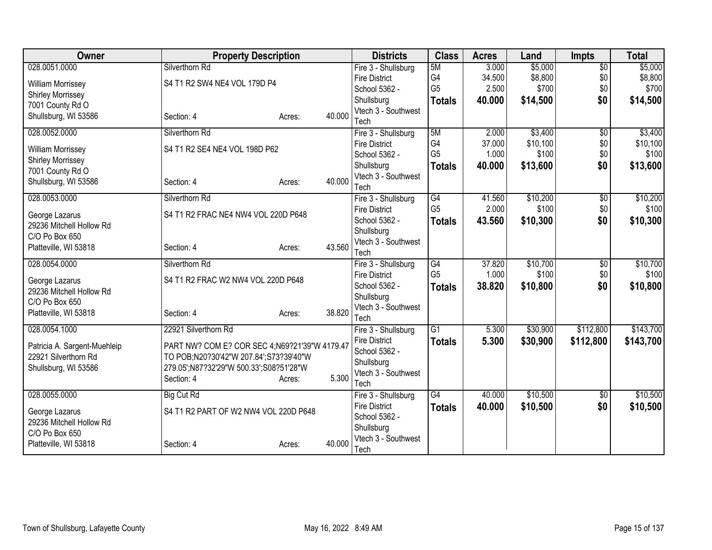| <b>Owner</b>                 | <b>Property Description</b>                    |        |        | <b>Districts</b>                      | <b>Class</b>         | <b>Acres</b> | Land     | <b>Impts</b>    | <b>Total</b> |
|------------------------------|------------------------------------------------|--------|--------|---------------------------------------|----------------------|--------------|----------|-----------------|--------------|
| 028.0051.0000                | Silverthorn Rd                                 |        |        | Fire 3 - Shullsburg                   | 5M                   | 3.000        | \$5,000  | $\overline{50}$ | \$5,000      |
| William Morrissey            | S4 T1 R2 SW4 NE4 VOL 179D P4                   |        |        | <b>Fire District</b>                  | G4                   | 34.500       | \$8,800  | \$0             | \$8,800      |
| <b>Shirley Morrissey</b>     |                                                |        |        | School 5362 -                         | G <sub>5</sub>       | 2.500        | \$700    | \$0             | \$700        |
| 7001 County Rd O             |                                                |        |        | Shullsburg                            | <b>Totals</b>        | 40.000       | \$14,500 | \$0             | \$14,500     |
| Shullsburg, WI 53586         | Section: 4                                     | Acres: | 40.000 | Vtech 3 - Southwest                   |                      |              |          |                 |              |
|                              |                                                |        |        | Tech                                  |                      |              |          |                 |              |
| 028.0052.0000                | Silverthorn Rd                                 |        |        | Fire 3 - Shullsburg                   | 5M                   | 2.000        | \$3,400  | $\overline{50}$ | \$3,400      |
| William Morrissey            | S4 T1 R2 SE4 NE4 VOL 198D P62                  |        |        | <b>Fire District</b>                  | G4<br>G <sub>5</sub> | 37.000       | \$10,100 | \$0             | \$10,100     |
| <b>Shirley Morrissey</b>     |                                                |        |        | School 5362 -                         |                      | 1.000        | \$100    | \$0             | \$100        |
| 7001 County Rd O             |                                                |        |        | Shullsburg<br>Vtech 3 - Southwest     | <b>Totals</b>        | 40.000       | \$13,600 | \$0             | \$13,600     |
| Shullsburg, WI 53586         | Section: 4                                     | Acres: | 40.000 | Tech                                  |                      |              |          |                 |              |
| 028.0053.0000                | Silverthorn Rd                                 |        |        | Fire 3 - Shullsburg                   | G4                   | 41.560       | \$10,200 | \$0             | \$10,200     |
|                              |                                                |        |        | <b>Fire District</b>                  | G <sub>5</sub>       | 2.000        | \$100    | \$0             | \$100        |
| George Lazarus               | S4 T1 R2 FRAC NE4 NW4 VOL 220D P648            |        |        | School 5362 -                         | <b>Totals</b>        | 43.560       | \$10,300 | \$0             | \$10,300     |
| 29236 Mitchell Hollow Rd     |                                                |        |        | Shullsburg                            |                      |              |          |                 |              |
| C/O Po Box 650               |                                                |        |        | Vtech 3 - Southwest                   |                      |              |          |                 |              |
| Platteville, WI 53818        | Section: 4                                     | Acres: | 43.560 | Tech                                  |                      |              |          |                 |              |
| 028.0054.0000                | Silverthorn Rd                                 |        |        | Fire 3 - Shullsburg                   | G4                   | 37.820       | \$10,700 | $\overline{50}$ | \$10,700     |
| George Lazarus               | S4 T1 R2 FRAC W2 NW4 VOL 220D P648             |        |        | <b>Fire District</b>                  | G <sub>5</sub>       | 1.000        | \$100    | \$0             | \$100        |
| 29236 Mitchell Hollow Rd     |                                                |        |        | School 5362 -                         | <b>Totals</b>        | 38.820       | \$10,800 | \$0             | \$10,800     |
| C/O Po Box 650               |                                                |        |        | Shullsburg                            |                      |              |          |                 |              |
| Platteville, WI 53818        | Section: 4                                     | Acres: | 38.820 | Vtech 3 - Southwest                   |                      |              |          |                 |              |
|                              |                                                |        |        | Tech                                  |                      |              |          |                 |              |
| 028.0054.1000                | 22921 Silverthorn Rd                           |        |        | Fire 3 - Shullsburg                   | $\overline{G1}$      | 5.300        | \$30,900 | \$112,800       | \$143,700    |
| Patricia A. Sargent-Muehleip | PART NW? COM E? COR SEC 4; N69?21'39"W 4179.47 |        |        | <b>Fire District</b>                  | <b>Totals</b>        | 5.300        | \$30,900 | \$112,800       | \$143,700    |
| 22921 Silverthorn Rd         | TO POB;N20?30'42"W 207.84';S73?39'40"W         |        |        | School 5362 -                         |                      |              |          |                 |              |
| Shullsburg, WI 53586         | 279.05';N87?32'29"W 500.33';S08?51'28"W        |        |        | Shullsburg                            |                      |              |          |                 |              |
|                              | Section: 4                                     | Acres: | 5.300  | Vtech 3 - Southwest                   |                      |              |          |                 |              |
|                              |                                                |        |        | Tech                                  |                      |              |          |                 |              |
| 028.0055.0000                | <b>Big Cut Rd</b>                              |        |        | Fire 3 - Shullsburg                   | G4                   | 40.000       | \$10,500 | \$0             | \$10,500     |
| George Lazarus               | S4 T1 R2 PART OF W2 NW4 VOL 220D P648          |        |        | <b>Fire District</b><br>School 5362 - | <b>Totals</b>        | 40.000       | \$10,500 | \$0             | \$10,500     |
| 29236 Mitchell Hollow Rd     |                                                |        |        | Shullsburg                            |                      |              |          |                 |              |
| C/O Po Box 650               |                                                |        |        | Vtech 3 - Southwest                   |                      |              |          |                 |              |
| Platteville, WI 53818        | Section: 4                                     | Acres: | 40.000 | Tech                                  |                      |              |          |                 |              |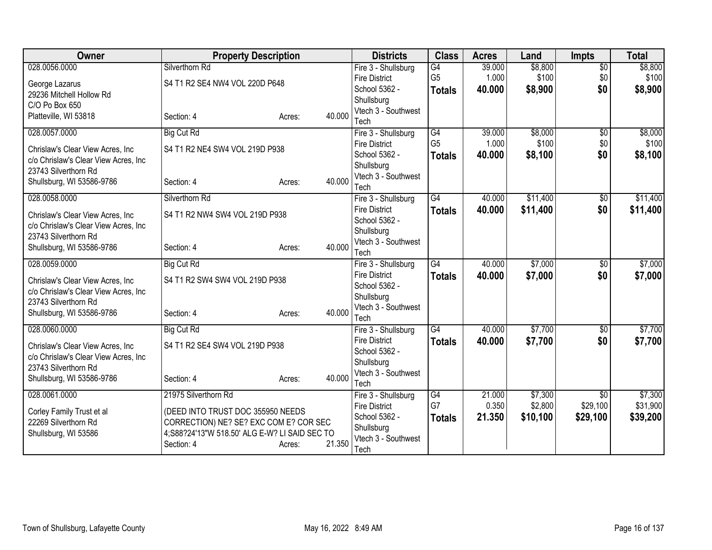| <b>Owner</b>                         | <b>Property Description</b>                                     |                  | <b>Districts</b>                      | <b>Class</b>         | <b>Acres</b>    | Land             | <b>Impts</b>           | <b>Total</b>     |
|--------------------------------------|-----------------------------------------------------------------|------------------|---------------------------------------|----------------------|-----------------|------------------|------------------------|------------------|
| 028.0056.0000                        | Silverthorn Rd                                                  |                  | Fire 3 - Shullsburg                   | G4                   | 39.000          | \$8,800          | $\overline{50}$        | \$8,800          |
| George Lazarus                       | S4 T1 R2 SE4 NW4 VOL 220D P648                                  |                  | <b>Fire District</b>                  | G <sub>5</sub>       | 1.000           | \$100            | \$0                    | \$100            |
| 29236 Mitchell Hollow Rd             |                                                                 |                  | School 5362 -                         | <b>Totals</b>        | 40.000          | \$8,900          | \$0                    | \$8,900          |
| C/O Po Box 650                       |                                                                 |                  | Shullsburg                            |                      |                 |                  |                        |                  |
| Platteville, WI 53818                | Section: 4                                                      | 40.000<br>Acres: | Vtech 3 - Southwest                   |                      |                 |                  |                        |                  |
|                                      |                                                                 |                  | Tech                                  |                      |                 |                  |                        |                  |
| 028.0057.0000                        | <b>Big Cut Rd</b>                                               |                  | Fire 3 - Shullsburg                   | G4<br>G <sub>5</sub> | 39.000<br>1.000 | \$8,000<br>\$100 | $\overline{50}$<br>\$0 | \$8,000<br>\$100 |
| Chrislaw's Clear View Acres, Inc     | S4 T1 R2 NE4 SW4 VOL 219D P938                                  |                  | <b>Fire District</b><br>School 5362 - |                      |                 |                  |                        |                  |
| c/o Chrislaw's Clear View Acres, Inc |                                                                 |                  | Shullsburg                            | <b>Totals</b>        | 40.000          | \$8,100          | \$0                    | \$8,100          |
| 23743 Silverthorn Rd                 |                                                                 |                  | Vtech 3 - Southwest                   |                      |                 |                  |                        |                  |
| Shullsburg, WI 53586-9786            | Section: 4                                                      | 40.000<br>Acres: | Tech                                  |                      |                 |                  |                        |                  |
| 028.0058.0000                        | Silverthorn Rd                                                  |                  | Fire 3 - Shullsburg                   | $\overline{G4}$      | 40.000          | \$11,400         | $\overline{50}$        | \$11,400         |
|                                      |                                                                 |                  | <b>Fire District</b>                  | <b>Totals</b>        | 40.000          | \$11,400         | \$0                    | \$11,400         |
| Chrislaw's Clear View Acres, Inc     | S4 T1 R2 NW4 SW4 VOL 219D P938                                  |                  | School 5362 -                         |                      |                 |                  |                        |                  |
| c/o Chrislaw's Clear View Acres, Inc |                                                                 |                  | Shullsburg                            |                      |                 |                  |                        |                  |
| 23743 Silverthorn Rd                 |                                                                 | 40.000           | Vtech 3 - Southwest                   |                      |                 |                  |                        |                  |
| Shullsburg, WI 53586-9786            | Section: 4                                                      | Acres:           | Tech                                  |                      |                 |                  |                        |                  |
| 028.0059.0000                        | <b>Big Cut Rd</b>                                               |                  | Fire 3 - Shullsburg                   | $\overline{G4}$      | 40.000          | \$7,000          | $\overline{50}$        | \$7,000          |
| Chrislaw's Clear View Acres, Inc     | S4 T1 R2 SW4 SW4 VOL 219D P938                                  |                  | <b>Fire District</b>                  | <b>Totals</b>        | 40.000          | \$7,000          | \$0                    | \$7,000          |
| c/o Chrislaw's Clear View Acres, Inc |                                                                 |                  | School 5362 -                         |                      |                 |                  |                        |                  |
| 23743 Silverthorn Rd                 |                                                                 |                  | Shullsburg                            |                      |                 |                  |                        |                  |
| Shullsburg, WI 53586-9786            | Section: 4                                                      | 40.000<br>Acres: | Vtech 3 - Southwest                   |                      |                 |                  |                        |                  |
|                                      |                                                                 |                  | Tech                                  |                      |                 |                  |                        |                  |
| 028.0060.0000                        | <b>Big Cut Rd</b>                                               |                  | Fire 3 - Shullsburg                   | $\overline{G4}$      | 40.000          | \$7,700          | $\overline{50}$        | \$7,700          |
| Chrislaw's Clear View Acres, Inc     | S4 T1 R2 SE4 SW4 VOL 219D P938                                  |                  | <b>Fire District</b><br>School 5362 - | <b>Totals</b>        | 40.000          | \$7,700          | \$0                    | \$7,700          |
| c/o Chrislaw's Clear View Acres, Inc |                                                                 |                  | Shullsburg                            |                      |                 |                  |                        |                  |
| 23743 Silverthorn Rd                 |                                                                 |                  | Vtech 3 - Southwest                   |                      |                 |                  |                        |                  |
| Shullsburg, WI 53586-9786            | Section: 4                                                      | 40.000<br>Acres: | Tech                                  |                      |                 |                  |                        |                  |
| 028.0061.0000                        | 21975 Silverthorn Rd                                            |                  | Fire 3 - Shullsburg                   | $\overline{G4}$      | 21.000          | \$7,300          | $\overline{50}$        | \$7,300          |
|                                      |                                                                 |                  | <b>Fire District</b>                  | G7                   | 0.350           | \$2,800          | \$29,100               | \$31,900         |
| Corley Family Trust et al            | (DEED INTO TRUST DOC 355950 NEEDS                               |                  | School 5362 -                         | <b>Totals</b>        | 21.350          | \$10,100         | \$29,100               | \$39,200         |
| 22269 Silverthorn Rd                 | CORRECTION) NE? SE? EXC COM E? COR SEC                          |                  | Shullsburg                            |                      |                 |                  |                        |                  |
| Shullsburg, WI 53586                 | 4; S88? 24' 13" W 518.50' ALG E-W? LI SAID SEC TO<br>Section: 4 | 21.350           | Vtech 3 - Southwest                   |                      |                 |                  |                        |                  |
|                                      |                                                                 | Acres:           | Tech                                  |                      |                 |                  |                        |                  |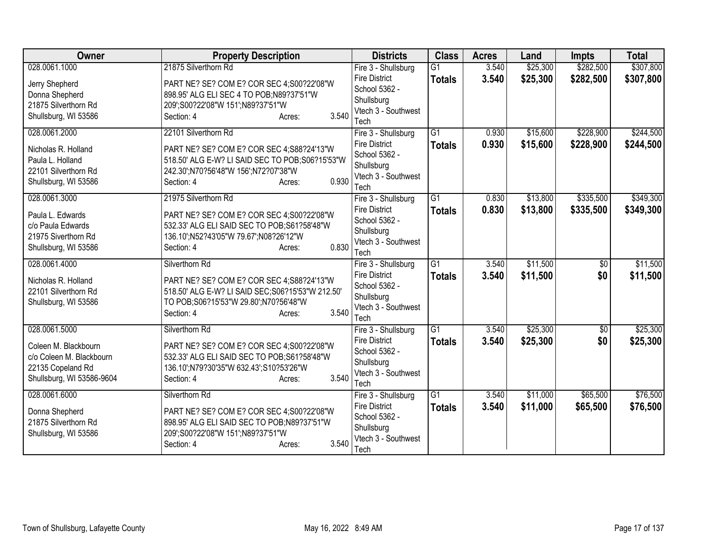| Owner                     | <b>Property Description</b>                       | <b>Districts</b>                  | <b>Class</b>    | <b>Acres</b> | Land     | <b>Impts</b>    | <b>Total</b> |
|---------------------------|---------------------------------------------------|-----------------------------------|-----------------|--------------|----------|-----------------|--------------|
| 028.0061.1000             | 21875 Silverthorn Rd                              | Fire 3 - Shullsburg               | $\overline{G1}$ | 3.540        | \$25,300 | \$282,500       | \$307,800    |
| Jerry Shepherd            | PART NE? SE? COM E? COR SEC 4;S00?22'08"W         | <b>Fire District</b>              | <b>Totals</b>   | 3.540        | \$25,300 | \$282,500       | \$307,800    |
| Donna Shepherd            | 898.95' ALG ELI SEC 4 TO POB;N89?37'51"W          | School 5362 -                     |                 |              |          |                 |              |
| 21875 Silverthorn Rd      | 209';S00?22'08"W 151';N89?37'51"W                 | Shullsburg                        |                 |              |          |                 |              |
| Shullsburg, WI 53586      | 3.540<br>Section: 4<br>Acres:                     | Vtech 3 - Southwest               |                 |              |          |                 |              |
|                           |                                                   | Tech                              |                 |              |          |                 |              |
| 028.0061.2000             | 22101 Silverthorn Rd                              | Fire 3 - Shullsburg               | $\overline{G1}$ | 0.930        | \$15,600 | \$228,900       | \$244,500    |
| Nicholas R. Holland       | PART NE? SE? COM E? COR SEC 4; S88?24'13"W        | <b>Fire District</b>              | <b>Totals</b>   | 0.930        | \$15,600 | \$228,900       | \$244,500    |
| Paula L. Holland          | 518.50' ALG E-W? LI SAID SEC TO POB; S06?15'53"W  | School 5362 -                     |                 |              |          |                 |              |
| 22101 Silverthorn Rd      | 242.30';N70?56'48"W 156';N72?07'38"W              | Shullsburg<br>Vtech 3 - Southwest |                 |              |          |                 |              |
| Shullsburg, WI 53586      | 0.930<br>Section: 4<br>Acres:                     | Tech                              |                 |              |          |                 |              |
| 028.0061.3000             | 21975 Silverthorn Rd                              | Fire 3 - Shullsburg               | $\overline{G1}$ | 0.830        | \$13,800 | \$335,500       | \$349,300    |
|                           |                                                   | <b>Fire District</b>              |                 | 0.830        | \$13,800 | \$335,500       |              |
| Paula L. Edwards          | PART NE? SE? COM E? COR SEC 4;S00?22'08"W         | School 5362 -                     | <b>Totals</b>   |              |          |                 | \$349,300    |
| c/o Paula Edwards         | 532.33' ALG ELI SAID SEC TO POB; S61?58'48"W      | Shullsburg                        |                 |              |          |                 |              |
| 21975 Siverthorn Rd       | 136.10';N52?43'05"W 79.67';N08?26'12"W            | Vtech 3 - Southwest               |                 |              |          |                 |              |
| Shullsburg, WI 53586      | 0.830<br>Section: 4<br>Acres:                     | Tech                              |                 |              |          |                 |              |
| 028.0061.4000             | Silverthorn Rd                                    | Fire 3 - Shullsburg               | $\overline{G1}$ | 3.540        | \$11,500 | $\overline{50}$ | \$11,500     |
| Nicholas R. Holland       | PART NE? SE? COM E? COR SEC 4:S88?24'13"W         | <b>Fire District</b>              | <b>Totals</b>   | 3.540        | \$11,500 | \$0             | \$11,500     |
| 22101 Silverthorn Rd      | 518.50' ALG E-W? LI SAID SEC; S06?15'53"W 212.50' | School 5362 -                     |                 |              |          |                 |              |
| Shullsburg, WI 53586      | TO POB;S06?15'53"W 29.80";N70?56'48"W             | Shullsburg                        |                 |              |          |                 |              |
|                           | 3.540<br>Section: 4<br>Acres:                     | Vtech 3 - Southwest               |                 |              |          |                 |              |
|                           |                                                   | Tech                              |                 |              |          |                 |              |
| 028.0061.5000             | Silverthorn Rd                                    | Fire 3 - Shullsburg               | $\overline{G1}$ | 3.540        | \$25,300 | $\overline{50}$ | \$25,300     |
| Coleen M. Blackbourn      | PART NE? SE? COM E? COR SEC 4;S00?22'08"W         | <b>Fire District</b>              | <b>Totals</b>   | 3.540        | \$25,300 | \$0             | \$25,300     |
| c/o Coleen M. Blackbourn  | 532.33' ALG ELI SAID SEC TO POB; S61? 58' 48" W   | School 5362 -                     |                 |              |          |                 |              |
| 22135 Copeland Rd         | 136.10";N79?30'35"W 632.43";S10?53'26"W           | Shullsburg                        |                 |              |          |                 |              |
| Shullsburg, WI 53586-9604 | 3.540<br>Section: 4<br>Acres:                     | Vtech 3 - Southwest               |                 |              |          |                 |              |
|                           |                                                   | Tech                              |                 |              |          |                 |              |
| 028.0061.6000             | Silverthorn Rd                                    | Fire 3 - Shullsburg               | $\overline{G1}$ | 3.540        | \$11,000 | \$65,500        | \$76,500     |
| Donna Shepherd            | PART NE? SE? COM E? COR SEC 4;S00?22'08"W         | <b>Fire District</b>              | <b>Totals</b>   | 3.540        | \$11,000 | \$65,500        | \$76,500     |
| 21875 Silverthorn Rd      | 898.95' ALG ELI SAID SEC TO POB; N89?37'51"W      | School 5362 -                     |                 |              |          |                 |              |
| Shullsburg, WI 53586      | 209';S00?22'08"W 151';N89?37'51"W                 | Shullsburg                        |                 |              |          |                 |              |
|                           | 3.540<br>Section: 4<br>Acres:                     | Vtech 3 - Southwest               |                 |              |          |                 |              |
|                           |                                                   | Tech                              |                 |              |          |                 |              |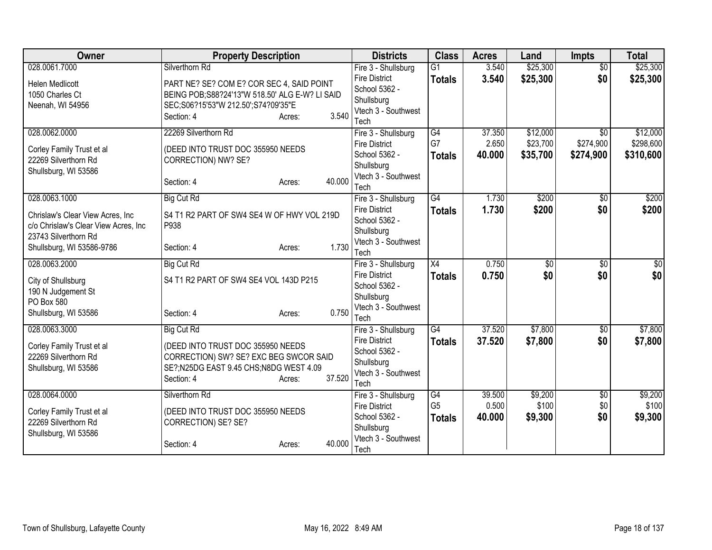| Owner                                             | <b>Property Description</b>                      |        |        | <b>Districts</b>                      | <b>Class</b>         | <b>Acres</b> | Land            | <b>Impts</b>    | <b>Total</b> |
|---------------------------------------------------|--------------------------------------------------|--------|--------|---------------------------------------|----------------------|--------------|-----------------|-----------------|--------------|
| 028.0061.7000                                     | Silverthorn Rd                                   |        |        | Fire 3 - Shullsburg                   | $\overline{G1}$      | 3.540        | \$25,300        | $\overline{50}$ | \$25,300     |
| <b>Helen Medlicott</b>                            | PART NE? SE? COM E? COR SEC 4, SAID POINT        |        |        | <b>Fire District</b>                  | <b>Totals</b>        | 3.540        | \$25,300        | \$0             | \$25,300     |
| 1050 Charles Ct                                   | BEING POB; S88? 24'13"W 518.50' ALG E-W? LI SAID |        |        | School 5362 -                         |                      |              |                 |                 |              |
| Neenah, WI 54956                                  | SEC;S06?15'53"W 212.50';S74?09'35"E              |        |        | Shullsburg                            |                      |              |                 |                 |              |
|                                                   | Section: 4                                       | Acres: | 3.540  | Vtech 3 - Southwest<br>Tech           |                      |              |                 |                 |              |
| 028.0062.0000                                     | 22269 Silverthorn Rd                             |        |        | Fire 3 - Shullsburg                   | $\overline{G4}$      | 37.350       | \$12,000        | $\overline{50}$ | \$12,000     |
|                                                   |                                                  |        |        | <b>Fire District</b>                  | G7                   | 2.650        | \$23,700        | \$274,900       | \$298,600    |
| Corley Family Trust et al                         | (DEED INTO TRUST DOC 355950 NEEDS                |        |        | School 5362 -                         | <b>Totals</b>        | 40.000       | \$35,700        | \$274,900       | \$310,600    |
| 22269 Silverthorn Rd                              | CORRECTION) NW? SE?                              |        |        | Shullsburg                            |                      |              |                 |                 |              |
| Shullsburg, WI 53586                              |                                                  |        |        | Vtech 3 - Southwest                   |                      |              |                 |                 |              |
|                                                   | Section: 4                                       | Acres: | 40.000 | Tech                                  |                      |              |                 |                 |              |
| 028.0063.1000                                     | <b>Big Cut Rd</b>                                |        |        | Fire 3 - Shullsburg                   | $\overline{G4}$      | 1.730        | \$200           | \$0             | \$200        |
| Chrislaw's Clear View Acres, Inc.                 | S4 T1 R2 PART OF SW4 SE4 W OF HWY VOL 219D       |        |        | <b>Fire District</b>                  | <b>Totals</b>        | 1.730        | \$200           | \$0             | \$200        |
| c/o Chrislaw's Clear View Acres, Inc              | P938                                             |        |        | School 5362 -                         |                      |              |                 |                 |              |
| 23743 Silverthorn Rd                              |                                                  |        |        | Shullsburg                            |                      |              |                 |                 |              |
| Shullsburg, WI 53586-9786                         | Section: 4                                       | Acres: | 1.730  | Vtech 3 - Southwest                   |                      |              |                 |                 |              |
|                                                   |                                                  |        |        | Tech                                  |                      |              |                 |                 |              |
| 028.0063.2000                                     | <b>Big Cut Rd</b>                                |        |        | Fire 3 - Shullsburg                   | $\overline{X4}$      | 0.750        | $\overline{60}$ | $\overline{50}$ | \$0          |
| City of Shullsburg                                | S4 T1 R2 PART OF SW4 SE4 VOL 143D P215           |        |        | <b>Fire District</b><br>School 5362 - | <b>Totals</b>        | 0.750        | \$0             | \$0             | \$0          |
| 190 N Judgement St                                |                                                  |        |        | Shullsburg                            |                      |              |                 |                 |              |
| PO Box 580                                        |                                                  |        |        | Vtech 3 - Southwest                   |                      |              |                 |                 |              |
| Shullsburg, WI 53586                              | Section: 4                                       | Acres: | 0.750  | Tech                                  |                      |              |                 |                 |              |
| 028.0063.3000                                     | <b>Big Cut Rd</b>                                |        |        | Fire 3 - Shullsburg                   | $\overline{G4}$      | 37.520       | \$7,800         | $\overline{50}$ | \$7,800      |
|                                                   | (DEED INTO TRUST DOC 355950 NEEDS                |        |        | <b>Fire District</b>                  | <b>Totals</b>        | 37.520       | \$7,800         | \$0             | \$7,800      |
| Corley Family Trust et al<br>22269 Silverthorn Rd | CORRECTION) SW? SE? EXC BEG SWCOR SAID           |        |        | School 5362 -                         |                      |              |                 |                 |              |
| Shullsburg, WI 53586                              | SE?;N25DG EAST 9.45 CHS;N8DG WEST 4.09           |        |        | Shullsburg                            |                      |              |                 |                 |              |
|                                                   | Section: 4                                       | Acres: | 37.520 | Vtech 3 - Southwest                   |                      |              |                 |                 |              |
|                                                   |                                                  |        |        | Tech                                  |                      |              |                 |                 |              |
| 028.0064.0000                                     | Silverthorn Rd                                   |        |        | Fire 3 - Shullsburg                   | G4<br>G <sub>5</sub> | 39.500       | \$9,200         | \$0             | \$9,200      |
| Corley Family Trust et al                         | (DEED INTO TRUST DOC 355950 NEEDS                |        |        | <b>Fire District</b><br>School 5362 - |                      | 0.500        | \$100           | \$0             | \$100        |
| 22269 Silverthorn Rd                              | CORRECTION) SE? SE?                              |        |        | Shullsburg                            | <b>Totals</b>        | 40.000       | \$9,300         | \$0             | \$9,300      |
| Shullsburg, WI 53586                              |                                                  |        |        | Vtech 3 - Southwest                   |                      |              |                 |                 |              |
|                                                   | Section: 4                                       | Acres: | 40.000 | Tech                                  |                      |              |                 |                 |              |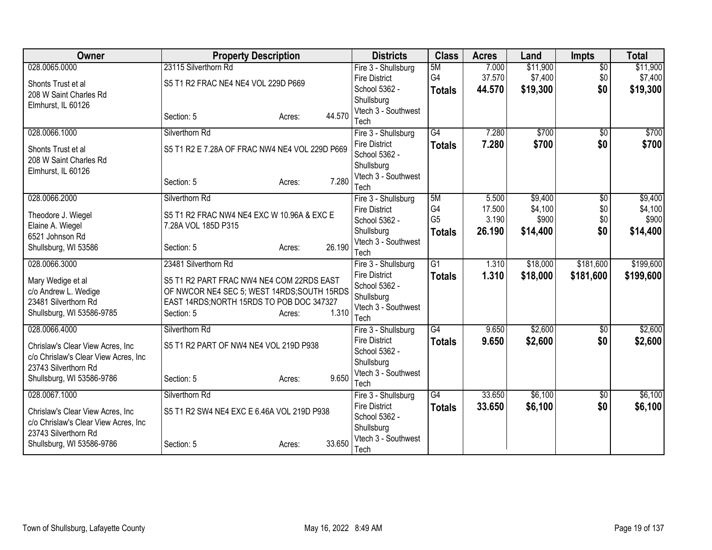| Owner                                | <b>Property Description</b>                    |                  | <b>Districts</b>            | <b>Class</b>    | <b>Acres</b> | Land     | <b>Impts</b>    | <b>Total</b> |
|--------------------------------------|------------------------------------------------|------------------|-----------------------------|-----------------|--------------|----------|-----------------|--------------|
| 028.0065.0000                        | 23115 Silverthorn Rd                           |                  | Fire 3 - Shullsburg         | 5M              | 7.000        | \$11,900 | $\overline{50}$ | \$11,900     |
| Shonts Trust et al                   | S5 T1 R2 FRAC NE4 NE4 VOL 229D P669            |                  | <b>Fire District</b>        | G4              | 37.570       | \$7,400  | \$0             | \$7,400      |
| 208 W Saint Charles Rd               |                                                |                  | School 5362 -               | <b>Totals</b>   | 44.570       | \$19,300 | \$0             | \$19,300     |
| Elmhurst, IL 60126                   |                                                |                  | Shullsburg                  |                 |              |          |                 |              |
|                                      | Section: 5                                     | 44.570<br>Acres: | Vtech 3 - Southwest<br>Tech |                 |              |          |                 |              |
| 028.0066.1000                        | Silverthorn Rd                                 |                  | Fire 3 - Shullsburg         | G4              | 7.280        | \$700    | $\overline{50}$ | \$700        |
|                                      |                                                |                  | <b>Fire District</b>        | <b>Totals</b>   | 7.280        | \$700    | \$0             | \$700        |
| Shonts Trust et al                   | S5 T1 R2 E 7.28A OF FRAC NW4 NE4 VOL 229D P669 |                  | School 5362 -               |                 |              |          |                 |              |
| 208 W Saint Charles Rd               |                                                |                  | Shullsburg                  |                 |              |          |                 |              |
| Elmhurst, IL 60126                   |                                                | 7.280            | Vtech 3 - Southwest         |                 |              |          |                 |              |
|                                      | Section: 5                                     | Acres:           | Tech                        |                 |              |          |                 |              |
| 028.0066.2000                        | Silverthorn Rd                                 |                  | Fire 3 - Shullsburg         | 5M              | 5.500        | \$9,400  | \$0             | \$9,400      |
| Theodore J. Wiegel                   | S5 T1 R2 FRAC NW4 NE4 EXC W 10.96A & EXC E     |                  | Fire District               | G4              | 17.500       | \$4,100  | \$0             | \$4,100      |
| Elaine A. Wiegel                     | 7.28A VOL 185D P315                            |                  | School 5362 -               | G <sub>5</sub>  | 3.190        | \$900    | \$0             | \$900        |
| 6521 Johnson Rd                      |                                                |                  | Shullsburg                  | <b>Totals</b>   | 26.190       | \$14,400 | \$0             | \$14,400     |
| Shullsburg, WI 53586                 | Section: 5                                     | 26.190<br>Acres: | Vtech 3 - Southwest<br>Tech |                 |              |          |                 |              |
| 028.0066.3000                        | 23481 Silverthorn Rd                           |                  | Fire 3 - Shullsburg         | G1              | 1.310        | \$18,000 | \$181,600       | \$199,600    |
|                                      |                                                |                  | <b>Fire District</b>        | <b>Totals</b>   | 1.310        | \$18,000 | \$181,600       | \$199,600    |
| Mary Wedige et al                    | S5 T1 R2 PART FRAC NW4 NE4 COM 22RDS EAST      |                  | School 5362 -               |                 |              |          |                 |              |
| c/o Andrew L. Wedige                 | OF NWCOR NE4 SEC 5; WEST 14RDS; SOUTH 15RDS    |                  | Shullsburg                  |                 |              |          |                 |              |
| 23481 Silverthorn Rd                 | EAST 14RDS; NORTH 15RDS TO POB DOC 347327      | 1.310            | Vtech 3 - Southwest         |                 |              |          |                 |              |
| Shullsburg, WI 53586-9785            | Section: 5                                     | Acres:           | Tech                        |                 |              |          |                 |              |
| 028.0066.4000                        | Silverthorn Rd                                 |                  | Fire 3 - Shullsburg         | $\overline{G4}$ | 9.650        | \$2,600  | \$0             | \$2,600      |
| Chrislaw's Clear View Acres, Inc.    | S5 T1 R2 PART OF NW4 NE4 VOL 219D P938         |                  | <b>Fire District</b>        | <b>Totals</b>   | 9.650        | \$2,600  | \$0             | \$2,600      |
| c/o Chrislaw's Clear View Acres, Inc |                                                |                  | School 5362 -               |                 |              |          |                 |              |
| 23743 Silverthorn Rd                 |                                                |                  | Shullsburg                  |                 |              |          |                 |              |
| Shullsburg, WI 53586-9786            | Section: 5                                     | 9.650<br>Acres:  | Vtech 3 - Southwest<br>Tech |                 |              |          |                 |              |
| 028.0067.1000                        | Silverthorn Rd                                 |                  | Fire 3 - Shullsburg         | $\overline{G4}$ | 33.650       | \$6,100  | \$0             | \$6,100      |
|                                      |                                                |                  | <b>Fire District</b>        | <b>Totals</b>   | 33.650       | \$6,100  | \$0             | \$6,100      |
| Chrislaw's Clear View Acres, Inc     | S5 T1 R2 SW4 NE4 EXC E 6.46A VOL 219D P938     |                  | School 5362 -               |                 |              |          |                 |              |
| c/o Chrislaw's Clear View Acres, Inc |                                                |                  | Shullsburg                  |                 |              |          |                 |              |
| 23743 Silverthorn Rd                 |                                                |                  | Vtech 3 - Southwest         |                 |              |          |                 |              |
| Shullsburg, WI 53586-9786            | Section: 5                                     | 33.650<br>Acres: | Tech                        |                 |              |          |                 |              |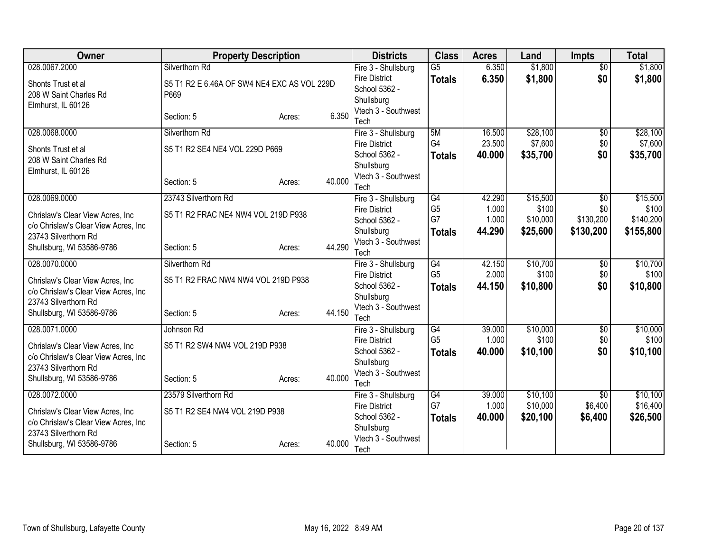| <b>Owner</b>                                                 | <b>Property Description</b>                 |        |        | <b>Districts</b>                            | <b>Class</b>    | <b>Acres</b> | Land     | <b>Impts</b>           | <b>Total</b>        |
|--------------------------------------------------------------|---------------------------------------------|--------|--------|---------------------------------------------|-----------------|--------------|----------|------------------------|---------------------|
| 028.0067.2000                                                | Silverthorn Rd                              |        |        | Fire 3 - Shullsburg                         | $\overline{G5}$ | 6.350        | \$1,800  | $\overline{50}$        | \$1,800             |
| Shonts Trust et al                                           | S5 T1 R2 E 6.46A OF SW4 NE4 EXC AS VOL 229D |        |        | <b>Fire District</b>                        | <b>Totals</b>   | 6.350        | \$1,800  | \$0                    | \$1,800             |
| 208 W Saint Charles Rd                                       | P669                                        |        |        | School 5362 -                               |                 |              |          |                        |                     |
| Elmhurst, IL 60126                                           |                                             |        |        | Shullsburg                                  |                 |              |          |                        |                     |
|                                                              | Section: 5                                  | Acres: | 6.350  | Vtech 3 - Southwest                         |                 |              |          |                        |                     |
|                                                              | Silverthorn Rd                              |        |        | Tech                                        | 5M              | 16.500       | \$28,100 |                        |                     |
| 028.0068.0000                                                |                                             |        |        | Fire 3 - Shullsburg<br><b>Fire District</b> | G4              | 23.500       | \$7,600  | $\overline{50}$<br>\$0 | \$28,100<br>\$7,600 |
| Shonts Trust et al                                           | S5 T1 R2 SE4 NE4 VOL 229D P669              |        |        | School 5362 -                               | <b>Totals</b>   | 40.000       | \$35,700 | \$0                    | \$35,700            |
| 208 W Saint Charles Rd                                       |                                             |        |        | Shullsburg                                  |                 |              |          |                        |                     |
| Elmhurst, IL 60126                                           |                                             |        |        | Vtech 3 - Southwest                         |                 |              |          |                        |                     |
|                                                              | Section: 5                                  | Acres: | 40.000 | Tech                                        |                 |              |          |                        |                     |
| 028.0069.0000                                                | 23743 Silverthorn Rd                        |        |        | Fire 3 - Shullsburg                         | G4              | 42.290       | \$15,500 | $\overline{50}$        | \$15,500            |
|                                                              |                                             |        |        | <b>Fire District</b>                        | G <sub>5</sub>  | 1.000        | \$100    | \$0                    | \$100               |
| Chrislaw's Clear View Acres, Inc.                            | S5 T1 R2 FRAC NE4 NW4 VOL 219D P938         |        |        | School 5362 -                               | G7              | 1.000        | \$10,000 | \$130,200              | \$140,200           |
| c/o Chrislaw's Clear View Acres, Inc<br>23743 Silverthorn Rd |                                             |        |        | Shullsburg                                  | <b>Totals</b>   | 44.290       | \$25,600 | \$130,200              | \$155,800           |
| Shullsburg, WI 53586-9786                                    | Section: 5                                  | Acres: | 44.290 | Vtech 3 - Southwest                         |                 |              |          |                        |                     |
|                                                              |                                             |        |        | Tech                                        |                 |              |          |                        |                     |
| 028.0070.0000                                                | Silverthorn Rd                              |        |        | Fire 3 - Shullsburg                         | G4              | 42.150       | \$10,700 | $\overline{50}$        | \$10,700            |
| Chrislaw's Clear View Acres, Inc.                            | S5 T1 R2 FRAC NW4 NW4 VOL 219D P938         |        |        | <b>Fire District</b>                        | G <sub>5</sub>  | 2.000        | \$100    | \$0                    | \$100               |
| c/o Chrislaw's Clear View Acres, Inc                         |                                             |        |        | School 5362 -                               | <b>Totals</b>   | 44.150       | \$10,800 | \$0                    | \$10,800            |
| 23743 Silverthorn Rd                                         |                                             |        |        | Shullsburg<br>Vtech 3 - Southwest           |                 |              |          |                        |                     |
| Shullsburg, WI 53586-9786                                    | Section: 5                                  | Acres: | 44.150 | Tech                                        |                 |              |          |                        |                     |
| 028.0071.0000                                                | Johnson Rd                                  |        |        | Fire 3 - Shullsburg                         | G4              | 39.000       | \$10,000 | $\overline{60}$        | \$10,000            |
|                                                              |                                             |        |        | <b>Fire District</b>                        | G <sub>5</sub>  | 1.000        | \$100    | \$0                    | \$100               |
| Chrislaw's Clear View Acres, Inc.                            | S5 T1 R2 SW4 NW4 VOL 219D P938              |        |        | School 5362 -                               | <b>Totals</b>   | 40.000       | \$10,100 | \$0                    | \$10,100            |
| c/o Chrislaw's Clear View Acres, Inc                         |                                             |        |        | Shullsburg                                  |                 |              |          |                        |                     |
| 23743 Silverthorn Rd                                         |                                             |        |        | Vtech 3 - Southwest                         |                 |              |          |                        |                     |
| Shullsburg, WI 53586-9786                                    | Section: 5                                  | Acres: | 40.000 | Tech                                        |                 |              |          |                        |                     |
| 028.0072.0000                                                | 23579 Silverthorn Rd                        |        |        | Fire 3 - Shullsburg                         | G4              | 39.000       | \$10,100 | $\overline{50}$        | \$10,100            |
| Chrislaw's Clear View Acres, Inc.                            | S5 T1 R2 SE4 NW4 VOL 219D P938              |        |        | <b>Fire District</b>                        | G7              | 1.000        | \$10,000 | \$6,400                | \$16,400            |
| c/o Chrislaw's Clear View Acres, Inc                         |                                             |        |        | School 5362 -                               | <b>Totals</b>   | 40.000       | \$20,100 | \$6,400                | \$26,500            |
| 23743 Silverthorn Rd                                         |                                             |        |        | Shullsburg                                  |                 |              |          |                        |                     |
| Shullsburg, WI 53586-9786                                    | Section: 5                                  | Acres: | 40.000 | Vtech 3 - Southwest                         |                 |              |          |                        |                     |
|                                                              |                                             |        |        | Tech                                        |                 |              |          |                        |                     |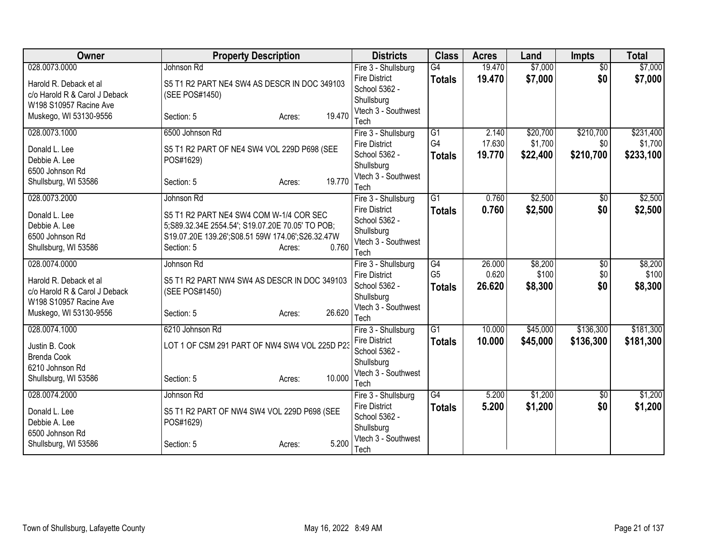| Owner                                                   | <b>Property Description</b>                      | <b>Districts</b>                  | <b>Class</b>    | <b>Acres</b> | Land     | <b>Impts</b>    | <b>Total</b> |
|---------------------------------------------------------|--------------------------------------------------|-----------------------------------|-----------------|--------------|----------|-----------------|--------------|
| 028.0073.0000                                           | Johnson Rd                                       | Fire 3 - Shullsburg               | $\overline{G4}$ | 19.470       | \$7,000  | $\overline{50}$ | \$7,000      |
| Harold R. Deback et al                                  | S5 T1 R2 PART NE4 SW4 AS DESCR IN DOC 349103     | <b>Fire District</b>              | <b>Totals</b>   | 19.470       | \$7,000  | \$0             | \$7,000      |
| c/o Harold R & Carol J Deback                           | (SEE POS#1450)                                   | School 5362 -                     |                 |              |          |                 |              |
| W198 S10957 Racine Ave                                  |                                                  | Shullsburg<br>Vtech 3 - Southwest |                 |              |          |                 |              |
| Muskego, WI 53130-9556                                  | 19.470<br>Section: 5<br>Acres:                   | Tech                              |                 |              |          |                 |              |
| 028.0073.1000                                           | 6500 Johnson Rd                                  | Fire 3 - Shullsburg               | $\overline{G1}$ | 2.140        | \$20,700 | \$210,700       | \$231,400    |
|                                                         |                                                  | <b>Fire District</b>              | G4              | 17.630       | \$1,700  | \$0             | \$1,700      |
| Donald L. Lee                                           | S5 T1 R2 PART OF NE4 SW4 VOL 229D P698 (SEE      | School 5362 -                     | <b>Totals</b>   | 19.770       | \$22,400 | \$210,700       | \$233,100    |
| Debbie A. Lee<br>6500 Johnson Rd                        | POS#1629)                                        | Shullsburg                        |                 |              |          |                 |              |
| Shullsburg, WI 53586                                    | 19.770<br>Section: 5<br>Acres:                   | Vtech 3 - Southwest               |                 |              |          |                 |              |
|                                                         |                                                  | Tech                              |                 |              |          |                 |              |
| 028.0073.2000                                           | Johnson Rd                                       | Fire 3 - Shullsburg               | $\overline{G1}$ | 0.760        | \$2,500  | \$0             | \$2,500      |
| Donald L. Lee                                           | S5 T1 R2 PART NE4 SW4 COM W-1/4 COR SEC          | <b>Fire District</b>              | <b>Totals</b>   | 0.760        | \$2,500  | \$0             | \$2,500      |
| Debbie A. Lee                                           | 5;S89.32.34E 2554.54'; S19.07.20E 70.05' TO POB; | School 5362 -                     |                 |              |          |                 |              |
| 6500 Johnson Rd                                         | S19.07.20E 139.26';S08.51 59W 174.06';S26.32.47W | Shullsburg<br>Vtech 3 - Southwest |                 |              |          |                 |              |
| Shullsburg, WI 53586                                    | 0.760<br>Section: 5<br>Acres:                    | Tech                              |                 |              |          |                 |              |
| 028.0074.0000                                           | Johnson Rd                                       | Fire 3 - Shullsburg               | G4              | 26.000       | \$8,200  | $\overline{50}$ | \$8,200      |
|                                                         |                                                  | <b>Fire District</b>              | G <sub>5</sub>  | 0.620        | \$100    | \$0             | \$100        |
| Harold R. Deback et al                                  | S5 T1 R2 PART NW4 SW4 AS DESCR IN DOC 349103     | School 5362 -                     | <b>Totals</b>   | 26.620       | \$8,300  | \$0             | \$8,300      |
| c/o Harold R & Carol J Deback<br>W198 S10957 Racine Ave | (SEE POS#1450)                                   | Shullsburg                        |                 |              |          |                 |              |
| Muskego, WI 53130-9556                                  | 26.620<br>Section: 5<br>Acres:                   | Vtech 3 - Southwest               |                 |              |          |                 |              |
|                                                         |                                                  | Tech                              |                 |              |          |                 |              |
| 028.0074.1000                                           | 6210 Johnson Rd                                  | Fire 3 - Shullsburg               | $\overline{G1}$ | 10.000       | \$45,000 | \$136,300       | \$181,300    |
| Justin B. Cook                                          | LOT 1 OF CSM 291 PART OF NW4 SW4 VOL 225D P23    | <b>Fire District</b>              | <b>Totals</b>   | 10.000       | \$45,000 | \$136,300       | \$181,300    |
| <b>Brenda Cook</b>                                      |                                                  | School 5362 -                     |                 |              |          |                 |              |
| 6210 Johnson Rd                                         |                                                  | Shullsburg<br>Vtech 3 - Southwest |                 |              |          |                 |              |
| Shullsburg, WI 53586                                    | 10.000<br>Section: 5<br>Acres:                   | Tech                              |                 |              |          |                 |              |
| 028.0074.2000                                           | Johnson Rd                                       | Fire 3 - Shullsburg               | $\overline{G4}$ | 5.200        | \$1,200  | \$0             | \$1,200      |
|                                                         |                                                  | <b>Fire District</b>              | <b>Totals</b>   | 5.200        | \$1,200  | \$0             | \$1,200      |
| Donald L. Lee                                           | S5 T1 R2 PART OF NW4 SW4 VOL 229D P698 (SEE      | School 5362 -                     |                 |              |          |                 |              |
| Debbie A. Lee                                           | POS#1629)                                        | Shullsburg                        |                 |              |          |                 |              |
| 6500 Johnson Rd                                         | 5.200<br>Section: 5                              | Vtech 3 - Southwest               |                 |              |          |                 |              |
| Shullsburg, WI 53586                                    | Acres:                                           | Tech                              |                 |              |          |                 |              |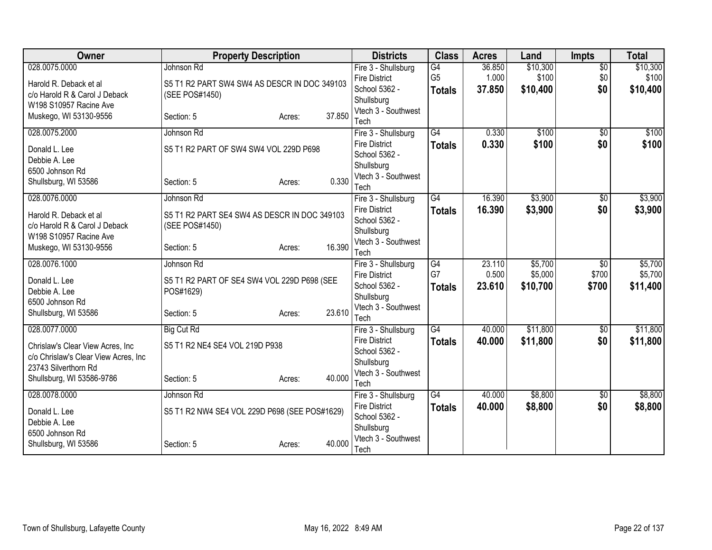| <b>Owner</b>                         | <b>Property Description</b>                   |                  | <b>Districts</b>                            | <b>Class</b>    | <b>Acres</b> | Land     | <b>Impts</b>      | <b>Total</b> |
|--------------------------------------|-----------------------------------------------|------------------|---------------------------------------------|-----------------|--------------|----------|-------------------|--------------|
| 028.0075.0000                        | Johnson Rd                                    |                  | Fire 3 - Shullsburg                         | G4              | 36.850       | \$10,300 | $\overline{50}$   | \$10,300     |
| Harold R. Deback et al               | S5 T1 R2 PART SW4 SW4 AS DESCR IN DOC 349103  |                  | <b>Fire District</b>                        | G <sub>5</sub>  | 1.000        | \$100    | \$0               | \$100        |
| c/o Harold R & Carol J Deback        | (SEE POS#1450)                                |                  | School 5362 -                               | <b>Totals</b>   | 37.850       | \$10,400 | \$0               | \$10,400     |
| W198 S10957 Racine Ave               |                                               |                  | Shullsburg<br>Vtech 3 - Southwest           |                 |              |          |                   |              |
| Muskego, WI 53130-9556               | Section: 5                                    | 37.850<br>Acres: | Tech                                        |                 |              |          |                   |              |
| 028.0075.2000                        | Johnson Rd                                    |                  | Fire 3 - Shullsburg                         | $\overline{G4}$ | 0.330        | \$100    | $\overline{50}$   | \$100        |
|                                      |                                               |                  | <b>Fire District</b>                        | <b>Totals</b>   | 0.330        | \$100    | \$0               | \$100        |
| Donald L. Lee<br>Debbie A. Lee       | S5 T1 R2 PART OF SW4 SW4 VOL 229D P698        |                  | School 5362 -                               |                 |              |          |                   |              |
| 6500 Johnson Rd                      |                                               |                  | Shullsburg                                  |                 |              |          |                   |              |
| Shullsburg, WI 53586                 | Section: 5                                    | 0.330<br>Acres:  | Vtech 3 - Southwest                         |                 |              |          |                   |              |
|                                      |                                               |                  | Tech                                        |                 |              |          |                   |              |
| 028.0076.0000                        | Johnson Rd                                    |                  | Fire 3 - Shullsburg                         | $\overline{G4}$ | 16.390       | \$3,900  | \$0               | \$3,900      |
| Harold R. Deback et al               | S5 T1 R2 PART SE4 SW4 AS DESCR IN DOC 349103  |                  | <b>Fire District</b><br>School 5362 -       | <b>Totals</b>   | 16.390       | \$3,900  | \$0               | \$3,900      |
| c/o Harold R & Carol J Deback        | (SEE POS#1450)                                |                  | Shullsburg                                  |                 |              |          |                   |              |
| W198 S10957 Racine Ave               |                                               |                  | Vtech 3 - Southwest                         |                 |              |          |                   |              |
| Muskego, WI 53130-9556               | Section: 5                                    | 16.390<br>Acres: | Tech                                        |                 |              |          |                   |              |
| 028.0076.1000                        | Johnson Rd                                    |                  | Fire 3 - Shullsburg                         | G4              | 23.110       | \$5,700  | $\overline{50}$   | \$5,700      |
| Donald L. Lee                        | S5 T1 R2 PART OF SE4 SW4 VOL 229D P698 (SEE   |                  | <b>Fire District</b>                        | G7              | 0.500        | \$5,000  | \$700             | \$5,700      |
| Debbie A. Lee                        | POS#1629)                                     |                  | School 5362 -                               | <b>Totals</b>   | 23.610       | \$10,700 | \$700             | \$11,400     |
| 6500 Johnson Rd                      |                                               |                  | Shullsburg                                  |                 |              |          |                   |              |
| Shullsburg, WI 53586                 | Section: 5                                    | 23.610<br>Acres: | Vtech 3 - Southwest                         |                 |              |          |                   |              |
|                                      |                                               |                  | Tech                                        |                 |              |          |                   |              |
| 028.0077.0000                        | <b>Big Cut Rd</b>                             |                  | Fire 3 - Shullsburg<br><b>Fire District</b> | $\overline{G4}$ | 40.000       | \$11,800 | $\sqrt{6}$<br>\$0 | \$11,800     |
| Chrislaw's Clear View Acres, Inc.    | S5 T1 R2 NE4 SE4 VOL 219D P938                |                  | School 5362 -                               | <b>Totals</b>   | 40.000       | \$11,800 |                   | \$11,800     |
| c/o Chrislaw's Clear View Acres, Inc |                                               |                  | Shullsburg                                  |                 |              |          |                   |              |
| 23743 Silverthorn Rd                 |                                               |                  | Vtech 3 - Southwest                         |                 |              |          |                   |              |
| Shullsburg, WI 53586-9786            | Section: 5                                    | 40.000<br>Acres: | Tech                                        |                 |              |          |                   |              |
| 028.0078.0000                        | Johnson Rd                                    |                  | Fire 3 - Shullsburg                         | G4              | 40.000       | \$8,800  | \$0               | \$8,800      |
| Donald L. Lee                        | S5 T1 R2 NW4 SE4 VOL 229D P698 (SEE POS#1629) |                  | <b>Fire District</b>                        | <b>Totals</b>   | 40,000       | \$8,800  | \$0               | \$8,800      |
| Debbie A. Lee                        |                                               |                  | School 5362 -                               |                 |              |          |                   |              |
| 6500 Johnson Rd                      |                                               |                  | Shullsburg                                  |                 |              |          |                   |              |
| Shullsburg, WI 53586                 | Section: 5                                    | 40.000<br>Acres: | Vtech 3 - Southwest                         |                 |              |          |                   |              |
|                                      |                                               |                  | Tech                                        |                 |              |          |                   |              |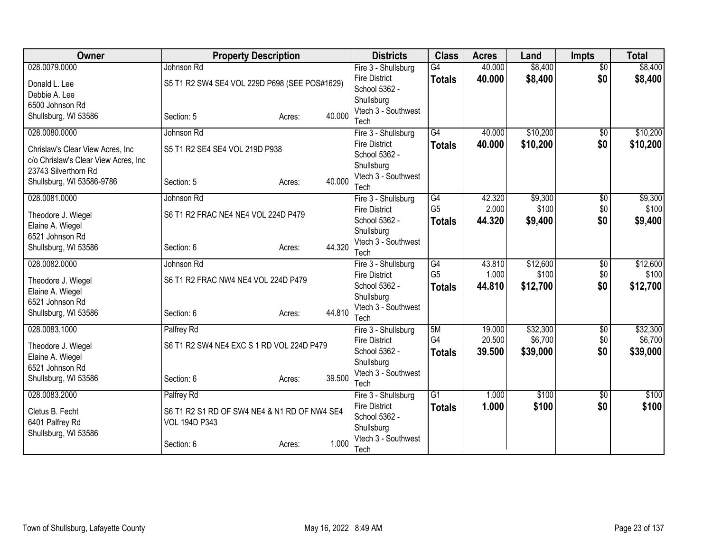| Owner                                | <b>Property Description</b>                   |        |        | <b>Districts</b>                            | <b>Class</b>    | <b>Acres</b> | Land     | <b>Impts</b>    | <b>Total</b> |
|--------------------------------------|-----------------------------------------------|--------|--------|---------------------------------------------|-----------------|--------------|----------|-----------------|--------------|
| 028.0079.0000                        | Johnson Rd                                    |        |        | Fire 3 - Shullsburg                         | G4              | 40.000       | \$8,400  | $\overline{50}$ | \$8,400      |
| Donald L. Lee                        | S5 T1 R2 SW4 SE4 VOL 229D P698 (SEE POS#1629) |        |        | <b>Fire District</b>                        | <b>Totals</b>   | 40.000       | \$8,400  | \$0             | \$8,400      |
| Debbie A. Lee                        |                                               |        |        | School 5362 -                               |                 |              |          |                 |              |
| 6500 Johnson Rd                      |                                               |        |        | Shullsburg<br>Vtech 3 - Southwest           |                 |              |          |                 |              |
| Shullsburg, WI 53586                 | Section: 5                                    | Acres: | 40.000 | Tech                                        |                 |              |          |                 |              |
| 028.0080.0000                        | Johnson Rd                                    |        |        | Fire 3 - Shullsburg                         | $\overline{G4}$ | 40.000       | \$10,200 | \$0             | \$10,200     |
|                                      |                                               |        |        | <b>Fire District</b>                        | <b>Totals</b>   | 40.000       | \$10,200 | \$0             | \$10,200     |
| Chrislaw's Clear View Acres, Inc.    | S5 T1 R2 SE4 SE4 VOL 219D P938                |        |        | School 5362 -                               |                 |              |          |                 |              |
| c/o Chrislaw's Clear View Acres, Inc |                                               |        |        | Shullsburg                                  |                 |              |          |                 |              |
| 23743 Silverthorn Rd                 |                                               |        | 40.000 | Vtech 3 - Southwest                         |                 |              |          |                 |              |
| Shullsburg, WI 53586-9786            | Section: 5                                    | Acres: |        | Tech                                        |                 |              |          |                 |              |
| 028.0081.0000                        | Johnson Rd                                    |        |        | Fire 3 - Shullsburg                         | G4              | 42.320       | \$9,300  | \$0             | \$9,300      |
| Theodore J. Wiegel                   | S6 T1 R2 FRAC NE4 NE4 VOL 224D P479           |        |        | <b>Fire District</b>                        | G <sub>5</sub>  | 2.000        | \$100    | \$0             | \$100        |
| Elaine A. Wiegel                     |                                               |        |        | School 5362 -                               | <b>Totals</b>   | 44.320       | \$9,400  | \$0             | \$9,400      |
| 6521 Johnson Rd                      |                                               |        |        | Shullsburg                                  |                 |              |          |                 |              |
| Shullsburg, WI 53586                 | Section: 6                                    | Acres: | 44.320 | Vtech 3 - Southwest                         |                 |              |          |                 |              |
| 028.0082.0000                        | Johnson Rd                                    |        |        | Tech<br>Fire 3 - Shullsburg                 | G4              | 43.810       | \$12,600 | $\overline{50}$ | \$12,600     |
|                                      |                                               |        |        | <b>Fire District</b>                        | G <sub>5</sub>  | 1.000        | \$100    | \$0             | \$100        |
| Theodore J. Wiegel                   | S6 T1 R2 FRAC NW4 NE4 VOL 224D P479           |        |        | School 5362 -                               | <b>Totals</b>   | 44.810       | \$12,700 | \$0             | \$12,700     |
| Elaine A. Wiegel                     |                                               |        |        | Shullsburg                                  |                 |              |          |                 |              |
| 6521 Johnson Rd                      |                                               |        |        | Vtech 3 - Southwest                         |                 |              |          |                 |              |
| Shullsburg, WI 53586                 | Section: 6                                    | Acres: | 44.810 | Tech                                        |                 |              |          |                 |              |
| 028.0083.1000                        | Palfrey Rd                                    |        |        | Fire 3 - Shullsburg                         | 5M              | 19.000       | \$32,300 | $\overline{50}$ | \$32,300     |
| Theodore J. Wiegel                   | S6 T1 R2 SW4 NE4 EXC S 1 RD VOL 224D P479     |        |        | <b>Fire District</b>                        | G4              | 20.500       | \$6,700  | \$0             | \$6,700      |
| Elaine A. Wiegel                     |                                               |        |        | School 5362 -                               | <b>Totals</b>   | 39.500       | \$39,000 | \$0             | \$39,000     |
| 6521 Johnson Rd                      |                                               |        |        | Shullsburg                                  |                 |              |          |                 |              |
| Shullsburg, WI 53586                 | Section: 6                                    | Acres: | 39.500 | Vtech 3 - Southwest                         |                 |              |          |                 |              |
|                                      |                                               |        |        | Tech                                        |                 |              |          |                 |              |
| 028.0083.2000                        | Palfrey Rd                                    |        |        | Fire 3 - Shullsburg<br><b>Fire District</b> | $\overline{G1}$ | 1.000        | \$100    | \$0             | \$100        |
| Cletus B. Fecht                      | S6 T1 R2 S1 RD OF SW4 NE4 & N1 RD OF NW4 SE4  |        |        | School 5362 -                               | <b>Totals</b>   | 1.000        | \$100    | \$0             | \$100        |
| 6401 Palfrey Rd                      | <b>VOL 194D P343</b>                          |        |        | Shullsburg                                  |                 |              |          |                 |              |
| Shullsburg, WI 53586                 |                                               |        |        | Vtech 3 - Southwest                         |                 |              |          |                 |              |
|                                      | Section: 6                                    | Acres: | 1.000  | Tech                                        |                 |              |          |                 |              |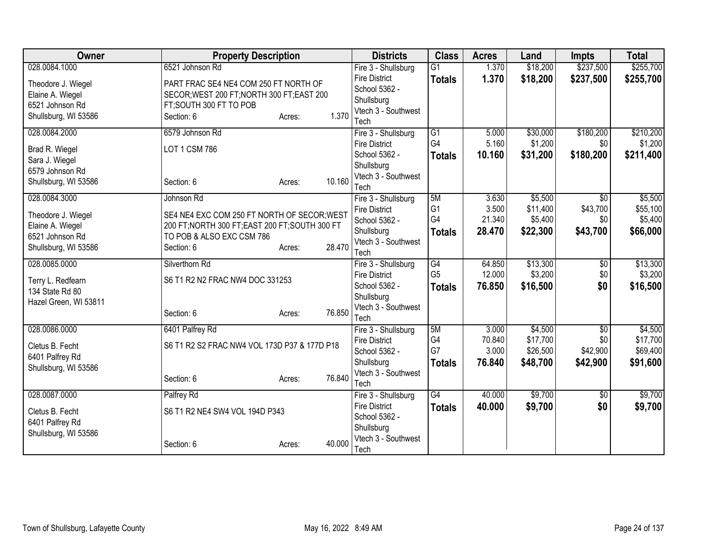| Owner                 | <b>Property Description</b>                     |                  | <b>Districts</b>                  | <b>Class</b>    | <b>Acres</b> | Land     | <b>Impts</b>    | <b>Total</b> |
|-----------------------|-------------------------------------------------|------------------|-----------------------------------|-----------------|--------------|----------|-----------------|--------------|
| 028.0084.1000         | 6521 Johnson Rd                                 |                  | Fire 3 - Shullsburg               | $\overline{G1}$ | 1.370        | \$18,200 | \$237,500       | \$255,700    |
| Theodore J. Wiegel    | PART FRAC SE4 NE4 COM 250 FT NORTH OF           |                  | <b>Fire District</b>              | <b>Totals</b>   | 1.370        | \$18,200 | \$237,500       | \$255,700    |
| Elaine A. Wiegel      | SECOR; WEST 200 FT; NORTH 300 FT; EAST 200      |                  | School 5362 -                     |                 |              |          |                 |              |
| 6521 Johnson Rd       | FT;SOUTH 300 FT TO POB                          |                  | Shullsburg                        |                 |              |          |                 |              |
| Shullsburg, WI 53586  | Section: 6                                      | 1.370<br>Acres:  | Vtech 3 - Southwest               |                 |              |          |                 |              |
|                       |                                                 |                  | Tech                              |                 |              |          |                 |              |
| 028.0084.2000         | 6579 Johnson Rd                                 |                  | Fire 3 - Shullsburg               | $\overline{G1}$ | 5.000        | \$30,000 | \$180,200       | \$210,200    |
| Brad R. Wiegel        | LOT 1 CSM 786                                   |                  | <b>Fire District</b>              | G4              | 5.160        | \$1,200  | \$0             | \$1,200      |
| Sara J. Wiegel        |                                                 |                  | School 5362 -                     | <b>Totals</b>   | 10.160       | \$31,200 | \$180,200       | \$211,400    |
| 6579 Johnson Rd       |                                                 |                  | Shullsburg<br>Vtech 3 - Southwest |                 |              |          |                 |              |
| Shullsburg, WI 53586  | Section: 6                                      | 10.160<br>Acres: | Tech                              |                 |              |          |                 |              |
| 028.0084.3000         | Johnson Rd                                      |                  | Fire 3 - Shullsburg               | 5M              | 3.630        | \$5,500  | \$0             | \$5,500      |
|                       |                                                 |                  | <b>Fire District</b>              | G <sub>1</sub>  | 3.500        | \$11,400 | \$43,700        | \$55,100     |
| Theodore J. Wiegel    | SE4 NE4 EXC COM 250 FT NORTH OF SECOR; WEST     |                  | School 5362 -                     | G4              | 21.340       | \$5,400  | \$0             | \$5,400      |
| Elaine A. Wiegel      | 200 FT; NORTH 300 FT; EAST 200 FT; SOUTH 300 FT |                  | Shullsburg                        | <b>Totals</b>   | 28.470       | \$22,300 | \$43,700        | \$66,000     |
| 6521 Johnson Rd       | TO POB & ALSO EXC CSM 786                       |                  | Vtech 3 - Southwest               |                 |              |          |                 |              |
| Shullsburg, WI 53586  | Section: 6                                      | 28.470<br>Acres: | Tech                              |                 |              |          |                 |              |
| 028.0085.0000         | Silverthorn Rd                                  |                  | Fire 3 - Shullsburg               | G4              | 64.850       | \$13,300 | $\overline{50}$ | \$13,300     |
| Terry L. Redfearn     | S6 T1 R2 N2 FRAC NW4 DOC 331253                 |                  | <b>Fire District</b>              | G <sub>5</sub>  | 12.000       | \$3,200  | \$0             | \$3,200      |
| 134 State Rd 80       |                                                 |                  | School 5362 -                     | <b>Totals</b>   | 76.850       | \$16,500 | \$0             | \$16,500     |
| Hazel Green, WI 53811 |                                                 |                  | Shullsburg                        |                 |              |          |                 |              |
|                       | Section: 6                                      | 76.850<br>Acres: | Vtech 3 - Southwest               |                 |              |          |                 |              |
|                       |                                                 |                  | Tech                              |                 |              |          |                 |              |
| 028.0086.0000         | 6401 Palfrey Rd                                 |                  | Fire 3 - Shullsburg               | 5M              | 3.000        | \$4,500  | $\overline{50}$ | \$4,500      |
| Cletus B. Fecht       | S6 T1 R2 S2 FRAC NW4 VOL 173D P37 & 177D P18    |                  | <b>Fire District</b>              | G4              | 70.840       | \$17,700 | \$0             | \$17,700     |
| 6401 Palfrey Rd       |                                                 |                  | School 5362 -                     | G7              | 3.000        | \$26,500 | \$42,900        | \$69,400     |
| Shullsburg, WI 53586  |                                                 |                  | Shullsburg                        | <b>Totals</b>   | 76.840       | \$48,700 | \$42,900        | \$91,600     |
|                       | Section: 6                                      | 76.840<br>Acres: | Vtech 3 - Southwest<br>Tech       |                 |              |          |                 |              |
| 028.0087.0000         | Palfrey Rd                                      |                  | Fire 3 - Shullsburg               | $\overline{G4}$ | 40.000       | \$9,700  | \$0             | \$9,700      |
|                       |                                                 |                  | <b>Fire District</b>              | <b>Totals</b>   | 40.000       | \$9,700  | \$0             | \$9,700      |
| Cletus B. Fecht       | S6 T1 R2 NE4 SW4 VOL 194D P343                  |                  | School 5362 -                     |                 |              |          |                 |              |
| 6401 Palfrey Rd       |                                                 |                  | Shullsburg                        |                 |              |          |                 |              |
| Shullsburg, WI 53586  |                                                 |                  | Vtech 3 - Southwest               |                 |              |          |                 |              |
|                       | Section: 6                                      | 40.000<br>Acres: | Tech                              |                 |              |          |                 |              |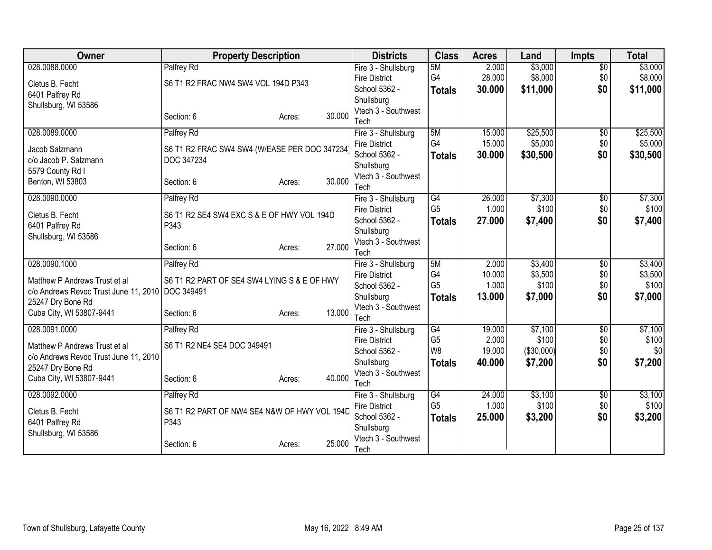| Owner                                              | <b>Property Description</b>                  |                  | <b>Districts</b>                  | <b>Class</b>   | <b>Acres</b> | Land       | <b>Impts</b>    | <b>Total</b> |
|----------------------------------------------------|----------------------------------------------|------------------|-----------------------------------|----------------|--------------|------------|-----------------|--------------|
| 028.0088.0000                                      | Palfrey Rd                                   |                  | Fire 3 - Shullsburg               | 5M             | 2.000        | \$3,000    | $\overline{50}$ | \$3,000      |
| Cletus B. Fecht                                    | S6 T1 R2 FRAC NW4 SW4 VOL 194D P343          |                  | <b>Fire District</b>              | G4             | 28.000       | \$8,000    | \$0             | \$8,000      |
| 6401 Palfrey Rd                                    |                                              |                  | School 5362 -                     | <b>Totals</b>  | 30.000       | \$11,000   | \$0             | \$11,000     |
| Shullsburg, WI 53586                               |                                              |                  | Shullsburg                        |                |              |            |                 |              |
|                                                    | Section: 6                                   | 30.000<br>Acres: | Vtech 3 - Southwest<br>Tech       |                |              |            |                 |              |
| 028.0089.0000                                      | Palfrey Rd                                   |                  | Fire 3 - Shullsburg               | 5M             | 15.000       | \$25,500   | $\overline{50}$ | \$25,500     |
|                                                    |                                              |                  | <b>Fire District</b>              | G <sub>4</sub> | 15.000       | \$5,000    | \$0             | \$5,000      |
| Jacob Salzmann                                     | S6 T1 R2 FRAC SW4 SW4 (W/EASE PER DOC 347234 |                  | School 5362 -                     | <b>Totals</b>  | 30,000       | \$30,500   | \$0             | \$30,500     |
| c/o Jacob P. Salzmann                              | DOC 347234                                   |                  | Shullsburg                        |                |              |            |                 |              |
| 5579 County Rd I                                   |                                              | 30.000           | Vtech 3 - Southwest               |                |              |            |                 |              |
| Benton, WI 53803                                   | Section: 6                                   | Acres:           | Tech                              |                |              |            |                 |              |
| 028.0090.0000                                      | Palfrey Rd                                   |                  | Fire 3 - Shullsburg               | G4             | 26.000       | \$7,300    | \$0             | \$7,300      |
| Cletus B. Fecht                                    | S6 T1 R2 SE4 SW4 EXC S & E OF HWY VOL 194D   |                  | <b>Fire District</b>              | G <sub>5</sub> | 1.000        | \$100      | \$0             | \$100        |
| 6401 Palfrey Rd                                    | P343                                         |                  | School 5362 -                     | <b>Totals</b>  | 27.000       | \$7,400    | \$0             | \$7,400      |
| Shullsburg, WI 53586                               |                                              |                  | Shullsburg                        |                |              |            |                 |              |
|                                                    | Section: 6                                   | 27.000<br>Acres: | Vtech 3 - Southwest<br>Tech       |                |              |            |                 |              |
| 028.0090.1000                                      | Palfrey Rd                                   |                  | Fire 3 - Shullsburg               | 5M             | 2.000        | \$3,400    | $\overline{50}$ | \$3,400      |
|                                                    |                                              |                  | <b>Fire District</b>              | G4             | 10.000       | \$3,500    | \$0             | \$3,500      |
| Matthew P Andrews Trust et al                      | S6 T1 R2 PART OF SE4 SW4 LYING S & E OF HWY  |                  | School 5362 -                     | G <sub>5</sub> | 1.000        | \$100      | \$0             | \$100        |
| c/o Andrews Revoc Trust June 11, 2010   DOC 349491 |                                              |                  | Shullsburg                        | <b>Totals</b>  | 13,000       | \$7,000    | \$0             | \$7,000      |
| 25247 Dry Bone Rd<br>Cuba City, WI 53807-9441      | Section: 6                                   | 13.000           | Vtech 3 - Southwest               |                |              |            |                 |              |
|                                                    |                                              | Acres:           | Tech                              |                |              |            |                 |              |
| 028.0091.0000                                      | Palfrey Rd                                   |                  | Fire 3 - Shullsburg               | G4             | 19.000       | \$7,100    | $\overline{50}$ | \$7,100      |
| Matthew P Andrews Trust et al                      | S6 T1 R2 NE4 SE4 DOC 349491                  |                  | <b>Fire District</b>              | G <sub>5</sub> | 2.000        | \$100      | \$0             | \$100        |
| c/o Andrews Revoc Trust June 11, 2010              |                                              |                  | School 5362 -                     | W <sub>8</sub> | 19.000       | (\$30,000) | \$0             | \$0          |
| 25247 Dry Bone Rd                                  |                                              |                  | Shullsburg<br>Vtech 3 - Southwest | <b>Totals</b>  | 40.000       | \$7,200    | \$0             | \$7,200      |
| Cuba City, WI 53807-9441                           | Section: 6                                   | 40.000<br>Acres: | Tech                              |                |              |            |                 |              |
| 028.0092.0000                                      | Palfrey Rd                                   |                  | Fire 3 - Shullsburg               | G4             | 24.000       | \$3,100    | \$0             | \$3,100      |
|                                                    |                                              |                  | <b>Fire District</b>              | G <sub>5</sub> | 1.000        | \$100      | \$0             | \$100        |
| Cletus B. Fecht                                    | S6 T1 R2 PART OF NW4 SE4 N&W OF HWY VOL 194D |                  | School 5362 -                     | <b>Totals</b>  | 25.000       | \$3,200    | \$0             | \$3,200      |
| 6401 Palfrey Rd                                    | P343                                         |                  | Shullsburg                        |                |              |            |                 |              |
| Shullsburg, WI 53586                               | Section: 6                                   | 25.000           | Vtech 3 - Southwest               |                |              |            |                 |              |
|                                                    |                                              | Acres:           | Tech                              |                |              |            |                 |              |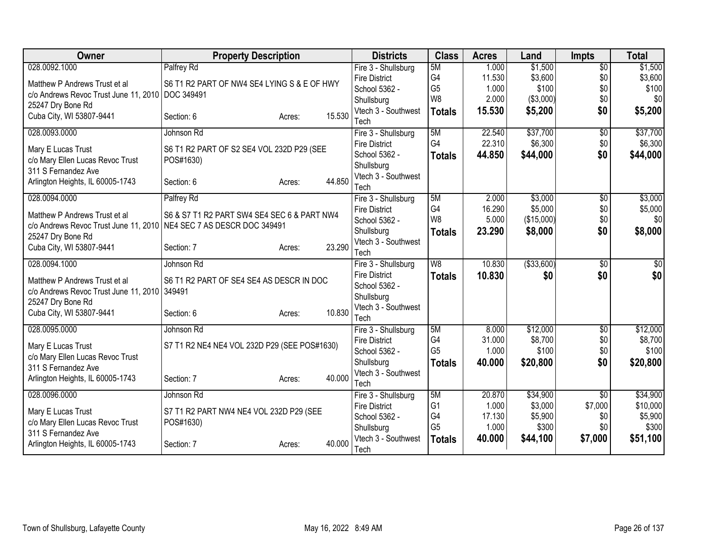| Owner                                                               | <b>Property Description</b>                  |        |        | <b>Districts</b>                            | <b>Class</b>         | <b>Acres</b>    | Land               | <b>Impts</b>    | <b>Total</b>       |
|---------------------------------------------------------------------|----------------------------------------------|--------|--------|---------------------------------------------|----------------------|-----------------|--------------------|-----------------|--------------------|
| 028.0092.1000                                                       | Palfrey Rd                                   |        |        | Fire 3 - Shullsburg                         | 5M                   | 1.000           | \$1,500            | $\overline{50}$ | \$1,500            |
| Matthew P Andrews Trust et al                                       | S6 T1 R2 PART OF NW4 SE4 LYING S & E OF HWY  |        |        | <b>Fire District</b>                        | G4                   | 11.530          | \$3,600            | \$0             | \$3,600            |
| c/o Andrews Revoc Trust June 11, 2010 DOC 349491                    |                                              |        |        | School 5362 -                               | G <sub>5</sub>       | 1.000           | \$100              | \$0             | \$100              |
| 25247 Dry Bone Rd                                                   |                                              |        |        | Shullsburg                                  | W8                   | 2.000           | ( \$3,000)         | \$0             | \$0                |
| Cuba City, WI 53807-9441                                            | Section: 6                                   | Acres: | 15.530 | Vtech 3 - Southwest<br>Tech                 | <b>Totals</b>        | 15.530          | \$5,200            | \$0             | \$5,200            |
| 028.0093.0000                                                       | Johnson Rd                                   |        |        | Fire 3 - Shullsburg                         | 5M                   | 22.540          | \$37,700           | \$0             | \$37,700           |
| Mary E Lucas Trust                                                  | S6 T1 R2 PART OF S2 SE4 VOL 232D P29 (SEE    |        |        | <b>Fire District</b>                        | G <sub>4</sub>       | 22.310          | \$6,300            | \$0             | \$6,300            |
| c/o Mary Ellen Lucas Revoc Trust                                    | POS#1630)                                    |        |        | School 5362 -                               | <b>Totals</b>        | 44.850          | \$44,000           | \$0             | \$44,000           |
| 311 S Fernandez Ave                                                 |                                              |        |        | Shullsburg                                  |                      |                 |                    |                 |                    |
| Arlington Heights, IL 60005-1743                                    | Section: 6                                   | Acres: | 44.850 | Vtech 3 - Southwest                         |                      |                 |                    |                 |                    |
|                                                                     |                                              |        |        | Tech                                        |                      |                 |                    |                 |                    |
| 028.0094.0000                                                       | Palfrey Rd                                   |        |        | Fire 3 - Shullsburg<br><b>Fire District</b> | 5M<br>G <sub>4</sub> | 2.000<br>16.290 | \$3,000<br>\$5,000 | \$0<br>\$0      | \$3,000<br>\$5,000 |
| Matthew P Andrews Trust et al                                       | S6 & S7 T1 R2 PART SW4 SE4 SEC 6 & PART NW4  |        |        | School 5362 -                               | W <sub>8</sub>       | 5.000           | (\$15,000)         | \$0             | \$0                |
| c/o Andrews Revoc Trust June 11, 2010 NE4 SEC 7 AS DESCR DOC 349491 |                                              |        |        | Shullsburg                                  | <b>Totals</b>        | 23.290          | \$8,000            | \$0             | \$8,000            |
| 25247 Dry Bone Rd                                                   |                                              |        |        | Vtech 3 - Southwest                         |                      |                 |                    |                 |                    |
| Cuba City, WI 53807-9441                                            | Section: 7                                   | Acres: | 23.290 | Tech                                        |                      |                 |                    |                 |                    |
| 028.0094.1000                                                       | Johnson Rd                                   |        |        | Fire 3 - Shullsburg                         | W8                   | 10.830          | ( \$33,600)        | $\overline{50}$ | \$0                |
| Matthew P Andrews Trust et al                                       | S6 T1 R2 PART OF SE4 SE4 AS DESCR IN DOC     |        |        | <b>Fire District</b>                        | <b>Totals</b>        | 10.830          | \$0                | \$0             | \$0                |
| c/o Andrews Revoc Trust June 11, 2010 349491                        |                                              |        |        | School 5362 -                               |                      |                 |                    |                 |                    |
| 25247 Dry Bone Rd                                                   |                                              |        |        | Shullsburg                                  |                      |                 |                    |                 |                    |
| Cuba City, WI 53807-9441                                            | Section: 6                                   | Acres: | 10.830 | Vtech 3 - Southwest<br>Tech                 |                      |                 |                    |                 |                    |
| 028.0095.0000                                                       | Johnson Rd                                   |        |        | Fire 3 - Shullsburg                         | 5M                   | 8.000           | \$12,000           | $\overline{50}$ | \$12,000           |
|                                                                     |                                              |        |        | <b>Fire District</b>                        | G4                   | 31.000          | \$8,700            | \$0             | \$8,700            |
| Mary E Lucas Trust                                                  | S7 T1 R2 NE4 NE4 VOL 232D P29 (SEE POS#1630) |        |        | School 5362 -                               | G <sub>5</sub>       | 1.000           | \$100              | \$0             | \$100              |
| c/o Mary Ellen Lucas Revoc Trust                                    |                                              |        |        | Shullsburg                                  | <b>Totals</b>        | 40.000          | \$20,800           | \$0             | \$20,800           |
| 311 S Fernandez Ave                                                 |                                              |        | 40.000 | Vtech 3 - Southwest                         |                      |                 |                    |                 |                    |
| Arlington Heights, IL 60005-1743                                    | Section: 7                                   | Acres: |        | Tech                                        |                      |                 |                    |                 |                    |
| 028.0096.0000                                                       | Johnson Rd                                   |        |        | Fire 3 - Shullsburg                         | 5M                   | 20.870          | \$34,900           | \$0             | \$34,900           |
| Mary E Lucas Trust                                                  | S7 T1 R2 PART NW4 NE4 VOL 232D P29 (SEE      |        |        | <b>Fire District</b>                        | G <sub>1</sub>       | 1.000           | \$3,000            | \$7,000         | \$10,000           |
| c/o Mary Ellen Lucas Revoc Trust                                    | POS#1630)                                    |        |        | School 5362 -                               | G4<br>G <sub>5</sub> | 17.130<br>1.000 | \$5,900<br>\$300   | \$0<br>\$0      | \$5,900<br>\$300   |
| 311 S Fernandez Ave                                                 |                                              |        |        | Shullsburg<br>Vtech 3 - Southwest           |                      | 40.000          |                    |                 |                    |
| Arlington Heights, IL 60005-1743                                    | Section: 7                                   | Acres: | 40.000 | Tech                                        | <b>Totals</b>        |                 | \$44,100           | \$7,000         | \$51,100           |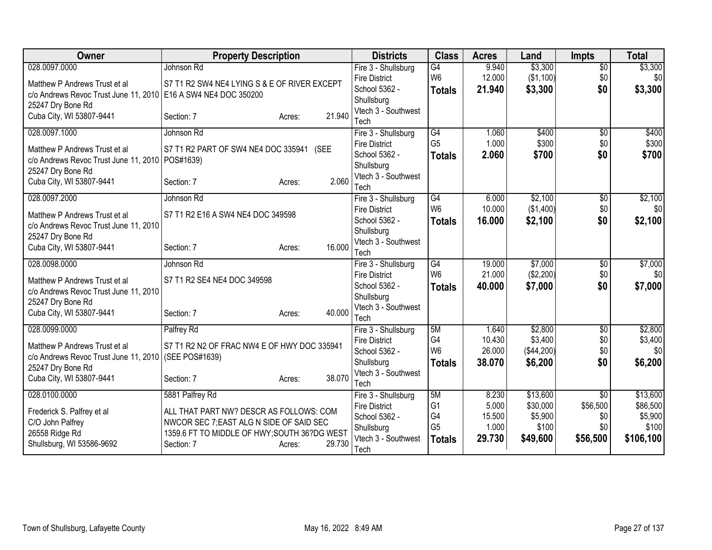| 028.0097.0000<br>\$3,300<br>\$3,300<br>Fire 3 - Shullsburg<br>G4<br>9.940<br>$\overline{50}$<br>Johnson Rd<br>W <sub>6</sub><br>12.000<br>(\$1,100)<br>\$0<br>\$0<br><b>Fire District</b><br>S7 T1 R2 SW4 NE4 LYING S & E OF RIVER EXCEPT<br>Matthew P Andrews Trust et al<br>\$3,300<br>School 5362 -<br>21.940<br>\$3,300<br>\$0<br><b>Totals</b><br>c/o Andrews Revoc Trust June 11, 2010   E16 A SW4 NE4 DOC 350200<br>Shullsburg<br>25247 Dry Bone Rd<br>Vtech 3 - Southwest<br>21.940<br>Cuba City, WI 53807-9441<br>Section: 7<br>Acres:<br>Tech<br>028.0097.1000<br>$\overline{G4}$<br>\$400<br>\$400<br>Johnson Rd<br>Fire 3 - Shullsburg<br>1.060<br>$\overline{50}$<br>G <sub>5</sub><br>1.000<br>\$300<br>\$300<br>\$0<br><b>Fire District</b><br>S7 T1 R2 PART OF SW4 NE4 DOC 335941 (SEE<br>Matthew P Andrews Trust et al<br>\$700<br>2.060<br>\$700<br>School 5362 -<br>\$0<br><b>Totals</b><br>c/o Andrews Revoc Trust June 11, 2010   POS#1639)<br>Shullsburg<br>25247 Dry Bone Rd<br>Vtech 3 - Southwest<br>2.060<br>Cuba City, WI 53807-9441<br>Section: 7<br>Acres:<br>Tech<br>028.0097.2000<br>G4<br>6.000<br>\$2,100<br>\$2,100<br>Fire 3 - Shullsburg<br>\$0<br>Johnson Rd<br>W <sub>6</sub><br>10.000<br>(\$1,400)<br>\$0<br>\$0<br><b>Fire District</b><br>S7 T1 R2 E16 A SW4 NE4 DOC 349598<br>Matthew P Andrews Trust et al<br>\$2,100<br>16.000<br>\$2,100<br>\$0<br>School 5362 -<br><b>Totals</b><br>c/o Andrews Revoc Trust June 11, 2010<br>Shullsburg<br>25247 Dry Bone Rd<br>Vtech 3 - Southwest<br>16.000<br>Cuba City, WI 53807-9441<br>Section: 7<br>Acres:<br>Tech<br>\$7,000<br>028.0098.0000<br>$\overline{G4}$<br>19.000<br>$\overline{50}$<br>\$7,000<br>Johnson Rd<br>Fire 3 - Shullsburg<br>W <sub>6</sub><br>\$0<br>21.000<br>(\$2,200)<br>\$0<br><b>Fire District</b><br>S7 T1 R2 SE4 NE4 DOC 349598<br>Matthew P Andrews Trust et al<br>\$7,000<br>School 5362 -<br>40.000<br>\$7,000<br>\$0<br><b>Totals</b><br>c/o Andrews Revoc Trust June 11, 2010<br>Shullsburg<br>25247 Dry Bone Rd<br>Vtech 3 - Southwest<br>40.000<br>Cuba City, WI 53807-9441<br>Section: 7<br>Acres:<br>Tech<br>028.0099.0000<br>Palfrey Rd<br>5M<br>\$2,800<br>Fire 3 - Shullsburg<br>1.640<br>$\overline{50}$<br>G4<br>\$3,400<br>\$3,400<br>10.430<br>\$0<br><b>Fire District</b><br>S7 T1 R2 N2 OF FRAC NW4 E OF HWY DOC 335941<br>Matthew P Andrews Trust et al<br>W <sub>6</sub><br>26.000<br>(\$44,200)<br>\$0<br>School 5362 -<br>c/o Andrews Revoc Trust June 11, 2010<br>(SEE POS#1639)<br>38.070<br>\$6,200<br>\$6,200<br>Shullsburg<br>\$0<br><b>Totals</b><br>25247 Dry Bone Rd<br>Vtech 3 - Southwest<br>38.070<br>Cuba City, WI 53807-9441<br>Section: 7<br>Acres:<br>Tech<br>\$13,600<br>028.0100.0000<br>5881 Palfrey Rd<br>5M<br>8.230<br>$\overline{50}$<br>Fire 3 - Shullsburg<br>G <sub>1</sub><br>\$30,000<br>\$56,500<br>5.000<br><b>Fire District</b><br>ALL THAT PART NW? DESCR AS FOLLOWS: COM<br>Frederick S. Palfrey et al<br>G4<br>15.500<br>\$5,900<br>\$0<br>School 5362 -<br>C/O John Palfrey<br>NWCOR SEC 7; EAST ALG N SIDE OF SAID SEC<br>G <sub>5</sub><br>1.000<br>\$100<br>\$0<br>Shullsburg<br>1359.6 FT TO MIDDLE OF HWY; SOUTH 36?DG WEST<br>26558 Ridge Rd<br>Vtech 3 - Southwest<br>29.730<br>\$56,500<br>\$106,100<br>\$49,600<br><b>Totals</b> | Owner                     | <b>Property Description</b> |        | <b>Districts</b> | <b>Class</b> | <b>Acres</b> | Land | <b>Impts</b> | <b>Total</b> |
|----------------------------------------------------------------------------------------------------------------------------------------------------------------------------------------------------------------------------------------------------------------------------------------------------------------------------------------------------------------------------------------------------------------------------------------------------------------------------------------------------------------------------------------------------------------------------------------------------------------------------------------------------------------------------------------------------------------------------------------------------------------------------------------------------------------------------------------------------------------------------------------------------------------------------------------------------------------------------------------------------------------------------------------------------------------------------------------------------------------------------------------------------------------------------------------------------------------------------------------------------------------------------------------------------------------------------------------------------------------------------------------------------------------------------------------------------------------------------------------------------------------------------------------------------------------------------------------------------------------------------------------------------------------------------------------------------------------------------------------------------------------------------------------------------------------------------------------------------------------------------------------------------------------------------------------------------------------------------------------------------------------------------------------------------------------------------------------------------------------------------------------------------------------------------------------------------------------------------------------------------------------------------------------------------------------------------------------------------------------------------------------------------------------------------------------------------------------------------------------------------------------------------------------------------------------------------------------------------------------------------------------------------------------------------------------------------------------------------------------------------------------------------------------------------------------------------------------------------------------------------------------------------------------------------------------------------------------------------------------------------------------------------------------------------------------------------------------------------------------------------------------------------------------------------------------------------------------------------------------------------------------------------------------------------------------------|---------------------------|-----------------------------|--------|------------------|--------------|--------------|------|--------------|--------------|
|                                                                                                                                                                                                                                                                                                                                                                                                                                                                                                                                                                                                                                                                                                                                                                                                                                                                                                                                                                                                                                                                                                                                                                                                                                                                                                                                                                                                                                                                                                                                                                                                                                                                                                                                                                                                                                                                                                                                                                                                                                                                                                                                                                                                                                                                                                                                                                                                                                                                                                                                                                                                                                                                                                                                                                                                                                                                                                                                                                                                                                                                                                                                                                                                                                                                                                                      |                           |                             |        |                  |              |              |      |              |              |
|                                                                                                                                                                                                                                                                                                                                                                                                                                                                                                                                                                                                                                                                                                                                                                                                                                                                                                                                                                                                                                                                                                                                                                                                                                                                                                                                                                                                                                                                                                                                                                                                                                                                                                                                                                                                                                                                                                                                                                                                                                                                                                                                                                                                                                                                                                                                                                                                                                                                                                                                                                                                                                                                                                                                                                                                                                                                                                                                                                                                                                                                                                                                                                                                                                                                                                                      |                           |                             |        |                  |              |              |      |              |              |
|                                                                                                                                                                                                                                                                                                                                                                                                                                                                                                                                                                                                                                                                                                                                                                                                                                                                                                                                                                                                                                                                                                                                                                                                                                                                                                                                                                                                                                                                                                                                                                                                                                                                                                                                                                                                                                                                                                                                                                                                                                                                                                                                                                                                                                                                                                                                                                                                                                                                                                                                                                                                                                                                                                                                                                                                                                                                                                                                                                                                                                                                                                                                                                                                                                                                                                                      |                           |                             |        |                  |              |              |      |              |              |
|                                                                                                                                                                                                                                                                                                                                                                                                                                                                                                                                                                                                                                                                                                                                                                                                                                                                                                                                                                                                                                                                                                                                                                                                                                                                                                                                                                                                                                                                                                                                                                                                                                                                                                                                                                                                                                                                                                                                                                                                                                                                                                                                                                                                                                                                                                                                                                                                                                                                                                                                                                                                                                                                                                                                                                                                                                                                                                                                                                                                                                                                                                                                                                                                                                                                                                                      |                           |                             |        |                  |              |              |      |              |              |
|                                                                                                                                                                                                                                                                                                                                                                                                                                                                                                                                                                                                                                                                                                                                                                                                                                                                                                                                                                                                                                                                                                                                                                                                                                                                                                                                                                                                                                                                                                                                                                                                                                                                                                                                                                                                                                                                                                                                                                                                                                                                                                                                                                                                                                                                                                                                                                                                                                                                                                                                                                                                                                                                                                                                                                                                                                                                                                                                                                                                                                                                                                                                                                                                                                                                                                                      |                           |                             |        |                  |              |              |      |              |              |
|                                                                                                                                                                                                                                                                                                                                                                                                                                                                                                                                                                                                                                                                                                                                                                                                                                                                                                                                                                                                                                                                                                                                                                                                                                                                                                                                                                                                                                                                                                                                                                                                                                                                                                                                                                                                                                                                                                                                                                                                                                                                                                                                                                                                                                                                                                                                                                                                                                                                                                                                                                                                                                                                                                                                                                                                                                                                                                                                                                                                                                                                                                                                                                                                                                                                                                                      |                           |                             |        |                  |              |              |      |              |              |
|                                                                                                                                                                                                                                                                                                                                                                                                                                                                                                                                                                                                                                                                                                                                                                                                                                                                                                                                                                                                                                                                                                                                                                                                                                                                                                                                                                                                                                                                                                                                                                                                                                                                                                                                                                                                                                                                                                                                                                                                                                                                                                                                                                                                                                                                                                                                                                                                                                                                                                                                                                                                                                                                                                                                                                                                                                                                                                                                                                                                                                                                                                                                                                                                                                                                                                                      |                           |                             |        |                  |              |              |      |              |              |
|                                                                                                                                                                                                                                                                                                                                                                                                                                                                                                                                                                                                                                                                                                                                                                                                                                                                                                                                                                                                                                                                                                                                                                                                                                                                                                                                                                                                                                                                                                                                                                                                                                                                                                                                                                                                                                                                                                                                                                                                                                                                                                                                                                                                                                                                                                                                                                                                                                                                                                                                                                                                                                                                                                                                                                                                                                                                                                                                                                                                                                                                                                                                                                                                                                                                                                                      |                           |                             |        |                  |              |              |      |              |              |
|                                                                                                                                                                                                                                                                                                                                                                                                                                                                                                                                                                                                                                                                                                                                                                                                                                                                                                                                                                                                                                                                                                                                                                                                                                                                                                                                                                                                                                                                                                                                                                                                                                                                                                                                                                                                                                                                                                                                                                                                                                                                                                                                                                                                                                                                                                                                                                                                                                                                                                                                                                                                                                                                                                                                                                                                                                                                                                                                                                                                                                                                                                                                                                                                                                                                                                                      |                           |                             |        |                  |              |              |      |              |              |
|                                                                                                                                                                                                                                                                                                                                                                                                                                                                                                                                                                                                                                                                                                                                                                                                                                                                                                                                                                                                                                                                                                                                                                                                                                                                                                                                                                                                                                                                                                                                                                                                                                                                                                                                                                                                                                                                                                                                                                                                                                                                                                                                                                                                                                                                                                                                                                                                                                                                                                                                                                                                                                                                                                                                                                                                                                                                                                                                                                                                                                                                                                                                                                                                                                                                                                                      |                           |                             |        |                  |              |              |      |              |              |
|                                                                                                                                                                                                                                                                                                                                                                                                                                                                                                                                                                                                                                                                                                                                                                                                                                                                                                                                                                                                                                                                                                                                                                                                                                                                                                                                                                                                                                                                                                                                                                                                                                                                                                                                                                                                                                                                                                                                                                                                                                                                                                                                                                                                                                                                                                                                                                                                                                                                                                                                                                                                                                                                                                                                                                                                                                                                                                                                                                                                                                                                                                                                                                                                                                                                                                                      |                           |                             |        |                  |              |              |      |              |              |
|                                                                                                                                                                                                                                                                                                                                                                                                                                                                                                                                                                                                                                                                                                                                                                                                                                                                                                                                                                                                                                                                                                                                                                                                                                                                                                                                                                                                                                                                                                                                                                                                                                                                                                                                                                                                                                                                                                                                                                                                                                                                                                                                                                                                                                                                                                                                                                                                                                                                                                                                                                                                                                                                                                                                                                                                                                                                                                                                                                                                                                                                                                                                                                                                                                                                                                                      |                           |                             |        |                  |              |              |      |              |              |
|                                                                                                                                                                                                                                                                                                                                                                                                                                                                                                                                                                                                                                                                                                                                                                                                                                                                                                                                                                                                                                                                                                                                                                                                                                                                                                                                                                                                                                                                                                                                                                                                                                                                                                                                                                                                                                                                                                                                                                                                                                                                                                                                                                                                                                                                                                                                                                                                                                                                                                                                                                                                                                                                                                                                                                                                                                                                                                                                                                                                                                                                                                                                                                                                                                                                                                                      |                           |                             |        |                  |              |              |      |              |              |
|                                                                                                                                                                                                                                                                                                                                                                                                                                                                                                                                                                                                                                                                                                                                                                                                                                                                                                                                                                                                                                                                                                                                                                                                                                                                                                                                                                                                                                                                                                                                                                                                                                                                                                                                                                                                                                                                                                                                                                                                                                                                                                                                                                                                                                                                                                                                                                                                                                                                                                                                                                                                                                                                                                                                                                                                                                                                                                                                                                                                                                                                                                                                                                                                                                                                                                                      |                           |                             |        |                  |              |              |      |              |              |
|                                                                                                                                                                                                                                                                                                                                                                                                                                                                                                                                                                                                                                                                                                                                                                                                                                                                                                                                                                                                                                                                                                                                                                                                                                                                                                                                                                                                                                                                                                                                                                                                                                                                                                                                                                                                                                                                                                                                                                                                                                                                                                                                                                                                                                                                                                                                                                                                                                                                                                                                                                                                                                                                                                                                                                                                                                                                                                                                                                                                                                                                                                                                                                                                                                                                                                                      |                           |                             |        |                  |              |              |      |              |              |
|                                                                                                                                                                                                                                                                                                                                                                                                                                                                                                                                                                                                                                                                                                                                                                                                                                                                                                                                                                                                                                                                                                                                                                                                                                                                                                                                                                                                                                                                                                                                                                                                                                                                                                                                                                                                                                                                                                                                                                                                                                                                                                                                                                                                                                                                                                                                                                                                                                                                                                                                                                                                                                                                                                                                                                                                                                                                                                                                                                                                                                                                                                                                                                                                                                                                                                                      |                           |                             |        |                  |              |              |      |              |              |
|                                                                                                                                                                                                                                                                                                                                                                                                                                                                                                                                                                                                                                                                                                                                                                                                                                                                                                                                                                                                                                                                                                                                                                                                                                                                                                                                                                                                                                                                                                                                                                                                                                                                                                                                                                                                                                                                                                                                                                                                                                                                                                                                                                                                                                                                                                                                                                                                                                                                                                                                                                                                                                                                                                                                                                                                                                                                                                                                                                                                                                                                                                                                                                                                                                                                                                                      |                           |                             |        |                  |              |              |      |              |              |
|                                                                                                                                                                                                                                                                                                                                                                                                                                                                                                                                                                                                                                                                                                                                                                                                                                                                                                                                                                                                                                                                                                                                                                                                                                                                                                                                                                                                                                                                                                                                                                                                                                                                                                                                                                                                                                                                                                                                                                                                                                                                                                                                                                                                                                                                                                                                                                                                                                                                                                                                                                                                                                                                                                                                                                                                                                                                                                                                                                                                                                                                                                                                                                                                                                                                                                                      |                           |                             |        |                  |              |              |      |              |              |
|                                                                                                                                                                                                                                                                                                                                                                                                                                                                                                                                                                                                                                                                                                                                                                                                                                                                                                                                                                                                                                                                                                                                                                                                                                                                                                                                                                                                                                                                                                                                                                                                                                                                                                                                                                                                                                                                                                                                                                                                                                                                                                                                                                                                                                                                                                                                                                                                                                                                                                                                                                                                                                                                                                                                                                                                                                                                                                                                                                                                                                                                                                                                                                                                                                                                                                                      |                           |                             |        |                  |              |              |      |              |              |
|                                                                                                                                                                                                                                                                                                                                                                                                                                                                                                                                                                                                                                                                                                                                                                                                                                                                                                                                                                                                                                                                                                                                                                                                                                                                                                                                                                                                                                                                                                                                                                                                                                                                                                                                                                                                                                                                                                                                                                                                                                                                                                                                                                                                                                                                                                                                                                                                                                                                                                                                                                                                                                                                                                                                                                                                                                                                                                                                                                                                                                                                                                                                                                                                                                                                                                                      |                           |                             |        |                  |              |              |      |              |              |
|                                                                                                                                                                                                                                                                                                                                                                                                                                                                                                                                                                                                                                                                                                                                                                                                                                                                                                                                                                                                                                                                                                                                                                                                                                                                                                                                                                                                                                                                                                                                                                                                                                                                                                                                                                                                                                                                                                                                                                                                                                                                                                                                                                                                                                                                                                                                                                                                                                                                                                                                                                                                                                                                                                                                                                                                                                                                                                                                                                                                                                                                                                                                                                                                                                                                                                                      |                           |                             |        |                  |              |              |      |              |              |
| \$0<br>\$13,600<br>\$86,500<br>\$5,900<br>\$100                                                                                                                                                                                                                                                                                                                                                                                                                                                                                                                                                                                                                                                                                                                                                                                                                                                                                                                                                                                                                                                                                                                                                                                                                                                                                                                                                                                                                                                                                                                                                                                                                                                                                                                                                                                                                                                                                                                                                                                                                                                                                                                                                                                                                                                                                                                                                                                                                                                                                                                                                                                                                                                                                                                                                                                                                                                                                                                                                                                                                                                                                                                                                                                                                                                                      |                           |                             |        |                  |              |              |      |              | \$2,800      |
|                                                                                                                                                                                                                                                                                                                                                                                                                                                                                                                                                                                                                                                                                                                                                                                                                                                                                                                                                                                                                                                                                                                                                                                                                                                                                                                                                                                                                                                                                                                                                                                                                                                                                                                                                                                                                                                                                                                                                                                                                                                                                                                                                                                                                                                                                                                                                                                                                                                                                                                                                                                                                                                                                                                                                                                                                                                                                                                                                                                                                                                                                                                                                                                                                                                                                                                      |                           |                             |        |                  |              |              |      |              |              |
|                                                                                                                                                                                                                                                                                                                                                                                                                                                                                                                                                                                                                                                                                                                                                                                                                                                                                                                                                                                                                                                                                                                                                                                                                                                                                                                                                                                                                                                                                                                                                                                                                                                                                                                                                                                                                                                                                                                                                                                                                                                                                                                                                                                                                                                                                                                                                                                                                                                                                                                                                                                                                                                                                                                                                                                                                                                                                                                                                                                                                                                                                                                                                                                                                                                                                                                      |                           |                             |        |                  |              |              |      |              |              |
|                                                                                                                                                                                                                                                                                                                                                                                                                                                                                                                                                                                                                                                                                                                                                                                                                                                                                                                                                                                                                                                                                                                                                                                                                                                                                                                                                                                                                                                                                                                                                                                                                                                                                                                                                                                                                                                                                                                                                                                                                                                                                                                                                                                                                                                                                                                                                                                                                                                                                                                                                                                                                                                                                                                                                                                                                                                                                                                                                                                                                                                                                                                                                                                                                                                                                                                      |                           |                             |        |                  |              |              |      |              |              |
|                                                                                                                                                                                                                                                                                                                                                                                                                                                                                                                                                                                                                                                                                                                                                                                                                                                                                                                                                                                                                                                                                                                                                                                                                                                                                                                                                                                                                                                                                                                                                                                                                                                                                                                                                                                                                                                                                                                                                                                                                                                                                                                                                                                                                                                                                                                                                                                                                                                                                                                                                                                                                                                                                                                                                                                                                                                                                                                                                                                                                                                                                                                                                                                                                                                                                                                      |                           |                             |        |                  |              |              |      |              |              |
|                                                                                                                                                                                                                                                                                                                                                                                                                                                                                                                                                                                                                                                                                                                                                                                                                                                                                                                                                                                                                                                                                                                                                                                                                                                                                                                                                                                                                                                                                                                                                                                                                                                                                                                                                                                                                                                                                                                                                                                                                                                                                                                                                                                                                                                                                                                                                                                                                                                                                                                                                                                                                                                                                                                                                                                                                                                                                                                                                                                                                                                                                                                                                                                                                                                                                                                      |                           |                             |        |                  |              |              |      |              |              |
|                                                                                                                                                                                                                                                                                                                                                                                                                                                                                                                                                                                                                                                                                                                                                                                                                                                                                                                                                                                                                                                                                                                                                                                                                                                                                                                                                                                                                                                                                                                                                                                                                                                                                                                                                                                                                                                                                                                                                                                                                                                                                                                                                                                                                                                                                                                                                                                                                                                                                                                                                                                                                                                                                                                                                                                                                                                                                                                                                                                                                                                                                                                                                                                                                                                                                                                      |                           |                             |        |                  |              |              |      |              |              |
|                                                                                                                                                                                                                                                                                                                                                                                                                                                                                                                                                                                                                                                                                                                                                                                                                                                                                                                                                                                                                                                                                                                                                                                                                                                                                                                                                                                                                                                                                                                                                                                                                                                                                                                                                                                                                                                                                                                                                                                                                                                                                                                                                                                                                                                                                                                                                                                                                                                                                                                                                                                                                                                                                                                                                                                                                                                                                                                                                                                                                                                                                                                                                                                                                                                                                                                      |                           |                             |        |                  |              |              |      |              |              |
|                                                                                                                                                                                                                                                                                                                                                                                                                                                                                                                                                                                                                                                                                                                                                                                                                                                                                                                                                                                                                                                                                                                                                                                                                                                                                                                                                                                                                                                                                                                                                                                                                                                                                                                                                                                                                                                                                                                                                                                                                                                                                                                                                                                                                                                                                                                                                                                                                                                                                                                                                                                                                                                                                                                                                                                                                                                                                                                                                                                                                                                                                                                                                                                                                                                                                                                      |                           |                             |        |                  |              |              |      |              |              |
| Tech                                                                                                                                                                                                                                                                                                                                                                                                                                                                                                                                                                                                                                                                                                                                                                                                                                                                                                                                                                                                                                                                                                                                                                                                                                                                                                                                                                                                                                                                                                                                                                                                                                                                                                                                                                                                                                                                                                                                                                                                                                                                                                                                                                                                                                                                                                                                                                                                                                                                                                                                                                                                                                                                                                                                                                                                                                                                                                                                                                                                                                                                                                                                                                                                                                                                                                                 | Shullsburg, WI 53586-9692 | Section: 7<br>Acres:        | 29.730 |                  |              |              |      |              |              |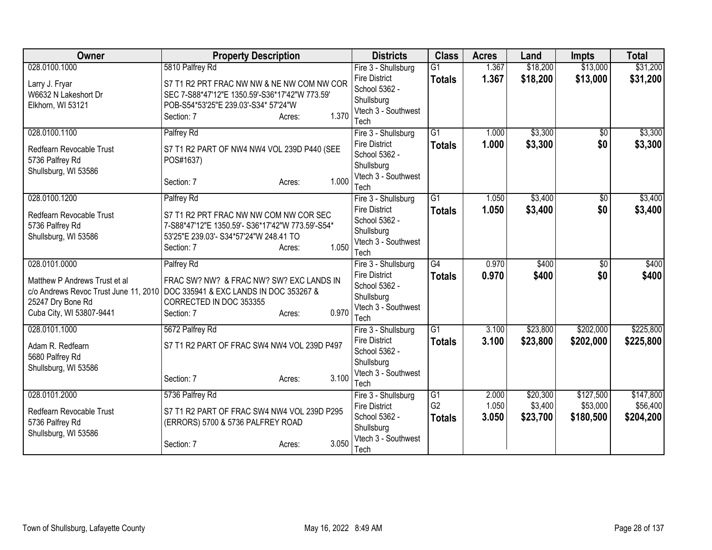| Owner                         | <b>Property Description</b>                                                  | <b>Districts</b>                      | <b>Class</b>    | <b>Acres</b> | Land     | <b>Impts</b>    | <b>Total</b> |
|-------------------------------|------------------------------------------------------------------------------|---------------------------------------|-----------------|--------------|----------|-----------------|--------------|
| 028.0100.1000                 | 5810 Palfrey Rd                                                              | Fire 3 - Shullsburg                   | $\overline{G1}$ | 1.367        | \$18,200 | \$13,000        | \$31,200     |
| Larry J. Fryar                | S7 T1 R2 PRT FRAC NW NW & NE NW COM NW COR                                   | <b>Fire District</b>                  | <b>Totals</b>   | 1.367        | \$18,200 | \$13,000        | \$31,200     |
| W6632 N Lakeshort Dr          | SEC 7-S88*47'12"E 1350.59'-S36*17'42"W 773.59'                               | School 5362 -                         |                 |              |          |                 |              |
| Elkhorn, WI 53121             | POB-S54*53'25"E 239.03'-S34* 57'24"W                                         | Shullsburg                            |                 |              |          |                 |              |
|                               | 1.370<br>Section: 7<br>Acres:                                                | Vtech 3 - Southwest<br>Tech           |                 |              |          |                 |              |
| 028.0100.1100                 | Palfrey Rd                                                                   | Fire 3 - Shullsburg                   | $\overline{G1}$ | 1.000        | \$3,300  | \$0             | \$3,300      |
|                               |                                                                              | <b>Fire District</b>                  | <b>Totals</b>   | 1.000        | \$3,300  | \$0             | \$3,300      |
| Redfearn Revocable Trust      | S7 T1 R2 PART OF NW4 NW4 VOL 239D P440 (SEE                                  | School 5362 -                         |                 |              |          |                 |              |
| 5736 Palfrey Rd               | POS#1637)                                                                    | Shullsburg                            |                 |              |          |                 |              |
| Shullsburg, WI 53586          |                                                                              | Vtech 3 - Southwest                   |                 |              |          |                 |              |
|                               | 1.000<br>Section: 7<br>Acres:                                                | Tech                                  |                 |              |          |                 |              |
| 028.0100.1200                 | Palfrey Rd                                                                   | Fire 3 - Shullsburg                   | $\overline{G1}$ | 1.050        | \$3,400  | \$0             | \$3,400      |
| Redfearn Revocable Trust      | S7 T1 R2 PRT FRAC NW NW COM NW COR SEC                                       | <b>Fire District</b>                  | <b>Totals</b>   | 1.050        | \$3,400  | \$0             | \$3,400      |
| 5736 Palfrey Rd               | 7-S88*47'12"E 1350.59'- S36*17'42"W 773.59'-S54*                             | School 5362 -                         |                 |              |          |                 |              |
| Shullsburg, WI 53586          | 53'25"E 239.03'- S34*57'24"W 248.41 TO                                       | Shullsburg                            |                 |              |          |                 |              |
|                               | 1.050<br>Section: 7<br>Acres:                                                | Vtech 3 - Southwest                   |                 |              |          |                 |              |
|                               |                                                                              | Tech                                  |                 |              |          |                 |              |
| 028.0101.0000                 | Palfrey Rd                                                                   | Fire 3 - Shullsburg                   | $\overline{G4}$ | 0.970        | \$400    | $\overline{30}$ | \$400        |
| Matthew P Andrews Trust et al | FRAC SW? NW? & FRAC NW? SW? EXC LANDS IN                                     | <b>Fire District</b><br>School 5362 - | <b>Totals</b>   | 0.970        | \$400    | \$0             | \$400        |
|                               | c/o Andrews Revoc Trust June 11, 2010 DOC 335941 & EXC LANDS IN DOC 353267 & | Shullsburg                            |                 |              |          |                 |              |
| 25247 Dry Bone Rd             | CORRECTED IN DOC 353355                                                      | Vtech 3 - Southwest                   |                 |              |          |                 |              |
| Cuba City, WI 53807-9441      | 0.970<br>Section: 7<br>Acres:                                                | Tech                                  |                 |              |          |                 |              |
| 028.0101.1000                 | 5672 Palfrey Rd                                                              | Fire 3 - Shullsburg                   | $\overline{G1}$ | 3.100        | \$23,800 | \$202,000       | \$225,800    |
| Adam R. Redfearn              | S7 T1 R2 PART OF FRAC SW4 NW4 VOL 239D P497                                  | <b>Fire District</b>                  | <b>Totals</b>   | 3.100        | \$23,800 | \$202,000       | \$225,800    |
| 5680 Palfrey Rd               |                                                                              | School 5362 -                         |                 |              |          |                 |              |
| Shullsburg, WI 53586          |                                                                              | Shullsburg                            |                 |              |          |                 |              |
|                               | 3.100<br>Section: 7<br>Acres:                                                | Vtech 3 - Southwest                   |                 |              |          |                 |              |
|                               |                                                                              | Tech                                  |                 |              |          |                 |              |
| 028.0101.2000                 | 5736 Palfrey Rd                                                              | Fire 3 - Shullsburg                   | G <sub>1</sub>  | 2.000        | \$20,300 | \$127,500       | \$147,800    |
| Redfearn Revocable Trust      | S7 T1 R2 PART OF FRAC SW4 NW4 VOL 239D P295                                  | <b>Fire District</b>                  | G <sub>2</sub>  | 1.050        | \$3,400  | \$53,000        | \$56,400     |
| 5736 Palfrey Rd               | (ERRORS) 5700 & 5736 PALFREY ROAD                                            | School 5362 -<br>Shullsburg           | <b>Totals</b>   | 3.050        | \$23,700 | \$180,500       | \$204,200    |
| Shullsburg, WI 53586          |                                                                              | Vtech 3 - Southwest                   |                 |              |          |                 |              |
|                               | 3.050<br>Section: 7<br>Acres:                                                | Tech                                  |                 |              |          |                 |              |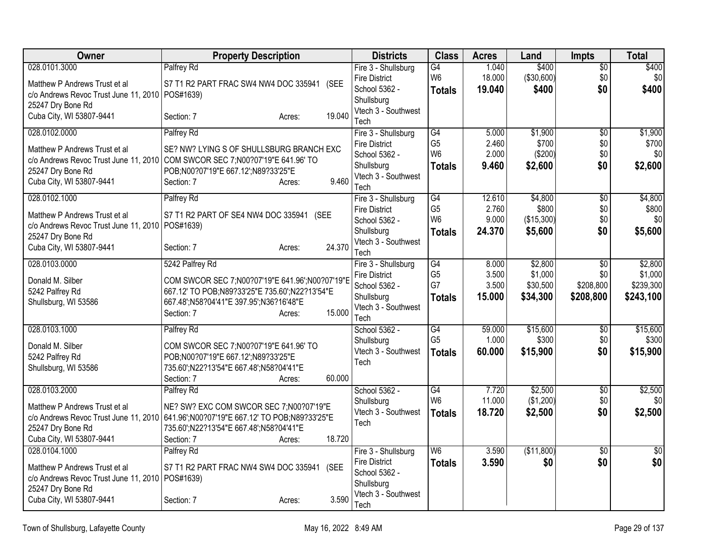| Owner                                                                  | <b>Property Description</b>                                                            | <b>Districts</b>                  | <b>Class</b>         | <b>Acres</b>    | Land                 | <b>Impts</b>           | Total           |
|------------------------------------------------------------------------|----------------------------------------------------------------------------------------|-----------------------------------|----------------------|-----------------|----------------------|------------------------|-----------------|
| 028.0101.3000                                                          | Palfrey Rd                                                                             | Fire 3 - Shullsburg               | G4                   | 1.040           | \$400                | $\sqrt{6}$             | \$400           |
| Matthew P Andrews Trust et al                                          | S7 T1 R2 PART FRAC SW4 NW4 DOC 335941 (SEE                                             | <b>Fire District</b>              | W <sub>6</sub>       | 18.000          | (\$30,600)           | \$0                    | \$0             |
| c/o Andrews Revoc Trust June 11, 2010   POS#1639)                      |                                                                                        | School 5362 -<br>Shullsburg       | <b>Totals</b>        | 19.040          | \$400                | \$0                    | \$400           |
| 25247 Dry Bone Rd                                                      |                                                                                        | Vtech 3 - Southwest               |                      |                 |                      |                        |                 |
| Cuba City, WI 53807-9441                                               | 19.040<br>Section: 7<br>Acres:                                                         | Tech                              |                      |                 |                      |                        |                 |
| 028.0102.0000                                                          | Palfrey Rd                                                                             | Fire 3 - Shullsburg               | G4                   | 5.000           | \$1,900              | $\overline{50}$        | \$1,900         |
| Matthew P Andrews Trust et al                                          | SE? NW? LYING S OF SHULLSBURG BRANCH EXC                                               | <b>Fire District</b>              | G <sub>5</sub>       | 2.460           | \$700                | \$0                    | \$700           |
|                                                                        | c/o Andrews Revoc Trust June 11, 2010 COM SWCOR SEC 7; N00?07'19"E 641.96' TO          | School 5362 -                     | W <sub>6</sub>       | 2.000           | (\$200)              | \$0                    | \$0             |
| 25247 Dry Bone Rd                                                      | POB;N00?07'19"E 667.12';N89?33'25"E                                                    | Shullsburg<br>Vtech 3 - Southwest | <b>Totals</b>        | 9.460           | \$2,600              | \$0                    | \$2,600         |
| Cuba City, WI 53807-9441                                               | 9.460<br>Section: 7<br>Acres:                                                          | Tech                              |                      |                 |                      |                        |                 |
| 028.0102.1000                                                          | Palfrey Rd                                                                             | Fire 3 - Shullsburg               | G4                   | 12.610          | \$4,800              | \$0                    | \$4,800         |
| Matthew P Andrews Trust et al                                          | S7 T1 R2 PART OF SE4 NW4 DOC 335941 (SEE                                               | <b>Fire District</b>              | G <sub>5</sub>       | 2.760           | \$800                | \$0                    | \$800           |
| c/o Andrews Revoc Trust June 11, 2010   POS#1639)                      |                                                                                        | School 5362 -                     | W <sub>6</sub>       | 9.000           | (\$15,300)           | \$0                    | \$0             |
| 25247 Dry Bone Rd                                                      |                                                                                        | Shullsburg                        | <b>Totals</b>        | 24.370          | \$5,600              | \$0                    | \$5,600         |
| Cuba City, WI 53807-9441                                               | 24.370<br>Section: 7<br>Acres:                                                         | Vtech 3 - Southwest<br>Tech       |                      |                 |                      |                        |                 |
| 028.0103.0000                                                          | 5242 Palfrey Rd                                                                        | Fire 3 - Shullsburg               | G4                   | 8.000           | \$2,800              | $\overline{50}$        | \$2,800         |
| Donald M. Silber                                                       | COM SWCOR SEC 7; N00?07'19"E 641.96'; N00?07'19"E                                      | <b>Fire District</b>              | G <sub>5</sub>       | 3.500           | \$1,000              | \$0                    | \$1,000         |
| 5242 Palfrey Rd                                                        | 667.12' TO POB;N89?33'25"E 735.60';N22?13'54"E                                         | School 5362 -                     | G7                   | 3.500           | \$30,500             | \$208,800              | \$239,300       |
| Shullsburg, WI 53586                                                   | 667.48';N58?04'41"E 397.95';N36?16'48"E                                                | Shullsburg<br>Vtech 3 - Southwest | <b>Totals</b>        | 15.000          | \$34,300             | \$208,800              | \$243,100       |
|                                                                        | 15.000<br>Section: 7<br>Acres:                                                         | Tech                              |                      |                 |                      |                        |                 |
| 028.0103.1000                                                          | Palfrey Rd                                                                             | School 5362 -                     | G4                   | 59.000          | \$15,600             | $\overline{50}$        | \$15,600        |
| Donald M. Silber                                                       | COM SWCOR SEC 7; N00?07'19"E 641.96' TO                                                | Shullsburg                        | G <sub>5</sub>       | 1.000           | \$300                | \$0                    | \$300           |
| 5242 Palfrey Rd                                                        | POB;N00?07'19"E 667.12';N89?33'25"E                                                    | Vtech 3 - Southwest<br>Tech       | <b>Totals</b>        | 60.000          | \$15,900             | \$0                    | \$15,900        |
| Shullsburg, WI 53586                                                   | 735.60';N22?13'54"E 667.48';N58?04'41"E                                                |                                   |                      |                 |                      |                        |                 |
|                                                                        | 60.000<br>Section: 7<br>Acres:                                                         |                                   |                      |                 |                      |                        |                 |
| 028.0103.2000                                                          | Palfrey Rd                                                                             | School 5362 -<br>Shullsburg       | G4<br>W <sub>6</sub> | 7.720<br>11.000 | \$2,500<br>(\$1,200) | $\overline{50}$<br>\$0 | \$2,500<br>\$0  |
| Matthew P Andrews Trust et al                                          | NE? SW? EXC COM SWCOR SEC 7;N00?07'19"E                                                | Vtech 3 - Southwest               | <b>Totals</b>        | 18.720          | \$2,500              | \$0                    | \$2,500         |
|                                                                        | c/o Andrews Revoc Trust June 11, 2010 641.96'; N00?07'19"E 667.12' TO POB; N89?33'25"E | Tech                              |                      |                 |                      |                        |                 |
| 25247 Dry Bone Rd<br>Cuba City, WI 53807-9441                          | 735.60';N22?13'54"E 667.48';N58?04'41"E<br>18.720<br>Section: 7                        |                                   |                      |                 |                      |                        |                 |
| 028.0104.1000                                                          | Acres:<br>Palfrey Rd                                                                   | Fire 3 - Shullsburg               | W <sub>6</sub>       | 3.590           | (\$11,800)           | \$0                    | $\overline{50}$ |
|                                                                        |                                                                                        | <b>Fire District</b>              | <b>Totals</b>        | 3.590           | \$0                  | \$0                    | \$0             |
| Matthew P Andrews Trust et al                                          | S7 T1 R2 PART FRAC NW4 SW4 DOC 335941 (SEE                                             | School 5362 -                     |                      |                 |                      |                        |                 |
| c/o Andrews Revoc Trust June 11, 2010   POS#1639)<br>25247 Dry Bone Rd |                                                                                        | Shullsburg                        |                      |                 |                      |                        |                 |
| Cuba City, WI 53807-9441                                               | 3.590<br>Section: 7<br>Acres:                                                          | Vtech 3 - Southwest               |                      |                 |                      |                        |                 |
|                                                                        |                                                                                        | Tech                              |                      |                 |                      |                        |                 |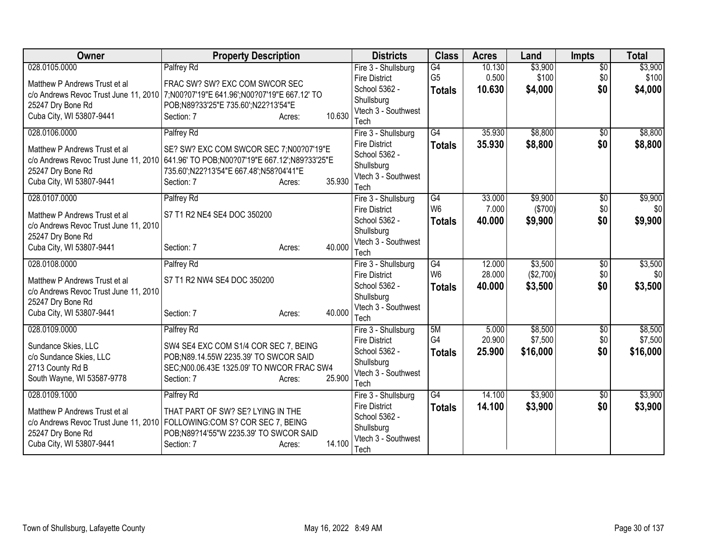| Owner                                                                                  | <b>Property Description</b>                             |        |        | <b>Districts</b>                            | <b>Class</b>    | <b>Acres</b>    | Land               | <b>Impts</b>    | <b>Total</b>       |
|----------------------------------------------------------------------------------------|---------------------------------------------------------|--------|--------|---------------------------------------------|-----------------|-----------------|--------------------|-----------------|--------------------|
| 028.0105.0000                                                                          | Palfrey Rd                                              |        |        | Fire 3 - Shullsburg                         | $\overline{G4}$ | 10.130          | \$3,900            | $\overline{50}$ | \$3,900            |
| Matthew P Andrews Trust et al                                                          | FRAC SW? SW? EXC COM SWCOR SEC                          |        |        | <b>Fire District</b>                        | G <sub>5</sub>  | 0.500           | \$100              | \$0             | \$100              |
| c/o Andrews Revoc Trust June 11, 2010 7; N00?07'19"E 641.96'; N00?07'19"E 667.12' TO   |                                                         |        |        | School 5362 -<br>Shullsburg                 | <b>Totals</b>   | 10.630          | \$4,000            | \$0             | \$4,000            |
| 25247 Dry Bone Rd                                                                      | POB;N89?33'25"E 735.60';N22?13'54"E                     |        |        | Vtech 3 - Southwest                         |                 |                 |                    |                 |                    |
| Cuba City, WI 53807-9441                                                               | Section: 7                                              | Acres: | 10.630 | Tech                                        |                 |                 |                    |                 |                    |
| 028.0106.0000                                                                          | Palfrey Rd                                              |        |        | Fire 3 - Shullsburg                         | $\overline{G4}$ | 35.930          | \$8,800            | \$0             | \$8,800            |
| Matthew P Andrews Trust et al                                                          | SE? SW? EXC COM SWCOR SEC 7;N00?07'19"E                 |        |        | <b>Fire District</b>                        | <b>Totals</b>   | 35.930          | \$8,800            | \$0             | \$8,800            |
| c/o Andrews Revoc Trust June 11, 2010 641.96' TO POB; N00?07'19"E 667.12'; N89?33'25"E |                                                         |        |        | School 5362 -                               |                 |                 |                    |                 |                    |
| 25247 Dry Bone Rd                                                                      | 735.60';N22?13'54"E 667.48';N58?04'41"E                 |        |        | Shullsburg<br>Vtech 3 - Southwest           |                 |                 |                    |                 |                    |
| Cuba City, WI 53807-9441                                                               | Section: 7                                              | Acres: | 35.930 | Tech                                        |                 |                 |                    |                 |                    |
| 028.0107.0000                                                                          | Palfrey Rd                                              |        |        | Fire 3 - Shullsburg                         | G4              | 33.000          | \$9,900            | \$0             | \$9,900            |
| Matthew P Andrews Trust et al                                                          | S7 T1 R2 NE4 SE4 DOC 350200                             |        |        | <b>Fire District</b>                        | W <sub>6</sub>  | 7.000           | ( \$700)           | \$0             | \$0                |
| c/o Andrews Revoc Trust June 11, 2010                                                  |                                                         |        |        | School 5362 -                               | <b>Totals</b>   | 40.000          | \$9,900            | \$0             | \$9,900            |
| 25247 Dry Bone Rd                                                                      |                                                         |        |        | Shullsburg                                  |                 |                 |                    |                 |                    |
| Cuba City, WI 53807-9441                                                               | Section: 7                                              | Acres: | 40.000 | Vtech 3 - Southwest<br>Tech                 |                 |                 |                    |                 |                    |
| 028.0108.0000                                                                          | Palfrey Rd                                              |        |        | Fire 3 - Shullsburg                         | G4              | 12.000          | \$3,500            | $\overline{50}$ | \$3,500            |
|                                                                                        |                                                         |        |        | <b>Fire District</b>                        | W <sub>6</sub>  | 28.000          | (\$2,700)          | \$0             | \$0                |
| Matthew P Andrews Trust et al<br>c/o Andrews Revoc Trust June 11, 2010                 | S7 T1 R2 NW4 SE4 DOC 350200                             |        |        | School 5362 -                               | <b>Totals</b>   | 40.000          | \$3,500            | \$0             | \$3,500            |
| 25247 Dry Bone Rd                                                                      |                                                         |        |        | Shullsburg                                  |                 |                 |                    |                 |                    |
| Cuba City, WI 53807-9441                                                               | Section: 7                                              | Acres: | 40.000 | Vtech 3 - Southwest                         |                 |                 |                    |                 |                    |
|                                                                                        |                                                         |        |        | Tech                                        | 5M              |                 |                    |                 |                    |
| 028.0109.0000                                                                          | Palfrey Rd                                              |        |        | Fire 3 - Shullsburg<br><b>Fire District</b> | G4              | 5.000<br>20.900 | \$8,500<br>\$7,500 | \$0<br>\$0      | \$8,500<br>\$7,500 |
| Sundance Skies, LLC                                                                    | SW4 SE4 EXC COM S1/4 COR SEC 7, BEING                   |        |        | School 5362 -                               | <b>Totals</b>   | 25.900          | \$16,000           | \$0             | \$16,000           |
| c/o Sundance Skies, LLC                                                                | POB;N89.14.55W 2235.39' TO SWCOR SAID                   |        |        | Shullsburg                                  |                 |                 |                    |                 |                    |
| 2713 County Rd B<br>South Wayne, WI 53587-9778                                         | SEC;N00.06.43E 1325.09' TO NWCOR FRAC SW4<br>Section: 7 | Acres: | 25.900 | Vtech 3 - Southwest                         |                 |                 |                    |                 |                    |
|                                                                                        |                                                         |        |        | Tech                                        |                 |                 |                    |                 |                    |
| 028.0109.1000                                                                          | Palfrey Rd                                              |        |        | Fire 3 - Shullsburg                         | G4              | 14.100          | \$3,900            | \$0             | \$3,900            |
| Matthew P Andrews Trust et al                                                          | THAT PART OF SW? SE? LYING IN THE                       |        |        | <b>Fire District</b><br>School 5362 -       | <b>Totals</b>   | 14.100          | \$3,900            | \$0             | \$3,900            |
| c/o Andrews Revoc Trust June 11, 2010 FOLLOWING:COM S? COR SEC 7, BEING                |                                                         |        |        | Shullsburg                                  |                 |                 |                    |                 |                    |
| 25247 Dry Bone Rd                                                                      | POB;N89?14'55"W 2235.39' TO SWCOR SAID                  |        | 14.100 | Vtech 3 - Southwest                         |                 |                 |                    |                 |                    |
| Cuba City, WI 53807-9441                                                               | Section: 7                                              | Acres: |        | Tech                                        |                 |                 |                    |                 |                    |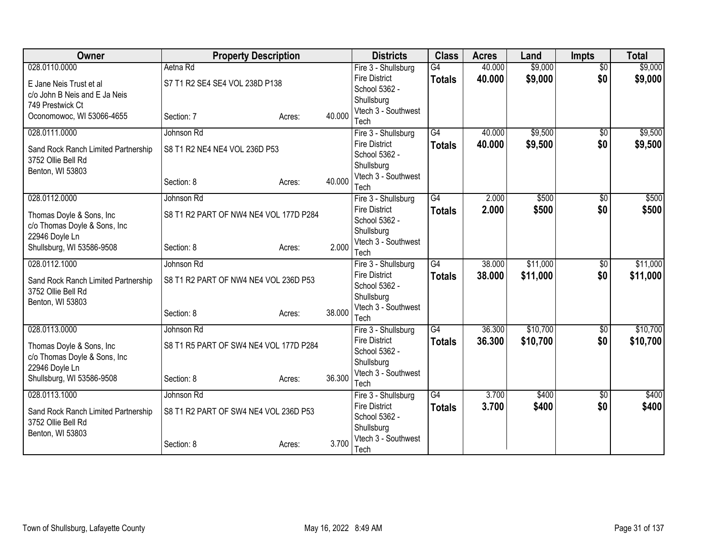| Owner                                                     | <b>Property Description</b>            |        |        | <b>Districts</b>                            | <b>Class</b>    | <b>Acres</b> | Land     | <b>Impts</b>    | <b>Total</b> |
|-----------------------------------------------------------|----------------------------------------|--------|--------|---------------------------------------------|-----------------|--------------|----------|-----------------|--------------|
| 028.0110.0000                                             | Aetna Rd                               |        |        | Fire 3 - Shullsburg                         | $\overline{G4}$ | 40.000       | \$9,000  | $\overline{50}$ | \$9,000      |
| E Jane Neis Trust et al                                   | S7 T1 R2 SE4 SE4 VOL 238D P138         |        |        | <b>Fire District</b>                        | <b>Totals</b>   | 40.000       | \$9,000  | \$0             | \$9,000      |
| c/o John B Neis and E Ja Neis                             |                                        |        |        | School 5362 -                               |                 |              |          |                 |              |
| 749 Prestwick Ct                                          |                                        |        |        | Shullsburg<br>Vtech 3 - Southwest           |                 |              |          |                 |              |
| Oconomowoc, WI 53066-4655                                 | Section: 7                             | Acres: | 40.000 | Tech                                        |                 |              |          |                 |              |
| 028.0111.0000                                             | Johnson Rd                             |        |        | Fire 3 - Shullsburg                         | $\overline{G4}$ | 40.000       | \$9,500  | $\overline{50}$ | \$9,500      |
|                                                           |                                        |        |        | <b>Fire District</b>                        | <b>Totals</b>   | 40.000       | \$9,500  | \$0             | \$9,500      |
| Sand Rock Ranch Limited Partnership<br>3752 Ollie Bell Rd | S8 T1 R2 NE4 NE4 VOL 236D P53          |        |        | School 5362 -                               |                 |              |          |                 |              |
| Benton, WI 53803                                          |                                        |        |        | Shullsburg                                  |                 |              |          |                 |              |
|                                                           | Section: 8                             | Acres: | 40.000 | Vtech 3 - Southwest                         |                 |              |          |                 |              |
|                                                           |                                        |        |        | Tech                                        |                 |              |          |                 |              |
| 028.0112.0000                                             | Johnson Rd                             |        |        | Fire 3 - Shullsburg<br><b>Fire District</b> | $\overline{G4}$ | 2.000        | \$500    | \$0             | \$500        |
| Thomas Doyle & Sons, Inc.                                 | S8 T1 R2 PART OF NW4 NE4 VOL 177D P284 |        |        | School 5362 -                               | <b>Totals</b>   | 2.000        | \$500    | \$0             | \$500        |
| c/o Thomas Doyle & Sons, Inc                              |                                        |        |        | Shullsburg                                  |                 |              |          |                 |              |
| 22946 Doyle Ln                                            |                                        |        |        | Vtech 3 - Southwest                         |                 |              |          |                 |              |
| Shullsburg, WI 53586-9508                                 | Section: 8                             | Acres: | 2.000  | Tech                                        |                 |              |          |                 |              |
| 028.0112.1000                                             | Johnson Rd                             |        |        | Fire 3 - Shullsburg                         | $\overline{G4}$ | 38.000       | \$11,000 | $\sqrt{$0}$     | \$11,000     |
| Sand Rock Ranch Limited Partnership                       | S8 T1 R2 PART OF NW4 NE4 VOL 236D P53  |        |        | <b>Fire District</b>                        | <b>Totals</b>   | 38,000       | \$11,000 | \$0             | \$11,000     |
| 3752 Ollie Bell Rd                                        |                                        |        |        | School 5362 -                               |                 |              |          |                 |              |
| Benton, WI 53803                                          |                                        |        |        | Shullsburg                                  |                 |              |          |                 |              |
|                                                           | Section: 8                             | Acres: | 38.000 | Vtech 3 - Southwest<br>Tech                 |                 |              |          |                 |              |
| 028.0113.0000                                             | Johnson Rd                             |        |        | Fire 3 - Shullsburg                         | $\overline{G4}$ | 36.300       | \$10,700 | $\sqrt{$0}$     | \$10,700     |
|                                                           |                                        |        |        | <b>Fire District</b>                        | <b>Totals</b>   | 36.300       | \$10,700 | \$0             | \$10,700     |
| Thomas Doyle & Sons, Inc                                  | S8 T1 R5 PART OF SW4 NE4 VOL 177D P284 |        |        | School 5362 -                               |                 |              |          |                 |              |
| c/o Thomas Doyle & Sons, Inc<br>22946 Doyle Ln            |                                        |        |        | Shullsburg                                  |                 |              |          |                 |              |
| Shullsburg, WI 53586-9508                                 | Section: 8                             | Acres: | 36.300 | Vtech 3 - Southwest                         |                 |              |          |                 |              |
|                                                           |                                        |        |        | Tech                                        |                 |              |          |                 |              |
| 028.0113.1000                                             | Johnson Rd                             |        |        | Fire 3 - Shullsburg                         | $\overline{G4}$ | 3.700        | \$400    | \$0             | \$400        |
| Sand Rock Ranch Limited Partnership                       | S8 T1 R2 PART OF SW4 NE4 VOL 236D P53  |        |        | <b>Fire District</b><br>School 5362 -       | <b>Totals</b>   | 3.700        | \$400    | \$0             | \$400        |
| 3752 Ollie Bell Rd                                        |                                        |        |        | Shullsburg                                  |                 |              |          |                 |              |
| Benton, WI 53803                                          |                                        |        |        | Vtech 3 - Southwest                         |                 |              |          |                 |              |
|                                                           | Section: 8                             | Acres: | 3.700  | Tech                                        |                 |              |          |                 |              |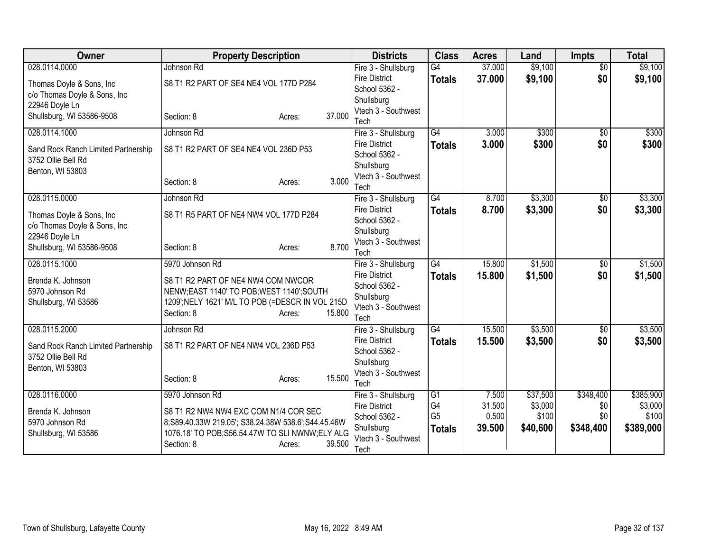| <b>Owner</b>                                              | <b>Property Description</b>                        |        | <b>Districts</b>                      | <b>Class</b>                     | <b>Acres</b>    | Land             | <b>Impts</b>    | <b>Total</b>     |
|-----------------------------------------------------------|----------------------------------------------------|--------|---------------------------------------|----------------------------------|-----------------|------------------|-----------------|------------------|
| 028.0114.0000                                             | Johnson Rd                                         |        | Fire 3 - Shullsburg                   | $\overline{G4}$                  | 37.000          | \$9,100          | $\overline{50}$ | \$9,100          |
| Thomas Doyle & Sons, Inc                                  | S8 T1 R2 PART OF SE4 NE4 VOL 177D P284             |        | <b>Fire District</b>                  | <b>Totals</b>                    | 37.000          | \$9,100          | \$0             | \$9,100          |
| c/o Thomas Doyle & Sons, Inc                              |                                                    |        | School 5362 -                         |                                  |                 |                  |                 |                  |
| 22946 Doyle Ln                                            |                                                    |        | Shullsburg<br>Vtech 3 - Southwest     |                                  |                 |                  |                 |                  |
| Shullsburg, WI 53586-9508                                 | Section: 8<br>Acres:                               | 37,000 | Tech                                  |                                  |                 |                  |                 |                  |
| 028.0114.1000                                             | Johnson Rd                                         |        | Fire 3 - Shullsburg                   | $\overline{G4}$                  | 3.000           | \$300            | $\overline{50}$ | \$300            |
|                                                           |                                                    |        | <b>Fire District</b>                  | <b>Totals</b>                    | 3.000           | \$300            | \$0             | \$300            |
| Sand Rock Ranch Limited Partnership<br>3752 Ollie Bell Rd | S8 T1 R2 PART OF SE4 NE4 VOL 236D P53              |        | School 5362 -                         |                                  |                 |                  |                 |                  |
| Benton, WI 53803                                          |                                                    |        | Shullsburg                            |                                  |                 |                  |                 |                  |
|                                                           | Section: 8<br>Acres:                               | 3.000  | Vtech 3 - Southwest                   |                                  |                 |                  |                 |                  |
|                                                           |                                                    |        | Tech                                  |                                  |                 |                  |                 |                  |
| 028.0115.0000                                             | Johnson Rd                                         |        | Fire 3 - Shullsburg                   | $\overline{G4}$                  | 8.700           | \$3,300          | \$0             | \$3,300          |
| Thomas Doyle & Sons, Inc.                                 | S8 T1 R5 PART OF NE4 NW4 VOL 177D P284             |        | <b>Fire District</b><br>School 5362 - | <b>Totals</b>                    | 8.700           | \$3,300          | \$0             | \$3,300          |
| c/o Thomas Doyle & Sons, Inc                              |                                                    |        | Shullsburg                            |                                  |                 |                  |                 |                  |
| 22946 Doyle Ln                                            |                                                    |        | Vtech 3 - Southwest                   |                                  |                 |                  |                 |                  |
| Shullsburg, WI 53586-9508                                 | Section: 8<br>Acres:                               | 8.700  | Tech                                  |                                  |                 |                  |                 |                  |
| 028.0115.1000                                             | 5970 Johnson Rd                                    |        | Fire 3 - Shullsburg                   | $\overline{G4}$                  | 15.800          | \$1,500          | $\overline{50}$ | \$1,500          |
| Brenda K. Johnson                                         | S8 T1 R2 PART OF NE4 NW4 COM NWCOR                 |        | <b>Fire District</b>                  | <b>Totals</b>                    | 15.800          | \$1,500          | \$0             | \$1,500          |
| 5970 Johnson Rd                                           | NENW;EAST 1140' TO POB;WEST 1140';SOUTH            |        | School 5362 -                         |                                  |                 |                  |                 |                  |
| Shullsburg, WI 53586                                      | 1209'; NELY 1621' M/L TO POB (=DESCR IN VOL 215D   |        | Shullsburg                            |                                  |                 |                  |                 |                  |
|                                                           | Section: 8<br>Acres:                               | 15.800 | Vtech 3 - Southwest<br>Tech           |                                  |                 |                  |                 |                  |
| 028.0115.2000                                             | Johnson Rd                                         |        | Fire 3 - Shullsburg                   | $\overline{G4}$                  | 15.500          | \$3,500          | $\overline{50}$ | \$3,500          |
|                                                           |                                                    |        | <b>Fire District</b>                  | <b>Totals</b>                    | 15.500          | \$3,500          | \$0             | \$3,500          |
| Sand Rock Ranch Limited Partnership                       | S8 T1 R2 PART OF NE4 NW4 VOL 236D P53              |        | School 5362 -                         |                                  |                 |                  |                 |                  |
| 3752 Ollie Bell Rd                                        |                                                    |        | Shullsburg                            |                                  |                 |                  |                 |                  |
| Benton, WI 53803                                          | Section: 8<br>Acres:                               | 15.500 | Vtech 3 - Southwest                   |                                  |                 |                  |                 |                  |
|                                                           |                                                    |        | Tech                                  |                                  |                 |                  |                 |                  |
| 028.0116.0000                                             | 5970 Johnson Rd                                    |        | Fire 3 - Shullsburg                   | G1                               | 7.500           | \$37,500         | \$348,400       | \$385,900        |
| Brenda K. Johnson                                         | S8 T1 R2 NW4 NW4 EXC COM N1/4 COR SEC              |        | <b>Fire District</b>                  | G <sub>4</sub><br>G <sub>5</sub> | 31.500<br>0.500 | \$3,000<br>\$100 | \$0<br>\$0      | \$3,000<br>\$100 |
| 5970 Johnson Rd                                           | 8;S89.40.33W 219.05'; S38.24.38W 538.6';S44.45.46W |        | School 5362 -<br>Shullsburg           |                                  | 39.500          | \$40,600         | \$348,400       | \$389,000        |
| Shullsburg, WI 53586                                      | 1076.18' TO POB; S56.54.47W TO SLI NWNW; ELY ALG   |        | Vtech 3 - Southwest                   | <b>Totals</b>                    |                 |                  |                 |                  |
|                                                           | Section: 8<br>Acres:                               | 39.500 | Tech                                  |                                  |                 |                  |                 |                  |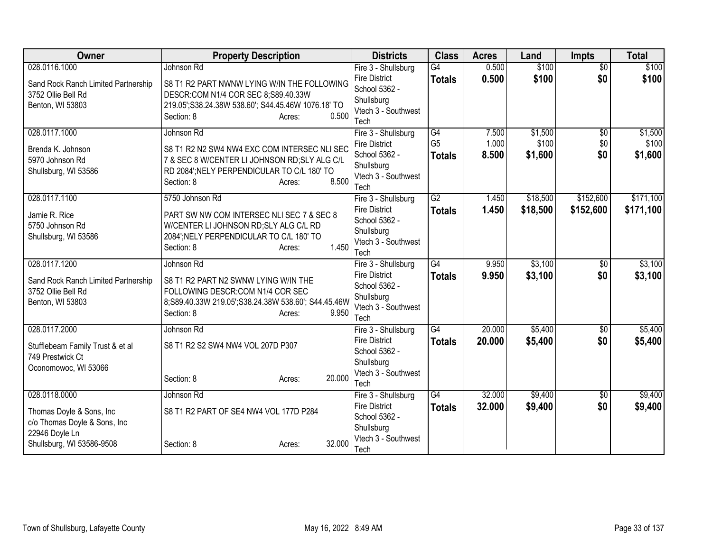| Owner                                                     | <b>Property Description</b>                         | <b>Districts</b>                  | <b>Class</b>    | <b>Acres</b> | Land     | <b>Impts</b>    | <b>Total</b> |
|-----------------------------------------------------------|-----------------------------------------------------|-----------------------------------|-----------------|--------------|----------|-----------------|--------------|
| 028.0116.1000                                             | Johnson Rd                                          | Fire 3 - Shullsburg               | $\overline{G4}$ | 0.500        | \$100    | $\overline{50}$ | \$100        |
| Sand Rock Ranch Limited Partnership                       | S8 T1 R2 PART NWNW LYING W/IN THE FOLLOWING         | <b>Fire District</b>              | <b>Totals</b>   | 0.500        | \$100    | \$0             | \$100        |
| 3752 Ollie Bell Rd                                        | DESCR:COM N1/4 COR SEC 8;S89.40.33W                 | School 5362 -<br>Shullsburg       |                 |              |          |                 |              |
| Benton, WI 53803                                          | 219.05'; S38.24.38W 538.60'; S44.45.46W 1076.18' TO | Vtech 3 - Southwest               |                 |              |          |                 |              |
|                                                           | 0.500<br>Section: 8<br>Acres:                       | Tech                              |                 |              |          |                 |              |
| 028.0117.1000                                             | Johnson Rd                                          | Fire 3 - Shullsburg               | G4              | 7.500        | \$1,500  | $\overline{50}$ | \$1,500      |
| Brenda K. Johnson                                         | S8 T1 R2 N2 SW4 NW4 EXC COM INTERSEC NLI SEC        | <b>Fire District</b>              | G <sub>5</sub>  | 1.000        | \$100    | \$0             | \$100        |
| 5970 Johnson Rd                                           | 7 & SEC 8 W/CENTER LI JOHNSON RD; SLY ALG C/L       | School 5362 -                     | <b>Totals</b>   | 8.500        | \$1,600  | \$0             | \$1,600      |
| Shullsburg, WI 53586                                      | RD 2084'; NELY PERPENDICULAR TO C/L 180' TO         | Shullsburg<br>Vtech 3 - Southwest |                 |              |          |                 |              |
|                                                           | 8.500<br>Section: 8<br>Acres:                       | Tech                              |                 |              |          |                 |              |
| 028.0117.1100                                             | 5750 Johnson Rd                                     | Fire 3 - Shullsburg               | $\overline{G2}$ | 1.450        | \$18,500 | \$152,600       | \$171,100    |
| Jamie R. Rice                                             | PART SW NW COM INTERSEC NLI SEC 7 & SEC 8           | <b>Fire District</b>              | <b>Totals</b>   | 1.450        | \$18,500 | \$152,600       | \$171,100    |
| 5750 Johnson Rd                                           | W/CENTER LI JOHNSON RD; SLY ALG C/L RD              | School 5362 -                     |                 |              |          |                 |              |
| Shullsburg, WI 53586                                      | 2084'; NELY PERPENDICULAR TO C/L 180' TO            | Shullsburg<br>Vtech 3 - Southwest |                 |              |          |                 |              |
|                                                           | 1.450<br>Section: 8<br>Acres:                       | Tech                              |                 |              |          |                 |              |
| 028.0117.1200                                             | Johnson Rd                                          | Fire 3 - Shullsburg               | $\overline{G4}$ | 9.950        | \$3,100  | $\overline{50}$ | \$3,100      |
| Sand Rock Ranch Limited Partnership                       | S8 T1 R2 PART N2 SWNW LYING W/IN THE                | <b>Fire District</b>              | <b>Totals</b>   | 9.950        | \$3,100  | \$0             | \$3,100      |
| 3752 Ollie Bell Rd                                        | FOLLOWING DESCR:COM N1/4 COR SEC                    | School 5362 -                     |                 |              |          |                 |              |
| Benton, WI 53803                                          | 8;S89.40.33W 219.05';S38.24.38W 538.60'; S44.45.46W | Shullsburg<br>Vtech 3 - Southwest |                 |              |          |                 |              |
|                                                           | 9.950<br>Section: 8<br>Acres:                       | Tech                              |                 |              |          |                 |              |
| 028.0117.2000                                             | Johnson Rd                                          | Fire 3 - Shullsburg               | $\overline{G4}$ | 20.000       | \$5,400  | \$0             | \$5,400      |
| Stufflebeam Family Trust & et al                          | S8 T1 R2 S2 SW4 NW4 VOL 207D P307                   | <b>Fire District</b>              | <b>Totals</b>   | 20,000       | \$5,400  | \$0             | \$5,400      |
| 749 Prestwick Ct                                          |                                                     | School 5362 -                     |                 |              |          |                 |              |
| Oconomowoc, WI 53066                                      |                                                     | Shullsburg                        |                 |              |          |                 |              |
|                                                           | 20,000<br>Section: 8<br>Acres:                      | Vtech 3 - Southwest<br>Tech       |                 |              |          |                 |              |
| 028.0118.0000                                             | Johnson Rd                                          | Fire 3 - Shullsburg               | $\overline{G4}$ | 32.000       | \$9,400  | \$0             | \$9,400      |
|                                                           | S8 T1 R2 PART OF SE4 NW4 VOL 177D P284              | <b>Fire District</b>              | <b>Totals</b>   | 32.000       | \$9,400  | \$0             | \$9,400      |
| Thomas Doyle & Sons, Inc.<br>c/o Thomas Doyle & Sons, Inc |                                                     | School 5362 -                     |                 |              |          |                 |              |
| 22946 Doyle Ln                                            |                                                     | Shullsburg                        |                 |              |          |                 |              |
| Shullsburg, WI 53586-9508                                 | 32.000<br>Section: 8<br>Acres:                      | Vtech 3 - Southwest               |                 |              |          |                 |              |
|                                                           |                                                     | Tech                              |                 |              |          |                 |              |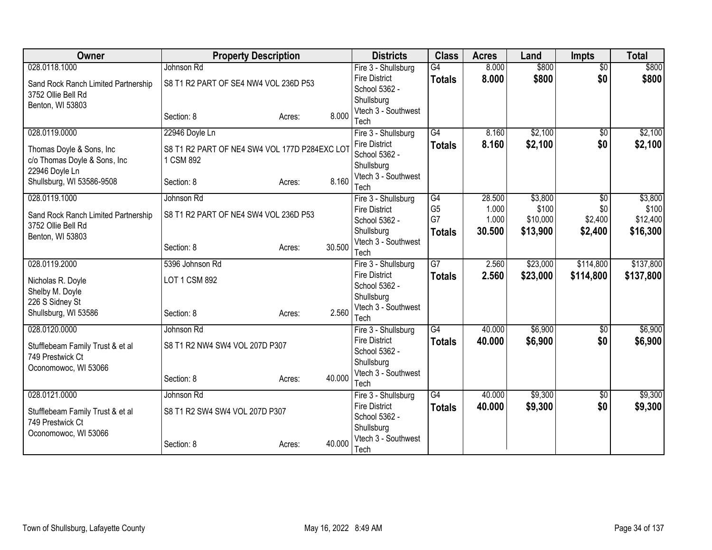| <b>Owner</b>                        | <b>Property Description</b>                   |        |        | <b>Districts</b>                            | <b>Class</b>    | <b>Acres</b> | Land     | <b>Impts</b>    | <b>Total</b> |
|-------------------------------------|-----------------------------------------------|--------|--------|---------------------------------------------|-----------------|--------------|----------|-----------------|--------------|
| 028.0118.1000                       | Johnson Rd                                    |        |        | Fire 3 - Shullsburg                         | G4              | 8.000        | \$800    | $\overline{50}$ | \$800        |
| Sand Rock Ranch Limited Partnership | S8 T1 R2 PART OF SE4 NW4 VOL 236D P53         |        |        | <b>Fire District</b>                        | <b>Totals</b>   | 8.000        | \$800    | \$0             | \$800        |
| 3752 Ollie Bell Rd                  |                                               |        |        | School 5362 -                               |                 |              |          |                 |              |
| Benton, WI 53803                    |                                               |        |        | Shullsburg                                  |                 |              |          |                 |              |
|                                     | Section: 8                                    | Acres: | 8.000  | Vtech 3 - Southwest<br>Tech                 |                 |              |          |                 |              |
| 028.0119.0000                       | 22946 Doyle Ln                                |        |        | Fire 3 - Shullsburg                         | $\overline{G4}$ | 8.160        | \$2,100  | $\overline{50}$ | \$2,100      |
|                                     |                                               |        |        | <b>Fire District</b>                        | <b>Totals</b>   | 8.160        | \$2,100  | \$0             | \$2,100      |
| Thomas Doyle & Sons, Inc            | S8 T1 R2 PART OF NE4 SW4 VOL 177D P284EXC LOT |        |        | School 5362 -                               |                 |              |          |                 |              |
| c/o Thomas Doyle & Sons, Inc        | 1 CSM 892                                     |        |        | Shullsburg                                  |                 |              |          |                 |              |
| 22946 Doyle Ln                      |                                               |        |        | Vtech 3 - Southwest                         |                 |              |          |                 |              |
| Shullsburg, WI 53586-9508           | Section: 8                                    | Acres: | 8.160  | Tech                                        |                 |              |          |                 |              |
| 028.0119.1000                       | Johnson Rd                                    |        |        | Fire 3 - Shullsburg                         | $\overline{G4}$ | 28.500       | \$3,800  | $\overline{50}$ | \$3,800      |
| Sand Rock Ranch Limited Partnership | S8 T1 R2 PART OF NE4 SW4 VOL 236D P53         |        |        | <b>Fire District</b>                        | G <sub>5</sub>  | 1.000        | \$100    | \$0             | \$100        |
| 3752 Ollie Bell Rd                  |                                               |        |        | School 5362 -                               | G7              | 1.000        | \$10,000 | \$2,400         | \$12,400     |
| Benton, WI 53803                    |                                               |        |        | Shullsburg                                  | <b>Totals</b>   | 30.500       | \$13,900 | \$2,400         | \$16,300     |
|                                     | Section: 8                                    | Acres: | 30.500 | Vtech 3 - Southwest<br>Tech                 |                 |              |          |                 |              |
| 028.0119.2000                       | 5396 Johnson Rd                               |        |        | Fire 3 - Shullsburg                         | $\overline{G7}$ | 2.560        | \$23,000 | \$114,800       | \$137,800    |
|                                     |                                               |        |        | <b>Fire District</b>                        |                 | 2.560        | \$23,000 | \$114,800       | \$137,800    |
| Nicholas R. Doyle                   | LOT 1 CSM 892                                 |        |        | School 5362 -                               | <b>Totals</b>   |              |          |                 |              |
| Shelby M. Doyle                     |                                               |        |        | Shullsburg                                  |                 |              |          |                 |              |
| 226 S Sidney St                     |                                               |        |        | Vtech 3 - Southwest                         |                 |              |          |                 |              |
| Shullsburg, WI 53586                | Section: 8                                    | Acres: | 2.560  | Tech                                        |                 |              |          |                 |              |
| 028.0120.0000                       | Johnson Rd                                    |        |        | Fire 3 - Shullsburg                         | $\overline{G4}$ | 40.000       | \$6,900  | $\overline{50}$ | \$6,900      |
| Stufflebeam Family Trust & et al    | S8 T1 R2 NW4 SW4 VOL 207D P307                |        |        | <b>Fire District</b>                        | <b>Totals</b>   | 40.000       | \$6,900  | \$0             | \$6,900      |
| 749 Prestwick Ct                    |                                               |        |        | School 5362 -                               |                 |              |          |                 |              |
| Oconomowoc, WI 53066                |                                               |        |        | Shullsburg                                  |                 |              |          |                 |              |
|                                     | Section: 8                                    | Acres: | 40.000 | Vtech 3 - Southwest                         |                 |              |          |                 |              |
| 028.0121.0000                       | Johnson Rd                                    |        |        | Tech                                        | $\overline{G4}$ | 40.000       | \$9,300  |                 | \$9,300      |
|                                     |                                               |        |        | Fire 3 - Shullsburg<br><b>Fire District</b> |                 | 40,000       | \$9,300  | \$0<br>\$0      | \$9,300      |
| Stufflebeam Family Trust & et al    | S8 T1 R2 SW4 SW4 VOL 207D P307                |        |        | School 5362 -                               | <b>Totals</b>   |              |          |                 |              |
| 749 Prestwick Ct                    |                                               |        |        | Shullsburg                                  |                 |              |          |                 |              |
| Oconomowoc, WI 53066                |                                               |        |        | Vtech 3 - Southwest                         |                 |              |          |                 |              |
|                                     | Section: 8                                    | Acres: | 40.000 | Tech                                        |                 |              |          |                 |              |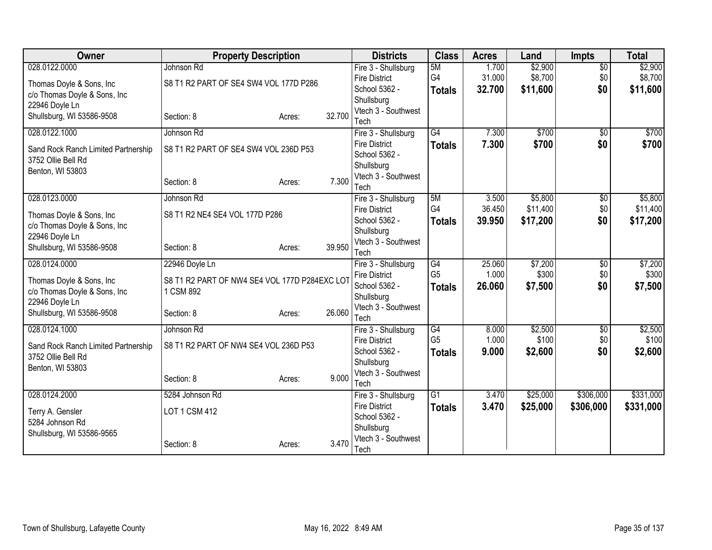| <b>Owner</b>                        | <b>Property Description</b>                   |        |        | <b>Districts</b>                            | <b>Class</b>    | <b>Acres</b> | Land                 | <b>Impts</b>           | <b>Total</b> |
|-------------------------------------|-----------------------------------------------|--------|--------|---------------------------------------------|-----------------|--------------|----------------------|------------------------|--------------|
| 028.0122.0000                       | Johnson Rd                                    |        |        | Fire 3 - Shullsburg                         | 5M              | 1.700        | \$2,900              | $\overline{50}$        | \$2,900      |
| Thomas Doyle & Sons, Inc            | S8 T1 R2 PART OF SE4 SW4 VOL 177D P286        |        |        | <b>Fire District</b>                        | G4              | 31.000       | \$8,700              | \$0                    | \$8,700      |
| c/o Thomas Doyle & Sons, Inc        |                                               |        |        | School 5362 -                               | <b>Totals</b>   | 32.700       | \$11,600             | \$0                    | \$11,600     |
| 22946 Doyle Ln                      |                                               |        |        | Shullsburg                                  |                 |              |                      |                        |              |
| Shullsburg, WI 53586-9508           | Section: 8                                    | Acres: | 32.700 | Vtech 3 - Southwest<br>Tech                 |                 |              |                      |                        |              |
| 028.0122.1000                       | Johnson Rd                                    |        |        | Fire 3 - Shullsburg                         | $\overline{G4}$ | 7.300        | \$700                | $\overline{50}$        | \$700        |
|                                     |                                               |        |        | <b>Fire District</b>                        | <b>Totals</b>   | 7.300        | \$700                | \$0                    | \$700        |
| Sand Rock Ranch Limited Partnership | S8 T1 R2 PART OF SE4 SW4 VOL 236D P53         |        |        | School 5362 -                               |                 |              |                      |                        |              |
| 3752 Ollie Bell Rd                  |                                               |        |        | Shullsburg                                  |                 |              |                      |                        |              |
| Benton, WI 53803                    |                                               |        |        | Vtech 3 - Southwest                         |                 |              |                      |                        |              |
|                                     | Section: 8                                    | Acres: | 7.300  | Tech                                        |                 |              |                      |                        |              |
| 028.0123.0000                       | Johnson Rd                                    |        |        | Fire 3 - Shullsburg                         | 5M              | 3.500        | \$5,800              | \$0                    | \$5,800      |
| Thomas Doyle & Sons, Inc.           | S8 T1 R2 NE4 SE4 VOL 177D P286                |        |        | <b>Fire District</b>                        | G4              | 36.450       | \$11,400             | \$0                    | \$11,400     |
| c/o Thomas Doyle & Sons, Inc        |                                               |        |        | School 5362 -                               | <b>Totals</b>   | 39.950       | \$17,200             | \$0                    | \$17,200     |
| 22946 Doyle Ln                      |                                               |        |        | Shullsburg                                  |                 |              |                      |                        |              |
| Shullsburg, WI 53586-9508           | Section: 8                                    | Acres: | 39.950 | Vtech 3 - Southwest                         |                 |              |                      |                        |              |
| 028.0124.0000                       |                                               |        |        | Tech                                        | G4              | 25.060       | \$7,200              |                        | \$7,200      |
|                                     | 22946 Doyle Ln                                |        |        | Fire 3 - Shullsburg<br><b>Fire District</b> | G <sub>5</sub>  | 1.000        | \$300                | $\overline{50}$<br>\$0 | \$300        |
| Thomas Doyle & Sons, Inc.           | S8 T1 R2 PART OF NW4 SE4 VOL 177D P284EXC LOT |        |        | School 5362 -                               | <b>Totals</b>   | 26.060       | \$7,500              | \$0                    | \$7,500      |
| c/o Thomas Doyle & Sons, Inc        | 1 CSM 892                                     |        |        | Shullsburg                                  |                 |              |                      |                        |              |
| 22946 Doyle Ln                      |                                               |        |        | Vtech 3 - Southwest                         |                 |              |                      |                        |              |
| Shullsburg, WI 53586-9508           | Section: 8                                    | Acres: | 26.060 | Tech                                        |                 |              |                      |                        |              |
| 028.0124.1000                       | Johnson Rd                                    |        |        | Fire 3 - Shullsburg                         | $\overline{G4}$ | 8.000        | \$2,500              | $\overline{50}$        | \$2,500      |
| Sand Rock Ranch Limited Partnership | S8 T1 R2 PART OF NW4 SE4 VOL 236D P53         |        |        | <b>Fire District</b>                        | G <sub>5</sub>  | 1.000        | \$100                | \$0                    | \$100        |
| 3752 Ollie Bell Rd                  |                                               |        |        | School 5362 -                               | <b>Totals</b>   | 9.000        | \$2,600              | \$0                    | \$2,600      |
| Benton, WI 53803                    |                                               |        |        | Shullsburg                                  |                 |              |                      |                        |              |
|                                     | Section: 8                                    | Acres: | 9.000  | Vtech 3 - Southwest                         |                 |              |                      |                        |              |
| 028.0124.2000                       | 5284 Johnson Rd                               |        |        | Tech                                        | $\overline{G1}$ | 3.470        |                      | \$306,000              | \$331,000    |
|                                     |                                               |        |        | Fire 3 - Shullsburg<br><b>Fire District</b> |                 | 3.470        | \$25,000<br>\$25,000 | \$306,000              |              |
| Terry A. Gensler                    | LOT 1 CSM 412                                 |        |        | School 5362 -                               | <b>Totals</b>   |              |                      |                        | \$331,000    |
| 5284 Johnson Rd                     |                                               |        |        | Shullsburg                                  |                 |              |                      |                        |              |
| Shullsburg, WI 53586-9565           |                                               |        |        | Vtech 3 - Southwest                         |                 |              |                      |                        |              |
|                                     | Section: 8                                    | Acres: | 3.470  | Tech                                        |                 |              |                      |                        |              |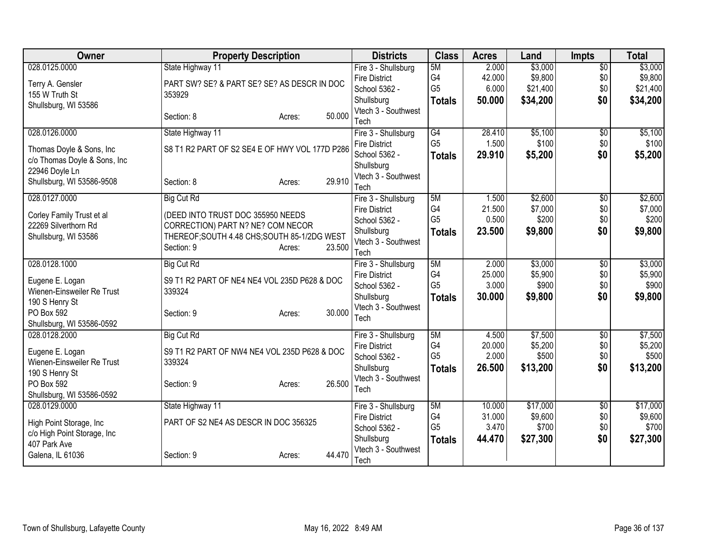| Owner                        | <b>Property Description</b>                    |        |        | <b>Districts</b>                            | <b>Class</b>   | <b>Acres</b>    | Land               | <b>Impts</b>    | <b>Total</b>       |
|------------------------------|------------------------------------------------|--------|--------|---------------------------------------------|----------------|-----------------|--------------------|-----------------|--------------------|
| 028.0125.0000                | State Highway 11                               |        |        | Fire 3 - Shullsburg                         | 5M             | 2.000           | \$3,000            | $\overline{50}$ | \$3,000            |
| Terry A. Gensler             | PART SW? SE? & PART SE? SE? AS DESCR IN DOC    |        |        | <b>Fire District</b>                        | G4             | 42.000          | \$9,800            | \$0             | \$9,800            |
| 155 W Truth St               | 353929                                         |        |        | School 5362 -                               | G <sub>5</sub> | 6.000           | \$21,400           | \$0             | \$21,400           |
| Shullsburg, WI 53586         |                                                |        |        | Shullsburg                                  | <b>Totals</b>  | 50.000          | \$34,200           | \$0             | \$34,200           |
|                              | Section: 8                                     | Acres: | 50.000 | Vtech 3 - Southwest<br>Tech                 |                |                 |                    |                 |                    |
| 028.0126.0000                | State Highway 11                               |        |        | Fire 3 - Shullsburg                         | G4             | 28.410          | \$5,100            | $\overline{50}$ | \$5,100            |
| Thomas Doyle & Sons, Inc     | S8 T1 R2 PART OF S2 SE4 E OF HWY VOL 177D P286 |        |        | <b>Fire District</b>                        | G <sub>5</sub> | 1.500           | \$100              | \$0             | \$100              |
| c/o Thomas Doyle & Sons, Inc |                                                |        |        | School 5362 -                               | <b>Totals</b>  | 29.910          | \$5,200            | \$0             | \$5,200            |
| 22946 Doyle Ln               |                                                |        |        | Shullsburg                                  |                |                 |                    |                 |                    |
| Shullsburg, WI 53586-9508    | Section: 8                                     | Acres: | 29.910 | Vtech 3 - Southwest                         |                |                 |                    |                 |                    |
|                              |                                                |        |        | Tech                                        |                |                 |                    |                 |                    |
| 028.0127.0000                | <b>Big Cut Rd</b>                              |        |        | Fire 3 - Shullsburg<br><b>Fire District</b> | 5M<br>G4       | 1.500<br>21.500 | \$2,600<br>\$7,000 | \$0<br>\$0      | \$2,600<br>\$7,000 |
| Corley Family Trust et al    | (DEED INTO TRUST DOC 355950 NEEDS              |        |        | School 5362 -                               | G <sub>5</sub> | 0.500           | \$200              | \$0             | \$200              |
| 22269 Silverthorn Rd         | CORRECTION) PART N? NE? COM NECOR              |        |        | Shullsburg                                  | <b>Totals</b>  | 23.500          | \$9,800            | \$0             | \$9,800            |
| Shullsburg, WI 53586         | THEREOF; SOUTH 4.48 CHS; SOUTH 85-1/2DG WEST   |        |        | Vtech 3 - Southwest                         |                |                 |                    |                 |                    |
|                              | Section: 9                                     | Acres: | 23.500 | Tech                                        |                |                 |                    |                 |                    |
| 028.0128.1000                | <b>Big Cut Rd</b>                              |        |        | Fire 3 - Shullsburg                         | 5M             | 2.000           | \$3,000            | $\overline{50}$ | \$3,000            |
| Eugene E. Logan              | S9 T1 R2 PART OF NE4 NE4 VOL 235D P628 & DOC   |        |        | <b>Fire District</b>                        | G <sub>4</sub> | 25.000          | \$5,900            | \$0             | \$5,900            |
| Wienen-Einsweiler Re Trust   | 339324                                         |        |        | School 5362 -                               | G <sub>5</sub> | 3.000           | \$900              | \$0             | \$900              |
| 190 S Henry St               |                                                |        |        | Shullsburg                                  | <b>Totals</b>  | 30.000          | \$9,800            | \$0             | \$9,800            |
| PO Box 592                   | Section: 9                                     | Acres: | 30.000 | Vtech 3 - Southwest                         |                |                 |                    |                 |                    |
| Shullsburg, WI 53586-0592    |                                                |        |        | Tech                                        |                |                 |                    |                 |                    |
| 028.0128.2000                | <b>Big Cut Rd</b>                              |        |        | Fire 3 - Shullsburg                         | 5M             | 4.500           | \$7,500            | \$0             | \$7,500            |
| Eugene E. Logan              | S9 T1 R2 PART OF NW4 NE4 VOL 235D P628 & DOC   |        |        | <b>Fire District</b>                        | G4             | 20.000          | \$5,200            | \$0             | \$5,200            |
| Wienen-Einsweiler Re Trust   | 339324                                         |        |        | School 5362 -                               | G <sub>5</sub> | 2.000           | \$500              | \$0             | \$500              |
| 190 S Henry St               |                                                |        |        | Shullsburg                                  | <b>Totals</b>  | 26.500          | \$13,200           | \$0             | \$13,200           |
| PO Box 592                   | Section: 9                                     | Acres: | 26.500 | Vtech 3 - Southwest                         |                |                 |                    |                 |                    |
| Shullsburg, WI 53586-0592    |                                                |        |        | Tech                                        |                |                 |                    |                 |                    |
| 028.0129.0000                | State Highway 11                               |        |        | Fire 3 - Shullsburg                         | 5M             | 10.000          | \$17,000           | \$0             | \$17,000           |
| High Point Storage, Inc.     | PART OF S2 NE4 AS DESCR IN DOC 356325          |        |        | <b>Fire District</b>                        | G4             | 31.000          | \$9,600            | \$0             | \$9,600            |
| c/o High Point Storage, Inc  |                                                |        |        | School 5362 -                               | G <sub>5</sub> | 3.470           | \$700              | \$0             | \$700              |
| 407 Park Ave                 |                                                |        |        | Shullsburg                                  | <b>Totals</b>  | 44.470          | \$27,300           | \$0             | \$27,300           |
| Galena, IL 61036             | Section: 9                                     | Acres: | 44.470 | Vtech 3 - Southwest                         |                |                 |                    |                 |                    |
|                              |                                                |        |        | Tech                                        |                |                 |                    |                 |                    |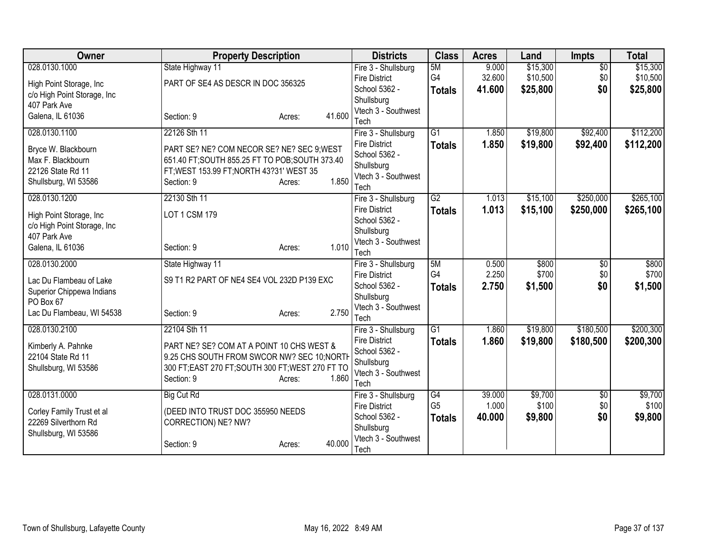| Owner                       | <b>Property Description</b>                       |                  | <b>Districts</b>                            | <b>Class</b>         | <b>Acres</b>    | Land             | <b>Impts</b>    | <b>Total</b>     |
|-----------------------------|---------------------------------------------------|------------------|---------------------------------------------|----------------------|-----------------|------------------|-----------------|------------------|
| 028.0130.1000               | State Highway 11                                  |                  | Fire 3 - Shullsburg                         | 5M                   | 9.000           | \$15,300         | $\overline{50}$ | \$15,300         |
| High Point Storage, Inc.    | PART OF SE4 AS DESCR IN DOC 356325                |                  | <b>Fire District</b>                        | G4                   | 32.600          | \$10,500         | \$0             | \$10,500         |
| c/o High Point Storage, Inc |                                                   |                  | School 5362 -                               | <b>Totals</b>        | 41.600          | \$25,800         | \$0             | \$25,800         |
| 407 Park Ave                |                                                   |                  | Shullsburg                                  |                      |                 |                  |                 |                  |
| Galena, IL 61036            | Section: 9                                        | 41.600<br>Acres: | Vtech 3 - Southwest<br>Tech                 |                      |                 |                  |                 |                  |
| 028.0130.1100               | 22126 Sth 11                                      |                  | Fire 3 - Shullsburg                         | $\overline{G1}$      | 1.850           | \$19,800         | \$92,400        | \$112,200        |
|                             |                                                   |                  | <b>Fire District</b>                        | <b>Totals</b>        | 1.850           | \$19,800         | \$92,400        | \$112,200        |
| Bryce W. Blackbourn         | PART SE? NE? COM NECOR SE? NE? SEC 9; WEST        |                  | School 5362 -                               |                      |                 |                  |                 |                  |
| Max F. Blackbourn           | 651.40 FT; SOUTH 855.25 FT TO POB; SOUTH 373.40   |                  | Shullsburg                                  |                      |                 |                  |                 |                  |
| 22126 State Rd 11           | FT; WEST 153.99 FT; NORTH 43?31' WEST 35          |                  | Vtech 3 - Southwest                         |                      |                 |                  |                 |                  |
| Shullsburg, WI 53586        | Section: 9                                        | 1.850<br>Acres:  | Tech                                        |                      |                 |                  |                 |                  |
| 028.0130.1200               | 22130 Sth 11                                      |                  | Fire 3 - Shullsburg                         | G2                   | 1.013           | \$15,100         | \$250,000       | \$265,100        |
| High Point Storage, Inc.    | LOT 1 CSM 179                                     |                  | <b>Fire District</b>                        | <b>Totals</b>        | 1.013           | \$15,100         | \$250,000       | \$265,100        |
| c/o High Point Storage, Inc |                                                   |                  | School 5362 -                               |                      |                 |                  |                 |                  |
| 407 Park Ave                |                                                   |                  | Shullsburg                                  |                      |                 |                  |                 |                  |
| Galena, IL 61036            | Section: 9                                        | 1.010<br>Acres:  | Vtech 3 - Southwest                         |                      |                 |                  |                 |                  |
| 028.0130.2000               | State Highway 11                                  |                  | Tech<br>Fire 3 - Shullsburg                 | 5M                   | 0.500           | \$800            | $\overline{50}$ | \$800            |
|                             |                                                   |                  | <b>Fire District</b>                        | G4                   | 2.250           | \$700            | \$0             | \$700            |
| Lac Du Flambeau of Lake     | S9 T1 R2 PART OF NE4 SE4 VOL 232D P139 EXC        |                  | School 5362 -                               | <b>Totals</b>        | 2.750           | \$1,500          | \$0             | \$1,500          |
| Superior Chippewa Indians   |                                                   |                  | Shullsburg                                  |                      |                 |                  |                 |                  |
| PO Box 67                   |                                                   |                  | Vtech 3 - Southwest                         |                      |                 |                  |                 |                  |
| Lac Du Flambeau, WI 54538   | Section: 9                                        | 2.750<br>Acres:  | Tech                                        |                      |                 |                  |                 |                  |
| 028.0130.2100               | 22104 Sth 11                                      |                  | Fire 3 - Shullsburg                         | $\overline{G1}$      | 1.860           | \$19,800         | \$180,500       | \$200,300        |
| Kimberly A. Pahnke          | PART NE? SE? COM AT A POINT 10 CHS WEST &         |                  | <b>Fire District</b>                        | <b>Totals</b>        | 1.860           | \$19,800         | \$180,500       | \$200,300        |
| 22104 State Rd 11           | 9.25 CHS SOUTH FROM SWCOR NW? SEC 10; NORTH       |                  | School 5362 -                               |                      |                 |                  |                 |                  |
| Shullsburg, WI 53586        | 300 FT; EAST 270 FT; SOUTH 300 FT; WEST 270 FT TO |                  | Shullsburg                                  |                      |                 |                  |                 |                  |
|                             | Section: 9                                        | 1.860<br>Acres:  | Vtech 3 - Southwest                         |                      |                 |                  |                 |                  |
|                             |                                                   |                  | Tech                                        |                      |                 |                  |                 |                  |
| 028.0131.0000               | <b>Big Cut Rd</b>                                 |                  | Fire 3 - Shullsburg<br><b>Fire District</b> | G4<br>G <sub>5</sub> | 39.000<br>1.000 | \$9,700<br>\$100 | \$0<br>\$0      | \$9,700<br>\$100 |
| Corley Family Trust et al   | (DEED INTO TRUST DOC 355950 NEEDS                 |                  | School 5362 -                               | <b>Totals</b>        | 40.000          | \$9,800          | \$0             | \$9,800          |
| 22269 Silverthorn Rd        | CORRECTION) NE? NW?                               |                  | Shullsburg                                  |                      |                 |                  |                 |                  |
| Shullsburg, WI 53586        |                                                   |                  | Vtech 3 - Southwest                         |                      |                 |                  |                 |                  |
|                             | Section: 9                                        | 40.000<br>Acres: | Tech                                        |                      |                 |                  |                 |                  |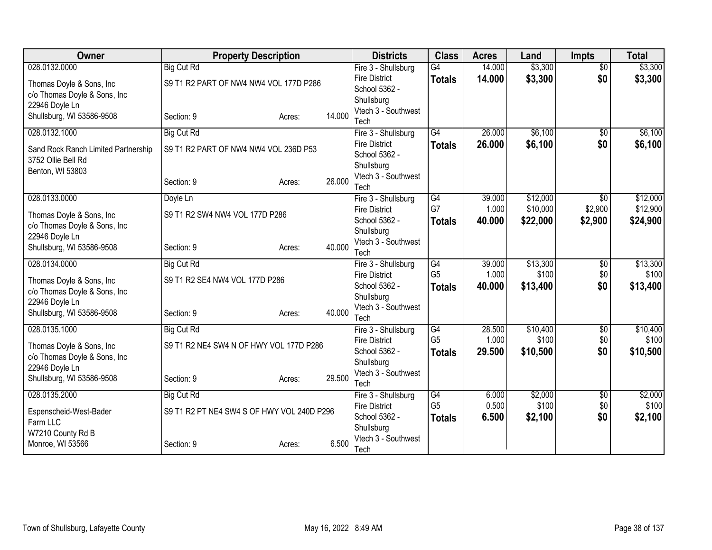| \$3,300<br>028.0132.0000<br><b>Big Cut Rd</b><br>$\overline{G4}$<br>$\overline{50}$<br>Fire 3 - Shullsburg<br>14.000<br>\$3,300<br>14.000<br>\$0<br><b>Fire District</b><br><b>Totals</b><br>S9 T1 R2 PART OF NW4 NW4 VOL 177D P286<br>Thomas Doyle & Sons, Inc.<br>School 5362 -<br>c/o Thomas Doyle & Sons, Inc<br>Shullsburg<br>22946 Doyle Ln<br>Vtech 3 - Southwest<br>14.000<br>Shullsburg, WI 53586-9508<br>Section: 9<br>Acres:<br>Tech<br>\$6,100<br>028.0132.1000<br><b>Big Cut Rd</b><br>$\overline{G4}$<br>26.000<br>Fire 3 - Shullsburg<br>$\overline{50}$<br>26.000<br>\$6,100<br>\$0<br><b>Fire District</b><br><b>Totals</b><br>S9 T1 R2 PART OF NW4 NW4 VOL 236D P53<br>Sand Rock Ranch Limited Partnership<br>School 5362 -<br>3752 Ollie Bell Rd<br>Shullsburg<br>Benton, WI 53803<br>Vtech 3 - Southwest<br>26.000<br>Section: 9<br>Acres:<br>Tech<br>\$12,000<br>028.0133.0000<br>Doyle Ln<br>$\overline{G4}$<br>39.000<br>$\overline{50}$<br>Fire 3 - Shullsburg<br>G7<br>\$10,000<br>\$2,900<br>1.000<br><b>Fire District</b><br>S9 T1 R2 SW4 NW4 VOL 177D P286<br>Thomas Doyle & Sons, Inc.<br>\$22,000<br>School 5362 -<br>40.000<br>\$2,900<br>\$24,900<br><b>Totals</b><br>c/o Thomas Doyle & Sons, Inc<br>Shullsburg<br>22946 Doyle Ln<br>Vtech 3 - Southwest<br>40.000<br>Shullsburg, WI 53586-9508<br>Section: 9<br>Acres:<br>Tech<br>\$13,300<br>028.0134.0000<br><b>Big Cut Rd</b><br>G4<br>39.000<br>$\overline{50}$<br>Fire 3 - Shullsburg<br>G <sub>5</sub><br>\$100<br>\$0<br>1.000<br><b>Fire District</b><br>S9 T1 R2 SE4 NW4 VOL 177D P286<br>Thomas Doyle & Sons, Inc.<br>School 5362 -<br>40.000<br>\$13,400<br>\$0<br><b>Totals</b><br>c/o Thomas Doyle & Sons, Inc<br>Shullsburg<br>22946 Doyle Ln<br>Vtech 3 - Southwest<br>40.000<br>Shullsburg, WI 53586-9508<br>Section: 9<br>Acres:<br>Tech<br>\$10,400<br>\$10,400<br>028.0135.1000<br><b>Big Cut Rd</b><br>G4<br>28.500<br>$\overline{50}$<br>Fire 3 - Shullsburg<br>G <sub>5</sub><br>\$100<br>\$0<br>1.000<br><b>Fire District</b><br>S9 T1 R2 NE4 SW4 N OF HWY VOL 177D P286<br>Thomas Doyle & Sons, Inc.<br>School 5362 -<br>29.500<br>\$10,500<br>\$0<br>\$10,500<br><b>Totals</b> | Owner                        | <b>Property Description</b> | <b>Districts</b> | <b>Class</b> | <b>Acres</b> | Land | <b>Impts</b> | <b>Total</b> |
|-------------------------------------------------------------------------------------------------------------------------------------------------------------------------------------------------------------------------------------------------------------------------------------------------------------------------------------------------------------------------------------------------------------------------------------------------------------------------------------------------------------------------------------------------------------------------------------------------------------------------------------------------------------------------------------------------------------------------------------------------------------------------------------------------------------------------------------------------------------------------------------------------------------------------------------------------------------------------------------------------------------------------------------------------------------------------------------------------------------------------------------------------------------------------------------------------------------------------------------------------------------------------------------------------------------------------------------------------------------------------------------------------------------------------------------------------------------------------------------------------------------------------------------------------------------------------------------------------------------------------------------------------------------------------------------------------------------------------------------------------------------------------------------------------------------------------------------------------------------------------------------------------------------------------------------------------------------------------------------------------------------------------------------------------------------------------------------------------------------------------------------------------------------------------------------------|------------------------------|-----------------------------|------------------|--------------|--------------|------|--------------|--------------|
|                                                                                                                                                                                                                                                                                                                                                                                                                                                                                                                                                                                                                                                                                                                                                                                                                                                                                                                                                                                                                                                                                                                                                                                                                                                                                                                                                                                                                                                                                                                                                                                                                                                                                                                                                                                                                                                                                                                                                                                                                                                                                                                                                                                           |                              |                             |                  |              |              |      |              | \$3,300      |
|                                                                                                                                                                                                                                                                                                                                                                                                                                                                                                                                                                                                                                                                                                                                                                                                                                                                                                                                                                                                                                                                                                                                                                                                                                                                                                                                                                                                                                                                                                                                                                                                                                                                                                                                                                                                                                                                                                                                                                                                                                                                                                                                                                                           |                              |                             |                  |              |              |      |              | \$3,300      |
|                                                                                                                                                                                                                                                                                                                                                                                                                                                                                                                                                                                                                                                                                                                                                                                                                                                                                                                                                                                                                                                                                                                                                                                                                                                                                                                                                                                                                                                                                                                                                                                                                                                                                                                                                                                                                                                                                                                                                                                                                                                                                                                                                                                           |                              |                             |                  |              |              |      |              |              |
|                                                                                                                                                                                                                                                                                                                                                                                                                                                                                                                                                                                                                                                                                                                                                                                                                                                                                                                                                                                                                                                                                                                                                                                                                                                                                                                                                                                                                                                                                                                                                                                                                                                                                                                                                                                                                                                                                                                                                                                                                                                                                                                                                                                           |                              |                             |                  |              |              |      |              |              |
|                                                                                                                                                                                                                                                                                                                                                                                                                                                                                                                                                                                                                                                                                                                                                                                                                                                                                                                                                                                                                                                                                                                                                                                                                                                                                                                                                                                                                                                                                                                                                                                                                                                                                                                                                                                                                                                                                                                                                                                                                                                                                                                                                                                           |                              |                             |                  |              |              |      |              |              |
|                                                                                                                                                                                                                                                                                                                                                                                                                                                                                                                                                                                                                                                                                                                                                                                                                                                                                                                                                                                                                                                                                                                                                                                                                                                                                                                                                                                                                                                                                                                                                                                                                                                                                                                                                                                                                                                                                                                                                                                                                                                                                                                                                                                           |                              |                             |                  |              |              |      |              | \$6,100      |
|                                                                                                                                                                                                                                                                                                                                                                                                                                                                                                                                                                                                                                                                                                                                                                                                                                                                                                                                                                                                                                                                                                                                                                                                                                                                                                                                                                                                                                                                                                                                                                                                                                                                                                                                                                                                                                                                                                                                                                                                                                                                                                                                                                                           |                              |                             |                  |              |              |      |              | \$6,100      |
|                                                                                                                                                                                                                                                                                                                                                                                                                                                                                                                                                                                                                                                                                                                                                                                                                                                                                                                                                                                                                                                                                                                                                                                                                                                                                                                                                                                                                                                                                                                                                                                                                                                                                                                                                                                                                                                                                                                                                                                                                                                                                                                                                                                           |                              |                             |                  |              |              |      |              |              |
|                                                                                                                                                                                                                                                                                                                                                                                                                                                                                                                                                                                                                                                                                                                                                                                                                                                                                                                                                                                                                                                                                                                                                                                                                                                                                                                                                                                                                                                                                                                                                                                                                                                                                                                                                                                                                                                                                                                                                                                                                                                                                                                                                                                           |                              |                             |                  |              |              |      |              |              |
|                                                                                                                                                                                                                                                                                                                                                                                                                                                                                                                                                                                                                                                                                                                                                                                                                                                                                                                                                                                                                                                                                                                                                                                                                                                                                                                                                                                                                                                                                                                                                                                                                                                                                                                                                                                                                                                                                                                                                                                                                                                                                                                                                                                           |                              |                             |                  |              |              |      |              |              |
|                                                                                                                                                                                                                                                                                                                                                                                                                                                                                                                                                                                                                                                                                                                                                                                                                                                                                                                                                                                                                                                                                                                                                                                                                                                                                                                                                                                                                                                                                                                                                                                                                                                                                                                                                                                                                                                                                                                                                                                                                                                                                                                                                                                           |                              |                             |                  |              |              |      |              |              |
|                                                                                                                                                                                                                                                                                                                                                                                                                                                                                                                                                                                                                                                                                                                                                                                                                                                                                                                                                                                                                                                                                                                                                                                                                                                                                                                                                                                                                                                                                                                                                                                                                                                                                                                                                                                                                                                                                                                                                                                                                                                                                                                                                                                           |                              |                             |                  |              |              |      |              | \$12,000     |
|                                                                                                                                                                                                                                                                                                                                                                                                                                                                                                                                                                                                                                                                                                                                                                                                                                                                                                                                                                                                                                                                                                                                                                                                                                                                                                                                                                                                                                                                                                                                                                                                                                                                                                                                                                                                                                                                                                                                                                                                                                                                                                                                                                                           |                              |                             |                  |              |              |      |              | \$12,900     |
|                                                                                                                                                                                                                                                                                                                                                                                                                                                                                                                                                                                                                                                                                                                                                                                                                                                                                                                                                                                                                                                                                                                                                                                                                                                                                                                                                                                                                                                                                                                                                                                                                                                                                                                                                                                                                                                                                                                                                                                                                                                                                                                                                                                           |                              |                             |                  |              |              |      |              |              |
|                                                                                                                                                                                                                                                                                                                                                                                                                                                                                                                                                                                                                                                                                                                                                                                                                                                                                                                                                                                                                                                                                                                                                                                                                                                                                                                                                                                                                                                                                                                                                                                                                                                                                                                                                                                                                                                                                                                                                                                                                                                                                                                                                                                           |                              |                             |                  |              |              |      |              |              |
|                                                                                                                                                                                                                                                                                                                                                                                                                                                                                                                                                                                                                                                                                                                                                                                                                                                                                                                                                                                                                                                                                                                                                                                                                                                                                                                                                                                                                                                                                                                                                                                                                                                                                                                                                                                                                                                                                                                                                                                                                                                                                                                                                                                           |                              |                             |                  |              |              |      |              |              |
|                                                                                                                                                                                                                                                                                                                                                                                                                                                                                                                                                                                                                                                                                                                                                                                                                                                                                                                                                                                                                                                                                                                                                                                                                                                                                                                                                                                                                                                                                                                                                                                                                                                                                                                                                                                                                                                                                                                                                                                                                                                                                                                                                                                           |                              |                             |                  |              |              |      |              | \$13,300     |
|                                                                                                                                                                                                                                                                                                                                                                                                                                                                                                                                                                                                                                                                                                                                                                                                                                                                                                                                                                                                                                                                                                                                                                                                                                                                                                                                                                                                                                                                                                                                                                                                                                                                                                                                                                                                                                                                                                                                                                                                                                                                                                                                                                                           |                              |                             |                  |              |              |      |              | \$100        |
|                                                                                                                                                                                                                                                                                                                                                                                                                                                                                                                                                                                                                                                                                                                                                                                                                                                                                                                                                                                                                                                                                                                                                                                                                                                                                                                                                                                                                                                                                                                                                                                                                                                                                                                                                                                                                                                                                                                                                                                                                                                                                                                                                                                           |                              |                             |                  |              |              |      |              | \$13,400     |
|                                                                                                                                                                                                                                                                                                                                                                                                                                                                                                                                                                                                                                                                                                                                                                                                                                                                                                                                                                                                                                                                                                                                                                                                                                                                                                                                                                                                                                                                                                                                                                                                                                                                                                                                                                                                                                                                                                                                                                                                                                                                                                                                                                                           |                              |                             |                  |              |              |      |              |              |
|                                                                                                                                                                                                                                                                                                                                                                                                                                                                                                                                                                                                                                                                                                                                                                                                                                                                                                                                                                                                                                                                                                                                                                                                                                                                                                                                                                                                                                                                                                                                                                                                                                                                                                                                                                                                                                                                                                                                                                                                                                                                                                                                                                                           |                              |                             |                  |              |              |      |              |              |
|                                                                                                                                                                                                                                                                                                                                                                                                                                                                                                                                                                                                                                                                                                                                                                                                                                                                                                                                                                                                                                                                                                                                                                                                                                                                                                                                                                                                                                                                                                                                                                                                                                                                                                                                                                                                                                                                                                                                                                                                                                                                                                                                                                                           |                              |                             |                  |              |              |      |              |              |
|                                                                                                                                                                                                                                                                                                                                                                                                                                                                                                                                                                                                                                                                                                                                                                                                                                                                                                                                                                                                                                                                                                                                                                                                                                                                                                                                                                                                                                                                                                                                                                                                                                                                                                                                                                                                                                                                                                                                                                                                                                                                                                                                                                                           |                              |                             |                  |              |              |      |              | \$100        |
|                                                                                                                                                                                                                                                                                                                                                                                                                                                                                                                                                                                                                                                                                                                                                                                                                                                                                                                                                                                                                                                                                                                                                                                                                                                                                                                                                                                                                                                                                                                                                                                                                                                                                                                                                                                                                                                                                                                                                                                                                                                                                                                                                                                           |                              |                             |                  |              |              |      |              |              |
|                                                                                                                                                                                                                                                                                                                                                                                                                                                                                                                                                                                                                                                                                                                                                                                                                                                                                                                                                                                                                                                                                                                                                                                                                                                                                                                                                                                                                                                                                                                                                                                                                                                                                                                                                                                                                                                                                                                                                                                                                                                                                                                                                                                           | c/o Thomas Doyle & Sons, Inc |                             | Shullsburg       |              |              |      |              |              |
| 22946 Doyle Ln<br>Vtech 3 - Southwest                                                                                                                                                                                                                                                                                                                                                                                                                                                                                                                                                                                                                                                                                                                                                                                                                                                                                                                                                                                                                                                                                                                                                                                                                                                                                                                                                                                                                                                                                                                                                                                                                                                                                                                                                                                                                                                                                                                                                                                                                                                                                                                                                     |                              |                             |                  |              |              |      |              |              |
| 29.500<br>Shullsburg, WI 53586-9508<br>Section: 9<br>Acres:<br>Tech                                                                                                                                                                                                                                                                                                                                                                                                                                                                                                                                                                                                                                                                                                                                                                                                                                                                                                                                                                                                                                                                                                                                                                                                                                                                                                                                                                                                                                                                                                                                                                                                                                                                                                                                                                                                                                                                                                                                                                                                                                                                                                                       |                              |                             |                  |              |              |      |              |              |
| \$2,000<br>028.0135.2000<br><b>Big Cut Rd</b><br>$\overline{G4}$<br>Fire 3 - Shullsburg<br>6.000<br>\$0                                                                                                                                                                                                                                                                                                                                                                                                                                                                                                                                                                                                                                                                                                                                                                                                                                                                                                                                                                                                                                                                                                                                                                                                                                                                                                                                                                                                                                                                                                                                                                                                                                                                                                                                                                                                                                                                                                                                                                                                                                                                                   |                              |                             |                  |              |              |      |              | \$2,000      |
| G <sub>5</sub><br>\$100<br>0.500<br>\$0<br><b>Fire District</b><br>S9 T1 R2 PT NE4 SW4 S OF HWY VOL 240D P296<br>Espenscheid-West-Bader                                                                                                                                                                                                                                                                                                                                                                                                                                                                                                                                                                                                                                                                                                                                                                                                                                                                                                                                                                                                                                                                                                                                                                                                                                                                                                                                                                                                                                                                                                                                                                                                                                                                                                                                                                                                                                                                                                                                                                                                                                                   |                              |                             |                  |              |              |      |              | \$100        |
| School 5362 -<br>6.500<br>\$2,100<br>\$0<br><b>Totals</b><br>Farm LLC                                                                                                                                                                                                                                                                                                                                                                                                                                                                                                                                                                                                                                                                                                                                                                                                                                                                                                                                                                                                                                                                                                                                                                                                                                                                                                                                                                                                                                                                                                                                                                                                                                                                                                                                                                                                                                                                                                                                                                                                                                                                                                                     |                              |                             |                  |              |              |      |              | \$2,100      |
| Shullsburg<br>W7210 County Rd B                                                                                                                                                                                                                                                                                                                                                                                                                                                                                                                                                                                                                                                                                                                                                                                                                                                                                                                                                                                                                                                                                                                                                                                                                                                                                                                                                                                                                                                                                                                                                                                                                                                                                                                                                                                                                                                                                                                                                                                                                                                                                                                                                           |                              |                             |                  |              |              |      |              |              |
| Vtech 3 - Southwest<br>6.500<br>Monroe, WI 53566<br>Section: 9<br>Acres:<br>Tech                                                                                                                                                                                                                                                                                                                                                                                                                                                                                                                                                                                                                                                                                                                                                                                                                                                                                                                                                                                                                                                                                                                                                                                                                                                                                                                                                                                                                                                                                                                                                                                                                                                                                                                                                                                                                                                                                                                                                                                                                                                                                                          |                              |                             |                  |              |              |      |              |              |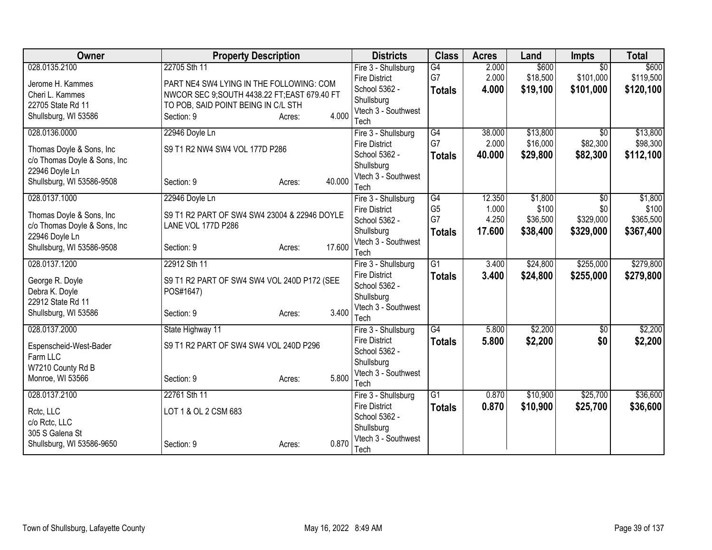| Owner                        | <b>Property Description</b>                   |        |        | <b>Districts</b>                      | <b>Class</b>          | <b>Acres</b> | Land     | <b>Impts</b>    | <b>Total</b> |
|------------------------------|-----------------------------------------------|--------|--------|---------------------------------------|-----------------------|--------------|----------|-----------------|--------------|
| 028.0135.2100                | 22705 Sth 11                                  |        |        | Fire 3 - Shullsburg                   | $\overline{G4}$       | 2.000        | \$600    | $\overline{30}$ | \$600        |
| Jerome H. Kammes             | PART NE4 SW4 LYING IN THE FOLLOWING: COM      |        |        | <b>Fire District</b>                  | G7                    | 2.000        | \$18,500 | \$101,000       | \$119,500    |
| Cheri L. Kammes              | NWCOR SEC 9; SOUTH 4438.22 FT; EAST 679.40 FT |        |        | School 5362 -                         | <b>Totals</b>         | 4.000        | \$19,100 | \$101,000       | \$120,100    |
| 22705 State Rd 11            | TO POB, SAID POINT BEING IN C/L STH           |        |        | Shullsburg                            |                       |              |          |                 |              |
| Shullsburg, WI 53586         | Section: 9                                    | Acres: | 4.000  | Vtech 3 - Southwest                   |                       |              |          |                 |              |
|                              |                                               |        |        | Tech                                  |                       |              |          |                 |              |
| 028.0136.0000                | 22946 Doyle Ln                                |        |        | Fire 3 - Shullsburg                   | $\overline{G4}$<br>G7 | 38.000       | \$13,800 | $\overline{30}$ | \$13,800     |
| Thomas Doyle & Sons, Inc     | S9 T1 R2 NW4 SW4 VOL 177D P286                |        |        | <b>Fire District</b>                  |                       | 2.000        | \$16,000 | \$82,300        | \$98,300     |
| c/o Thomas Doyle & Sons, Inc |                                               |        |        | School 5362 -                         | <b>Totals</b>         | 40.000       | \$29,800 | \$82,300        | \$112,100    |
| 22946 Doyle Ln               |                                               |        |        | Shullsburg<br>Vtech 3 - Southwest     |                       |              |          |                 |              |
| Shullsburg, WI 53586-9508    | Section: 9                                    | Acres: | 40.000 | Tech                                  |                       |              |          |                 |              |
| 028.0137.1000                | 22946 Doyle Ln                                |        |        | Fire 3 - Shullsburg                   | $\overline{G4}$       | 12.350       | \$1,800  | $\overline{50}$ | \$1,800      |
|                              |                                               |        |        | <b>Fire District</b>                  | G <sub>5</sub>        | 1.000        | \$100    | \$0             | \$100        |
| Thomas Doyle & Sons, Inc.    | S9 T1 R2 PART OF SW4 SW4 23004 & 22946 DOYLE  |        |        | School 5362 -                         | G7                    | 4.250        | \$36,500 | \$329,000       | \$365,500    |
| c/o Thomas Doyle & Sons, Inc | LANE VOL 177D P286                            |        |        | Shullsburg                            | <b>Totals</b>         | 17.600       | \$38,400 | \$329,000       | \$367,400    |
| 22946 Doyle Ln               |                                               |        |        | Vtech 3 - Southwest                   |                       |              |          |                 |              |
| Shullsburg, WI 53586-9508    | Section: 9                                    | Acres: | 17.600 | Tech                                  |                       |              |          |                 |              |
| 028.0137.1200                | 22912 Sth 11                                  |        |        | Fire 3 - Shullsburg                   | $\overline{G1}$       | 3.400        | \$24,800 | \$255,000       | \$279,800    |
| George R. Doyle              | S9 T1 R2 PART OF SW4 SW4 VOL 240D P172 (SEE   |        |        | <b>Fire District</b>                  | <b>Totals</b>         | 3.400        | \$24,800 | \$255,000       | \$279,800    |
| Debra K. Doyle               | POS#1647)                                     |        |        | School 5362 -                         |                       |              |          |                 |              |
| 22912 State Rd 11            |                                               |        |        | Shullsburg                            |                       |              |          |                 |              |
| Shullsburg, WI 53586         | Section: 9                                    | Acres: | 3.400  | Vtech 3 - Southwest                   |                       |              |          |                 |              |
|                              |                                               |        |        | Tech                                  |                       |              |          |                 |              |
| 028.0137.2000                | State Highway 11                              |        |        | Fire 3 - Shullsburg                   | $\overline{G4}$       | 5.800        | \$2,200  | $\sqrt{$0}$     | \$2,200      |
| Espenscheid-West-Bader       | S9 T1 R2 PART OF SW4 SW4 VOL 240D P296        |        |        | <b>Fire District</b>                  | <b>Totals</b>         | 5.800        | \$2,200  | \$0             | \$2,200      |
| Farm LLC                     |                                               |        |        | School 5362 -                         |                       |              |          |                 |              |
| W7210 County Rd B            |                                               |        |        | Shullsburg                            |                       |              |          |                 |              |
| Monroe, WI 53566             | Section: 9                                    | Acres: | 5.800  | Vtech 3 - Southwest                   |                       |              |          |                 |              |
|                              | 22761 Sth 11                                  |        |        | Tech                                  | $\overline{G1}$       | 0.870        | \$10,900 | \$25,700        | \$36,600     |
| 028.0137.2100                |                                               |        |        | Fire 3 - Shullsburg                   |                       |              |          |                 |              |
| Rctc, LLC                    | LOT 1 & OL 2 CSM 683                          |        |        | <b>Fire District</b><br>School 5362 - | <b>Totals</b>         | 0.870        | \$10,900 | \$25,700        | \$36,600     |
| c/o Rctc, LLC                |                                               |        |        | Shullsburg                            |                       |              |          |                 |              |
| 305 S Galena St              |                                               |        |        | Vtech 3 - Southwest                   |                       |              |          |                 |              |
| Shullsburg, WI 53586-9650    | Section: 9                                    | Acres: | 0.870  | Tech                                  |                       |              |          |                 |              |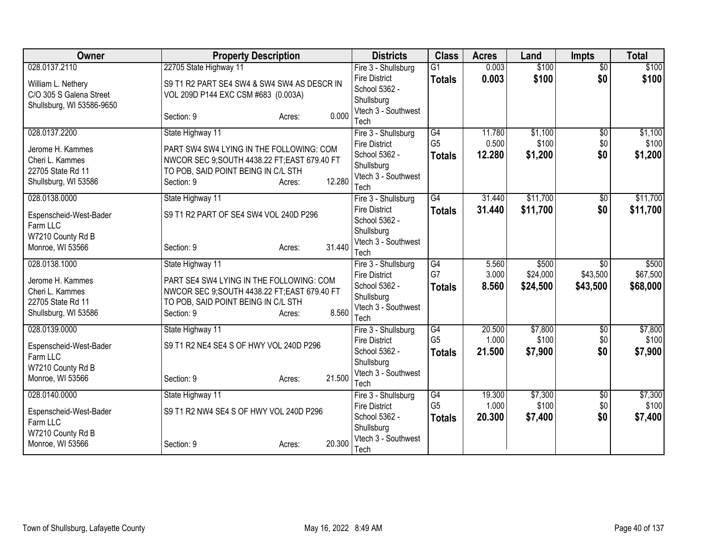| Owner                                 | <b>Property Description</b>                                                        |                  | <b>Districts</b>                            | <b>Class</b>         | <b>Acres</b>    | Land             | <b>Impts</b>           | <b>Total</b>     |
|---------------------------------------|------------------------------------------------------------------------------------|------------------|---------------------------------------------|----------------------|-----------------|------------------|------------------------|------------------|
| 028.0137.2110                         | 22705 State Highway 11                                                             |                  | Fire 3 - Shullsburg                         | $\overline{G1}$      | 0.003           | \$100            | $\overline{50}$        | \$100            |
| William L. Nethery                    | S9 T1 R2 PART SE4 SW4 & SW4 SW4 AS DESCR IN                                        |                  | <b>Fire District</b>                        | <b>Totals</b>        | 0.003           | \$100            | \$0                    | \$100            |
| C/O 305 S Galena Street               | VOL 209D P144 EXC CSM #683 (0.003A)                                                |                  | School 5362 -                               |                      |                 |                  |                        |                  |
| Shullsburg, WI 53586-9650             |                                                                                    |                  | Shullsburg<br>Vtech 3 - Southwest           |                      |                 |                  |                        |                  |
|                                       | Section: 9                                                                         | 0.000<br>Acres:  | Tech                                        |                      |                 |                  |                        |                  |
| 028.0137.2200                         | State Highway 11                                                                   |                  | Fire 3 - Shullsburg                         | G4                   | 11.780          | \$1,100          | \$0                    | \$1,100          |
| Jerome H. Kammes                      | PART SW4 SW4 LYING IN THE FOLLOWING: COM                                           |                  | <b>Fire District</b>                        | G <sub>5</sub>       | 0.500           | \$100            | \$0                    | \$100            |
| Cheri L. Kammes                       | NWCOR SEC 9;SOUTH 4438.22 FT;EAST 679.40 FT                                        |                  | School 5362 -                               | <b>Totals</b>        | 12.280          | \$1,200          | \$0                    | \$1,200          |
| 22705 State Rd 11                     | TO POB, SAID POINT BEING IN C/L STH                                                |                  | Shullsburg                                  |                      |                 |                  |                        |                  |
| Shullsburg, WI 53586                  | Section: 9                                                                         | 12.280<br>Acres: | Vtech 3 - Southwest<br>Tech                 |                      |                 |                  |                        |                  |
| 028.0138.0000                         | State Highway 11                                                                   |                  | Fire 3 - Shullsburg                         | G4                   | 31.440          | \$11,700         | \$0                    | \$11,700         |
|                                       |                                                                                    |                  | <b>Fire District</b>                        | <b>Totals</b>        | 31.440          | \$11,700         | \$0                    | \$11,700         |
| Espenscheid-West-Bader<br>Farm LLC    | S9 T1 R2 PART OF SE4 SW4 VOL 240D P296                                             |                  | School 5362 -                               |                      |                 |                  |                        |                  |
| W7210 County Rd B                     |                                                                                    |                  | Shullsburg                                  |                      |                 |                  |                        |                  |
| Monroe, WI 53566                      | Section: 9                                                                         | 31.440<br>Acres: | Vtech 3 - Southwest                         |                      |                 |                  |                        |                  |
| 028.0138.1000                         | State Highway 11                                                                   |                  | Tech<br>Fire 3 - Shullsburg                 | G4                   | 5.560           | \$500            | \$0                    | \$500            |
|                                       |                                                                                    |                  | <b>Fire District</b>                        | G7                   | 3.000           | \$24,000         | \$43,500               | \$67,500         |
| Jerome H. Kammes                      | PART SE4 SW4 LYING IN THE FOLLOWING: COM                                           |                  | School 5362 -                               | <b>Totals</b>        | 8.560           | \$24,500         | \$43,500               | \$68,000         |
| Cheri L. Kammes<br>22705 State Rd 11  | NWCOR SEC 9;SOUTH 4438.22 FT;EAST 679.40 FT<br>TO POB, SAID POINT BEING IN C/L STH |                  | Shullsburg                                  |                      |                 |                  |                        |                  |
| Shullsburg, WI 53586                  | Section: 9                                                                         | 8.560<br>Acres:  | Vtech 3 - Southwest                         |                      |                 |                  |                        |                  |
|                                       |                                                                                    |                  | Tech                                        |                      |                 |                  |                        |                  |
| 028.0139.0000                         | State Highway 11                                                                   |                  | Fire 3 - Shullsburg<br><b>Fire District</b> | G4<br>G <sub>5</sub> | 20.500<br>1.000 | \$7,800<br>\$100 | $\overline{50}$<br>\$0 | \$7,800<br>\$100 |
| Espenscheid-West-Bader                | S9 T1 R2 NE4 SE4 S OF HWY VOL 240D P296                                            |                  | School 5362 -                               | <b>Totals</b>        | 21.500          | \$7,900          | \$0                    | \$7,900          |
| Farm LLC                              |                                                                                    |                  | Shullsburg                                  |                      |                 |                  |                        |                  |
| W7210 County Rd B<br>Monroe, WI 53566 | Section: 9                                                                         | 21.500<br>Acres: | Vtech 3 - Southwest                         |                      |                 |                  |                        |                  |
|                                       |                                                                                    |                  | Tech                                        |                      |                 |                  |                        |                  |
| 028.0140.0000                         | State Highway 11                                                                   |                  | Fire 3 - Shullsburg                         | G4                   | 19.300          | \$7,300          | \$0                    | \$7,300          |
| Espenscheid-West-Bader                | S9 T1 R2 NW4 SE4 S OF HWY VOL 240D P296                                            |                  | <b>Fire District</b><br>School 5362 -       | G <sub>5</sub>       | 1.000           | \$100            | \$0                    | \$100            |
| Farm LLC                              |                                                                                    |                  | Shullsburg                                  | <b>Totals</b>        | 20.300          | \$7,400          | \$0                    | \$7,400          |
| W7210 County Rd B                     |                                                                                    |                  | Vtech 3 - Southwest                         |                      |                 |                  |                        |                  |
| Monroe, WI 53566                      | Section: 9                                                                         | 20.300<br>Acres: | Tech                                        |                      |                 |                  |                        |                  |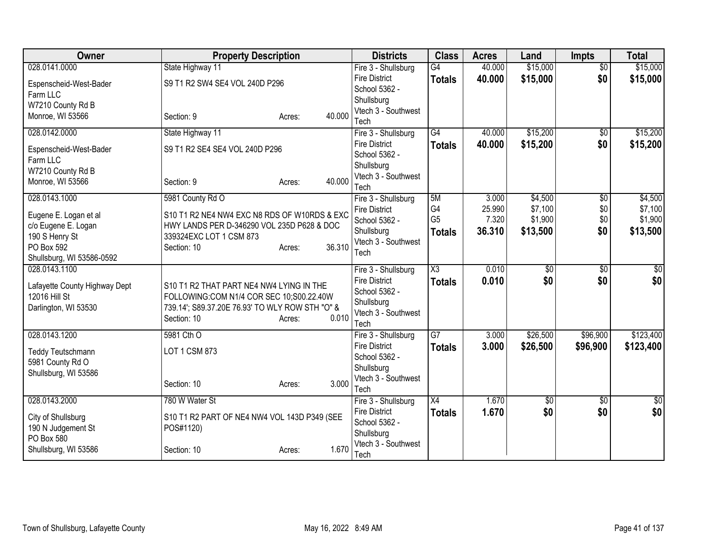| Owner                         | <b>Property Description</b>                                                                 |                  | <b>Districts</b>                            | <b>Class</b>           | <b>Acres</b> | Land        | <b>Impts</b>    | <b>Total</b>    |
|-------------------------------|---------------------------------------------------------------------------------------------|------------------|---------------------------------------------|------------------------|--------------|-------------|-----------------|-----------------|
| 028.0141.0000                 | State Highway 11                                                                            |                  | Fire 3 - Shullsburg                         | G4                     | 40.000       | \$15,000    | $\overline{50}$ | \$15,000        |
| Espenscheid-West-Bader        | S9 T1 R2 SW4 SE4 VOL 240D P296                                                              |                  | <b>Fire District</b>                        | <b>Totals</b>          | 40.000       | \$15,000    | \$0             | \$15,000        |
| Farm LLC                      |                                                                                             |                  | School 5362 -                               |                        |              |             |                 |                 |
| W7210 County Rd B             |                                                                                             |                  | Shullsburg                                  |                        |              |             |                 |                 |
| Monroe, WI 53566              | Section: 9                                                                                  | 40.000<br>Acres: | Vtech 3 - Southwest                         |                        |              |             |                 |                 |
| 028.0142.0000                 | State Highway 11                                                                            |                  | Tech<br>Fire 3 - Shullsburg                 | $\overline{G4}$        | 40.000       | \$15,200    | \$0             | \$15,200        |
|                               |                                                                                             |                  | <b>Fire District</b>                        |                        | 40.000       | \$15,200    | \$0             |                 |
| Espenscheid-West-Bader        | S9 T1 R2 SE4 SE4 VOL 240D P296                                                              |                  | School 5362 -                               | <b>Totals</b>          |              |             |                 | \$15,200        |
| Farm LLC                      |                                                                                             |                  | Shullsburg                                  |                        |              |             |                 |                 |
| W7210 County Rd B             |                                                                                             |                  | Vtech 3 - Southwest                         |                        |              |             |                 |                 |
| Monroe, WI 53566              | Section: 9                                                                                  | 40.000<br>Acres: | Tech                                        |                        |              |             |                 |                 |
| 028.0143.1000                 | 5981 County Rd O                                                                            |                  | Fire 3 - Shullsburg                         | 5M                     | 3.000        | \$4,500     | \$0             | \$4,500         |
| Eugene E. Logan et al         | S10 T1 R2 NE4 NW4 EXC N8 RDS OF W10RDS & EXC                                                |                  | <b>Fire District</b>                        | G4                     | 25.990       | \$7,100     | \$0             | \$7,100         |
| c/o Eugene E. Logan           | HWY LANDS PER D-346290 VOL 235D P628 & DOC                                                  |                  | School 5362 -                               | G <sub>5</sub>         | 7.320        | \$1,900     | \$0             | \$1,900         |
| 190 S Henry St                | 339324EXC LOT 1 CSM 873                                                                     |                  | Shullsburg                                  | <b>Totals</b>          | 36.310       | \$13,500    | \$0             | \$13,500        |
| PO Box 592                    | Section: 10                                                                                 | 36.310<br>Acres: | Vtech 3 - Southwest                         |                        |              |             |                 |                 |
| Shullsburg, WI 53586-0592     |                                                                                             |                  | Tech                                        |                        |              |             |                 |                 |
| 028.0143.1100                 |                                                                                             |                  | Fire 3 - Shullsburg                         | $\overline{\text{X3}}$ | 0.010        | \$0         | \$0             | $\overline{50}$ |
|                               |                                                                                             |                  | <b>Fire District</b>                        | <b>Totals</b>          | 0.010        | \$0         | \$0             | \$0             |
| Lafayette County Highway Dept | S10 T1 R2 THAT PART NE4 NW4 LYING IN THE                                                    |                  | School 5362 -                               |                        |              |             |                 |                 |
| 12016 Hill St                 | FOLLOWING:COM N1/4 COR SEC 10;S00.22.40W<br>739.14'; S89.37.20E 76.93' TO WLY ROW STH "O" & |                  | Shullsburg                                  |                        |              |             |                 |                 |
| Darlington, WI 53530          | Section: 10                                                                                 | 0.010<br>Acres:  | Vtech 3 - Southwest                         |                        |              |             |                 |                 |
|                               |                                                                                             |                  | Tech                                        |                        |              |             |                 |                 |
| 028.0143.1200                 | 5981 Cth O                                                                                  |                  | Fire 3 - Shullsburg                         | $\overline{G7}$        | 3.000        | \$26,500    | \$96,900        | \$123,400       |
| Teddy Teutschmann             | LOT 1 CSM 873                                                                               |                  | <b>Fire District</b>                        | <b>Totals</b>          | 3.000        | \$26,500    | \$96,900        | \$123,400       |
| 5981 County Rd O              |                                                                                             |                  | School 5362 -                               |                        |              |             |                 |                 |
| Shullsburg, WI 53586          |                                                                                             |                  | Shullsburg                                  |                        |              |             |                 |                 |
|                               | Section: 10                                                                                 | 3.000<br>Acres:  | Vtech 3 - Southwest                         |                        |              |             |                 |                 |
| 028.0143.2000                 | 780 W Water St                                                                              |                  | Tech                                        | $\overline{X4}$        | 1.670        | $\sqrt{50}$ | $\overline{50}$ | $\overline{50}$ |
|                               |                                                                                             |                  | Fire 3 - Shullsburg<br><b>Fire District</b> | <b>Totals</b>          | 1.670        | \$0         | \$0             | \$0             |
| City of Shullsburg            | S10 T1 R2 PART OF NE4 NW4 VOL 143D P349 (SEE                                                |                  | School 5362 -                               |                        |              |             |                 |                 |
| 190 N Judgement St            | POS#1120)                                                                                   |                  | Shullsburg                                  |                        |              |             |                 |                 |
| PO Box 580                    |                                                                                             |                  | Vtech 3 - Southwest                         |                        |              |             |                 |                 |
| Shullsburg, WI 53586          | Section: 10                                                                                 | 1.670<br>Acres:  | Tech                                        |                        |              |             |                 |                 |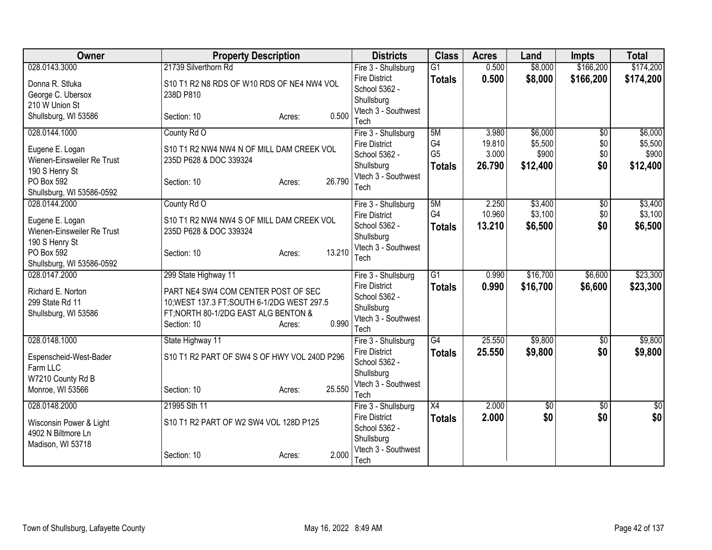| 028.0143.3000<br>$\overline{G1}$<br>\$8,000<br>\$166,200<br>Fire 3 - Shullsburg<br>0.500<br><b>Fire District</b><br>0.500<br>\$8,000<br>\$166,200<br>\$174,200<br><b>Totals</b><br>Donna R. Stluka<br>S10 T1 R2 N8 RDS OF W10 RDS OF NE4 NW4 VOL<br>School 5362 -<br>George C. Ubersox<br>238D P810<br>Shullsburg<br>210 W Union St<br>Vtech 3 - Southwest<br>0.500<br>Shullsburg, WI 53586<br>Section: 10<br>Acres:<br>Tech<br>5M<br>\$6,000<br>028.0144.1000<br>County Rd O<br>3.980<br>$\overline{50}$<br>Fire 3 - Shullsburg<br>G <sub>4</sub><br>19.810<br>\$5,500<br>\$0<br><b>Fire District</b><br>Eugene E. Logan<br>S10 T1 R2 NW4 NW4 N OF MILL DAM CREEK VOL<br>G <sub>5</sub><br>\$900<br>\$0<br>3.000<br>School 5362 -<br>Wienen-Einsweiler Re Trust<br>235D P628 & DOC 339324<br>\$0<br>26.790<br>\$12,400<br>\$12,400<br>Shullsburg<br><b>Totals</b><br>190 S Henry St<br>Vtech 3 - Southwest<br>26.790<br>PO Box 592<br>Section: 10<br>Acres:<br>Tech<br>Shullsburg, WI 53586-0592<br>5M<br>2.250<br>\$3,400<br>028.0144.2000<br>County Rd O<br>Fire 3 - Shullsburg<br>$\overline{50}$<br>G4<br>10.960<br>\$3,100<br>\$0<br><b>Fire District</b><br>S10 T1 R2 NW4 NW4 S OF MILL DAM CREEK VOL<br>Eugene E. Logan<br>School 5362 -<br>13.210<br>\$6,500<br>\$0<br>\$6,500<br><b>Totals</b><br>Wienen-Einsweiler Re Trust<br>235D P628 & DOC 339324<br>Shullsburg<br>190 S Henry St<br>Vtech 3 - Southwest<br>13.210<br>PO Box 592<br>Section: 10<br>Acres:<br>Tech<br>Shullsburg, WI 53586-0592<br>\$16,700<br>028.0147.2000<br>$\overline{G1}$<br>\$6,600<br>299 State Highway 11<br>0.990<br>Fire 3 - Shullsburg<br>0.990<br><b>Fire District</b><br>\$16,700<br>\$6,600<br>\$23,300<br><b>Totals</b><br>Richard E. Norton<br>PART NE4 SW4 COM CENTER POST OF SEC<br>School 5362 -<br>299 State Rd 11<br>10; WEST 137.3 FT; SOUTH 6-1/2DG WEST 297.5<br>Shullsburg<br>FT; NORTH 80-1/2DG EAST ALG BENTON &<br>Shullsburg, WI 53586<br>Vtech 3 - Southwest<br>0.990<br>Section: 10<br>Acres:<br>Tech<br>25.550<br>\$9,800<br>028.0148.1000<br>$\overline{G4}$<br>State Highway 11<br>Fire 3 - Shullsburg<br>\$0<br><b>Fire District</b><br>25.550<br>\$0<br>\$9,800<br>\$9,800<br><b>Totals</b><br>S10 T1 R2 PART OF SW4 S OF HWY VOL 240D P296<br>Espenscheid-West-Bader<br>School 5362 -<br>Farm LLC<br>Shullsburg<br>W7210 County Rd B<br>Vtech 3 - Southwest<br>Monroe, WI 53566<br>25.550<br>Section: 10<br>Acres:<br>Tech<br>2.000<br>028.0148.2000<br>21995 Sth 11<br>X4<br>$\overline{60}$<br>$\overline{50}$<br>Fire 3 - Shullsburg<br>\$0<br>\$0<br>\$0<br>2.000<br><b>Fire District</b><br><b>Totals</b><br>S10 T1 R2 PART OF W2 SW4 VOL 128D P125<br>Wisconsin Power & Light<br>School 5362 -<br>4902 N Biltmore Ln<br>Shullsburg<br>Madison, WI 53718<br>Vtech 3 - Southwest<br>2.000<br>Section: 10 | Owner | <b>Property Description</b> | <b>Districts</b> | <b>Class</b> | <b>Acres</b> | Land | <b>Impts</b> | <b>Total</b> |
|----------------------------------------------------------------------------------------------------------------------------------------------------------------------------------------------------------------------------------------------------------------------------------------------------------------------------------------------------------------------------------------------------------------------------------------------------------------------------------------------------------------------------------------------------------------------------------------------------------------------------------------------------------------------------------------------------------------------------------------------------------------------------------------------------------------------------------------------------------------------------------------------------------------------------------------------------------------------------------------------------------------------------------------------------------------------------------------------------------------------------------------------------------------------------------------------------------------------------------------------------------------------------------------------------------------------------------------------------------------------------------------------------------------------------------------------------------------------------------------------------------------------------------------------------------------------------------------------------------------------------------------------------------------------------------------------------------------------------------------------------------------------------------------------------------------------------------------------------------------------------------------------------------------------------------------------------------------------------------------------------------------------------------------------------------------------------------------------------------------------------------------------------------------------------------------------------------------------------------------------------------------------------------------------------------------------------------------------------------------------------------------------------------------------------------------------------------------------------------------------------------------------------------------------------------------------------------------------------------------------------------------------------------------------------------------------------------------------------------------------------------------------------------------------------------------------------------|-------|-----------------------------|------------------|--------------|--------------|------|--------------|--------------|
|                                                                                                                                                                                                                                                                                                                                                                                                                                                                                                                                                                                                                                                                                                                                                                                                                                                                                                                                                                                                                                                                                                                                                                                                                                                                                                                                                                                                                                                                                                                                                                                                                                                                                                                                                                                                                                                                                                                                                                                                                                                                                                                                                                                                                                                                                                                                                                                                                                                                                                                                                                                                                                                                                                                                                                                                                                  |       | 21739 Silverthorn Rd        |                  |              |              |      |              | \$174,200    |
|                                                                                                                                                                                                                                                                                                                                                                                                                                                                                                                                                                                                                                                                                                                                                                                                                                                                                                                                                                                                                                                                                                                                                                                                                                                                                                                                                                                                                                                                                                                                                                                                                                                                                                                                                                                                                                                                                                                                                                                                                                                                                                                                                                                                                                                                                                                                                                                                                                                                                                                                                                                                                                                                                                                                                                                                                                  |       |                             |                  |              |              |      |              |              |
|                                                                                                                                                                                                                                                                                                                                                                                                                                                                                                                                                                                                                                                                                                                                                                                                                                                                                                                                                                                                                                                                                                                                                                                                                                                                                                                                                                                                                                                                                                                                                                                                                                                                                                                                                                                                                                                                                                                                                                                                                                                                                                                                                                                                                                                                                                                                                                                                                                                                                                                                                                                                                                                                                                                                                                                                                                  |       |                             |                  |              |              |      |              |              |
| \$6,000<br>\$5,500<br>\$900<br>\$3,400<br>\$3,100<br>\$9,800<br>$\sqrt{50}$                                                                                                                                                                                                                                                                                                                                                                                                                                                                                                                                                                                                                                                                                                                                                                                                                                                                                                                                                                                                                                                                                                                                                                                                                                                                                                                                                                                                                                                                                                                                                                                                                                                                                                                                                                                                                                                                                                                                                                                                                                                                                                                                                                                                                                                                                                                                                                                                                                                                                                                                                                                                                                                                                                                                                      |       |                             |                  |              |              |      |              |              |
|                                                                                                                                                                                                                                                                                                                                                                                                                                                                                                                                                                                                                                                                                                                                                                                                                                                                                                                                                                                                                                                                                                                                                                                                                                                                                                                                                                                                                                                                                                                                                                                                                                                                                                                                                                                                                                                                                                                                                                                                                                                                                                                                                                                                                                                                                                                                                                                                                                                                                                                                                                                                                                                                                                                                                                                                                                  |       |                             |                  |              |              |      |              |              |
|                                                                                                                                                                                                                                                                                                                                                                                                                                                                                                                                                                                                                                                                                                                                                                                                                                                                                                                                                                                                                                                                                                                                                                                                                                                                                                                                                                                                                                                                                                                                                                                                                                                                                                                                                                                                                                                                                                                                                                                                                                                                                                                                                                                                                                                                                                                                                                                                                                                                                                                                                                                                                                                                                                                                                                                                                                  |       |                             |                  |              |              |      |              |              |
|                                                                                                                                                                                                                                                                                                                                                                                                                                                                                                                                                                                                                                                                                                                                                                                                                                                                                                                                                                                                                                                                                                                                                                                                                                                                                                                                                                                                                                                                                                                                                                                                                                                                                                                                                                                                                                                                                                                                                                                                                                                                                                                                                                                                                                                                                                                                                                                                                                                                                                                                                                                                                                                                                                                                                                                                                                  |       |                             |                  |              |              |      |              |              |
|                                                                                                                                                                                                                                                                                                                                                                                                                                                                                                                                                                                                                                                                                                                                                                                                                                                                                                                                                                                                                                                                                                                                                                                                                                                                                                                                                                                                                                                                                                                                                                                                                                                                                                                                                                                                                                                                                                                                                                                                                                                                                                                                                                                                                                                                                                                                                                                                                                                                                                                                                                                                                                                                                                                                                                                                                                  |       |                             |                  |              |              |      |              |              |
|                                                                                                                                                                                                                                                                                                                                                                                                                                                                                                                                                                                                                                                                                                                                                                                                                                                                                                                                                                                                                                                                                                                                                                                                                                                                                                                                                                                                                                                                                                                                                                                                                                                                                                                                                                                                                                                                                                                                                                                                                                                                                                                                                                                                                                                                                                                                                                                                                                                                                                                                                                                                                                                                                                                                                                                                                                  |       |                             |                  |              |              |      |              |              |
|                                                                                                                                                                                                                                                                                                                                                                                                                                                                                                                                                                                                                                                                                                                                                                                                                                                                                                                                                                                                                                                                                                                                                                                                                                                                                                                                                                                                                                                                                                                                                                                                                                                                                                                                                                                                                                                                                                                                                                                                                                                                                                                                                                                                                                                                                                                                                                                                                                                                                                                                                                                                                                                                                                                                                                                                                                  |       |                             |                  |              |              |      |              |              |
|                                                                                                                                                                                                                                                                                                                                                                                                                                                                                                                                                                                                                                                                                                                                                                                                                                                                                                                                                                                                                                                                                                                                                                                                                                                                                                                                                                                                                                                                                                                                                                                                                                                                                                                                                                                                                                                                                                                                                                                                                                                                                                                                                                                                                                                                                                                                                                                                                                                                                                                                                                                                                                                                                                                                                                                                                                  |       |                             |                  |              |              |      |              |              |
|                                                                                                                                                                                                                                                                                                                                                                                                                                                                                                                                                                                                                                                                                                                                                                                                                                                                                                                                                                                                                                                                                                                                                                                                                                                                                                                                                                                                                                                                                                                                                                                                                                                                                                                                                                                                                                                                                                                                                                                                                                                                                                                                                                                                                                                                                                                                                                                                                                                                                                                                                                                                                                                                                                                                                                                                                                  |       |                             |                  |              |              |      |              |              |
|                                                                                                                                                                                                                                                                                                                                                                                                                                                                                                                                                                                                                                                                                                                                                                                                                                                                                                                                                                                                                                                                                                                                                                                                                                                                                                                                                                                                                                                                                                                                                                                                                                                                                                                                                                                                                                                                                                                                                                                                                                                                                                                                                                                                                                                                                                                                                                                                                                                                                                                                                                                                                                                                                                                                                                                                                                  |       |                             |                  |              |              |      |              |              |
|                                                                                                                                                                                                                                                                                                                                                                                                                                                                                                                                                                                                                                                                                                                                                                                                                                                                                                                                                                                                                                                                                                                                                                                                                                                                                                                                                                                                                                                                                                                                                                                                                                                                                                                                                                                                                                                                                                                                                                                                                                                                                                                                                                                                                                                                                                                                                                                                                                                                                                                                                                                                                                                                                                                                                                                                                                  |       |                             |                  |              |              |      |              |              |
|                                                                                                                                                                                                                                                                                                                                                                                                                                                                                                                                                                                                                                                                                                                                                                                                                                                                                                                                                                                                                                                                                                                                                                                                                                                                                                                                                                                                                                                                                                                                                                                                                                                                                                                                                                                                                                                                                                                                                                                                                                                                                                                                                                                                                                                                                                                                                                                                                                                                                                                                                                                                                                                                                                                                                                                                                                  |       |                             |                  |              |              |      |              |              |
|                                                                                                                                                                                                                                                                                                                                                                                                                                                                                                                                                                                                                                                                                                                                                                                                                                                                                                                                                                                                                                                                                                                                                                                                                                                                                                                                                                                                                                                                                                                                                                                                                                                                                                                                                                                                                                                                                                                                                                                                                                                                                                                                                                                                                                                                                                                                                                                                                                                                                                                                                                                                                                                                                                                                                                                                                                  |       |                             |                  |              |              |      |              |              |
| \$23,300                                                                                                                                                                                                                                                                                                                                                                                                                                                                                                                                                                                                                                                                                                                                                                                                                                                                                                                                                                                                                                                                                                                                                                                                                                                                                                                                                                                                                                                                                                                                                                                                                                                                                                                                                                                                                                                                                                                                                                                                                                                                                                                                                                                                                                                                                                                                                                                                                                                                                                                                                                                                                                                                                                                                                                                                                         |       |                             |                  |              |              |      |              |              |
|                                                                                                                                                                                                                                                                                                                                                                                                                                                                                                                                                                                                                                                                                                                                                                                                                                                                                                                                                                                                                                                                                                                                                                                                                                                                                                                                                                                                                                                                                                                                                                                                                                                                                                                                                                                                                                                                                                                                                                                                                                                                                                                                                                                                                                                                                                                                                                                                                                                                                                                                                                                                                                                                                                                                                                                                                                  |       |                             |                  |              |              |      |              |              |
|                                                                                                                                                                                                                                                                                                                                                                                                                                                                                                                                                                                                                                                                                                                                                                                                                                                                                                                                                                                                                                                                                                                                                                                                                                                                                                                                                                                                                                                                                                                                                                                                                                                                                                                                                                                                                                                                                                                                                                                                                                                                                                                                                                                                                                                                                                                                                                                                                                                                                                                                                                                                                                                                                                                                                                                                                                  |       |                             |                  |              |              |      |              |              |
|                                                                                                                                                                                                                                                                                                                                                                                                                                                                                                                                                                                                                                                                                                                                                                                                                                                                                                                                                                                                                                                                                                                                                                                                                                                                                                                                                                                                                                                                                                                                                                                                                                                                                                                                                                                                                                                                                                                                                                                                                                                                                                                                                                                                                                                                                                                                                                                                                                                                                                                                                                                                                                                                                                                                                                                                                                  |       |                             |                  |              |              |      |              |              |
|                                                                                                                                                                                                                                                                                                                                                                                                                                                                                                                                                                                                                                                                                                                                                                                                                                                                                                                                                                                                                                                                                                                                                                                                                                                                                                                                                                                                                                                                                                                                                                                                                                                                                                                                                                                                                                                                                                                                                                                                                                                                                                                                                                                                                                                                                                                                                                                                                                                                                                                                                                                                                                                                                                                                                                                                                                  |       |                             |                  |              |              |      |              |              |
|                                                                                                                                                                                                                                                                                                                                                                                                                                                                                                                                                                                                                                                                                                                                                                                                                                                                                                                                                                                                                                                                                                                                                                                                                                                                                                                                                                                                                                                                                                                                                                                                                                                                                                                                                                                                                                                                                                                                                                                                                                                                                                                                                                                                                                                                                                                                                                                                                                                                                                                                                                                                                                                                                                                                                                                                                                  |       |                             |                  |              |              |      |              |              |
|                                                                                                                                                                                                                                                                                                                                                                                                                                                                                                                                                                                                                                                                                                                                                                                                                                                                                                                                                                                                                                                                                                                                                                                                                                                                                                                                                                                                                                                                                                                                                                                                                                                                                                                                                                                                                                                                                                                                                                                                                                                                                                                                                                                                                                                                                                                                                                                                                                                                                                                                                                                                                                                                                                                                                                                                                                  |       |                             |                  |              |              |      |              |              |
|                                                                                                                                                                                                                                                                                                                                                                                                                                                                                                                                                                                                                                                                                                                                                                                                                                                                                                                                                                                                                                                                                                                                                                                                                                                                                                                                                                                                                                                                                                                                                                                                                                                                                                                                                                                                                                                                                                                                                                                                                                                                                                                                                                                                                                                                                                                                                                                                                                                                                                                                                                                                                                                                                                                                                                                                                                  |       |                             |                  |              |              |      |              |              |
|                                                                                                                                                                                                                                                                                                                                                                                                                                                                                                                                                                                                                                                                                                                                                                                                                                                                                                                                                                                                                                                                                                                                                                                                                                                                                                                                                                                                                                                                                                                                                                                                                                                                                                                                                                                                                                                                                                                                                                                                                                                                                                                                                                                                                                                                                                                                                                                                                                                                                                                                                                                                                                                                                                                                                                                                                                  |       |                             |                  |              |              |      |              |              |
|                                                                                                                                                                                                                                                                                                                                                                                                                                                                                                                                                                                                                                                                                                                                                                                                                                                                                                                                                                                                                                                                                                                                                                                                                                                                                                                                                                                                                                                                                                                                                                                                                                                                                                                                                                                                                                                                                                                                                                                                                                                                                                                                                                                                                                                                                                                                                                                                                                                                                                                                                                                                                                                                                                                                                                                                                                  |       |                             |                  |              |              |      |              |              |
|                                                                                                                                                                                                                                                                                                                                                                                                                                                                                                                                                                                                                                                                                                                                                                                                                                                                                                                                                                                                                                                                                                                                                                                                                                                                                                                                                                                                                                                                                                                                                                                                                                                                                                                                                                                                                                                                                                                                                                                                                                                                                                                                                                                                                                                                                                                                                                                                                                                                                                                                                                                                                                                                                                                                                                                                                                  |       |                             |                  |              |              |      |              |              |
|                                                                                                                                                                                                                                                                                                                                                                                                                                                                                                                                                                                                                                                                                                                                                                                                                                                                                                                                                                                                                                                                                                                                                                                                                                                                                                                                                                                                                                                                                                                                                                                                                                                                                                                                                                                                                                                                                                                                                                                                                                                                                                                                                                                                                                                                                                                                                                                                                                                                                                                                                                                                                                                                                                                                                                                                                                  |       |                             |                  |              |              |      |              |              |
|                                                                                                                                                                                                                                                                                                                                                                                                                                                                                                                                                                                                                                                                                                                                                                                                                                                                                                                                                                                                                                                                                                                                                                                                                                                                                                                                                                                                                                                                                                                                                                                                                                                                                                                                                                                                                                                                                                                                                                                                                                                                                                                                                                                                                                                                                                                                                                                                                                                                                                                                                                                                                                                                                                                                                                                                                                  |       |                             |                  |              |              |      |              |              |
|                                                                                                                                                                                                                                                                                                                                                                                                                                                                                                                                                                                                                                                                                                                                                                                                                                                                                                                                                                                                                                                                                                                                                                                                                                                                                                                                                                                                                                                                                                                                                                                                                                                                                                                                                                                                                                                                                                                                                                                                                                                                                                                                                                                                                                                                                                                                                                                                                                                                                                                                                                                                                                                                                                                                                                                                                                  |       |                             |                  |              |              |      |              |              |
|                                                                                                                                                                                                                                                                                                                                                                                                                                                                                                                                                                                                                                                                                                                                                                                                                                                                                                                                                                                                                                                                                                                                                                                                                                                                                                                                                                                                                                                                                                                                                                                                                                                                                                                                                                                                                                                                                                                                                                                                                                                                                                                                                                                                                                                                                                                                                                                                                                                                                                                                                                                                                                                                                                                                                                                                                                  |       |                             |                  |              |              |      |              |              |
|                                                                                                                                                                                                                                                                                                                                                                                                                                                                                                                                                                                                                                                                                                                                                                                                                                                                                                                                                                                                                                                                                                                                                                                                                                                                                                                                                                                                                                                                                                                                                                                                                                                                                                                                                                                                                                                                                                                                                                                                                                                                                                                                                                                                                                                                                                                                                                                                                                                                                                                                                                                                                                                                                                                                                                                                                                  |       |                             |                  |              |              |      |              |              |
|                                                                                                                                                                                                                                                                                                                                                                                                                                                                                                                                                                                                                                                                                                                                                                                                                                                                                                                                                                                                                                                                                                                                                                                                                                                                                                                                                                                                                                                                                                                                                                                                                                                                                                                                                                                                                                                                                                                                                                                                                                                                                                                                                                                                                                                                                                                                                                                                                                                                                                                                                                                                                                                                                                                                                                                                                                  |       |                             |                  |              |              |      |              |              |
|                                                                                                                                                                                                                                                                                                                                                                                                                                                                                                                                                                                                                                                                                                                                                                                                                                                                                                                                                                                                                                                                                                                                                                                                                                                                                                                                                                                                                                                                                                                                                                                                                                                                                                                                                                                                                                                                                                                                                                                                                                                                                                                                                                                                                                                                                                                                                                                                                                                                                                                                                                                                                                                                                                                                                                                                                                  |       | Acres:                      | Tech             |              |              |      |              |              |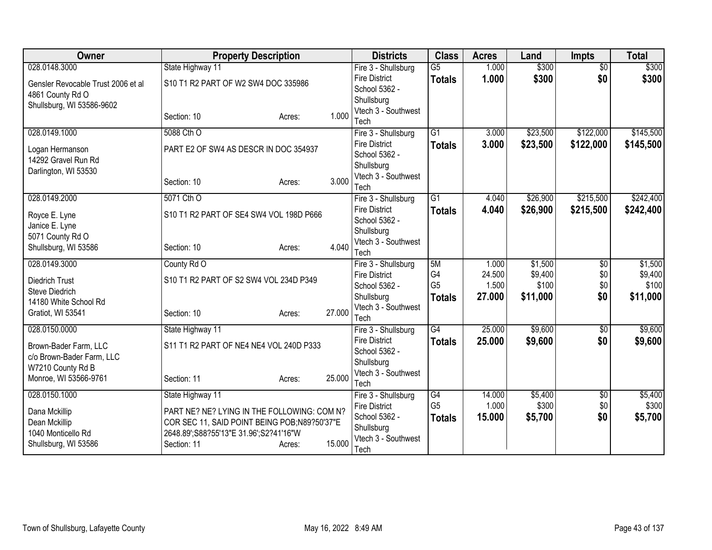| Owner                                              | <b>Property Description</b>                  |        | <b>Districts</b>                      | <b>Class</b>             | <b>Acres</b>    | Land               | <b>Impts</b>           | <b>Total</b>       |
|----------------------------------------------------|----------------------------------------------|--------|---------------------------------------|--------------------------|-----------------|--------------------|------------------------|--------------------|
| 028.0148.3000                                      | State Highway 11                             |        | Fire 3 - Shullsburg                   | $\overline{\mathsf{G5}}$ | 1.000           | \$300              | $\overline{50}$        | \$300              |
| Gensler Revocable Trust 2006 et al                 | S10 T1 R2 PART OF W2 SW4 DOC 335986          |        | <b>Fire District</b>                  | <b>Totals</b>            | 1.000           | \$300              | \$0                    | \$300              |
| 4861 County Rd O                                   |                                              |        | School 5362 -                         |                          |                 |                    |                        |                    |
| Shullsburg, WI 53586-9602                          |                                              |        | Shullsburg                            |                          |                 |                    |                        |                    |
|                                                    | Section: 10<br>Acres:                        | 1.000  | Vtech 3 - Southwest<br>Tech           |                          |                 |                    |                        |                    |
| 028.0149.1000                                      | 5088 Cth O                                   |        | Fire 3 - Shullsburg                   | $\overline{G1}$          | 3.000           | \$23,500           | \$122,000              | \$145,500          |
|                                                    |                                              |        | <b>Fire District</b>                  | <b>Totals</b>            | 3.000           | \$23,500           | \$122,000              | \$145,500          |
| Logan Hermanson                                    | PART E2 OF SW4 AS DESCR IN DOC 354937        |        | School 5362 -                         |                          |                 |                    |                        |                    |
| 14292 Gravel Run Rd                                |                                              |        | Shullsburg                            |                          |                 |                    |                        |                    |
| Darlington, WI 53530                               |                                              |        | Vtech 3 - Southwest                   |                          |                 |                    |                        |                    |
|                                                    | Section: 10<br>Acres:                        | 3.000  | Tech                                  |                          |                 |                    |                        |                    |
| 028.0149.2000                                      | 5071 Cth O                                   |        | Fire 3 - Shullsburg                   | $\overline{G1}$          | 4.040           | \$26,900           | \$215,500              | \$242,400          |
| Royce E. Lyne                                      | S10 T1 R2 PART OF SE4 SW4 VOL 198D P666      |        | <b>Fire District</b>                  | <b>Totals</b>            | 4.040           | \$26,900           | \$215,500              | \$242,400          |
| Janice E. Lyne                                     |                                              |        | School 5362 -                         |                          |                 |                    |                        |                    |
| 5071 County Rd O                                   |                                              |        | Shullsburg                            |                          |                 |                    |                        |                    |
| Shullsburg, WI 53586                               | Section: 10<br>Acres:                        | 4.040  | Vtech 3 - Southwest                   |                          |                 |                    |                        |                    |
|                                                    |                                              |        | Tech                                  |                          |                 |                    |                        |                    |
| 028.0149.3000                                      | County Rd O                                  |        | Fire 3 - Shullsburg                   | 5M<br>G4                 | 1.000<br>24.500 | \$1,500<br>\$9,400 | $\overline{50}$<br>\$0 | \$1,500<br>\$9,400 |
| <b>Diedrich Trust</b>                              | S10 T1 R2 PART OF S2 SW4 VOL 234D P349       |        | <b>Fire District</b><br>School 5362 - | G <sub>5</sub>           | 1.500           | \$100              | \$0                    | \$100              |
| Steve Diedrich                                     |                                              |        | Shullsburg                            | <b>Totals</b>            | 27.000          | \$11,000           | \$0                    | \$11,000           |
| 14180 White School Rd                              |                                              |        | Vtech 3 - Southwest                   |                          |                 |                    |                        |                    |
| Gratiot, WI 53541                                  | Section: 10<br>Acres:                        | 27.000 | Tech                                  |                          |                 |                    |                        |                    |
| 028.0150.0000                                      | State Highway 11                             |        | Fire 3 - Shullsburg                   | $\overline{G4}$          | 25.000          | \$9,600            | $\overline{50}$        | \$9,600            |
|                                                    | S11 T1 R2 PART OF NE4 NE4 VOL 240D P333      |        | <b>Fire District</b>                  | <b>Totals</b>            | 25.000          | \$9,600            | \$0                    | \$9,600            |
| Brown-Bader Farm, LLC<br>c/o Brown-Bader Farm, LLC |                                              |        | School 5362 -                         |                          |                 |                    |                        |                    |
| W7210 County Rd B                                  |                                              |        | Shullsburg                            |                          |                 |                    |                        |                    |
| Monroe, WI 53566-9761                              | Section: 11<br>Acres:                        | 25.000 | Vtech 3 - Southwest                   |                          |                 |                    |                        |                    |
|                                                    |                                              |        | Tech                                  |                          |                 |                    |                        |                    |
| 028.0150.1000                                      | State Highway 11                             |        | Fire 3 - Shullsburg                   | $\overline{G4}$          | 14.000          | \$5,400            | $\overline{50}$        | \$5,400            |
| Dana Mckillip                                      | PART NE? NE? LYING IN THE FOLLOWING: COM N?  |        | <b>Fire District</b>                  | G <sub>5</sub>           | 1.000           | \$300              | \$0                    | \$300              |
| Dean Mckillip                                      | COR SEC 11, SAID POINT BEING POB;N89?50'37"E |        | School 5362 -<br>Shullsburg           | <b>Totals</b>            | 15.000          | \$5,700            | \$0                    | \$5,700            |
| 1040 Monticello Rd                                 | 2648.89';S88?55'13"E 31.96';S2?41'16"W       |        | Vtech 3 - Southwest                   |                          |                 |                    |                        |                    |
| Shullsburg, WI 53586                               | Section: 11<br>Acres:                        | 15.000 | Tech                                  |                          |                 |                    |                        |                    |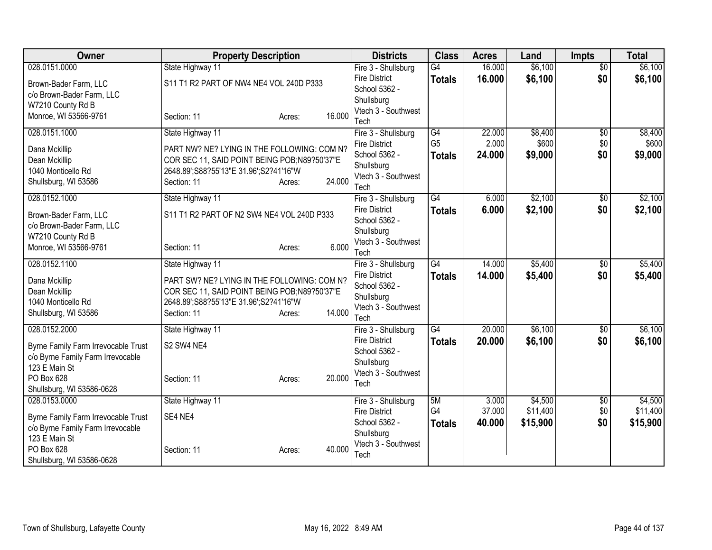| Owner                               | <b>Property Description</b>                  |        |        | <b>Districts</b>                            | <b>Class</b>    | <b>Acres</b> | Land               | <b>Impts</b>           | <b>Total</b> |
|-------------------------------------|----------------------------------------------|--------|--------|---------------------------------------------|-----------------|--------------|--------------------|------------------------|--------------|
| 028.0151.0000                       | State Highway 11                             |        |        | Fire 3 - Shullsburg                         | $\overline{G4}$ | 16.000       | \$6,100            | $\overline{50}$        | \$6,100      |
| Brown-Bader Farm, LLC               | S11 T1 R2 PART OF NW4 NE4 VOL 240D P333      |        |        | <b>Fire District</b>                        | <b>Totals</b>   | 16.000       | \$6,100            | \$0                    | \$6,100      |
| c/o Brown-Bader Farm, LLC           |                                              |        |        | School 5362 -                               |                 |              |                    |                        |              |
| W7210 County Rd B                   |                                              |        |        | Shullsburg                                  |                 |              |                    |                        |              |
| Monroe, WI 53566-9761               | Section: 11                                  | Acres: | 16.000 | Vtech 3 - Southwest                         |                 |              |                    |                        |              |
| 028.0151.1000                       | State Highway 11                             |        |        | Tech<br>Fire 3 - Shullsburg                 | G4              | 22.000       | \$8,400            | $\overline{60}$        | \$8,400      |
|                                     |                                              |        |        | <b>Fire District</b>                        | G <sub>5</sub>  | 2.000        | \$600              | \$0                    | \$600        |
| Dana Mckillip                       | PART NW? NE? LYING IN THE FOLLOWING: COM N?  |        |        | School 5362 -                               | <b>Totals</b>   | 24.000       | \$9,000            | \$0                    | \$9,000      |
| Dean Mckillip                       | COR SEC 11, SAID POINT BEING POB;N89?50'37"E |        |        | Shullsburg                                  |                 |              |                    |                        |              |
| 1040 Monticello Rd                  | 2648.89';S88?55'13"E 31.96';S2?41'16"W       |        |        | Vtech 3 - Southwest                         |                 |              |                    |                        |              |
| Shullsburg, WI 53586                | Section: 11                                  | Acres: | 24.000 | Tech                                        |                 |              |                    |                        |              |
| 028.0152.1000                       | State Highway 11                             |        |        | Fire 3 - Shullsburg                         | $\overline{G4}$ | 6.000        | \$2,100            | \$0                    | \$2,100      |
| Brown-Bader Farm, LLC               | S11 T1 R2 PART OF N2 SW4 NE4 VOL 240D P333   |        |        | <b>Fire District</b>                        | <b>Totals</b>   | 6.000        | \$2,100            | \$0                    | \$2,100      |
| c/o Brown-Bader Farm, LLC           |                                              |        |        | School 5362 -                               |                 |              |                    |                        |              |
| W7210 County Rd B                   |                                              |        |        | Shullsburg                                  |                 |              |                    |                        |              |
| Monroe, WI 53566-9761               | Section: 11                                  | Acres: | 6.000  | Vtech 3 - Southwest                         |                 |              |                    |                        |              |
| 028.0152.1100                       |                                              |        |        | Tech                                        | G4              | 14.000       |                    |                        | \$5,400      |
|                                     | State Highway 11                             |        |        | Fire 3 - Shullsburg<br><b>Fire District</b> |                 | 14.000       | \$5,400<br>\$5,400 | $\overline{50}$<br>\$0 |              |
| Dana Mckillip                       | PART SW? NE? LYING IN THE FOLLOWING: COM N?  |        |        | School 5362 -                               | <b>Totals</b>   |              |                    |                        | \$5,400      |
| Dean Mckillip                       | COR SEC 11, SAID POINT BEING POB;N89?50'37"E |        |        | Shullsburg                                  |                 |              |                    |                        |              |
| 1040 Monticello Rd                  | 2648.89';S88?55'13"E 31.96';S2?41'16"W       |        |        | Vtech 3 - Southwest                         |                 |              |                    |                        |              |
| Shullsburg, WI 53586                | Section: 11                                  | Acres: | 14.000 | Tech                                        |                 |              |                    |                        |              |
| 028.0152.2000                       | State Highway 11                             |        |        | Fire 3 - Shullsburg                         | $\overline{G4}$ | 20.000       | \$6,100            | \$0                    | \$6,100      |
| Byrne Family Farm Irrevocable Trust | S2 SW4 NE4                                   |        |        | <b>Fire District</b>                        | <b>Totals</b>   | 20.000       | \$6,100            | \$0                    | \$6,100      |
| c/o Byrne Family Farm Irrevocable   |                                              |        |        | School 5362 -                               |                 |              |                    |                        |              |
| 123 E Main St                       |                                              |        |        | Shullsburg                                  |                 |              |                    |                        |              |
| PO Box 628                          | Section: 11                                  | Acres: | 20.000 | Vtech 3 - Southwest                         |                 |              |                    |                        |              |
| Shullsburg, WI 53586-0628           |                                              |        |        | Tech                                        |                 |              |                    |                        |              |
| 028.0153.0000                       | State Highway 11                             |        |        | Fire 3 - Shullsburg                         | 5M              | 3.000        | \$4,500            | $\sqrt{$0}$            | \$4,500      |
| Byrne Family Farm Irrevocable Trust | SE4 NE4                                      |        |        | <b>Fire District</b>                        | G4              | 37.000       | \$11,400           | \$0                    | \$11,400     |
| c/o Byrne Family Farm Irrevocable   |                                              |        |        | School 5362 -                               | <b>Totals</b>   | 40.000       | \$15,900           | \$0                    | \$15,900     |
| 123 E Main St                       |                                              |        |        | Shullsburg                                  |                 |              |                    |                        |              |
| PO Box 628                          | Section: 11                                  | Acres: | 40.000 | Vtech 3 - Southwest                         |                 |              |                    |                        |              |
| Shullsburg, WI 53586-0628           |                                              |        |        | Tech                                        |                 |              |                    |                        |              |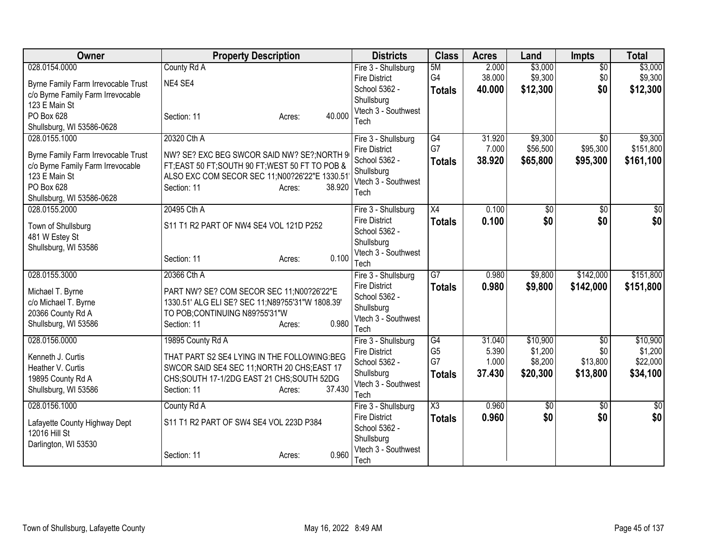| Owner                                                                                                                                                 | <b>Property Description</b>                                                                                                                                                                        | <b>Districts</b>                                                                                          | <b>Class</b>                                | <b>Acres</b>                       | Land                                       | <b>Impts</b>                            | <b>Total</b>                                |
|-------------------------------------------------------------------------------------------------------------------------------------------------------|----------------------------------------------------------------------------------------------------------------------------------------------------------------------------------------------------|-----------------------------------------------------------------------------------------------------------|---------------------------------------------|------------------------------------|--------------------------------------------|-----------------------------------------|---------------------------------------------|
| 028.0154.0000<br>Byrne Family Farm Irrevocable Trust<br>c/o Byrne Family Farm Irrevocable<br>123 E Main St<br>PO Box 628<br>Shullsburg, WI 53586-0628 | County Rd A<br>NE4 SE4<br>40.000<br>Section: 11<br>Acres:                                                                                                                                          | Fire 3 - Shullsburg<br><b>Fire District</b><br>School 5362 -<br>Shullsburg<br>Vtech 3 - Southwest<br>Tech | 5M<br>G4<br><b>Totals</b>                   | 2.000<br>38.000<br>40.000          | \$3,000<br>\$9,300<br>\$12,300             | $\overline{50}$<br>\$0<br>\$0           | \$3,000<br>\$9,300<br>\$12,300              |
| 028.0155.1000<br>Byrne Family Farm Irrevocable Trust<br>c/o Byrne Family Farm Irrevocable<br>123 E Main St<br>PO Box 628<br>Shullsburg, WI 53586-0628 | 20320 Cth A<br>NW? SE? EXC BEG SWCOR SAID NW? SE?; NORTH 9<br>FT; EAST 50 FT; SOUTH 90 FT; WEST 50 FT TO POB &<br>ALSO EXC COM SECOR SEC 11;N00?26'22"E 1330.51<br>Section: 11<br>38.920<br>Acres: | Fire 3 - Shullsburg<br><b>Fire District</b><br>School 5362 -<br>Shullsburg<br>Vtech 3 - Southwest<br>Tech | G4<br>G7<br><b>Totals</b>                   | 31.920<br>7.000<br>38.920          | \$9,300<br>\$56,500<br>\$65,800            | $\overline{50}$<br>\$95,300<br>\$95,300 | \$9,300<br>\$151,800<br>\$161,100           |
| 028.0155.2000<br>Town of Shullsburg<br>481 W Estey St<br>Shullsburg, WI 53586                                                                         | 20495 Cth A<br>S11 T1 R2 PART OF NW4 SE4 VOL 121D P252<br>0.100<br>Section: 11<br>Acres:                                                                                                           | Fire 3 - Shullsburg<br><b>Fire District</b><br>School 5362 -<br>Shullsburg<br>Vtech 3 - Southwest<br>Tech | X4<br><b>Totals</b>                         | 0.100<br>0.100                     | \$0<br>\$0                                 | \$0<br>\$0                              | \$0<br>\$0                                  |
| 028.0155.3000<br>Michael T. Byrne<br>c/o Michael T. Byrne<br>20366 County Rd A<br>Shullsburg, WI 53586                                                | 20366 Cth A<br>PART NW? SE? COM SECOR SEC 11;N00?26'22"E<br>1330.51' ALG ELI SE? SEC 11;N89?55'31"W 1808.39'<br>TO POB; CONTINUING N89?55'31"W<br>0.980<br>Section: 11<br>Acres:                   | Fire 3 - Shullsburg<br><b>Fire District</b><br>School 5362 -<br>Shullsburg<br>Vtech 3 - Southwest<br>Tech | $\overline{G7}$<br><b>Totals</b>            | 0.980<br>0.980                     | \$9,800<br>\$9,800                         | \$142,000<br>\$142,000                  | \$151,800<br>\$151,800                      |
| 028.0156.0000<br>Kenneth J. Curtis<br>Heather V. Curtis<br>19895 County Rd A<br>Shullsburg, WI 53586                                                  | 19895 County Rd A<br>THAT PART S2 SE4 LYING IN THE FOLLOWING:BEG<br>SWCOR SAID SE4 SEC 11; NORTH 20 CHS; EAST 17<br>CHS;SOUTH 17-1/2DG EAST 21 CHS;SOUTH 52DG<br>37.430<br>Section: 11<br>Acres:   | Fire 3 - Shullsburg<br><b>Fire District</b><br>School 5362 -<br>Shullsburg<br>Vtech 3 - Southwest<br>Tech | G4<br>G <sub>5</sub><br>G7<br><b>Totals</b> | 31.040<br>5.390<br>1.000<br>37.430 | \$10,900<br>\$1,200<br>\$8,200<br>\$20,300 | \$0<br>\$0<br>\$13,800<br>\$13,800      | \$10,900<br>\$1,200<br>\$22,000<br>\$34,100 |
| 028.0156.1000<br>Lafayette County Highway Dept<br>12016 Hill St<br>Darlington, WI 53530                                                               | County Rd A<br>S11 T1 R2 PART OF SW4 SE4 VOL 223D P384<br>0.960<br>Section: 11<br>Acres:                                                                                                           | Fire 3 - Shullsburg<br><b>Fire District</b><br>School 5362 -<br>Shullsburg<br>Vtech 3 - Southwest<br>Tech | $\overline{\text{X3}}$<br><b>Totals</b>     | 0.960<br>0.960                     | \$0<br>\$0                                 | \$0<br>\$0                              | \$0<br>\$0                                  |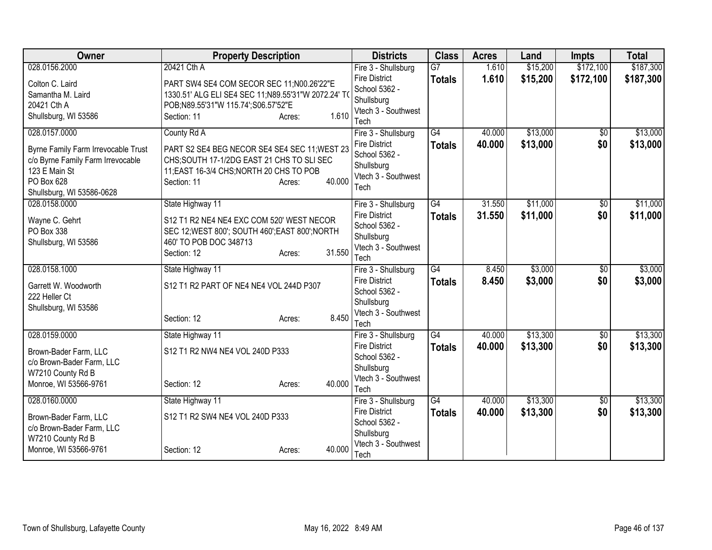| Owner                                      | <b>Property Description</b>                         |                  | <b>Districts</b>                      | <b>Class</b>    | <b>Acres</b> | Land     | <b>Impts</b>    | <b>Total</b> |
|--------------------------------------------|-----------------------------------------------------|------------------|---------------------------------------|-----------------|--------------|----------|-----------------|--------------|
| 028.0156.2000                              | 20421 Cth A                                         |                  | Fire 3 - Shullsburg                   | $\overline{G7}$ | 1.610        | \$15,200 | \$172,100       | \$187,300    |
| Colton C. Laird                            | PART SW4 SE4 COM SECOR SEC 11;N00.26'22"E           |                  | <b>Fire District</b><br>School 5362 - | <b>Totals</b>   | 1.610        | \$15,200 | \$172,100       | \$187,300    |
| Samantha M. Laird                          | 1330.51' ALG ELI SE4 SEC 11;N89.55'31"W 2072.24' TO |                  | Shullsburg                            |                 |              |          |                 |              |
| 20421 Cth A                                | POB;N89.55'31"W 115.74';S06.57'52"E                 |                  | Vtech 3 - Southwest                   |                 |              |          |                 |              |
| Shullsburg, WI 53586                       | Section: 11                                         | 1.610<br>Acres:  | Tech                                  |                 |              |          |                 |              |
| 028.0157.0000                              | County Rd A                                         |                  | Fire 3 - Shullsburg                   | G4              | 40.000       | \$13,000 | \$0             | \$13,000     |
| <b>Byrne Family Farm Irrevocable Trust</b> | PART S2 SE4 BEG NECOR SE4 SE4 SEC 11; WEST 23       |                  | <b>Fire District</b>                  | <b>Totals</b>   | 40.000       | \$13,000 | \$0             | \$13,000     |
| c/o Byrne Family Farm Irrevocable          | CHS;SOUTH 17-1/2DG EAST 21 CHS TO SLI SEC           |                  | School 5362 -                         |                 |              |          |                 |              |
| 123 E Main St                              | 11; EAST 16-3/4 CHS; NORTH 20 CHS TO POB            |                  | Shullsburg<br>Vtech 3 - Southwest     |                 |              |          |                 |              |
| PO Box 628                                 | Section: 11                                         | 40.000<br>Acres: | Tech                                  |                 |              |          |                 |              |
| Shullsburg, WI 53586-0628                  |                                                     |                  |                                       |                 |              |          |                 |              |
| 028.0158.0000                              | State Highway 11                                    |                  | Fire 3 - Shullsburg                   | $\overline{G4}$ | 31.550       | \$11,000 | $\overline{50}$ | \$11,000     |
| Wayne C. Gehrt                             | S12 T1 R2 NE4 NE4 EXC COM 520' WEST NECOR           |                  | <b>Fire District</b>                  | <b>Totals</b>   | 31.550       | \$11,000 | \$0             | \$11,000     |
| PO Box 338                                 | SEC 12; WEST 800'; SOUTH 460'; EAST 800'; NORTH     |                  | School 5362 -                         |                 |              |          |                 |              |
| Shullsburg, WI 53586                       | 460' TO POB DOC 348713                              |                  | Shullsburg<br>Vtech 3 - Southwest     |                 |              |          |                 |              |
|                                            | Section: 12                                         | 31.550<br>Acres: | Tech                                  |                 |              |          |                 |              |
| 028.0158.1000                              | State Highway 11                                    |                  | Fire 3 - Shullsburg                   | G4              | 8.450        | \$3,000  | \$0             | \$3,000      |
| Garrett W. Woodworth                       | S12 T1 R2 PART OF NE4 NE4 VOL 244D P307             |                  | <b>Fire District</b>                  | <b>Totals</b>   | 8.450        | \$3,000  | \$0             | \$3,000      |
| 222 Heller Ct                              |                                                     |                  | School 5362 -                         |                 |              |          |                 |              |
| Shullsburg, WI 53586                       |                                                     |                  | Shullsburg                            |                 |              |          |                 |              |
|                                            | Section: 12                                         | 8.450<br>Acres:  | Vtech 3 - Southwest                   |                 |              |          |                 |              |
|                                            |                                                     |                  | Tech                                  |                 |              |          |                 |              |
| 028.0159.0000                              | State Highway 11                                    |                  | Fire 3 - Shullsburg                   | G4              | 40.000       | \$13,300 | \$0             | \$13,300     |
| Brown-Bader Farm, LLC                      | S12 T1 R2 NW4 NE4 VOL 240D P333                     |                  | <b>Fire District</b><br>School 5362 - | <b>Totals</b>   | 40.000       | \$13,300 | \$0             | \$13,300     |
| c/o Brown-Bader Farm, LLC                  |                                                     |                  | Shullsburg                            |                 |              |          |                 |              |
| W7210 County Rd B                          |                                                     |                  | Vtech 3 - Southwest                   |                 |              |          |                 |              |
| Monroe, WI 53566-9761                      | Section: 12                                         | 40.000<br>Acres: | Tech                                  |                 |              |          |                 |              |
| 028.0160.0000                              | State Highway 11                                    |                  | Fire 3 - Shullsburg                   | $\overline{G4}$ | 40.000       | \$13,300 | $\overline{60}$ | \$13,300     |
| Brown-Bader Farm, LLC                      | S12 T1 R2 SW4 NE4 VOL 240D P333                     |                  | <b>Fire District</b>                  | <b>Totals</b>   | 40.000       | \$13,300 | \$0             | \$13,300     |
| c/o Brown-Bader Farm, LLC                  |                                                     |                  | School 5362 -                         |                 |              |          |                 |              |
| W7210 County Rd B                          |                                                     |                  | Shullsburg                            |                 |              |          |                 |              |
| Monroe, WI 53566-9761                      | Section: 12                                         | 40.000<br>Acres: | Vtech 3 - Southwest<br>Tech           |                 |              |          |                 |              |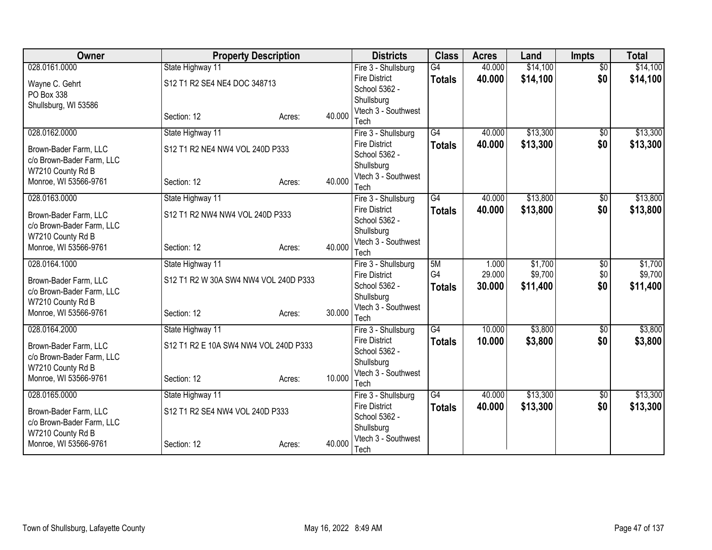| Owner                     | <b>Property Description</b>           |        |        | <b>Districts</b>                            | <b>Class</b>    | <b>Acres</b> | Land     | <b>Impts</b>           | <b>Total</b> |
|---------------------------|---------------------------------------|--------|--------|---------------------------------------------|-----------------|--------------|----------|------------------------|--------------|
| 028.0161.0000             | State Highway 11                      |        |        | Fire 3 - Shullsburg                         | $\overline{G4}$ | 40.000       | \$14,100 | $\overline{50}$        | \$14,100     |
| Wayne C. Gehrt            | S12 T1 R2 SE4 NE4 DOC 348713          |        |        | <b>Fire District</b>                        | <b>Totals</b>   | 40.000       | \$14,100 | \$0                    | \$14,100     |
| PO Box 338                |                                       |        |        | School 5362 -                               |                 |              |          |                        |              |
| Shullsburg, WI 53586      |                                       |        |        | Shullsburg<br>Vtech 3 - Southwest           |                 |              |          |                        |              |
|                           | Section: 12                           | Acres: | 40.000 | Tech                                        |                 |              |          |                        |              |
| 028.0162.0000             | State Highway 11                      |        |        | Fire 3 - Shullsburg                         | $\overline{G4}$ | 40.000       | \$13,300 | $\overline{50}$        | \$13,300     |
| Brown-Bader Farm, LLC     | S12 T1 R2 NE4 NW4 VOL 240D P333       |        |        | <b>Fire District</b>                        | <b>Totals</b>   | 40.000       | \$13,300 | \$0                    | \$13,300     |
| c/o Brown-Bader Farm, LLC |                                       |        |        | School 5362 -                               |                 |              |          |                        |              |
| W7210 County Rd B         |                                       |        |        | Shullsburg                                  |                 |              |          |                        |              |
| Monroe, WI 53566-9761     | Section: 12                           | Acres: | 40.000 | Vtech 3 - Southwest                         |                 |              |          |                        |              |
| 028.0163.0000             |                                       |        |        | Tech                                        | G4              | 40.000       | \$13,800 |                        | \$13,800     |
|                           | State Highway 11                      |        |        | Fire 3 - Shullsburg<br><b>Fire District</b> |                 |              |          | \$0<br>\$0             |              |
| Brown-Bader Farm, LLC     | S12 T1 R2 NW4 NW4 VOL 240D P333       |        |        | School 5362 -                               | <b>Totals</b>   | 40.000       | \$13,800 |                        | \$13,800     |
| c/o Brown-Bader Farm, LLC |                                       |        |        | Shullsburg                                  |                 |              |          |                        |              |
| W7210 County Rd B         |                                       |        |        | Vtech 3 - Southwest                         |                 |              |          |                        |              |
| Monroe, WI 53566-9761     | Section: 12                           | Acres: | 40.000 | Tech                                        |                 |              |          |                        |              |
| 028.0164.1000             | State Highway 11                      |        |        | Fire 3 - Shullsburg                         | 5M              | 1.000        | \$1,700  | $\overline{60}$        | \$1,700      |
| Brown-Bader Farm, LLC     | S12 T1 R2 W 30A SW4 NW4 VOL 240D P333 |        |        | <b>Fire District</b>                        | G4              | 29.000       | \$9,700  | \$0                    | \$9,700      |
| c/o Brown-Bader Farm, LLC |                                       |        |        | School 5362 -                               | <b>Totals</b>   | 30,000       | \$11,400 | \$0                    | \$11,400     |
| W7210 County Rd B         |                                       |        |        | Shullsburg                                  |                 |              |          |                        |              |
| Monroe, WI 53566-9761     | Section: 12                           | Acres: | 30.000 | Vtech 3 - Southwest                         |                 |              |          |                        |              |
|                           |                                       |        |        | Tech                                        | $\overline{G4}$ | 10.000       | \$3,800  |                        | \$3,800      |
| 028.0164.2000             | State Highway 11                      |        |        | Fire 3 - Shullsburg<br><b>Fire District</b> |                 | 10.000       | \$3,800  | $\overline{60}$<br>\$0 |              |
| Brown-Bader Farm, LLC     | S12 T1 R2 E 10A SW4 NW4 VOL 240D P333 |        |        | School 5362 -                               | <b>Totals</b>   |              |          |                        | \$3,800      |
| c/o Brown-Bader Farm, LLC |                                       |        |        | Shullsburg                                  |                 |              |          |                        |              |
| W7210 County Rd B         |                                       |        |        | Vtech 3 - Southwest                         |                 |              |          |                        |              |
| Monroe, WI 53566-9761     | Section: 12                           | Acres: | 10.000 | Tech                                        |                 |              |          |                        |              |
| 028.0165.0000             | State Highway 11                      |        |        | Fire 3 - Shullsburg                         | $\overline{G4}$ | 40.000       | \$13,300 | $\overline{60}$        | \$13,300     |
| Brown-Bader Farm, LLC     | S12 T1 R2 SE4 NW4 VOL 240D P333       |        |        | <b>Fire District</b>                        | <b>Totals</b>   | 40.000       | \$13,300 | \$0                    | \$13,300     |
| c/o Brown-Bader Farm, LLC |                                       |        |        | School 5362 -                               |                 |              |          |                        |              |
| W7210 County Rd B         |                                       |        |        | Shullsburg                                  |                 |              |          |                        |              |
| Monroe, WI 53566-9761     | Section: 12                           | Acres: | 40.000 | Vtech 3 - Southwest<br>Tech                 |                 |              |          |                        |              |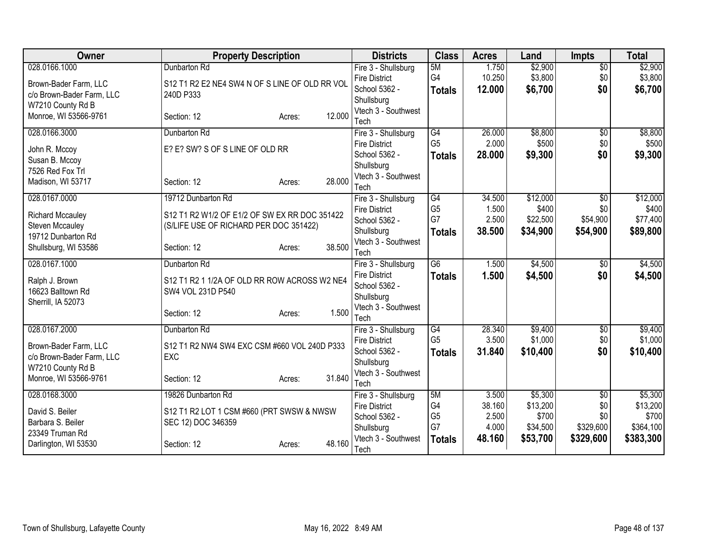| Owner                                      | <b>Property Description</b>                    |        | <b>Districts</b>                      | <b>Class</b>         | <b>Acres</b>   | Land              | <b>Impts</b>     | <b>Total</b>       |
|--------------------------------------------|------------------------------------------------|--------|---------------------------------------|----------------------|----------------|-------------------|------------------|--------------------|
| 028.0166.1000                              | Dunbarton Rd                                   |        | Fire 3 - Shullsburg                   | 5M                   | 1.750          | \$2,900           | $\overline{50}$  | \$2,900            |
| Brown-Bader Farm, LLC                      | S12 T1 R2 E2 NE4 SW4 N OF S LINE OF OLD RR VOL |        | <b>Fire District</b>                  | G4                   | 10.250         | \$3,800           | \$0              | \$3,800            |
| c/o Brown-Bader Farm, LLC                  | 240D P333                                      |        | School 5362 -                         | <b>Totals</b>        | 12.000         | \$6,700           | \$0              | \$6,700            |
| W7210 County Rd B                          |                                                |        | Shullsburg<br>Vtech 3 - Southwest     |                      |                |                   |                  |                    |
| Monroe, WI 53566-9761                      | Section: 12<br>Acres:                          | 12.000 | Tech                                  |                      |                |                   |                  |                    |
| 028.0166.3000                              | Dunbarton Rd                                   |        | Fire 3 - Shullsburg                   | $\overline{G4}$      | 26.000         | \$8,800           | $\overline{50}$  | \$8,800            |
|                                            |                                                |        | <b>Fire District</b>                  | G <sub>5</sub>       | 2.000          | \$500             | \$0              | \$500              |
| John R. Mccoy                              | E? E? SW? S OF S LINE OF OLD RR                |        | School 5362 -                         | <b>Totals</b>        | 28.000         | \$9,300           | \$0              | \$9,300            |
| Susan B. Mccoy<br>7526 Red Fox Trl         |                                                |        | Shullsburg                            |                      |                |                   |                  |                    |
| Madison, WI 53717                          | Section: 12<br>Acres:                          | 28.000 | Vtech 3 - Southwest                   |                      |                |                   |                  |                    |
|                                            |                                                |        | Tech                                  |                      |                |                   |                  |                    |
| 028.0167.0000                              | 19712 Dunbarton Rd                             |        | Fire 3 - Shullsburg                   | G4                   | 34.500         | \$12,000          | \$0              | \$12,000           |
| <b>Richard Mccauley</b>                    | S12 T1 R2 W1/2 OF E1/2 OF SW EX RR DOC 351422  |        | <b>Fire District</b><br>School 5362 - | G <sub>5</sub><br>G7 | 1.500<br>2.500 | \$400<br>\$22,500 | \$0<br>\$54,900  | \$400<br>\$77,400  |
| <b>Steven Mccauley</b>                     | (S/LIFE USE OF RICHARD PER DOC 351422)         |        | Shullsburg                            | <b>Totals</b>        | 38,500         | \$34,900          | \$54,900         | \$89,800           |
| 19712 Dunbarton Rd                         |                                                |        | Vtech 3 - Southwest                   |                      |                |                   |                  |                    |
| Shullsburg, WI 53586                       | Section: 12<br>Acres:                          | 38.500 | Tech                                  |                      |                |                   |                  |                    |
| 028.0167.1000                              | Dunbarton Rd                                   |        | Fire 3 - Shullsburg                   | $\overline{G6}$      | 1.500          | \$4,500           | $\overline{50}$  | \$4,500            |
| Ralph J. Brown                             | S12 T1 R2 1 1/2A OF OLD RR ROW ACROSS W2 NE4   |        | <b>Fire District</b>                  | <b>Totals</b>        | 1.500          | \$4,500           | \$0              | \$4,500            |
| 16623 Balltown Rd                          | SW4 VOL 231D P540                              |        | School 5362 -                         |                      |                |                   |                  |                    |
| Sherrill, IA 52073                         |                                                |        | Shullsburg                            |                      |                |                   |                  |                    |
|                                            | Section: 12<br>Acres:                          | 1.500  | Vtech 3 - Southwest<br>Tech           |                      |                |                   |                  |                    |
| 028.0167.2000                              | Dunbarton Rd                                   |        | Fire 3 - Shullsburg                   | G4                   | 28.340         | \$9,400           | $\overline{50}$  | \$9,400            |
|                                            |                                                |        | <b>Fire District</b>                  | G <sub>5</sub>       | 3.500          | \$1,000           | \$0              | \$1,000            |
| Brown-Bader Farm, LLC                      | S12 T1 R2 NW4 SW4 EXC CSM #660 VOL 240D P333   |        | School 5362 -                         | <b>Totals</b>        | 31.840         | \$10,400          | \$0              | \$10,400           |
| c/o Brown-Bader Farm, LLC                  | <b>EXC</b>                                     |        | Shullsburg                            |                      |                |                   |                  |                    |
| W7210 County Rd B<br>Monroe, WI 53566-9761 | Section: 12                                    | 31.840 | Vtech 3 - Southwest                   |                      |                |                   |                  |                    |
|                                            | Acres:                                         |        | Tech                                  |                      |                |                   |                  |                    |
| 028.0168.3000                              | 19826 Dunbarton Rd                             |        | Fire 3 - Shullsburg                   | 5M                   | 3.500          | \$5,300           | $\overline{50}$  | \$5,300            |
| David S. Beiler                            | S12 T1 R2 LOT 1 CSM #660 (PRT SWSW & NWSW      |        | <b>Fire District</b>                  | G4                   | 38.160         | \$13,200          | \$0              | \$13,200           |
| Barbara S. Beiler                          | SEC 12) DOC 346359                             |        | School 5362 -<br>Shullsburg           | G <sub>5</sub><br>G7 | 2.500<br>4.000 | \$700<br>\$34,500 | \$0<br>\$329,600 | \$700<br>\$364,100 |
| 23349 Truman Rd                            |                                                |        | Vtech 3 - Southwest                   | <b>Totals</b>        | 48.160         | \$53,700          | \$329,600        | \$383,300          |
| Darlington, WI 53530                       | Section: 12<br>Acres:                          | 48.160 | Tech                                  |                      |                |                   |                  |                    |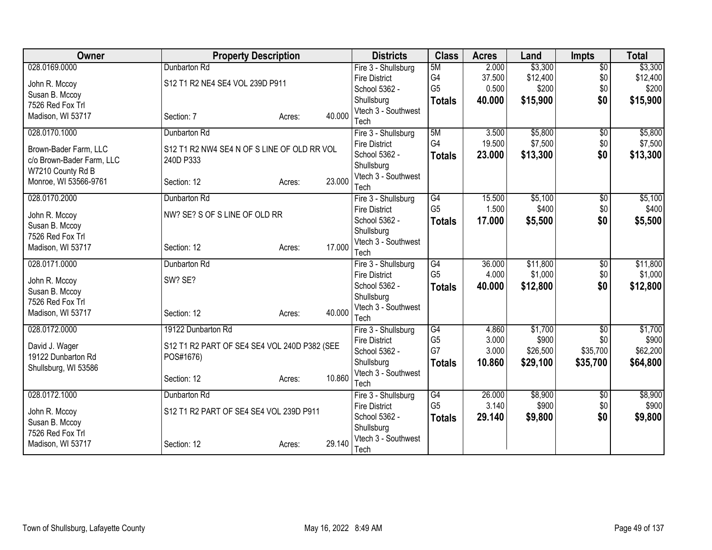| <b>Owner</b>              | <b>Property Description</b>                  |        |        | <b>Districts</b>                            | <b>Class</b>   | <b>Acres</b> | Land     | <b>Impts</b>    | <b>Total</b> |
|---------------------------|----------------------------------------------|--------|--------|---------------------------------------------|----------------|--------------|----------|-----------------|--------------|
| 028.0169.0000             | Dunbarton Rd                                 |        |        | Fire 3 - Shullsburg                         | 5M             | 2.000        | \$3,300  | $\overline{50}$ | \$3,300      |
| John R. Mccoy             | S12 T1 R2 NE4 SE4 VOL 239D P911              |        |        | <b>Fire District</b>                        | G4             | 37.500       | \$12,400 | \$0             | \$12,400     |
| Susan B. Mccoy            |                                              |        |        | School 5362 -                               | G <sub>5</sub> | 0.500        | \$200    | \$0             | \$200        |
| 7526 Red Fox Trl          |                                              |        |        | Shullsburg                                  | <b>Totals</b>  | 40.000       | \$15,900 | \$0             | \$15,900     |
| Madison, WI 53717         | Section: 7                                   | Acres: | 40.000 | Vtech 3 - Southwest<br>Tech                 |                |              |          |                 |              |
| 028.0170.1000             | Dunbarton Rd                                 |        |        | Fire 3 - Shullsburg                         | 5M             | 3.500        | \$5,800  | $\overline{50}$ | \$5,800      |
|                           |                                              |        |        | <b>Fire District</b>                        | G4             | 19.500       | \$7,500  | \$0             | \$7,500      |
| Brown-Bader Farm, LLC     | S12 T1 R2 NW4 SE4 N OF S LINE OF OLD RR VOL  |        |        | School 5362 -                               | <b>Totals</b>  | 23.000       | \$13,300 | \$0             | \$13,300     |
| c/o Brown-Bader Farm, LLC | 240D P333                                    |        |        | Shullsburg                                  |                |              |          |                 |              |
| W7210 County Rd B         |                                              |        |        | Vtech 3 - Southwest                         |                |              |          |                 |              |
| Monroe, WI 53566-9761     | Section: 12                                  | Acres: | 23.000 | Tech                                        |                |              |          |                 |              |
| 028.0170.2000             | Dunbarton Rd                                 |        |        | Fire 3 - Shullsburg                         | G4             | 15.500       | \$5,100  | \$0             | \$5,100      |
| John R. Mccoy             | NW? SE? S OF S LINE OF OLD RR                |        |        | <b>Fire District</b>                        | G <sub>5</sub> | 1.500        | \$400    | \$0             | \$400        |
| Susan B. Mccoy            |                                              |        |        | School 5362 -                               | <b>Totals</b>  | 17.000       | \$5,500  | \$0             | \$5,500      |
| 7526 Red Fox Trl          |                                              |        |        | Shullsburg                                  |                |              |          |                 |              |
| Madison, WI 53717         | Section: 12                                  | Acres: | 17.000 | Vtech 3 - Southwest                         |                |              |          |                 |              |
| 028.0171.0000             | Dunbarton Rd                                 |        |        | Tech                                        | G4             | 36.000       | \$11,800 |                 | \$11,800     |
|                           |                                              |        |        | Fire 3 - Shullsburg<br><b>Fire District</b> | G <sub>5</sub> | 4.000        | \$1,000  | \$0<br>\$0      | \$1,000      |
| John R. Mccoy             | SW? SE?                                      |        |        | School 5362 -                               | <b>Totals</b>  | 40.000       | \$12,800 | \$0             | \$12,800     |
| Susan B. Mccoy            |                                              |        |        | Shullsburg                                  |                |              |          |                 |              |
| 7526 Red Fox Trl          |                                              |        |        | Vtech 3 - Southwest                         |                |              |          |                 |              |
| Madison, WI 53717         | Section: 12                                  | Acres: | 40.000 | Tech                                        |                |              |          |                 |              |
| 028.0172.0000             | 19122 Dunbarton Rd                           |        |        | Fire 3 - Shullsburg                         | G4             | 4.860        | \$1,700  | $\overline{50}$ | \$1,700      |
| David J. Wager            | S12 T1 R2 PART OF SE4 SE4 VOL 240D P382 (SEE |        |        | <b>Fire District</b>                        | G <sub>5</sub> | 3.000        | \$900    | \$0             | \$900        |
| 19122 Dunbarton Rd        | POS#1676)                                    |        |        | School 5362 -                               | G7             | 3.000        | \$26,500 | \$35,700        | \$62,200     |
| Shullsburg, WI 53586      |                                              |        |        | Shullsburg                                  | <b>Totals</b>  | 10.860       | \$29,100 | \$35,700        | \$64,800     |
|                           | Section: 12                                  | Acres: | 10.860 | Vtech 3 - Southwest                         |                |              |          |                 |              |
| 028.0172.1000             |                                              |        |        | Tech                                        | G4             | 26.000       | \$8,900  |                 | \$8,900      |
|                           | Dunbarton Rd                                 |        |        | Fire 3 - Shullsburg<br><b>Fire District</b> | G <sub>5</sub> | 3.140        | \$900    | \$0<br>\$0      | \$900        |
| John R. Mccoy             | S12 T1 R2 PART OF SE4 SE4 VOL 239D P911      |        |        | School 5362 -                               | <b>Totals</b>  | 29.140       | \$9,800  | \$0             | \$9,800      |
| Susan B. Mccoy            |                                              |        |        | Shullsburg                                  |                |              |          |                 |              |
| 7526 Red Fox Trl          |                                              |        |        | Vtech 3 - Southwest                         |                |              |          |                 |              |
| Madison, WI 53717         | Section: 12                                  | Acres: | 29.140 | Tech                                        |                |              |          |                 |              |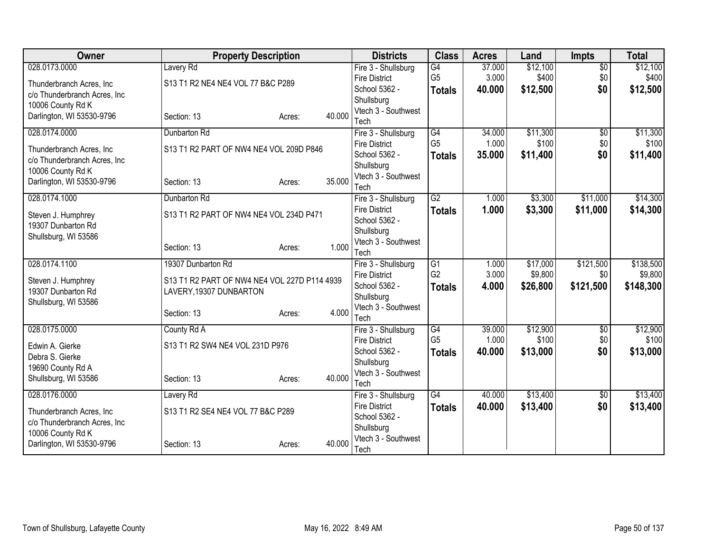| 028.0173.0000<br>Lavery Rd<br>G4<br>37.000<br>\$12,100<br>$\overline{50}$<br>Fire 3 - Shullsburg<br>G <sub>5</sub><br>\$400<br>\$0<br>3.000<br>\$400<br><b>Fire District</b><br>S13 T1 R2 NE4 NE4 VOL 77 B&C P289<br>Thunderbranch Acres, Inc.<br>40.000<br>\$12,500<br>\$0<br>\$12,500<br>School 5362 -<br><b>Totals</b><br>c/o Thunderbranch Acres, Inc<br>Shullsburg<br>10006 County Rd K<br>Vtech 3 - Southwest<br>40.000<br>Darlington, WI 53530-9796<br>Section: 13<br>Acres:<br>Tech<br>\$11,300<br>028.0174.0000<br>$\overline{G4}$<br>34.000<br>$\overline{50}$<br>Dunbarton Rd<br>Fire 3 - Shullsburg<br>G <sub>5</sub><br>\$100<br>\$0<br>1.000<br><b>Fire District</b><br>S13 T1 R2 PART OF NW4 NE4 VOL 209D P846<br>Thunderbranch Acres, Inc.<br>35.000<br>\$11,400<br>\$0<br>\$11,400<br>School 5362 -<br><b>Totals</b><br>c/o Thunderbranch Acres, Inc<br>Shullsburg<br>10006 County Rd K<br>Vtech 3 - Southwest<br>35.000<br>Darlington, WI 53530-9796<br>Section: 13<br>Acres:<br>Tech<br>G2<br>\$3,300<br>\$11,000<br>028.0174.1000<br>Fire 3 - Shullsburg<br>1.000<br>Dunbarton Rd<br><b>Fire District</b><br>1.000<br>\$3,300<br>\$11,000<br>\$14,300<br><b>Totals</b><br>S13 T1 R2 PART OF NW4 NE4 VOL 234D P471<br>Steven J. Humphrey<br>School 5362 -<br>19307 Dunbarton Rd<br>Shullsburg<br>Shullsburg, WI 53586<br>Vtech 3 - Southwest<br>1.000<br>Section: 13<br>Acres:<br>Tech<br>G1<br>\$121,500<br>028.0174.1100<br>19307 Dunbarton Rd<br>\$17,000<br>Fire 3 - Shullsburg<br>1.000<br>G <sub>2</sub><br>3.000<br>\$9,800<br><b>Fire District</b><br>\$0<br>S13 T1 R2 PART OF NW4 NE4 VOL 227D P114 4939<br>Steven J. Humphrey<br>School 5362 -<br>4.000<br>\$26,800<br>\$121,500<br>\$148,300<br><b>Totals</b><br>19307 Dunbarton Rd<br>LAVERY, 19307 DUNBARTON<br>Shullsburg<br>Shullsburg, WI 53586<br>Vtech 3 - Southwest<br>4.000<br>Section: 13<br>Acres:<br>Tech<br>\$12,900<br>028.0175.0000<br>County Rd A<br>G4<br>39.000<br>$\overline{50}$<br>Fire 3 - Shullsburg<br>G <sub>5</sub><br>1.000<br>\$100<br>\$0<br><b>Fire District</b><br>S13 T1 R2 SW4 NE4 VOL 231D P976<br>Edwin A. Gierke<br>\$13,000<br>\$0<br>School 5362 -<br>40.000<br>\$13,000<br><b>Totals</b><br>Debra S. Gierke<br>Shullsburg<br>19690 County Rd A<br>Vtech 3 - Southwest<br>40.000<br>Shullsburg, WI 53586<br>Section: 13<br>Acres:<br>Tech<br>G4<br>\$13,400<br>028.0176.0000<br>Lavery Rd<br>40.000<br>Fire 3 - Shullsburg<br>\$0<br>\$0<br><b>Fire District</b><br>40.000<br>\$13,400<br>\$13,400<br><b>Totals</b><br>S13 T1 R2 SE4 NE4 VOL 77 B&C P289<br>Thunderbranch Acres, Inc.<br>School 5362 -<br>c/o Thunderbranch Acres, Inc<br>Shullsburg<br>10006 County Rd K<br>Vtech 3 - Southwest<br>40.000<br>Darlington, WI 53530-9796<br>Section: 13<br>Acres: | <b>Owner</b> | <b>Property Description</b> | <b>Districts</b> | <b>Class</b> | <b>Acres</b> | Land | <b>Impts</b> | <b>Total</b> |
|--------------------------------------------------------------------------------------------------------------------------------------------------------------------------------------------------------------------------------------------------------------------------------------------------------------------------------------------------------------------------------------------------------------------------------------------------------------------------------------------------------------------------------------------------------------------------------------------------------------------------------------------------------------------------------------------------------------------------------------------------------------------------------------------------------------------------------------------------------------------------------------------------------------------------------------------------------------------------------------------------------------------------------------------------------------------------------------------------------------------------------------------------------------------------------------------------------------------------------------------------------------------------------------------------------------------------------------------------------------------------------------------------------------------------------------------------------------------------------------------------------------------------------------------------------------------------------------------------------------------------------------------------------------------------------------------------------------------------------------------------------------------------------------------------------------------------------------------------------------------------------------------------------------------------------------------------------------------------------------------------------------------------------------------------------------------------------------------------------------------------------------------------------------------------------------------------------------------------------------------------------------------------------------------------------------------------------------------------------------------------------------------------------------------------------------------------------------------------------------------------------------------------------------------------------------------------------------------------------------------------------------------------------------------------------------------------------------------------------------------------------------------------------------|--------------|-----------------------------|------------------|--------------|--------------|------|--------------|--------------|
|                                                                                                                                                                                                                                                                                                                                                                                                                                                                                                                                                                                                                                                                                                                                                                                                                                                                                                                                                                                                                                                                                                                                                                                                                                                                                                                                                                                                                                                                                                                                                                                                                                                                                                                                                                                                                                                                                                                                                                                                                                                                                                                                                                                                                                                                                                                                                                                                                                                                                                                                                                                                                                                                                                                                                                                      |              |                             |                  |              |              |      |              | \$12,100     |
|                                                                                                                                                                                                                                                                                                                                                                                                                                                                                                                                                                                                                                                                                                                                                                                                                                                                                                                                                                                                                                                                                                                                                                                                                                                                                                                                                                                                                                                                                                                                                                                                                                                                                                                                                                                                                                                                                                                                                                                                                                                                                                                                                                                                                                                                                                                                                                                                                                                                                                                                                                                                                                                                                                                                                                                      |              |                             |                  |              |              |      |              |              |
|                                                                                                                                                                                                                                                                                                                                                                                                                                                                                                                                                                                                                                                                                                                                                                                                                                                                                                                                                                                                                                                                                                                                                                                                                                                                                                                                                                                                                                                                                                                                                                                                                                                                                                                                                                                                                                                                                                                                                                                                                                                                                                                                                                                                                                                                                                                                                                                                                                                                                                                                                                                                                                                                                                                                                                                      |              |                             |                  |              |              |      |              |              |
|                                                                                                                                                                                                                                                                                                                                                                                                                                                                                                                                                                                                                                                                                                                                                                                                                                                                                                                                                                                                                                                                                                                                                                                                                                                                                                                                                                                                                                                                                                                                                                                                                                                                                                                                                                                                                                                                                                                                                                                                                                                                                                                                                                                                                                                                                                                                                                                                                                                                                                                                                                                                                                                                                                                                                                                      |              |                             |                  |              |              |      |              |              |
| \$11,300<br>\$100<br>\$14,300<br>\$138,500<br>\$9,800<br>\$12,900<br>\$100<br>\$13,400                                                                                                                                                                                                                                                                                                                                                                                                                                                                                                                                                                                                                                                                                                                                                                                                                                                                                                                                                                                                                                                                                                                                                                                                                                                                                                                                                                                                                                                                                                                                                                                                                                                                                                                                                                                                                                                                                                                                                                                                                                                                                                                                                                                                                                                                                                                                                                                                                                                                                                                                                                                                                                                                                               |              |                             |                  |              |              |      |              |              |
|                                                                                                                                                                                                                                                                                                                                                                                                                                                                                                                                                                                                                                                                                                                                                                                                                                                                                                                                                                                                                                                                                                                                                                                                                                                                                                                                                                                                                                                                                                                                                                                                                                                                                                                                                                                                                                                                                                                                                                                                                                                                                                                                                                                                                                                                                                                                                                                                                                                                                                                                                                                                                                                                                                                                                                                      |              |                             |                  |              |              |      |              |              |
|                                                                                                                                                                                                                                                                                                                                                                                                                                                                                                                                                                                                                                                                                                                                                                                                                                                                                                                                                                                                                                                                                                                                                                                                                                                                                                                                                                                                                                                                                                                                                                                                                                                                                                                                                                                                                                                                                                                                                                                                                                                                                                                                                                                                                                                                                                                                                                                                                                                                                                                                                                                                                                                                                                                                                                                      |              |                             |                  |              |              |      |              |              |
|                                                                                                                                                                                                                                                                                                                                                                                                                                                                                                                                                                                                                                                                                                                                                                                                                                                                                                                                                                                                                                                                                                                                                                                                                                                                                                                                                                                                                                                                                                                                                                                                                                                                                                                                                                                                                                                                                                                                                                                                                                                                                                                                                                                                                                                                                                                                                                                                                                                                                                                                                                                                                                                                                                                                                                                      |              |                             |                  |              |              |      |              |              |
|                                                                                                                                                                                                                                                                                                                                                                                                                                                                                                                                                                                                                                                                                                                                                                                                                                                                                                                                                                                                                                                                                                                                                                                                                                                                                                                                                                                                                                                                                                                                                                                                                                                                                                                                                                                                                                                                                                                                                                                                                                                                                                                                                                                                                                                                                                                                                                                                                                                                                                                                                                                                                                                                                                                                                                                      |              |                             |                  |              |              |      |              |              |
|                                                                                                                                                                                                                                                                                                                                                                                                                                                                                                                                                                                                                                                                                                                                                                                                                                                                                                                                                                                                                                                                                                                                                                                                                                                                                                                                                                                                                                                                                                                                                                                                                                                                                                                                                                                                                                                                                                                                                                                                                                                                                                                                                                                                                                                                                                                                                                                                                                                                                                                                                                                                                                                                                                                                                                                      |              |                             |                  |              |              |      |              |              |
|                                                                                                                                                                                                                                                                                                                                                                                                                                                                                                                                                                                                                                                                                                                                                                                                                                                                                                                                                                                                                                                                                                                                                                                                                                                                                                                                                                                                                                                                                                                                                                                                                                                                                                                                                                                                                                                                                                                                                                                                                                                                                                                                                                                                                                                                                                                                                                                                                                                                                                                                                                                                                                                                                                                                                                                      |              |                             |                  |              |              |      |              |              |
|                                                                                                                                                                                                                                                                                                                                                                                                                                                                                                                                                                                                                                                                                                                                                                                                                                                                                                                                                                                                                                                                                                                                                                                                                                                                                                                                                                                                                                                                                                                                                                                                                                                                                                                                                                                                                                                                                                                                                                                                                                                                                                                                                                                                                                                                                                                                                                                                                                                                                                                                                                                                                                                                                                                                                                                      |              |                             |                  |              |              |      |              |              |
|                                                                                                                                                                                                                                                                                                                                                                                                                                                                                                                                                                                                                                                                                                                                                                                                                                                                                                                                                                                                                                                                                                                                                                                                                                                                                                                                                                                                                                                                                                                                                                                                                                                                                                                                                                                                                                                                                                                                                                                                                                                                                                                                                                                                                                                                                                                                                                                                                                                                                                                                                                                                                                                                                                                                                                                      |              |                             |                  |              |              |      |              |              |
|                                                                                                                                                                                                                                                                                                                                                                                                                                                                                                                                                                                                                                                                                                                                                                                                                                                                                                                                                                                                                                                                                                                                                                                                                                                                                                                                                                                                                                                                                                                                                                                                                                                                                                                                                                                                                                                                                                                                                                                                                                                                                                                                                                                                                                                                                                                                                                                                                                                                                                                                                                                                                                                                                                                                                                                      |              |                             |                  |              |              |      |              |              |
|                                                                                                                                                                                                                                                                                                                                                                                                                                                                                                                                                                                                                                                                                                                                                                                                                                                                                                                                                                                                                                                                                                                                                                                                                                                                                                                                                                                                                                                                                                                                                                                                                                                                                                                                                                                                                                                                                                                                                                                                                                                                                                                                                                                                                                                                                                                                                                                                                                                                                                                                                                                                                                                                                                                                                                                      |              |                             |                  |              |              |      |              |              |
|                                                                                                                                                                                                                                                                                                                                                                                                                                                                                                                                                                                                                                                                                                                                                                                                                                                                                                                                                                                                                                                                                                                                                                                                                                                                                                                                                                                                                                                                                                                                                                                                                                                                                                                                                                                                                                                                                                                                                                                                                                                                                                                                                                                                                                                                                                                                                                                                                                                                                                                                                                                                                                                                                                                                                                                      |              |                             |                  |              |              |      |              |              |
|                                                                                                                                                                                                                                                                                                                                                                                                                                                                                                                                                                                                                                                                                                                                                                                                                                                                                                                                                                                                                                                                                                                                                                                                                                                                                                                                                                                                                                                                                                                                                                                                                                                                                                                                                                                                                                                                                                                                                                                                                                                                                                                                                                                                                                                                                                                                                                                                                                                                                                                                                                                                                                                                                                                                                                                      |              |                             |                  |              |              |      |              |              |
|                                                                                                                                                                                                                                                                                                                                                                                                                                                                                                                                                                                                                                                                                                                                                                                                                                                                                                                                                                                                                                                                                                                                                                                                                                                                                                                                                                                                                                                                                                                                                                                                                                                                                                                                                                                                                                                                                                                                                                                                                                                                                                                                                                                                                                                                                                                                                                                                                                                                                                                                                                                                                                                                                                                                                                                      |              |                             |                  |              |              |      |              |              |
|                                                                                                                                                                                                                                                                                                                                                                                                                                                                                                                                                                                                                                                                                                                                                                                                                                                                                                                                                                                                                                                                                                                                                                                                                                                                                                                                                                                                                                                                                                                                                                                                                                                                                                                                                                                                                                                                                                                                                                                                                                                                                                                                                                                                                                                                                                                                                                                                                                                                                                                                                                                                                                                                                                                                                                                      |              |                             |                  |              |              |      |              |              |
|                                                                                                                                                                                                                                                                                                                                                                                                                                                                                                                                                                                                                                                                                                                                                                                                                                                                                                                                                                                                                                                                                                                                                                                                                                                                                                                                                                                                                                                                                                                                                                                                                                                                                                                                                                                                                                                                                                                                                                                                                                                                                                                                                                                                                                                                                                                                                                                                                                                                                                                                                                                                                                                                                                                                                                                      |              |                             |                  |              |              |      |              |              |
|                                                                                                                                                                                                                                                                                                                                                                                                                                                                                                                                                                                                                                                                                                                                                                                                                                                                                                                                                                                                                                                                                                                                                                                                                                                                                                                                                                                                                                                                                                                                                                                                                                                                                                                                                                                                                                                                                                                                                                                                                                                                                                                                                                                                                                                                                                                                                                                                                                                                                                                                                                                                                                                                                                                                                                                      |              |                             |                  |              |              |      |              |              |
|                                                                                                                                                                                                                                                                                                                                                                                                                                                                                                                                                                                                                                                                                                                                                                                                                                                                                                                                                                                                                                                                                                                                                                                                                                                                                                                                                                                                                                                                                                                                                                                                                                                                                                                                                                                                                                                                                                                                                                                                                                                                                                                                                                                                                                                                                                                                                                                                                                                                                                                                                                                                                                                                                                                                                                                      |              |                             |                  |              |              |      |              |              |
|                                                                                                                                                                                                                                                                                                                                                                                                                                                                                                                                                                                                                                                                                                                                                                                                                                                                                                                                                                                                                                                                                                                                                                                                                                                                                                                                                                                                                                                                                                                                                                                                                                                                                                                                                                                                                                                                                                                                                                                                                                                                                                                                                                                                                                                                                                                                                                                                                                                                                                                                                                                                                                                                                                                                                                                      |              |                             |                  |              |              |      |              |              |
|                                                                                                                                                                                                                                                                                                                                                                                                                                                                                                                                                                                                                                                                                                                                                                                                                                                                                                                                                                                                                                                                                                                                                                                                                                                                                                                                                                                                                                                                                                                                                                                                                                                                                                                                                                                                                                                                                                                                                                                                                                                                                                                                                                                                                                                                                                                                                                                                                                                                                                                                                                                                                                                                                                                                                                                      |              |                             |                  |              |              |      |              |              |
|                                                                                                                                                                                                                                                                                                                                                                                                                                                                                                                                                                                                                                                                                                                                                                                                                                                                                                                                                                                                                                                                                                                                                                                                                                                                                                                                                                                                                                                                                                                                                                                                                                                                                                                                                                                                                                                                                                                                                                                                                                                                                                                                                                                                                                                                                                                                                                                                                                                                                                                                                                                                                                                                                                                                                                                      |              |                             |                  |              |              |      |              |              |
|                                                                                                                                                                                                                                                                                                                                                                                                                                                                                                                                                                                                                                                                                                                                                                                                                                                                                                                                                                                                                                                                                                                                                                                                                                                                                                                                                                                                                                                                                                                                                                                                                                                                                                                                                                                                                                                                                                                                                                                                                                                                                                                                                                                                                                                                                                                                                                                                                                                                                                                                                                                                                                                                                                                                                                                      |              |                             |                  |              |              |      |              |              |
|                                                                                                                                                                                                                                                                                                                                                                                                                                                                                                                                                                                                                                                                                                                                                                                                                                                                                                                                                                                                                                                                                                                                                                                                                                                                                                                                                                                                                                                                                                                                                                                                                                                                                                                                                                                                                                                                                                                                                                                                                                                                                                                                                                                                                                                                                                                                                                                                                                                                                                                                                                                                                                                                                                                                                                                      |              |                             |                  |              |              |      |              |              |
|                                                                                                                                                                                                                                                                                                                                                                                                                                                                                                                                                                                                                                                                                                                                                                                                                                                                                                                                                                                                                                                                                                                                                                                                                                                                                                                                                                                                                                                                                                                                                                                                                                                                                                                                                                                                                                                                                                                                                                                                                                                                                                                                                                                                                                                                                                                                                                                                                                                                                                                                                                                                                                                                                                                                                                                      |              |                             |                  |              |              |      |              |              |
|                                                                                                                                                                                                                                                                                                                                                                                                                                                                                                                                                                                                                                                                                                                                                                                                                                                                                                                                                                                                                                                                                                                                                                                                                                                                                                                                                                                                                                                                                                                                                                                                                                                                                                                                                                                                                                                                                                                                                                                                                                                                                                                                                                                                                                                                                                                                                                                                                                                                                                                                                                                                                                                                                                                                                                                      |              |                             |                  |              |              |      |              |              |
|                                                                                                                                                                                                                                                                                                                                                                                                                                                                                                                                                                                                                                                                                                                                                                                                                                                                                                                                                                                                                                                                                                                                                                                                                                                                                                                                                                                                                                                                                                                                                                                                                                                                                                                                                                                                                                                                                                                                                                                                                                                                                                                                                                                                                                                                                                                                                                                                                                                                                                                                                                                                                                                                                                                                                                                      |              |                             |                  |              |              |      |              |              |
|                                                                                                                                                                                                                                                                                                                                                                                                                                                                                                                                                                                                                                                                                                                                                                                                                                                                                                                                                                                                                                                                                                                                                                                                                                                                                                                                                                                                                                                                                                                                                                                                                                                                                                                                                                                                                                                                                                                                                                                                                                                                                                                                                                                                                                                                                                                                                                                                                                                                                                                                                                                                                                                                                                                                                                                      |              |                             |                  |              |              |      |              |              |
|                                                                                                                                                                                                                                                                                                                                                                                                                                                                                                                                                                                                                                                                                                                                                                                                                                                                                                                                                                                                                                                                                                                                                                                                                                                                                                                                                                                                                                                                                                                                                                                                                                                                                                                                                                                                                                                                                                                                                                                                                                                                                                                                                                                                                                                                                                                                                                                                                                                                                                                                                                                                                                                                                                                                                                                      |              |                             |                  |              |              |      |              |              |
|                                                                                                                                                                                                                                                                                                                                                                                                                                                                                                                                                                                                                                                                                                                                                                                                                                                                                                                                                                                                                                                                                                                                                                                                                                                                                                                                                                                                                                                                                                                                                                                                                                                                                                                                                                                                                                                                                                                                                                                                                                                                                                                                                                                                                                                                                                                                                                                                                                                                                                                                                                                                                                                                                                                                                                                      |              |                             |                  |              |              |      |              |              |
|                                                                                                                                                                                                                                                                                                                                                                                                                                                                                                                                                                                                                                                                                                                                                                                                                                                                                                                                                                                                                                                                                                                                                                                                                                                                                                                                                                                                                                                                                                                                                                                                                                                                                                                                                                                                                                                                                                                                                                                                                                                                                                                                                                                                                                                                                                                                                                                                                                                                                                                                                                                                                                                                                                                                                                                      |              |                             | Tech             |              |              |      |              |              |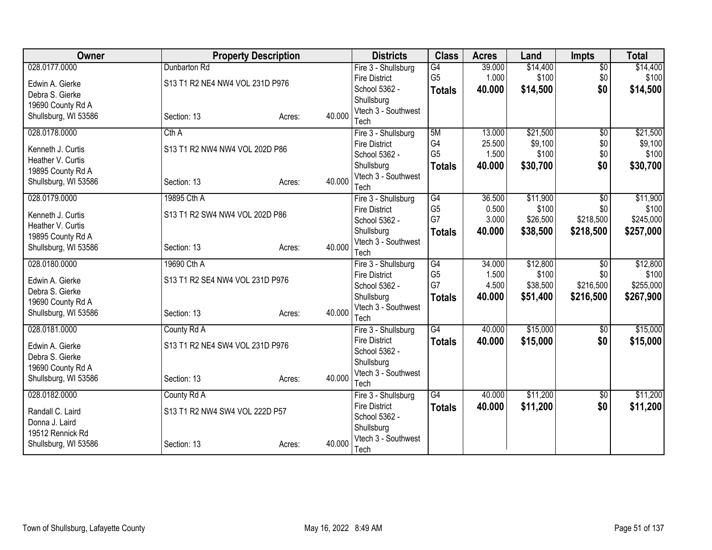| <b>Owner</b>         | <b>Property Description</b>     |        |        | <b>Districts</b>                      | <b>Class</b>         | <b>Acres</b> | Land     | <b>Impts</b>    | <b>Total</b> |
|----------------------|---------------------------------|--------|--------|---------------------------------------|----------------------|--------------|----------|-----------------|--------------|
| 028.0177.0000        | Dunbarton Rd                    |        |        | Fire 3 - Shullsburg                   | G4                   | 39.000       | \$14,400 | $\overline{50}$ | \$14,400     |
| Edwin A. Gierke      | S13 T1 R2 NE4 NW4 VOL 231D P976 |        |        | <b>Fire District</b>                  | G <sub>5</sub>       | 1.000        | \$100    | \$0             | \$100        |
| Debra S. Gierke      |                                 |        |        | School 5362 -                         | <b>Totals</b>        | 40.000       | \$14,500 | \$0             | \$14,500     |
| 19690 County Rd A    |                                 |        |        | Shullsburg                            |                      |              |          |                 |              |
| Shullsburg, WI 53586 | Section: 13                     | Acres: | 40.000 | Vtech 3 - Southwest                   |                      |              |          |                 |              |
|                      |                                 |        |        | Tech                                  |                      |              |          |                 |              |
| 028.0178.0000        | Cth A                           |        |        | Fire 3 - Shullsburg                   | 5M                   | 13.000       | \$21,500 | $\overline{50}$ | \$21,500     |
| Kenneth J. Curtis    | S13 T1 R2 NW4 NW4 VOL 202D P86  |        |        | <b>Fire District</b>                  | G4                   | 25.500       | \$9,100  | \$0             | \$9,100      |
| Heather V. Curtis    |                                 |        |        | School 5362 -                         | G <sub>5</sub>       | 1.500        | \$100    | \$0             | \$100        |
| 19895 County Rd A    |                                 |        |        | Shullsburg                            | <b>Totals</b>        | 40.000       | \$30,700 | \$0             | \$30,700     |
| Shullsburg, WI 53586 | Section: 13                     | Acres: | 40.000 | Vtech 3 - Southwest                   |                      |              |          |                 |              |
|                      |                                 |        |        | Tech                                  |                      |              |          |                 |              |
| 028.0179.0000        | 19895 Cth A                     |        |        | Fire 3 - Shullsburg                   | G4                   | 36.500       | \$11,900 | $\overline{30}$ | \$11,900     |
| Kenneth J. Curtis    | S13 T1 R2 SW4 NW4 VOL 202D P86  |        |        | <b>Fire District</b>                  | G <sub>5</sub>       | 0.500        | \$100    | \$0             | \$100        |
| Heather V. Curtis    |                                 |        |        | School 5362 -                         | G7                   | 3.000        | \$26,500 | \$218,500       | \$245,000    |
| 19895 County Rd A    |                                 |        |        | Shullsburg                            | <b>Totals</b>        | 40.000       | \$38,500 | \$218,500       | \$257,000    |
| Shullsburg, WI 53586 | Section: 13                     | Acres: | 40.000 | Vtech 3 - Southwest                   |                      |              |          |                 |              |
|                      |                                 |        |        | Tech                                  |                      |              |          |                 |              |
| 028.0180.0000        | 19690 Cth A                     |        |        | Fire 3 - Shullsburg                   | G4                   | 34.000       | \$12,800 | $\overline{50}$ | \$12,800     |
| Edwin A. Gierke      | S13 T1 R2 SE4 NW4 VOL 231D P976 |        |        | <b>Fire District</b>                  | G <sub>5</sub><br>G7 | 1.500        | \$100    | \$0             | \$100        |
| Debra S. Gierke      |                                 |        |        | School 5362 -                         |                      | 4.500        | \$38,500 | \$216,500       | \$255,000    |
| 19690 County Rd A    |                                 |        |        | Shullsburg                            | <b>Totals</b>        | 40.000       | \$51,400 | \$216,500       | \$267,900    |
| Shullsburg, WI 53586 | Section: 13                     | Acres: | 40.000 | Vtech 3 - Southwest                   |                      |              |          |                 |              |
|                      |                                 |        |        | Tech                                  | $\overline{G4}$      |              | \$15,000 |                 |              |
| 028.0181.0000        | County Rd A                     |        |        | Fire 3 - Shullsburg                   |                      | 40.000       |          | $\sqrt{6}$      | \$15,000     |
| Edwin A. Gierke      | S13 T1 R2 NE4 SW4 VOL 231D P976 |        |        | <b>Fire District</b><br>School 5362 - | Totals               | 40.000       | \$15,000 | \$0             | \$15,000     |
| Debra S. Gierke      |                                 |        |        | Shullsburg                            |                      |              |          |                 |              |
| 19690 County Rd A    |                                 |        |        | Vtech 3 - Southwest                   |                      |              |          |                 |              |
| Shullsburg, WI 53586 | Section: 13                     | Acres: | 40.000 | Tech                                  |                      |              |          |                 |              |
| 028.0182.0000        | County Rd A                     |        |        | Fire 3 - Shullsburg                   | G4                   | 40.000       | \$11,200 | \$0             | \$11,200     |
|                      |                                 |        |        | <b>Fire District</b>                  | <b>Totals</b>        | 40.000       | \$11,200 | \$0             | \$11,200     |
| Randall C. Laird     | S13 T1 R2 NW4 SW4 VOL 222D P57  |        |        | School 5362 -                         |                      |              |          |                 |              |
| Donna J. Laird       |                                 |        |        | Shullsburg                            |                      |              |          |                 |              |
| 19512 Rennick Rd     |                                 |        |        | Vtech 3 - Southwest                   |                      |              |          |                 |              |
| Shullsburg, WI 53586 | Section: 13                     | Acres: | 40.000 | Tech                                  |                      |              |          |                 |              |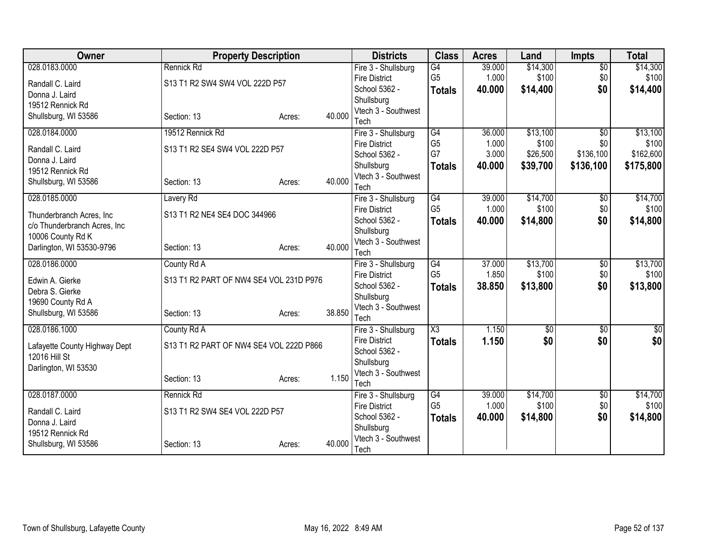| Owner                         | <b>Property Description</b>             |        |        | <b>Districts</b>                            | <b>Class</b>           | <b>Acres</b>    | Land              | <b>Impts</b>    | <b>Total</b>      |
|-------------------------------|-----------------------------------------|--------|--------|---------------------------------------------|------------------------|-----------------|-------------------|-----------------|-------------------|
| 028.0183.0000                 | Rennick Rd                              |        |        | Fire 3 - Shullsburg                         | $\overline{G4}$        | 39.000          | \$14,300          | $\overline{50}$ | \$14,300          |
| Randall C. Laird              | S13 T1 R2 SW4 SW4 VOL 222D P57          |        |        | <b>Fire District</b>                        | G <sub>5</sub>         | 1.000           | \$100             | \$0             | \$100             |
| Donna J. Laird                |                                         |        |        | School 5362 -                               | <b>Totals</b>          | 40.000          | \$14,400          | \$0             | \$14,400          |
| 19512 Rennick Rd              |                                         |        |        | Shullsburg<br>Vtech 3 - Southwest           |                        |                 |                   |                 |                   |
| Shullsburg, WI 53586          | Section: 13                             | Acres: | 40.000 | Tech                                        |                        |                 |                   |                 |                   |
| 028.0184.0000                 | 19512 Rennick Rd                        |        |        | Fire 3 - Shullsburg                         | $\overline{G4}$        | 36.000          | \$13,100          | $\overline{50}$ | \$13,100          |
| Randall C. Laird              | S13 T1 R2 SE4 SW4 VOL 222D P57          |        |        | <b>Fire District</b>                        | G <sub>5</sub>         | 1.000           | \$100             | \$0             | \$100             |
| Donna J. Laird                |                                         |        |        | School 5362 -                               | G7                     | 3.000           | \$26,500          | \$136,100       | \$162,600         |
| 19512 Rennick Rd              |                                         |        |        | Shullsburg                                  | <b>Totals</b>          | 40.000          | \$39,700          | \$136,100       | \$175,800         |
| Shullsburg, WI 53586          | Section: 13                             | Acres: | 40.000 | Vtech 3 - Southwest                         |                        |                 |                   |                 |                   |
|                               |                                         |        |        | Tech                                        |                        |                 |                   |                 |                   |
| 028.0185.0000                 | Lavery Rd                               |        |        | Fire 3 - Shullsburg<br><b>Fire District</b> | G4<br>G <sub>5</sub>   | 39.000<br>1.000 | \$14,700<br>\$100 | \$0<br>\$0      | \$14,700<br>\$100 |
| Thunderbranch Acres, Inc      | S13 T1 R2 NE4 SE4 DOC 344966            |        |        | School 5362 -                               |                        | 40.000          | \$14,800          | \$0             | \$14,800          |
| c/o Thunderbranch Acres, Inc  |                                         |        |        | Shullsburg                                  | <b>Totals</b>          |                 |                   |                 |                   |
| 10006 County Rd K             |                                         |        |        | Vtech 3 - Southwest                         |                        |                 |                   |                 |                   |
| Darlington, WI 53530-9796     | Section: 13                             | Acres: | 40.000 | Tech                                        |                        |                 |                   |                 |                   |
| 028.0186.0000                 | County Rd A                             |        |        | Fire 3 - Shullsburg                         | $\overline{G4}$        | 37.000          | \$13,700          | $\overline{60}$ | \$13,700          |
| Edwin A. Gierke               | S13 T1 R2 PART OF NW4 SE4 VOL 231D P976 |        |        | <b>Fire District</b>                        | G <sub>5</sub>         | 1.850           | \$100             | \$0             | \$100             |
| Debra S. Gierke               |                                         |        |        | School 5362 -                               | <b>Totals</b>          | 38.850          | \$13,800          | \$0             | \$13,800          |
| 19690 County Rd A             |                                         |        |        | Shullsburg                                  |                        |                 |                   |                 |                   |
| Shullsburg, WI 53586          | Section: 13                             | Acres: | 38.850 | Vtech 3 - Southwest                         |                        |                 |                   |                 |                   |
| 028.0186.1000                 | County Rd A                             |        |        | Tech                                        | $\overline{\text{X3}}$ | 1.150           | $\overline{60}$   | $\overline{50}$ | $\sqrt{$0]}$      |
|                               |                                         |        |        | Fire 3 - Shullsburg<br><b>Fire District</b> |                        | 1.150           | \$0               | \$0             | \$0               |
| Lafayette County Highway Dept | S13 T1 R2 PART OF NW4 SE4 VOL 222D P866 |        |        | School 5362 -                               | <b>Totals</b>          |                 |                   |                 |                   |
| 12016 Hill St                 |                                         |        |        | Shullsburg                                  |                        |                 |                   |                 |                   |
| Darlington, WI 53530          |                                         |        |        | Vtech 3 - Southwest                         |                        |                 |                   |                 |                   |
|                               | Section: 13                             | Acres: | 1.150  | Tech                                        |                        |                 |                   |                 |                   |
| 028.0187.0000                 | Rennick Rd                              |        |        | Fire 3 - Shullsburg                         | G4                     | 39.000          | \$14,700          | \$0             | \$14,700          |
| Randall C. Laird              | S13 T1 R2 SW4 SE4 VOL 222D P57          |        |        | <b>Fire District</b>                        | G <sub>5</sub>         | 1.000           | \$100             | \$0             | \$100             |
| Donna J. Laird                |                                         |        |        | School 5362 -                               | <b>Totals</b>          | 40.000          | \$14,800          | \$0             | \$14,800          |
| 19512 Rennick Rd              |                                         |        |        | Shullsburg                                  |                        |                 |                   |                 |                   |
| Shullsburg, WI 53586          | Section: 13                             | Acres: | 40.000 | Vtech 3 - Southwest<br>Tech                 |                        |                 |                   |                 |                   |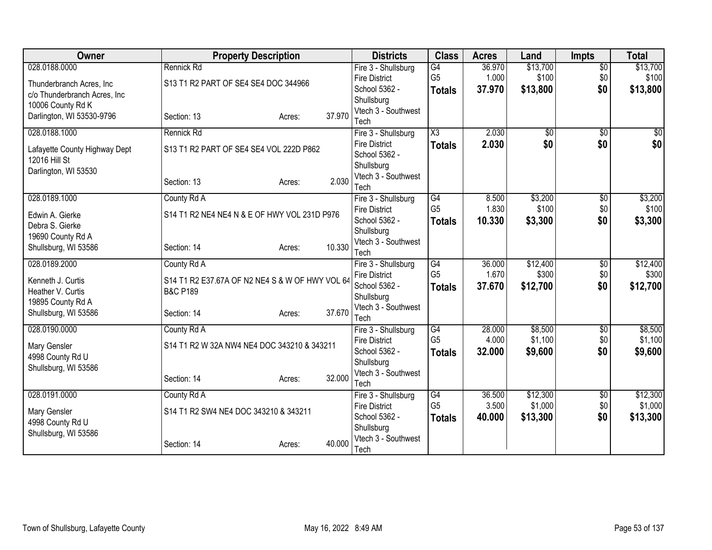| <b>Owner</b>                  | <b>Property Description</b>                     |                  | <b>Districts</b>                  | <b>Class</b>        | <b>Acres</b> | Land            | <b>Impts</b>    | <b>Total</b> |
|-------------------------------|-------------------------------------------------|------------------|-----------------------------------|---------------------|--------------|-----------------|-----------------|--------------|
| 028.0188.0000                 | Rennick Rd                                      |                  | Fire 3 - Shullsburg               | G4                  | 36.970       | \$13,700        | $\overline{50}$ | \$13,700     |
| Thunderbranch Acres, Inc.     | S13 T1 R2 PART OF SE4 SE4 DOC 344966            |                  | <b>Fire District</b>              | G <sub>5</sub>      | 1.000        | \$100           | \$0             | \$100        |
| c/o Thunderbranch Acres, Inc  |                                                 |                  | School 5362 -                     | <b>Totals</b>       | 37.970       | \$13,800        | \$0             | \$13,800     |
| 10006 County Rd K             |                                                 |                  | Shullsburg                        |                     |              |                 |                 |              |
| Darlington, WI 53530-9796     | Section: 13                                     | 37.970<br>Acres: | Vtech 3 - Southwest<br>Tech       |                     |              |                 |                 |              |
| 028.0188.1000                 | Rennick Rd                                      |                  | Fire 3 - Shullsburg               | $\overline{\chi_3}$ | 2.030        | $\overline{50}$ | $\overline{50}$ | \$0          |
|                               |                                                 |                  | <b>Fire District</b>              | <b>Totals</b>       | 2.030        | \$0             | \$0             | \$0          |
| Lafayette County Highway Dept | S13 T1 R2 PART OF SE4 SE4 VOL 222D P862         |                  | School 5362 -                     |                     |              |                 |                 |              |
| 12016 Hill St                 |                                                 |                  | Shullsburg                        |                     |              |                 |                 |              |
| Darlington, WI 53530          | Section: 13                                     | 2.030            | Vtech 3 - Southwest               |                     |              |                 |                 |              |
|                               |                                                 | Acres:           | Tech                              |                     |              |                 |                 |              |
| 028.0189.1000                 | County Rd A                                     |                  | Fire 3 - Shullsburg               | $\overline{G4}$     | 8.500        | \$3,200         | $\overline{50}$ | \$3,200      |
| Edwin A. Gierke               | S14 T1 R2 NE4 NE4 N & E OF HWY VOL 231D P976    |                  | <b>Fire District</b>              | G <sub>5</sub>      | 1.830        | \$100           | \$0             | \$100        |
| Debra S. Gierke               |                                                 |                  | School 5362 -                     | <b>Totals</b>       | 10.330       | \$3,300         | \$0             | \$3,300      |
| 19690 County Rd A             |                                                 |                  | Shullsburg                        |                     |              |                 |                 |              |
| Shullsburg, WI 53586          | Section: 14                                     | 10.330<br>Acres: | Vtech 3 - Southwest<br>Tech       |                     |              |                 |                 |              |
| 028.0189.2000                 | County Rd A                                     |                  | Fire 3 - Shullsburg               | G4                  | 36.000       | \$12,400        | $\overline{50}$ | \$12,400     |
|                               |                                                 |                  | <b>Fire District</b>              | G <sub>5</sub>      | 1.670        | \$300           | \$0             | \$300        |
| Kenneth J. Curtis             | S14 T1 R2 E37.67A OF N2 NE4 S & W OF HWY VOL 64 |                  | School 5362 -                     | <b>Totals</b>       | 37.670       | \$12,700        | \$0             | \$12,700     |
| Heather V. Curtis             | <b>B&amp;C P189</b>                             |                  | Shullsburg                        |                     |              |                 |                 |              |
| 19895 County Rd A             | Section: 14                                     | 37.670           | Vtech 3 - Southwest               |                     |              |                 |                 |              |
| Shullsburg, WI 53586          |                                                 | Acres:           | Tech                              |                     |              |                 |                 |              |
| 028.0190.0000                 | County Rd A                                     |                  | Fire 3 - Shullsburg               | $\overline{G4}$     | 28.000       | \$8,500         | $\overline{50}$ | \$8,500      |
| Mary Gensler                  | S14 T1 R2 W 32A NW4 NE4 DOC 343210 & 343211     |                  | <b>Fire District</b>              | G <sub>5</sub>      | 4.000        | \$1,100         | \$0             | \$1,100      |
| 4998 County Rd U              |                                                 |                  | School 5362 -                     | <b>Totals</b>       | 32,000       | \$9,600         | \$0             | \$9,600      |
| Shullsburg, WI 53586          |                                                 |                  | Shullsburg<br>Vtech 3 - Southwest |                     |              |                 |                 |              |
|                               | Section: 14                                     | 32.000<br>Acres: | Tech                              |                     |              |                 |                 |              |
| 028.0191.0000                 | County Rd A                                     |                  | Fire 3 - Shullsburg               | $\overline{G4}$     | 36.500       | \$12,300        | \$0             | \$12,300     |
|                               |                                                 |                  | <b>Fire District</b>              | G <sub>5</sub>      | 3.500        | \$1,000         | \$0             | \$1,000      |
| Mary Gensler                  | S14 T1 R2 SW4 NE4 DOC 343210 & 343211           |                  | School 5362 -                     | <b>Totals</b>       | 40.000       | \$13,300        | \$0             | \$13,300     |
| 4998 County Rd U              |                                                 |                  | Shullsburg                        |                     |              |                 |                 |              |
| Shullsburg, WI 53586          |                                                 | 40.000           | Vtech 3 - Southwest               |                     |              |                 |                 |              |
|                               | Section: 14                                     | Acres:           | Tech                              |                     |              |                 |                 |              |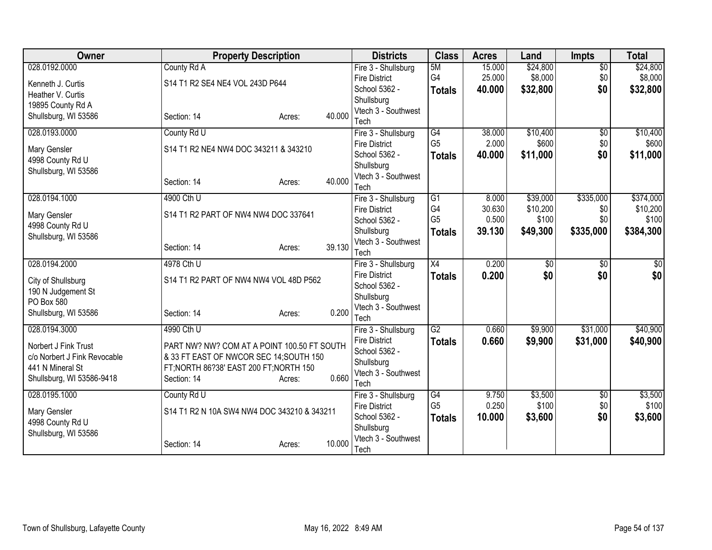| Owner                                    | <b>Property Description</b>                 |                  | <b>Districts</b>                      | <b>Class</b>         | <b>Acres</b>    | Land              | <b>Impts</b>           | <b>Total</b>      |
|------------------------------------------|---------------------------------------------|------------------|---------------------------------------|----------------------|-----------------|-------------------|------------------------|-------------------|
| 028.0192.0000                            | County Rd A                                 |                  | Fire 3 - Shullsburg                   | 5M                   | 15.000          | \$24,800          | $\overline{50}$        | \$24,800          |
| Kenneth J. Curtis                        | S14 T1 R2 SE4 NE4 VOL 243D P644             |                  | <b>Fire District</b>                  | G4                   | 25.000          | \$8,000           | \$0                    | \$8,000           |
| Heather V. Curtis                        |                                             |                  | School 5362 -                         | <b>Totals</b>        | 40.000          | \$32,800          | \$0                    | \$32,800          |
| 19895 County Rd A                        |                                             |                  | Shullsburg                            |                      |                 |                   |                        |                   |
| Shullsburg, WI 53586                     | Section: 14                                 | 40.000<br>Acres: | Vtech 3 - Southwest                   |                      |                 |                   |                        |                   |
|                                          |                                             |                  | Tech                                  |                      |                 |                   |                        |                   |
| 028.0193.0000                            | County Rd U                                 |                  | Fire 3 - Shullsburg                   | G4<br>G <sub>5</sub> | 38.000<br>2.000 | \$10,400<br>\$600 | $\overline{50}$<br>\$0 | \$10,400<br>\$600 |
| Mary Gensler                             | S14 T1 R2 NE4 NW4 DOC 343211 & 343210       |                  | <b>Fire District</b><br>School 5362 - |                      |                 |                   |                        |                   |
| 4998 County Rd U                         |                                             |                  | Shullsburg                            | <b>Totals</b>        | 40.000          | \$11,000          | \$0                    | \$11,000          |
| Shullsburg, WI 53586                     |                                             |                  | Vtech 3 - Southwest                   |                      |                 |                   |                        |                   |
|                                          | Section: 14                                 | 40.000<br>Acres: | Tech                                  |                      |                 |                   |                        |                   |
| 028.0194.1000                            | 4900 Cth U                                  |                  | Fire 3 - Shullsburg                   | $\overline{G1}$      | 8.000           | \$39,000          | \$335,000              | \$374,000         |
|                                          |                                             |                  | <b>Fire District</b>                  | G4                   | 30.630          | \$10,200          | \$0                    | \$10,200          |
| Mary Gensler                             | S14 T1 R2 PART OF NW4 NW4 DOC 337641        |                  | School 5362 -                         | G <sub>5</sub>       | 0.500           | \$100             | \$0                    | \$100             |
| 4998 County Rd U                         |                                             |                  | Shullsburg                            | <b>Totals</b>        | 39.130          | \$49,300          | \$335,000              | \$384,300         |
| Shullsburg, WI 53586                     |                                             | 39.130           | Vtech 3 - Southwest                   |                      |                 |                   |                        |                   |
|                                          | Section: 14                                 | Acres:           | Tech                                  |                      |                 |                   |                        |                   |
| 028.0194.2000                            | 4978 Cth U                                  |                  | Fire 3 - Shullsburg                   | $\overline{X4}$      | 0.200           | $\overline{50}$   | $\overline{30}$        | $\overline{50}$   |
| City of Shullsburg                       | S14 T1 R2 PART OF NW4 NW4 VOL 48D P562      |                  | <b>Fire District</b>                  | <b>Totals</b>        | 0.200           | \$0               | \$0                    | \$0               |
| 190 N Judgement St                       |                                             |                  | School 5362 -                         |                      |                 |                   |                        |                   |
| PO Box 580                               |                                             |                  | Shullsburg                            |                      |                 |                   |                        |                   |
| Shullsburg, WI 53586                     | Section: 14                                 | 0.200<br>Acres:  | Vtech 3 - Southwest                   |                      |                 |                   |                        |                   |
|                                          |                                             |                  | Tech                                  |                      |                 |                   |                        |                   |
| 028.0194.3000                            | 4990 Cth U                                  |                  | Fire 3 - Shullsburg                   | $\overline{G2}$      | 0.660           | \$9,900           | \$31,000               | \$40,900          |
| Norbert J Fink Trust                     | PART NW? NW? COM AT A POINT 100.50 FT SOUTH |                  | <b>Fire District</b><br>School 5362 - | <b>Totals</b>        | 0.660           | \$9,900           | \$31,000               | \$40,900          |
| c/o Norbert J Fink Revocable             | & 33 FT EAST OF NWCOR SEC 14; SOUTH 150     |                  | Shullsburg                            |                      |                 |                   |                        |                   |
| 441 N Mineral St                         | FT; NORTH 86?38' EAST 200 FT; NORTH 150     |                  | Vtech 3 - Southwest                   |                      |                 |                   |                        |                   |
| Shullsburg, WI 53586-9418                | Section: 14                                 | 0.660<br>Acres:  | Tech                                  |                      |                 |                   |                        |                   |
| 028.0195.1000                            | County Rd U                                 |                  | Fire 3 - Shullsburg                   | G4                   | 9.750           | \$3,500           | \$0                    | \$3,500           |
|                                          |                                             |                  | <b>Fire District</b>                  | G <sub>5</sub>       | 0.250           | \$100             | \$0                    | \$100             |
| Mary Gensler                             | S14 T1 R2 N 10A SW4 NW4 DOC 343210 & 343211 |                  | School 5362 -                         | <b>Totals</b>        | 10.000          | \$3,600           | \$0                    | \$3,600           |
| 4998 County Rd U<br>Shullsburg, WI 53586 |                                             |                  | Shullsburg                            |                      |                 |                   |                        |                   |
|                                          | Section: 14                                 | 10.000<br>Acres: | Vtech 3 - Southwest                   |                      |                 |                   |                        |                   |
|                                          |                                             |                  | Tech                                  |                      |                 |                   |                        |                   |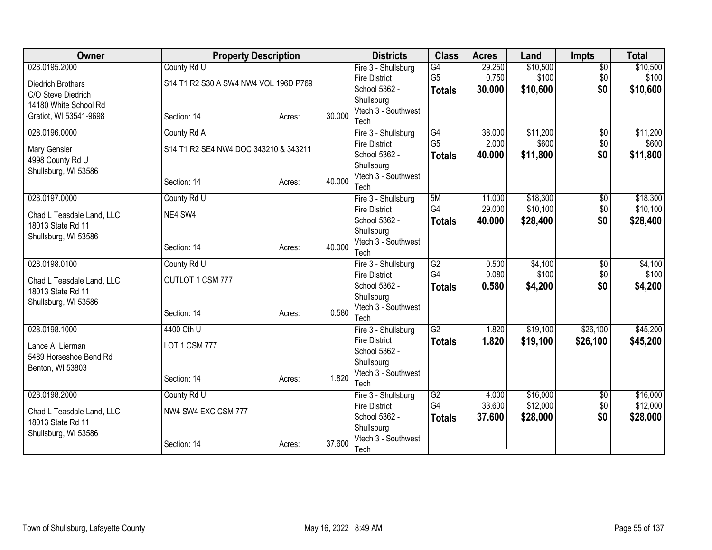| Owner                     | <b>Property Description</b>           |        |        | <b>Districts</b>                            | <b>Class</b>          | <b>Acres</b>    | Land                 | <b>Impts</b>           | <b>Total</b>         |
|---------------------------|---------------------------------------|--------|--------|---------------------------------------------|-----------------------|-----------------|----------------------|------------------------|----------------------|
| 028.0195.2000             | County Rd U                           |        |        | Fire 3 - Shullsburg                         | G4                    | 29.250          | \$10,500             | $\overline{50}$        | \$10,500             |
| Diedrich Brothers         | S14 T1 R2 S30 A SW4 NW4 VOL 196D P769 |        |        | <b>Fire District</b>                        | G <sub>5</sub>        | 0.750           | \$100                | \$0                    | \$100                |
| C/O Steve Diedrich        |                                       |        |        | School 5362 -                               | <b>Totals</b>         | 30.000          | \$10,600             | \$0                    | \$10,600             |
| 14180 White School Rd     |                                       |        |        | Shullsburg                                  |                       |                 |                      |                        |                      |
| Gratiot, WI 53541-9698    | Section: 14                           | Acres: | 30.000 | Vtech 3 - Southwest                         |                       |                 |                      |                        |                      |
| 028.0196.0000             | County Rd A                           |        |        | Tech<br>Fire 3 - Shullsburg                 | G4                    | 38.000          | \$11,200             | $\overline{50}$        | \$11,200             |
|                           |                                       |        |        | <b>Fire District</b>                        | G <sub>5</sub>        | 2.000           | \$600                | \$0                    | \$600                |
| Mary Gensler              | S14 T1 R2 SE4 NW4 DOC 343210 & 343211 |        |        | School 5362 -                               | <b>Totals</b>         | 40.000          | \$11,800             | \$0                    | \$11,800             |
| 4998 County Rd U          |                                       |        |        | Shullsburg                                  |                       |                 |                      |                        |                      |
| Shullsburg, WI 53586      |                                       |        |        | Vtech 3 - Southwest                         |                       |                 |                      |                        |                      |
|                           | Section: 14                           | Acres: | 40.000 | Tech                                        |                       |                 |                      |                        |                      |
| 028.0197.0000             | County Rd U                           |        |        | Fire 3 - Shullsburg                         | 5M                    | 11.000          | \$18,300             | $\overline{50}$        | \$18,300             |
| Chad L Teasdale Land, LLC | NE4 SW4                               |        |        | <b>Fire District</b>                        | G4                    | 29.000          | \$10,100             | \$0                    | \$10,100             |
| 18013 State Rd 11         |                                       |        |        | School 5362 -                               | <b>Totals</b>         | 40.000          | \$28,400             | \$0                    | \$28,400             |
| Shullsburg, WI 53586      |                                       |        |        | Shullsburg                                  |                       |                 |                      |                        |                      |
|                           | Section: 14                           | Acres: | 40.000 | Vtech 3 - Southwest                         |                       |                 |                      |                        |                      |
|                           |                                       |        |        | Tech                                        |                       |                 | \$4,100              |                        |                      |
| 028.0198.0100             | County Rd U                           |        |        | Fire 3 - Shullsburg<br><b>Fire District</b> | $\overline{G2}$<br>G4 | 0.500<br>0.080  | \$100                | $\overline{50}$<br>\$0 | \$4,100<br>\$100     |
| Chad L Teasdale Land, LLC | OUTLOT 1 CSM 777                      |        |        | School 5362 -                               | <b>Totals</b>         | 0.580           | \$4,200              | \$0                    | \$4,200              |
| 18013 State Rd 11         |                                       |        |        | Shullsburg                                  |                       |                 |                      |                        |                      |
| Shullsburg, WI 53586      |                                       |        |        | Vtech 3 - Southwest                         |                       |                 |                      |                        |                      |
|                           | Section: 14                           | Acres: | 0.580  | Tech                                        |                       |                 |                      |                        |                      |
| 028.0198.1000             | 4400 Cth U                            |        |        | Fire 3 - Shullsburg                         | $\overline{G2}$       | 1.820           | \$19,100             | \$26,100               | \$45,200             |
| Lance A. Lierman          | <b>LOT 1 CSM 777</b>                  |        |        | <b>Fire District</b>                        | <b>Totals</b>         | 1.820           | \$19,100             | \$26,100               | \$45,200             |
| 5489 Horseshoe Bend Rd    |                                       |        |        | School 5362 -                               |                       |                 |                      |                        |                      |
| Benton, WI 53803          |                                       |        |        | Shullsburg                                  |                       |                 |                      |                        |                      |
|                           | Section: 14                           | Acres: | 1.820  | Vtech 3 - Southwest                         |                       |                 |                      |                        |                      |
|                           |                                       |        |        | Tech                                        |                       |                 |                      |                        |                      |
| 028.0198.2000             | County Rd U                           |        |        | Fire 3 - Shullsburg<br><b>Fire District</b> | G2<br>G4              | 4.000<br>33.600 | \$16,000<br>\$12,000 | \$0<br>\$0             | \$16,000<br>\$12,000 |
| Chad L Teasdale Land, LLC | NW4 SW4 EXC CSM 777                   |        |        | School 5362 -                               |                       | 37,600          | \$28,000             | \$0                    | \$28,000             |
| 18013 State Rd 11         |                                       |        |        | Shullsburg                                  | <b>Totals</b>         |                 |                      |                        |                      |
| Shullsburg, WI 53586      |                                       |        |        | Vtech 3 - Southwest                         |                       |                 |                      |                        |                      |
|                           | Section: 14                           | Acres: | 37,600 | Tech                                        |                       |                 |                      |                        |                      |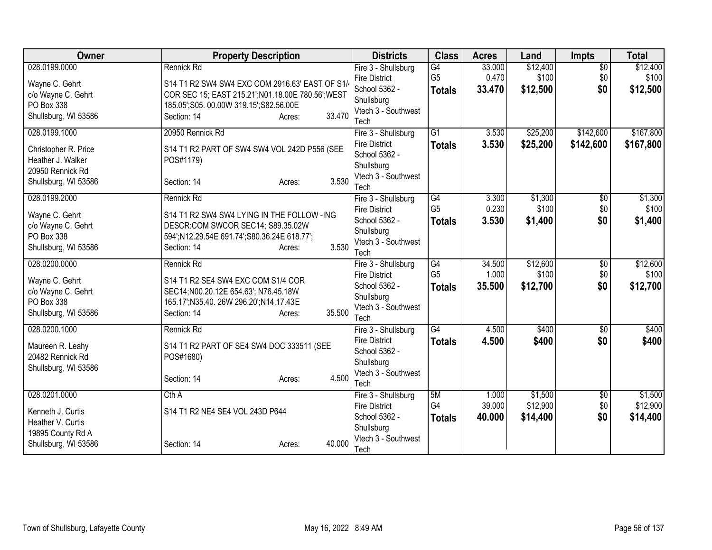| 028.0199.0000<br>Rennick Rd<br>G4<br>33.000<br>\$12,400<br>Fire 3 - Shullsburg<br>G <sub>5</sub><br>0.470<br>\$100<br>\$0<br>\$100<br><b>Fire District</b><br>S14 T1 R2 SW4 SW4 EXC COM 2916.63' EAST OF S1/<br>Wayne C. Gehrt<br>\$0<br>\$12,500<br>School 5362 -<br>33.470<br>\$12,500<br><b>Totals</b><br>c/o Wayne C. Gehrt<br>COR SEC 15; EAST 215.21'; N01.18.00E 780.56'; WEST<br>Shullsburg<br>PO Box 338<br>185.05'; S05. 00.00W 319.15'; S82.56.00E<br>Vtech 3 - Southwest<br>33.470<br>Shullsburg, WI 53586<br>Section: 14<br>Acres:<br>Tech<br>\$25,200<br>028.0199.1000<br>20950 Rennick Rd<br>$\overline{G1}$<br>3.530<br>\$142,600<br>Fire 3 - Shullsburg<br>3.530<br>\$25,200<br><b>Fire District</b><br><b>Totals</b><br>\$142,600<br>S14 T1 R2 PART OF SW4 SW4 VOL 242D P556 (SEE<br>Christopher R. Price<br>School 5362 -<br>Heather J. Walker<br>POS#1179)<br>Shullsburg<br>20950 Rennick Rd<br>Vtech 3 - Southwest<br>3.530<br>Shullsburg, WI 53586<br>Section: 14<br>Acres:<br>Tech<br>\$1,300<br>028.0199.2000<br>Rennick Rd<br>G4<br>3.300<br>Fire 3 - Shullsburg<br>\$0<br>G <sub>5</sub><br>0.230<br>\$100<br>\$0<br><b>Fire District</b><br>Wayne C. Gehrt<br>S14 T1 R2 SW4 SW4 LYING IN THE FOLLOW -ING<br>3.530<br>\$0<br>\$1,400<br>School 5362 -<br>\$1,400<br><b>Totals</b><br>c/o Wayne C. Gehrt<br>DESCR:COM SWCOR SEC14; S89.35.02W<br>Shullsburg<br>PO Box 338<br>594';N12.29.54E 691.74';S80.36.24E 618.77';<br>Vtech 3 - Southwest<br>3.530<br>Shullsburg, WI 53586<br>Section: 14<br>Acres:<br>Tech<br>\$12,600<br>028.0200.0000<br>Rennick Rd<br>$\overline{G4}$<br>34.500<br>$\overline{50}$<br>Fire 3 - Shullsburg<br>G <sub>5</sub><br>\$100<br>\$0<br>1.000<br><b>Fire District</b><br>Wayne C. Gehrt<br>S14 T1 R2 SE4 SW4 EXC COM S1/4 COR<br>35.500<br>\$12,700<br>\$0<br>School 5362 -<br><b>Totals</b><br>c/o Wayne C. Gehrt<br>SEC14;N00.20.12E 654.63'; N76.45.18W<br>Shullsburg<br>PO Box 338<br>165.17';N35.40. 26W 296.20';N14.17.43E<br>Vtech 3 - Southwest<br>35.500<br>Shullsburg, WI 53586<br>Section: 14<br>Acres:<br>Tech<br>028.0200.1000<br>$\overline{G4}$<br>Rennick Rd<br>4.500<br>\$400<br>Fire 3 - Shullsburg<br>$\overline{50}$<br>\$0<br>4.500<br>\$400<br><b>Fire District</b><br><b>Totals</b><br>S14 T1 R2 PART OF SE4 SW4 DOC 333511 (SEE<br>Maureen R. Leahy<br>School 5362 -<br>20482 Rennick Rd<br>POS#1680)<br>Shullsburg<br>Shullsburg, WI 53586<br>Vtech 3 - Southwest<br>4.500<br>Section: 14<br>Acres:<br>Tech<br>\$1,500<br>028.0201.0000<br>Cth A<br>5M<br>Fire 3 - Shullsburg<br>1.000<br>\$0<br>G4<br>\$12,900<br>39.000<br>\$0<br><b>Fire District</b><br>S14 T1 R2 NE4 SE4 VOL 243D P644<br>Kenneth J. Curtis<br>\$0<br>School 5362 -<br>40.000<br>\$14,400<br>\$14,400<br><b>Totals</b><br>Heather V. Curtis<br>Shullsburg<br>19895 County Rd A<br>Vtech 3 - Southwest | Owner                | <b>Property Description</b> | <b>Districts</b> | <b>Class</b> | <b>Acres</b> | Land | <b>Impts</b>    | <b>Total</b> |
|---------------------------------------------------------------------------------------------------------------------------------------------------------------------------------------------------------------------------------------------------------------------------------------------------------------------------------------------------------------------------------------------------------------------------------------------------------------------------------------------------------------------------------------------------------------------------------------------------------------------------------------------------------------------------------------------------------------------------------------------------------------------------------------------------------------------------------------------------------------------------------------------------------------------------------------------------------------------------------------------------------------------------------------------------------------------------------------------------------------------------------------------------------------------------------------------------------------------------------------------------------------------------------------------------------------------------------------------------------------------------------------------------------------------------------------------------------------------------------------------------------------------------------------------------------------------------------------------------------------------------------------------------------------------------------------------------------------------------------------------------------------------------------------------------------------------------------------------------------------------------------------------------------------------------------------------------------------------------------------------------------------------------------------------------------------------------------------------------------------------------------------------------------------------------------------------------------------------------------------------------------------------------------------------------------------------------------------------------------------------------------------------------------------------------------------------------------------------------------------------------------------------------------------------------------------------------------------------------------------------------------------------------------------------------------------------------------------------------------------------------------------------------------------------------------------------------------------------------------------|----------------------|-----------------------------|------------------|--------------|--------------|------|-----------------|--------------|
|                                                                                                                                                                                                                                                                                                                                                                                                                                                                                                                                                                                                                                                                                                                                                                                                                                                                                                                                                                                                                                                                                                                                                                                                                                                                                                                                                                                                                                                                                                                                                                                                                                                                                                                                                                                                                                                                                                                                                                                                                                                                                                                                                                                                                                                                                                                                                                                                                                                                                                                                                                                                                                                                                                                                                                                                                                                               |                      |                             |                  |              |              |      | $\overline{50}$ | \$12,400     |
|                                                                                                                                                                                                                                                                                                                                                                                                                                                                                                                                                                                                                                                                                                                                                                                                                                                                                                                                                                                                                                                                                                                                                                                                                                                                                                                                                                                                                                                                                                                                                                                                                                                                                                                                                                                                                                                                                                                                                                                                                                                                                                                                                                                                                                                                                                                                                                                                                                                                                                                                                                                                                                                                                                                                                                                                                                                               |                      |                             |                  |              |              |      |                 |              |
| \$167,800<br>\$167,800<br>\$1,300<br>\$100<br>\$12,600<br>\$100<br>\$12,700<br>\$400<br>\$400<br>\$1,500<br>\$12,900                                                                                                                                                                                                                                                                                                                                                                                                                                                                                                                                                                                                                                                                                                                                                                                                                                                                                                                                                                                                                                                                                                                                                                                                                                                                                                                                                                                                                                                                                                                                                                                                                                                                                                                                                                                                                                                                                                                                                                                                                                                                                                                                                                                                                                                                                                                                                                                                                                                                                                                                                                                                                                                                                                                                          |                      |                             |                  |              |              |      |                 |              |
|                                                                                                                                                                                                                                                                                                                                                                                                                                                                                                                                                                                                                                                                                                                                                                                                                                                                                                                                                                                                                                                                                                                                                                                                                                                                                                                                                                                                                                                                                                                                                                                                                                                                                                                                                                                                                                                                                                                                                                                                                                                                                                                                                                                                                                                                                                                                                                                                                                                                                                                                                                                                                                                                                                                                                                                                                                                               |                      |                             |                  |              |              |      |                 |              |
|                                                                                                                                                                                                                                                                                                                                                                                                                                                                                                                                                                                                                                                                                                                                                                                                                                                                                                                                                                                                                                                                                                                                                                                                                                                                                                                                                                                                                                                                                                                                                                                                                                                                                                                                                                                                                                                                                                                                                                                                                                                                                                                                                                                                                                                                                                                                                                                                                                                                                                                                                                                                                                                                                                                                                                                                                                                               |                      |                             |                  |              |              |      |                 |              |
|                                                                                                                                                                                                                                                                                                                                                                                                                                                                                                                                                                                                                                                                                                                                                                                                                                                                                                                                                                                                                                                                                                                                                                                                                                                                                                                                                                                                                                                                                                                                                                                                                                                                                                                                                                                                                                                                                                                                                                                                                                                                                                                                                                                                                                                                                                                                                                                                                                                                                                                                                                                                                                                                                                                                                                                                                                                               |                      |                             |                  |              |              |      |                 |              |
|                                                                                                                                                                                                                                                                                                                                                                                                                                                                                                                                                                                                                                                                                                                                                                                                                                                                                                                                                                                                                                                                                                                                                                                                                                                                                                                                                                                                                                                                                                                                                                                                                                                                                                                                                                                                                                                                                                                                                                                                                                                                                                                                                                                                                                                                                                                                                                                                                                                                                                                                                                                                                                                                                                                                                                                                                                                               |                      |                             |                  |              |              |      |                 |              |
|                                                                                                                                                                                                                                                                                                                                                                                                                                                                                                                                                                                                                                                                                                                                                                                                                                                                                                                                                                                                                                                                                                                                                                                                                                                                                                                                                                                                                                                                                                                                                                                                                                                                                                                                                                                                                                                                                                                                                                                                                                                                                                                                                                                                                                                                                                                                                                                                                                                                                                                                                                                                                                                                                                                                                                                                                                                               |                      |                             |                  |              |              |      |                 |              |
|                                                                                                                                                                                                                                                                                                                                                                                                                                                                                                                                                                                                                                                                                                                                                                                                                                                                                                                                                                                                                                                                                                                                                                                                                                                                                                                                                                                                                                                                                                                                                                                                                                                                                                                                                                                                                                                                                                                                                                                                                                                                                                                                                                                                                                                                                                                                                                                                                                                                                                                                                                                                                                                                                                                                                                                                                                                               |                      |                             |                  |              |              |      |                 |              |
|                                                                                                                                                                                                                                                                                                                                                                                                                                                                                                                                                                                                                                                                                                                                                                                                                                                                                                                                                                                                                                                                                                                                                                                                                                                                                                                                                                                                                                                                                                                                                                                                                                                                                                                                                                                                                                                                                                                                                                                                                                                                                                                                                                                                                                                                                                                                                                                                                                                                                                                                                                                                                                                                                                                                                                                                                                                               |                      |                             |                  |              |              |      |                 |              |
|                                                                                                                                                                                                                                                                                                                                                                                                                                                                                                                                                                                                                                                                                                                                                                                                                                                                                                                                                                                                                                                                                                                                                                                                                                                                                                                                                                                                                                                                                                                                                                                                                                                                                                                                                                                                                                                                                                                                                                                                                                                                                                                                                                                                                                                                                                                                                                                                                                                                                                                                                                                                                                                                                                                                                                                                                                                               |                      |                             |                  |              |              |      |                 |              |
|                                                                                                                                                                                                                                                                                                                                                                                                                                                                                                                                                                                                                                                                                                                                                                                                                                                                                                                                                                                                                                                                                                                                                                                                                                                                                                                                                                                                                                                                                                                                                                                                                                                                                                                                                                                                                                                                                                                                                                                                                                                                                                                                                                                                                                                                                                                                                                                                                                                                                                                                                                                                                                                                                                                                                                                                                                                               |                      |                             |                  |              |              |      |                 |              |
|                                                                                                                                                                                                                                                                                                                                                                                                                                                                                                                                                                                                                                                                                                                                                                                                                                                                                                                                                                                                                                                                                                                                                                                                                                                                                                                                                                                                                                                                                                                                                                                                                                                                                                                                                                                                                                                                                                                                                                                                                                                                                                                                                                                                                                                                                                                                                                                                                                                                                                                                                                                                                                                                                                                                                                                                                                                               |                      |                             |                  |              |              |      |                 |              |
|                                                                                                                                                                                                                                                                                                                                                                                                                                                                                                                                                                                                                                                                                                                                                                                                                                                                                                                                                                                                                                                                                                                                                                                                                                                                                                                                                                                                                                                                                                                                                                                                                                                                                                                                                                                                                                                                                                                                                                                                                                                                                                                                                                                                                                                                                                                                                                                                                                                                                                                                                                                                                                                                                                                                                                                                                                                               |                      |                             |                  |              |              |      |                 |              |
|                                                                                                                                                                                                                                                                                                                                                                                                                                                                                                                                                                                                                                                                                                                                                                                                                                                                                                                                                                                                                                                                                                                                                                                                                                                                                                                                                                                                                                                                                                                                                                                                                                                                                                                                                                                                                                                                                                                                                                                                                                                                                                                                                                                                                                                                                                                                                                                                                                                                                                                                                                                                                                                                                                                                                                                                                                                               |                      |                             |                  |              |              |      |                 |              |
|                                                                                                                                                                                                                                                                                                                                                                                                                                                                                                                                                                                                                                                                                                                                                                                                                                                                                                                                                                                                                                                                                                                                                                                                                                                                                                                                                                                                                                                                                                                                                                                                                                                                                                                                                                                                                                                                                                                                                                                                                                                                                                                                                                                                                                                                                                                                                                                                                                                                                                                                                                                                                                                                                                                                                                                                                                                               |                      |                             |                  |              |              |      |                 |              |
|                                                                                                                                                                                                                                                                                                                                                                                                                                                                                                                                                                                                                                                                                                                                                                                                                                                                                                                                                                                                                                                                                                                                                                                                                                                                                                                                                                                                                                                                                                                                                                                                                                                                                                                                                                                                                                                                                                                                                                                                                                                                                                                                                                                                                                                                                                                                                                                                                                                                                                                                                                                                                                                                                                                                                                                                                                                               |                      |                             |                  |              |              |      |                 |              |
|                                                                                                                                                                                                                                                                                                                                                                                                                                                                                                                                                                                                                                                                                                                                                                                                                                                                                                                                                                                                                                                                                                                                                                                                                                                                                                                                                                                                                                                                                                                                                                                                                                                                                                                                                                                                                                                                                                                                                                                                                                                                                                                                                                                                                                                                                                                                                                                                                                                                                                                                                                                                                                                                                                                                                                                                                                                               |                      |                             |                  |              |              |      |                 |              |
|                                                                                                                                                                                                                                                                                                                                                                                                                                                                                                                                                                                                                                                                                                                                                                                                                                                                                                                                                                                                                                                                                                                                                                                                                                                                                                                                                                                                                                                                                                                                                                                                                                                                                                                                                                                                                                                                                                                                                                                                                                                                                                                                                                                                                                                                                                                                                                                                                                                                                                                                                                                                                                                                                                                                                                                                                                                               |                      |                             |                  |              |              |      |                 |              |
|                                                                                                                                                                                                                                                                                                                                                                                                                                                                                                                                                                                                                                                                                                                                                                                                                                                                                                                                                                                                                                                                                                                                                                                                                                                                                                                                                                                                                                                                                                                                                                                                                                                                                                                                                                                                                                                                                                                                                                                                                                                                                                                                                                                                                                                                                                                                                                                                                                                                                                                                                                                                                                                                                                                                                                                                                                                               |                      |                             |                  |              |              |      |                 |              |
|                                                                                                                                                                                                                                                                                                                                                                                                                                                                                                                                                                                                                                                                                                                                                                                                                                                                                                                                                                                                                                                                                                                                                                                                                                                                                                                                                                                                                                                                                                                                                                                                                                                                                                                                                                                                                                                                                                                                                                                                                                                                                                                                                                                                                                                                                                                                                                                                                                                                                                                                                                                                                                                                                                                                                                                                                                                               |                      |                             |                  |              |              |      |                 |              |
|                                                                                                                                                                                                                                                                                                                                                                                                                                                                                                                                                                                                                                                                                                                                                                                                                                                                                                                                                                                                                                                                                                                                                                                                                                                                                                                                                                                                                                                                                                                                                                                                                                                                                                                                                                                                                                                                                                                                                                                                                                                                                                                                                                                                                                                                                                                                                                                                                                                                                                                                                                                                                                                                                                                                                                                                                                                               |                      |                             |                  |              |              |      |                 |              |
|                                                                                                                                                                                                                                                                                                                                                                                                                                                                                                                                                                                                                                                                                                                                                                                                                                                                                                                                                                                                                                                                                                                                                                                                                                                                                                                                                                                                                                                                                                                                                                                                                                                                                                                                                                                                                                                                                                                                                                                                                                                                                                                                                                                                                                                                                                                                                                                                                                                                                                                                                                                                                                                                                                                                                                                                                                                               |                      |                             |                  |              |              |      |                 |              |
|                                                                                                                                                                                                                                                                                                                                                                                                                                                                                                                                                                                                                                                                                                                                                                                                                                                                                                                                                                                                                                                                                                                                                                                                                                                                                                                                                                                                                                                                                                                                                                                                                                                                                                                                                                                                                                                                                                                                                                                                                                                                                                                                                                                                                                                                                                                                                                                                                                                                                                                                                                                                                                                                                                                                                                                                                                                               |                      |                             |                  |              |              |      |                 |              |
|                                                                                                                                                                                                                                                                                                                                                                                                                                                                                                                                                                                                                                                                                                                                                                                                                                                                                                                                                                                                                                                                                                                                                                                                                                                                                                                                                                                                                                                                                                                                                                                                                                                                                                                                                                                                                                                                                                                                                                                                                                                                                                                                                                                                                                                                                                                                                                                                                                                                                                                                                                                                                                                                                                                                                                                                                                                               |                      |                             |                  |              |              |      |                 |              |
|                                                                                                                                                                                                                                                                                                                                                                                                                                                                                                                                                                                                                                                                                                                                                                                                                                                                                                                                                                                                                                                                                                                                                                                                                                                                                                                                                                                                                                                                                                                                                                                                                                                                                                                                                                                                                                                                                                                                                                                                                                                                                                                                                                                                                                                                                                                                                                                                                                                                                                                                                                                                                                                                                                                                                                                                                                                               |                      |                             |                  |              |              |      |                 |              |
|                                                                                                                                                                                                                                                                                                                                                                                                                                                                                                                                                                                                                                                                                                                                                                                                                                                                                                                                                                                                                                                                                                                                                                                                                                                                                                                                                                                                                                                                                                                                                                                                                                                                                                                                                                                                                                                                                                                                                                                                                                                                                                                                                                                                                                                                                                                                                                                                                                                                                                                                                                                                                                                                                                                                                                                                                                                               |                      |                             |                  |              |              |      |                 |              |
|                                                                                                                                                                                                                                                                                                                                                                                                                                                                                                                                                                                                                                                                                                                                                                                                                                                                                                                                                                                                                                                                                                                                                                                                                                                                                                                                                                                                                                                                                                                                                                                                                                                                                                                                                                                                                                                                                                                                                                                                                                                                                                                                                                                                                                                                                                                                                                                                                                                                                                                                                                                                                                                                                                                                                                                                                                                               |                      |                             |                  |              |              |      |                 |              |
|                                                                                                                                                                                                                                                                                                                                                                                                                                                                                                                                                                                                                                                                                                                                                                                                                                                                                                                                                                                                                                                                                                                                                                                                                                                                                                                                                                                                                                                                                                                                                                                                                                                                                                                                                                                                                                                                                                                                                                                                                                                                                                                                                                                                                                                                                                                                                                                                                                                                                                                                                                                                                                                                                                                                                                                                                                                               |                      |                             |                  |              |              |      |                 |              |
|                                                                                                                                                                                                                                                                                                                                                                                                                                                                                                                                                                                                                                                                                                                                                                                                                                                                                                                                                                                                                                                                                                                                                                                                                                                                                                                                                                                                                                                                                                                                                                                                                                                                                                                                                                                                                                                                                                                                                                                                                                                                                                                                                                                                                                                                                                                                                                                                                                                                                                                                                                                                                                                                                                                                                                                                                                                               |                      |                             |                  |              |              |      |                 |              |
|                                                                                                                                                                                                                                                                                                                                                                                                                                                                                                                                                                                                                                                                                                                                                                                                                                                                                                                                                                                                                                                                                                                                                                                                                                                                                                                                                                                                                                                                                                                                                                                                                                                                                                                                                                                                                                                                                                                                                                                                                                                                                                                                                                                                                                                                                                                                                                                                                                                                                                                                                                                                                                                                                                                                                                                                                                                               |                      |                             |                  |              |              |      |                 |              |
| Acres:<br>Tech                                                                                                                                                                                                                                                                                                                                                                                                                                                                                                                                                                                                                                                                                                                                                                                                                                                                                                                                                                                                                                                                                                                                                                                                                                                                                                                                                                                                                                                                                                                                                                                                                                                                                                                                                                                                                                                                                                                                                                                                                                                                                                                                                                                                                                                                                                                                                                                                                                                                                                                                                                                                                                                                                                                                                                                                                                                | Shullsburg, WI 53586 | 40.000<br>Section: 14       |                  |              |              |      |                 |              |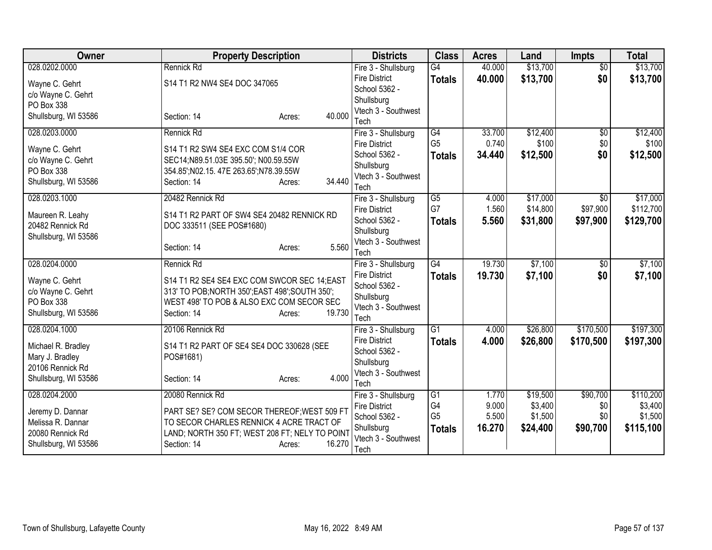| Owner                            | <b>Property Description</b>                                                     | <b>Districts</b>                  | <b>Class</b>    | <b>Acres</b> | Land     | <b>Impts</b>    | <b>Total</b> |
|----------------------------------|---------------------------------------------------------------------------------|-----------------------------------|-----------------|--------------|----------|-----------------|--------------|
| 028.0202.0000                    | Rennick Rd                                                                      | Fire 3 - Shullsburg               | $\overline{G4}$ | 40.000       | \$13,700 | $\overline{50}$ | \$13,700     |
| Wayne C. Gehrt                   | S14 T1 R2 NW4 SE4 DOC 347065                                                    | <b>Fire District</b>              | <b>Totals</b>   | 40.000       | \$13,700 | \$0             | \$13,700     |
| c/o Wayne C. Gehrt               |                                                                                 | School 5362 -                     |                 |              |          |                 |              |
| PO Box 338                       |                                                                                 | Shullsburg<br>Vtech 3 - Southwest |                 |              |          |                 |              |
| Shullsburg, WI 53586             | 40.000<br>Section: 14<br>Acres:                                                 | Tech                              |                 |              |          |                 |              |
| 028.0203.0000                    | Rennick Rd                                                                      | Fire 3 - Shullsburg               | $\overline{G4}$ | 33.700       | \$12,400 | $\overline{50}$ | \$12,400     |
|                                  |                                                                                 | <b>Fire District</b>              | G <sub>5</sub>  | 0.740        | \$100    | \$0             | \$100        |
| Wayne C. Gehrt                   | S14 T1 R2 SW4 SE4 EXC COM S1/4 COR                                              | School 5362 -                     | <b>Totals</b>   | 34.440       | \$12,500 | \$0             | \$12,500     |
| c/o Wayne C. Gehrt<br>PO Box 338 | SEC14;N89.51.03E 395.50'; N00.59.55W<br>354.85'; N02.15.47E 263.65'; N78.39.55W | Shullsburg                        |                 |              |          |                 |              |
| Shullsburg, WI 53586             | 34.440<br>Section: 14<br>Acres:                                                 | Vtech 3 - Southwest               |                 |              |          |                 |              |
|                                  |                                                                                 | Tech                              |                 |              |          |                 |              |
| 028.0203.1000                    | 20482 Rennick Rd                                                                | Fire 3 - Shullsburg               | $\overline{G5}$ | 4.000        | \$17,000 | \$0             | \$17,000     |
| Maureen R. Leahy                 | S14 T1 R2 PART OF SW4 SE4 20482 RENNICK RD                                      | <b>Fire District</b>              | G7              | 1.560        | \$14,800 | \$97,900        | \$112,700    |
| 20482 Rennick Rd                 | DOC 333511 (SEE POS#1680)                                                       | School 5362 -                     | <b>Totals</b>   | 5.560        | \$31,800 | \$97,900        | \$129,700    |
| Shullsburg, WI 53586             |                                                                                 | Shullsburg<br>Vtech 3 - Southwest |                 |              |          |                 |              |
|                                  | 5.560<br>Section: 14<br>Acres:                                                  | Tech                              |                 |              |          |                 |              |
| 028.0204.0000                    | Rennick Rd                                                                      | Fire 3 - Shullsburg               | G4              | 19.730       | \$7,100  | $\overline{50}$ | \$7,100      |
| Wayne C. Gehrt                   | S14 T1 R2 SE4 SE4 EXC COM SWCOR SEC 14; EAST                                    | <b>Fire District</b>              | <b>Totals</b>   | 19.730       | \$7,100  | \$0             | \$7,100      |
| c/o Wayne C. Gehrt               | 313' TO POB; NORTH 350'; EAST 498'; SOUTH 350';                                 | School 5362 -                     |                 |              |          |                 |              |
| PO Box 338                       | WEST 498' TO POB & ALSO EXC COM SECOR SEC                                       | Shullsburg                        |                 |              |          |                 |              |
| Shullsburg, WI 53586             | 19.730<br>Section: 14<br>Acres:                                                 | Vtech 3 - Southwest               |                 |              |          |                 |              |
| 028.0204.1000                    | 20106 Rennick Rd                                                                | Tech<br>Fire 3 - Shullsburg       | $\overline{G1}$ | 4.000        | \$26,800 | \$170,500       | \$197,300    |
|                                  |                                                                                 | <b>Fire District</b>              |                 | 4.000        | \$26,800 | \$170,500       | \$197,300    |
| Michael R. Bradley               | S14 T1 R2 PART OF SE4 SE4 DOC 330628 (SEE                                       | School 5362 -                     | <b>Totals</b>   |              |          |                 |              |
| Mary J. Bradley                  | POS#1681)                                                                       | Shullsburg                        |                 |              |          |                 |              |
| 20106 Rennick Rd                 |                                                                                 | Vtech 3 - Southwest               |                 |              |          |                 |              |
| Shullsburg, WI 53586             | 4.000<br>Section: 14<br>Acres:                                                  | Tech                              |                 |              |          |                 |              |
| 028.0204.2000                    | 20080 Rennick Rd                                                                | Fire 3 - Shullsburg               | $\overline{G1}$ | 1.770        | \$19,500 | \$90,700        | \$110,200    |
| Jeremy D. Dannar                 | PART SE? SE? COM SECOR THEREOF; WEST 509 FT                                     | <b>Fire District</b>              | G4              | 9.000        | \$3,400  | \$0             | \$3,400      |
| Melissa R. Dannar                | TO SECOR CHARLES RENNICK 4 ACRE TRACT OF                                        | School 5362 -                     | G <sub>5</sub>  | 5.500        | \$1,500  | \$0             | \$1,500      |
| 20080 Rennick Rd                 | LAND; NORTH 350 FT; WEST 208 FT; NELY TO POINT                                  | Shullsburg                        | <b>Totals</b>   | 16.270       | \$24,400 | \$90,700        | \$115,100    |
| Shullsburg, WI 53586             | 16.270<br>Section: 14<br>Acres:                                                 | Vtech 3 - Southwest               |                 |              |          |                 |              |
|                                  |                                                                                 | Tech                              |                 |              |          |                 |              |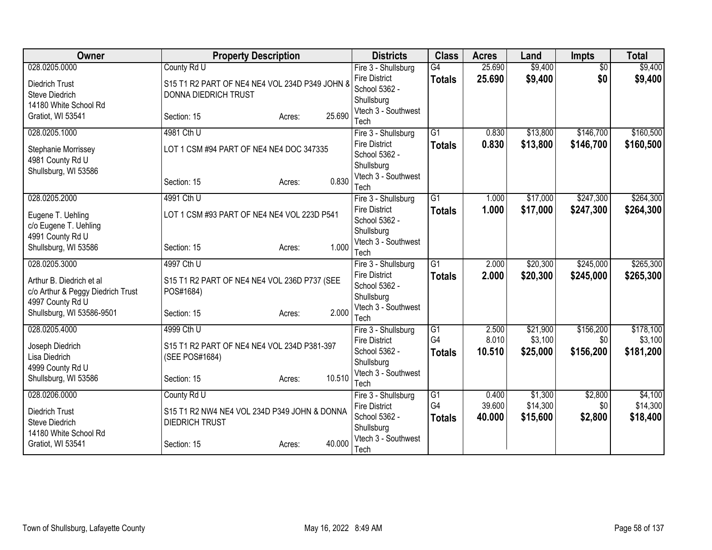| Owner                                   | <b>Property Description</b>                    |                  | <b>Districts</b>                            | <b>Class</b>    | <b>Acres</b> | Land     | <b>Impts</b>    | <b>Total</b> |
|-----------------------------------------|------------------------------------------------|------------------|---------------------------------------------|-----------------|--------------|----------|-----------------|--------------|
| 028.0205.0000                           | County Rd U                                    |                  | Fire 3 - Shullsburg                         | $\overline{G4}$ | 25.690       | \$9,400  | $\overline{50}$ | \$9,400      |
| Diedrich Trust                          | S15 T1 R2 PART OF NE4 NE4 VOL 234D P349 JOHN 8 |                  | <b>Fire District</b>                        | <b>Totals</b>   | 25.690       | \$9,400  | \$0             | \$9,400      |
| <b>Steve Diedrich</b>                   | <b>DONNA DIEDRICH TRUST</b>                    |                  | School 5362 -                               |                 |              |          |                 |              |
| 14180 White School Rd                   |                                                |                  | Shullsburg<br>Vtech 3 - Southwest           |                 |              |          |                 |              |
| Gratiot, WI 53541                       | Section: 15                                    | 25.690<br>Acres: | Tech                                        |                 |              |          |                 |              |
| 028.0205.1000                           | 4981 Cth U                                     |                  | Fire 3 - Shullsburg                         | $\overline{G1}$ | 0.830        | \$13,800 | \$146,700       | \$160,500    |
|                                         | LOT 1 CSM #94 PART OF NE4 NE4 DOC 347335       |                  | <b>Fire District</b>                        | <b>Totals</b>   | 0.830        | \$13,800 | \$146,700       | \$160,500    |
| Stephanie Morrissey<br>4981 County Rd U |                                                |                  | School 5362 -                               |                 |              |          |                 |              |
| Shullsburg, WI 53586                    |                                                |                  | Shullsburg                                  |                 |              |          |                 |              |
|                                         | Section: 15                                    | 0.830<br>Acres:  | Vtech 3 - Southwest                         |                 |              |          |                 |              |
|                                         |                                                |                  | Tech                                        |                 |              |          |                 |              |
| 028.0205.2000                           | 4991 Cth U                                     |                  | Fire 3 - Shullsburg<br><b>Fire District</b> | $\overline{G1}$ | 1.000        | \$17,000 | \$247,300       | \$264,300    |
| Eugene T. Uehling                       | LOT 1 CSM #93 PART OF NE4 NE4 VOL 223D P541    |                  | School 5362 -                               | <b>Totals</b>   | 1.000        | \$17,000 | \$247,300       | \$264,300    |
| c/o Eugene T. Uehling                   |                                                |                  | Shullsburg                                  |                 |              |          |                 |              |
| 4991 County Rd U                        |                                                |                  | Vtech 3 - Southwest                         |                 |              |          |                 |              |
| Shullsburg, WI 53586                    | Section: 15                                    | 1.000<br>Acres:  | Tech                                        |                 |              |          |                 |              |
| 028.0205.3000                           | 4997 Cth U                                     |                  | Fire 3 - Shullsburg                         | $\overline{G1}$ | 2.000        | \$20,300 | \$245,000       | \$265,300    |
| Arthur B. Diedrich et al                | S15 T1 R2 PART OF NE4 NE4 VOL 236D P737 (SEE   |                  | <b>Fire District</b>                        | <b>Totals</b>   | 2.000        | \$20,300 | \$245,000       | \$265,300    |
| c/o Arthur & Peggy Diedrich Trust       | POS#1684)                                      |                  | School 5362 -                               |                 |              |          |                 |              |
| 4997 County Rd U                        |                                                |                  | Shullsburg                                  |                 |              |          |                 |              |
| Shullsburg, WI 53586-9501               | Section: 15                                    | 2.000<br>Acres:  | Vtech 3 - Southwest<br>Tech                 |                 |              |          |                 |              |
| 028.0205.4000                           | 4999 Cth U                                     |                  | Fire 3 - Shullsburg                         | $\overline{G1}$ | 2.500        | \$21,900 | \$156,200       | \$178,100    |
|                                         |                                                |                  | <b>Fire District</b>                        | G4              | 8.010        | \$3,100  | \$0             | \$3,100      |
| Joseph Diedrich                         | S15 T1 R2 PART OF NE4 NE4 VOL 234D P381-397    |                  | School 5362 -                               | <b>Totals</b>   | 10.510       | \$25,000 | \$156,200       | \$181,200    |
| Lisa Diedrich<br>4999 County Rd U       | (SEE POS#1684)                                 |                  | Shullsburg                                  |                 |              |          |                 |              |
| Shullsburg, WI 53586                    | Section: 15                                    | 10.510<br>Acres: | Vtech 3 - Southwest                         |                 |              |          |                 |              |
|                                         |                                                |                  | Tech                                        |                 |              |          |                 |              |
| 028.0206.0000                           | County Rd U                                    |                  | Fire 3 - Shullsburg                         | $\overline{G1}$ | 0.400        | \$1,300  | \$2,800         | \$4,100      |
| <b>Diedrich Trust</b>                   | S15 T1 R2 NW4 NE4 VOL 234D P349 JOHN & DONNA   |                  | <b>Fire District</b>                        | G4              | 39.600       | \$14,300 | \$0             | \$14,300     |
| <b>Steve Diedrich</b>                   | <b>DIEDRICH TRUST</b>                          |                  | School 5362 -<br>Shullsburg                 | <b>Totals</b>   | 40.000       | \$15,600 | \$2,800         | \$18,400     |
| 14180 White School Rd                   |                                                |                  | Vtech 3 - Southwest                         |                 |              |          |                 |              |
| Gratiot, WI 53541                       | Section: 15                                    | 40.000<br>Acres: | Tech                                        |                 |              |          |                 |              |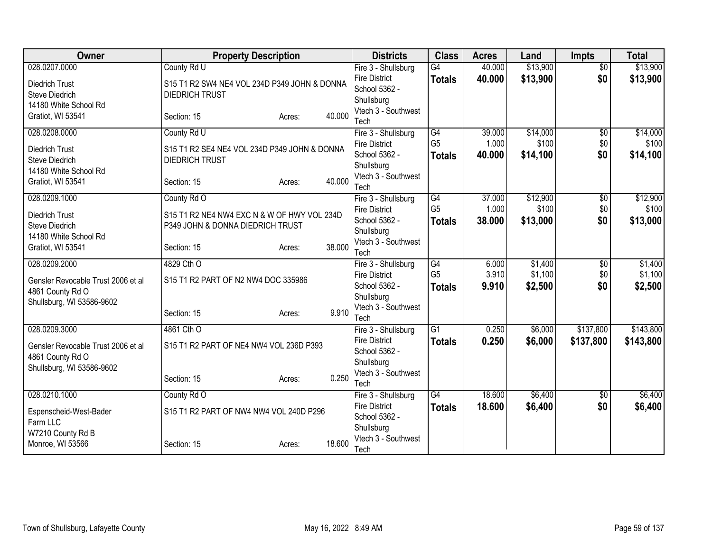| Owner                              | <b>Property Description</b>                  |        |        | <b>Districts</b>                            | <b>Class</b>    | <b>Acres</b> | Land     | <b>Impts</b>    | <b>Total</b> |
|------------------------------------|----------------------------------------------|--------|--------|---------------------------------------------|-----------------|--------------|----------|-----------------|--------------|
| 028.0207.0000                      | County Rd U                                  |        |        | Fire 3 - Shullsburg                         | G4              | 40.000       | \$13,900 | $\overline{50}$ | \$13,900     |
| <b>Diedrich Trust</b>              | S15 T1 R2 SW4 NE4 VOL 234D P349 JOHN & DONNA |        |        | <b>Fire District</b>                        | <b>Totals</b>   | 40.000       | \$13,900 | \$0             | \$13,900     |
| <b>Steve Diedrich</b>              | <b>DIEDRICH TRUST</b>                        |        |        | School 5362 -                               |                 |              |          |                 |              |
| 14180 White School Rd              |                                              |        |        | Shullsburg                                  |                 |              |          |                 |              |
| Gratiot, WI 53541                  | Section: 15                                  | Acres: | 40.000 | Vtech 3 - Southwest<br>Tech                 |                 |              |          |                 |              |
| 028.0208.0000                      | County Rd U                                  |        |        | Fire 3 - Shullsburg                         | G4              | 39.000       | \$14,000 | $\overline{50}$ | \$14,000     |
|                                    |                                              |        |        | <b>Fire District</b>                        | G <sub>5</sub>  | 1.000        | \$100    | \$0             | \$100        |
| Diedrich Trust                     | S15 T1 R2 SE4 NE4 VOL 234D P349 JOHN & DONNA |        |        | School 5362 -                               | <b>Totals</b>   | 40.000       | \$14,100 | \$0             | \$14,100     |
| <b>Steve Diedrich</b>              | <b>DIEDRICH TRUST</b>                        |        |        | Shullsburg                                  |                 |              |          |                 |              |
| 14180 White School Rd              |                                              |        |        | Vtech 3 - Southwest                         |                 |              |          |                 |              |
| Gratiot, WI 53541                  | Section: 15                                  | Acres: | 40.000 | Tech                                        |                 |              |          |                 |              |
| 028.0209.1000                      | County Rd O                                  |        |        | Fire 3 - Shullsburg                         | $\overline{G4}$ | 37.000       | \$12,900 | \$0             | \$12,900     |
| Diedrich Trust                     | S15 T1 R2 NE4 NW4 EXC N & W OF HWY VOL 234D  |        |        | <b>Fire District</b>                        | G <sub>5</sub>  | 1.000        | \$100    | \$0             | \$100        |
| <b>Steve Diedrich</b>              | P349 JOHN & DONNA DIEDRICH TRUST             |        |        | School 5362 -                               | <b>Totals</b>   | 38.000       | \$13,000 | \$0             | \$13,000     |
| 14180 White School Rd              |                                              |        |        | Shullsburg                                  |                 |              |          |                 |              |
| Gratiot, WI 53541                  | Section: 15                                  | Acres: | 38.000 | Vtech 3 - Southwest                         |                 |              |          |                 |              |
| 028.0209.2000                      | 4829 Cth O                                   |        |        | Tech<br>Fire 3 - Shullsburg                 | G4              | 6.000        | \$1,400  | $\overline{50}$ | \$1,400      |
|                                    |                                              |        |        | <b>Fire District</b>                        | G <sub>5</sub>  | 3.910        | \$1,100  | \$0             | \$1,100      |
| Gensler Revocable Trust 2006 et al | S15 T1 R2 PART OF N2 NW4 DOC 335986          |        |        | School 5362 -                               | <b>Totals</b>   | 9.910        | \$2,500  | \$0             | \$2,500      |
| 4861 County Rd O                   |                                              |        |        | Shullsburg                                  |                 |              |          |                 |              |
| Shullsburg, WI 53586-9602          |                                              |        |        | Vtech 3 - Southwest                         |                 |              |          |                 |              |
|                                    | Section: 15                                  | Acres: | 9.910  | Tech                                        |                 |              |          |                 |              |
| 028.0209.3000                      | 4861 Cth O                                   |        |        | Fire 3 - Shullsburg                         | $\overline{G1}$ | 0.250        | \$6,000  | \$137,800       | \$143,800    |
| Gensler Revocable Trust 2006 et al | S15 T1 R2 PART OF NE4 NW4 VOL 236D P393      |        |        | <b>Fire District</b>                        | <b>Totals</b>   | 0.250        | \$6,000  | \$137,800       | \$143,800    |
| 4861 County Rd O                   |                                              |        |        | School 5362 -                               |                 |              |          |                 |              |
| Shullsburg, WI 53586-9602          |                                              |        |        | Shullsburg                                  |                 |              |          |                 |              |
|                                    | Section: 15                                  | Acres: | 0.250  | Vtech 3 - Southwest                         |                 |              |          |                 |              |
| 028.0210.1000                      | County Rd O                                  |        |        | Tech                                        | G4              | 18.600       | \$6,400  |                 | \$6,400      |
|                                    |                                              |        |        | Fire 3 - Shullsburg<br><b>Fire District</b> |                 | 18.600       | \$6,400  | \$0<br>\$0      |              |
| Espenscheid-West-Bader             | S15 T1 R2 PART OF NW4 NW4 VOL 240D P296      |        |        | School 5362 -                               | <b>Totals</b>   |              |          |                 | \$6,400      |
| Farm LLC                           |                                              |        |        | Shullsburg                                  |                 |              |          |                 |              |
| W7210 County Rd B                  |                                              |        |        | Vtech 3 - Southwest                         |                 |              |          |                 |              |
| Monroe, WI 53566                   | Section: 15                                  | Acres: | 18.600 | Tech                                        |                 |              |          |                 |              |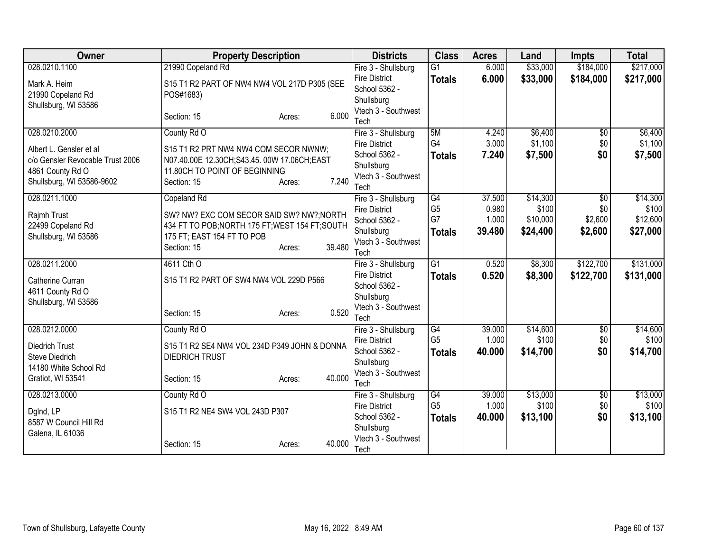| Owner                                                       | <b>Property Description</b>                                                         | <b>Districts</b>                      | <b>Class</b>         | <b>Acres</b>   | Land              | <b>Impts</b>    | <b>Total</b>      |
|-------------------------------------------------------------|-------------------------------------------------------------------------------------|---------------------------------------|----------------------|----------------|-------------------|-----------------|-------------------|
| 028.0210.1100                                               | 21990 Copeland Rd                                                                   | Fire 3 - Shullsburg                   | $\overline{G1}$      | 6.000          | \$33,000          | \$184,000       | \$217,000         |
| Mark A. Heim                                                | S15 T1 R2 PART OF NW4 NW4 VOL 217D P305 (SEE                                        | <b>Fire District</b>                  | <b>Totals</b>        | 6.000          | \$33,000          | \$184,000       | \$217,000         |
| 21990 Copeland Rd                                           | POS#1683)                                                                           | School 5362 -                         |                      |                |                   |                 |                   |
| Shullsburg, WI 53586                                        |                                                                                     | Shullsburg<br>Vtech 3 - Southwest     |                      |                |                   |                 |                   |
|                                                             | 6.000<br>Section: 15<br>Acres:                                                      | Tech                                  |                      |                |                   |                 |                   |
| 028.0210.2000                                               | County Rd O                                                                         | Fire 3 - Shullsburg                   | 5M                   | 4.240          | \$6,400           | $\overline{50}$ | \$6,400           |
|                                                             |                                                                                     | <b>Fire District</b>                  | G4                   | 3.000          | \$1,100           | \$0             | \$1,100           |
| Albert L. Gensler et al<br>c/o Gensler Revocable Trust 2006 | S15 T1 R2 PRT NW4 NW4 COM SECOR NWNW;<br>N07.40.00E 12.30CH;S43.45.00W 17.06CH;EAST | School 5362 -                         | <b>Totals</b>        | 7.240          | \$7,500           | \$0             | \$7,500           |
| 4861 County Rd O                                            | 11.80CH TO POINT OF BEGINNING                                                       | Shullsburg                            |                      |                |                   |                 |                   |
| Shullsburg, WI 53586-9602                                   | 7.240<br>Section: 15<br>Acres:                                                      | Vtech 3 - Southwest                   |                      |                |                   |                 |                   |
|                                                             |                                                                                     | Tech                                  |                      |                |                   |                 |                   |
| 028.0211.1000                                               | Copeland Rd                                                                         | Fire 3 - Shullsburg                   | G4<br>G <sub>5</sub> | 37.500         | \$14,300<br>\$100 | \$0             | \$14,300          |
| Rajmh Trust                                                 | SW? NW? EXC COM SECOR SAID SW? NW?; NORTH                                           | <b>Fire District</b><br>School 5362 - | G7                   | 0.980<br>1.000 | \$10,000          | \$0<br>\$2,600  | \$100<br>\$12,600 |
| 22499 Copeland Rd                                           | 434 FT TO POB; NORTH 175 FT; WEST 154 FT; SOUTH                                     | Shullsburg                            | <b>Totals</b>        | 39.480         | \$24,400          | \$2,600         | \$27,000          |
| Shullsburg, WI 53586                                        | 175 FT; EAST 154 FT TO POB                                                          | Vtech 3 - Southwest                   |                      |                |                   |                 |                   |
|                                                             | 39.480<br>Section: 15<br>Acres:                                                     | Tech                                  |                      |                |                   |                 |                   |
| 028.0211.2000                                               | 4611 Cth O                                                                          | Fire 3 - Shullsburg                   | G1                   | 0.520          | \$8,300           | \$122,700       | \$131,000         |
| Catherine Curran                                            | S15 T1 R2 PART OF SW4 NW4 VOL 229D P566                                             | <b>Fire District</b>                  | <b>Totals</b>        | 0.520          | \$8,300           | \$122,700       | \$131,000         |
| 4611 County Rd O                                            |                                                                                     | School 5362 -                         |                      |                |                   |                 |                   |
| Shullsburg, WI 53586                                        |                                                                                     | Shullsburg                            |                      |                |                   |                 |                   |
|                                                             | 0.520<br>Section: 15<br>Acres:                                                      | Vtech 3 - Southwest<br>Tech           |                      |                |                   |                 |                   |
| 028.0212.0000                                               | County Rd O                                                                         | Fire 3 - Shullsburg                   | G4                   | 39.000         | \$14,600          | $\sqrt{6}$      | \$14,600          |
|                                                             |                                                                                     | <b>Fire District</b>                  | G <sub>5</sub>       | 1.000          | \$100             | \$0             | \$100             |
| <b>Diedrich Trust</b>                                       | S15 T1 R2 SE4 NW4 VOL 234D P349 JOHN & DONNA                                        | School 5362 -                         | <b>Totals</b>        | 40.000         | \$14,700          | \$0             | \$14,700          |
| Steve Diedrich<br>14180 White School Rd                     | <b>DIEDRICH TRUST</b>                                                               | Shullsburg                            |                      |                |                   |                 |                   |
| Gratiot, WI 53541                                           | 40.000<br>Section: 15<br>Acres:                                                     | Vtech 3 - Southwest                   |                      |                |                   |                 |                   |
|                                                             |                                                                                     | Tech                                  |                      |                |                   |                 |                   |
| 028.0213.0000                                               | County Rd O                                                                         | Fire 3 - Shullsburg                   | G4                   | 39.000         | \$13,000          | \$0             | \$13,000          |
| DgInd, LP                                                   | S15 T1 R2 NE4 SW4 VOL 243D P307                                                     | <b>Fire District</b>                  | G <sub>5</sub>       | 1.000          | \$100             | \$0             | \$100             |
| 8587 W Council Hill Rd                                      |                                                                                     | School 5362 -<br>Shullsburg           | <b>Totals</b>        | 40.000         | \$13,100          | \$0             | \$13,100          |
| Galena, IL 61036                                            |                                                                                     | Vtech 3 - Southwest                   |                      |                |                   |                 |                   |
|                                                             | 40.000<br>Section: 15<br>Acres:                                                     | Tech                                  |                      |                |                   |                 |                   |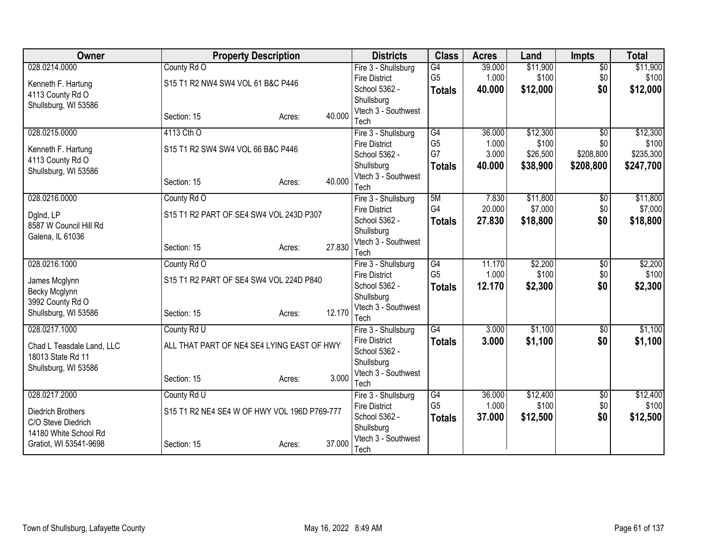| Owner                     | <b>Property Description</b>                  |                  | <b>Districts</b>                            | <b>Class</b>         | <b>Acres</b> | Land     | <b>Impts</b>    | <b>Total</b> |
|---------------------------|----------------------------------------------|------------------|---------------------------------------------|----------------------|--------------|----------|-----------------|--------------|
| 028.0214.0000             | County Rd O                                  |                  | Fire 3 - Shullsburg                         | $\overline{G4}$      | 39.000       | \$11,900 | $\overline{50}$ | \$11,900     |
| Kenneth F. Hartung        | S15 T1 R2 NW4 SW4 VOL 61 B&C P446            |                  | <b>Fire District</b>                        | G <sub>5</sub>       | 1.000        | \$100    | \$0             | \$100        |
| 4113 County Rd O          |                                              |                  | School 5362 -                               | <b>Totals</b>        | 40.000       | \$12,000 | \$0             | \$12,000     |
| Shullsburg, WI 53586      |                                              |                  | Shullsburg                                  |                      |              |          |                 |              |
|                           | Section: 15                                  | 40.000<br>Acres: | Vtech 3 - Southwest<br>Tech                 |                      |              |          |                 |              |
| 028.0215.0000             | 4113 Cth O                                   |                  | Fire 3 - Shullsburg                         | $\overline{G4}$      | 36.000       | \$12,300 | $\overline{50}$ | \$12,300     |
|                           |                                              |                  | <b>Fire District</b>                        | G <sub>5</sub>       | 1.000        | \$100    | \$0             | \$100        |
| Kenneth F. Hartung        | S15 T1 R2 SW4 SW4 VOL 66 B&C P446            |                  | School 5362 -                               | G7                   | 3.000        | \$26,500 | \$208,800       | \$235,300    |
| 4113 County Rd O          |                                              |                  | Shullsburg                                  | <b>Totals</b>        | 40.000       | \$38,900 | \$208,800       | \$247,700    |
| Shullsburg, WI 53586      |                                              | 40.000           | Vtech 3 - Southwest                         |                      |              |          |                 |              |
|                           | Section: 15                                  | Acres:           | Tech                                        |                      |              |          |                 |              |
| 028.0216.0000             | County Rd O                                  |                  | Fire 3 - Shullsburg                         | 5M                   | 7.830        | \$11,800 | \$0             | \$11,800     |
| DgInd, LP                 | S15 T1 R2 PART OF SE4 SW4 VOL 243D P307      |                  | <b>Fire District</b>                        | G4                   | 20.000       | \$7,000  | \$0             | \$7,000      |
| 8587 W Council Hill Rd    |                                              |                  | School 5362 -                               | <b>Totals</b>        | 27.830       | \$18,800 | \$0             | \$18,800     |
| Galena, IL 61036          |                                              |                  | Shullsburg                                  |                      |              |          |                 |              |
|                           | Section: 15                                  | 27.830<br>Acres: | Vtech 3 - Southwest<br>Tech                 |                      |              |          |                 |              |
| 028.0216.1000             | County Rd O                                  |                  |                                             | $\overline{G4}$      | 11.170       | \$2,200  | $\overline{60}$ | \$2,200      |
|                           |                                              |                  | Fire 3 - Shullsburg<br><b>Fire District</b> | G <sub>5</sub>       | 1.000        | \$100    | \$0             | \$100        |
| James Mcglynn             | S15 T1 R2 PART OF SE4 SW4 VOL 224D P840      |                  | School 5362 -                               | <b>Totals</b>        | 12.170       | \$2,300  | \$0             | \$2,300      |
| Becky Mcglynn             |                                              |                  | Shullsburg                                  |                      |              |          |                 |              |
| 3992 County Rd O          |                                              |                  | Vtech 3 - Southwest                         |                      |              |          |                 |              |
| Shullsburg, WI 53586      | Section: 15                                  | 12.170<br>Acres: | Tech                                        |                      |              |          |                 |              |
| 028.0217.1000             | County Rd U                                  |                  | Fire 3 - Shullsburg                         | G4                   | 3.000        | \$1,100  | $\overline{60}$ | \$1,100      |
| Chad L Teasdale Land, LLC | ALL THAT PART OF NE4 SE4 LYING EAST OF HWY   |                  | <b>Fire District</b>                        | <b>Totals</b>        | 3.000        | \$1,100  | \$0             | \$1,100      |
| 18013 State Rd 11         |                                              |                  | School 5362 -                               |                      |              |          |                 |              |
| Shullsburg, WI 53586      |                                              |                  | Shullsburg                                  |                      |              |          |                 |              |
|                           | Section: 15                                  | 3.000<br>Acres:  | Vtech 3 - Southwest                         |                      |              |          |                 |              |
|                           |                                              |                  | Tech                                        |                      |              |          |                 |              |
| 028.0217.2000             | County Rd U                                  |                  | Fire 3 - Shullsburg                         | G4<br>G <sub>5</sub> | 36.000       | \$12,400 | \$0             | \$12,400     |
| Diedrich Brothers         | S15 T1 R2 NE4 SE4 W OF HWY VOL 196D P769-777 |                  | <b>Fire District</b><br>School 5362 -       |                      | 1.000        | \$100    | \$0<br>\$0      | \$100        |
| C/O Steve Diedrich        |                                              |                  | Shullsburg                                  | <b>Totals</b>        | 37,000       | \$12,500 |                 | \$12,500     |
| 14180 White School Rd     |                                              |                  | Vtech 3 - Southwest                         |                      |              |          |                 |              |
| Gratiot, WI 53541-9698    | Section: 15                                  | 37,000<br>Acres: | Tech                                        |                      |              |          |                 |              |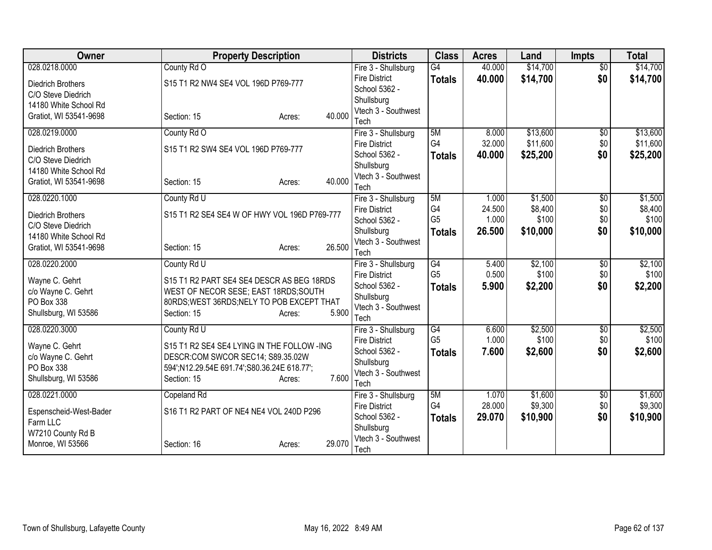| Owner                    | <b>Property Description</b>                  |        | <b>Districts</b>                  | <b>Class</b>   | <b>Acres</b> | Land     | <b>Impts</b>    | <b>Total</b> |
|--------------------------|----------------------------------------------|--------|-----------------------------------|----------------|--------------|----------|-----------------|--------------|
| 028.0218.0000            | County Rd O                                  |        | Fire 3 - Shullsburg               | G4             | 40.000       | \$14,700 | $\overline{50}$ | \$14,700     |
| Diedrich Brothers        | S15 T1 R2 NW4 SE4 VOL 196D P769-777          |        | <b>Fire District</b>              | <b>Totals</b>  | 40.000       | \$14,700 | \$0             | \$14,700     |
| C/O Steve Diedrich       |                                              |        | School 5362 -                     |                |              |          |                 |              |
| 14180 White School Rd    |                                              |        | Shullsburg                        |                |              |          |                 |              |
| Gratiot, WI 53541-9698   | Section: 15<br>Acres:                        | 40.000 | Vtech 3 - Southwest               |                |              |          |                 |              |
|                          |                                              |        | Tech                              |                |              |          |                 |              |
| 028.0219.0000            | County Rd O                                  |        | Fire 3 - Shullsburg               | 5M             | 8.000        | \$13,600 | $\overline{50}$ | \$13,600     |
| <b>Diedrich Brothers</b> | S15 T1 R2 SW4 SE4 VOL 196D P769-777          |        | <b>Fire District</b>              | G4             | 32.000       | \$11,600 | \$0             | \$11,600     |
| C/O Steve Diedrich       |                                              |        | School 5362 -                     | <b>Totals</b>  | 40.000       | \$25,200 | \$0             | \$25,200     |
| 14180 White School Rd    |                                              |        | Shullsburg<br>Vtech 3 - Southwest |                |              |          |                 |              |
| Gratiot, WI 53541-9698   | Section: 15<br>Acres:                        | 40.000 | Tech                              |                |              |          |                 |              |
| 028.0220.1000            | County Rd U                                  |        | Fire 3 - Shullsburg               | 5M             | 1.000        | \$1,500  | \$0             | \$1,500      |
|                          |                                              |        | <b>Fire District</b>              | G4             | 24.500       | \$8,400  | \$0             | \$8,400      |
| <b>Diedrich Brothers</b> | S15 T1 R2 SE4 SE4 W OF HWY VOL 196D P769-777 |        | School 5362 -                     | G <sub>5</sub> | 1.000        | \$100    | \$0             | \$100        |
| C/O Steve Diedrich       |                                              |        | Shullsburg                        | <b>Totals</b>  | 26,500       | \$10,000 | \$0             | \$10,000     |
| 14180 White School Rd    |                                              |        | Vtech 3 - Southwest               |                |              |          |                 |              |
| Gratiot, WI 53541-9698   | Section: 15<br>Acres:                        | 26.500 | Tech                              |                |              |          |                 |              |
| 028.0220.2000            | County Rd U                                  |        | Fire 3 - Shullsburg               | G4             | 5.400        | \$2,100  | $\overline{50}$ | \$2,100      |
| Wayne C. Gehrt           | S15 T1 R2 PART SE4 SE4 DESCR AS BEG 18RDS    |        | <b>Fire District</b>              | G <sub>5</sub> | 0.500        | \$100    | \$0             | \$100        |
| c/o Wayne C. Gehrt       | WEST OF NECOR SESE; EAST 18RDS; SOUTH        |        | School 5362 -                     | <b>Totals</b>  | 5.900        | \$2,200  | \$0             | \$2,200      |
| PO Box 338               | 80RDS; WEST 36RDS; NELY TO POB EXCEPT THAT   |        | Shullsburg                        |                |              |          |                 |              |
| Shullsburg, WI 53586     | Section: 15<br>Acres:                        | 5.900  | Vtech 3 - Southwest               |                |              |          |                 |              |
|                          |                                              |        | Tech                              |                |              |          |                 |              |
| 028.0220.3000            | County Rd U                                  |        | Fire 3 - Shullsburg               | G4             | 6.600        | \$2,500  | $\overline{50}$ | \$2,500      |
| Wayne C. Gehrt           | S15 T1 R2 SE4 SE4 LYING IN THE FOLLOW -ING   |        | <b>Fire District</b>              | G <sub>5</sub> | 1.000        | \$100    | \$0             | \$100        |
| c/o Wayne C. Gehrt       | DESCR:COM SWCOR SEC14; S89.35.02W            |        | School 5362 -                     | <b>Totals</b>  | 7.600        | \$2,600  | \$0             | \$2,600      |
| PO Box 338               | 594';N12.29.54E 691.74';S80.36.24E 618.77';  |        | Shullsburg                        |                |              |          |                 |              |
| Shullsburg, WI 53586     | Section: 15<br>Acres:                        | 7.600  | Vtech 3 - Southwest<br>Tech       |                |              |          |                 |              |
| 028.0221.0000            | Copeland Rd                                  |        | Fire 3 - Shullsburg               | 5M             | 1.070        | \$1,600  | \$0             | \$1,600      |
|                          |                                              |        | <b>Fire District</b>              | G4             | 28.000       | \$9,300  | \$0             | \$9,300      |
| Espenscheid-West-Bader   | S16 T1 R2 PART OF NE4 NE4 VOL 240D P296      |        | School 5362 -                     |                | 29.070       | \$10,900 | \$0             | \$10,900     |
| Farm LLC                 |                                              |        | Shullsburg                        | <b>Totals</b>  |              |          |                 |              |
| W7210 County Rd B        |                                              |        | Vtech 3 - Southwest               |                |              |          |                 |              |
| Monroe, WI 53566         | Section: 16<br>Acres:                        | 29.070 | Tech                              |                |              |          |                 |              |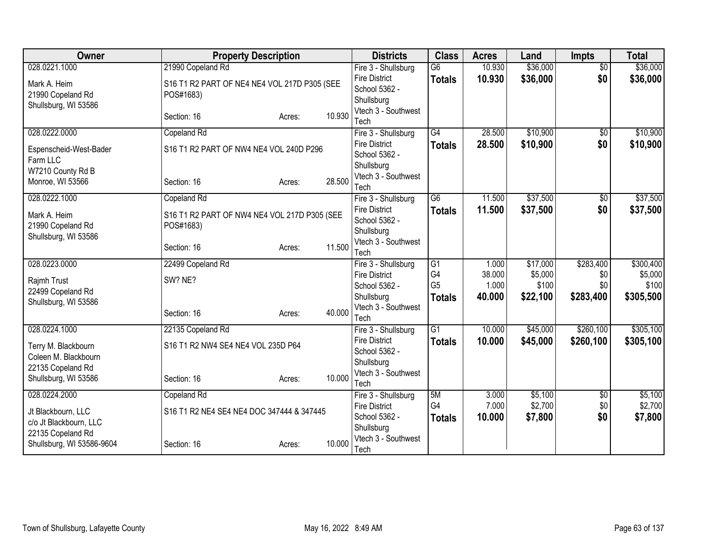| <b>Owner</b>                       | <b>Property Description</b>                  |                  | <b>Districts</b>                      | <b>Class</b>    | <b>Acres</b> | Land     | <b>Impts</b>    | <b>Total</b> |
|------------------------------------|----------------------------------------------|------------------|---------------------------------------|-----------------|--------------|----------|-----------------|--------------|
| 028.0221.1000                      | 21990 Copeland Rd                            |                  | Fire 3 - Shullsburg                   | $\overline{G6}$ | 10.930       | \$36,000 | $\overline{50}$ | \$36,000     |
| Mark A. Heim                       | S16 T1 R2 PART OF NE4 NE4 VOL 217D P305 (SEE |                  | <b>Fire District</b>                  | <b>Totals</b>   | 10.930       | \$36,000 | \$0             | \$36,000     |
| 21990 Copeland Rd                  | POS#1683)                                    |                  | School 5362 -                         |                 |              |          |                 |              |
| Shullsburg, WI 53586               |                                              |                  | Shullsburg<br>Vtech 3 - Southwest     |                 |              |          |                 |              |
|                                    | Section: 16                                  | 10.930<br>Acres: | Tech                                  |                 |              |          |                 |              |
| 028.0222.0000                      | Copeland Rd                                  |                  | Fire 3 - Shullsburg                   | $\overline{G4}$ | 28.500       | \$10,900 | $\overline{50}$ | \$10,900     |
|                                    |                                              |                  | <b>Fire District</b>                  | <b>Totals</b>   | 28.500       | \$10,900 | \$0             | \$10,900     |
| Espenscheid-West-Bader<br>Farm LLC | S16 T1 R2 PART OF NW4 NE4 VOL 240D P296      |                  | School 5362 -                         |                 |              |          |                 |              |
| W7210 County Rd B                  |                                              |                  | Shullsburg                            |                 |              |          |                 |              |
| Monroe, WI 53566                   | Section: 16                                  | 28.500<br>Acres: | Vtech 3 - Southwest                   |                 |              |          |                 |              |
|                                    |                                              |                  | Tech                                  |                 |              |          |                 |              |
| 028.0222.1000                      | Copeland Rd                                  |                  | Fire 3 - Shullsburg                   | $\overline{G6}$ | 11.500       | \$37,500 | \$0             | \$37,500     |
| Mark A. Heim                       | S16 T1 R2 PART OF NW4 NE4 VOL 217D P305 (SEE |                  | <b>Fire District</b>                  | <b>Totals</b>   | 11.500       | \$37,500 | \$0             | \$37,500     |
| 21990 Copeland Rd                  | POS#1683)                                    |                  | School 5362 -                         |                 |              |          |                 |              |
| Shullsburg, WI 53586               |                                              |                  | Shullsburg<br>Vtech 3 - Southwest     |                 |              |          |                 |              |
|                                    | Section: 16                                  | 11.500<br>Acres: | Tech                                  |                 |              |          |                 |              |
| 028.0223.0000                      | 22499 Copeland Rd                            |                  | Fire 3 - Shullsburg                   | $\overline{G1}$ | 1.000        | \$17,000 | \$283,400       | \$300,400    |
| Rajmh Trust                        | SW? NE?                                      |                  | <b>Fire District</b>                  | G4              | 38.000       | \$5,000  | \$0             | \$5,000      |
| 22499 Copeland Rd                  |                                              |                  | School 5362 -                         | G <sub>5</sub>  | 1.000        | \$100    | \$0             | \$100        |
| Shullsburg, WI 53586               |                                              |                  | Shullsburg                            | <b>Totals</b>   | 40.000       | \$22,100 | \$283,400       | \$305,500    |
|                                    | Section: 16                                  | 40.000<br>Acres: | Vtech 3 - Southwest                   |                 |              |          |                 |              |
|                                    |                                              |                  | Tech                                  |                 |              |          |                 |              |
| 028.0224.1000                      | 22135 Copeland Rd                            |                  | Fire 3 - Shullsburg                   | $\overline{G1}$ | 10.000       | \$45,000 | \$260,100       | \$305,100    |
| Terry M. Blackbourn                | S16 T1 R2 NW4 SE4 NE4 VOL 235D P64           |                  | <b>Fire District</b><br>School 5362 - | <b>Totals</b>   | 10.000       | \$45,000 | \$260,100       | \$305,100    |
| Coleen M. Blackbourn               |                                              |                  | Shullsburg                            |                 |              |          |                 |              |
| 22135 Copeland Rd                  |                                              |                  | Vtech 3 - Southwest                   |                 |              |          |                 |              |
| Shullsburg, WI 53586               | Section: 16                                  | 10.000<br>Acres: | Tech                                  |                 |              |          |                 |              |
| 028.0224.2000                      | Copeland Rd                                  |                  | Fire 3 - Shullsburg                   | 5M              | 3.000        | \$5,100  | \$0             | \$5,100      |
| Jt Blackbourn, LLC                 | S16 T1 R2 NE4 SE4 NE4 DOC 347444 & 347445    |                  | <b>Fire District</b>                  | G4              | 7.000        | \$2,700  | \$0             | \$2,700      |
| c/o Jt Blackbourn, LLC             |                                              |                  | School 5362 -                         | <b>Totals</b>   | 10.000       | \$7,800  | \$0             | \$7,800      |
| 22135 Copeland Rd                  |                                              |                  | Shullsburg                            |                 |              |          |                 |              |
| Shullsburg, WI 53586-9604          | Section: 16                                  | 10.000<br>Acres: | Vtech 3 - Southwest                   |                 |              |          |                 |              |
|                                    |                                              |                  | Tech                                  |                 |              |          |                 |              |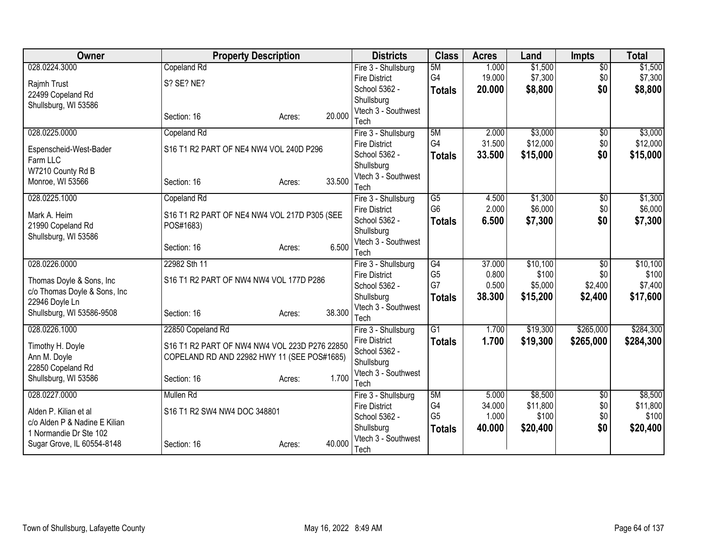| Owner                         | <b>Property Description</b>                   |                  | <b>Districts</b>                  | <b>Class</b>    | <b>Acres</b> | Land     | <b>Impts</b>    | <b>Total</b> |
|-------------------------------|-----------------------------------------------|------------------|-----------------------------------|-----------------|--------------|----------|-----------------|--------------|
| 028.0224.3000                 | Copeland Rd                                   |                  | Fire 3 - Shullsburg               | 5M              | 1.000        | \$1,500  | $\overline{50}$ | \$1,500      |
| Rajmh Trust                   | S? SE? NE?                                    |                  | <b>Fire District</b>              | G4              | 19.000       | \$7,300  | \$0             | \$7,300      |
| 22499 Copeland Rd             |                                               |                  | School 5362 -                     | <b>Totals</b>   | 20,000       | \$8,800  | \$0             | \$8,800      |
| Shullsburg, WI 53586          |                                               |                  | Shullsburg                        |                 |              |          |                 |              |
|                               | Section: 16                                   | 20.000<br>Acres: | Vtech 3 - Southwest               |                 |              |          |                 |              |
|                               |                                               |                  | Tech                              |                 |              |          |                 |              |
| 028.0225.0000                 | Copeland Rd                                   |                  | Fire 3 - Shullsburg               | 5M<br>G4        | 2.000        | \$3,000  | $\overline{50}$ | \$3,000      |
| Espenscheid-West-Bader        | S16 T1 R2 PART OF NE4 NW4 VOL 240D P296       |                  | <b>Fire District</b>              |                 | 31.500       | \$12,000 | \$0             | \$12,000     |
| Farm LLC                      |                                               |                  | School 5362 -                     | <b>Totals</b>   | 33.500       | \$15,000 | \$0             | \$15,000     |
| W7210 County Rd B             |                                               |                  | Shullsburg<br>Vtech 3 - Southwest |                 |              |          |                 |              |
| Monroe, WI 53566              | Section: 16                                   | 33.500<br>Acres: | Tech                              |                 |              |          |                 |              |
| 028.0225.1000                 | Copeland Rd                                   |                  | Fire 3 - Shullsburg               | $\overline{G5}$ | 4.500        | \$1,300  | $\overline{50}$ | \$1,300      |
|                               |                                               |                  | <b>Fire District</b>              | G <sub>6</sub>  | 2.000        | \$6,000  | \$0             | \$6,000      |
| Mark A. Heim                  | S16 T1 R2 PART OF NE4 NW4 VOL 217D P305 (SEE  |                  | School 5362 -                     | <b>Totals</b>   | 6.500        | \$7,300  | \$0             | \$7,300      |
| 21990 Copeland Rd             | POS#1683)                                     |                  | Shullsburg                        |                 |              |          |                 |              |
| Shullsburg, WI 53586          |                                               |                  | Vtech 3 - Southwest               |                 |              |          |                 |              |
|                               | Section: 16                                   | 6.500<br>Acres:  | Tech                              |                 |              |          |                 |              |
| 028.0226.0000                 | 22982 Sth 11                                  |                  | Fire 3 - Shullsburg               | $\overline{G4}$ | 37.000       | \$10,100 | $\overline{30}$ | \$10,100     |
| Thomas Doyle & Sons, Inc      | S16 T1 R2 PART OF NW4 NW4 VOL 177D P286       |                  | <b>Fire District</b>              | G <sub>5</sub>  | 0.800        | \$100    | \$0             | \$100        |
| c/o Thomas Doyle & Sons, Inc  |                                               |                  | School 5362 -                     | G7              | 0.500        | \$5,000  | \$2,400         | \$7,400      |
| 22946 Doyle Ln                |                                               |                  | Shullsburg                        | <b>Totals</b>   | 38.300       | \$15,200 | \$2,400         | \$17,600     |
| Shullsburg, WI 53586-9508     | Section: 16                                   | 38.300<br>Acres: | Vtech 3 - Southwest               |                 |              |          |                 |              |
|                               |                                               |                  | Tech                              |                 |              |          |                 |              |
| 028.0226.1000                 | 22850 Copeland Rd                             |                  | Fire 3 - Shullsburg               | $\overline{G1}$ | 1.700        | \$19,300 | \$265,000       | \$284,300    |
| Timothy H. Doyle              | S16 T1 R2 PART OF NW4 NW4 VOL 223D P276 22850 |                  | <b>Fire District</b>              | <b>Totals</b>   | 1.700        | \$19,300 | \$265,000       | \$284,300    |
| Ann M. Doyle                  | COPELAND RD AND 22982 HWY 11 (SEE POS#1685)   |                  | School 5362 -                     |                 |              |          |                 |              |
| 22850 Copeland Rd             |                                               |                  | Shullsburg                        |                 |              |          |                 |              |
| Shullsburg, WI 53586          | Section: 16                                   | 1.700<br>Acres:  | Vtech 3 - Southwest               |                 |              |          |                 |              |
| 028.0227.0000                 | Mullen Rd                                     |                  | Tech<br>Fire 3 - Shullsburg       | 5M              | 5.000        | \$8,500  | \$0             | \$8,500      |
|                               |                                               |                  | <b>Fire District</b>              | G4              | 34.000       | \$11,800 | \$0             | \$11,800     |
| Alden P. Kilian et al         | S16 T1 R2 SW4 NW4 DOC 348801                  |                  | School 5362 -                     | G <sub>5</sub>  | 1.000        | \$100    | \$0             | \$100        |
| c/o Alden P & Nadine E Kilian |                                               |                  | Shullsburg                        | <b>Totals</b>   | 40.000       | \$20,400 | \$0             | \$20,400     |
| 1 Normandie Dr Ste 102        |                                               |                  | Vtech 3 - Southwest               |                 |              |          |                 |              |
| Sugar Grove, IL 60554-8148    | Section: 16                                   | 40.000<br>Acres: | Tech                              |                 |              |          |                 |              |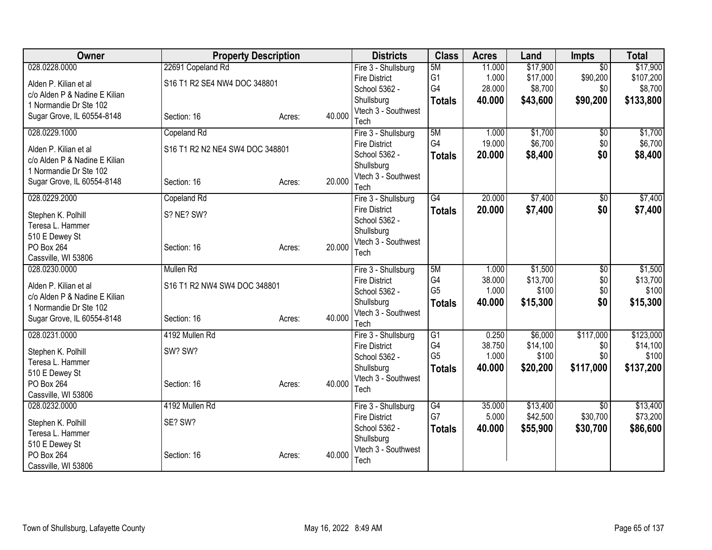| Owner                         | <b>Property Description</b>     |        |        | <b>Districts</b>            | <b>Class</b>    | <b>Acres</b> | Land     | <b>Impts</b>    | <b>Total</b> |
|-------------------------------|---------------------------------|--------|--------|-----------------------------|-----------------|--------------|----------|-----------------|--------------|
| 028.0228.0000                 | 22691 Copeland Rd               |        |        | Fire 3 - Shullsburg         | 5M              | 11.000       | \$17,900 | $\overline{30}$ | \$17,900     |
| Alden P. Kilian et al         | S16 T1 R2 SE4 NW4 DOC 348801    |        |        | <b>Fire District</b>        | G <sub>1</sub>  | 1.000        | \$17,000 | \$90,200        | \$107,200    |
| c/o Alden P & Nadine E Kilian |                                 |        |        | School 5362 -               | G4              | 28.000       | \$8,700  | \$0             | \$8,700      |
| 1 Normandie Dr Ste 102        |                                 |        |        | Shullsburg                  | <b>Totals</b>   | 40.000       | \$43,600 | \$90,200        | \$133,800    |
| Sugar Grove, IL 60554-8148    | Section: 16                     | Acres: | 40.000 | Vtech 3 - Southwest         |                 |              |          |                 |              |
| 028.0229.1000                 | Copeland Rd                     |        |        | Tech<br>Fire 3 - Shullsburg | 5M              | 1.000        | \$1,700  | $\overline{60}$ | \$1,700      |
|                               |                                 |        |        | <b>Fire District</b>        | G4              | 19.000       | \$6,700  | \$0             | \$6,700      |
| Alden P. Kilian et al         | S16 T1 R2 N2 NE4 SW4 DOC 348801 |        |        | School 5362 -               | <b>Totals</b>   | 20.000       | \$8,400  | \$0             | \$8,400      |
| c/o Alden P & Nadine E Kilian |                                 |        |        | Shullsburg                  |                 |              |          |                 |              |
| 1 Normandie Dr Ste 102        |                                 |        |        | Vtech 3 - Southwest         |                 |              |          |                 |              |
| Sugar Grove, IL 60554-8148    | Section: 16                     | Acres: | 20.000 | Tech                        |                 |              |          |                 |              |
| 028.0229.2000                 | Copeland Rd                     |        |        | Fire 3 - Shullsburg         | $\overline{G4}$ | 20.000       | \$7,400  | \$0             | \$7,400      |
| Stephen K. Polhill            | S? NE? SW?                      |        |        | <b>Fire District</b>        | <b>Totals</b>   | 20.000       | \$7,400  | \$0             | \$7,400      |
| Teresa L. Hammer              |                                 |        |        | School 5362 -               |                 |              |          |                 |              |
| 510 E Dewey St                |                                 |        |        | Shullsburg                  |                 |              |          |                 |              |
| PO Box 264                    | Section: 16                     | Acres: | 20,000 | Vtech 3 - Southwest<br>Tech |                 |              |          |                 |              |
| Cassville, WI 53806           |                                 |        |        |                             |                 |              |          |                 |              |
| 028.0230.0000                 | Mullen Rd                       |        |        | Fire 3 - Shullsburg         | 5M              | 1.000        | \$1,500  | $\overline{50}$ | \$1,500      |
| Alden P. Kilian et al         | S16 T1 R2 NW4 SW4 DOC 348801    |        |        | <b>Fire District</b>        | G4              | 38.000       | \$13,700 | \$0\$           | \$13,700     |
| c/o Alden P & Nadine E Kilian |                                 |        |        | School 5362 -               | G <sub>5</sub>  | 1.000        | \$100    | \$0             | \$100        |
| 1 Normandie Dr Ste 102        |                                 |        |        | Shullsburg                  | <b>Totals</b>   | 40.000       | \$15,300 | \$0             | \$15,300     |
| Sugar Grove, IL 60554-8148    | Section: 16                     | Acres: | 40.000 | Vtech 3 - Southwest<br>Tech |                 |              |          |                 |              |
| 028.0231.0000                 | 4192 Mullen Rd                  |        |        | Fire 3 - Shullsburg         | $\overline{G1}$ | 0.250        | \$6,000  | \$117,000       | \$123,000    |
|                               |                                 |        |        | <b>Fire District</b>        | G4              | 38.750       | \$14,100 | \$0             | \$14,100     |
| Stephen K. Polhill            | SW? SW?                         |        |        | School 5362 -               | G <sub>5</sub>  | 1.000        | \$100    | \$0             | \$100        |
| Teresa L. Hammer              |                                 |        |        | Shullsburg                  | <b>Totals</b>   | 40.000       | \$20,200 | \$117,000       | \$137,200    |
| 510 E Dewey St<br>PO Box 264  | Section: 16                     |        | 40.000 | Vtech 3 - Southwest         |                 |              |          |                 |              |
| Cassville, WI 53806           |                                 | Acres: |        | Tech                        |                 |              |          |                 |              |
| 028.0232.0000                 | 4192 Mullen Rd                  |        |        | Fire 3 - Shullsburg         | G4              | 35.000       | \$13,400 | $\overline{50}$ | \$13,400     |
|                               |                                 |        |        | <b>Fire District</b>        | G7              | 5.000        | \$42,500 | \$30,700        | \$73,200     |
| Stephen K. Polhill            | SE? SW?                         |        |        | School 5362 -               | <b>Totals</b>   | 40.000       | \$55,900 | \$30,700        | \$86,600     |
| Teresa L. Hammer              |                                 |        |        | Shullsburg                  |                 |              |          |                 |              |
| 510 E Dewey St<br>PO Box 264  | Section: 16                     |        | 40.000 | Vtech 3 - Southwest         |                 |              |          |                 |              |
| Cassville, WI 53806           |                                 | Acres: |        | Tech                        |                 |              |          |                 |              |
|                               |                                 |        |        |                             |                 |              |          |                 |              |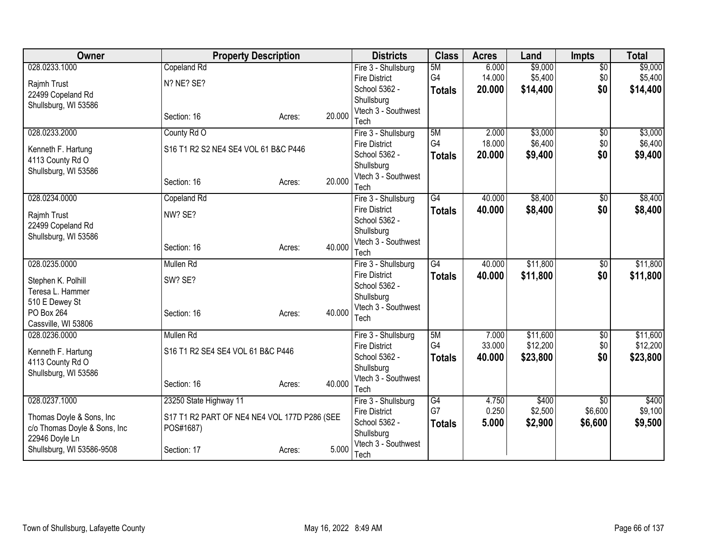| Owner                              | <b>Property Description</b>                  |        |        | <b>Districts</b>                  | <b>Class</b>  | <b>Acres</b> | Land     | <b>Impts</b>    | <b>Total</b> |
|------------------------------------|----------------------------------------------|--------|--------|-----------------------------------|---------------|--------------|----------|-----------------|--------------|
| 028.0233.1000                      | Copeland Rd                                  |        |        | Fire 3 - Shullsburg               | 5M            | 6.000        | \$9,000  | $\overline{50}$ | \$9,000      |
| Rajmh Trust                        | N? NE? SE?                                   |        |        | <b>Fire District</b>              | G4            | 14.000       | \$5,400  | \$0             | \$5,400      |
| 22499 Copeland Rd                  |                                              |        |        | School 5362 -                     | <b>Totals</b> | 20.000       | \$14,400 | \$0             | \$14,400     |
| Shullsburg, WI 53586               |                                              |        |        | Shullsburg<br>Vtech 3 - Southwest |               |              |          |                 |              |
|                                    | Section: 16                                  | Acres: | 20.000 | Tech                              |               |              |          |                 |              |
| 028.0233.2000                      | County Rd O                                  |        |        | Fire 3 - Shullsburg               | 5M            | 2.000        | \$3,000  | \$0             | \$3,000      |
| Kenneth F. Hartung                 | S16 T1 R2 S2 NE4 SE4 VOL 61 B&C P446         |        |        | <b>Fire District</b>              | G4            | 18.000       | \$6,400  | \$0             | \$6,400      |
| 4113 County Rd O                   |                                              |        |        | School 5362 -                     | <b>Totals</b> | 20.000       | \$9,400  | \$0             | \$9,400      |
| Shullsburg, WI 53586               |                                              |        |        | Shullsburg                        |               |              |          |                 |              |
|                                    | Section: 16                                  | Acres: | 20.000 | Vtech 3 - Southwest<br>Tech       |               |              |          |                 |              |
| 028.0234.0000                      | Copeland Rd                                  |        |        | Fire 3 - Shullsburg               | G4            | 40.000       | \$8,400  | \$0             | \$8,400      |
| Rajmh Trust                        | NW? SE?                                      |        |        | <b>Fire District</b>              | <b>Totals</b> | 40.000       | \$8,400  | \$0             | \$8,400      |
| 22499 Copeland Rd                  |                                              |        |        | School 5362 -                     |               |              |          |                 |              |
| Shullsburg, WI 53586               |                                              |        |        | Shullsburg                        |               |              |          |                 |              |
|                                    | Section: 16                                  | Acres: | 40.000 | Vtech 3 - Southwest               |               |              |          |                 |              |
| 028.0235.0000                      | <b>Mullen Rd</b>                             |        |        | Tech<br>Fire 3 - Shullsburg       | G4            | 40.000       | \$11,800 | $\overline{50}$ | \$11,800     |
|                                    |                                              |        |        | <b>Fire District</b>              | <b>Totals</b> | 40.000       | \$11,800 | \$0             | \$11,800     |
| Stephen K. Polhill                 | SW? SE?                                      |        |        | School 5362 -                     |               |              |          |                 |              |
| Teresa L. Hammer<br>510 E Dewey St |                                              |        |        | Shullsburg                        |               |              |          |                 |              |
| PO Box 264                         | Section: 16                                  | Acres: | 40.000 | Vtech 3 - Southwest               |               |              |          |                 |              |
| Cassville, WI 53806                |                                              |        |        | Tech                              |               |              |          |                 |              |
| 028.0236.0000                      | Mullen Rd                                    |        |        | Fire 3 - Shullsburg               | 5M            | 7.000        | \$11,600 | \$0             | \$11,600     |
| Kenneth F. Hartung                 | S16 T1 R2 SE4 SE4 VOL 61 B&C P446            |        |        | <b>Fire District</b>              | G4            | 33.000       | \$12,200 | \$0             | \$12,200     |
| 4113 County Rd O                   |                                              |        |        | School 5362 -                     | <b>Totals</b> | 40.000       | \$23,800 | \$0             | \$23,800     |
| Shullsburg, WI 53586               |                                              |        |        | Shullsburg                        |               |              |          |                 |              |
|                                    | Section: 16                                  | Acres: | 40.000 | Vtech 3 - Southwest<br>Tech       |               |              |          |                 |              |
| 028.0237.1000                      | 23250 State Highway 11                       |        |        | Fire 3 - Shullsburg               | G4            | 4.750        | \$400    | $\overline{50}$ | \$400        |
| Thomas Doyle & Sons, Inc.          | S17 T1 R2 PART OF NE4 NE4 VOL 177D P286 (SEE |        |        | <b>Fire District</b>              | G7            | 0.250        | \$2,500  | \$6,600         | \$9,100      |
| c/o Thomas Doyle & Sons, Inc       | POS#1687)                                    |        |        | School 5362 -                     | <b>Totals</b> | 5.000        | \$2,900  | \$6,600         | \$9,500      |
| 22946 Doyle Ln                     |                                              |        |        | Shullsburg                        |               |              |          |                 |              |
| Shullsburg, WI 53586-9508          | Section: 17                                  | Acres: | 5.000  | Vtech 3 - Southwest<br>Tech       |               |              |          |                 |              |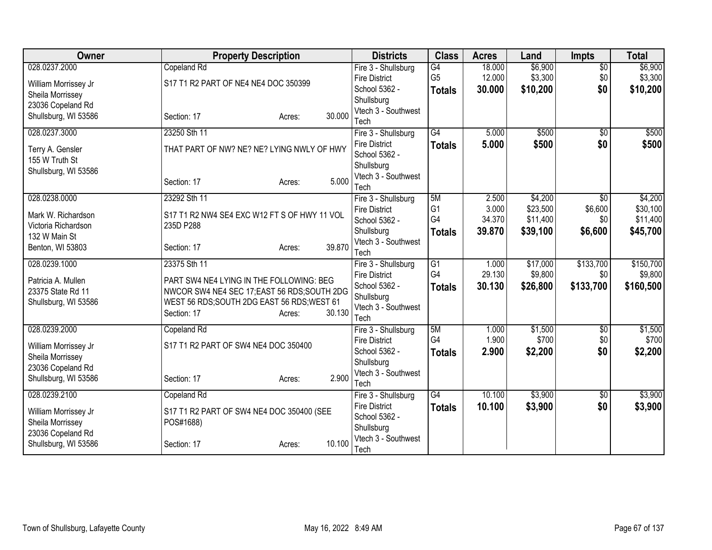| <b>Owner</b>         | <b>Property Description</b>                  | <b>Districts</b>            | <b>Class</b>    | <b>Acres</b> | Land     | <b>Impts</b>    | <b>Total</b> |
|----------------------|----------------------------------------------|-----------------------------|-----------------|--------------|----------|-----------------|--------------|
| 028.0237.2000        | Copeland Rd                                  | Fire 3 - Shullsburg         | G4              | 18.000       | \$6,900  | $\overline{50}$ | \$6,900      |
| William Morrissey Jr | S17 T1 R2 PART OF NE4 NE4 DOC 350399         | <b>Fire District</b>        | G <sub>5</sub>  | 12.000       | \$3,300  | \$0             | \$3,300      |
| Sheila Morrissey     |                                              | School 5362 -               | <b>Totals</b>   | 30.000       | \$10,200 | \$0             | \$10,200     |
| 23036 Copeland Rd    |                                              | Shullsburg                  |                 |              |          |                 |              |
| Shullsburg, WI 53586 | 30.000<br>Section: 17<br>Acres:              | Vtech 3 - Southwest<br>Tech |                 |              |          |                 |              |
| 028.0237.3000        | 23250 Sth 11                                 | Fire 3 - Shullsburg         | $\overline{G4}$ | 5.000        | \$500    | $\overline{50}$ | \$500        |
|                      |                                              | <b>Fire District</b>        | <b>Totals</b>   | 5.000        | \$500    | \$0             | \$500        |
| Terry A. Gensler     | THAT PART OF NW? NE? NE? LYING NWLY OF HWY   | School 5362 -               |                 |              |          |                 |              |
| 155 W Truth St       |                                              | Shullsburg                  |                 |              |          |                 |              |
| Shullsburg, WI 53586 |                                              | Vtech 3 - Southwest         |                 |              |          |                 |              |
|                      | 5.000<br>Section: 17<br>Acres:               | Tech                        |                 |              |          |                 |              |
| 028.0238.0000        | 23292 Sth 11                                 | Fire 3 - Shullsburg         | 5M              | 2.500        | \$4,200  | \$0             | \$4,200      |
| Mark W. Richardson   | S17 T1 R2 NW4 SE4 EXC W12 FT S OF HWY 11 VOL | <b>Fire District</b>        | G <sub>1</sub>  | 3.000        | \$23,500 | \$6,600         | \$30,100     |
| Victoria Richardson  | 235D P288                                    | School 5362 -               | G4              | 34.370       | \$11,400 | \$0             | \$11,400     |
| 132 W Main St        |                                              | Shullsburg                  | <b>Totals</b>   | 39,870       | \$39,100 | \$6,600         | \$45,700     |
| Benton, WI 53803     | 39.870<br>Section: 17<br>Acres:              | Vtech 3 - Southwest         |                 |              |          |                 |              |
| 028.0239.1000        | 23375 Sth 11                                 | Tech<br>Fire 3 - Shullsburg | G1              | 1.000        | \$17,000 | \$133,700       | \$150,700    |
|                      |                                              | <b>Fire District</b>        | G4              | 29.130       | \$9,800  | \$0             | \$9,800      |
| Patricia A. Mullen   | PART SW4 NE4 LYING IN THE FOLLOWING: BEG     | School 5362 -               | <b>Totals</b>   | 30.130       | \$26,800 | \$133,700       | \$160,500    |
| 23375 State Rd 11    | NWCOR SW4 NE4 SEC 17; EAST 56 RDS; SOUTH 2DG | Shullsburg                  |                 |              |          |                 |              |
| Shullsburg, WI 53586 | WEST 56 RDS; SOUTH 2DG EAST 56 RDS; WEST 61  | Vtech 3 - Southwest         |                 |              |          |                 |              |
|                      | 30.130<br>Section: 17<br>Acres:              | Tech                        |                 |              |          |                 |              |
| 028.0239.2000        | Copeland Rd                                  | Fire 3 - Shullsburg         | 5M              | 1.000        | \$1,500  | $\overline{50}$ | \$1,500      |
| William Morrissey Jr | S17 T1 R2 PART OF SW4 NE4 DOC 350400         | <b>Fire District</b>        | G4              | 1.900        | \$700    | \$0             | \$700        |
| Sheila Morrissey     |                                              | School 5362 -               | <b>Totals</b>   | 2.900        | \$2,200  | \$0             | \$2,200      |
| 23036 Copeland Rd    |                                              | Shullsburg                  |                 |              |          |                 |              |
| Shullsburg, WI 53586 | 2.900<br>Section: 17<br>Acres:               | Vtech 3 - Southwest<br>Tech |                 |              |          |                 |              |
| 028.0239.2100        | Copeland Rd                                  | Fire 3 - Shullsburg         | $\overline{G4}$ | 10.100       | \$3,900  | \$0             | \$3,900      |
|                      |                                              | <b>Fire District</b>        | <b>Totals</b>   | 10.100       | \$3,900  | \$0             | \$3,900      |
| William Morrissey Jr | S17 T1 R2 PART OF SW4 NE4 DOC 350400 (SEE    | School 5362 -               |                 |              |          |                 |              |
| Sheila Morrissey     | POS#1688)                                    | Shullsburg                  |                 |              |          |                 |              |
| 23036 Copeland Rd    | 10.100                                       | Vtech 3 - Southwest         |                 |              |          |                 |              |
| Shullsburg, WI 53586 | Section: 17<br>Acres:                        | Tech                        |                 |              |          |                 |              |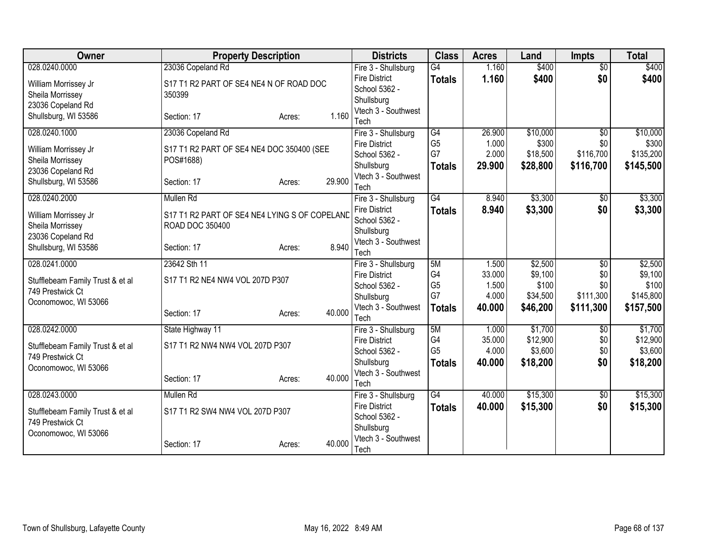| Owner                            | <b>Property Description</b>                   |        |        | <b>Districts</b>                            | <b>Class</b>         | <b>Acres</b>   | Land              | <b>Impts</b>     | <b>Total</b>       |
|----------------------------------|-----------------------------------------------|--------|--------|---------------------------------------------|----------------------|----------------|-------------------|------------------|--------------------|
| 028.0240.0000                    | 23036 Copeland Rd                             |        |        | Fire 3 - Shullsburg                         | $\overline{G4}$      | 1.160          | \$400             | $\overline{50}$  | \$400              |
| William Morrissey Jr             | S17 T1 R2 PART OF SE4 NE4 N OF ROAD DOC       |        |        | <b>Fire District</b>                        | <b>Totals</b>        | 1.160          | \$400             | \$0              | \$400              |
| Sheila Morrissey                 | 350399                                        |        |        | School 5362 -                               |                      |                |                   |                  |                    |
| 23036 Copeland Rd                |                                               |        |        | Shullsburg                                  |                      |                |                   |                  |                    |
| Shullsburg, WI 53586             | Section: 17                                   | Acres: | 1.160  | Vtech 3 - Southwest                         |                      |                |                   |                  |                    |
| 028.0240.1000                    | 23036 Copeland Rd                             |        |        | Tech                                        | G4                   | 26.900         | \$10,000          | $\overline{50}$  | \$10,000           |
|                                  |                                               |        |        | Fire 3 - Shullsburg<br><b>Fire District</b> | G <sub>5</sub>       | 1.000          | \$300             | \$0              | \$300              |
| William Morrissey Jr             | S17 T1 R2 PART OF SE4 NE4 DOC 350400 (SEE     |        |        | School 5362 -                               | G7                   | 2.000          | \$18,500          | \$116,700        | \$135,200          |
| Sheila Morrissey                 | POS#1688)                                     |        |        | Shullsburg                                  | <b>Totals</b>        | 29.900         | \$28,800          | \$116,700        | \$145,500          |
| 23036 Copeland Rd                |                                               |        |        | Vtech 3 - Southwest                         |                      |                |                   |                  |                    |
| Shullsburg, WI 53586             | Section: 17                                   | Acres: | 29,900 | Tech                                        |                      |                |                   |                  |                    |
| 028.0240.2000                    | <b>Mullen Rd</b>                              |        |        | Fire 3 - Shullsburg                         | $\overline{G4}$      | 8.940          | \$3,300           | \$0              | \$3,300            |
| William Morrissey Jr             | S17 T1 R2 PART OF SE4 NE4 LYING S OF COPELAND |        |        | <b>Fire District</b>                        | <b>Totals</b>        | 8.940          | \$3,300           | \$0              | \$3,300            |
| Sheila Morrissey                 | ROAD DOC 350400                               |        |        | School 5362 -                               |                      |                |                   |                  |                    |
| 23036 Copeland Rd                |                                               |        |        | Shullsburg                                  |                      |                |                   |                  |                    |
| Shullsburg, WI 53586             | Section: 17                                   | Acres: | 8.940  | Vtech 3 - Southwest                         |                      |                |                   |                  |                    |
|                                  |                                               |        |        | Tech                                        |                      |                |                   |                  |                    |
| 028.0241.0000                    | 23642 Sth 11                                  |        |        | Fire 3 - Shullsburg                         | 5M                   | 1.500          | \$2,500           | $\overline{50}$  | \$2,500            |
| Stufflebeam Family Trust & et al | S17 T1 R2 NE4 NW4 VOL 207D P307               |        |        | <b>Fire District</b>                        | G4<br>G <sub>5</sub> | 33.000         | \$9,100           | \$0              | \$9,100            |
| 749 Prestwick Ct                 |                                               |        |        | School 5362 -                               | G7                   | 1.500<br>4.000 | \$100<br>\$34,500 | \$0<br>\$111,300 | \$100<br>\$145,800 |
| Oconomowoc, WI 53066             |                                               |        |        | Shullsburg<br>Vtech 3 - Southwest           |                      | 40.000         | \$46,200          | \$111,300        | \$157,500          |
|                                  | Section: 17                                   | Acres: | 40.000 | Tech                                        | <b>Totals</b>        |                |                   |                  |                    |
| 028.0242.0000                    | State Highway 11                              |        |        | Fire 3 - Shullsburg                         | 5M                   | 1.000          | \$1,700           | $\overline{50}$  | \$1,700            |
|                                  |                                               |        |        | <b>Fire District</b>                        | G4                   | 35.000         | \$12,900          | \$0              | \$12,900           |
| Stufflebeam Family Trust & et al | S17 T1 R2 NW4 NW4 VOL 207D P307               |        |        | School 5362 -                               | G <sub>5</sub>       | 4.000          | \$3,600           | \$0              | \$3,600            |
| 749 Prestwick Ct                 |                                               |        |        | Shullsburg                                  | <b>Totals</b>        | 40,000         | \$18,200          | \$0              | \$18,200           |
| Oconomowoc, WI 53066             |                                               |        | 40.000 | Vtech 3 - Southwest                         |                      |                |                   |                  |                    |
|                                  | Section: 17                                   | Acres: |        | Tech                                        |                      |                |                   |                  |                    |
| 028.0243.0000                    | Mullen Rd                                     |        |        | Fire 3 - Shullsburg                         | G4                   | 40.000         | \$15,300          | \$0              | \$15,300           |
| Stufflebeam Family Trust & et al | S17 T1 R2 SW4 NW4 VOL 207D P307               |        |        | <b>Fire District</b>                        | <b>Totals</b>        | 40.000         | \$15,300          | \$0              | \$15,300           |
| 749 Prestwick Ct                 |                                               |        |        | School 5362 -                               |                      |                |                   |                  |                    |
| Oconomowoc, WI 53066             |                                               |        |        | Shullsburg                                  |                      |                |                   |                  |                    |
|                                  | Section: 17                                   | Acres: | 40.000 | Vtech 3 - Southwest                         |                      |                |                   |                  |                    |
|                                  |                                               |        |        | Tech                                        |                      |                |                   |                  |                    |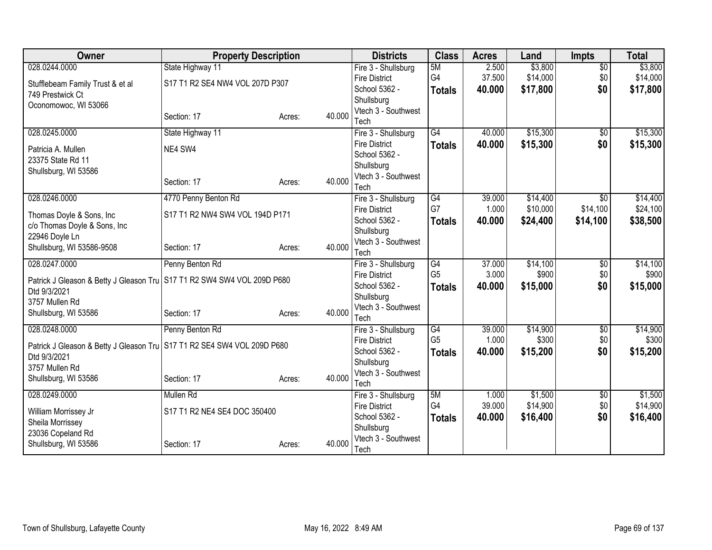| <b>Owner</b>                                                              | <b>Property Description</b>     |        |        | <b>Districts</b>                            | <b>Class</b>                      | <b>Acres</b> | Land     | <b>Impts</b>    | <b>Total</b> |
|---------------------------------------------------------------------------|---------------------------------|--------|--------|---------------------------------------------|-----------------------------------|--------------|----------|-----------------|--------------|
| 028.0244.0000                                                             | State Highway 11                |        |        | Fire 3 - Shullsburg                         | 5M                                | 2.500        | \$3,800  | $\overline{50}$ | \$3,800      |
| Stufflebeam Family Trust & et al                                          | S17 T1 R2 SE4 NW4 VOL 207D P307 |        |        | <b>Fire District</b>                        | G4                                | 37.500       | \$14,000 | \$0             | \$14,000     |
| 749 Prestwick Ct                                                          |                                 |        |        | School 5362 -                               | <b>Totals</b>                     | 40.000       | \$17,800 | \$0             | \$17,800     |
| Oconomowoc, WI 53066                                                      |                                 |        |        | Shullsburg                                  |                                   |              |          |                 |              |
|                                                                           | Section: 17                     | Acres: | 40.000 | Vtech 3 - Southwest                         |                                   |              |          |                 |              |
| 028.0245.0000                                                             | State Highway 11                |        |        | Tech                                        | $\overline{G4}$                   | 40.000       | \$15,300 | $\overline{50}$ | \$15,300     |
|                                                                           |                                 |        |        | Fire 3 - Shullsburg<br><b>Fire District</b> |                                   | 40.000       | \$15,300 | \$0             | \$15,300     |
| Patricia A. Mullen                                                        | NE4 SW4                         |        |        | School 5362 -                               | <b>Totals</b>                     |              |          |                 |              |
| 23375 State Rd 11                                                         |                                 |        |        | Shullsburg                                  |                                   |              |          |                 |              |
| Shullsburg, WI 53586                                                      |                                 |        |        | Vtech 3 - Southwest                         |                                   |              |          |                 |              |
|                                                                           | Section: 17                     | Acres: | 40.000 | Tech                                        |                                   |              |          |                 |              |
| 028.0246.0000                                                             | 4770 Penny Benton Rd            |        |        | Fire 3 - Shullsburg                         | G4                                | 39.000       | \$14,400 | $\overline{50}$ | \$14,400     |
|                                                                           | S17 T1 R2 NW4 SW4 VOL 194D P171 |        |        | <b>Fire District</b>                        | G7                                | 1.000        | \$10,000 | \$14,100        | \$24,100     |
| Thomas Doyle & Sons, Inc<br>c/o Thomas Doyle & Sons, Inc                  |                                 |        |        | School 5362 -                               | <b>Totals</b>                     | 40.000       | \$24,400 | \$14,100        | \$38,500     |
| 22946 Doyle Ln                                                            |                                 |        |        | Shullsburg                                  |                                   |              |          |                 |              |
| Shullsburg, WI 53586-9508                                                 | Section: 17                     | Acres: | 40.000 | Vtech 3 - Southwest                         |                                   |              |          |                 |              |
|                                                                           |                                 |        |        | Tech                                        |                                   |              |          |                 |              |
| 028.0247.0000                                                             | Penny Benton Rd                 |        |        | Fire 3 - Shullsburg                         | $\overline{G4}$<br>G <sub>5</sub> | 37.000       | \$14,100 | $\overline{50}$ | \$14,100     |
| Patrick J Gleason & Betty J Gleason Tru S17 T1 R2 SW4 SW4 VOL 209D P680   |                                 |        |        | <b>Fire District</b><br>School 5362 -       |                                   | 3.000        | \$900    | \$0             | \$900        |
| Dtd 9/3/2021                                                              |                                 |        |        | Shullsburg                                  | <b>Totals</b>                     | 40.000       | \$15,000 | \$0             | \$15,000     |
| 3757 Mullen Rd                                                            |                                 |        |        | Vtech 3 - Southwest                         |                                   |              |          |                 |              |
| Shullsburg, WI 53586                                                      | Section: 17                     | Acres: | 40.000 | Tech                                        |                                   |              |          |                 |              |
| 028.0248.0000                                                             | Penny Benton Rd                 |        |        | Fire 3 - Shullsburg                         | G4                                | 39.000       | \$14,900 | $\overline{60}$ | \$14,900     |
| Patrick J Gleason & Betty J Gleason Tru   S17 T1 R2 SE4 SW4 VOL 209D P680 |                                 |        |        | <b>Fire District</b>                        | G <sub>5</sub>                    | 1.000        | \$300    | \$0             | \$300        |
| Dtd 9/3/2021                                                              |                                 |        |        | School 5362 -                               | <b>Totals</b>                     | 40.000       | \$15,200 | \$0             | \$15,200     |
| 3757 Mullen Rd                                                            |                                 |        |        | Shullsburg                                  |                                   |              |          |                 |              |
| Shullsburg, WI 53586                                                      | Section: 17                     | Acres: | 40.000 | Vtech 3 - Southwest                         |                                   |              |          |                 |              |
|                                                                           |                                 |        |        | Tech                                        |                                   |              |          |                 |              |
| 028.0249.0000                                                             | Mullen Rd                       |        |        | Fire 3 - Shullsburg                         | 5M                                | 1.000        | \$1,500  | \$0             | \$1,500      |
| William Morrissey Jr                                                      | S17 T1 R2 NE4 SE4 DOC 350400    |        |        | <b>Fire District</b>                        | G4                                | 39.000       | \$14,900 | \$0             | \$14,900     |
| Sheila Morrissey                                                          |                                 |        |        | School 5362 -<br>Shullsburg                 | <b>Totals</b>                     | 40.000       | \$16,400 | \$0             | \$16,400     |
| 23036 Copeland Rd                                                         |                                 |        |        | Vtech 3 - Southwest                         |                                   |              |          |                 |              |
| Shullsburg, WI 53586                                                      | Section: 17                     | Acres: | 40.000 | Tech                                        |                                   |              |          |                 |              |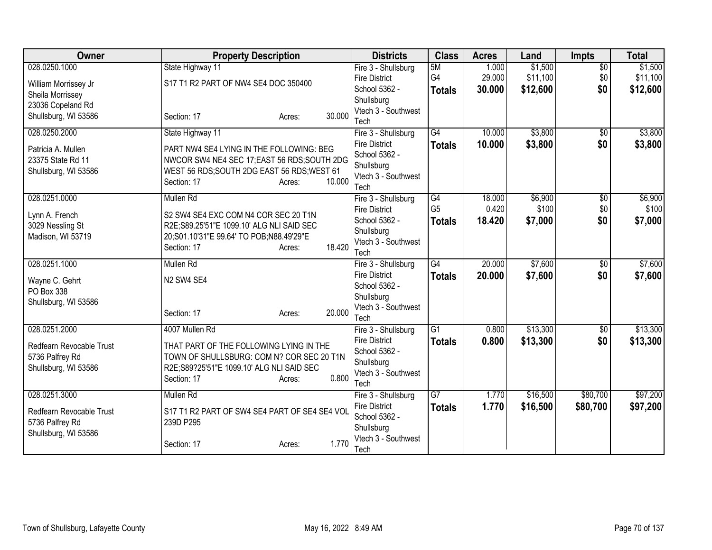| Owner                    | <b>Property Description</b>                                                 | <b>Districts</b>                  | <b>Class</b>    | <b>Acres</b> | Land     | <b>Impts</b>    | <b>Total</b> |
|--------------------------|-----------------------------------------------------------------------------|-----------------------------------|-----------------|--------------|----------|-----------------|--------------|
| 028.0250.1000            | State Highway 11                                                            | Fire 3 - Shullsburg               | 5M              | 1.000        | \$1,500  | $\overline{50}$ | \$1,500      |
| William Morrissey Jr     | S17 T1 R2 PART OF NW4 SE4 DOC 350400                                        | <b>Fire District</b>              | G <sub>4</sub>  | 29.000       | \$11,100 | \$0             | \$11,100     |
| Sheila Morrissey         |                                                                             | School 5362 -                     | <b>Totals</b>   | 30.000       | \$12,600 | \$0             | \$12,600     |
| 23036 Copeland Rd        |                                                                             | Shullsburg<br>Vtech 3 - Southwest |                 |              |          |                 |              |
| Shullsburg, WI 53586     | 30.000<br>Section: 17<br>Acres:                                             | Tech                              |                 |              |          |                 |              |
| 028.0250.2000            | State Highway 11                                                            | Fire 3 - Shullsburg               | $\overline{G4}$ | 10.000       | \$3,800  | \$0             | \$3,800      |
| Patricia A. Mullen       | PART NW4 SE4 LYING IN THE FOLLOWING: BEG                                    | <b>Fire District</b>              | <b>Totals</b>   | 10,000       | \$3,800  | \$0             | \$3,800      |
| 23375 State Rd 11        | NWCOR SW4 NE4 SEC 17; EAST 56 RDS; SOUTH 2DG                                | School 5362 -                     |                 |              |          |                 |              |
| Shullsburg, WI 53586     | WEST 56 RDS; SOUTH 2DG EAST 56 RDS; WEST 61                                 | Shullsburg                        |                 |              |          |                 |              |
|                          | 10.000<br>Section: 17<br>Acres:                                             | Vtech 3 - Southwest<br>Tech       |                 |              |          |                 |              |
| 028.0251.0000            | Mullen Rd                                                                   | Fire 3 - Shullsburg               | G4              | 18.000       | \$6,900  | \$0             | \$6,900      |
|                          |                                                                             | <b>Fire District</b>              | G <sub>5</sub>  | 0.420        | \$100    | \$0             | \$100        |
| Lynn A. French           | S2 SW4 SE4 EXC COM N4 COR SEC 20 T1N                                        | School 5362 -                     | <b>Totals</b>   | 18.420       | \$7,000  | \$0             | \$7,000      |
| 3029 Nessling St         | R2E;S89.25'51"E 1099.10' ALG NLI SAID SEC                                   | Shullsburg                        |                 |              |          |                 |              |
| Madison, WI 53719        | 20;S01.10'31"E 99.64' TO POB;N88.49'29"E<br>18.420<br>Section: 17<br>Acres: | Vtech 3 - Southwest               |                 |              |          |                 |              |
|                          |                                                                             | Tech                              |                 |              |          |                 |              |
| 028.0251.1000            | Mullen Rd                                                                   | Fire 3 - Shullsburg               | $\overline{G4}$ | 20.000       | \$7,600  | $\overline{50}$ | \$7,600      |
| Wayne C. Gehrt           | N <sub>2</sub> SW <sub>4</sub> SE <sub>4</sub>                              | <b>Fire District</b>              | <b>Totals</b>   | 20.000       | \$7,600  | \$0             | \$7,600      |
| PO Box 338               |                                                                             | School 5362 -<br>Shullsburg       |                 |              |          |                 |              |
| Shullsburg, WI 53586     |                                                                             | Vtech 3 - Southwest               |                 |              |          |                 |              |
|                          | 20.000<br>Section: 17<br>Acres:                                             | Tech                              |                 |              |          |                 |              |
| 028.0251.2000            | 4007 Mullen Rd                                                              | Fire 3 - Shullsburg               | $\overline{G1}$ | 0.800        | \$13,300 | \$0             | \$13,300     |
| Redfearn Revocable Trust | THAT PART OF THE FOLLOWING LYING IN THE                                     | <b>Fire District</b>              | <b>Totals</b>   | 0.800        | \$13,300 | \$0             | \$13,300     |
| 5736 Palfrey Rd          | TOWN OF SHULLSBURG: COM N? COR SEC 20 T1N                                   | School 5362 -                     |                 |              |          |                 |              |
| Shullsburg, WI 53586     | R2E;S89?25'51"E 1099.10' ALG NLI SAID SEC                                   | Shullsburg                        |                 |              |          |                 |              |
|                          | 0.800<br>Section: 17<br>Acres:                                              | Vtech 3 - Southwest<br>Tech       |                 |              |          |                 |              |
| 028.0251.3000            | Mullen Rd                                                                   | Fire 3 - Shullsburg               | $\overline{G}$  | 1.770        | \$16,500 | \$80,700        | \$97,200     |
|                          |                                                                             | <b>Fire District</b>              | <b>Totals</b>   | 1.770        | \$16,500 | \$80,700        | \$97,200     |
| Redfearn Revocable Trust | S17 T1 R2 PART OF SW4 SE4 PART OF SE4 SE4 VOL                               | School 5362 -                     |                 |              |          |                 |              |
| 5736 Palfrey Rd          | 239D P295                                                                   | Shullsburg                        |                 |              |          |                 |              |
| Shullsburg, WI 53586     | 1.770<br>Section: 17<br>Acres:                                              | Vtech 3 - Southwest               |                 |              |          |                 |              |
|                          |                                                                             | Tech                              |                 |              |          |                 |              |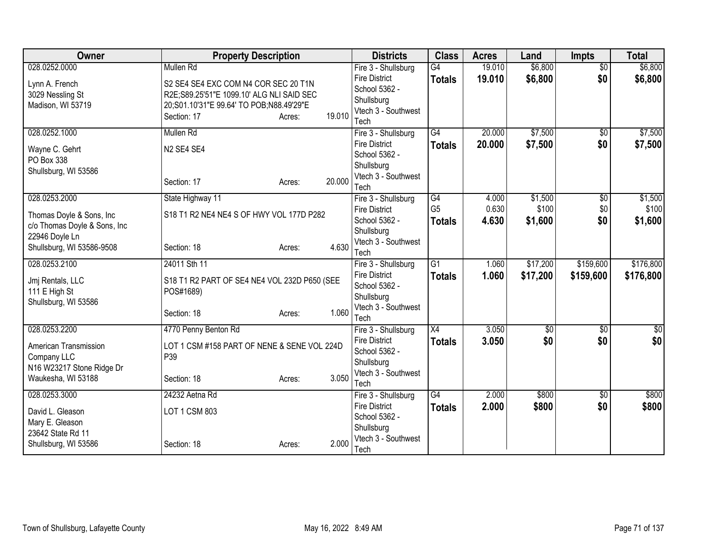| <b>Owner</b>                 | <b>Property Description</b>                  |                  | <b>Districts</b>                            | <b>Class</b>    | <b>Acres</b> | Land       | <b>Impts</b>    | <b>Total</b> |
|------------------------------|----------------------------------------------|------------------|---------------------------------------------|-----------------|--------------|------------|-----------------|--------------|
| 028.0252.0000                | Mullen Rd                                    |                  | Fire 3 - Shullsburg                         | $\overline{G4}$ | 19.010       | \$6,800    | $\overline{50}$ | \$6,800      |
| Lynn A. French               | S2 SE4 SE4 EXC COM N4 COR SEC 20 T1N         |                  | <b>Fire District</b>                        | <b>Totals</b>   | 19.010       | \$6,800    | \$0             | \$6,800      |
| 3029 Nessling St             | R2E;S89.25'51"E 1099.10' ALG NLI SAID SEC    |                  | School 5362 -                               |                 |              |            |                 |              |
| Madison, WI 53719            | 20;S01.10'31"E 99.64' TO POB;N88.49'29"E     |                  | Shullsburg                                  |                 |              |            |                 |              |
|                              | Section: 17                                  | 19.010<br>Acres: | Vtech 3 - Southwest<br>Tech                 |                 |              |            |                 |              |
| 028.0252.1000                | <b>Mullen Rd</b>                             |                  | Fire 3 - Shullsburg                         | $\overline{G4}$ | 20.000       | \$7,500    | $\overline{50}$ | \$7,500      |
|                              |                                              |                  | <b>Fire District</b>                        | <b>Totals</b>   | 20.000       | \$7,500    | \$0             | \$7,500      |
| Wayne C. Gehrt               | N <sub>2</sub> SE4 SE4                       |                  | School 5362 -                               |                 |              |            |                 |              |
| PO Box 338                   |                                              |                  | Shullsburg                                  |                 |              |            |                 |              |
| Shullsburg, WI 53586         |                                              |                  | Vtech 3 - Southwest                         |                 |              |            |                 |              |
|                              | Section: 17                                  | 20.000<br>Acres: | Tech                                        |                 |              |            |                 |              |
| 028.0253.2000                | State Highway 11                             |                  | Fire 3 - Shullsburg                         | G4              | 4.000        | \$1,500    | \$0             | \$1,500      |
| Thomas Doyle & Sons, Inc     | S18 T1 R2 NE4 NE4 S OF HWY VOL 177D P282     |                  | <b>Fire District</b>                        | G <sub>5</sub>  | 0.630        | \$100      | \$0             | \$100        |
| c/o Thomas Doyle & Sons, Inc |                                              |                  | School 5362 -                               | <b>Totals</b>   | 4.630        | \$1,600    | \$0             | \$1,600      |
| 22946 Doyle Ln               |                                              |                  | Shullsburg                                  |                 |              |            |                 |              |
| Shullsburg, WI 53586-9508    | Section: 18                                  | 4.630<br>Acres:  | Vtech 3 - Southwest                         |                 |              |            |                 |              |
| 028.0253.2100                | 24011 Sth 11                                 |                  | Tech                                        | $\overline{G1}$ | 1.060        | \$17,200   | \$159,600       | \$176,800    |
|                              |                                              |                  | Fire 3 - Shullsburg<br><b>Fire District</b> |                 | 1.060        | \$17,200   | \$159,600       | \$176,800    |
| Jmj Rentals, LLC             | S18 T1 R2 PART OF SE4 NE4 VOL 232D P650 (SEE |                  | School 5362 -                               | <b>Totals</b>   |              |            |                 |              |
| 111 E High St                | POS#1689)                                    |                  | Shullsburg                                  |                 |              |            |                 |              |
| Shullsburg, WI 53586         |                                              |                  | Vtech 3 - Southwest                         |                 |              |            |                 |              |
|                              | Section: 18                                  | 1.060<br>Acres:  | Tech                                        |                 |              |            |                 |              |
| 028.0253.2200                | 4770 Penny Benton Rd                         |                  | Fire 3 - Shullsburg                         | $\overline{X4}$ | 3.050        | $\sqrt{6}$ | $\overline{50}$ | \$0          |
| American Transmission        | LOT 1 CSM #158 PART OF NENE & SENE VOL 224D  |                  | <b>Fire District</b>                        | <b>Totals</b>   | 3.050        | \$0        | \$0             | \$0          |
| Company LLC                  | P39                                          |                  | School 5362 -                               |                 |              |            |                 |              |
| N16 W23217 Stone Ridge Dr    |                                              |                  | Shullsburg                                  |                 |              |            |                 |              |
| Waukesha, WI 53188           | Section: 18                                  | 3.050<br>Acres:  | Vtech 3 - Southwest<br>Tech                 |                 |              |            |                 |              |
| 028.0253.3000                | 24232 Aetna Rd                               |                  | Fire 3 - Shullsburg                         | G4              | 2.000        | \$800      | \$0             | \$800        |
|                              |                                              |                  | <b>Fire District</b>                        | <b>Totals</b>   | 2.000        | \$800      | \$0             | \$800        |
| David L. Gleason             | LOT 1 CSM 803                                |                  | School 5362 -                               |                 |              |            |                 |              |
| Mary E. Gleason              |                                              |                  | Shullsburg                                  |                 |              |            |                 |              |
| 23642 State Rd 11            |                                              |                  | Vtech 3 - Southwest                         |                 |              |            |                 |              |
| Shullsburg, WI 53586         | Section: 18                                  | 2.000<br>Acres:  | Tech                                        |                 |              |            |                 |              |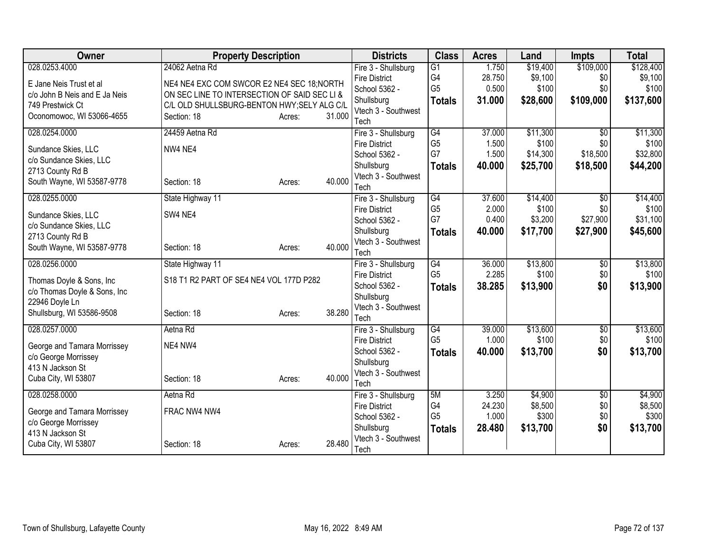| <b>Owner</b>                  | <b>Property Description</b>                  |        |        | <b>Districts</b>            | <b>Class</b>         | <b>Acres</b>    | Land             | <b>Impts</b>    | <b>Total</b>     |
|-------------------------------|----------------------------------------------|--------|--------|-----------------------------|----------------------|-----------------|------------------|-----------------|------------------|
| 028.0253.4000                 | 24062 Aetna Rd                               |        |        | Fire 3 - Shullsburg         | $\overline{G1}$      | 1.750           | \$19,400         | \$109,000       | \$128,400        |
| E Jane Neis Trust et al       | NE4 NE4 EXC COM SWCOR E2 NE4 SEC 18; NORTH   |        |        | <b>Fire District</b>        | G4                   | 28.750          | \$9,100          | \$0             | \$9,100          |
| c/o John B Neis and E Ja Neis | ON SEC LINE TO INTERSECTION OF SAID SEC LI & |        |        | School 5362 -               | G <sub>5</sub>       | 0.500           | \$100            | \$0             | \$100            |
| 749 Prestwick Ct              | C/L OLD SHULLSBURG-BENTON HWY; SELY ALG C/L  |        |        | Shullsburg                  | <b>Totals</b>        | 31,000          | \$28,600         | \$109,000       | \$137,600        |
| Oconomowoc, WI 53066-4655     | Section: 18                                  | Acres: | 31.000 | Vtech 3 - Southwest         |                      |                 |                  |                 |                  |
|                               |                                              |        |        | Tech                        |                      |                 |                  |                 |                  |
| 028.0254.0000                 | 24459 Aetna Rd                               |        |        | Fire 3 - Shullsburg         | G4                   | 37.000          | \$11,300         | $\overline{50}$ | \$11,300         |
| Sundance Skies, LLC           | NW4 NE4                                      |        |        | <b>Fire District</b>        | G <sub>5</sub><br>G7 | 1.500           | \$100            | \$0             | \$100            |
| c/o Sundance Skies, LLC       |                                              |        |        | School 5362 -               |                      | 1.500           | \$14,300         | \$18,500        | \$32,800         |
| 2713 County Rd B              |                                              |        |        | Shullsburg                  | <b>Totals</b>        | 40.000          | \$25,700         | \$18,500        | \$44,200         |
| South Wayne, WI 53587-9778    | Section: 18                                  | Acres: | 40.000 | Vtech 3 - Southwest<br>Tech |                      |                 |                  |                 |                  |
| 028.0255.0000                 | State Highway 11                             |        |        | Fire 3 - Shullsburg         | G4                   | 37.600          | \$14,400         | $\sqrt{6}$      | \$14,400         |
|                               |                                              |        |        | <b>Fire District</b>        | G <sub>5</sub>       | 2.000           | \$100            | \$0             | \$100            |
| Sundance Skies, LLC           | SW4 NE4                                      |        |        | School 5362 -               | G7                   | 0.400           | \$3,200          | \$27,900        | \$31,100         |
| c/o Sundance Skies, LLC       |                                              |        |        | Shullsburg                  | <b>Totals</b>        | 40.000          | \$17,700         | \$27,900        | \$45,600         |
| 2713 County Rd B              |                                              |        |        | Vtech 3 - Southwest         |                      |                 |                  |                 |                  |
| South Wayne, WI 53587-9778    | Section: 18                                  | Acres: | 40.000 | Tech                        |                      |                 |                  |                 |                  |
| 028.0256.0000                 | State Highway 11                             |        |        | Fire 3 - Shullsburg         | G4                   | 36.000          | \$13,800         | $\overline{50}$ | \$13,800         |
| Thomas Doyle & Sons, Inc      | S18 T1 R2 PART OF SE4 NE4 VOL 177D P282      |        |        | <b>Fire District</b>        | G <sub>5</sub>       | 2.285           | \$100            | \$0             | \$100            |
| c/o Thomas Doyle & Sons, Inc  |                                              |        |        | School 5362 -               | <b>Totals</b>        | 38.285          | \$13,900         | \$0             | \$13,900         |
| 22946 Doyle Ln                |                                              |        |        | Shullsburg                  |                      |                 |                  |                 |                  |
| Shullsburg, WI 53586-9508     | Section: 18                                  | Acres: | 38.280 | Vtech 3 - Southwest         |                      |                 |                  |                 |                  |
|                               |                                              |        |        | Tech                        |                      |                 |                  |                 |                  |
| 028.0257.0000                 | Aetna Rd                                     |        |        | Fire 3 - Shullsburg         | G4                   | 39.000          | \$13,600         | $\overline{50}$ | \$13,600         |
| George and Tamara Morrissey   | NE4 NW4                                      |        |        | <b>Fire District</b>        | G <sub>5</sub>       | 1.000           | \$100            | \$0             | \$100            |
| c/o George Morrissey          |                                              |        |        | School 5362 -               | <b>Totals</b>        | 40.000          | \$13,700         | \$0             | \$13,700         |
| 413 N Jackson St              |                                              |        |        | Shullsburg                  |                      |                 |                  |                 |                  |
| Cuba City, WI 53807           | Section: 18                                  | Acres: | 40.000 | Vtech 3 - Southwest         |                      |                 |                  |                 |                  |
|                               |                                              |        |        | Tech                        |                      |                 |                  |                 |                  |
| 028.0258.0000                 | Aetna Rd                                     |        |        | Fire 3 - Shullsburg         | 5M<br>G4             | 3.250           | \$4,900          | \$0             | \$4,900          |
| George and Tamara Morrissey   | FRAC NW4 NW4                                 |        |        | <b>Fire District</b>        | G <sub>5</sub>       | 24.230<br>1.000 | \$8,500<br>\$300 | \$0<br>\$0      | \$8,500<br>\$300 |
| c/o George Morrissey          |                                              |        |        | School 5362 -<br>Shullsburg |                      |                 |                  |                 |                  |
| 413 N Jackson St              |                                              |        |        | Vtech 3 - Southwest         | <b>Totals</b>        | 28.480          | \$13,700         | \$0             | \$13,700         |
| Cuba City, WI 53807           | Section: 18                                  | Acres: | 28.480 | Tech                        |                      |                 |                  |                 |                  |
|                               |                                              |        |        |                             |                      |                 |                  |                 |                  |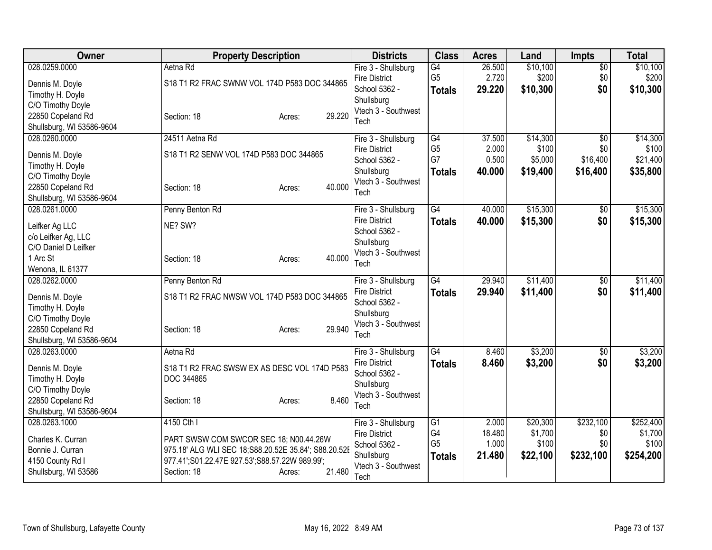| Owner                                                                                                                       | <b>Property Description</b>                                                                                                                                                                       | <b>Districts</b>                                                                                          | <b>Class</b>                                | <b>Acres</b>                       | Land                                     | <b>Impts</b>                                   | <b>Total</b>                               |
|-----------------------------------------------------------------------------------------------------------------------------|---------------------------------------------------------------------------------------------------------------------------------------------------------------------------------------------------|-----------------------------------------------------------------------------------------------------------|---------------------------------------------|------------------------------------|------------------------------------------|------------------------------------------------|--------------------------------------------|
| 028.0259.0000<br>Dennis M. Doyle<br>Timothy H. Doyle<br>C/O Timothy Doyle<br>22850 Copeland Rd<br>Shullsburg, WI 53586-9604 | Aetna Rd<br>S18 T1 R2 FRAC SWNW VOL 174D P583 DOC 344865<br>29.220<br>Section: 18<br>Acres:                                                                                                       | Fire 3 - Shullsburg<br><b>Fire District</b><br>School 5362 -<br>Shullsburg<br>Vtech 3 - Southwest<br>Tech | G4<br>G <sub>5</sub><br><b>Totals</b>       | 26.500<br>2.720<br>29.220          | \$10,100<br>\$200<br>\$10,300            | \$0<br>\$0<br>\$0                              | \$10,100<br>\$200<br>\$10,300              |
| 028.0260.0000<br>Dennis M. Doyle<br>Timothy H. Doyle<br>C/O Timothy Doyle<br>22850 Copeland Rd<br>Shullsburg, WI 53586-9604 | 24511 Aetna Rd<br>S18 T1 R2 SENW VOL 174D P583 DOC 344865<br>40.000<br>Section: 18<br>Acres:                                                                                                      | Fire 3 - Shullsburg<br><b>Fire District</b><br>School 5362 -<br>Shullsburg<br>Vtech 3 - Southwest<br>Tech | G4<br>G <sub>5</sub><br>G7<br><b>Totals</b> | 37.500<br>2.000<br>0.500<br>40.000 | \$14,300<br>\$100<br>\$5,000<br>\$19,400 | $\overline{50}$<br>\$0<br>\$16,400<br>\$16,400 | \$14,300<br>\$100<br>\$21,400<br>\$35,800  |
| 028.0261.0000<br>Leifker Ag LLC<br>c/o Leifker Ag, LLC<br>C/O Daniel D Leifker<br>1 Arc St<br>Wenona, IL 61377              | Penny Benton Rd<br>NE? SW?<br>40.000<br>Section: 18<br>Acres:                                                                                                                                     | Fire 3 - Shullsburg<br><b>Fire District</b><br>School 5362 -<br>Shullsburg<br>Vtech 3 - Southwest<br>Tech | $\overline{G4}$<br><b>Totals</b>            | 40.000<br>40.000                   | \$15,300<br>\$15,300                     | $\overline{50}$<br>\$0                         | \$15,300<br>\$15,300                       |
| 028.0262.0000<br>Dennis M. Doyle<br>Timothy H. Doyle<br>C/O Timothy Doyle<br>22850 Copeland Rd<br>Shullsburg, WI 53586-9604 | Penny Benton Rd<br>S18 T1 R2 FRAC NWSW VOL 174D P583 DOC 344865<br>29.940<br>Section: 18<br>Acres:                                                                                                | Fire 3 - Shullsburg<br><b>Fire District</b><br>School 5362 -<br>Shullsburg<br>Vtech 3 - Southwest<br>Tech | G4<br><b>Totals</b>                         | 29.940<br>29.940                   | \$11,400<br>\$11,400                     | \$0<br>\$0                                     | \$11,400<br>\$11,400                       |
| 028.0263.0000<br>Dennis M. Doyle<br>Timothy H. Doyle<br>C/O Timothy Doyle<br>22850 Copeland Rd<br>Shullsburg, WI 53586-9604 | Aetna Rd<br>S18 T1 R2 FRAC SWSW EX AS DESC VOL 174D P583<br>DOC 344865<br>8.460<br>Section: 18<br>Acres:                                                                                          | Fire 3 - Shullsburg<br><b>Fire District</b><br>School 5362 -<br>Shullsburg<br>Vtech 3 - Southwest<br>Tech | G4<br><b>Totals</b>                         | 8.460<br>8.460                     | \$3,200<br>\$3,200                       | \$0<br>\$0                                     | \$3,200<br>\$3,200                         |
| 028.0263.1000<br>Charles K. Curran<br>Bonnie J. Curran<br>4150 County Rd I<br>Shullsburg, WI 53586                          | 4150 Cth I<br>PART SWSW COM SWCOR SEC 18; N00.44.26W<br>975.18' ALG WLI SEC 18;S88.20.52E 35.84'; S88.20.52E<br>977.41';S01.22.47E 927.53';S88.57.22W 989.99';<br>21.480<br>Section: 18<br>Acres: | Fire 3 - Shullsburg<br><b>Fire District</b><br>School 5362 -<br>Shullsburg<br>Vtech 3 - Southwest<br>Tech | G1<br>G4<br>G <sub>5</sub><br><b>Totals</b> | 2.000<br>18.480<br>1.000<br>21.480 | \$20,300<br>\$1,700<br>\$100<br>\$22,100 | \$232,100<br>\$0<br>\$0<br>\$232,100           | \$252,400<br>\$1,700<br>\$100<br>\$254,200 |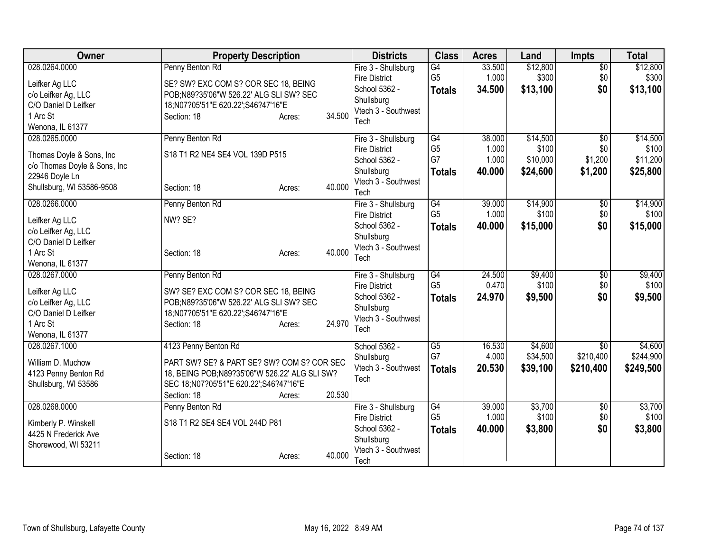| Owner                                                                                                                                         | <b>Property Description</b>                                                                                                                                                                       | <b>Districts</b>                                                                                                  | <b>Class</b>                                       | <b>Acres</b>                       | Land                                      | <b>Impts</b>                              | <b>Total</b>                              |
|-----------------------------------------------------------------------------------------------------------------------------------------------|---------------------------------------------------------------------------------------------------------------------------------------------------------------------------------------------------|-------------------------------------------------------------------------------------------------------------------|----------------------------------------------------|------------------------------------|-------------------------------------------|-------------------------------------------|-------------------------------------------|
| 028.0264.0000<br>Leifker Ag LLC<br>c/o Leifker Ag, LLC<br>C/O Daniel D Leifker<br>1 Arc St                                                    | Penny Benton Rd<br>SE? SW? EXC COM S? COR SEC 18, BEING<br>POB;N89?35'06"W 526.22' ALG SLI SW? SEC<br>18;N07?05'51"E 620.22';S46?47'16"E<br>34.500<br>Section: 18<br>Acres:                       | Fire 3 - Shullsburg<br><b>Fire District</b><br>School 5362 -<br>Shullsburg<br>Vtech 3 - Southwest                 | $\overline{G4}$<br>G <sub>5</sub><br><b>Totals</b> | 33.500<br>1.000<br>34.500          | \$12,800<br>\$300<br>\$13,100             | $\overline{50}$<br>\$0<br>\$0             | \$12,800<br>\$300<br>\$13,100             |
| Wenona, IL 61377<br>028.0265.0000<br>Thomas Doyle & Sons, Inc.<br>c/o Thomas Doyle & Sons, Inc<br>22946 Doyle Ln<br>Shullsburg, WI 53586-9508 | Penny Benton Rd<br>S18 T1 R2 NE4 SE4 VOL 139D P515<br>40.000<br>Section: 18<br>Acres:                                                                                                             | Tech<br>Fire 3 - Shullsburg<br><b>Fire District</b><br>School 5362 -<br>Shullsburg<br>Vtech 3 - Southwest<br>Tech | G4<br>G <sub>5</sub><br>G7<br><b>Totals</b>        | 38.000<br>1.000<br>1.000<br>40.000 | \$14,500<br>\$100<br>\$10,000<br>\$24,600 | \$0<br>\$0<br>\$1,200<br>\$1,200          | \$14,500<br>\$100<br>\$11,200<br>\$25,800 |
| 028.0266.0000<br>Leifker Ag LLC<br>c/o Leifker Ag, LLC<br>C/O Daniel D Leifker<br>1 Arc St<br>Wenona, IL 61377                                | Penny Benton Rd<br>NW? SE?<br>40.000<br>Section: 18<br>Acres:                                                                                                                                     | Fire 3 - Shullsburg<br><b>Fire District</b><br>School 5362 -<br>Shullsburg<br>Vtech 3 - Southwest<br>Tech         | G4<br>G <sub>5</sub><br><b>Totals</b>              | 39.000<br>1.000<br>40.000          | \$14,900<br>\$100<br>\$15,000             | $\sqrt{6}$<br>\$0<br>\$0                  | \$14,900<br>\$100<br>\$15,000             |
| 028.0267.0000<br>Leifker Ag LLC<br>c/o Leifker Ag, LLC<br>C/O Daniel D Leifker<br>1 Arc St<br>Wenona, IL 61377                                | Penny Benton Rd<br>SW? SE? EXC COM S? COR SEC 18, BEING<br>POB;N89?35'06"W 526.22' ALG SLI SW? SEC<br>18;N07?05'51"E 620.22";S46?47'16"E<br>24.970<br>Section: 18<br>Acres:                       | Fire 3 - Shullsburg<br><b>Fire District</b><br>School 5362 -<br>Shullsburg<br>Vtech 3 - Southwest<br>Tech         | G4<br>G <sub>5</sub><br><b>Totals</b>              | 24.500<br>0.470<br>24.970          | \$9,400<br>\$100<br>\$9,500               | \$0<br>\$0<br>\$0                         | \$9,400<br>\$100<br>\$9,500               |
| 028.0267.1000<br>William D. Muchow<br>4123 Penny Benton Rd<br>Shullsburg, WI 53586                                                            | 4123 Penny Benton Rd<br>PART SW? SE? & PART SE? SW? COM S? COR SEC<br>18, BEING POB; N89?35'06"W 526.22' ALG SLI SW?<br>SEC 18;N07?05'51"E 620.22';S46?47'16"E<br>20.530<br>Section: 18<br>Acres: | School 5362 -<br>Shullsburg<br>Vtech 3 - Southwest<br>Tech                                                        | $\overline{G5}$<br>G7<br><b>Totals</b>             | 16.530<br>4.000<br>20.530          | \$4,600<br>\$34,500<br>\$39,100           | $\overline{50}$<br>\$210,400<br>\$210,400 | \$4,600<br>\$244,900<br>\$249,500         |
| 028.0268.0000<br>Kimberly P. Winskell<br>4425 N Frederick Ave<br>Shorewood, WI 53211                                                          | Penny Benton Rd<br>S18 T1 R2 SE4 SE4 VOL 244D P81<br>40.000<br>Section: 18<br>Acres:                                                                                                              | Fire 3 - Shullsburg<br><b>Fire District</b><br>School 5362 -<br>Shullsburg<br>Vtech 3 - Southwest<br>Tech         | G4<br>G <sub>5</sub><br><b>Totals</b>              | 39.000<br>1.000<br>40.000          | \$3,700<br>\$100<br>\$3,800               | $\sqrt{6}$<br>\$0<br>\$0                  | \$3,700<br>\$100<br>\$3,800               |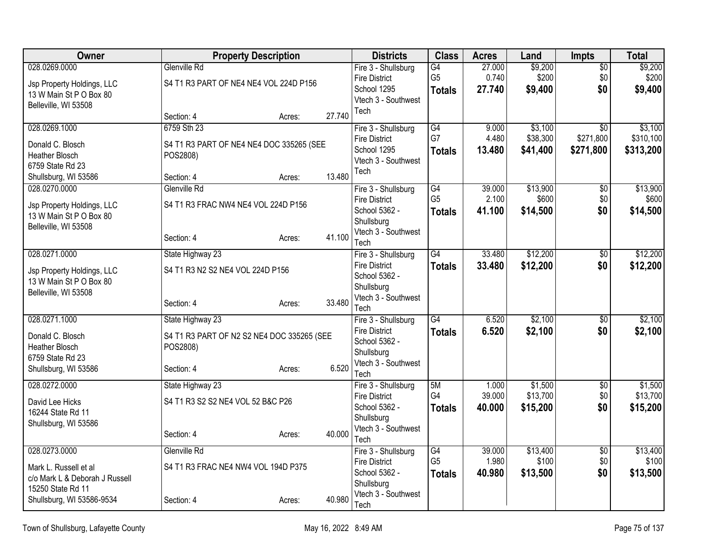| Owner                                                 | <b>Property Description</b>                |        |        | <b>Districts</b>                            | <b>Class</b>         | <b>Acres</b>     | Land                 | <b>Impts</b>           | <b>Total</b>           |
|-------------------------------------------------------|--------------------------------------------|--------|--------|---------------------------------------------|----------------------|------------------|----------------------|------------------------|------------------------|
| 028.0269.0000                                         | Glenville Rd                               |        |        | Fire 3 - Shullsburg<br><b>Fire District</b> | G4<br>G <sub>5</sub> | 27.000<br>0.740  | \$9,200<br>\$200     | $\sqrt{6}$<br>\$0      | \$9,200<br>\$200       |
| Jsp Property Holdings, LLC<br>13 W Main St P O Box 80 | S4 T1 R3 PART OF NE4 NE4 VOL 224D P156     |        |        | School 1295                                 | <b>Totals</b>        | 27.740           | \$9,400              | \$0                    | \$9,400                |
| Belleville, WI 53508                                  |                                            |        |        | Vtech 3 - Southwest                         |                      |                  |                      |                        |                        |
|                                                       | Section: 4                                 | Acres: | 27.740 | Tech                                        |                      |                  |                      |                        |                        |
| 028.0269.1000                                         | 6759 Sth 23                                |        |        | Fire 3 - Shullsburg                         | G4                   | 9.000            | \$3,100              | \$0                    | \$3,100                |
| Donald C. Blosch                                      | S4 T1 R3 PART OF NE4 NE4 DOC 335265 (SEE   |        |        | <b>Fire District</b><br>School 1295         | G7<br><b>Totals</b>  | 4.480<br>13.480  | \$38,300<br>\$41,400 | \$271,800<br>\$271,800 | \$310,100<br>\$313,200 |
| <b>Heather Blosch</b>                                 | POS2808)                                   |        |        | Vtech 3 - Southwest                         |                      |                  |                      |                        |                        |
| 6759 State Rd 23<br>Shullsburg, WI 53586              | Section: 4                                 | Acres: | 13.480 | Tech                                        |                      |                  |                      |                        |                        |
| 028.0270.0000                                         | Glenville Rd                               |        |        | Fire 3 - Shullsburg                         | G4                   | 39.000           | \$13,900             | $\overline{50}$        | \$13,900               |
| Jsp Property Holdings, LLC                            | S4 T1 R3 FRAC NW4 NE4 VOL 224D P156        |        |        | <b>Fire District</b>                        | G <sub>5</sub>       | 2.100            | \$600                | \$0                    | \$600                  |
| 13 W Main St P O Box 80                               |                                            |        |        | School 5362 -<br>Shullsburg                 | <b>Totals</b>        | 41.100           | \$14,500             | \$0                    | \$14,500               |
| Belleville, WI 53508                                  |                                            |        | 41.100 | Vtech 3 - Southwest                         |                      |                  |                      |                        |                        |
|                                                       | Section: 4                                 | Acres: |        | Tech                                        |                      |                  |                      |                        |                        |
| 028.0271.0000                                         | State Highway 23                           |        |        | Fire 3 - Shullsburg<br><b>Fire District</b> | G4                   | 33.480<br>33.480 | \$12,200             | $\overline{50}$        | \$12,200               |
| Jsp Property Holdings, LLC                            | S4 T1 R3 N2 S2 NE4 VOL 224D P156           |        |        | School 5362 -                               | <b>Totals</b>        |                  | \$12,200             | \$0                    | \$12,200               |
| 13 W Main St P O Box 80<br>Belleville, WI 53508       |                                            |        |        | Shullsburg                                  |                      |                  |                      |                        |                        |
|                                                       | Section: 4                                 | Acres: | 33.480 | Vtech 3 - Southwest<br>Tech                 |                      |                  |                      |                        |                        |
| 028.0271.1000                                         | State Highway 23                           |        |        | Fire 3 - Shullsburg                         | $\overline{G4}$      | 6.520            | \$2,100              | $\overline{30}$        | \$2,100                |
| Donald C. Blosch                                      | S4 T1 R3 PART OF N2 S2 NE4 DOC 335265 (SEE |        |        | <b>Fire District</b>                        | <b>Totals</b>        | 6.520            | \$2,100              | \$0                    | \$2,100                |
| <b>Heather Blosch</b>                                 | POS2808)                                   |        |        | School 5362 -<br>Shullsburg                 |                      |                  |                      |                        |                        |
| 6759 State Rd 23<br>Shullsburg, WI 53586              | Section: 4                                 | Acres: | 6.520  | Vtech 3 - Southwest                         |                      |                  |                      |                        |                        |
|                                                       |                                            |        |        | Tech                                        |                      |                  |                      |                        |                        |
| 028.0272.0000                                         | State Highway 23                           |        |        | Fire 3 - Shullsburg<br><b>Fire District</b> | 5M<br>G4             | 1.000<br>39.000  | \$1,500<br>\$13,700  | \$0<br>\$0             | \$1,500<br>\$13,700    |
| David Lee Hicks<br>16244 State Rd 11                  | S4 T1 R3 S2 S2 NE4 VOL 52 B&C P26          |        |        | School 5362 -                               | <b>Totals</b>        | 40.000           | \$15,200             | \$0                    | \$15,200               |
| Shullsburg, WI 53586                                  |                                            |        |        | Shullsburg                                  |                      |                  |                      |                        |                        |
|                                                       | Section: 4                                 | Acres: | 40.000 | Vtech 3 - Southwest<br>Tech                 |                      |                  |                      |                        |                        |
| 028.0273.0000                                         | Glenville Rd                               |        |        | Fire 3 - Shullsburg                         | G4                   | 39.000           | \$13,400             | $\overline{50}$        | \$13,400               |
| Mark L. Russell et al                                 | S4 T1 R3 FRAC NE4 NW4 VOL 194D P375        |        |        | <b>Fire District</b>                        | G <sub>5</sub>       | 1.980            | \$100                | \$0                    | \$100                  |
| c/o Mark L & Deborah J Russell                        |                                            |        |        | School 5362 -<br>Shullsburg                 | <b>Totals</b>        | 40.980           | \$13,500             | \$0                    | \$13,500               |
| 15250 State Rd 11                                     | Section: 4                                 |        | 40.980 | Vtech 3 - Southwest                         |                      |                  |                      |                        |                        |
| Shullsburg, WI 53586-9534                             |                                            | Acres: |        | Tech                                        |                      |                  |                      |                        |                        |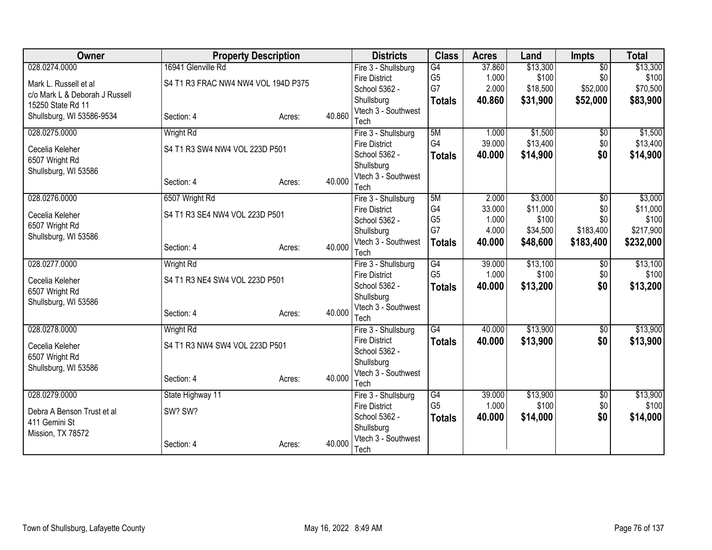| Owner                          | <b>Property Description</b>         |        |        | <b>Districts</b>                            | <b>Class</b>    | <b>Acres</b>    | Land                | <b>Impts</b>    | <b>Total</b>      |
|--------------------------------|-------------------------------------|--------|--------|---------------------------------------------|-----------------|-----------------|---------------------|-----------------|-------------------|
| 028.0274.0000                  | 16941 Glenville Rd                  |        |        | Fire 3 - Shullsburg                         | $\overline{G4}$ | 37.860          | \$13,300            | $\overline{50}$ | \$13,300          |
| Mark L. Russell et al          | S4 T1 R3 FRAC NW4 NW4 VOL 194D P375 |        |        | <b>Fire District</b>                        | G <sub>5</sub>  | 1.000           | \$100               | \$0             | \$100             |
| c/o Mark L & Deborah J Russell |                                     |        |        | School 5362 -                               | G7              | 2.000           | \$18,500            | \$52,000        | \$70,500          |
| 15250 State Rd 11              |                                     |        |        | Shullsburg<br>Vtech 3 - Southwest           | <b>Totals</b>   | 40.860          | \$31,900            | \$52,000        | \$83,900          |
| Shullsburg, WI 53586-9534      | Section: 4                          | Acres: | 40.860 | Tech                                        |                 |                 |                     |                 |                   |
| 028.0275.0000                  | <b>Wright Rd</b>                    |        |        | Fire 3 - Shullsburg                         | 5M              | 1.000           | \$1,500             | $\overline{50}$ | \$1,500           |
| Cecelia Keleher                | S4 T1 R3 SW4 NW4 VOL 223D P501      |        |        | <b>Fire District</b>                        | G4              | 39.000          | \$13,400            | \$0             | \$13,400          |
| 6507 Wright Rd                 |                                     |        |        | School 5362 -                               | <b>Totals</b>   | 40.000          | \$14,900            | \$0             | \$14,900          |
| Shullsburg, WI 53586           |                                     |        |        | Shullsburg                                  |                 |                 |                     |                 |                   |
|                                | Section: 4                          | Acres: | 40.000 | Vtech 3 - Southwest                         |                 |                 |                     |                 |                   |
|                                |                                     |        |        | Tech                                        |                 |                 |                     |                 |                   |
| 028.0276.0000                  | 6507 Wright Rd                      |        |        | Fire 3 - Shullsburg                         | 5M<br>G4        | 2.000           | \$3,000<br>\$11,000 | \$0             | \$3,000           |
| Cecelia Keleher                | S4 T1 R3 SE4 NW4 VOL 223D P501      |        |        | <b>Fire District</b><br>School 5362 -       | G <sub>5</sub>  | 33.000<br>1.000 | \$100               | \$0<br>\$0      | \$11,000<br>\$100 |
| 6507 Wright Rd                 |                                     |        |        | Shullsburg                                  | G7              | 4.000           | \$34,500            | \$183,400       | \$217,900         |
| Shullsburg, WI 53586           |                                     |        |        | Vtech 3 - Southwest                         | <b>Totals</b>   | 40.000          | \$48,600            | \$183,400       | \$232,000         |
|                                | Section: 4                          | Acres: | 40.000 | Tech                                        |                 |                 |                     |                 |                   |
| 028.0277.0000                  | <b>Wright Rd</b>                    |        |        | Fire 3 - Shullsburg                         | G4              | 39.000          | \$13,100            | \$0             | \$13,100          |
| Cecelia Keleher                | S4 T1 R3 NE4 SW4 VOL 223D P501      |        |        | <b>Fire District</b>                        | G <sub>5</sub>  | 1.000           | \$100               | \$0             | \$100             |
| 6507 Wright Rd                 |                                     |        |        | School 5362 -                               | <b>Totals</b>   | 40.000          | \$13,200            | \$0             | \$13,200          |
| Shullsburg, WI 53586           |                                     |        |        | Shullsburg                                  |                 |                 |                     |                 |                   |
|                                | Section: 4                          | Acres: | 40.000 | Vtech 3 - Southwest                         |                 |                 |                     |                 |                   |
|                                |                                     |        |        | Tech                                        |                 |                 |                     |                 |                   |
| 028.0278.0000                  | <b>Wright Rd</b>                    |        |        | Fire 3 - Shullsburg<br><b>Fire District</b> | $\overline{G4}$ | 40.000          | \$13,900            | $\overline{60}$ | \$13,900          |
| Cecelia Keleher                | S4 T1 R3 NW4 SW4 VOL 223D P501      |        |        | School 5362 -                               | <b>Totals</b>   | 40.000          | \$13,900            | \$0             | \$13,900          |
| 6507 Wright Rd                 |                                     |        |        | Shullsburg                                  |                 |                 |                     |                 |                   |
| Shullsburg, WI 53586           |                                     |        |        | Vtech 3 - Southwest                         |                 |                 |                     |                 |                   |
|                                | Section: 4                          | Acres: | 40.000 | Tech                                        |                 |                 |                     |                 |                   |
| 028.0279.0000                  | State Highway 11                    |        |        | Fire 3 - Shullsburg                         | G4              | 39.000          | \$13,900            | $\overline{60}$ | \$13,900          |
| Debra A Benson Trust et al     | SW? SW?                             |        |        | <b>Fire District</b>                        | G <sub>5</sub>  | 1.000           | \$100               | \$0             | \$100             |
| 411 Gemini St                  |                                     |        |        | School 5362 -                               | <b>Totals</b>   | 40.000          | \$14,000            | \$0             | \$14,000          |
| Mission, TX 78572              |                                     |        |        | Shullsburg                                  |                 |                 |                     |                 |                   |
|                                | Section: 4                          | Acres: | 40.000 | Vtech 3 - Southwest<br>Tech                 |                 |                 |                     |                 |                   |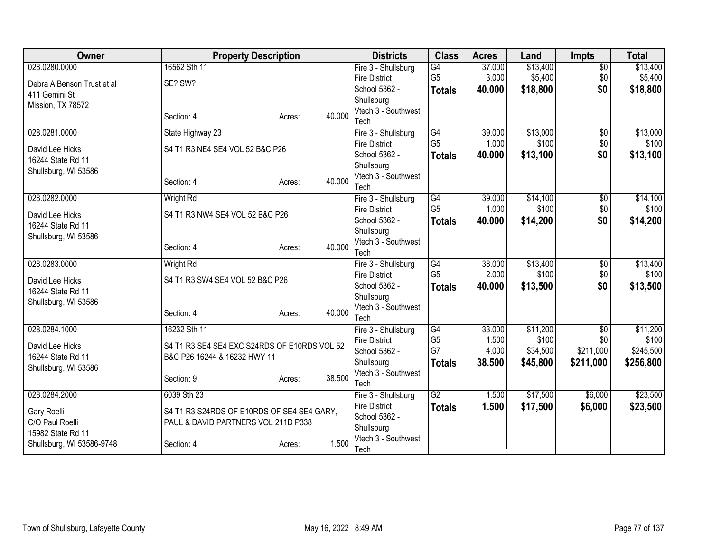| Owner                          | <b>Property Description</b>                                                       |                  | <b>Districts</b>                            | <b>Class</b>                      | <b>Acres</b>    | Land              | <b>Impts</b>           | <b>Total</b>      |
|--------------------------------|-----------------------------------------------------------------------------------|------------------|---------------------------------------------|-----------------------------------|-----------------|-------------------|------------------------|-------------------|
| 028.0280.0000                  | 16562 Sth 11                                                                      |                  | Fire 3 - Shullsburg                         | $\overline{G4}$                   | 37.000          | \$13,400          | $\overline{60}$        | \$13,400          |
| Debra A Benson Trust et al     | SE? SW?                                                                           |                  | <b>Fire District</b>                        | G <sub>5</sub>                    | 3.000           | \$5,400           | \$0                    | \$5,400           |
| 411 Gemini St                  |                                                                                   |                  | School 5362 -                               | <b>Totals</b>                     | 40.000          | \$18,800          | \$0                    | \$18,800          |
| Mission, TX 78572              |                                                                                   |                  | Shullsburg                                  |                                   |                 |                   |                        |                   |
|                                | Section: 4                                                                        | 40.000<br>Acres: | Vtech 3 - Southwest                         |                                   |                 |                   |                        |                   |
|                                |                                                                                   |                  | Tech                                        |                                   |                 |                   |                        |                   |
| 028.0281.0000                  | State Highway 23                                                                  |                  | Fire 3 - Shullsburg                         | G4<br>G <sub>5</sub>              | 39.000<br>1.000 | \$13,000<br>\$100 | $\sqrt{$0}$<br>\$0     | \$13,000<br>\$100 |
| David Lee Hicks                | S4 T1 R3 NE4 SE4 VOL 52 B&C P26                                                   |                  | <b>Fire District</b><br>School 5362 -       |                                   |                 |                   |                        |                   |
| 16244 State Rd 11              |                                                                                   |                  | Shullsburg                                  | <b>Totals</b>                     | 40.000          | \$13,100          | \$0                    | \$13,100          |
| Shullsburg, WI 53586           |                                                                                   |                  | Vtech 3 - Southwest                         |                                   |                 |                   |                        |                   |
|                                | Section: 4                                                                        | 40.000<br>Acres: | Tech                                        |                                   |                 |                   |                        |                   |
| 028.0282.0000                  | <b>Wright Rd</b>                                                                  |                  | Fire 3 - Shullsburg                         | G4                                | 39.000          | \$14,100          | \$0                    | \$14,100          |
|                                |                                                                                   |                  | <b>Fire District</b>                        | G <sub>5</sub>                    | 1.000           | \$100             | \$0                    | \$100             |
| David Lee Hicks                | S4 T1 R3 NW4 SE4 VOL 52 B&C P26                                                   |                  | School 5362 -                               | <b>Totals</b>                     | 40.000          | \$14,200          | \$0                    | \$14,200          |
| 16244 State Rd 11              |                                                                                   |                  | Shullsburg                                  |                                   |                 |                   |                        |                   |
| Shullsburg, WI 53586           |                                                                                   | 40.000           | Vtech 3 - Southwest                         |                                   |                 |                   |                        |                   |
|                                | Section: 4                                                                        | Acres:           | Tech                                        |                                   |                 |                   |                        |                   |
| 028.0283.0000                  | Wright Rd                                                                         |                  | Fire 3 - Shullsburg                         | G4                                | 38.000          | \$13,400          | $\overline{60}$        | \$13,400          |
| David Lee Hicks                | S4 T1 R3 SW4 SE4 VOL 52 B&C P26                                                   |                  | <b>Fire District</b>                        | G <sub>5</sub>                    | 2.000           | \$100             | \$0                    | \$100             |
| 16244 State Rd 11              |                                                                                   |                  | School 5362 -                               | <b>Totals</b>                     | 40.000          | \$13,500          | \$0                    | \$13,500          |
| Shullsburg, WI 53586           |                                                                                   |                  | Shullsburg                                  |                                   |                 |                   |                        |                   |
|                                | Section: 4                                                                        | 40.000<br>Acres: | Vtech 3 - Southwest                         |                                   |                 |                   |                        |                   |
|                                |                                                                                   |                  | Tech                                        |                                   |                 |                   |                        |                   |
| 028.0284.1000                  | 16232 Sth 11                                                                      |                  | Fire 3 - Shullsburg<br><b>Fire District</b> | $\overline{G4}$<br>G <sub>5</sub> | 33.000<br>1.500 | \$11,200<br>\$100 | $\overline{$0}$<br>\$0 | \$11,200<br>\$100 |
| David Lee Hicks                | S4 T1 R3 SE4 SE4 EXC S24RDS OF E10RDS VOL 52                                      |                  | School 5362 -                               | G7                                | 4.000           | \$34,500          | \$211,000              | \$245,500         |
| 16244 State Rd 11              | B&C P26 16244 & 16232 HWY 11                                                      |                  | Shullsburg                                  | <b>Totals</b>                     | 38.500          | \$45,800          | \$211,000              | \$256,800         |
| Shullsburg, WI 53586           |                                                                                   |                  | Vtech 3 - Southwest                         |                                   |                 |                   |                        |                   |
|                                | Section: 9                                                                        | 38.500<br>Acres: | Tech                                        |                                   |                 |                   |                        |                   |
| 028.0284.2000                  | 6039 Sth 23                                                                       |                  | Fire 3 - Shullsburg                         | $\overline{G2}$                   | 1.500           | \$17,500          | \$6,000                | \$23,500          |
|                                |                                                                                   |                  | <b>Fire District</b>                        | <b>Totals</b>                     | 1.500           | \$17,500          | \$6,000                | \$23,500          |
| Gary Roelli<br>C/O Paul Roelli | S4 T1 R3 S24RDS OF E10RDS OF SE4 SE4 GARY,<br>PAUL & DAVID PARTNERS VOL 211D P338 |                  | School 5362 -                               |                                   |                 |                   |                        |                   |
| 15982 State Rd 11              |                                                                                   |                  | Shullsburg                                  |                                   |                 |                   |                        |                   |
| Shullsburg, WI 53586-9748      | Section: 4                                                                        | 1.500<br>Acres:  | Vtech 3 - Southwest                         |                                   |                 |                   |                        |                   |
|                                |                                                                                   |                  | Tech                                        |                                   |                 |                   |                        |                   |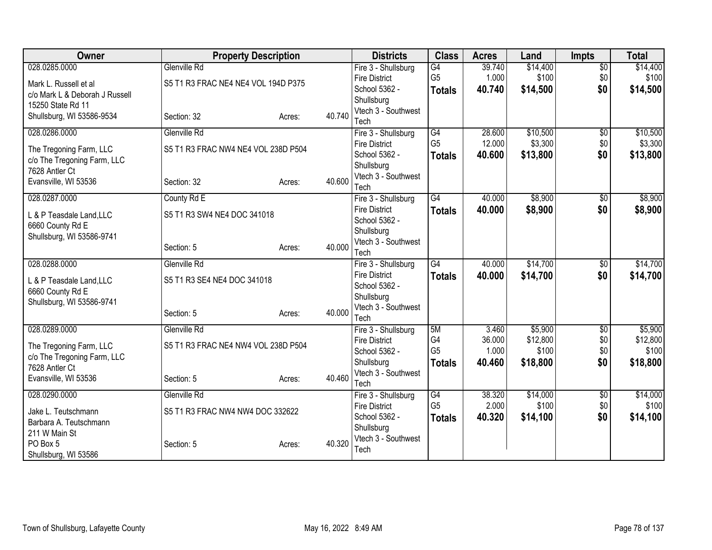| <b>Owner</b>                                           | <b>Property Description</b>         |        |        | <b>Districts</b>                  | <b>Class</b>    | <b>Acres</b> | Land     | <b>Impts</b>    | <b>Total</b> |
|--------------------------------------------------------|-------------------------------------|--------|--------|-----------------------------------|-----------------|--------------|----------|-----------------|--------------|
| 028.0285.0000                                          | Glenville Rd                        |        |        | Fire 3 - Shullsburg               | G4              | 39.740       | \$14,400 | $\overline{50}$ | \$14,400     |
| Mark L. Russell et al                                  | S5 T1 R3 FRAC NE4 NE4 VOL 194D P375 |        |        | <b>Fire District</b>              | G <sub>5</sub>  | 1.000        | \$100    | \$0             | \$100        |
| c/o Mark L & Deborah J Russell                         |                                     |        |        | School 5362 -<br>Shullsburg       | <b>Totals</b>   | 40.740       | \$14,500 | \$0             | \$14,500     |
| 15250 State Rd 11                                      |                                     |        |        | Vtech 3 - Southwest               |                 |              |          |                 |              |
| Shullsburg, WI 53586-9534                              | Section: 32                         | Acres: | 40.740 | Tech                              |                 |              |          |                 |              |
| 028.0286.0000                                          | Glenville Rd                        |        |        | Fire 3 - Shullsburg               | $\overline{G4}$ | 28.600       | \$10,500 | $\overline{50}$ | \$10,500     |
|                                                        | S5 T1 R3 FRAC NW4 NE4 VOL 238D P504 |        |        | <b>Fire District</b>              | G <sub>5</sub>  | 12.000       | \$3,300  | \$0             | \$3,300      |
| The Tregoning Farm, LLC<br>c/o The Tregoning Farm, LLC |                                     |        |        | School 5362 -                     | <b>Totals</b>   | 40.600       | \$13,800 | \$0             | \$13,800     |
| 7628 Antler Ct                                         |                                     |        |        | Shullsburg                        |                 |              |          |                 |              |
| Evansville, WI 53536                                   | Section: 32                         | Acres: | 40.600 | Vtech 3 - Southwest               |                 |              |          |                 |              |
| 028.0287.0000                                          | County Rd E                         |        |        | Tech<br>Fire 3 - Shullsburg       | $\overline{G4}$ | 40.000       | \$8,900  | \$0             | \$8,900      |
|                                                        |                                     |        |        | <b>Fire District</b>              | <b>Totals</b>   | 40.000       | \$8,900  | \$0             | \$8,900      |
| L & P Teasdale Land, LLC                               | S5 T1 R3 SW4 NE4 DOC 341018         |        |        | School 5362 -                     |                 |              |          |                 |              |
| 6660 County Rd E                                       |                                     |        |        | Shullsburg                        |                 |              |          |                 |              |
| Shullsburg, WI 53586-9741                              |                                     |        |        | Vtech 3 - Southwest               |                 |              |          |                 |              |
|                                                        | Section: 5                          | Acres: | 40.000 | Tech                              |                 |              |          |                 |              |
| 028.0288.0000                                          | Glenville Rd                        |        |        | Fire 3 - Shullsburg               | G4              | 40.000       | \$14,700 | \$0             | \$14,700     |
| L & P Teasdale Land, LLC                               | S5 T1 R3 SE4 NE4 DOC 341018         |        |        | <b>Fire District</b>              | <b>Totals</b>   | 40.000       | \$14,700 | \$0             | \$14,700     |
| 6660 County Rd E                                       |                                     |        |        | School 5362 -                     |                 |              |          |                 |              |
| Shullsburg, WI 53586-9741                              |                                     |        |        | Shullsburg                        |                 |              |          |                 |              |
|                                                        | Section: 5                          | Acres: | 40.000 | Vtech 3 - Southwest<br>Tech       |                 |              |          |                 |              |
| 028.0289.0000                                          | Glenville Rd                        |        |        | Fire 3 - Shullsburg               | 5M              | 3.460        | \$5,900  | $\sqrt{6}$      | \$5,900      |
|                                                        |                                     |        |        | <b>Fire District</b>              | G <sub>4</sub>  | 36.000       | \$12,800 | \$0             | \$12,800     |
| The Tregoning Farm, LLC                                | S5 T1 R3 FRAC NE4 NW4 VOL 238D P504 |        |        | School 5362 -                     | G <sub>5</sub>  | 1.000        | \$100    | \$0             | \$100        |
| c/o The Tregoning Farm, LLC<br>7628 Antler Ct          |                                     |        |        | Shullsburg                        | <b>Totals</b>   | 40.460       | \$18,800 | \$0             | \$18,800     |
| Evansville, WI 53536                                   | Section: 5                          | Acres: | 40.460 | Vtech 3 - Southwest               |                 |              |          |                 |              |
|                                                        |                                     |        |        | Tech                              |                 |              |          |                 |              |
| 028.0290.0000                                          | <b>Glenville Rd</b>                 |        |        | Fire 3 - Shullsburg               | $\overline{G4}$ | 38.320       | \$14,000 | $\overline{60}$ | \$14,000     |
| Jake L. Teutschmann                                    | S5 T1 R3 FRAC NW4 NW4 DOC 332622    |        |        | <b>Fire District</b>              | G <sub>5</sub>  | 2.000        | \$100    | \$0             | \$100        |
| Barbara A. Teutschmann                                 |                                     |        |        | School 5362 -                     | <b>Totals</b>   | 40.320       | \$14,100 | \$0             | \$14,100     |
| 211 W Main St                                          |                                     |        |        | Shullsburg<br>Vtech 3 - Southwest |                 |              |          |                 |              |
| PO Box 5                                               | Section: 5                          | Acres: | 40.320 | Tech                              |                 |              |          |                 |              |
| Shullsburg, WI 53586                                   |                                     |        |        |                                   |                 |              |          |                 |              |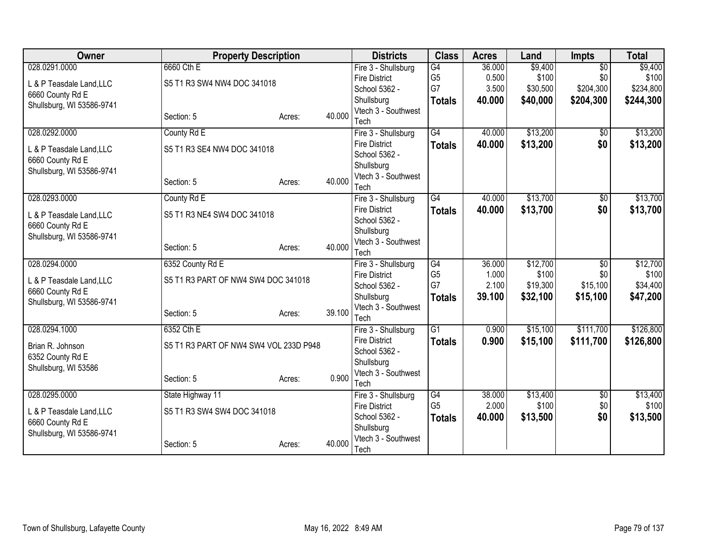| Owner                                         | <b>Property Description</b>            |        |        | <b>Districts</b>                      | <b>Class</b>    | <b>Acres</b> | Land     | <b>Impts</b>    | <b>Total</b> |
|-----------------------------------------------|----------------------------------------|--------|--------|---------------------------------------|-----------------|--------------|----------|-----------------|--------------|
| 028.0291.0000                                 | 6660 Cth E                             |        |        | Fire 3 - Shullsburg                   | $\overline{G4}$ | 36.000       | \$9,400  | $\overline{50}$ | \$9,400      |
| L & P Teasdale Land, LLC                      | S5 T1 R3 SW4 NW4 DOC 341018            |        |        | <b>Fire District</b>                  | G <sub>5</sub>  | 0.500        | \$100    | \$0             | \$100        |
| 6660 County Rd E                              |                                        |        |        | School 5362 -                         | G7              | 3.500        | \$30,500 | \$204,300       | \$234,800    |
| Shullsburg, WI 53586-9741                     |                                        |        |        | Shullsburg                            | <b>Totals</b>   | 40.000       | \$40,000 | \$204,300       | \$244,300    |
|                                               | Section: 5                             | Acres: | 40.000 | Vtech 3 - Southwest                   |                 |              |          |                 |              |
|                                               |                                        |        |        | Tech                                  |                 |              |          |                 |              |
| 028.0292.0000                                 | County Rd E                            |        |        | Fire 3 - Shullsburg                   | $\overline{G4}$ | 40.000       | \$13,200 | $\overline{50}$ | \$13,200     |
| L & P Teasdale Land, LLC                      | S5 T1 R3 SE4 NW4 DOC 341018            |        |        | <b>Fire District</b><br>School 5362 - | <b>Totals</b>   | 40.000       | \$13,200 | \$0             | \$13,200     |
| 6660 County Rd E                              |                                        |        |        | Shullsburg                            |                 |              |          |                 |              |
| Shullsburg, WI 53586-9741                     |                                        |        |        | Vtech 3 - Southwest                   |                 |              |          |                 |              |
|                                               | Section: 5                             | Acres: | 40.000 | Tech                                  |                 |              |          |                 |              |
| 028.0293.0000                                 | County Rd E                            |        |        | Fire 3 - Shullsburg                   | $\overline{G4}$ | 40.000       | \$13,700 | \$0             | \$13,700     |
|                                               |                                        |        |        | <b>Fire District</b>                  | <b>Totals</b>   | 40.000       | \$13,700 | \$0             | \$13,700     |
| L & P Teasdale Land, LLC                      | S5 T1 R3 NE4 SW4 DOC 341018            |        |        | School 5362 -                         |                 |              |          |                 |              |
| 6660 County Rd E                              |                                        |        |        | Shullsburg                            |                 |              |          |                 |              |
| Shullsburg, WI 53586-9741                     |                                        |        | 40.000 | Vtech 3 - Southwest                   |                 |              |          |                 |              |
|                                               | Section: 5                             | Acres: |        | Tech                                  |                 |              |          |                 |              |
| 028.0294.0000                                 | 6352 County Rd E                       |        |        | Fire 3 - Shullsburg                   | $\overline{G4}$ | 36.000       | \$12,700 | $\overline{50}$ | \$12,700     |
| L & P Teasdale Land, LLC                      | S5 T1 R3 PART OF NW4 SW4 DOC 341018    |        |        | <b>Fire District</b>                  | G <sub>5</sub>  | 1.000        | \$100    | \$0             | \$100        |
| 6660 County Rd E                              |                                        |        |        | School 5362 -                         | G7              | 2.100        | \$19,300 | \$15,100        | \$34,400     |
| Shullsburg, WI 53586-9741                     |                                        |        |        | Shullsburg                            | <b>Totals</b>   | 39.100       | \$32,100 | \$15,100        | \$47,200     |
|                                               | Section: 5                             | Acres: | 39.100 | Vtech 3 - Southwest                   |                 |              |          |                 |              |
|                                               |                                        |        |        | Tech                                  |                 |              |          |                 |              |
| 028.0294.1000                                 | 6352 Cth E                             |        |        | Fire 3 - Shullsburg                   | $\overline{G1}$ | 0.900        | \$15,100 | \$111,700       | \$126,800    |
| Brian R. Johnson                              | S5 T1 R3 PART OF NW4 SW4 VOL 233D P948 |        |        | <b>Fire District</b><br>School 5362 - | <b>Totals</b>   | 0.900        | \$15,100 | \$111,700       | \$126,800    |
| 6352 County Rd E                              |                                        |        |        | Shullsburg                            |                 |              |          |                 |              |
| Shullsburg, WI 53586                          |                                        |        |        | Vtech 3 - Southwest                   |                 |              |          |                 |              |
|                                               | Section: 5                             | Acres: | 0.900  | Tech                                  |                 |              |          |                 |              |
| 028.0295.0000                                 | State Highway 11                       |        |        | Fire 3 - Shullsburg                   | $\overline{G4}$ | 38.000       | \$13,400 | $\overline{60}$ | \$13,400     |
|                                               |                                        |        |        | <b>Fire District</b>                  | G <sub>5</sub>  | 2.000        | \$100    | \$0             | \$100        |
| L & P Teasdale Land, LLC                      | S5 T1 R3 SW4 SW4 DOC 341018            |        |        | School 5362 -                         | <b>Totals</b>   | 40.000       | \$13,500 | \$0             | \$13,500     |
| 6660 County Rd E<br>Shullsburg, WI 53586-9741 |                                        |        |        | Shullsburg                            |                 |              |          |                 |              |
|                                               | Section: 5                             | Acres: | 40.000 | Vtech 3 - Southwest                   |                 |              |          |                 |              |
|                                               |                                        |        |        | Tech                                  |                 |              |          |                 |              |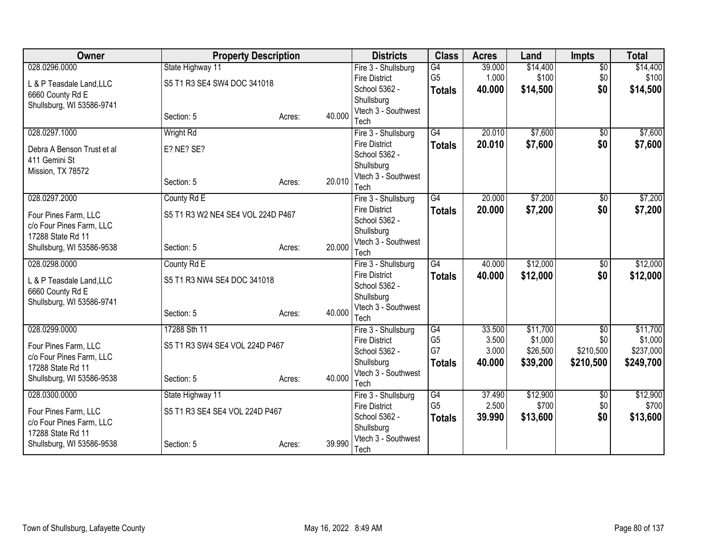| Owner                                       | <b>Property Description</b>       |        |        | <b>Districts</b>                            | <b>Class</b>    | <b>Acres</b> | Land     | <b>Impts</b>    | <b>Total</b> |
|---------------------------------------------|-----------------------------------|--------|--------|---------------------------------------------|-----------------|--------------|----------|-----------------|--------------|
| 028.0296.0000                               | State Highway 11                  |        |        | Fire 3 - Shullsburg                         | $\overline{G4}$ | 39.000       | \$14,400 | $\overline{50}$ | \$14,400     |
| L & P Teasdale Land, LLC                    | S5 T1 R3 SE4 SW4 DOC 341018       |        |        | <b>Fire District</b>                        | G <sub>5</sub>  | 1.000        | \$100    | \$0             | \$100        |
| 6660 County Rd E                            |                                   |        |        | School 5362 -                               | <b>Totals</b>   | 40.000       | \$14,500 | \$0             | \$14,500     |
| Shullsburg, WI 53586-9741                   |                                   |        |        | Shullsburg                                  |                 |              |          |                 |              |
|                                             | Section: 5                        | Acres: | 40.000 | Vtech 3 - Southwest<br>Tech                 |                 |              |          |                 |              |
| 028.0297.1000                               | <b>Wright Rd</b>                  |        |        | Fire 3 - Shullsburg                         | $\overline{G4}$ | 20.010       | \$7,600  | $\overline{50}$ | \$7,600      |
|                                             |                                   |        |        | <b>Fire District</b>                        | <b>Totals</b>   | 20.010       | \$7,600  | \$0             | \$7,600      |
| Debra A Benson Trust et al<br>411 Gemini St | E? NE? SE?                        |        |        | School 5362 -                               |                 |              |          |                 |              |
| Mission, TX 78572                           |                                   |        |        | Shullsburg                                  |                 |              |          |                 |              |
|                                             | Section: 5                        | Acres: | 20.010 | Vtech 3 - Southwest                         |                 |              |          |                 |              |
|                                             |                                   |        |        | Tech                                        |                 |              |          |                 |              |
| 028.0297.2000                               | County Rd E                       |        |        | Fire 3 - Shullsburg                         | $\overline{G4}$ | 20.000       | \$7,200  | \$0             | \$7,200      |
| Four Pines Farm, LLC                        | S5 T1 R3 W2 NE4 SE4 VOL 224D P467 |        |        | <b>Fire District</b>                        | <b>Totals</b>   | 20,000       | \$7,200  | \$0             | \$7,200      |
| c/o Four Pines Farm, LLC                    |                                   |        |        | School 5362 -                               |                 |              |          |                 |              |
| 17288 State Rd 11                           |                                   |        |        | Shullsburg<br>Vtech 3 - Southwest           |                 |              |          |                 |              |
| Shullsburg, WI 53586-9538                   | Section: 5                        | Acres: | 20.000 | Tech                                        |                 |              |          |                 |              |
| 028.0298.0000                               | County Rd E                       |        |        | Fire 3 - Shullsburg                         | $\overline{G4}$ | 40.000       | \$12,000 | $\sqrt{$0}$     | \$12,000     |
| L & P Teasdale Land, LLC                    | S5 T1 R3 NW4 SE4 DOC 341018       |        |        | <b>Fire District</b>                        | <b>Totals</b>   | 40.000       | \$12,000 | \$0             | \$12,000     |
| 6660 County Rd E                            |                                   |        |        | School 5362 -                               |                 |              |          |                 |              |
| Shullsburg, WI 53586-9741                   |                                   |        |        | Shullsburg                                  |                 |              |          |                 |              |
|                                             | Section: 5                        | Acres: | 40.000 | Vtech 3 - Southwest                         |                 |              |          |                 |              |
| 028.0299.0000                               | 17288 Sth 11                      |        |        | Tech                                        | $\overline{G4}$ | 33.500       | \$11,700 | $\overline{50}$ | \$11,700     |
|                                             |                                   |        |        | Fire 3 - Shullsburg<br><b>Fire District</b> | G <sub>5</sub>  | 3.500        | \$1,000  | \$0             | \$1,000      |
| Four Pines Farm, LLC                        | S5 T1 R3 SW4 SE4 VOL 224D P467    |        |        | School 5362 -                               | G7              | 3.000        | \$26,500 | \$210,500       | \$237,000    |
| c/o Four Pines Farm, LLC                    |                                   |        |        | Shullsburg                                  | <b>Totals</b>   | 40.000       | \$39,200 | \$210,500       | \$249,700    |
| 17288 State Rd 11                           |                                   |        |        | Vtech 3 - Southwest                         |                 |              |          |                 |              |
| Shullsburg, WI 53586-9538                   | Section: 5                        | Acres: | 40.000 | Tech                                        |                 |              |          |                 |              |
| 028.0300.0000                               | State Highway 11                  |        |        | Fire 3 - Shullsburg                         | $\overline{G4}$ | 37.490       | \$12,900 | \$0             | \$12,900     |
| Four Pines Farm, LLC                        | S5 T1 R3 SE4 SE4 VOL 224D P467    |        |        | <b>Fire District</b>                        | G <sub>5</sub>  | 2.500        | \$700    | \$0             | \$700        |
| c/o Four Pines Farm, LLC                    |                                   |        |        | School 5362 -                               | <b>Totals</b>   | 39.990       | \$13,600 | \$0             | \$13,600     |
| 17288 State Rd 11                           |                                   |        |        | Shullsburg                                  |                 |              |          |                 |              |
| Shullsburg, WI 53586-9538                   | Section: 5                        | Acres: | 39.990 | Vtech 3 - Southwest<br>Tech                 |                 |              |          |                 |              |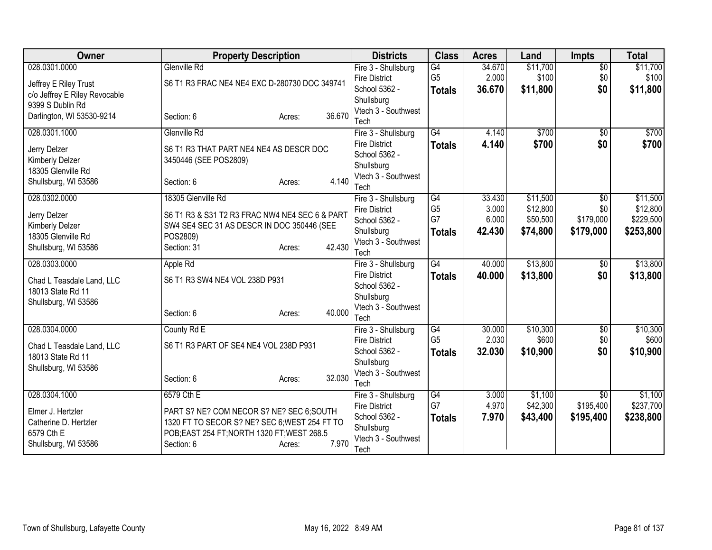| <b>Owner</b>                    | <b>Property Description</b>                                      |                  | <b>Districts</b>                      | <b>Class</b>         | <b>Acres</b>   | Land                 | <b>Impts</b>     | <b>Total</b>          |
|---------------------------------|------------------------------------------------------------------|------------------|---------------------------------------|----------------------|----------------|----------------------|------------------|-----------------------|
| 028.0301.0000                   | Glenville Rd                                                     |                  | Fire 3 - Shullsburg                   | G4                   | 34.670         | \$11,700             | $\overline{50}$  | \$11,700              |
| Jeffrey E Riley Trust           | S6 T1 R3 FRAC NE4 NE4 EXC D-280730 DOC 349741                    |                  | <b>Fire District</b>                  | G <sub>5</sub>       | 2.000          | \$100                | \$0              | \$100                 |
| c/o Jeffrey E Riley Revocable   |                                                                  |                  | School 5362 -                         | <b>Totals</b>        | 36.670         | \$11,800             | \$0              | \$11,800              |
| 9399 S Dublin Rd                |                                                                  |                  | Shullsburg<br>Vtech 3 - Southwest     |                      |                |                      |                  |                       |
| Darlington, WI 53530-9214       | Section: 6                                                       | 36.670<br>Acres: | Tech                                  |                      |                |                      |                  |                       |
| 028.0301.1000                   | Glenville Rd                                                     |                  | Fire 3 - Shullsburg                   | $\overline{G4}$      | 4.140          | \$700                | $\overline{50}$  | \$700                 |
|                                 |                                                                  |                  | <b>Fire District</b>                  | <b>Totals</b>        | 4.140          | \$700                | \$0              | \$700                 |
| Jerry Delzer<br>Kimberly Delzer | S6 T1 R3 THAT PART NE4 NE4 AS DESCR DOC<br>3450446 (SEE POS2809) |                  | School 5362 -                         |                      |                |                      |                  |                       |
| 18305 Glenville Rd              |                                                                  |                  | Shullsburg                            |                      |                |                      |                  |                       |
| Shullsburg, WI 53586            | Section: 6                                                       | 4.140<br>Acres:  | Vtech 3 - Southwest                   |                      |                |                      |                  |                       |
|                                 |                                                                  |                  | Tech                                  |                      |                |                      |                  |                       |
| 028.0302.0000                   | 18305 Glenville Rd                                               |                  | Fire 3 - Shullsburg                   | G4<br>G <sub>5</sub> | 33.430         | \$11,500<br>\$12,800 | $\overline{50}$  | \$11,500              |
| Jerry Delzer                    | S6 T1 R3 & S31 T2 R3 FRAC NW4 NE4 SEC 6 & PART                   |                  | <b>Fire District</b><br>School 5362 - | G7                   | 3.000<br>6.000 | \$50,500             | \$0<br>\$179,000 | \$12,800<br>\$229,500 |
| Kimberly Delzer                 | SW4 SE4 SEC 31 AS DESCR IN DOC 350446 (SEE                       |                  | Shullsburg                            | <b>Totals</b>        | 42.430         | \$74,800             | \$179,000        | \$253,800             |
| 18305 Glenville Rd              | POS2809)                                                         |                  | Vtech 3 - Southwest                   |                      |                |                      |                  |                       |
| Shullsburg, WI 53586            | Section: 31                                                      | 42.430<br>Acres: | Tech                                  |                      |                |                      |                  |                       |
| 028.0303.0000                   | Apple Rd                                                         |                  | Fire 3 - Shullsburg                   | G4                   | 40.000         | \$13,800             | $\overline{50}$  | \$13,800              |
| Chad L Teasdale Land, LLC       | S6 T1 R3 SW4 NE4 VOL 238D P931                                   |                  | <b>Fire District</b>                  | <b>Totals</b>        | 40.000         | \$13,800             | \$0              | \$13,800              |
| 18013 State Rd 11               |                                                                  |                  | School 5362 -                         |                      |                |                      |                  |                       |
| Shullsburg, WI 53586            |                                                                  |                  | Shullsburg                            |                      |                |                      |                  |                       |
|                                 | Section: 6                                                       | 40.000<br>Acres: | Vtech 3 - Southwest                   |                      |                |                      |                  |                       |
| 028.0304.0000                   | County Rd E                                                      |                  | Tech<br>Fire 3 - Shullsburg           | G4                   | 30.000         | \$10,300             | $\overline{60}$  | \$10,300              |
|                                 |                                                                  |                  | <b>Fire District</b>                  | G <sub>5</sub>       | 2.030          | \$600                | \$0              | \$600                 |
| Chad L Teasdale Land, LLC       | S6 T1 R3 PART OF SE4 NE4 VOL 238D P931                           |                  | School 5362 -                         | <b>Totals</b>        | 32.030         | \$10,900             | \$0              | \$10,900              |
| 18013 State Rd 11               |                                                                  |                  | Shullsburg                            |                      |                |                      |                  |                       |
| Shullsburg, WI 53586            |                                                                  |                  | Vtech 3 - Southwest                   |                      |                |                      |                  |                       |
|                                 | Section: 6                                                       | 32.030<br>Acres: | Tech                                  |                      |                |                      |                  |                       |
| 028.0304.1000                   | 6579 Cth E                                                       |                  | Fire 3 - Shullsburg                   | G4                   | 3.000          | \$1,100              | $\overline{50}$  | \$1,100               |
| Elmer J. Hertzler               | PART S? NE? COM NECOR S? NE? SEC 6;SOUTH                         |                  | <b>Fire District</b>                  | G7                   | 4.970          | \$42,300             | \$195,400        | \$237,700             |
| Catherine D. Hertzler           | 1320 FT TO SECOR S? NE? SEC 6; WEST 254 FT TO                    |                  | School 5362 -                         | <b>Totals</b>        | 7.970          | \$43,400             | \$195,400        | \$238,800             |
| 6579 Cth E                      | POB;EAST 254 FT;NORTH 1320 FT;WEST 268.5                         |                  | Shullsburg                            |                      |                |                      |                  |                       |
| Shullsburg, WI 53586            | Section: 6                                                       | 7.970<br>Acres:  | Vtech 3 - Southwest<br>Tech           |                      |                |                      |                  |                       |
|                                 |                                                                  |                  |                                       |                      |                |                      |                  |                       |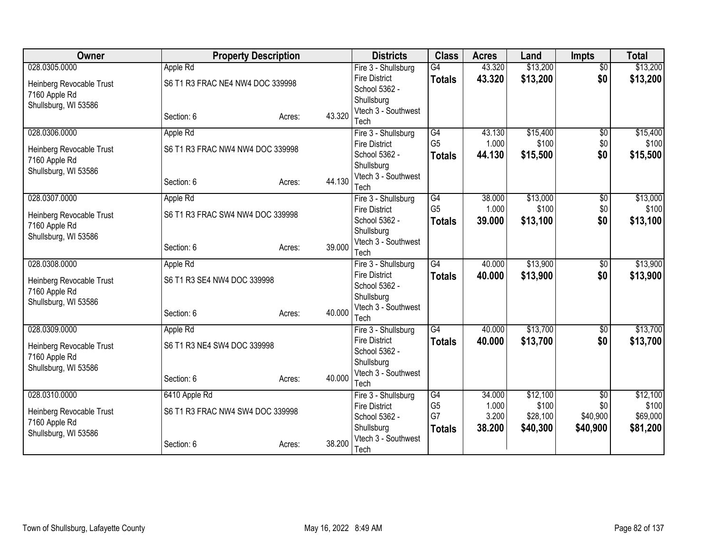| <b>Owner</b>                              | <b>Property Description</b>      |                  | <b>Districts</b>                            | <b>Class</b>    | <b>Acres</b> | Land     | <b>Impts</b>    | <b>Total</b> |
|-------------------------------------------|----------------------------------|------------------|---------------------------------------------|-----------------|--------------|----------|-----------------|--------------|
| 028.0305.0000                             | Apple Rd                         |                  | Fire 3 - Shullsburg                         | $\overline{G4}$ | 43.320       | \$13,200 | $\overline{50}$ | \$13,200     |
| Heinberg Revocable Trust                  | S6 T1 R3 FRAC NE4 NW4 DOC 339998 |                  | <b>Fire District</b>                        | <b>Totals</b>   | 43.320       | \$13,200 | \$0             | \$13,200     |
| 7160 Apple Rd                             |                                  |                  | School 5362 -                               |                 |              |          |                 |              |
| Shullsburg, WI 53586                      |                                  |                  | Shullsburg                                  |                 |              |          |                 |              |
|                                           | Section: 6                       | 43.320<br>Acres: | Vtech 3 - Southwest                         |                 |              |          |                 |              |
| 028.0306.0000                             |                                  |                  | Tech                                        | $\overline{G4}$ | 43.130       | \$15,400 | $\overline{50}$ | \$15,400     |
|                                           | Apple Rd                         |                  | Fire 3 - Shullsburg<br><b>Fire District</b> | G <sub>5</sub>  | 1.000        | \$100    | \$0             | \$100        |
| Heinberg Revocable Trust                  | S6 T1 R3 FRAC NW4 NW4 DOC 339998 |                  | School 5362 -                               | <b>Totals</b>   | 44.130       | \$15,500 | \$0             | \$15,500     |
| 7160 Apple Rd                             |                                  |                  | Shullsburg                                  |                 |              |          |                 |              |
| Shullsburg, WI 53586                      |                                  |                  | Vtech 3 - Southwest                         |                 |              |          |                 |              |
|                                           | Section: 6                       | 44.130<br>Acres: | Tech                                        |                 |              |          |                 |              |
| 028.0307.0000                             | Apple Rd                         |                  | Fire 3 - Shullsburg                         | $\overline{G4}$ | 38.000       | \$13,000 | $\overline{50}$ | \$13,000     |
|                                           |                                  |                  | <b>Fire District</b>                        | G <sub>5</sub>  | 1.000        | \$100    | \$0             | \$100        |
| Heinberg Revocable Trust<br>7160 Apple Rd | S6 T1 R3 FRAC SW4 NW4 DOC 339998 |                  | School 5362 -                               | <b>Totals</b>   | 39.000       | \$13,100 | \$0             | \$13,100     |
| Shullsburg, WI 53586                      |                                  |                  | Shullsburg                                  |                 |              |          |                 |              |
|                                           | Section: 6                       | 39.000<br>Acres: | Vtech 3 - Southwest                         |                 |              |          |                 |              |
|                                           |                                  |                  | Tech                                        |                 |              |          |                 |              |
| 028.0308.0000                             | Apple Rd                         |                  | Fire 3 - Shullsburg                         | G4              | 40.000       | \$13,900 | $\sqrt{$0}$     | \$13,900     |
| Heinberg Revocable Trust                  | S6 T1 R3 SE4 NW4 DOC 339998      |                  | <b>Fire District</b>                        | <b>Totals</b>   | 40.000       | \$13,900 | \$0             | \$13,900     |
| 7160 Apple Rd                             |                                  |                  | School 5362 -                               |                 |              |          |                 |              |
| Shullsburg, WI 53586                      |                                  |                  | Shullsburg<br>Vtech 3 - Southwest           |                 |              |          |                 |              |
|                                           | Section: 6                       | 40.000<br>Acres: | Tech                                        |                 |              |          |                 |              |
| 028.0309.0000                             | Apple Rd                         |                  | Fire 3 - Shullsburg                         | $\overline{G4}$ | 40.000       | \$13,700 | $\sqrt{6}$      | \$13,700     |
|                                           |                                  |                  | <b>Fire District</b>                        | <b>Totals</b>   | 40.000       | \$13,700 | \$0             | \$13,700     |
| Heinberg Revocable Trust                  | S6 T1 R3 NE4 SW4 DOC 339998      |                  | School 5362 -                               |                 |              |          |                 |              |
| 7160 Apple Rd                             |                                  |                  | Shullsburg                                  |                 |              |          |                 |              |
| Shullsburg, WI 53586                      |                                  | 40.000           | Vtech 3 - Southwest                         |                 |              |          |                 |              |
|                                           | Section: 6                       | Acres:           | Tech                                        |                 |              |          |                 |              |
| 028.0310.0000                             | 6410 Apple Rd                    |                  | Fire 3 - Shullsburg                         | G4              | 34.000       | \$12,100 | $\overline{50}$ | \$12,100     |
| Heinberg Revocable Trust                  | S6 T1 R3 FRAC NW4 SW4 DOC 339998 |                  | <b>Fire District</b>                        | G <sub>5</sub>  | 1.000        | \$100    | \$0             | \$100        |
| 7160 Apple Rd                             |                                  |                  | School 5362 -                               | G7              | 3.200        | \$28,100 | \$40,900        | \$69,000     |
| Shullsburg, WI 53586                      |                                  |                  | Shullsburg                                  | <b>Totals</b>   | 38.200       | \$40,300 | \$40,900        | \$81,200     |
|                                           | Section: 6                       | 38.200<br>Acres: | Vtech 3 - Southwest                         |                 |              |          |                 |              |
|                                           |                                  |                  | Tech                                        |                 |              |          |                 |              |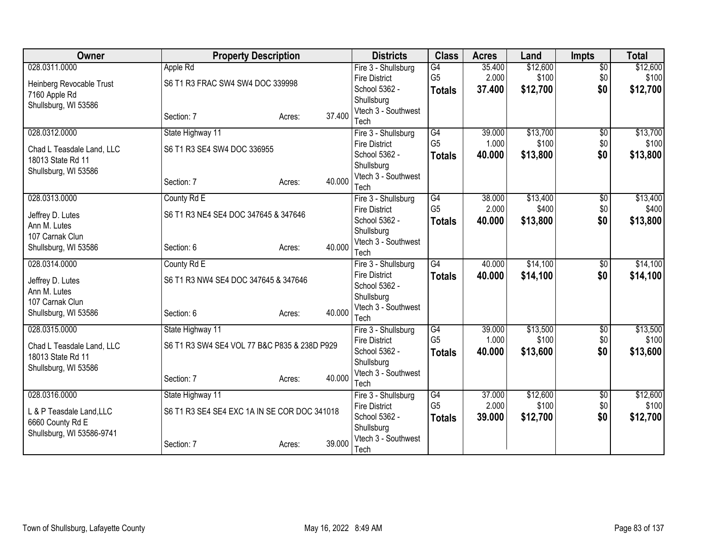| Owner                                          | <b>Property Description</b>                  |                  | <b>Districts</b>                      | <b>Class</b>         | <b>Acres</b>    | Land              | <b>Impts</b>           | <b>Total</b> |
|------------------------------------------------|----------------------------------------------|------------------|---------------------------------------|----------------------|-----------------|-------------------|------------------------|--------------|
| 028.0311.0000                                  | Apple Rd                                     |                  | Fire 3 - Shullsburg                   | G4                   | 35.400          | \$12,600          | $\overline{50}$        | \$12,600     |
| Heinberg Revocable Trust                       | S6 T1 R3 FRAC SW4 SW4 DOC 339998             |                  | <b>Fire District</b>                  | G <sub>5</sub>       | 2.000           | \$100             | \$0                    | \$100        |
| 7160 Apple Rd                                  |                                              |                  | School 5362 -                         | <b>Totals</b>        | 37.400          | \$12,700          | \$0                    | \$12,700     |
| Shullsburg, WI 53586                           |                                              |                  | Shullsburg                            |                      |                 |                   |                        |              |
|                                                | Section: 7                                   | 37.400<br>Acres: | Vtech 3 - Southwest<br>Tech           |                      |                 |                   |                        |              |
| 028.0312.0000                                  | State Highway 11                             |                  | Fire 3 - Shullsburg                   | G4                   | 39.000          | \$13,700          | $\overline{50}$        | \$13,700     |
|                                                | S6 T1 R3 SE4 SW4 DOC 336955                  |                  | <b>Fire District</b>                  | G <sub>5</sub>       | 1.000           | \$100             | \$0                    | \$100        |
| Chad L Teasdale Land, LLC<br>18013 State Rd 11 |                                              |                  | School 5362 -                         | <b>Totals</b>        | 40.000          | \$13,800          | \$0                    | \$13,800     |
| Shullsburg, WI 53586                           |                                              |                  | Shullsburg                            |                      |                 |                   |                        |              |
|                                                | Section: 7                                   | 40.000<br>Acres: | Vtech 3 - Southwest                   |                      |                 |                   |                        |              |
|                                                |                                              |                  | Tech                                  |                      |                 |                   |                        |              |
| 028.0313.0000                                  | County Rd E                                  |                  | Fire 3 - Shullsburg                   | G4                   | 38.000          | \$13,400          | \$0                    | \$13,400     |
| Jeffrey D. Lutes                               | S6 T1 R3 NE4 SE4 DOC 347645 & 347646         |                  | <b>Fire District</b>                  | G <sub>5</sub>       | 2.000           | \$400             | \$0                    | \$400        |
| Ann M. Lutes                                   |                                              |                  | School 5362 -<br>Shullsburg           | <b>Totals</b>        | 40.000          | \$13,800          | \$0                    | \$13,800     |
| 107 Carnak Clun                                |                                              |                  | Vtech 3 - Southwest                   |                      |                 |                   |                        |              |
| Shullsburg, WI 53586                           | Section: 6                                   | 40.000<br>Acres: | Tech                                  |                      |                 |                   |                        |              |
| 028.0314.0000                                  | County Rd E                                  |                  | Fire 3 - Shullsburg                   | G4                   | 40.000          | \$14,100          | \$0                    | \$14,100     |
| Jeffrey D. Lutes                               | S6 T1 R3 NW4 SE4 DOC 347645 & 347646         |                  | <b>Fire District</b>                  | <b>Totals</b>        | 40.000          | \$14,100          | \$0                    | \$14,100     |
| Ann M. Lutes                                   |                                              |                  | School 5362 -                         |                      |                 |                   |                        |              |
| 107 Carnak Clun                                |                                              |                  | Shullsburg                            |                      |                 |                   |                        |              |
| Shullsburg, WI 53586                           | Section: 6                                   | 40.000<br>Acres: | Vtech 3 - Southwest                   |                      |                 |                   |                        |              |
|                                                |                                              |                  | Tech                                  |                      |                 |                   |                        |              |
| 028.0315.0000                                  | State Highway 11                             |                  | Fire 3 - Shullsburg                   | G4<br>G <sub>5</sub> | 39.000<br>1.000 | \$13,500<br>\$100 | $\overline{60}$<br>\$0 | \$13,500     |
| Chad L Teasdale Land, LLC                      | S6 T1 R3 SW4 SE4 VOL 77 B&C P835 & 238D P929 |                  | <b>Fire District</b><br>School 5362 - |                      | 40.000          |                   | \$0                    | \$100        |
| 18013 State Rd 11                              |                                              |                  | Shullsburg                            | <b>Totals</b>        |                 | \$13,600          |                        | \$13,600     |
| Shullsburg, WI 53586                           |                                              |                  | Vtech 3 - Southwest                   |                      |                 |                   |                        |              |
|                                                | Section: 7                                   | 40.000<br>Acres: | Tech                                  |                      |                 |                   |                        |              |
| 028.0316.0000                                  | State Highway 11                             |                  | Fire 3 - Shullsburg                   | G4                   | 37.000          | \$12,600          | \$0                    | \$12,600     |
| L & P Teasdale Land, LLC                       | S6 T1 R3 SE4 SE4 EXC 1A IN SE COR DOC 341018 |                  | <b>Fire District</b>                  | G <sub>5</sub>       | 2.000           | \$100             | \$0                    | \$100        |
| 6660 County Rd E                               |                                              |                  | School 5362 -                         | <b>Totals</b>        | 39.000          | \$12,700          | \$0                    | \$12,700     |
| Shullsburg, WI 53586-9741                      |                                              |                  | Shullsburg                            |                      |                 |                   |                        |              |
|                                                | Section: 7                                   | 39,000<br>Acres: | Vtech 3 - Southwest                   |                      |                 |                   |                        |              |
|                                                |                                              |                  | Tech                                  |                      |                 |                   |                        |              |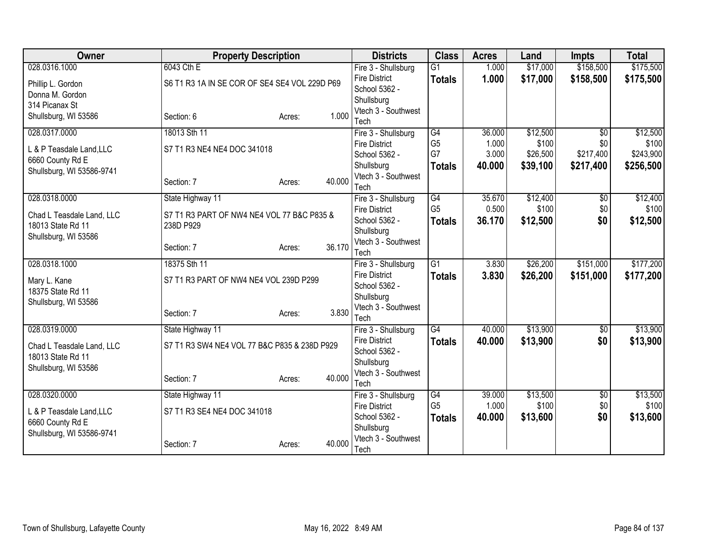| Owner                                         | <b>Property Description</b>                   |                  | <b>Districts</b>                      | <b>Class</b>    | <b>Acres</b> | Land     | <b>Impts</b>    | <b>Total</b> |
|-----------------------------------------------|-----------------------------------------------|------------------|---------------------------------------|-----------------|--------------|----------|-----------------|--------------|
| 028.0316.1000                                 | 6043 Cth E                                    |                  | Fire 3 - Shullsburg                   | $\overline{G1}$ | 1.000        | \$17,000 | \$158,500       | \$175,500    |
| Phillip L. Gordon                             | S6 T1 R3 1A IN SE COR OF SE4 SE4 VOL 229D P69 |                  | <b>Fire District</b>                  | <b>Totals</b>   | 1.000        | \$17,000 | \$158,500       | \$175,500    |
| Donna M. Gordon                               |                                               |                  | School 5362 -                         |                 |              |          |                 |              |
| 314 Picanax St                                |                                               |                  | Shullsburg                            |                 |              |          |                 |              |
| Shullsburg, WI 53586                          | Section: 6                                    | 1.000<br>Acres:  | Vtech 3 - Southwest<br>Tech           |                 |              |          |                 |              |
| 028.0317.0000                                 | 18013 Sth 11                                  |                  | Fire 3 - Shullsburg                   | G4              | 36.000       | \$12,500 | $\overline{50}$ | \$12,500     |
|                                               |                                               |                  | <b>Fire District</b>                  | G <sub>5</sub>  | 1.000        | \$100    | \$0             | \$100        |
| L & P Teasdale Land, LLC                      | S7 T1 R3 NE4 NE4 DOC 341018                   |                  | School 5362 -                         | G7              | 3.000        | \$26,500 | \$217,400       | \$243,900    |
| 6660 County Rd E<br>Shullsburg, WI 53586-9741 |                                               |                  | Shullsburg                            | <b>Totals</b>   | 40.000       | \$39,100 | \$217,400       | \$256,500    |
|                                               | Section: 7                                    | 40.000<br>Acres: | Vtech 3 - Southwest                   |                 |              |          |                 |              |
|                                               |                                               |                  | Tech                                  |                 |              |          |                 |              |
| 028.0318.0000                                 | State Highway 11                              |                  | Fire 3 - Shullsburg                   | G4              | 35.670       | \$12,400 | \$0             | \$12,400     |
| Chad L Teasdale Land, LLC                     | S7 T1 R3 PART OF NW4 NE4 VOL 77 B&C P835 &    |                  | <b>Fire District</b>                  | G <sub>5</sub>  | 0.500        | \$100    | \$0             | \$100        |
| 18013 State Rd 11                             | 238D P929                                     |                  | School 5362 -                         | <b>Totals</b>   | 36.170       | \$12,500 | \$0             | \$12,500     |
| Shullsburg, WI 53586                          |                                               |                  | Shullsburg<br>Vtech 3 - Southwest     |                 |              |          |                 |              |
|                                               | Section: 7                                    | 36.170<br>Acres: | Tech                                  |                 |              |          |                 |              |
| 028.0318.1000                                 | 18375 Sth 11                                  |                  | Fire 3 - Shullsburg                   | $\overline{G1}$ | 3.830        | \$26,200 | \$151,000       | \$177,200    |
| Mary L. Kane                                  | S7 T1 R3 PART OF NW4 NE4 VOL 239D P299        |                  | <b>Fire District</b>                  | <b>Totals</b>   | 3.830        | \$26,200 | \$151,000       | \$177,200    |
| 18375 State Rd 11                             |                                               |                  | School 5362 -                         |                 |              |          |                 |              |
| Shullsburg, WI 53586                          |                                               |                  | Shullsburg                            |                 |              |          |                 |              |
|                                               | Section: 7                                    | 3.830<br>Acres:  | Vtech 3 - Southwest                   |                 |              |          |                 |              |
|                                               |                                               |                  | Tech                                  |                 |              |          |                 |              |
| 028.0319.0000                                 | State Highway 11                              |                  | Fire 3 - Shullsburg                   | $\overline{G4}$ | 40.000       | \$13,900 | $\sqrt{$0}$     | \$13,900     |
| Chad L Teasdale Land, LLC                     | S7 T1 R3 SW4 NE4 VOL 77 B&C P835 & 238D P929  |                  | <b>Fire District</b><br>School 5362 - | <b>Totals</b>   | 40.000       | \$13,900 | \$0             | \$13,900     |
| 18013 State Rd 11                             |                                               |                  | Shullsburg                            |                 |              |          |                 |              |
| Shullsburg, WI 53586                          |                                               |                  | Vtech 3 - Southwest                   |                 |              |          |                 |              |
|                                               | Section: 7                                    | 40.000<br>Acres: | Tech                                  |                 |              |          |                 |              |
| 028.0320.0000                                 | State Highway 11                              |                  | Fire 3 - Shullsburg                   | G4              | 39.000       | \$13,500 | \$0             | \$13,500     |
| L & P Teasdale Land, LLC                      | S7 T1 R3 SE4 NE4 DOC 341018                   |                  | <b>Fire District</b>                  | G <sub>5</sub>  | 1.000        | \$100    | \$0             | \$100        |
| 6660 County Rd E                              |                                               |                  | School 5362 -                         | <b>Totals</b>   | 40.000       | \$13,600 | \$0             | \$13,600     |
| Shullsburg, WI 53586-9741                     |                                               |                  | Shullsburg                            |                 |              |          |                 |              |
|                                               | Section: 7                                    | 40.000<br>Acres: | Vtech 3 - Southwest                   |                 |              |          |                 |              |
|                                               |                                               |                  | Tech                                  |                 |              |          |                 |              |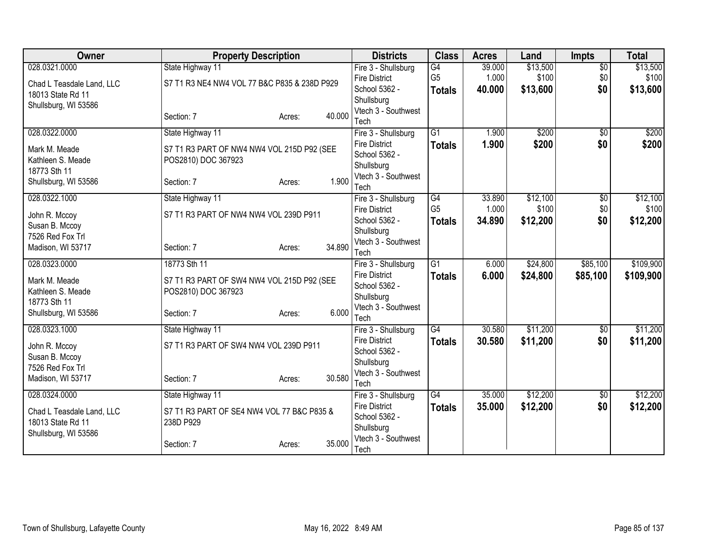| Owner                     | <b>Property Description</b>                  |        |        | <b>Districts</b>                            | <b>Class</b>    | <b>Acres</b> | Land     | <b>Impts</b>    | <b>Total</b> |
|---------------------------|----------------------------------------------|--------|--------|---------------------------------------------|-----------------|--------------|----------|-----------------|--------------|
| 028.0321.0000             | State Highway 11                             |        |        | Fire 3 - Shullsburg                         | G4              | 39.000       | \$13,500 | $\overline{50}$ | \$13,500     |
| Chad L Teasdale Land, LLC | S7 T1 R3 NE4 NW4 VOL 77 B&C P835 & 238D P929 |        |        | <b>Fire District</b>                        | G <sub>5</sub>  | 1.000        | \$100    | \$0             | \$100        |
| 18013 State Rd 11         |                                              |        |        | School 5362 -                               | <b>Totals</b>   | 40.000       | \$13,600 | \$0             | \$13,600     |
| Shullsburg, WI 53586      |                                              |        |        | Shullsburg                                  |                 |              |          |                 |              |
|                           | Section: 7                                   | Acres: | 40.000 | Vtech 3 - Southwest<br>Tech                 |                 |              |          |                 |              |
| 028.0322.0000             | State Highway 11                             |        |        | Fire 3 - Shullsburg                         | $\overline{G1}$ | 1.900        | \$200    | $\overline{50}$ | \$200        |
|                           |                                              |        |        | <b>Fire District</b>                        | <b>Totals</b>   | 1.900        | \$200    | \$0             | \$200        |
| Mark M. Meade             | S7 T1 R3 PART OF NW4 NW4 VOL 215D P92 (SEE   |        |        | School 5362 -                               |                 |              |          |                 |              |
| Kathleen S. Meade         | POS2810) DOC 367923                          |        |        | Shullsburg                                  |                 |              |          |                 |              |
| 18773 Sth 11              |                                              |        |        | Vtech 3 - Southwest                         |                 |              |          |                 |              |
| Shullsburg, WI 53586      | Section: 7                                   | Acres: | 1.900  | Tech                                        |                 |              |          |                 |              |
| 028.0322.1000             | State Highway 11                             |        |        | Fire 3 - Shullsburg                         | G4              | 33.890       | \$12,100 | \$0             | \$12,100     |
| John R. Mccoy             | S7 T1 R3 PART OF NW4 NW4 VOL 239D P911       |        |        | <b>Fire District</b>                        | G <sub>5</sub>  | 1.000        | \$100    | \$0             | \$100        |
| Susan B. Mccoy            |                                              |        |        | School 5362 -                               | <b>Totals</b>   | 34.890       | \$12,200 | \$0             | \$12,200     |
| 7526 Red Fox Trl          |                                              |        |        | Shullsburg                                  |                 |              |          |                 |              |
| Madison, WI 53717         | Section: 7                                   | Acres: | 34.890 | Vtech 3 - Southwest<br>Tech                 |                 |              |          |                 |              |
| 028.0323.0000             | 18773 Sth 11                                 |        |        | Fire 3 - Shullsburg                         | $\overline{G1}$ | 6.000        | \$24,800 | \$85,100        | \$109,900    |
|                           |                                              |        |        | <b>Fire District</b>                        | <b>Totals</b>   | 6.000        | \$24,800 | \$85,100        | \$109,900    |
| Mark M. Meade             | S7 T1 R3 PART OF SW4 NW4 VOL 215D P92 (SEE   |        |        | School 5362 -                               |                 |              |          |                 |              |
| Kathleen S. Meade         | POS2810) DOC 367923                          |        |        | Shullsburg                                  |                 |              |          |                 |              |
| 18773 Sth 11              |                                              |        |        | Vtech 3 - Southwest                         |                 |              |          |                 |              |
| Shullsburg, WI 53586      | Section: 7                                   | Acres: | 6.000  | Tech                                        |                 |              |          |                 |              |
| 028.0323.1000             | State Highway 11                             |        |        | Fire 3 - Shullsburg                         | $\overline{G4}$ | 30.580       | \$11,200 | $\overline{50}$ | \$11,200     |
| John R. Mccoy             | S7 T1 R3 PART OF SW4 NW4 VOL 239D P911       |        |        | <b>Fire District</b>                        | <b>Totals</b>   | 30.580       | \$11,200 | \$0             | \$11,200     |
| Susan B. Mccoy            |                                              |        |        | School 5362 -                               |                 |              |          |                 |              |
| 7526 Red Fox Trl          |                                              |        |        | Shullsburg                                  |                 |              |          |                 |              |
| Madison, WI 53717         | Section: 7                                   | Acres: | 30.580 | Vtech 3 - Southwest                         |                 |              |          |                 |              |
| 028.0324.0000             |                                              |        |        | Tech                                        | $\overline{G4}$ | 35.000       | \$12,200 |                 | \$12,200     |
|                           | State Highway 11                             |        |        | Fire 3 - Shullsburg<br><b>Fire District</b> |                 | 35.000       | \$12,200 | \$0<br>\$0      |              |
| Chad L Teasdale Land, LLC | S7 T1 R3 PART OF SE4 NW4 VOL 77 B&C P835 &   |        |        | School 5362 -                               | <b>Totals</b>   |              |          |                 | \$12,200     |
| 18013 State Rd 11         | 238D P929                                    |        |        | Shullsburg                                  |                 |              |          |                 |              |
| Shullsburg, WI 53586      |                                              |        |        | Vtech 3 - Southwest                         |                 |              |          |                 |              |
|                           | Section: 7                                   | Acres: | 35.000 | Tech                                        |                 |              |          |                 |              |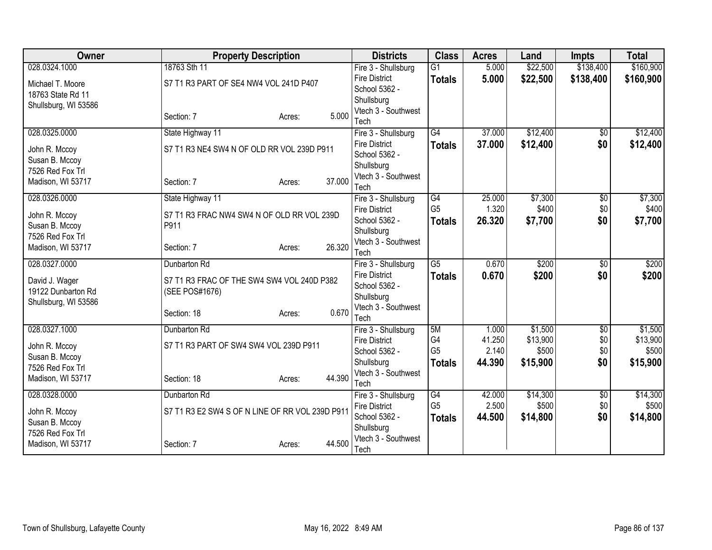| Owner                | <b>Property Description</b>                     |                  | <b>Districts</b>                     | <b>Class</b>    | <b>Acres</b> | Land     | <b>Impts</b>    | <b>Total</b> |
|----------------------|-------------------------------------------------|------------------|--------------------------------------|-----------------|--------------|----------|-----------------|--------------|
| 028.0324.1000        | 18763 Sth 11                                    |                  | Fire 3 - Shullsburg                  | $\overline{G1}$ | 5.000        | \$22,500 | \$138,400       | \$160,900    |
| Michael T. Moore     | S7 T1 R3 PART OF SE4 NW4 VOL 241D P407          |                  | <b>Fire District</b>                 | <b>Totals</b>   | 5.000        | \$22,500 | \$138,400       | \$160,900    |
| 18763 State Rd 11    |                                                 |                  | School 5362 -                        |                 |              |          |                 |              |
| Shullsburg, WI 53586 |                                                 |                  | Shullsburg<br>Vtech 3 - Southwest    |                 |              |          |                 |              |
|                      | Section: 7                                      | Acres:           | 5.000<br>Tech                        |                 |              |          |                 |              |
| 028.0325.0000        | State Highway 11                                |                  | Fire 3 - Shullsburg                  | $\overline{G4}$ | 37.000       | \$12,400 | $\overline{50}$ | \$12,400     |
| John R. Mccoy        | S7 T1 R3 NE4 SW4 N OF OLD RR VOL 239D P911      |                  | <b>Fire District</b>                 | <b>Totals</b>   | 37.000       | \$12,400 | \$0             | \$12,400     |
| Susan B. Mccoy       |                                                 |                  | School 5362 -                        |                 |              |          |                 |              |
| 7526 Red Fox Trl     |                                                 |                  | Shullsburg                           |                 |              |          |                 |              |
| Madison, WI 53717    | Section: 7                                      | 37,000<br>Acres: | Vtech 3 - Southwest<br>Tech          |                 |              |          |                 |              |
| 028.0326.0000        | State Highway 11                                |                  | Fire 3 - Shullsburg                  | G4              | 25.000       | \$7,300  | \$0             | \$7,300      |
|                      |                                                 |                  | <b>Fire District</b>                 | G <sub>5</sub>  | 1.320        | \$400    | \$0             | \$400        |
| John R. Mccoy        | S7 T1 R3 FRAC NW4 SW4 N OF OLD RR VOL 239D      |                  | School 5362 -                        | <b>Totals</b>   | 26.320       | \$7,700  | \$0             | \$7,700      |
| Susan B. Mccoy       | P911                                            |                  | Shullsburg                           |                 |              |          |                 |              |
| 7526 Red Fox Trl     |                                                 |                  | Vtech 3 - Southwest                  |                 |              |          |                 |              |
| Madison, WI 53717    | Section: 7                                      | 26.320<br>Acres: | Tech                                 |                 |              |          |                 |              |
| 028.0327.0000        | Dunbarton Rd                                    |                  | Fire 3 - Shullsburg                  | $\overline{G5}$ | 0.670        | \$200    | \$0             | \$200        |
| David J. Wager       | S7 T1 R3 FRAC OF THE SW4 SW4 VOL 240D P382      |                  | <b>Fire District</b>                 | <b>Totals</b>   | 0.670        | \$200    | \$0             | \$200        |
| 19122 Dunbarton Rd   | (SEE POS#1676)                                  |                  | School 5362 -                        |                 |              |          |                 |              |
| Shullsburg, WI 53586 |                                                 |                  | Shullsburg                           |                 |              |          |                 |              |
|                      | Section: 18                                     | Acres:           | Vtech 3 - Southwest<br>0.670<br>Tech |                 |              |          |                 |              |
| 028.0327.1000        | Dunbarton Rd                                    |                  | Fire 3 - Shullsburg                  | 5M              | 1.000        | \$1,500  | $\overline{60}$ | \$1,500      |
|                      |                                                 |                  | <b>Fire District</b>                 | G4              | 41.250       | \$13,900 | \$0             | \$13,900     |
| John R. Mccoy        | S7 T1 R3 PART OF SW4 SW4 VOL 239D P911          |                  | School 5362 -                        | G <sub>5</sub>  | 2.140        | \$500    | \$0             | \$500        |
| Susan B. Mccoy       |                                                 |                  | Shullsburg                           | <b>Totals</b>   | 44.390       | \$15,900 | \$0             | \$15,900     |
| 7526 Red Fox Trl     |                                                 |                  | Vtech 3 - Southwest                  |                 |              |          |                 |              |
| Madison, WI 53717    | Section: 18                                     | 44.390<br>Acres: | Tech                                 |                 |              |          |                 |              |
| 028.0328.0000        | Dunbarton Rd                                    |                  | Fire 3 - Shullsburg                  | G4              | 42.000       | \$14,300 | \$0             | \$14,300     |
| John R. Mccoy        | S7 T1 R3 E2 SW4 S OF N LINE OF RR VOL 239D P911 |                  | <b>Fire District</b>                 | G <sub>5</sub>  | 2.500        | \$500    | \$0             | \$500        |
| Susan B. Mccoy       |                                                 |                  | School 5362 -                        | <b>Totals</b>   | 44.500       | \$14,800 | \$0             | \$14,800     |
| 7526 Red Fox Trl     |                                                 |                  | Shullsburg                           |                 |              |          |                 |              |
| Madison, WI 53717    | Section: 7                                      | 44.500<br>Acres: | Vtech 3 - Southwest<br>Tech          |                 |              |          |                 |              |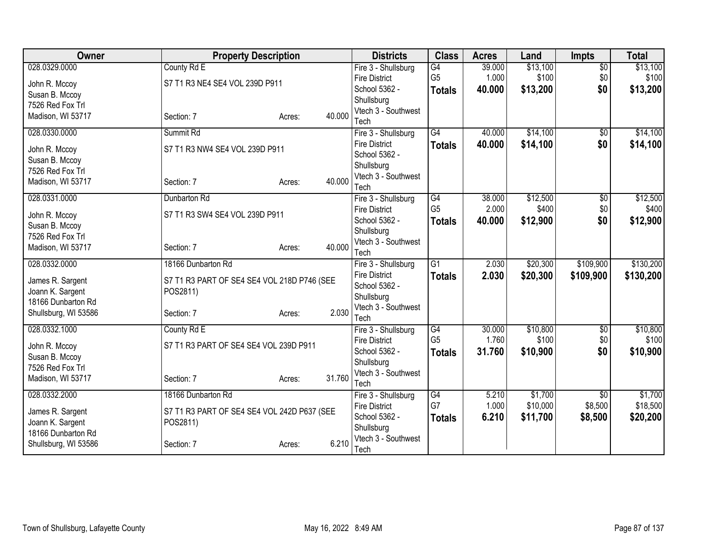| <b>Owner</b>                    | <b>Property Description</b>                 |                  | <b>Districts</b>                            | <b>Class</b>    | <b>Acres</b> | Land     | <b>Impts</b>           | <b>Total</b> |
|---------------------------------|---------------------------------------------|------------------|---------------------------------------------|-----------------|--------------|----------|------------------------|--------------|
| 028.0329.0000                   | County Rd E                                 |                  | Fire 3 - Shullsburg                         | G4              | 39.000       | \$13,100 | $\overline{50}$        | \$13,100     |
| John R. Mccoy                   | S7 T1 R3 NE4 SE4 VOL 239D P911              |                  | <b>Fire District</b>                        | G <sub>5</sub>  | 1.000        | \$100    | \$0                    | \$100        |
| Susan B. Mccoy                  |                                             |                  | School 5362 -                               | <b>Totals</b>   | 40.000       | \$13,200 | \$0                    | \$13,200     |
| 7526 Red Fox Trl                |                                             |                  | Shullsburg                                  |                 |              |          |                        |              |
| Madison, WI 53717               | Section: 7                                  | 40.000<br>Acres: | Vtech 3 - Southwest                         |                 |              |          |                        |              |
| 028.0330.0000                   | Summit Rd                                   |                  | Tech                                        | $\overline{G4}$ | 40.000       | \$14,100 |                        | \$14,100     |
|                                 |                                             |                  | Fire 3 - Shullsburg<br><b>Fire District</b> |                 | 40.000       | \$14,100 | $\overline{50}$<br>\$0 | \$14,100     |
| John R. Mccoy                   | S7 T1 R3 NW4 SE4 VOL 239D P911              |                  | School 5362 -                               | <b>Totals</b>   |              |          |                        |              |
| Susan B. Mccoy                  |                                             |                  | Shullsburg                                  |                 |              |          |                        |              |
| 7526 Red Fox Trl                |                                             |                  | Vtech 3 - Southwest                         |                 |              |          |                        |              |
| Madison, WI 53717               | Section: 7                                  | 40.000<br>Acres: | Tech                                        |                 |              |          |                        |              |
| 028.0331.0000                   | Dunbarton Rd                                |                  | Fire 3 - Shullsburg                         | G4              | 38.000       | \$12,500 | $\overline{50}$        | \$12,500     |
|                                 | S7 T1 R3 SW4 SE4 VOL 239D P911              |                  | <b>Fire District</b>                        | G <sub>5</sub>  | 2.000        | \$400    | \$0                    | \$400        |
| John R. Mccoy<br>Susan B. Mccoy |                                             |                  | School 5362 -                               | <b>Totals</b>   | 40.000       | \$12,900 | \$0                    | \$12,900     |
| 7526 Red Fox Trl                |                                             |                  | Shullsburg                                  |                 |              |          |                        |              |
| Madison, WI 53717               | Section: 7                                  | 40.000<br>Acres: | Vtech 3 - Southwest                         |                 |              |          |                        |              |
|                                 |                                             |                  | Tech                                        |                 |              |          |                        |              |
| 028.0332.0000                   | 18166 Dunbarton Rd                          |                  | Fire 3 - Shullsburg                         | $\overline{G1}$ | 2.030        | \$20,300 | \$109,900              | \$130,200    |
| James R. Sargent                | S7 T1 R3 PART OF SE4 SE4 VOL 218D P746 (SEE |                  | <b>Fire District</b>                        | Totals          | 2.030        | \$20,300 | \$109,900              | \$130,200    |
| Joann K. Sargent                | POS2811)                                    |                  | School 5362 -                               |                 |              |          |                        |              |
| 18166 Dunbarton Rd              |                                             |                  | Shullsburg                                  |                 |              |          |                        |              |
| Shullsburg, WI 53586            | Section: 7                                  | 2.030<br>Acres:  | Vtech 3 - Southwest<br>Tech                 |                 |              |          |                        |              |
| 028.0332.1000                   | County Rd E                                 |                  | Fire 3 - Shullsburg                         | $\overline{G4}$ | 30.000       | \$10,800 | $\overline{50}$        | \$10,800     |
|                                 |                                             |                  | <b>Fire District</b>                        | G <sub>5</sub>  | 1.760        | \$100    | \$0                    | \$100        |
| John R. Mccoy                   | S7 T1 R3 PART OF SE4 SE4 VOL 239D P911      |                  | School 5362 -                               | <b>Totals</b>   | 31.760       | \$10,900 | \$0                    | \$10,900     |
| Susan B. Mccoy                  |                                             |                  | Shullsburg                                  |                 |              |          |                        |              |
| 7526 Red Fox Trl                |                                             |                  | Vtech 3 - Southwest                         |                 |              |          |                        |              |
| Madison, WI 53717               | Section: 7                                  | 31.760<br>Acres: | Tech                                        |                 |              |          |                        |              |
| 028.0332.2000                   | 18166 Dunbarton Rd                          |                  | Fire 3 - Shullsburg                         | G4              | 5.210        | \$1,700  | \$0                    | \$1,700      |
| James R. Sargent                | S7 T1 R3 PART OF SE4 SE4 VOL 242D P637 (SEE |                  | <b>Fire District</b>                        | G7              | 1.000        | \$10,000 | \$8,500                | \$18,500     |
| Joann K. Sargent                | POS2811)                                    |                  | School 5362 -                               | <b>Totals</b>   | 6.210        | \$11,700 | \$8,500                | \$20,200     |
| 18166 Dunbarton Rd              |                                             |                  | Shullsburg                                  |                 |              |          |                        |              |
| Shullsburg, WI 53586            | Section: 7                                  | 6.210<br>Acres:  | Vtech 3 - Southwest                         |                 |              |          |                        |              |
|                                 |                                             |                  | Tech                                        |                 |              |          |                        |              |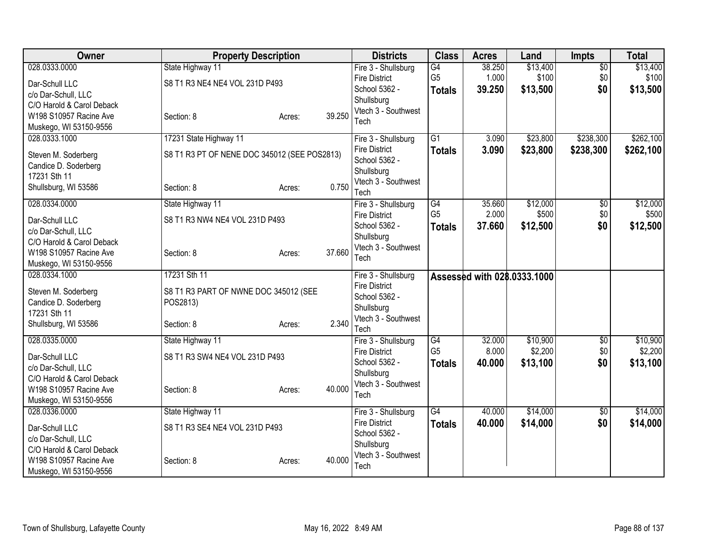| Owner                                                                                                                                   | <b>Property Description</b>                                                          |                  | <b>Districts</b>                                                                                          | <b>Class</b>                          | <b>Acres</b>              | Land                            | <b>Impts</b>                  | <b>Total</b>                    |
|-----------------------------------------------------------------------------------------------------------------------------------------|--------------------------------------------------------------------------------------|------------------|-----------------------------------------------------------------------------------------------------------|---------------------------------------|---------------------------|---------------------------------|-------------------------------|---------------------------------|
| 028.0333.0000<br>Dar-Schull LLC<br>c/o Dar-Schull, LLC<br>C/O Harold & Carol Deback<br>W198 S10957 Racine Ave<br>Muskego, WI 53150-9556 | State Highway 11<br>S8 T1 R3 NE4 NE4 VOL 231D P493<br>Section: 8                     | 39.250<br>Acres: | Fire 3 - Shullsburg<br><b>Fire District</b><br>School 5362 -<br>Shullsburg<br>Vtech 3 - Southwest<br>Tech | G4<br>G <sub>5</sub><br><b>Totals</b> | 38.250<br>1.000<br>39.250 | \$13,400<br>\$100<br>\$13,500   | $\overline{60}$<br>\$0<br>\$0 | \$13,400<br>\$100<br>\$13,500   |
| 028.0333.1000<br>Steven M. Soderberg<br>Candice D. Soderberg<br>17231 Sth 11<br>Shullsburg, WI 53586                                    | 17231 State Highway 11<br>S8 T1 R3 PT OF NENE DOC 345012 (SEE POS2813)<br>Section: 8 | 0.750<br>Acres:  | Fire 3 - Shullsburg<br><b>Fire District</b><br>School 5362 -<br>Shullsburg<br>Vtech 3 - Southwest<br>Tech | $\overline{G1}$<br><b>Totals</b>      | 3.090<br>3.090            | \$23,800<br>\$23,800            | \$238,300<br>\$238,300        | \$262,100<br>\$262,100          |
| 028.0334.0000<br>Dar-Schull LLC<br>c/o Dar-Schull, LLC<br>C/O Harold & Carol Deback<br>W198 S10957 Racine Ave<br>Muskego, WI 53150-9556 | State Highway 11<br>S8 T1 R3 NW4 NE4 VOL 231D P493<br>Section: 8                     | 37.660<br>Acres: | Fire 3 - Shullsburg<br><b>Fire District</b><br>School 5362 -<br>Shullsburg<br>Vtech 3 - Southwest<br>Tech | G4<br>G <sub>5</sub><br><b>Totals</b> | 35.660<br>2.000<br>37.660 | \$12,000<br>\$500<br>\$12,500   | $\sqrt{$0}$<br>\$0<br>\$0     | \$12,000<br>\$500<br>\$12,500   |
| 028.0334.1000<br>Steven M. Soderberg<br>Candice D. Soderberg<br>17231 Sth 11<br>Shullsburg, WI 53586                                    | 17231 Sth 11<br>S8 T1 R3 PART OF NWNE DOC 345012 (SEE<br>POS2813)<br>Section: 8      | 2.340<br>Acres:  | Fire 3 - Shullsburg<br><b>Fire District</b><br>School 5362 -<br>Shullsburg<br>Vtech 3 - Southwest<br>Tech |                                       |                           | Assessed with 028.0333.1000     |                               |                                 |
| 028.0335.0000<br>Dar-Schull LLC<br>c/o Dar-Schull, LLC<br>C/O Harold & Carol Deback<br>W198 S10957 Racine Ave<br>Muskego, WI 53150-9556 | State Highway 11<br>S8 T1 R3 SW4 NE4 VOL 231D P493<br>Section: 8                     | 40.000<br>Acres: | Fire 3 - Shullsburg<br><b>Fire District</b><br>School 5362 -<br>Shullsburg<br>Vtech 3 - Southwest<br>Tech | G4<br>G <sub>5</sub><br><b>Totals</b> | 32.000<br>8.000<br>40.000 | \$10,900<br>\$2,200<br>\$13,100 | $\overline{60}$<br>\$0<br>\$0 | \$10,900<br>\$2,200<br>\$13,100 |
| 028.0336.0000<br>Dar-Schull LLC<br>c/o Dar-Schull, LLC<br>C/O Harold & Carol Deback<br>W198 S10957 Racine Ave<br>Muskego, WI 53150-9556 | State Highway 11<br>S8 T1 R3 SE4 NE4 VOL 231D P493<br>Section: 8                     | 40.000<br>Acres: | Fire 3 - Shullsburg<br><b>Fire District</b><br>School 5362 -<br>Shullsburg<br>Vtech 3 - Southwest<br>Tech | $\overline{G4}$<br><b>Totals</b>      | 40.000<br>40.000          | \$14,000<br>\$14,000            | \$0<br>\$0                    | \$14,000<br>\$14,000            |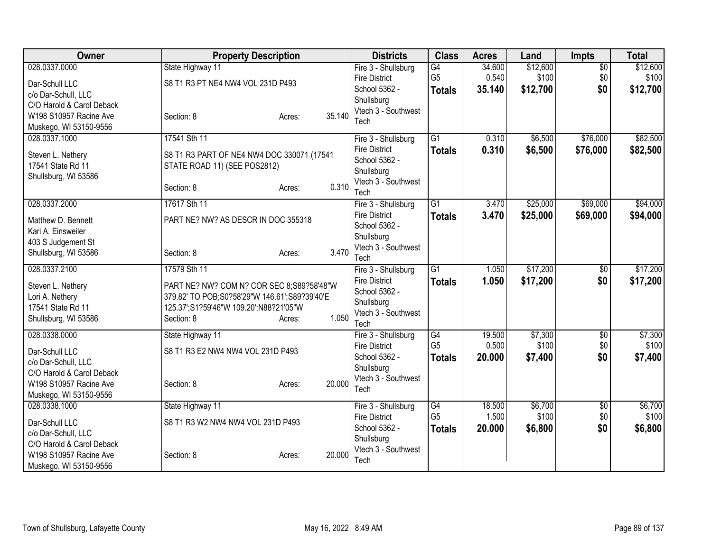| Owner                                                                                                                                   | <b>Property Description</b>                                                                                                                                                           | <b>Districts</b>                                                                                          | <b>Class</b>                          | <b>Acres</b>              | Land                          | <b>Impts</b>                  | <b>Total</b>                  |
|-----------------------------------------------------------------------------------------------------------------------------------------|---------------------------------------------------------------------------------------------------------------------------------------------------------------------------------------|-----------------------------------------------------------------------------------------------------------|---------------------------------------|---------------------------|-------------------------------|-------------------------------|-------------------------------|
| 028.0337.0000<br>Dar-Schull LLC<br>c/o Dar-Schull, LLC<br>C/O Harold & Carol Deback<br>W198 S10957 Racine Ave                           | State Highway 11<br>S8 T1 R3 PT NE4 NW4 VOL 231D P493<br>35.140<br>Section: 8<br>Acres:                                                                                               | Fire 3 - Shullsburg<br><b>Fire District</b><br>School 5362 -<br>Shullsburg<br>Vtech 3 - Southwest<br>Tech | G4<br>G <sub>5</sub><br><b>Totals</b> | 34.600<br>0.540<br>35.140 | \$12,600<br>\$100<br>\$12,700 | \$0<br>\$0<br>\$0             | \$12,600<br>\$100<br>\$12,700 |
| Muskego, WI 53150-9556<br>028.0337.1000<br>Steven L. Nethery<br>17541 State Rd 11<br>Shullsburg, WI 53586                               | 17541 Sth 11<br>S8 T1 R3 PART OF NE4 NW4 DOC 330071 (17541<br>STATE ROAD 11) (SEE POS2812)<br>0.310<br>Section: 8<br>Acres:                                                           | Fire 3 - Shullsburg<br><b>Fire District</b><br>School 5362 -<br>Shullsburg<br>Vtech 3 - Southwest<br>Tech | $\overline{G1}$<br><b>Totals</b>      | 0.310<br>0.310            | \$6,500<br>\$6,500            | \$76,000<br>\$76,000          | \$82,500<br>\$82,500          |
| 028.0337.2000<br>Matthew D. Bennett<br>Kari A. Einsweiler<br>403 S Judgement St<br>Shullsburg, WI 53586                                 | 17617 Sth 11<br>PART NE? NW? AS DESCR IN DOC 355318<br>3.470<br>Section: 8<br>Acres:                                                                                                  | Fire 3 - Shullsburg<br><b>Fire District</b><br>School 5362 -<br>Shullsburg<br>Vtech 3 - Southwest<br>Tech | $\overline{G1}$<br>Totals             | 3.470<br>3.470            | \$25,000<br>\$25,000          | \$69,000<br>\$69,000          | \$94,000<br>\$94,000          |
| 028.0337.2100<br>Steven L. Nethery<br>Lori A. Nethery<br>17541 State Rd 11<br>Shullsburg, WI 53586                                      | 17579 Sth 11<br>PART NE? NW? COM N? COR SEC 8;S89?58'48"W<br>379.82' TO POB;S0?58'29"W 146.61';S89?39'40'E<br>125.37";S1?59'46"W 109.20";N88?21'05"W<br>1.050<br>Section: 8<br>Acres: | Fire 3 - Shullsburg<br><b>Fire District</b><br>School 5362 -<br>Shullsburg<br>Vtech 3 - Southwest<br>Tech | $\overline{G1}$<br><b>Totals</b>      | 1.050<br>1.050            | \$17,200<br>\$17,200          | \$0<br>\$0                    | \$17,200<br>\$17,200          |
| 028.0338.0000<br>Dar-Schull LLC<br>c/o Dar-Schull, LLC<br>C/O Harold & Carol Deback<br>W198 S10957 Racine Ave<br>Muskego, WI 53150-9556 | State Highway 11<br>S8 T1 R3 E2 NW4 NW4 VOL 231D P493<br>20.000<br>Section: 8<br>Acres:                                                                                               | Fire 3 - Shullsburg<br><b>Fire District</b><br>School 5362 -<br>Shullsburg<br>Vtech 3 - Southwest<br>Tech | G4<br>G <sub>5</sub><br><b>Totals</b> | 19.500<br>0.500<br>20,000 | \$7,300<br>\$100<br>\$7,400   | $\overline{50}$<br>\$0<br>\$0 | \$7,300<br>\$100<br>\$7,400   |
| 028.0338.1000<br>Dar-Schull LLC<br>c/o Dar-Schull, LLC<br>C/O Harold & Carol Deback<br>W198 S10957 Racine Ave<br>Muskego, WI 53150-9556 | State Highway 11<br>S8 T1 R3 W2 NW4 NW4 VOL 231D P493<br>20.000<br>Section: 8<br>Acres:                                                                                               | Fire 3 - Shullsburg<br><b>Fire District</b><br>School 5362 -<br>Shullsburg<br>Vtech 3 - Southwest<br>Tech | G4<br>G <sub>5</sub><br><b>Totals</b> | 18.500<br>1.500<br>20.000 | \$6,700<br>\$100<br>\$6,800   | \$0<br>\$0<br>\$0             | \$6,700<br>\$100<br>\$6,800   |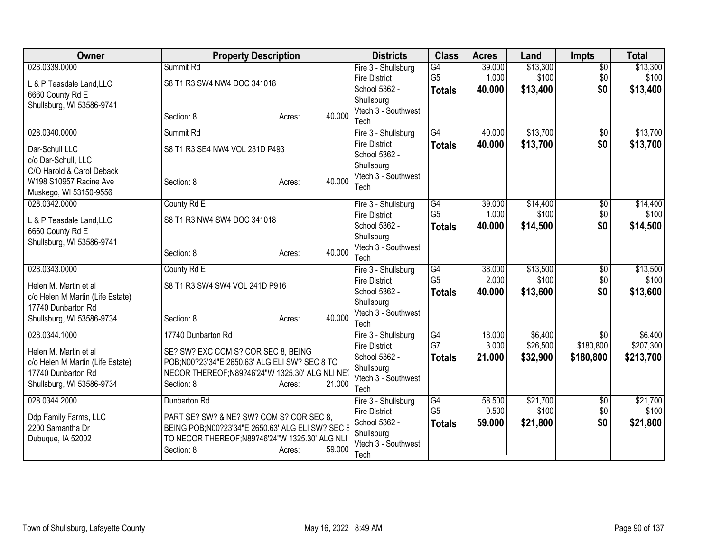| Owner                                            | <b>Property Description</b>                      |                  | <b>Districts</b>                      | <b>Class</b>    | <b>Acres</b> | Land     | <b>Impts</b>    | <b>Total</b> |
|--------------------------------------------------|--------------------------------------------------|------------------|---------------------------------------|-----------------|--------------|----------|-----------------|--------------|
| 028.0339.0000                                    | Summit Rd                                        |                  | Fire 3 - Shullsburg                   | G4              | 39.000       | \$13,300 | $\overline{50}$ | \$13,300     |
| L & P Teasdale Land, LLC                         | S8 T1 R3 SW4 NW4 DOC 341018                      |                  | <b>Fire District</b><br>School 5362 - | G <sub>5</sub>  | 1.000        | \$100    | \$0             | \$100        |
| 6660 County Rd E                                 |                                                  |                  | Shullsburg                            | <b>Totals</b>   | 40.000       | \$13,400 | \$0             | \$13,400     |
| Shullsburg, WI 53586-9741                        |                                                  |                  | Vtech 3 - Southwest                   |                 |              |          |                 |              |
|                                                  | Section: 8                                       | 40.000<br>Acres: | Tech                                  |                 |              |          |                 |              |
| 028.0340.0000                                    | Summit Rd                                        |                  | Fire 3 - Shullsburg                   | $\overline{G4}$ | 40.000       | \$13,700 | \$0             | \$13,700     |
| Dar-Schull LLC                                   | S8 T1 R3 SE4 NW4 VOL 231D P493                   |                  | <b>Fire District</b>                  | <b>Totals</b>   | 40.000       | \$13,700 | \$0             | \$13,700     |
| c/o Dar-Schull, LLC                              |                                                  |                  | School 5362 -<br>Shullsburg           |                 |              |          |                 |              |
| C/O Harold & Carol Deback                        |                                                  |                  | Vtech 3 - Southwest                   |                 |              |          |                 |              |
| W198 S10957 Racine Ave<br>Muskego, WI 53150-9556 | Section: 8                                       | 40.000<br>Acres: | Tech                                  |                 |              |          |                 |              |
| 028.0342.0000                                    | County Rd E                                      |                  | Fire 3 - Shullsburg                   | G4              | 39.000       | \$14,400 | $\overline{50}$ | \$14,400     |
|                                                  | S8 T1 R3 NW4 SW4 DOC 341018                      |                  | <b>Fire District</b>                  | G <sub>5</sub>  | 1.000        | \$100    | \$0             | \$100        |
| L & P Teasdale Land, LLC<br>6660 County Rd E     |                                                  |                  | School 5362 -                         | <b>Totals</b>   | 40.000       | \$14,500 | \$0             | \$14,500     |
| Shullsburg, WI 53586-9741                        |                                                  |                  | Shullsburg                            |                 |              |          |                 |              |
|                                                  | Section: 8                                       | 40.000<br>Acres: | Vtech 3 - Southwest<br>Tech           |                 |              |          |                 |              |
| 028.0343.0000                                    | County Rd E                                      |                  | Fire 3 - Shullsburg                   | G4              | 38.000       | \$13,500 | \$0             | \$13,500     |
| Helen M. Martin et al                            | S8 T1 R3 SW4 SW4 VOL 241D P916                   |                  | <b>Fire District</b>                  | G <sub>5</sub>  | 2.000        | \$100    | \$0             | \$100        |
| c/o Helen M Martin (Life Estate)                 |                                                  |                  | School 5362 -                         | <b>Totals</b>   | 40.000       | \$13,600 | \$0             | \$13,600     |
| 17740 Dunbarton Rd                               |                                                  |                  | Shullsburg                            |                 |              |          |                 |              |
| Shullsburg, WI 53586-9734                        | Section: 8                                       | 40.000<br>Acres: | Vtech 3 - Southwest<br>Tech           |                 |              |          |                 |              |
| 028.0344.1000                                    | 17740 Dunbarton Rd                               |                  | Fire 3 - Shullsburg                   | G4              | 18.000       | \$6,400  | $\overline{50}$ | \$6,400      |
| Helen M. Martin et al                            | SE? SW? EXC COM S? COR SEC 8, BEING              |                  | <b>Fire District</b>                  | G7              | 3.000        | \$26,500 | \$180,800       | \$207,300    |
| c/o Helen M Martin (Life Estate)                 | POB;N00?23'34"E 2650.63' ALG ELI SW? SEC 8 TO    |                  | School 5362 -                         | <b>Totals</b>   | 21.000       | \$32,900 | \$180,800       | \$213,700    |
| 17740 Dunbarton Rd                               | NECOR THEREOF; N89?46'24"W 1325.30' ALG NLI NE   |                  | Shullsburg                            |                 |              |          |                 |              |
| Shullsburg, WI 53586-9734                        | Section: 8                                       | 21.000<br>Acres: | Vtech 3 - Southwest<br>Tech           |                 |              |          |                 |              |
| 028.0344.2000                                    | Dunbarton Rd                                     |                  | Fire 3 - Shullsburg                   | G4              | 58.500       | \$21,700 | \$0             | \$21,700     |
| Ddp Family Farms, LLC                            | PART SE? SW? & NE? SW? COM S? COR SEC 8,         |                  | <b>Fire District</b>                  | G <sub>5</sub>  | 0.500        | \$100    | \$0             | \$100        |
| 2200 Samantha Dr                                 | BEING POB;N00?23'34"E 2650.63' ALG ELI SW? SEC 8 |                  | School 5362 -                         | <b>Totals</b>   | 59.000       | \$21,800 | \$0             | \$21,800     |
| Dubuque, IA 52002                                | TO NECOR THEREOF; N89?46'24"W 1325.30' ALG NLI   |                  | Shullsburg                            |                 |              |          |                 |              |
|                                                  | Section: 8                                       | 59.000<br>Acres: | Vtech 3 - Southwest<br>Tech           |                 |              |          |                 |              |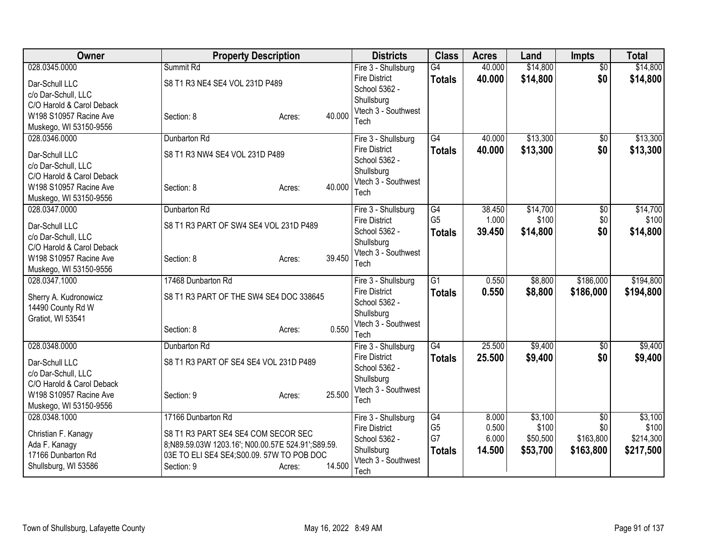| Owner                                                                                                                                   | <b>Property Description</b>                                                                                                                                                          |        | <b>Districts</b>                                                                                          | <b>Class</b>                                | <b>Acres</b>                      | Land                                     | <b>Impts</b>                                     | <b>Total</b>                               |
|-----------------------------------------------------------------------------------------------------------------------------------------|--------------------------------------------------------------------------------------------------------------------------------------------------------------------------------------|--------|-----------------------------------------------------------------------------------------------------------|---------------------------------------------|-----------------------------------|------------------------------------------|--------------------------------------------------|--------------------------------------------|
| 028.0345.0000<br>Dar-Schull LLC<br>c/o Dar-Schull, LLC<br>C/O Harold & Carol Deback<br>W198 S10957 Racine Ave<br>Muskego, WI 53150-9556 | Summit Rd<br>S8 T1 R3 NE4 SE4 VOL 231D P489<br>Section: 8<br>Acres:                                                                                                                  | 40.000 | Fire 3 - Shullsburg<br><b>Fire District</b><br>School 5362 -<br>Shullsburg<br>Vtech 3 - Southwest<br>Tech | G4<br><b>Totals</b>                         | 40.000<br>40.000                  | \$14,800<br>\$14,800                     | $\overline{$0}$<br>\$0                           | \$14,800<br>\$14,800                       |
| 028.0346.0000<br>Dar-Schull LLC<br>c/o Dar-Schull, LLC<br>C/O Harold & Carol Deback<br>W198 S10957 Racine Ave<br>Muskego, WI 53150-9556 | Dunbarton Rd<br>S8 T1 R3 NW4 SE4 VOL 231D P489<br>Section: 8<br>Acres:                                                                                                               | 40.000 | Fire 3 - Shullsburg<br><b>Fire District</b><br>School 5362 -<br>Shullsburg<br>Vtech 3 - Southwest<br>Tech | $\overline{G4}$<br><b>Totals</b>            | 40.000<br>40.000                  | \$13,300<br>\$13,300                     | $\overline{50}$<br>\$0                           | \$13,300<br>\$13,300                       |
| 028.0347.0000<br>Dar-Schull LLC<br>c/o Dar-Schull, LLC<br>C/O Harold & Carol Deback<br>W198 S10957 Racine Ave<br>Muskego, WI 53150-9556 | Dunbarton Rd<br>S8 T1 R3 PART OF SW4 SE4 VOL 231D P489<br>Section: 8<br>Acres:                                                                                                       | 39.450 | Fire 3 - Shullsburg<br><b>Fire District</b><br>School 5362 -<br>Shullsburg<br>Vtech 3 - Southwest<br>Tech | G4<br>G <sub>5</sub><br><b>Totals</b>       | 38.450<br>1.000<br>39.450         | \$14,700<br>\$100<br>\$14,800            | \$0<br>\$0<br>\$0                                | \$14,700<br>\$100<br>\$14,800              |
| 028.0347.1000<br>Sherry A. Kudronowicz<br>14490 County Rd W<br>Gratiot, WI 53541                                                        | 17468 Dunbarton Rd<br>S8 T1 R3 PART OF THE SW4 SE4 DOC 338645<br>Section: 8<br>Acres:                                                                                                | 0.550  | Fire 3 - Shullsburg<br><b>Fire District</b><br>School 5362 -<br>Shullsburg<br>Vtech 3 - Southwest<br>Tech | $\overline{G1}$<br><b>Totals</b>            | 0.550<br>0.550                    | \$8,800<br>\$8,800                       | \$186,000<br>\$186,000                           | \$194,800<br>\$194,800                     |
| 028.0348.0000<br>Dar-Schull LLC<br>c/o Dar-Schull, LLC<br>C/O Harold & Carol Deback<br>W198 S10957 Racine Ave<br>Muskego, WI 53150-9556 | Dunbarton Rd<br>S8 T1 R3 PART OF SE4 SE4 VOL 231D P489<br>Section: 9<br>Acres:                                                                                                       | 25.500 | Fire 3 - Shullsburg<br><b>Fire District</b><br>School 5362 -<br>Shullsburg<br>Vtech 3 - Southwest<br>Tech | G4<br><b>Totals</b>                         | 25.500<br>25.500                  | \$9,400<br>\$9,400                       | $\overline{50}$<br>\$0                           | \$9,400<br>\$9,400                         |
| 028.0348.1000<br>Christian F. Kanagy<br>Ada F. Kanagy<br>17166 Dunbarton Rd<br>Shullsburg, WI 53586                                     | 17166 Dunbarton Rd<br>S8 T1 R3 PART SE4 SE4 COM SECOR SEC<br>8;N89.59.03W 1203.16'; N00.00.57E 524.91';S89.59.<br>03E TO ELI SE4 SE4; S00.09. 57W TO POB DOC<br>Section: 9<br>Acres: | 14.500 | Fire 3 - Shullsburg<br><b>Fire District</b><br>School 5362 -<br>Shullsburg<br>Vtech 3 - Southwest<br>Tech | G4<br>G <sub>5</sub><br>G7<br><b>Totals</b> | 8.000<br>0.500<br>6.000<br>14.500 | \$3,100<br>\$100<br>\$50,500<br>\$53,700 | $\overline{50}$<br>\$0<br>\$163,800<br>\$163,800 | \$3,100<br>\$100<br>\$214,300<br>\$217,500 |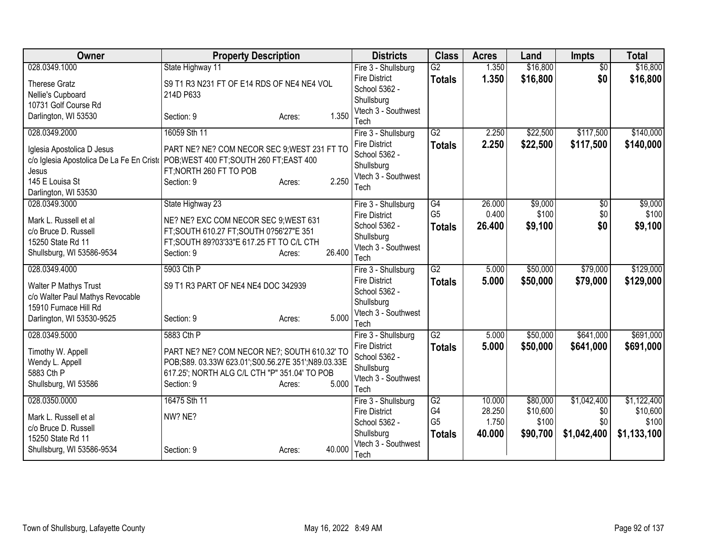| Owner                                                                                                                       | <b>Property Description</b>                                                                                                       |                  | <b>Districts</b>                                                                   | <b>Class</b>                    | <b>Acres</b>    | Land                 | <b>Impts</b>           | <b>Total</b>           |
|-----------------------------------------------------------------------------------------------------------------------------|-----------------------------------------------------------------------------------------------------------------------------------|------------------|------------------------------------------------------------------------------------|---------------------------------|-----------------|----------------------|------------------------|------------------------|
| 028.0349.1000                                                                                                               | State Highway 11                                                                                                                  |                  | Fire 3 - Shullsburg                                                                | G2                              | 1.350           | \$16,800             | $\overline{50}$        | \$16,800               |
| <b>Therese Gratz</b><br>Nellie's Cupboard                                                                                   | S9 T1 R3 N231 FT OF E14 RDS OF NE4 NE4 VOL<br>214D P633                                                                           |                  | <b>Fire District</b><br>School 5362 -                                              | <b>Totals</b>                   | 1.350           | \$16,800             | \$0                    | \$16,800               |
| 10731 Golf Course Rd                                                                                                        |                                                                                                                                   |                  | Shullsburg                                                                         |                                 |                 |                      |                        |                        |
| Darlington, WI 53530                                                                                                        | Section: 9                                                                                                                        | 1.350<br>Acres:  | Vtech 3 - Southwest<br>Tech                                                        |                                 |                 |                      |                        |                        |
| 028.0349.2000                                                                                                               | 16059 Sth 11                                                                                                                      |                  | Fire 3 - Shullsburg                                                                | G2                              | 2.250           | \$22,500             | \$117,500              | \$140,000              |
| Iglesia Apostolica D Jesus<br>c/o Iglesia Apostolica De La Fe En Cristo<br>Jesus<br>145 E Louisa St<br>Darlington, WI 53530 | PART NE? NE? COM NECOR SEC 9; WEST 231 FT TO<br>POB; WEST 400 FT; SOUTH 260 FT; EAST 400<br>FT; NORTH 260 FT TO POB<br>Section: 9 | 2.250<br>Acres:  | <b>Fire District</b><br>School 5362 -<br>Shullsburg<br>Vtech 3 - Southwest<br>Tech | <b>Totals</b>                   | 2.250           | \$22,500             | \$117,500              | \$140,000              |
| 028.0349.3000                                                                                                               | State Highway 23                                                                                                                  |                  | Fire 3 - Shullsburg                                                                | G4                              | 26.000          | \$9,000              | \$0                    | \$9,000                |
| Mark L. Russell et al                                                                                                       | NE? NE? EXC COM NECOR SEC 9; WEST 631                                                                                             |                  | <b>Fire District</b><br>School 5362 -                                              | G <sub>5</sub><br><b>Totals</b> | 0.400<br>26.400 | \$100<br>\$9,100     | \$0<br>\$0             | \$100<br>\$9,100       |
| c/o Bruce D. Russell<br>15250 State Rd 11                                                                                   | FT;SOUTH 610.27 FT;SOUTH 0?56'27"E 351<br>FT; SOUTH 89?03'33"E 617.25 FT TO C/L CTH                                               |                  | Shullsburg                                                                         |                                 |                 |                      |                        |                        |
| Shullsburg, WI 53586-9534                                                                                                   | Section: 9                                                                                                                        | 26.400<br>Acres: | Vtech 3 - Southwest<br>Tech                                                        |                                 |                 |                      |                        |                        |
| 028.0349.4000                                                                                                               | 5903 Cth P                                                                                                                        |                  | Fire 3 - Shullsburg                                                                | $\overline{G2}$                 | 5.000           | \$50,000             | \$79,000               | \$129,000              |
| Walter P Mathys Trust<br>c/o Walter Paul Mathys Revocable                                                                   | S9 T1 R3 PART OF NE4 NE4 DOC 342939                                                                                               |                  | <b>Fire District</b><br>School 5362 -<br>Shullsburg                                | <b>Totals</b>                   | 5.000           | \$50,000             | \$79,000               | \$129,000              |
| 15910 Furnace Hill Rd<br>Darlington, WI 53530-9525                                                                          | Section: 9                                                                                                                        | 5.000<br>Acres:  | Vtech 3 - Southwest                                                                |                                 |                 |                      |                        |                        |
|                                                                                                                             |                                                                                                                                   |                  | Tech                                                                               |                                 |                 |                      |                        |                        |
| 028.0349.5000                                                                                                               | 5883 Cth P                                                                                                                        |                  | Fire 3 - Shullsburg<br><b>Fire District</b>                                        | G2<br><b>Totals</b>             | 5.000<br>5.000  | \$50,000<br>\$50,000 | \$641,000<br>\$641,000 | \$691,000<br>\$691,000 |
| Timothy W. Appell                                                                                                           | PART NE? NE? COM NECOR NE?; SOUTH 610.32' TO                                                                                      |                  | School 5362 -                                                                      |                                 |                 |                      |                        |                        |
| Wendy L. Appell<br>5883 Cth P                                                                                               | POB;S89. 03.33W 623.01';S00.56.27E 351';N89.03.33E<br>617.25'; NORTH ALG C/L CTH "P" 351.04' TO POB                               |                  | Shullsburg                                                                         |                                 |                 |                      |                        |                        |
| Shullsburg, WI 53586                                                                                                        | Section: 9                                                                                                                        | 5.000<br>Acres:  | Vtech 3 - Southwest<br>Tech                                                        |                                 |                 |                      |                        |                        |
| 028.0350.0000                                                                                                               | 16475 Sth 11                                                                                                                      |                  | Fire 3 - Shullsburg                                                                | G2                              | 10.000          | \$80,000             | \$1,042,400            | \$1,122,400            |
| Mark L. Russell et al                                                                                                       | NW? NE?                                                                                                                           |                  | <b>Fire District</b>                                                               | G4                              | 28.250          | \$10,600             | \$0                    | \$10,600               |
| c/o Bruce D. Russell                                                                                                        |                                                                                                                                   |                  | School 5362 -                                                                      | G <sub>5</sub>                  | 1.750           | \$100                | \$0                    | \$100                  |
| 15250 State Rd 11                                                                                                           |                                                                                                                                   |                  | Shullsburg<br>Vtech 3 - Southwest                                                  | <b>Totals</b>                   | 40.000          | \$90,700             | \$1,042,400            | \$1,133,100            |
| Shullsburg, WI 53586-9534                                                                                                   | Section: 9                                                                                                                        | 40.000<br>Acres: | Tech                                                                               |                                 |                 |                      |                        |                        |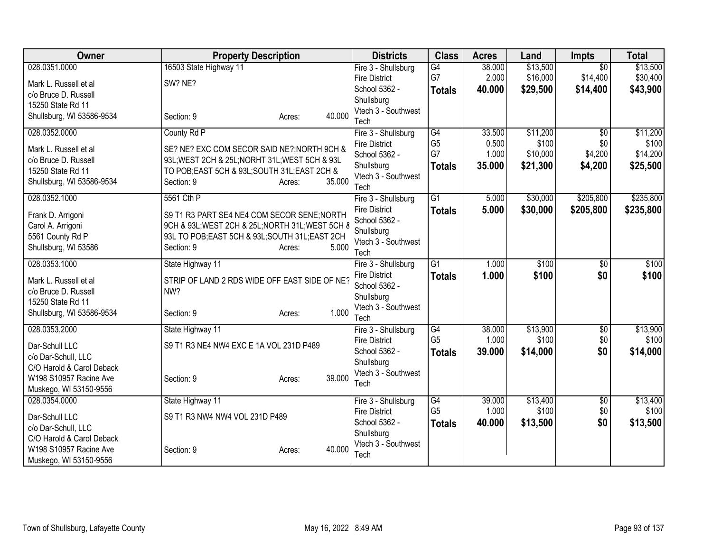| Owner                                     | <b>Property Description</b>                                                                     | <b>Districts</b>            | <b>Class</b>    | <b>Acres</b> | Land     | <b>Impts</b>    | <b>Total</b> |
|-------------------------------------------|-------------------------------------------------------------------------------------------------|-----------------------------|-----------------|--------------|----------|-----------------|--------------|
| 028.0351.0000                             | 16503 State Highway 11                                                                          | Fire 3 - Shullsburg         | $\overline{G4}$ | 38.000       | \$13,500 | $\overline{50}$ | \$13,500     |
| Mark L. Russell et al                     | SW? NE?                                                                                         | <b>Fire District</b>        | G7              | 2.000        | \$16,000 | \$14,400        | \$30,400     |
| c/o Bruce D. Russell                      |                                                                                                 | School 5362 -               | <b>Totals</b>   | 40.000       | \$29,500 | \$14,400        | \$43,900     |
| 15250 State Rd 11                         |                                                                                                 | Shullsburg                  |                 |              |          |                 |              |
| Shullsburg, WI 53586-9534                 | 40.000<br>Section: 9<br>Acres:                                                                  | Vtech 3 - Southwest<br>Tech |                 |              |          |                 |              |
| 028.0352.0000                             | County Rd P                                                                                     | Fire 3 - Shullsburg         | G4              | 33.500       | \$11,200 | $\overline{50}$ | \$11,200     |
|                                           |                                                                                                 | <b>Fire District</b>        | G <sub>5</sub>  | 0.500        | \$100    | \$0             | \$100        |
| Mark L. Russell et al                     | SE? NE? EXC COM SECOR SAID NE?; NORTH 9CH &                                                     | School 5362 -               | G7              | 1.000        | \$10,000 | \$4,200         | \$14,200     |
| c/o Bruce D. Russell<br>15250 State Rd 11 | 93L; WEST 2CH & 25L; NORHT 31L; WEST 5CH & 93L<br>TO POB; EAST 5CH & 93L; SOUTH 31L; EAST 2CH & | Shullsburg                  | <b>Totals</b>   | 35.000       | \$21,300 | \$4,200         | \$25,500     |
| Shullsburg, WI 53586-9534                 | 35.000<br>Section: 9<br>Acres:                                                                  | Vtech 3 - Southwest         |                 |              |          |                 |              |
|                                           |                                                                                                 | Tech                        |                 |              |          |                 |              |
| 028.0352.1000                             | 5561 Cth P                                                                                      | Fire 3 - Shullsburg         | $\overline{G1}$ | 5.000        | \$30,000 | \$205,800       | \$235,800    |
| Frank D. Arrigoni                         | S9 T1 R3 PART SE4 NE4 COM SECOR SENE; NORTH                                                     | <b>Fire District</b>        | <b>Totals</b>   | 5.000        | \$30,000 | \$205,800       | \$235,800    |
| Carol A. Arrigoni                         | 9CH & 93L; WEST 2CH & 25L; NORTH 31L; WEST 5CH &                                                | School 5362 -               |                 |              |          |                 |              |
| 5561 County Rd P                          | 93L TO POB;EAST 5CH & 93L;SOUTH 31L;EAST 2CH                                                    | Shullsburg                  |                 |              |          |                 |              |
| Shullsburg, WI 53586                      | 5.000<br>Section: 9<br>Acres:                                                                   | Vtech 3 - Southwest<br>Tech |                 |              |          |                 |              |
| 028.0353.1000                             | State Highway 11                                                                                | Fire 3 - Shullsburg         | $\overline{G1}$ | 1.000        | \$100    | $\overline{50}$ | \$100        |
|                                           |                                                                                                 | <b>Fire District</b>        | <b>Totals</b>   | 1.000        | \$100    | \$0             | \$100        |
| Mark L. Russell et al                     | STRIP OF LAND 2 RDS WIDE OFF EAST SIDE OF NE?                                                   | School 5362 -               |                 |              |          |                 |              |
| c/o Bruce D. Russell                      | NW?                                                                                             | Shullsburg                  |                 |              |          |                 |              |
| 15250 State Rd 11                         |                                                                                                 | Vtech 3 - Southwest         |                 |              |          |                 |              |
| Shullsburg, WI 53586-9534                 | 1.000<br>Section: 9<br>Acres:                                                                   | Tech                        |                 |              |          |                 |              |
| 028.0353.2000                             | State Highway 11                                                                                | Fire 3 - Shullsburg         | G4              | 38.000       | \$13,900 | $\sqrt{6}$      | \$13,900     |
| Dar-Schull LLC                            | S9 T1 R3 NE4 NW4 EXC E 1A VOL 231D P489                                                         | <b>Fire District</b>        | G <sub>5</sub>  | 1.000        | \$100    | \$0             | \$100        |
| c/o Dar-Schull, LLC                       |                                                                                                 | School 5362 -               | <b>Totals</b>   | 39.000       | \$14,000 | \$0             | \$14,000     |
| C/O Harold & Carol Deback                 |                                                                                                 | Shullsburg                  |                 |              |          |                 |              |
| W198 S10957 Racine Ave                    | 39.000<br>Section: 9<br>Acres:                                                                  | Vtech 3 - Southwest         |                 |              |          |                 |              |
| Muskego, WI 53150-9556                    |                                                                                                 | Tech                        |                 |              |          |                 |              |
| 028.0354.0000                             | State Highway 11                                                                                | Fire 3 - Shullsburg         | G4              | 39.000       | \$13,400 | $\overline{60}$ | \$13,400     |
| Dar-Schull LLC                            | S9 T1 R3 NW4 NW4 VOL 231D P489                                                                  | <b>Fire District</b>        | G <sub>5</sub>  | 1.000        | \$100    | \$0             | \$100        |
| c/o Dar-Schull, LLC                       |                                                                                                 | School 5362 -               | <b>Totals</b>   | 40.000       | \$13,500 | \$0             | \$13,500     |
| C/O Harold & Carol Deback                 |                                                                                                 | Shullsburg                  |                 |              |          |                 |              |
| W198 S10957 Racine Ave                    | 40.000<br>Section: 9<br>Acres:                                                                  | Vtech 3 - Southwest<br>Tech |                 |              |          |                 |              |
| Muskego, WI 53150-9556                    |                                                                                                 |                             |                 |              |          |                 |              |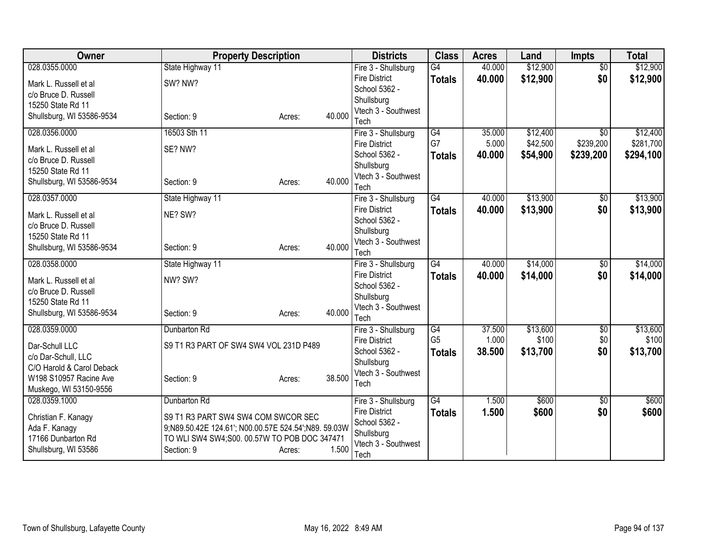| <b>Owner</b>                                     | <b>Property Description</b>                          |        |        | <b>Districts</b>                            | <b>Class</b>    | <b>Acres</b> | Land     | <b>Impts</b>                 | <b>Total</b> |
|--------------------------------------------------|------------------------------------------------------|--------|--------|---------------------------------------------|-----------------|--------------|----------|------------------------------|--------------|
| 028.0355.0000                                    | State Highway 11                                     |        |        | Fire 3 - Shullsburg                         | $\overline{G4}$ | 40.000       | \$12,900 | $\overline{50}$              | \$12,900     |
| Mark L. Russell et al                            | SW? NW?                                              |        |        | <b>Fire District</b>                        | <b>Totals</b>   | 40.000       | \$12,900 | \$0                          | \$12,900     |
| c/o Bruce D. Russell                             |                                                      |        |        | School 5362 -                               |                 |              |          |                              |              |
| 15250 State Rd 11                                |                                                      |        |        | Shullsburg                                  |                 |              |          |                              |              |
| Shullsburg, WI 53586-9534                        | Section: 9                                           | Acres: | 40.000 | Vtech 3 - Southwest                         |                 |              |          |                              |              |
| 028.0356.0000                                    | 16503 Sth 11                                         |        |        | Tech                                        | $\overline{G4}$ | 35.000       | \$12,400 |                              | \$12,400     |
|                                                  |                                                      |        |        | Fire 3 - Shullsburg<br><b>Fire District</b> | G7              | 5.000        | \$42,500 | $\overline{30}$<br>\$239,200 | \$281,700    |
| Mark L. Russell et al                            | SE? NW?                                              |        |        | School 5362 -                               | <b>Totals</b>   | 40.000       | \$54,900 | \$239,200                    | \$294,100    |
| c/o Bruce D. Russell                             |                                                      |        |        | Shullsburg                                  |                 |              |          |                              |              |
| 15250 State Rd 11                                |                                                      |        |        | Vtech 3 - Southwest                         |                 |              |          |                              |              |
| Shullsburg, WI 53586-9534                        | Section: 9                                           | Acres: | 40.000 | Tech                                        |                 |              |          |                              |              |
| 028.0357.0000                                    | State Highway 11                                     |        |        | Fire 3 - Shullsburg                         | G4              | 40.000       | \$13,900 | \$0                          | \$13,900     |
| Mark L. Russell et al                            | NE? SW?                                              |        |        | <b>Fire District</b>                        | <b>Totals</b>   | 40.000       | \$13,900 | \$0                          | \$13,900     |
| c/o Bruce D. Russell                             |                                                      |        |        | School 5362 -                               |                 |              |          |                              |              |
| 15250 State Rd 11                                |                                                      |        |        | Shullsburg                                  |                 |              |          |                              |              |
| Shullsburg, WI 53586-9534                        | Section: 9                                           | Acres: | 40.000 | Vtech 3 - Southwest                         |                 |              |          |                              |              |
|                                                  |                                                      |        |        | Tech                                        |                 |              |          |                              |              |
| 028.0358.0000                                    | State Highway 11                                     |        |        | Fire 3 - Shullsburg                         | $\overline{G4}$ | 40.000       | \$14,000 | $\overline{60}$              | \$14,000     |
| Mark L. Russell et al                            | NW? SW?                                              |        |        | <b>Fire District</b>                        | <b>Totals</b>   | 40.000       | \$14,000 | \$0                          | \$14,000     |
| c/o Bruce D. Russell                             |                                                      |        |        | School 5362 -                               |                 |              |          |                              |              |
| 15250 State Rd 11                                |                                                      |        |        | Shullsburg<br>Vtech 3 - Southwest           |                 |              |          |                              |              |
| Shullsburg, WI 53586-9534                        | Section: 9                                           | Acres: | 40.000 | Tech                                        |                 |              |          |                              |              |
| 028.0359.0000                                    | Dunbarton Rd                                         |        |        | Fire 3 - Shullsburg                         | G4              | 37.500       | \$13,600 | $\sqrt{$0}$                  | \$13,600     |
|                                                  |                                                      |        |        | <b>Fire District</b>                        | G <sub>5</sub>  | 1.000        | \$100    | \$0                          | \$100        |
| Dar-Schull LLC                                   | S9 T1 R3 PART OF SW4 SW4 VOL 231D P489               |        |        | School 5362 -                               | <b>Totals</b>   | 38.500       | \$13,700 | \$0                          | \$13,700     |
| c/o Dar-Schull, LLC                              |                                                      |        |        | Shullsburg                                  |                 |              |          |                              |              |
| C/O Harold & Carol Deback                        |                                                      |        |        | Vtech 3 - Southwest                         |                 |              |          |                              |              |
| W198 S10957 Racine Ave<br>Muskego, WI 53150-9556 | Section: 9                                           | Acres: | 38.500 | Tech                                        |                 |              |          |                              |              |
| 028.0359.1000                                    | Dunbarton Rd                                         |        |        | Fire 3 - Shullsburg                         | $\overline{G4}$ | 1.500        | \$600    | $\overline{50}$              | \$600        |
|                                                  |                                                      |        |        | <b>Fire District</b>                        | <b>Totals</b>   | 1.500        | \$600    | \$0                          | \$600        |
| Christian F. Kanagy                              | S9 T1 R3 PART SW4 SW4 COM SWCOR SEC                  |        |        | School 5362 -                               |                 |              |          |                              |              |
| Ada F. Kanagy                                    | 9;N89.50.42E 124.61'; N00.00.57E 524.54';N89. 59.03W |        |        | Shullsburg                                  |                 |              |          |                              |              |
| 17166 Dunbarton Rd                               | TO WLI SW4 SW4; S00. 00.57W TO POB DOC 347471        |        |        | Vtech 3 - Southwest                         |                 |              |          |                              |              |
| Shullsburg, WI 53586                             | Section: 9                                           | Acres: | 1.500  | Tech                                        |                 |              |          |                              |              |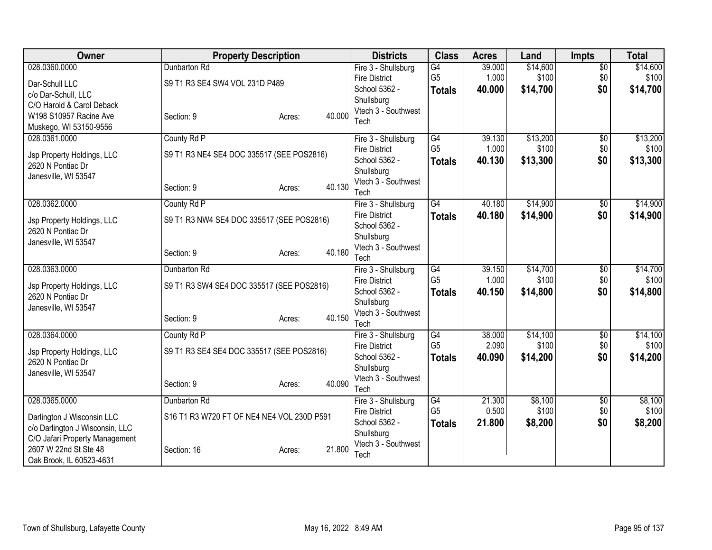| Owner                           | <b>Property Description</b>                |        |        | <b>Districts</b>                  | <b>Class</b>    | <b>Acres</b> | Land     | <b>Impts</b>    | <b>Total</b> |
|---------------------------------|--------------------------------------------|--------|--------|-----------------------------------|-----------------|--------------|----------|-----------------|--------------|
| 028.0360.0000                   | Dunbarton Rd                               |        |        | Fire 3 - Shullsburg               | G4              | 39.000       | \$14,600 | $\overline{60}$ | \$14,600     |
| Dar-Schull LLC                  | S9 T1 R3 SE4 SW4 VOL 231D P489             |        |        | <b>Fire District</b>              | G <sub>5</sub>  | 1.000        | \$100    | \$0             | \$100        |
| c/o Dar-Schull, LLC             |                                            |        |        | School 5362 -                     | <b>Totals</b>   | 40.000       | \$14,700 | \$0             | \$14,700     |
| C/O Harold & Carol Deback       |                                            |        |        | Shullsburg<br>Vtech 3 - Southwest |                 |              |          |                 |              |
| W198 S10957 Racine Ave          | Section: 9                                 | Acres: | 40.000 | Tech                              |                 |              |          |                 |              |
| Muskego, WI 53150-9556          |                                            |        |        |                                   |                 |              |          |                 |              |
| 028.0361.0000                   | County Rd P                                |        |        | Fire 3 - Shullsburg               | G4              | 39.130       | \$13,200 | $\overline{50}$ | \$13,200     |
| Jsp Property Holdings, LLC      | S9 T1 R3 NE4 SE4 DOC 335517 (SEE POS2816)  |        |        | <b>Fire District</b>              | G <sub>5</sub>  | 1.000        | \$100    | \$0             | \$100        |
| 2620 N Pontiac Dr               |                                            |        |        | School 5362 -                     | <b>Totals</b>   | 40.130       | \$13,300 | \$0             | \$13,300     |
| Janesville, WI 53547            |                                            |        |        | Shullsburg                        |                 |              |          |                 |              |
|                                 | Section: 9                                 | Acres: | 40.130 | Vtech 3 - Southwest<br>Tech       |                 |              |          |                 |              |
| 028.0362.0000                   | County Rd P                                |        |        | Fire 3 - Shullsburg               | $\overline{G4}$ | 40.180       | \$14,900 | $\overline{50}$ | \$14,900     |
|                                 |                                            |        |        | <b>Fire District</b>              | <b>Totals</b>   | 40.180       | \$14,900 | \$0             | \$14,900     |
| Jsp Property Holdings, LLC      | S9 T1 R3 NW4 SE4 DOC 335517 (SEE POS2816)  |        |        | School 5362 -                     |                 |              |          |                 |              |
| 2620 N Pontiac Dr               |                                            |        |        | Shullsburg                        |                 |              |          |                 |              |
| Janesville, WI 53547            |                                            |        |        | Vtech 3 - Southwest               |                 |              |          |                 |              |
|                                 | Section: 9                                 | Acres: | 40.180 | Tech                              |                 |              |          |                 |              |
| 028.0363.0000                   | Dunbarton Rd                               |        |        | Fire 3 - Shullsburg               | $\overline{G4}$ | 39.150       | \$14,700 | $\overline{50}$ | \$14,700     |
| Jsp Property Holdings, LLC      | S9 T1 R3 SW4 SE4 DOC 335517 (SEE POS2816)  |        |        | <b>Fire District</b>              | G <sub>5</sub>  | 1.000        | \$100    | \$0             | \$100        |
| 2620 N Pontiac Dr               |                                            |        |        | School 5362 -                     | <b>Totals</b>   | 40.150       | \$14,800 | \$0             | \$14,800     |
| Janesville, WI 53547            |                                            |        |        | Shullsburg                        |                 |              |          |                 |              |
|                                 | Section: 9                                 | Acres: | 40.150 | Vtech 3 - Southwest               |                 |              |          |                 |              |
| 028.0364.0000                   | County Rd P                                |        |        | Tech<br>Fire 3 - Shullsburg       | $\overline{G4}$ | 38.000       | \$14,100 | $\overline{60}$ | \$14,100     |
|                                 |                                            |        |        | <b>Fire District</b>              | G <sub>5</sub>  | 2.090        | \$100    | \$0             | \$100        |
| Jsp Property Holdings, LLC      | S9 T1 R3 SE4 SE4 DOC 335517 (SEE POS2816)  |        |        | School 5362 -                     | <b>Totals</b>   | 40.090       | \$14,200 | \$0             | \$14,200     |
| 2620 N Pontiac Dr               |                                            |        |        | Shullsburg                        |                 |              |          |                 |              |
| Janesville, WI 53547            |                                            |        |        | Vtech 3 - Southwest               |                 |              |          |                 |              |
|                                 | Section: 9                                 | Acres: | 40.090 | Tech                              |                 |              |          |                 |              |
| 028.0365.0000                   | Dunbarton Rd                               |        |        | Fire 3 - Shullsburg               | G4              | 21.300       | \$8,100  | $\overline{60}$ | \$8,100      |
| Darlington J Wisconsin LLC      | S16 T1 R3 W720 FT OF NE4 NE4 VOL 230D P591 |        |        | <b>Fire District</b>              | G <sub>5</sub>  | 0.500        | \$100    | \$0             | \$100        |
| c/o Darlington J Wisconsin, LLC |                                            |        |        | School 5362 -                     | <b>Totals</b>   | 21.800       | \$8,200  | \$0             | \$8,200      |
| C/O Jafari Property Management  |                                            |        |        | Shullsburg                        |                 |              |          |                 |              |
| 2607 W 22nd St Ste 48           | Section: 16                                | Acres: | 21.800 | Vtech 3 - Southwest               |                 |              |          |                 |              |
| Oak Brook, IL 60523-4631        |                                            |        |        | Tech                              |                 |              |          |                 |              |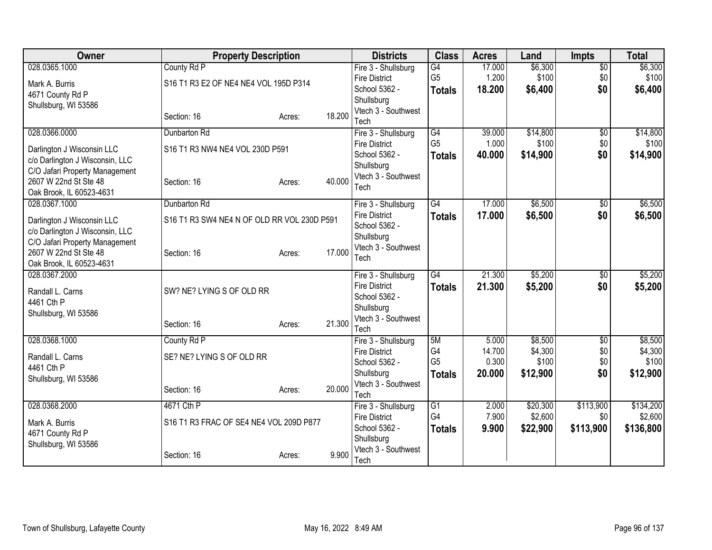| Owner                                                   | <b>Property Description</b>                 |        |        | <b>Districts</b>                            | <b>Class</b>    | <b>Acres</b>     | Land               | <b>Impts</b>           | <b>Total</b>       |
|---------------------------------------------------------|---------------------------------------------|--------|--------|---------------------------------------------|-----------------|------------------|--------------------|------------------------|--------------------|
| 028.0365.1000                                           | County Rd P                                 |        |        | Fire 3 - Shullsburg                         | $\overline{G4}$ | 17.000           | \$6,300            | $\overline{50}$        | \$6,300            |
| Mark A. Burris                                          | S16 T1 R3 E2 OF NE4 NE4 VOL 195D P314       |        |        | <b>Fire District</b>                        | G <sub>5</sub>  | 1.200            | \$100              | \$0                    | \$100              |
| 4671 County Rd P                                        |                                             |        |        | School 5362 -<br>Shullsburg                 | <b>Totals</b>   | 18.200           | \$6,400            | \$0                    | \$6,400            |
| Shullsburg, WI 53586                                    |                                             |        |        | Vtech 3 - Southwest                         |                 |                  |                    |                        |                    |
|                                                         | Section: 16                                 | Acres: | 18.200 | Tech                                        |                 |                  |                    |                        |                    |
| 028.0366.0000                                           | Dunbarton Rd                                |        |        | Fire 3 - Shullsburg                         | G4              | 39.000           | \$14,800           | $\overline{50}$        | \$14,800           |
| Darlington J Wisconsin LLC                              | S16 T1 R3 NW4 NE4 VOL 230D P591             |        |        | <b>Fire District</b>                        | G <sub>5</sub>  | 1.000            | \$100              | \$0                    | \$100              |
| c/o Darlington J Wisconsin, LLC                         |                                             |        |        | School 5362 -                               | <b>Totals</b>   | 40.000           | \$14,900           | \$0                    | \$14,900           |
| C/O Jafari Property Management                          |                                             |        |        | Shullsburg<br>Vtech 3 - Southwest           |                 |                  |                    |                        |                    |
| 2607 W 22nd St Ste 48                                   | Section: 16                                 | Acres: | 40.000 | Tech                                        |                 |                  |                    |                        |                    |
| Oak Brook, IL 60523-4631                                |                                             |        |        |                                             |                 |                  |                    |                        |                    |
| 028.0367.1000                                           | Dunbarton Rd                                |        |        | Fire 3 - Shullsburg<br><b>Fire District</b> | G4              | 17.000<br>17.000 | \$6,500<br>\$6,500 | $\overline{60}$<br>\$0 | \$6,500<br>\$6,500 |
| Darlington J Wisconsin LLC                              | S16 T1 R3 SW4 NE4 N OF OLD RR VOL 230D P591 |        |        | School 5362 -                               | <b>Totals</b>   |                  |                    |                        |                    |
| c/o Darlington J Wisconsin, LLC                         |                                             |        |        | Shullsburg                                  |                 |                  |                    |                        |                    |
| C/O Jafari Property Management<br>2607 W 22nd St Ste 48 | Section: 16                                 | Acres: | 17.000 | Vtech 3 - Southwest                         |                 |                  |                    |                        |                    |
| Oak Brook, IL 60523-4631                                |                                             |        |        | Tech                                        |                 |                  |                    |                        |                    |
| 028.0367.2000                                           |                                             |        |        | Fire 3 - Shullsburg                         | $\overline{G4}$ | 21.300           | \$5,200            | $\overline{50}$        | \$5,200            |
| Randall L. Carns                                        | SW? NE? LYING S OF OLD RR                   |        |        | <b>Fire District</b>                        | <b>Totals</b>   | 21.300           | \$5,200            | \$0                    | \$5,200            |
| 4461 Cth P                                              |                                             |        |        | School 5362 -                               |                 |                  |                    |                        |                    |
| Shullsburg, WI 53586                                    |                                             |        |        | Shullsburg<br>Vtech 3 - Southwest           |                 |                  |                    |                        |                    |
|                                                         | Section: 16                                 | Acres: | 21.300 | Tech                                        |                 |                  |                    |                        |                    |
| 028.0368.1000                                           | County Rd P                                 |        |        | Fire 3 - Shullsburg                         | 5M              | 5.000            | \$8,500            | \$0                    | \$8,500            |
| Randall L. Carns                                        | SE? NE? LYING S OF OLD RR                   |        |        | <b>Fire District</b>                        | G <sub>4</sub>  | 14.700           | \$4,300            | \$0                    | \$4,300            |
| 4461 Cth P                                              |                                             |        |        | School 5362 -                               | G <sub>5</sub>  | 0.300            | \$100              | \$0                    | \$100              |
| Shullsburg, WI 53586                                    |                                             |        |        | Shullsburg                                  | <b>Totals</b>   | 20.000           | \$12,900           | \$0                    | \$12,900           |
|                                                         | Section: 16                                 | Acres: | 20.000 | Vtech 3 - Southwest<br>Tech                 |                 |                  |                    |                        |                    |
| 028.0368.2000                                           | 4671 Cth P                                  |        |        | Fire 3 - Shullsburg                         | G1              | 2.000            | \$20,300           | \$113,900              | \$134,200          |
|                                                         |                                             |        |        | <b>Fire District</b>                        | G4              | 7.900            | \$2,600            | \$0                    | \$2,600            |
| Mark A. Burris                                          | S16 T1 R3 FRAC OF SE4 NE4 VOL 209D P877     |        |        | School 5362 -                               | <b>Totals</b>   | 9.900            | \$22,900           | \$113,900              | \$136,800          |
| 4671 County Rd P<br>Shullsburg, WI 53586                |                                             |        |        | Shullsburg                                  |                 |                  |                    |                        |                    |
|                                                         | Section: 16                                 | Acres: | 9.900  | Vtech 3 - Southwest                         |                 |                  |                    |                        |                    |
|                                                         |                                             |        |        | Tech                                        |                 |                  |                    |                        |                    |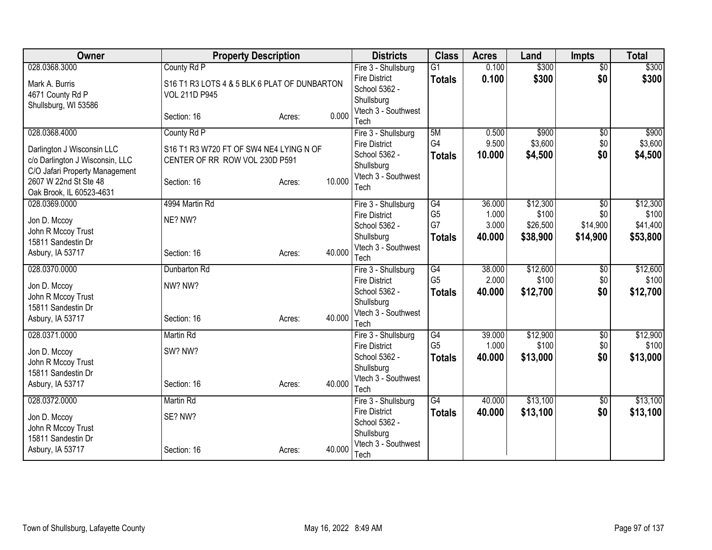| Owner                                  | <b>Property Description</b>                  |                  | <b>Districts</b>                            | <b>Class</b>         | <b>Acres</b>   | Land              | <b>Impts</b>    | <b>Total</b>      |
|----------------------------------------|----------------------------------------------|------------------|---------------------------------------------|----------------------|----------------|-------------------|-----------------|-------------------|
| 028.0368.3000                          | County Rd P                                  |                  | Fire 3 - Shullsburg                         | $\overline{G1}$      | 0.100          | \$300             | $\overline{50}$ | \$300             |
| Mark A. Burris                         | S16 T1 R3 LOTS 4 & 5 BLK 6 PLAT OF DUNBARTON |                  | <b>Fire District</b>                        | <b>Totals</b>        | 0.100          | \$300             | \$0             | \$300             |
| 4671 County Rd P                       | <b>VOL 211D P945</b>                         |                  | School 5362 -<br>Shullsburg                 |                      |                |                   |                 |                   |
| Shullsburg, WI 53586                   |                                              |                  | Vtech 3 - Southwest                         |                      |                |                   |                 |                   |
|                                        | Section: 16                                  | 0.000<br>Acres:  | Tech                                        |                      |                |                   |                 |                   |
| 028.0368.4000                          | County Rd P                                  |                  | Fire 3 - Shullsburg                         | 5M                   | 0.500          | \$900             | \$0             | \$900             |
| Darlington J Wisconsin LLC             | S16 T1 R3 W720 FT OF SW4 NE4 LYING N OF      |                  | <b>Fire District</b>                        | G <sub>4</sub>       | 9.500          | \$3,600           | \$0             | \$3,600           |
| c/o Darlington J Wisconsin, LLC        | CENTER OF RR ROW VOL 230D P591               |                  | School 5362 -                               | <b>Totals</b>        | 10.000         | \$4,500           | \$0             | \$4,500           |
| C/O Jafari Property Management         |                                              |                  | Shullsburg                                  |                      |                |                   |                 |                   |
| 2607 W 22nd St Ste 48                  | Section: 16                                  | 10.000<br>Acres: | Vtech 3 - Southwest<br>Tech                 |                      |                |                   |                 |                   |
| Oak Brook, IL 60523-4631               |                                              |                  |                                             |                      |                |                   |                 |                   |
| 028.0369.0000                          | 4994 Martin Rd                               |                  | Fire 3 - Shullsburg                         | G4                   | 36.000         | \$12,300          | $\overline{50}$ | \$12,300          |
| Jon D. Mccoy                           | NE? NW?                                      |                  | <b>Fire District</b><br>School 5362 -       | G <sub>5</sub><br>G7 | 1.000<br>3.000 | \$100<br>\$26,500 | \$0<br>\$14,900 | \$100<br>\$41,400 |
| John R Mccoy Trust                     |                                              |                  | Shullsburg                                  | <b>Totals</b>        | 40.000         | \$38,900          | \$14,900        | \$53,800          |
| 15811 Sandestin Dr                     |                                              |                  | Vtech 3 - Southwest                         |                      |                |                   |                 |                   |
| Asbury, IA 53717                       | Section: 16                                  | 40.000<br>Acres: | Tech                                        |                      |                |                   |                 |                   |
| 028.0370.0000                          | Dunbarton Rd                                 |                  | Fire 3 - Shullsburg                         | $\overline{G4}$      | 38.000         | \$12,600          | \$0             | \$12,600          |
| Jon D. Mccoy                           | NW? NW?                                      |                  | <b>Fire District</b>                        | G <sub>5</sub>       | 2.000          | \$100             | \$0             | \$100             |
| John R Mccoy Trust                     |                                              |                  | School 5362 -                               | <b>Totals</b>        | 40.000         | \$12,700          | \$0             | \$12,700          |
| 15811 Sandestin Dr                     |                                              |                  | Shullsburg<br>Vtech 3 - Southwest           |                      |                |                   |                 |                   |
| Asbury, IA 53717                       | Section: 16                                  | 40.000<br>Acres: | Tech                                        |                      |                |                   |                 |                   |
| 028.0371.0000                          | <b>Martin Rd</b>                             |                  | Fire 3 - Shullsburg                         | G4                   | 39.000         | \$12,900          | \$0             | \$12,900          |
| Jon D. Mccoy                           | SW? NW?                                      |                  | <b>Fire District</b>                        | G <sub>5</sub>       | 1.000          | \$100             | \$0             | \$100             |
| John R Mccoy Trust                     |                                              |                  | School 5362 -                               | <b>Totals</b>        | 40.000         | \$13,000          | \$0             | \$13,000          |
| 15811 Sandestin Dr                     |                                              |                  | Shullsburg                                  |                      |                |                   |                 |                   |
| Asbury, IA 53717                       | Section: 16                                  | 40.000<br>Acres: | Vtech 3 - Southwest                         |                      |                |                   |                 |                   |
| 028.0372.0000                          | Martin Rd                                    |                  | Tech                                        | G4                   | 40.000         | \$13,100          | $\sqrt{6}$      | \$13,100          |
|                                        |                                              |                  | Fire 3 - Shullsburg<br><b>Fire District</b> | <b>Totals</b>        | 40.000         | \$13,100          | \$0             | \$13,100          |
| Jon D. Mccoy                           | SE? NW?                                      |                  | School 5362 -                               |                      |                |                   |                 |                   |
| John R Mccoy Trust                     |                                              |                  | Shullsburg                                  |                      |                |                   |                 |                   |
| 15811 Sandestin Dr<br>Asbury, IA 53717 |                                              | 40.000           | Vtech 3 - Southwest                         |                      |                |                   |                 |                   |
|                                        | Section: 16                                  | Acres:           | Tech                                        |                      |                |                   |                 |                   |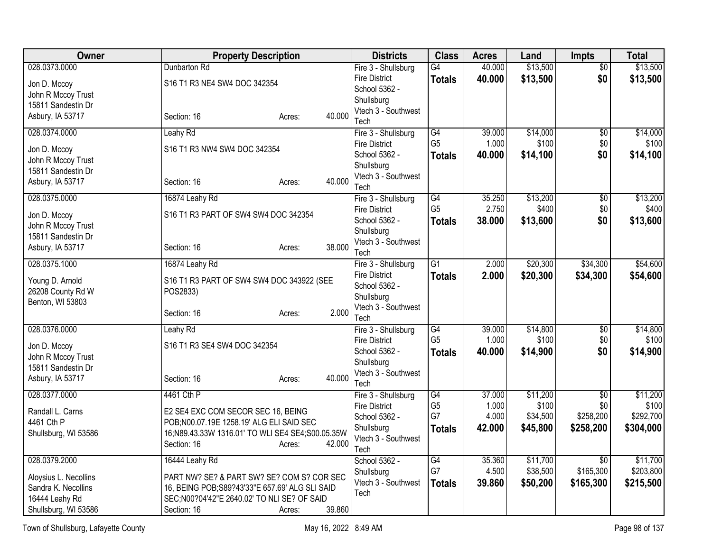| <b>Class</b><br>Owner<br><b>Property Description</b><br><b>Districts</b><br><b>Acres</b><br>Land<br>Impts                                                                     | <b>Total</b>       |
|-------------------------------------------------------------------------------------------------------------------------------------------------------------------------------|--------------------|
| \$13,500<br>028.0373.0000<br>G4<br>40.000<br>$\overline{50}$<br>Dunbarton Rd<br>Fire 3 - Shullsburg                                                                           | \$13,500           |
| <b>Fire District</b><br>\$13,500<br>\$0<br>40.000<br><b>Totals</b><br>S16 T1 R3 NE4 SW4 DOC 342354<br>Jon D. Mccoy                                                            | \$13,500           |
| School 5362 -<br>John R Mccoy Trust                                                                                                                                           |                    |
| Shullsburg<br>15811 Sandestin Dr                                                                                                                                              |                    |
| Vtech 3 - Southwest<br>40.000<br>Asbury, IA 53717<br>Section: 16<br>Acres:<br>Tech                                                                                            |                    |
| \$14,000<br>028.0374.0000<br>Leahy Rd<br>$\overline{G4}$<br>39.000<br>$\overline{50}$<br>Fire 3 - Shullsburg                                                                  | \$14,000           |
| G <sub>5</sub><br>1.000<br>\$100<br>\$0<br><b>Fire District</b>                                                                                                               | \$100              |
| S16 T1 R3 NW4 SW4 DOC 342354<br>Jon D. Mccoy<br>\$0<br>School 5362 -<br>40.000<br>\$14,100<br><b>Totals</b>                                                                   | \$14,100           |
| John R Mccoy Trust<br>Shullsburg                                                                                                                                              |                    |
| 15811 Sandestin Dr<br>Vtech 3 - Southwest                                                                                                                                     |                    |
| 40.000<br>Asbury, IA 53717<br>Section: 16<br>Acres:<br>Tech                                                                                                                   |                    |
| G4<br>35.250<br>\$13,200<br>$\overline{50}$<br>028.0375.0000<br>16874 Leahy Rd<br>Fire 3 - Shullsburg                                                                         | \$13,200           |
| G <sub>5</sub><br>2.750<br>\$400<br>\$0<br><b>Fire District</b><br>S16 T1 R3 PART OF SW4 SW4 DOC 342354<br>Jon D. Mccoy                                                       | \$400              |
| School 5362 -<br>38.000<br>\$13,600<br>\$0<br><b>Totals</b><br>John R Mccoy Trust                                                                                             | \$13,600           |
| Shullsburg<br>15811 Sandestin Dr                                                                                                                                              |                    |
| Vtech 3 - Southwest<br>38.000<br>Asbury, IA 53717<br>Section: 16<br>Acres:                                                                                                    |                    |
| Tech                                                                                                                                                                          |                    |
| 028.0375.1000<br>$\overline{G1}$<br>2.000<br>\$20,300<br>\$34,300<br>16874 Leahy Rd<br>Fire 3 - Shullsburg                                                                    | \$54,600           |
| 2.000<br><b>Fire District</b><br>\$20,300<br>\$34,300<br><b>Totals</b><br>Young D. Arnold<br>S16 T1 R3 PART OF SW4 SW4 DOC 343922 (SEE<br>School 5362 -                       | \$54,600           |
| 26208 County Rd W<br>POS2833)<br>Shullsburg                                                                                                                                   |                    |
| Benton, WI 53803<br>Vtech 3 - Southwest                                                                                                                                       |                    |
| 2.000<br>Section: 16<br>Acres:<br>Tech                                                                                                                                        |                    |
| $\overline{G4}$<br>\$14,800<br>$\overline{50}$<br>028.0376.0000<br>39.000<br>Leahy Rd<br>Fire 3 - Shullsburg                                                                  | \$14,800           |
| G <sub>5</sub><br>\$0<br>1.000<br>\$100<br><b>Fire District</b><br>Jon D. Mccoy<br>S16 T1 R3 SE4 SW4 DOC 342354                                                               | \$100              |
| School 5362 -<br><b>Totals</b><br>40.000<br>\$14,900<br>\$0<br>John R Mccoy Trust                                                                                             | \$14,900           |
| Shullsburg<br>15811 Sandestin Dr                                                                                                                                              |                    |
| Vtech 3 - Southwest<br>40.000<br>Asbury, IA 53717<br>Section: 16<br>Acres:                                                                                                    |                    |
| Tech                                                                                                                                                                          |                    |
| 028.0377.0000<br>4461 Cth P<br>$\overline{G4}$<br>37.000<br>\$11,200<br>$\overline{50}$<br>Fire 3 - Shullsburg                                                                | \$11,200           |
| G <sub>5</sub><br>1.000<br>\$100<br>\$0<br><b>Fire District</b><br>Randall L. Carns<br>E2 SE4 EXC COM SECOR SEC 16, BEING<br>G7<br>\$258,200<br>4.000<br>\$34,500             | \$100<br>\$292,700 |
| School 5362 -<br>4461 Cth P<br>POB;N00.07.19E 1258.19' ALG ELI SAID SEC<br>42.000<br>Shullsburg                                                                               |                    |
| \$45,800<br>\$258,200<br><b>Totals</b><br>16;N89.43.33W 1316.01' TO WLI SE4 SE4;S00.05.35W<br>Shullsburg, WI 53586<br>Vtech 3 - Southwest                                     | \$304,000          |
| 42.000<br>Section: 16<br>Acres:<br>Tech                                                                                                                                       |                    |
| 028.0379.2000<br>G4<br>35.360<br>\$11,700<br>$\overline{50}$<br>16444 Leahy Rd<br>School 5362 -                                                                               | \$11,700           |
| G7<br>4.500<br>\$38,500<br>\$165,300<br>Shullsburg<br>PART NW? SE? & PART SW? SE? COM S? COR SEC                                                                              | \$203,800          |
| Aloysius L. Necollins<br>Vtech 3 - Southwest<br>39.860<br>\$50,200<br>\$165,300<br><b>Totals</b><br>Sandra K. Necollins<br>16, BEING POB; S89? 43' 33" E 657.69' ALG SLI SAID | \$215,500          |
| Tech<br>16444 Leahy Rd<br>SEC;N00?04'42"E 2640.02' TO NLI SE? OF SAID                                                                                                         |                    |
| 39.860<br>Shullsburg, WI 53586<br>Section: 16<br>Acres:                                                                                                                       |                    |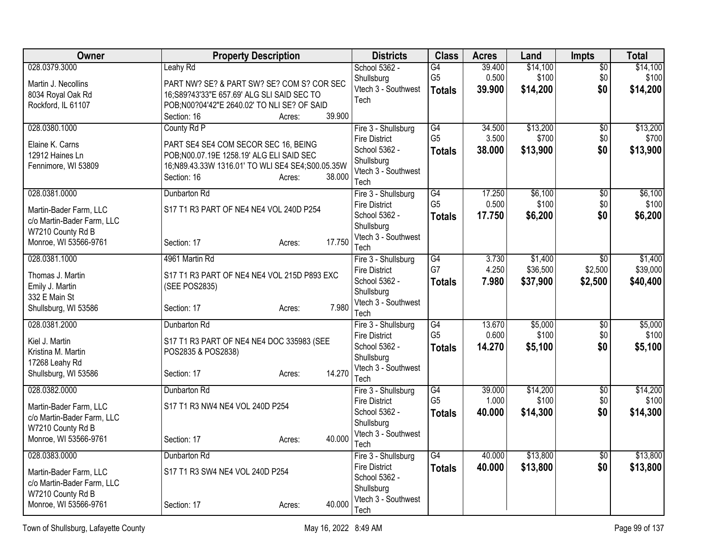| Owner                                                | <b>Property Description</b>                      | <b>Districts</b>                      | <b>Class</b>    | <b>Acres</b>    | Land     | <b>Impts</b>    | <b>Total</b> |
|------------------------------------------------------|--------------------------------------------------|---------------------------------------|-----------------|-----------------|----------|-----------------|--------------|
| 028.0379.3000                                        | Leahy Rd                                         | School 5362 -                         | G4              | 39.400          | \$14,100 | \$0             | \$14,100     |
| Martin J. Necollins                                  | PART NW? SE? & PART SW? SE? COM S? COR SEC       | Shullsburg                            | G <sub>5</sub>  | 0.500           | \$100    | \$0             | \$100        |
| 8034 Royal Oak Rd                                    | 16;S89?43'33"E 657.69' ALG SLI SAID SEC TO       | Vtech 3 - Southwest<br>Tech           | <b>Totals</b>   | 39.900          | \$14,200 | \$0             | \$14,200     |
| Rockford, IL 61107                                   | POB;N00?04'42"E 2640.02' TO NLI SE? OF SAID      |                                       |                 |                 |          |                 |              |
|                                                      | 39.900<br>Section: 16<br>Acres:                  |                                       |                 |                 |          |                 |              |
| 028.0380.1000                                        | County Rd P                                      | Fire 3 - Shullsburg                   | G4              | 34.500          | \$13,200 | \$0             | \$13,200     |
| Elaine K. Carns                                      | PART SE4 SE4 COM SECOR SEC 16, BEING             | <b>Fire District</b><br>School 5362 - | G <sub>5</sub>  | 3.500           | \$700    | \$0             | \$700        |
| 12912 Haines Ln                                      | POB;N00.07.19E 1258.19' ALG ELI SAID SEC         | Shullsburg                            | <b>Totals</b>   | 38.000          | \$13,900 | \$0             | \$13,900     |
| Fennimore, WI 53809                                  | 16;N89.43.33W 1316.01' TO WLI SE4 SE4;S00.05.35W | Vtech 3 - Southwest                   |                 |                 |          |                 |              |
|                                                      | Section: 16<br>38.000<br>Acres:                  | Tech                                  |                 |                 |          |                 |              |
| 028.0381.0000                                        | Dunbarton Rd                                     | Fire 3 - Shullsburg                   | $\overline{G4}$ | 17.250          | \$6,100  | $\overline{50}$ | \$6,100      |
| Martin-Bader Farm, LLC                               | S17 T1 R3 PART OF NE4 NE4 VOL 240D P254          | <b>Fire District</b>                  | G <sub>5</sub>  | 0.500           | \$100    | \$0             | \$100        |
| c/o Martin-Bader Farm, LLC                           |                                                  | School 5362 -                         | <b>Totals</b>   | 17.750          | \$6,200  | \$0             | \$6,200      |
| W7210 County Rd B                                    |                                                  | Shullsburg                            |                 |                 |          |                 |              |
| Monroe, WI 53566-9761                                | 17.750<br>Section: 17<br>Acres:                  | Vtech 3 - Southwest                   |                 |                 |          |                 |              |
| 028.0381.1000                                        | 4961 Martin Rd                                   | Tech<br>Fire 3 - Shullsburg           | $\overline{G4}$ | 3.730           | \$1,400  | $\overline{30}$ | \$1,400      |
|                                                      |                                                  | <b>Fire District</b>                  | G7              | 4.250           | \$36,500 | \$2,500         | \$39,000     |
| Thomas J. Martin                                     | S17 T1 R3 PART OF NE4 NE4 VOL 215D P893 EXC      | School 5362 -                         | <b>Totals</b>   | 7.980           | \$37,900 | \$2,500         | \$40,400     |
| Emily J. Martin                                      | (SEE POS2835)                                    | Shullsburg                            |                 |                 |          |                 |              |
| 332 E Main St<br>Shullsburg, WI 53586                | 7.980<br>Section: 17<br>Acres:                   | Vtech 3 - Southwest                   |                 |                 |          |                 |              |
|                                                      |                                                  | Tech                                  |                 |                 |          |                 |              |
| 028.0381.2000                                        | Dunbarton Rd                                     | Fire 3 - Shullsburg                   | G4              | 13.670          | \$5,000  | \$0             | \$5,000      |
| Kiel J. Martin                                       | S17 T1 R3 PART OF NE4 NE4 DOC 335983 (SEE        | <b>Fire District</b><br>School 5362 - | G <sub>5</sub>  | 0.600<br>14.270 | \$100    | \$0<br>\$0      | \$100        |
| Kristina M. Martin                                   | POS2835 & POS2838)                               | Shullsburg                            | <b>Totals</b>   |                 | \$5,100  |                 | \$5,100      |
| 17268 Leahy Rd                                       |                                                  | Vtech 3 - Southwest                   |                 |                 |          |                 |              |
| Shullsburg, WI 53586                                 | 14.270<br>Section: 17<br>Acres:                  | Tech                                  |                 |                 |          |                 |              |
| 028.0382.0000                                        | Dunbarton Rd                                     | Fire 3 - Shullsburg                   | $\overline{G4}$ | 39.000          | \$14,200 | $\overline{50}$ | \$14,200     |
| Martin-Bader Farm, LLC                               | S17 T1 R3 NW4 NE4 VOL 240D P254                  | <b>Fire District</b>                  | G <sub>5</sub>  | 1.000           | \$100    | \$0             | \$100        |
| c/o Martin-Bader Farm, LLC                           |                                                  | School 5362 -                         | <b>Totals</b>   | 40.000          | \$14,300 | \$0             | \$14,300     |
| W7210 County Rd B                                    |                                                  | Shullsburg<br>Vtech 3 - Southwest     |                 |                 |          |                 |              |
| Monroe, WI 53566-9761                                | 40.000<br>Section: 17<br>Acres:                  | Tech                                  |                 |                 |          |                 |              |
| 028.0383.0000                                        | Dunbarton Rd                                     | Fire 3 - Shullsburg                   | $\overline{G4}$ | 40.000          | \$13,800 | \$0             | \$13,800     |
|                                                      |                                                  | <b>Fire District</b>                  | <b>Totals</b>   | 40.000          | \$13,800 | \$0             | \$13,800     |
| Martin-Bader Farm, LLC<br>c/o Martin-Bader Farm, LLC | S17 T1 R3 SW4 NE4 VOL 240D P254                  | School 5362 -                         |                 |                 |          |                 |              |
| W7210 County Rd B                                    |                                                  | Shullsburg                            |                 |                 |          |                 |              |
| Monroe, WI 53566-9761                                | 40.000<br>Section: 17<br>Acres:                  | Vtech 3 - Southwest                   |                 |                 |          |                 |              |
|                                                      |                                                  | Tech                                  |                 |                 |          |                 |              |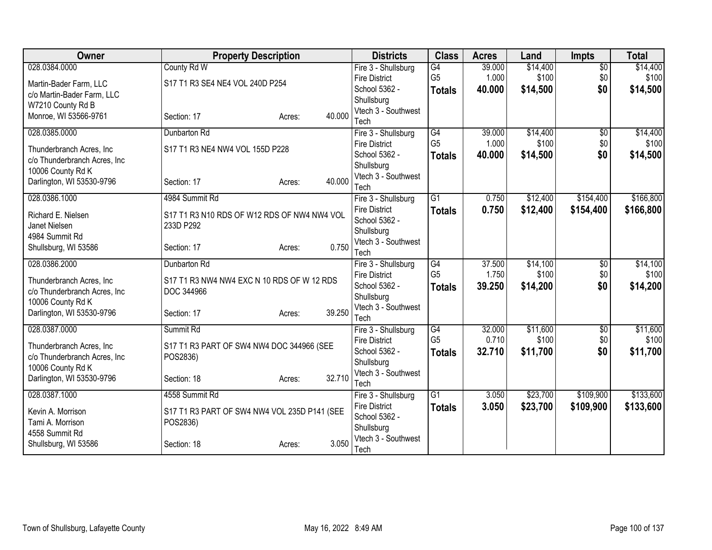| Owner                                 | <b>Property Description</b>                              |                  | <b>Districts</b>            | <b>Class</b>    | <b>Acres</b> | Land     | <b>Impts</b>    | <b>Total</b> |
|---------------------------------------|----------------------------------------------------------|------------------|-----------------------------|-----------------|--------------|----------|-----------------|--------------|
| 028.0384.0000                         | County Rd W                                              |                  | Fire 3 - Shullsburg         | $\overline{G4}$ | 39.000       | \$14,400 | $\overline{50}$ | \$14,400     |
| Martin-Bader Farm, LLC                | S17 T1 R3 SE4 NE4 VOL 240D P254                          |                  | <b>Fire District</b>        | G <sub>5</sub>  | 1.000        | \$100    | \$0             | \$100        |
| c/o Martin-Bader Farm, LLC            |                                                          |                  | School 5362 -               | <b>Totals</b>   | 40.000       | \$14,500 | \$0             | \$14,500     |
| W7210 County Rd B                     |                                                          |                  | Shullsburg                  |                 |              |          |                 |              |
| Monroe, WI 53566-9761                 | Section: 17                                              | 40.000<br>Acres: | Vtech 3 - Southwest<br>Tech |                 |              |          |                 |              |
| 028.0385.0000                         | Dunbarton Rd                                             |                  | Fire 3 - Shullsburg         | $\overline{G4}$ | 39.000       | \$14,400 | $\overline{50}$ | \$14,400     |
|                                       |                                                          |                  | <b>Fire District</b>        | G <sub>5</sub>  | 1.000        | \$100    | \$0             | \$100        |
| Thunderbranch Acres, Inc.             | S17 T1 R3 NE4 NW4 VOL 155D P228                          |                  | School 5362 -               | <b>Totals</b>   | 40.000       | \$14,500 | \$0             | \$14,500     |
| c/o Thunderbranch Acres, Inc.         |                                                          |                  | Shullsburg                  |                 |              |          |                 |              |
| 10006 County Rd K                     |                                                          |                  | Vtech 3 - Southwest         |                 |              |          |                 |              |
| Darlington, WI 53530-9796             | Section: 17                                              | 40.000<br>Acres: | Tech                        |                 |              |          |                 |              |
| 028.0386.1000                         | 4984 Summit Rd                                           |                  | Fire 3 - Shullsburg         | $\overline{G1}$ | 0.750        | \$12,400 | \$154,400       | \$166,800    |
| Richard E. Nielsen                    |                                                          |                  | <b>Fire District</b>        | <b>Totals</b>   | 0.750        | \$12,400 | \$154,400       | \$166,800    |
| Janet Nielsen                         | S17 T1 R3 N10 RDS OF W12 RDS OF NW4 NW4 VOL<br>233D P292 |                  | School 5362 -               |                 |              |          |                 |              |
| 4984 Summit Rd                        |                                                          |                  | Shullsburg                  |                 |              |          |                 |              |
| Shullsburg, WI 53586                  | Section: 17                                              | 0.750<br>Acres:  | Vtech 3 - Southwest         |                 |              |          |                 |              |
|                                       |                                                          |                  | Tech                        |                 |              |          |                 |              |
| 028.0386.2000                         | Dunbarton Rd                                             |                  | Fire 3 - Shullsburg         | G4              | 37.500       | \$14,100 | $\overline{$0}$ | \$14,100     |
| Thunderbranch Acres, Inc              | S17 T1 R3 NW4 NW4 EXC N 10 RDS OF W 12 RDS               |                  | <b>Fire District</b>        | G <sub>5</sub>  | 1.750        | \$100    | \$0             | \$100        |
| c/o Thunderbranch Acres, Inc.         | DOC 344966                                               |                  | School 5362 -               | <b>Totals</b>   | 39.250       | \$14,200 | \$0             | \$14,200     |
| 10006 County Rd K                     |                                                          |                  | Shullsburg                  |                 |              |          |                 |              |
| Darlington, WI 53530-9796             | Section: 17                                              | 39.250<br>Acres: | Vtech 3 - Southwest<br>Tech |                 |              |          |                 |              |
| 028.0387.0000                         | Summit Rd                                                |                  | Fire 3 - Shullsburg         | $\overline{G4}$ | 32.000       | \$11,600 | $\overline{50}$ | \$11,600     |
|                                       |                                                          |                  | <b>Fire District</b>        | G <sub>5</sub>  | 0.710        | \$100    | \$0             | \$100        |
| Thunderbranch Acres, Inc.             | S17 T1 R3 PART OF SW4 NW4 DOC 344966 (SEE                |                  | School 5362 -               | <b>Totals</b>   | 32.710       | \$11,700 | \$0             | \$11,700     |
| c/o Thunderbranch Acres, Inc          | POS2836)                                                 |                  | Shullsburg                  |                 |              |          |                 |              |
| 10006 County Rd K                     |                                                          |                  | Vtech 3 - Southwest         |                 |              |          |                 |              |
| Darlington, WI 53530-9796             | Section: 18                                              | 32.710<br>Acres: | Tech                        |                 |              |          |                 |              |
| 028.0387.1000                         | 4558 Summit Rd                                           |                  | Fire 3 - Shullsburg         | $\overline{G1}$ | 3.050        | \$23,700 | \$109,900       | \$133,600    |
|                                       |                                                          |                  | <b>Fire District</b>        | <b>Totals</b>   | 3.050        | \$23,700 | \$109,900       | \$133,600    |
| Kevin A. Morrison<br>Tami A. Morrison | S17 T1 R3 PART OF SW4 NW4 VOL 235D P141 (SEE<br>POS2836) |                  | School 5362 -               |                 |              |          |                 |              |
| 4558 Summit Rd                        |                                                          |                  | Shullsburg                  |                 |              |          |                 |              |
| Shullsburg, WI 53586                  | Section: 18                                              | 3.050<br>Acres:  | Vtech 3 - Southwest         |                 |              |          |                 |              |
|                                       |                                                          |                  | Tech                        |                 |              |          |                 |              |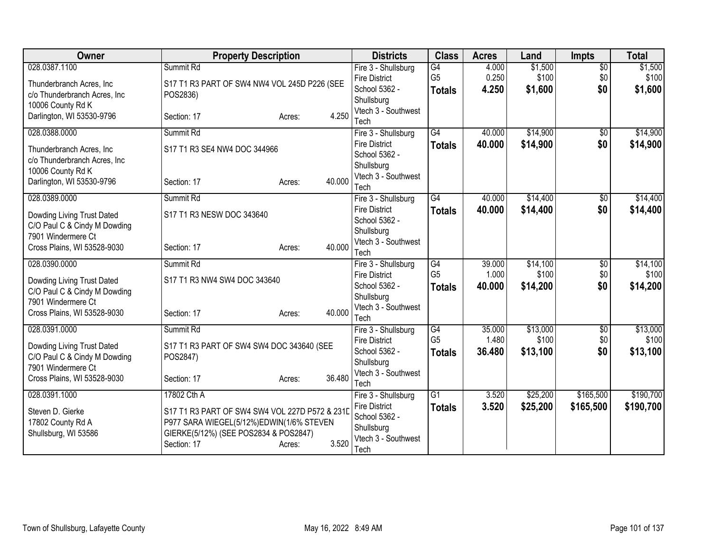| <b>Owner</b>                  | <b>Property Description</b>                    |                  | <b>Districts</b>                            | <b>Class</b>    | <b>Acres</b> | Land     | <b>Impts</b>    | <b>Total</b> |
|-------------------------------|------------------------------------------------|------------------|---------------------------------------------|-----------------|--------------|----------|-----------------|--------------|
| 028.0387.1100                 | Summit Rd                                      |                  | Fire 3 - Shullsburg                         | G4              | 4.000        | \$1,500  | $\overline{50}$ | \$1,500      |
| Thunderbranch Acres, Inc.     | S17 T1 R3 PART OF SW4 NW4 VOL 245D P226 (SEE   |                  | <b>Fire District</b>                        | G <sub>5</sub>  | 0.250        | \$100    | \$0             | \$100        |
| c/o Thunderbranch Acres, Inc  | POS2836)                                       |                  | School 5362 -                               | <b>Totals</b>   | 4.250        | \$1,600  | \$0             | \$1,600      |
| 10006 County Rd K             |                                                |                  | Shullsburg                                  |                 |              |          |                 |              |
| Darlington, WI 53530-9796     | Section: 17                                    | 4.250<br>Acres:  | Vtech 3 - Southwest<br>Tech                 |                 |              |          |                 |              |
| 028.0388.0000                 | Summit Rd                                      |                  | Fire 3 - Shullsburg                         | $\overline{G4}$ | 40.000       | \$14,900 | $\overline{50}$ | \$14,900     |
|                               |                                                |                  | <b>Fire District</b>                        | <b>Totals</b>   | 40.000       | \$14,900 | \$0             | \$14,900     |
| Thunderbranch Acres, Inc.     | S17 T1 R3 SE4 NW4 DOC 344966                   |                  | School 5362 -                               |                 |              |          |                 |              |
| c/o Thunderbranch Acres, Inc. |                                                |                  | Shullsburg                                  |                 |              |          |                 |              |
| 10006 County Rd K             |                                                |                  | Vtech 3 - Southwest                         |                 |              |          |                 |              |
| Darlington, WI 53530-9796     | Section: 17                                    | 40.000<br>Acres: | Tech                                        |                 |              |          |                 |              |
| 028.0389.0000                 | Summit Rd                                      |                  | Fire 3 - Shullsburg                         | $\overline{G4}$ | 40.000       | \$14,400 | \$0             | \$14,400     |
| Dowding Living Trust Dated    | S17 T1 R3 NESW DOC 343640                      |                  | <b>Fire District</b>                        | <b>Totals</b>   | 40.000       | \$14,400 | \$0             | \$14,400     |
| C/O Paul C & Cindy M Dowding  |                                                |                  | School 5362 -                               |                 |              |          |                 |              |
| 7901 Windermere Ct            |                                                |                  | Shullsburg                                  |                 |              |          |                 |              |
| Cross Plains, WI 53528-9030   | Section: 17                                    | 40.000<br>Acres: | Vtech 3 - Southwest                         |                 |              |          |                 |              |
| 028.0390.0000                 | Summit Rd                                      |                  | Tech                                        | $\overline{G4}$ | 39.000       | \$14,100 | $\overline{50}$ | \$14,100     |
|                               |                                                |                  | Fire 3 - Shullsburg<br><b>Fire District</b> | G <sub>5</sub>  | 1.000        | \$100    | \$0             | \$100        |
| Dowding Living Trust Dated    | S17 T1 R3 NW4 SW4 DOC 343640                   |                  | School 5362 -                               | <b>Totals</b>   | 40.000       | \$14,200 | \$0             | \$14,200     |
| C/O Paul C & Cindy M Dowding  |                                                |                  | Shullsburg                                  |                 |              |          |                 |              |
| 7901 Windermere Ct            |                                                |                  | Vtech 3 - Southwest                         |                 |              |          |                 |              |
| Cross Plains, WI 53528-9030   | Section: 17                                    | 40.000<br>Acres: | Tech                                        |                 |              |          |                 |              |
| 028.0391.0000                 | Summit Rd                                      |                  | Fire 3 - Shullsburg                         | $\overline{G4}$ | 35.000       | \$13,000 | $\overline{50}$ | \$13,000     |
| Dowding Living Trust Dated    | S17 T1 R3 PART OF SW4 SW4 DOC 343640 (SEE      |                  | <b>Fire District</b>                        | G <sub>5</sub>  | 1.480        | \$100    | \$0             | \$100        |
| C/O Paul C & Cindy M Dowding  | POS2847)                                       |                  | School 5362 -                               | <b>Totals</b>   | 36,480       | \$13,100 | \$0             | \$13,100     |
| 7901 Windermere Ct            |                                                |                  | Shullsburg                                  |                 |              |          |                 |              |
| Cross Plains, WI 53528-9030   | Section: 17                                    | 36.480<br>Acres: | Vtech 3 - Southwest                         |                 |              |          |                 |              |
|                               | 17802 Cth A                                    |                  | Tech                                        | $\overline{G1}$ | 3.520        |          | \$165,500       | \$190,700    |
| 028.0391.1000                 |                                                |                  | Fire 3 - Shullsburg<br><b>Fire District</b> |                 | 3.520        | \$25,200 |                 |              |
| Steven D. Gierke              | S17 T1 R3 PART OF SW4 SW4 VOL 227D P572 & 231D |                  | School 5362 -                               | <b>Totals</b>   |              | \$25,200 | \$165,500       | \$190,700    |
| 17802 County Rd A             | P977 SARA WIEGEL(5/12%)EDWIN(1/6% STEVEN       |                  | Shullsburg                                  |                 |              |          |                 |              |
| Shullsburg, WI 53586          | GIERKE(5/12%) (SEE POS2834 & POS2847)          |                  | Vtech 3 - Southwest                         |                 |              |          |                 |              |
|                               | Section: 17                                    | 3.520<br>Acres:  | Tech                                        |                 |              |          |                 |              |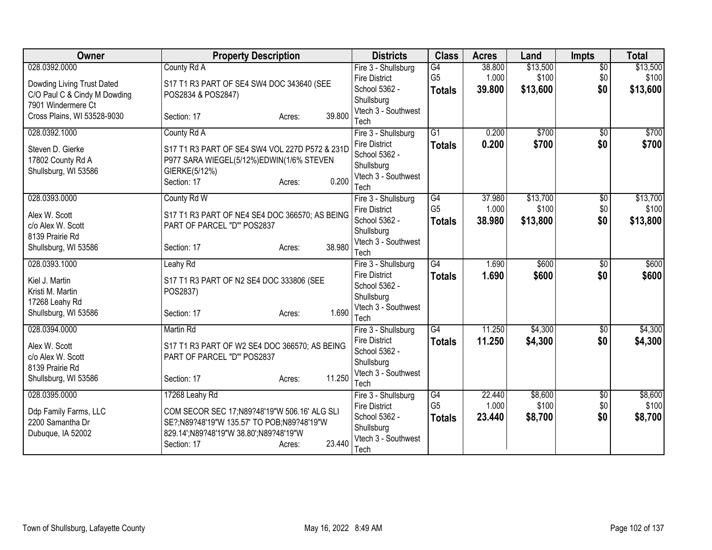| Owner                        | <b>Property Description</b>                    | <b>Districts</b>            | <b>Class</b>    | <b>Acres</b> | Land     | <b>Impts</b>    | <b>Total</b> |
|------------------------------|------------------------------------------------|-----------------------------|-----------------|--------------|----------|-----------------|--------------|
| 028.0392.0000                | County Rd A                                    | Fire 3 - Shullsburg         | $\overline{G4}$ | 38.800       | \$13,500 | $\overline{50}$ | \$13,500     |
| Dowding Living Trust Dated   | S17 T1 R3 PART OF SE4 SW4 DOC 343640 (SEE      | <b>Fire District</b>        | G <sub>5</sub>  | 1.000        | \$100    | \$0             | \$100        |
| C/O Paul C & Cindy M Dowding | POS2834 & POS2847)                             | School 5362 -               | <b>Totals</b>   | 39.800       | \$13,600 | \$0             | \$13,600     |
| 7901 Windermere Ct           |                                                | Shullsburg                  |                 |              |          |                 |              |
| Cross Plains, WI 53528-9030  | 39.800<br>Section: 17<br>Acres:                | Vtech 3 - Southwest<br>Tech |                 |              |          |                 |              |
| 028.0392.1000                | County Rd A                                    | Fire 3 - Shullsburg         | $\overline{G1}$ | 0.200        | \$700    | $\overline{50}$ | \$700        |
|                              |                                                | <b>Fire District</b>        | <b>Totals</b>   | 0.200        | \$700    | \$0             | \$700        |
| Steven D. Gierke             | S17 T1 R3 PART OF SE4 SW4 VOL 227D P572 & 231D | School 5362 -               |                 |              |          |                 |              |
| 17802 County Rd A            | P977 SARA WIEGEL(5/12%)EDWIN(1/6% STEVEN       | Shullsburg                  |                 |              |          |                 |              |
| Shullsburg, WI 53586         | GIERKE(5/12%)<br>0.200                         | Vtech 3 - Southwest         |                 |              |          |                 |              |
|                              | Section: 17<br>Acres:                          | Tech                        |                 |              |          |                 |              |
| 028.0393.0000                | County Rd W                                    | Fire 3 - Shullsburg         | $\overline{G4}$ | 37.980       | \$13,700 | $\overline{50}$ | \$13,700     |
| Alex W. Scott                | S17 T1 R3 PART OF NE4 SE4 DOC 366570; AS BEING | <b>Fire District</b>        | G <sub>5</sub>  | 1.000        | \$100    | \$0             | \$100        |
| c/o Alex W. Scott            | PART OF PARCEL "D" POS2837                     | School 5362 -               | <b>Totals</b>   | 38,980       | \$13,800 | \$0             | \$13,800     |
| 8139 Prairie Rd              |                                                | Shullsburg                  |                 |              |          |                 |              |
| Shullsburg, WI 53586         | 38.980<br>Section: 17<br>Acres:                | Vtech 3 - Southwest<br>Tech |                 |              |          |                 |              |
| 028.0393.1000                | Leahy Rd                                       | Fire 3 - Shullsburg         | $\overline{G4}$ | 1.690        | \$600    | $\overline{50}$ | \$600        |
|                              |                                                | <b>Fire District</b>        | <b>Totals</b>   | 1.690        | \$600    | \$0             | \$600        |
| Kiel J. Martin               | S17 T1 R3 PART OF N2 SE4 DOC 333806 (SEE       | School 5362 -               |                 |              |          |                 |              |
| Kristi M. Martin             | POS2837)                                       | Shullsburg                  |                 |              |          |                 |              |
| 17268 Leahy Rd               |                                                | Vtech 3 - Southwest         |                 |              |          |                 |              |
| Shullsburg, WI 53586         | 1.690<br>Section: 17<br>Acres:                 | Tech                        |                 |              |          |                 |              |
| 028.0394.0000                | Martin Rd                                      | Fire 3 - Shullsburg         | $\overline{G4}$ | 11.250       | \$4,300  | $\sqrt{6}$      | \$4,300      |
| Alex W. Scott                | S17 T1 R3 PART OF W2 SE4 DOC 366570; AS BEING  | <b>Fire District</b>        | <b>Totals</b>   | 11.250       | \$4,300  | \$0             | \$4,300      |
| c/o Alex W. Scott            | PART OF PARCEL "D"' POS2837                    | School 5362 -               |                 |              |          |                 |              |
| 8139 Prairie Rd              |                                                | Shullsburg                  |                 |              |          |                 |              |
| Shullsburg, WI 53586         | 11.250<br>Section: 17<br>Acres:                | Vtech 3 - Southwest         |                 |              |          |                 |              |
| 028.0395.0000                | 17268 Leahy Rd                                 | Tech<br>Fire 3 - Shullsburg | G4              | 22.440       | \$8,600  | \$0             | \$8,600      |
|                              |                                                | <b>Fire District</b>        | G <sub>5</sub>  | 1.000        | \$100    | \$0             | \$100        |
| Ddp Family Farms, LLC        | COM SECOR SEC 17;N89?48'19"W 506.16' ALG SLI   | School 5362 -               | <b>Totals</b>   | 23.440       | \$8,700  | \$0             | \$8,700      |
| 2200 Samantha Dr             | SE?;N89?48'19"W 135.57' TO POB;N89?48'19"W     | Shullsburg                  |                 |              |          |                 |              |
| Dubuque, IA 52002            | 829.14';N89?48'19"W 38.80';N89?48'19"W         | Vtech 3 - Southwest         |                 |              |          |                 |              |
|                              | 23.440<br>Section: 17<br>Acres:                | Tech                        |                 |              |          |                 |              |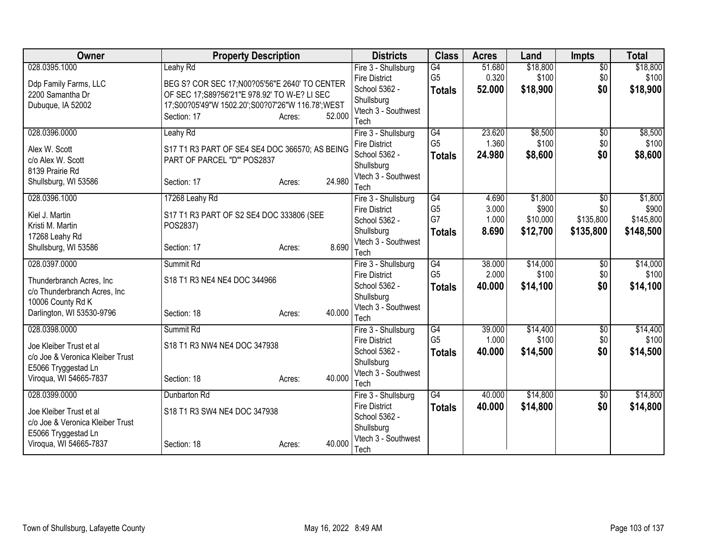| <b>Owner</b><br><b>Property Description</b>                              |                  | <b>Districts</b>                            | <b>Class</b>    | <b>Acres</b> | Land     | <b>Impts</b>    | <b>Total</b> |
|--------------------------------------------------------------------------|------------------|---------------------------------------------|-----------------|--------------|----------|-----------------|--------------|
| 028.0395.1000<br>Leahy Rd                                                |                  | Fire 3 - Shullsburg                         | $\overline{G4}$ | 51.680       | \$18,800 | $\overline{50}$ | \$18,800     |
| BEG S? COR SEC 17; N00?05'56" E 2640' TO CENTER<br>Ddp Family Farms, LLC |                  | <b>Fire District</b>                        | G <sub>5</sub>  | 0.320        | \$100    | \$0             | \$100        |
| 2200 Samantha Dr<br>OF SEC 17;S89?56'21"E 978.92' TO W-E? LI SEC         |                  | School 5362 -                               | <b>Totals</b>   | 52,000       | \$18,900 | \$0             | \$18,900     |
| 17;S00?05'49"W 1502.20';S00?07'26"W 116.78';WEST<br>Dubuque, IA 52002    |                  | Shullsburg                                  |                 |              |          |                 |              |
| Section: 17                                                              | 52.000<br>Acres: | Vtech 3 - Southwest                         |                 |              |          |                 |              |
|                                                                          |                  | Tech                                        |                 |              |          |                 |              |
| 028.0396.0000<br>Leahy Rd                                                |                  | Fire 3 - Shullsburg                         | G4              | 23.620       | \$8,500  | $\overline{50}$ | \$8,500      |
| S17 T1 R3 PART OF SE4 SE4 DOC 366570; AS BEING<br>Alex W. Scott          |                  | <b>Fire District</b>                        | G <sub>5</sub>  | 1.360        | \$100    | \$0             | \$100        |
| PART OF PARCEL "D" POS2837<br>c/o Alex W. Scott                          |                  | School 5362 -                               | <b>Totals</b>   | 24.980       | \$8,600  | \$0             | \$8,600      |
| 8139 Prairie Rd                                                          |                  | Shullsburg                                  |                 |              |          |                 |              |
| Shullsburg, WI 53586<br>Section: 17                                      | 24.980<br>Acres: | Vtech 3 - Southwest<br>Tech                 |                 |              |          |                 |              |
| 028.0396.1000<br>17268 Leahy Rd                                          |                  | Fire 3 - Shullsburg                         | $\overline{G4}$ | 4.690        | \$1,800  | $\overline{30}$ | \$1,800      |
|                                                                          |                  | <b>Fire District</b>                        | G <sub>5</sub>  | 3.000        | \$900    | \$0             | \$900        |
| Kiel J. Martin<br>S17 T1 R3 PART OF S2 SE4 DOC 333806 (SEE               |                  | School 5362 -                               | G7              | 1.000        | \$10,000 | \$135,800       | \$145,800    |
| Kristi M. Martin<br>POS2837)                                             |                  | Shullsburg                                  | <b>Totals</b>   | 8.690        | \$12,700 | \$135,800       | \$148,500    |
| 17268 Leahy Rd                                                           |                  | Vtech 3 - Southwest                         |                 |              |          |                 |              |
| Shullsburg, WI 53586<br>Section: 17                                      | 8.690<br>Acres:  | Tech                                        |                 |              |          |                 |              |
| 028.0397.0000<br>Summit Rd                                               |                  | Fire 3 - Shullsburg                         | G4              | 38.000       | \$14,000 | $\overline{50}$ | \$14,000     |
| S18 T1 R3 NE4 NE4 DOC 344966<br>Thunderbranch Acres, Inc.                |                  | <b>Fire District</b>                        | G <sub>5</sub>  | 2.000        | \$100    | \$0             | \$100        |
| c/o Thunderbranch Acres, Inc                                             |                  | School 5362 -                               | <b>Totals</b>   | 40.000       | \$14,100 | \$0             | \$14,100     |
| 10006 County Rd K                                                        |                  | Shullsburg                                  |                 |              |          |                 |              |
| Darlington, WI 53530-9796<br>Section: 18                                 | 40.000<br>Acres: | Vtech 3 - Southwest                         |                 |              |          |                 |              |
|                                                                          |                  | Tech                                        |                 |              |          |                 |              |
| 028.0398.0000<br>Summit Rd                                               |                  | Fire 3 - Shullsburg                         | $\overline{G4}$ | 39.000       | \$14,400 | $\overline{60}$ | \$14,400     |
| S18 T1 R3 NW4 NE4 DOC 347938<br>Joe Kleiber Trust et al                  |                  | <b>Fire District</b>                        | G <sub>5</sub>  | 1.000        | \$100    | \$0             | \$100        |
| c/o Joe & Veronica Kleiber Trust                                         |                  | School 5362 -                               | <b>Totals</b>   | 40.000       | \$14,500 | \$0             | \$14,500     |
| E5066 Tryggestad Ln                                                      |                  | Shullsburg                                  |                 |              |          |                 |              |
| Viroqua, WI 54665-7837<br>Section: 18                                    | 40.000<br>Acres: | Vtech 3 - Southwest                         |                 |              |          |                 |              |
|                                                                          |                  | Tech                                        |                 |              |          |                 |              |
| 028.0399.0000<br>Dunbarton Rd                                            |                  | Fire 3 - Shullsburg<br><b>Fire District</b> | $\overline{G4}$ | 40.000       | \$14,800 | $\overline{50}$ | \$14,800     |
| S18 T1 R3 SW4 NE4 DOC 347938<br>Joe Kleiber Trust et al                  |                  | School 5362 -                               | <b>Totals</b>   | 40.000       | \$14,800 | \$0             | \$14,800     |
| c/o Joe & Veronica Kleiber Trust                                         |                  | Shullsburg                                  |                 |              |          |                 |              |
| E5066 Tryggestad Ln                                                      |                  | Vtech 3 - Southwest                         |                 |              |          |                 |              |
| Viroqua, WI 54665-7837<br>Section: 18                                    | 40.000<br>Acres: | Tech                                        |                 |              |          |                 |              |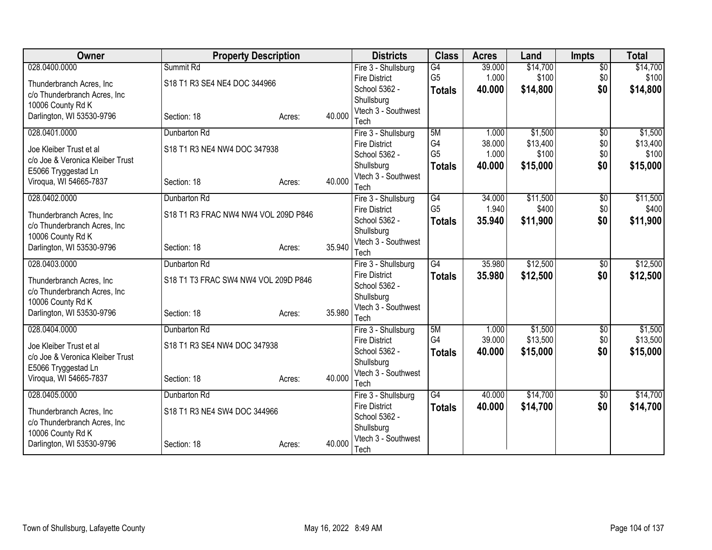| <b>Owner</b>                     | <b>Property Description</b>          |        |        | <b>Districts</b>            | <b>Class</b>    | <b>Acres</b> | Land     | <b>Impts</b>    | <b>Total</b> |
|----------------------------------|--------------------------------------|--------|--------|-----------------------------|-----------------|--------------|----------|-----------------|--------------|
| 028.0400.0000                    | Summit Rd                            |        |        | Fire 3 - Shullsburg         | G4              | 39.000       | \$14,700 | $\overline{50}$ | \$14,700     |
| Thunderbranch Acres, Inc.        | S18 T1 R3 SE4 NE4 DOC 344966         |        |        | <b>Fire District</b>        | G <sub>5</sub>  | 1.000        | \$100    | \$0             | \$100        |
| c/o Thunderbranch Acres, Inc     |                                      |        |        | School 5362 -               | <b>Totals</b>   | 40.000       | \$14,800 | \$0             | \$14,800     |
| 10006 County Rd K                |                                      |        |        | Shullsburg                  |                 |              |          |                 |              |
| Darlington, WI 53530-9796        | Section: 18                          | Acres: | 40.000 | Vtech 3 - Southwest<br>Tech |                 |              |          |                 |              |
| 028.0401.0000                    | Dunbarton Rd                         |        |        | Fire 3 - Shullsburg         | 5M              | 1.000        | \$1,500  | $\overline{50}$ | \$1,500      |
|                                  |                                      |        |        | <b>Fire District</b>        | G <sub>4</sub>  | 38.000       | \$13,400 | \$0             | \$13,400     |
| Joe Kleiber Trust et al          | S18 T1 R3 NE4 NW4 DOC 347938         |        |        | School 5362 -               | G <sub>5</sub>  | 1.000        | \$100    | \$0             | \$100        |
| c/o Joe & Veronica Kleiber Trust |                                      |        |        | Shullsburg                  | <b>Totals</b>   | 40.000       | \$15,000 | \$0             | \$15,000     |
| E5066 Tryggestad Ln              |                                      |        |        | Vtech 3 - Southwest         |                 |              |          |                 |              |
| Viroqua, WI 54665-7837           | Section: 18                          | Acres: | 40.000 | Tech                        |                 |              |          |                 |              |
| 028.0402.0000                    | Dunbarton Rd                         |        |        | Fire 3 - Shullsburg         | $\overline{G4}$ | 34.000       | \$11,500 | $\overline{50}$ | \$11,500     |
| Thunderbranch Acres, Inc.        | S18 T1 R3 FRAC NW4 NW4 VOL 209D P846 |        |        | <b>Fire District</b>        | G <sub>5</sub>  | 1.940        | \$400    | \$0             | \$400        |
| c/o Thunderbranch Acres, Inc.    |                                      |        |        | School 5362 -               | <b>Totals</b>   | 35.940       | \$11,900 | \$0             | \$11,900     |
| 10006 County Rd K                |                                      |        |        | Shullsburg                  |                 |              |          |                 |              |
| Darlington, WI 53530-9796        | Section: 18                          | Acres: | 35.940 | Vtech 3 - Southwest<br>Tech |                 |              |          |                 |              |
| 028.0403.0000                    | Dunbarton Rd                         |        |        | Fire 3 - Shullsburg         | G4              | 35.980       | \$12,500 | $\overline{50}$ | \$12,500     |
|                                  |                                      |        |        | <b>Fire District</b>        | <b>Totals</b>   | 35.980       | \$12,500 | \$0             | \$12,500     |
| Thunderbranch Acres, Inc.        | S18 T1 T3 FRAC SW4 NW4 VOL 209D P846 |        |        | School 5362 -               |                 |              |          |                 |              |
| c/o Thunderbranch Acres, Inc.    |                                      |        |        | Shullsburg                  |                 |              |          |                 |              |
| 10006 County Rd K                |                                      |        |        | Vtech 3 - Southwest         |                 |              |          |                 |              |
| Darlington, WI 53530-9796        | Section: 18                          | Acres: | 35.980 | Tech                        |                 |              |          |                 |              |
| 028.0404.0000                    | Dunbarton Rd                         |        |        | Fire 3 - Shullsburg         | 5M              | 1.000        | \$1,500  | $\sqrt{6}$      | \$1,500      |
| Joe Kleiber Trust et al          | S18 T1 R3 SE4 NW4 DOC 347938         |        |        | <b>Fire District</b>        | G4              | 39.000       | \$13,500 | \$0             | \$13,500     |
| c/o Joe & Veronica Kleiber Trust |                                      |        |        | School 5362 -               | <b>Totals</b>   | 40.000       | \$15,000 | \$0             | \$15,000     |
| E5066 Tryggestad Ln              |                                      |        |        | Shullsburg                  |                 |              |          |                 |              |
| Viroqua, WI 54665-7837           | Section: 18                          | Acres: | 40.000 | Vtech 3 - Southwest<br>Tech |                 |              |          |                 |              |
| 028.0405.0000                    | Dunbarton Rd                         |        |        | Fire 3 - Shullsburg         | $\overline{G4}$ | 40.000       | \$14,700 | \$0             | \$14,700     |
|                                  |                                      |        |        | <b>Fire District</b>        | <b>Totals</b>   | 40.000       | \$14,700 | \$0             | \$14,700     |
| Thunderbranch Acres, Inc.        | S18 T1 R3 NE4 SW4 DOC 344966         |        |        | School 5362 -               |                 |              |          |                 |              |
| c/o Thunderbranch Acres, Inc     |                                      |        |        | Shullsburg                  |                 |              |          |                 |              |
| 10006 County Rd K                |                                      |        |        | Vtech 3 - Southwest         |                 |              |          |                 |              |
| Darlington, WI 53530-9796        | Section: 18                          | Acres: | 40.000 | Tech                        |                 |              |          |                 |              |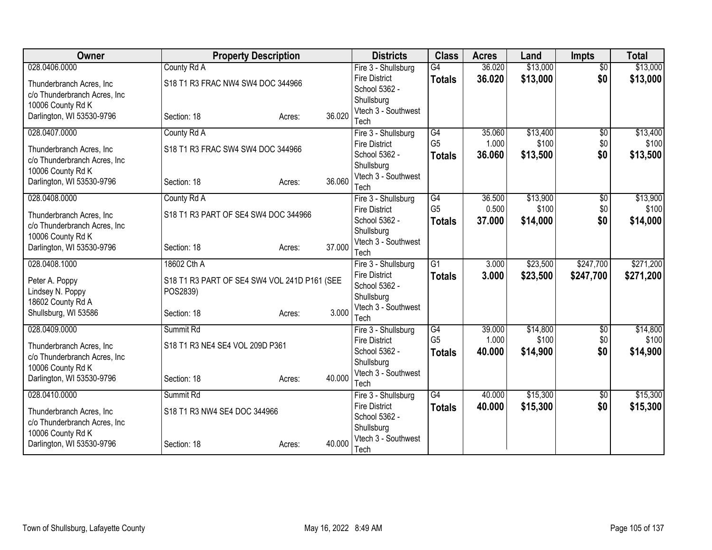| <b>Owner</b>                                       | <b>Property Description</b>                  |        |        | <b>Districts</b>                  | <b>Class</b>    | <b>Acres</b> | Land     | <b>Impts</b>    | <b>Total</b> |
|----------------------------------------------------|----------------------------------------------|--------|--------|-----------------------------------|-----------------|--------------|----------|-----------------|--------------|
| 028.0406.0000                                      | County Rd A                                  |        |        | Fire 3 - Shullsburg               | G4              | 36.020       | \$13,000 | $\overline{50}$ | \$13,000     |
| Thunderbranch Acres, Inc.                          | S18 T1 R3 FRAC NW4 SW4 DOC 344966            |        |        | <b>Fire District</b>              | <b>Totals</b>   | 36.020       | \$13,000 | \$0             | \$13,000     |
| c/o Thunderbranch Acres, Inc                       |                                              |        |        | School 5362 -                     |                 |              |          |                 |              |
| 10006 County Rd K                                  |                                              |        |        | Shullsburg<br>Vtech 3 - Southwest |                 |              |          |                 |              |
| Darlington, WI 53530-9796                          | Section: 18                                  | Acres: | 36.020 | Tech                              |                 |              |          |                 |              |
| 028.0407.0000                                      | County Rd A                                  |        |        | Fire 3 - Shullsburg               | G4              | 35.060       | \$13,400 | $\overline{50}$ | \$13,400     |
|                                                    |                                              |        |        | <b>Fire District</b>              | G <sub>5</sub>  | 1.000        | \$100    | \$0             | \$100        |
| Thunderbranch Acres, Inc.                          | S18 T1 R3 FRAC SW4 SW4 DOC 344966            |        |        | School 5362 -                     | <b>Totals</b>   | 36.060       | \$13,500 | \$0             | \$13,500     |
| c/o Thunderbranch Acres, Inc.<br>10006 County Rd K |                                              |        |        | Shullsburg                        |                 |              |          |                 |              |
| Darlington, WI 53530-9796                          | Section: 18                                  | Acres: | 36.060 | Vtech 3 - Southwest               |                 |              |          |                 |              |
|                                                    |                                              |        |        | Tech                              |                 |              |          |                 |              |
| 028.0408.0000                                      | County Rd A                                  |        |        | Fire 3 - Shullsburg               | $\overline{G4}$ | 36.500       | \$13,900 | $\overline{50}$ | \$13,900     |
| Thunderbranch Acres, Inc.                          | S18 T1 R3 PART OF SE4 SW4 DOC 344966         |        |        | <b>Fire District</b>              | G <sub>5</sub>  | 0.500        | \$100    | \$0             | \$100        |
| c/o Thunderbranch Acres, Inc.                      |                                              |        |        | School 5362 -                     | <b>Totals</b>   | 37.000       | \$14,000 | \$0             | \$14,000     |
| 10006 County Rd K                                  |                                              |        |        | Shullsburg<br>Vtech 3 - Southwest |                 |              |          |                 |              |
| Darlington, WI 53530-9796                          | Section: 18                                  | Acres: | 37.000 | Tech                              |                 |              |          |                 |              |
| 028.0408.1000                                      | 18602 Cth A                                  |        |        | Fire 3 - Shullsburg               | $\overline{G1}$ | 3.000        | \$23,500 | \$247,700       | \$271,200    |
|                                                    |                                              |        |        | <b>Fire District</b>              | <b>Totals</b>   | 3.000        | \$23,500 | \$247,700       | \$271,200    |
| Peter A. Poppy                                     | S18 T1 R3 PART OF SE4 SW4 VOL 241D P161 (SEE |        |        | School 5362 -                     |                 |              |          |                 |              |
| Lindsey N. Poppy<br>18602 County Rd A              | POS2839)                                     |        |        | Shullsburg                        |                 |              |          |                 |              |
| Shullsburg, WI 53586                               | Section: 18                                  | Acres: | 3.000  | Vtech 3 - Southwest               |                 |              |          |                 |              |
|                                                    |                                              |        |        | Tech                              |                 |              |          |                 |              |
| 028.0409.0000                                      | Summit Rd                                    |        |        | Fire 3 - Shullsburg               | $\overline{G4}$ | 39.000       | \$14,800 | $\overline{60}$ | \$14,800     |
| Thunderbranch Acres, Inc.                          | S18 T1 R3 NE4 SE4 VOL 209D P361              |        |        | <b>Fire District</b>              | G <sub>5</sub>  | 1.000        | \$100    | \$0             | \$100        |
| c/o Thunderbranch Acres, Inc                       |                                              |        |        | School 5362 -                     | <b>Totals</b>   | 40.000       | \$14,900 | \$0             | \$14,900     |
| 10006 County Rd K                                  |                                              |        |        | Shullsburg<br>Vtech 3 - Southwest |                 |              |          |                 |              |
| Darlington, WI 53530-9796                          | Section: 18                                  | Acres: | 40.000 | Tech                              |                 |              |          |                 |              |
| 028.0410.0000                                      | Summit Rd                                    |        |        | Fire 3 - Shullsburg               | $\overline{G4}$ | 40.000       | \$15,300 | \$0             | \$15,300     |
|                                                    |                                              |        |        | <b>Fire District</b>              | <b>Totals</b>   | 40.000       | \$15,300 | \$0             | \$15,300     |
| Thunderbranch Acres, Inc.                          | S18 T1 R3 NW4 SE4 DOC 344966                 |        |        | School 5362 -                     |                 |              |          |                 |              |
| c/o Thunderbranch Acres, Inc                       |                                              |        |        | Shullsburg                        |                 |              |          |                 |              |
| 10006 County Rd K<br>Darlington, WI 53530-9796     | Section: 18                                  |        | 40.000 | Vtech 3 - Southwest               |                 |              |          |                 |              |
|                                                    |                                              | Acres: |        | Tech                              |                 |              |          |                 |              |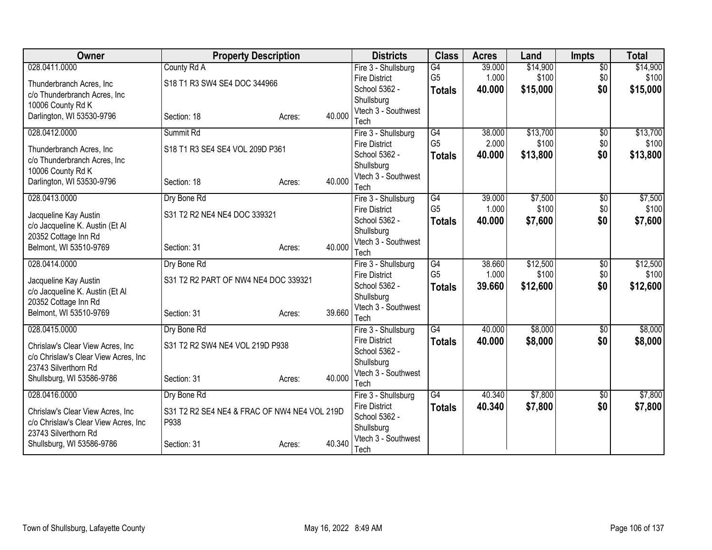| <b>Owner</b>                         | <b>Property Description</b>                  |        |        | <b>Districts</b>                            | <b>Class</b>    | <b>Acres</b> | Land     | <b>Impts</b>    | <b>Total</b> |
|--------------------------------------|----------------------------------------------|--------|--------|---------------------------------------------|-----------------|--------------|----------|-----------------|--------------|
| 028.0411.0000                        | County Rd A                                  |        |        | Fire 3 - Shullsburg                         | G4              | 39.000       | \$14,900 | $\overline{50}$ | \$14,900     |
| Thunderbranch Acres, Inc.            | S18 T1 R3 SW4 SE4 DOC 344966                 |        |        | <b>Fire District</b>                        | G <sub>5</sub>  | 1.000        | \$100    | \$0             | \$100        |
| c/o Thunderbranch Acres, Inc.        |                                              |        |        | School 5362 -                               | <b>Totals</b>   | 40.000       | \$15,000 | \$0             | \$15,000     |
| 10006 County Rd K                    |                                              |        |        | Shullsburg                                  |                 |              |          |                 |              |
| Darlington, WI 53530-9796            | Section: 18                                  | Acres: | 40.000 | Vtech 3 - Southwest<br>Tech                 |                 |              |          |                 |              |
| 028.0412.0000                        | Summit Rd                                    |        |        | Fire 3 - Shullsburg                         | $\overline{G4}$ | 38.000       | \$13,700 | $\overline{50}$ | \$13,700     |
|                                      |                                              |        |        | <b>Fire District</b>                        | G <sub>5</sub>  | 2.000        | \$100    | \$0             | \$100        |
| Thunderbranch Acres, Inc.            | S18 T1 R3 SE4 SE4 VOL 209D P361              |        |        | School 5362 -                               | <b>Totals</b>   | 40.000       | \$13,800 | \$0             | \$13,800     |
| c/o Thunderbranch Acres, Inc         |                                              |        |        | Shullsburg                                  |                 |              |          |                 |              |
| 10006 County Rd K                    |                                              |        | 40.000 | Vtech 3 - Southwest                         |                 |              |          |                 |              |
| Darlington, WI 53530-9796            | Section: 18                                  | Acres: |        | Tech                                        |                 |              |          |                 |              |
| 028.0413.0000                        | Dry Bone Rd                                  |        |        | Fire 3 - Shullsburg                         | G4              | 39.000       | \$7,500  | \$0             | \$7,500      |
| Jacqueline Kay Austin                | S31 T2 R2 NE4 NE4 DOC 339321                 |        |        | <b>Fire District</b>                        | G <sub>5</sub>  | 1.000        | \$100    | \$0             | \$100        |
| c/o Jacqueline K. Austin (Et Al      |                                              |        |        | School 5362 -                               | <b>Totals</b>   | 40.000       | \$7,600  | \$0             | \$7,600      |
| 20352 Cottage Inn Rd                 |                                              |        |        | Shullsburg                                  |                 |              |          |                 |              |
| Belmont, WI 53510-9769               | Section: 31                                  | Acres: | 40.000 | Vtech 3 - Southwest                         |                 |              |          |                 |              |
| 028.0414.0000                        | Dry Bone Rd                                  |        |        | Tech<br>Fire 3 - Shullsburg                 | G4              | 38.660       | \$12,500 | $\overline{50}$ | \$12,500     |
|                                      |                                              |        |        | <b>Fire District</b>                        | G <sub>5</sub>  | 1.000        | \$100    | \$0             | \$100        |
| Jacqueline Kay Austin                | S31 T2 R2 PART OF NW4 NE4 DOC 339321         |        |        | School 5362 -                               | <b>Totals</b>   | 39,660       | \$12,600 | \$0             | \$12,600     |
| c/o Jacqueline K. Austin (Et Al      |                                              |        |        | Shullsburg                                  |                 |              |          |                 |              |
| 20352 Cottage Inn Rd                 |                                              |        |        | Vtech 3 - Southwest                         |                 |              |          |                 |              |
| Belmont, WI 53510-9769               | Section: 31                                  | Acres: | 39.660 | Tech                                        |                 |              |          |                 |              |
| 028.0415.0000                        | Dry Bone Rd                                  |        |        | Fire 3 - Shullsburg                         | $\overline{G4}$ | 40.000       | \$8,000  | $\overline{50}$ | \$8,000      |
| Chrislaw's Clear View Acres, Inc     | S31 T2 R2 SW4 NE4 VOL 219D P938              |        |        | <b>Fire District</b>                        | <b>Totals</b>   | 40.000       | \$8,000  | \$0             | \$8,000      |
| c/o Chrislaw's Clear View Acres, Inc |                                              |        |        | School 5362 -                               |                 |              |          |                 |              |
| 23743 Silverthorn Rd                 |                                              |        |        | Shullsburg                                  |                 |              |          |                 |              |
| Shullsburg, WI 53586-9786            | Section: 31                                  | Acres: | 40.000 | Vtech 3 - Southwest                         |                 |              |          |                 |              |
| 028.0416.0000                        | Dry Bone Rd                                  |        |        | Tech                                        | $\overline{G4}$ | 40.340       | \$7,800  | \$0             | \$7,800      |
|                                      |                                              |        |        | Fire 3 - Shullsburg<br><b>Fire District</b> |                 |              |          |                 |              |
| Chrislaw's Clear View Acres, Inc     | S31 T2 R2 SE4 NE4 & FRAC OF NW4 NE4 VOL 219D |        |        | School 5362 -                               | <b>Totals</b>   | 40.340       | \$7,800  | \$0             | \$7,800      |
| c/o Chrislaw's Clear View Acres, Inc | P938                                         |        |        | Shullsburg                                  |                 |              |          |                 |              |
| 23743 Silverthorn Rd                 |                                              |        |        | Vtech 3 - Southwest                         |                 |              |          |                 |              |
| Shullsburg, WI 53586-9786            | Section: 31                                  | Acres: | 40.340 | Tech                                        |                 |              |          |                 |              |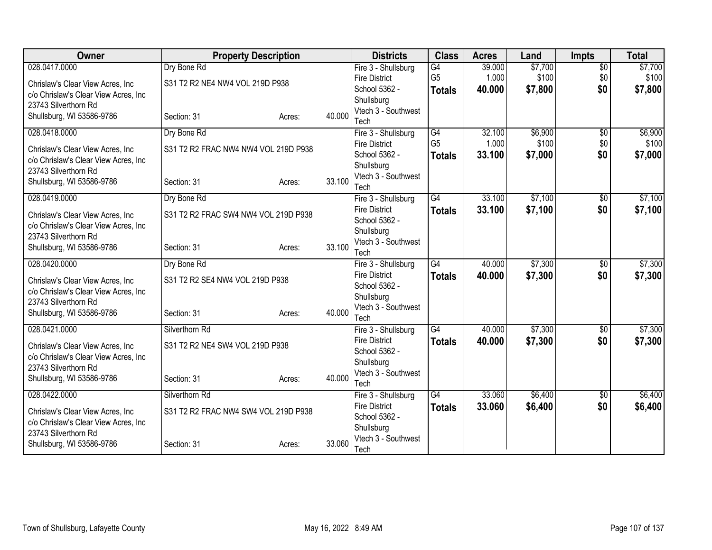| Owner                                | <b>Property Description</b>          |        |        | <b>Districts</b>            | <b>Class</b>    | <b>Acres</b> | Land    | <b>Impts</b>    | <b>Total</b> |
|--------------------------------------|--------------------------------------|--------|--------|-----------------------------|-----------------|--------------|---------|-----------------|--------------|
| 028.0417.0000                        | Dry Bone Rd                          |        |        | Fire 3 - Shullsburg         | G4              | 39.000       | \$7,700 | $\overline{50}$ | \$7,700      |
| Chrislaw's Clear View Acres, Inc     | S31 T2 R2 NE4 NW4 VOL 219D P938      |        |        | <b>Fire District</b>        | G <sub>5</sub>  | 1.000        | \$100   | \$0             | \$100        |
| c/o Chrislaw's Clear View Acres, Inc |                                      |        |        | School 5362 -               | <b>Totals</b>   | 40.000       | \$7,800 | \$0             | \$7,800      |
| 23743 Silverthorn Rd                 |                                      |        |        | Shullsburg                  |                 |              |         |                 |              |
| Shullsburg, WI 53586-9786            | Section: 31                          | Acres: | 40.000 | Vtech 3 - Southwest<br>Tech |                 |              |         |                 |              |
| 028.0418.0000                        | Dry Bone Rd                          |        |        | Fire 3 - Shullsburg         | G4              | 32.100       | \$6,900 | $\overline{50}$ | \$6,900      |
|                                      |                                      |        |        | <b>Fire District</b>        | G <sub>5</sub>  | 1.000        | \$100   | \$0             | \$100        |
| Chrislaw's Clear View Acres, Inc     | S31 T2 R2 FRAC NW4 NW4 VOL 219D P938 |        |        | School 5362 -               | <b>Totals</b>   | 33.100       | \$7,000 | \$0             | \$7,000      |
| c/o Chrislaw's Clear View Acres, Inc |                                      |        |        | Shullsburg                  |                 |              |         |                 |              |
| 23743 Silverthorn Rd                 |                                      |        |        | Vtech 3 - Southwest         |                 |              |         |                 |              |
| Shullsburg, WI 53586-9786            | Section: 31                          | Acres: | 33.100 | Tech                        |                 |              |         |                 |              |
| 028.0419.0000                        | Dry Bone Rd                          |        |        | Fire 3 - Shullsburg         | $\overline{G4}$ | 33.100       | \$7,100 | \$0             | \$7,100      |
| Chrislaw's Clear View Acres, Inc.    | S31 T2 R2 FRAC SW4 NW4 VOL 219D P938 |        |        | <b>Fire District</b>        | <b>Totals</b>   | 33.100       | \$7,100 | \$0             | \$7,100      |
| c/o Chrislaw's Clear View Acres, Inc |                                      |        |        | School 5362 -               |                 |              |         |                 |              |
| 23743 Silverthorn Rd                 |                                      |        |        | Shullsburg                  |                 |              |         |                 |              |
| Shullsburg, WI 53586-9786            | Section: 31                          | Acres: | 33.100 | Vtech 3 - Southwest<br>Tech |                 |              |         |                 |              |
| 028.0420.0000                        | Dry Bone Rd                          |        |        | Fire 3 - Shullsburg         | $\overline{G4}$ | 40.000       | \$7,300 | $\overline{50}$ | \$7,300      |
|                                      |                                      |        |        | <b>Fire District</b>        | <b>Totals</b>   | 40.000       | \$7,300 | \$0             | \$7,300      |
| Chrislaw's Clear View Acres, Inc     | S31 T2 R2 SE4 NW4 VOL 219D P938      |        |        | School 5362 -               |                 |              |         |                 |              |
| c/o Chrislaw's Clear View Acres, Inc |                                      |        |        | Shullsburg                  |                 |              |         |                 |              |
| 23743 Silverthorn Rd                 |                                      |        | 40.000 | Vtech 3 - Southwest         |                 |              |         |                 |              |
| Shullsburg, WI 53586-9786            | Section: 31                          | Acres: |        | Tech                        |                 |              |         |                 |              |
| 028.0421.0000                        | Silverthorn Rd                       |        |        | Fire 3 - Shullsburg         | $\overline{G4}$ | 40.000       | \$7,300 | $\overline{50}$ | \$7,300      |
| Chrislaw's Clear View Acres, Inc     | S31 T2 R2 NE4 SW4 VOL 219D P938      |        |        | <b>Fire District</b>        | <b>Totals</b>   | 40.000       | \$7,300 | \$0             | \$7,300      |
| c/o Chrislaw's Clear View Acres, Inc |                                      |        |        | School 5362 -               |                 |              |         |                 |              |
| 23743 Silverthorn Rd                 |                                      |        |        | Shullsburg                  |                 |              |         |                 |              |
| Shullsburg, WI 53586-9786            | Section: 31                          | Acres: | 40.000 | Vtech 3 - Southwest<br>Tech |                 |              |         |                 |              |
| 028.0422.0000                        | Silverthorn Rd                       |        |        | Fire 3 - Shullsburg         | $\overline{G4}$ | 33.060       | \$6,400 | \$0             | \$6,400      |
|                                      |                                      |        |        | <b>Fire District</b>        | <b>Totals</b>   | 33.060       | \$6,400 | \$0             | \$6,400      |
| Chrislaw's Clear View Acres, Inc     | S31 T2 R2 FRAC NW4 SW4 VOL 219D P938 |        |        | School 5362 -               |                 |              |         |                 |              |
| c/o Chrislaw's Clear View Acres, Inc |                                      |        |        | Shullsburg                  |                 |              |         |                 |              |
| 23743 Silverthorn Rd                 |                                      |        | 33.060 | Vtech 3 - Southwest         |                 |              |         |                 |              |
| Shullsburg, WI 53586-9786            | Section: 31                          | Acres: |        | Tech                        |                 |              |         |                 |              |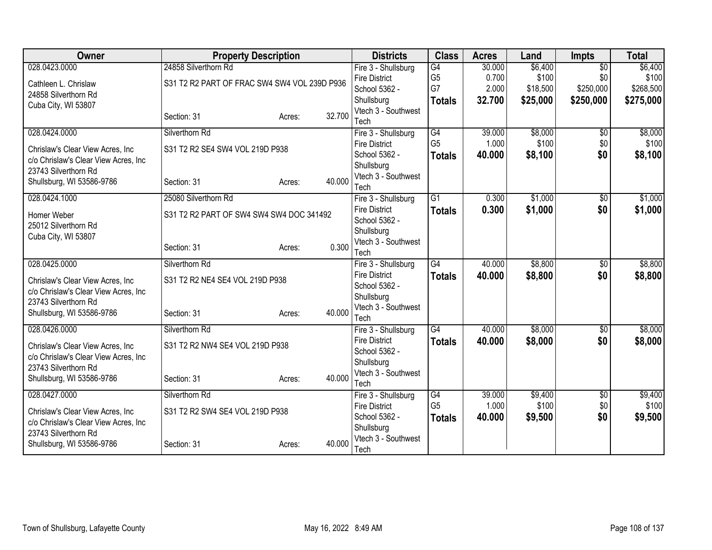| Owner                                | <b>Property Description</b>                  |        |        | <b>Districts</b>                            | <b>Class</b>    | <b>Acres</b> | Land     | <b>Impts</b>    | <b>Total</b> |
|--------------------------------------|----------------------------------------------|--------|--------|---------------------------------------------|-----------------|--------------|----------|-----------------|--------------|
| 028.0423.0000                        | 24858 Silverthorn Rd                         |        |        | Fire 3 - Shullsburg                         | G4              | 30.000       | \$6,400  | $\overline{50}$ | \$6,400      |
| Cathleen L. Chrislaw                 | S31 T2 R2 PART OF FRAC SW4 SW4 VOL 239D P936 |        |        | <b>Fire District</b>                        | G <sub>5</sub>  | 0.700        | \$100    | \$0             | \$100        |
| 24858 Silverthorn Rd                 |                                              |        |        | School 5362 -                               | G7              | 2.000        | \$18,500 | \$250,000       | \$268,500    |
| Cuba City, WI 53807                  |                                              |        |        | Shullsburg                                  | <b>Totals</b>   | 32.700       | \$25,000 | \$250,000       | \$275,000    |
|                                      | Section: 31                                  | Acres: | 32.700 | Vtech 3 - Southwest<br>Tech                 |                 |              |          |                 |              |
| 028.0424.0000                        | Silverthorn Rd                               |        |        |                                             | $\overline{G4}$ | 39.000       | \$8,000  |                 | \$8,000      |
|                                      |                                              |        |        | Fire 3 - Shullsburg<br><b>Fire District</b> | G <sub>5</sub>  | 1.000        | \$100    | \$0<br>\$0      | \$100        |
| Chrislaw's Clear View Acres, Inc     | S31 T2 R2 SE4 SW4 VOL 219D P938              |        |        | School 5362 -                               | <b>Totals</b>   | 40.000       | \$8,100  | \$0             | \$8,100      |
| c/o Chrislaw's Clear View Acres, Inc |                                              |        |        | Shullsburg                                  |                 |              |          |                 |              |
| 23743 Silverthorn Rd                 |                                              |        |        | Vtech 3 - Southwest                         |                 |              |          |                 |              |
| Shullsburg, WI 53586-9786            | Section: 31                                  | Acres: | 40.000 | Tech                                        |                 |              |          |                 |              |
| 028.0424.1000                        | 25080 Silverthorn Rd                         |        |        | Fire 3 - Shullsburg                         | $\overline{G1}$ | 0.300        | \$1,000  | \$0             | \$1,000      |
|                                      |                                              |        |        | <b>Fire District</b>                        | <b>Totals</b>   | 0.300        | \$1,000  | \$0             | \$1,000      |
| Homer Weber<br>25012 Silverthorn Rd  | S31 T2 R2 PART OF SW4 SW4 SW4 DOC 341492     |        |        | School 5362 -                               |                 |              |          |                 |              |
| Cuba City, WI 53807                  |                                              |        |        | Shullsburg                                  |                 |              |          |                 |              |
|                                      | Section: 31                                  | Acres: | 0.300  | Vtech 3 - Southwest                         |                 |              |          |                 |              |
|                                      |                                              |        |        | Tech                                        |                 |              |          |                 |              |
| 028.0425.0000                        | Silverthorn Rd                               |        |        | Fire 3 - Shullsburg                         | G4              | 40.000       | \$8,800  | $\overline{50}$ | \$8,800      |
| Chrislaw's Clear View Acres, Inc     | S31 T2 R2 NE4 SE4 VOL 219D P938              |        |        | <b>Fire District</b>                        | <b>Totals</b>   | 40.000       | \$8,800  | \$0             | \$8,800      |
| c/o Chrislaw's Clear View Acres, Inc |                                              |        |        | School 5362 -                               |                 |              |          |                 |              |
| 23743 Silverthorn Rd                 |                                              |        |        | Shullsburg<br>Vtech 3 - Southwest           |                 |              |          |                 |              |
| Shullsburg, WI 53586-9786            | Section: 31                                  | Acres: | 40.000 | Tech                                        |                 |              |          |                 |              |
| 028.0426.0000                        | Silverthorn Rd                               |        |        | Fire 3 - Shullsburg                         | $\overline{G4}$ | 40.000       | \$8,000  | $\overline{50}$ | \$8,000      |
|                                      |                                              |        |        | <b>Fire District</b>                        | <b>Totals</b>   | 40.000       | \$8,000  | \$0             | \$8,000      |
| Chrislaw's Clear View Acres, Inc     | S31 T2 R2 NW4 SE4 VOL 219D P938              |        |        | School 5362 -                               |                 |              |          |                 |              |
| c/o Chrislaw's Clear View Acres, Inc |                                              |        |        | Shullsburg                                  |                 |              |          |                 |              |
| 23743 Silverthorn Rd                 |                                              |        | 40.000 | Vtech 3 - Southwest                         |                 |              |          |                 |              |
| Shullsburg, WI 53586-9786            | Section: 31                                  | Acres: |        | Tech                                        |                 |              |          |                 |              |
| 028.0427.0000                        | Silverthorn Rd                               |        |        | Fire 3 - Shullsburg                         | G4              | 39.000       | \$9,400  | \$0             | \$9,400      |
| Chrislaw's Clear View Acres, Inc     | S31 T2 R2 SW4 SE4 VOL 219D P938              |        |        | <b>Fire District</b>                        | G <sub>5</sub>  | 1.000        | \$100    | \$0             | \$100        |
| c/o Chrislaw's Clear View Acres, Inc |                                              |        |        | School 5362 -                               | <b>Totals</b>   | 40.000       | \$9,500  | \$0             | \$9,500      |
| 23743 Silverthorn Rd                 |                                              |        |        | Shullsburg                                  |                 |              |          |                 |              |
| Shullsburg, WI 53586-9786            | Section: 31                                  | Acres: | 40.000 | Vtech 3 - Southwest                         |                 |              |          |                 |              |
|                                      |                                              |        |        | Tech                                        |                 |              |          |                 |              |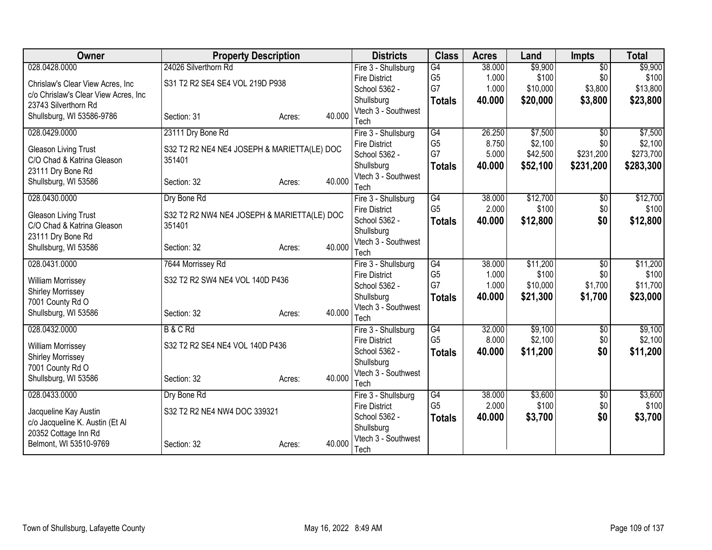| Owner                                | <b>Property Description</b>                 |        |        | <b>Districts</b>                            | <b>Class</b>         | <b>Acres</b>    | Land     | <b>Impts</b>    | <b>Total</b> |
|--------------------------------------|---------------------------------------------|--------|--------|---------------------------------------------|----------------------|-----------------|----------|-----------------|--------------|
| 028.0428.0000                        | 24026 Silverthorn Rd                        |        |        | Fire 3 - Shullsburg                         | G4                   | 38.000          | \$9,900  | $\overline{50}$ | \$9,900      |
| Chrislaw's Clear View Acres, Inc     | S31 T2 R2 SE4 SE4 VOL 219D P938             |        |        | <b>Fire District</b>                        | G <sub>5</sub>       | 1.000           | \$100    | \$0             | \$100        |
| c/o Chrislaw's Clear View Acres, Inc |                                             |        |        | School 5362 -                               | G7                   | 1.000           | \$10,000 | \$3,800         | \$13,800     |
| 23743 Silverthorn Rd                 |                                             |        |        | Shullsburg                                  | <b>Totals</b>        | 40.000          | \$20,000 | \$3,800         | \$23,800     |
| Shullsburg, WI 53586-9786            | Section: 31                                 | Acres: | 40.000 | Vtech 3 - Southwest                         |                      |                 |          |                 |              |
| 028.0429.0000                        | 23111 Dry Bone Rd                           |        |        | Tech<br>Fire 3 - Shullsburg                 | G4                   | 26.250          | \$7,500  | $\overline{50}$ | \$7,500      |
|                                      |                                             |        |        | <b>Fire District</b>                        | G <sub>5</sub>       | 8.750           | \$2,100  | \$0             | \$2,100      |
| Gleason Living Trust                 | S32 T2 R2 NE4 NE4 JOSEPH & MARIETTA(LE) DOC |        |        | School 5362 -                               | G7                   | 5.000           | \$42,500 | \$231,200       | \$273,700    |
| C/O Chad & Katrina Gleason           | 351401                                      |        |        | Shullsburg                                  | <b>Totals</b>        | 40.000          | \$52,100 | \$231,200       | \$283,300    |
| 23111 Dry Bone Rd                    |                                             |        |        | Vtech 3 - Southwest                         |                      |                 |          |                 |              |
| Shullsburg, WI 53586                 | Section: 32                                 | Acres: | 40.000 | Tech                                        |                      |                 |          |                 |              |
| 028.0430.0000                        | Dry Bone Rd                                 |        |        | Fire 3 - Shullsburg                         | $\overline{G4}$      | 38.000          | \$12,700 | \$0             | \$12,700     |
| <b>Gleason Living Trust</b>          | S32 T2 R2 NW4 NE4 JOSEPH & MARIETTA(LE) DOC |        |        | <b>Fire District</b>                        | G <sub>5</sub>       | 2.000           | \$100    | \$0             | \$100        |
| C/O Chad & Katrina Gleason           | 351401                                      |        |        | School 5362 -                               | <b>Totals</b>        | 40.000          | \$12,800 | \$0             | \$12,800     |
| 23111 Dry Bone Rd                    |                                             |        |        | Shullsburg                                  |                      |                 |          |                 |              |
| Shullsburg, WI 53586                 | Section: 32                                 | Acres: | 40.000 | Vtech 3 - Southwest                         |                      |                 |          |                 |              |
| 028.0431.0000                        |                                             |        |        | Tech                                        | $\overline{G4}$      | 38.000          | \$11,200 | $\overline{50}$ | \$11,200     |
|                                      | 7644 Morrissey Rd                           |        |        | Fire 3 - Shullsburg<br><b>Fire District</b> | G <sub>5</sub>       | 1.000           | \$100    | \$0             | \$100        |
| <b>William Morrissey</b>             | S32 T2 R2 SW4 NE4 VOL 140D P436             |        |        | School 5362 -                               | G7                   | 1.000           | \$10,000 | \$1,700         | \$11,700     |
| <b>Shirley Morrissey</b>             |                                             |        |        | Shullsburg                                  | <b>Totals</b>        | 40.000          | \$21,300 | \$1,700         | \$23,000     |
| 7001 County Rd O                     |                                             |        |        | Vtech 3 - Southwest                         |                      |                 |          |                 |              |
| Shullsburg, WI 53586                 | Section: 32                                 | Acres: | 40.000 | Tech                                        |                      |                 |          |                 |              |
| 028.0432.0000                        | <b>B&amp;CRd</b>                            |        |        | Fire 3 - Shullsburg                         | $\overline{G4}$      | 32.000          | \$9,100  | \$0             | \$9,100      |
| <b>William Morrissey</b>             | S32 T2 R2 SE4 NE4 VOL 140D P436             |        |        | <b>Fire District</b>                        | G <sub>5</sub>       | 8.000           | \$2,100  | \$0             | \$2,100      |
| <b>Shirley Morrissey</b>             |                                             |        |        | School 5362 -                               | <b>Totals</b>        | 40.000          | \$11,200 | \$0             | \$11,200     |
| 7001 County Rd O                     |                                             |        |        | Shullsburg                                  |                      |                 |          |                 |              |
| Shullsburg, WI 53586                 | Section: 32                                 | Acres: | 40.000 | Vtech 3 - Southwest                         |                      |                 |          |                 |              |
|                                      |                                             |        |        | Tech                                        |                      |                 |          |                 |              |
| 028.0433.0000                        | Dry Bone Rd                                 |        |        | Fire 3 - Shullsburg                         | G4<br>G <sub>5</sub> | 38.000          | \$3,600  | \$0             | \$3,600      |
| Jacqueline Kay Austin                | S32 T2 R2 NE4 NW4 DOC 339321                |        |        | <b>Fire District</b><br>School 5362 -       |                      | 2.000<br>40.000 | \$100    | \$0<br>\$0      | \$100        |
| c/o Jacqueline K. Austin (Et Al      |                                             |        |        | Shullsburg                                  | <b>Totals</b>        |                 | \$3,700  |                 | \$3,700      |
| 20352 Cottage Inn Rd                 |                                             |        |        | Vtech 3 - Southwest                         |                      |                 |          |                 |              |
| Belmont, WI 53510-9769               | Section: 32                                 | Acres: | 40.000 | Tech                                        |                      |                 |          |                 |              |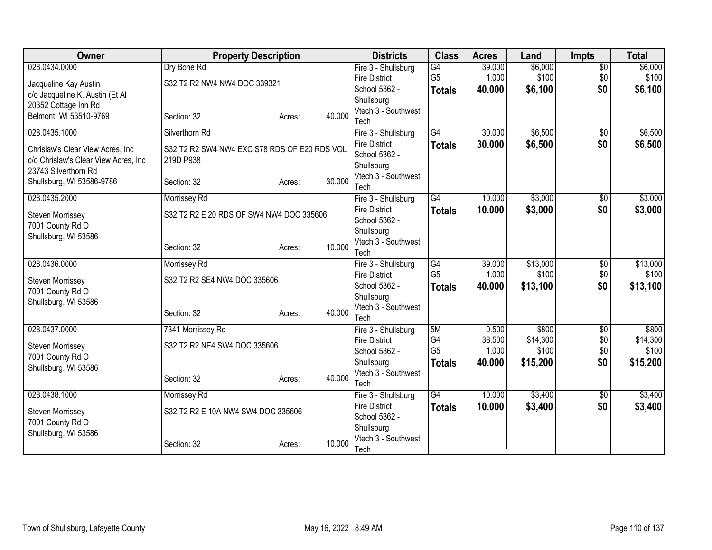| Owner                                                                     | <b>Property Description</b>                  |                  | <b>Districts</b>                            | <b>Class</b>    | <b>Acres</b> | Land     | <b>Impts</b>    | <b>Total</b> |
|---------------------------------------------------------------------------|----------------------------------------------|------------------|---------------------------------------------|-----------------|--------------|----------|-----------------|--------------|
| 028.0434.0000                                                             | Dry Bone Rd                                  |                  | Fire 3 - Shullsburg                         | G4              | 39.000       | \$6,000  | $\overline{50}$ | \$6,000      |
| Jacqueline Kay Austin                                                     | S32 T2 R2 NW4 NW4 DOC 339321                 |                  | <b>Fire District</b>                        | G <sub>5</sub>  | 1.000        | \$100    | \$0             | \$100        |
| c/o Jacqueline K. Austin (Et Al                                           |                                              |                  | School 5362 -                               | <b>Totals</b>   | 40.000       | \$6,100  | \$0             | \$6,100      |
| 20352 Cottage Inn Rd                                                      |                                              |                  | Shullsburg<br>Vtech 3 - Southwest           |                 |              |          |                 |              |
| Belmont, WI 53510-9769                                                    | Section: 32                                  | 40.000<br>Acres: | Tech                                        |                 |              |          |                 |              |
| 028.0435.1000                                                             | Silverthorn Rd                               |                  | Fire 3 - Shullsburg                         | $\overline{G4}$ | 30.000       | \$6,500  | $\overline{50}$ | \$6,500      |
|                                                                           | S32 T2 R2 SW4 NW4 EXC S78 RDS OF E20 RDS VOL |                  | <b>Fire District</b>                        | <b>Totals</b>   | 30,000       | \$6,500  | \$0             | \$6,500      |
| Chrislaw's Clear View Acres, Inc.<br>c/o Chrislaw's Clear View Acres, Inc | 219D P938                                    |                  | School 5362 -                               |                 |              |          |                 |              |
| 23743 Silverthorn Rd                                                      |                                              |                  | Shullsburg                                  |                 |              |          |                 |              |
| Shullsburg, WI 53586-9786                                                 | Section: 32                                  | 30.000<br>Acres: | Vtech 3 - Southwest                         |                 |              |          |                 |              |
| 028.0435.2000                                                             |                                              |                  | Tech                                        | $\overline{G4}$ | 10.000       | \$3,000  |                 | \$3,000      |
|                                                                           | Morrissey Rd                                 |                  | Fire 3 - Shullsburg<br><b>Fire District</b> |                 | 10.000       | \$3,000  | \$0<br>\$0      | \$3,000      |
| <b>Steven Morrissey</b>                                                   | S32 T2 R2 E 20 RDS OF SW4 NW4 DOC 335606     |                  | School 5362 -                               | <b>Totals</b>   |              |          |                 |              |
| 7001 County Rd O                                                          |                                              |                  | Shullsburg                                  |                 |              |          |                 |              |
| Shullsburg, WI 53586                                                      |                                              | 10.000           | Vtech 3 - Southwest                         |                 |              |          |                 |              |
|                                                                           | Section: 32                                  | Acres:           | Tech                                        |                 |              |          |                 |              |
| 028.0436.0000                                                             | Morrissey Rd                                 |                  | Fire 3 - Shullsburg                         | G4              | 39.000       | \$13,000 | $\overline{50}$ | \$13,000     |
| <b>Steven Morrissey</b>                                                   | S32 T2 R2 SE4 NW4 DOC 335606                 |                  | <b>Fire District</b>                        | G <sub>5</sub>  | 1.000        | \$100    | \$0             | \$100        |
| 7001 County Rd O                                                          |                                              |                  | School 5362 -                               | <b>Totals</b>   | 40.000       | \$13,100 | \$0             | \$13,100     |
| Shullsburg, WI 53586                                                      |                                              |                  | Shullsburg<br>Vtech 3 - Southwest           |                 |              |          |                 |              |
|                                                                           | Section: 32                                  | 40.000<br>Acres: | Tech                                        |                 |              |          |                 |              |
| 028.0437.0000                                                             | 7341 Morrissey Rd                            |                  | Fire 3 - Shullsburg                         | 5M              | 0.500        | \$800    | $\overline{50}$ | \$800        |
| <b>Steven Morrissey</b>                                                   | S32 T2 R2 NE4 SW4 DOC 335606                 |                  | <b>Fire District</b>                        | G4              | 38.500       | \$14,300 | \$0             | \$14,300     |
| 7001 County Rd O                                                          |                                              |                  | School 5362 -                               | G <sub>5</sub>  | 1.000        | \$100    | \$0             | \$100        |
| Shullsburg, WI 53586                                                      |                                              |                  | Shullsburg                                  | <b>Totals</b>   | 40.000       | \$15,200 | \$0             | \$15,200     |
|                                                                           | Section: 32                                  | 40.000<br>Acres: | Vtech 3 - Southwest                         |                 |              |          |                 |              |
| 028.0438.1000                                                             |                                              |                  | Tech                                        | $\overline{G4}$ | 10.000       | \$3,400  |                 | \$3,400      |
|                                                                           | Morrissey Rd                                 |                  | Fire 3 - Shullsburg<br><b>Fire District</b> | <b>Totals</b>   | 10.000       | \$3,400  | \$0<br>\$0      | \$3,400      |
| <b>Steven Morrissey</b>                                                   | S32 T2 R2 E 10A NW4 SW4 DOC 335606           |                  | School 5362 -                               |                 |              |          |                 |              |
| 7001 County Rd O                                                          |                                              |                  | Shullsburg                                  |                 |              |          |                 |              |
| Shullsburg, WI 53586                                                      |                                              | 10.000           | Vtech 3 - Southwest                         |                 |              |          |                 |              |
|                                                                           | Section: 32                                  | Acres:           | Tech                                        |                 |              |          |                 |              |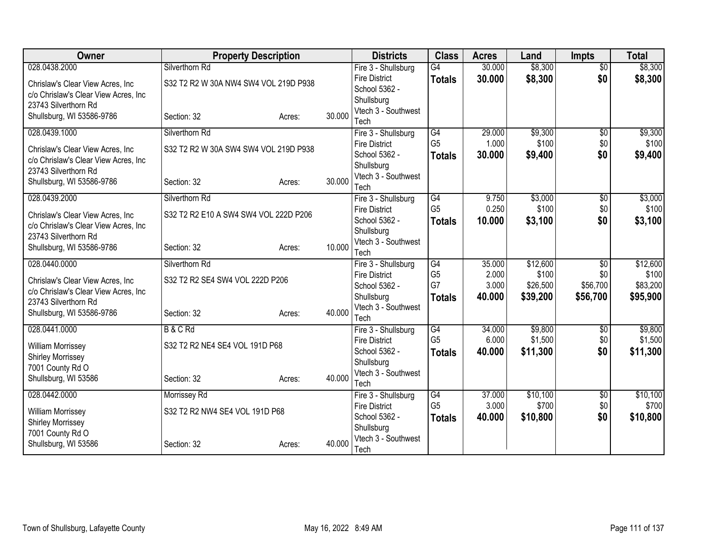| Owner                                                                    | <b>Property Description</b>           |        |        | <b>Districts</b>                            | <b>Class</b>                      | <b>Acres</b>    | Land               | <b>Impts</b>    | <b>Total</b>       |
|--------------------------------------------------------------------------|---------------------------------------|--------|--------|---------------------------------------------|-----------------------------------|-----------------|--------------------|-----------------|--------------------|
| 028.0438.2000                                                            | Silverthorn Rd                        |        |        | Fire 3 - Shullsburg                         | G4                                | 30.000          | \$8,300            | $\overline{50}$ | \$8,300            |
| Chrislaw's Clear View Acres, Inc                                         | S32 T2 R2 W 30A NW4 SW4 VOL 219D P938 |        |        | <b>Fire District</b>                        | <b>Totals</b>                     | 30.000          | \$8,300            | \$0             | \$8,300            |
| c/o Chrislaw's Clear View Acres, Inc                                     |                                       |        |        | School 5362 -                               |                                   |                 |                    |                 |                    |
| 23743 Silverthorn Rd                                                     |                                       |        |        | Shullsburg<br>Vtech 3 - Southwest           |                                   |                 |                    |                 |                    |
| Shullsburg, WI 53586-9786                                                | Section: 32                           | Acres: | 30.000 | Tech                                        |                                   |                 |                    |                 |                    |
| 028.0439.1000                                                            | Silverthorn Rd                        |        |        | Fire 3 - Shullsburg                         | G4                                | 29.000          | \$9,300            | $\overline{50}$ | \$9,300            |
|                                                                          |                                       |        |        | <b>Fire District</b>                        | G <sub>5</sub>                    | 1.000           | \$100              | \$0             | \$100              |
| Chrislaw's Clear View Acres, Inc<br>c/o Chrislaw's Clear View Acres, Inc | S32 T2 R2 W 30A SW4 SW4 VOL 219D P938 |        |        | School 5362 -                               | <b>Totals</b>                     | 30.000          | \$9,400            | \$0             | \$9,400            |
| 23743 Silverthorn Rd                                                     |                                       |        |        | Shullsburg                                  |                                   |                 |                    |                 |                    |
| Shullsburg, WI 53586-9786                                                | Section: 32                           | Acres: | 30.000 | Vtech 3 - Southwest                         |                                   |                 |                    |                 |                    |
|                                                                          |                                       |        |        | Tech                                        |                                   |                 |                    |                 |                    |
| 028.0439.2000                                                            | Silverthorn Rd                        |        |        | Fire 3 - Shullsburg                         | G4<br>G <sub>5</sub>              | 9.750           | \$3,000<br>\$100   | \$0<br>\$0      | \$3,000<br>\$100   |
| Chrislaw's Clear View Acres, Inc                                         | S32 T2 R2 E10 A SW4 SW4 VOL 222D P206 |        |        | <b>Fire District</b><br>School 5362 -       |                                   | 0.250<br>10.000 | \$3,100            | \$0             | \$3,100            |
| c/o Chrislaw's Clear View Acres, Inc                                     |                                       |        |        | Shullsburg                                  | <b>Totals</b>                     |                 |                    |                 |                    |
| 23743 Silverthorn Rd                                                     |                                       |        |        | Vtech 3 - Southwest                         |                                   |                 |                    |                 |                    |
| Shullsburg, WI 53586-9786                                                | Section: 32                           | Acres: | 10.000 | Tech                                        |                                   |                 |                    |                 |                    |
| 028.0440.0000                                                            | Silverthorn Rd                        |        |        | Fire 3 - Shullsburg                         | G4                                | 35.000          | \$12,600           | $\overline{50}$ | \$12,600           |
| Chrislaw's Clear View Acres, Inc.                                        | S32 T2 R2 SE4 SW4 VOL 222D P206       |        |        | <b>Fire District</b>                        | G <sub>5</sub>                    | 2.000           | \$100              | \$0             | \$100              |
| c/o Chrislaw's Clear View Acres, Inc                                     |                                       |        |        | School 5362 -                               | G7                                | 3.000           | \$26,500           | \$56,700        | \$83,200           |
| 23743 Silverthorn Rd                                                     |                                       |        |        | Shullsburg                                  | <b>Totals</b>                     | 40.000          | \$39,200           | \$56,700        | \$95,900           |
| Shullsburg, WI 53586-9786                                                | Section: 32                           | Acres: | 40.000 | Vtech 3 - Southwest                         |                                   |                 |                    |                 |                    |
|                                                                          |                                       |        |        | Tech                                        |                                   |                 |                    |                 |                    |
| 028.0441.0000                                                            | <b>B&amp;CRd</b>                      |        |        | Fire 3 - Shullsburg<br><b>Fire District</b> | $\overline{G4}$<br>G <sub>5</sub> | 34.000<br>6.000 | \$9,800<br>\$1,500 | \$0<br>\$0      | \$9,800<br>\$1,500 |
| <b>William Morrissey</b>                                                 | S32 T2 R2 NE4 SE4 VOL 191D P68        |        |        | School 5362 -                               | <b>Totals</b>                     | 40.000          | \$11,300           | \$0             | \$11,300           |
| <b>Shirley Morrissey</b>                                                 |                                       |        |        | Shullsburg                                  |                                   |                 |                    |                 |                    |
| 7001 County Rd O                                                         |                                       |        |        | Vtech 3 - Southwest                         |                                   |                 |                    |                 |                    |
| Shullsburg, WI 53586                                                     | Section: 32                           | Acres: | 40.000 | Tech                                        |                                   |                 |                    |                 |                    |
| 028.0442.0000                                                            | Morrissey Rd                          |        |        | Fire 3 - Shullsburg                         | G4                                | 37.000          | \$10,100           | \$0             | \$10,100           |
| <b>William Morrissey</b>                                                 | S32 T2 R2 NW4 SE4 VOL 191D P68        |        |        | <b>Fire District</b>                        | G <sub>5</sub>                    | 3.000           | \$700              | \$0             | \$700              |
| <b>Shirley Morrissey</b>                                                 |                                       |        |        | School 5362 -                               | <b>Totals</b>                     | 40.000          | \$10,800           | \$0             | \$10,800           |
| 7001 County Rd O                                                         |                                       |        |        | Shullsburg                                  |                                   |                 |                    |                 |                    |
| Shullsburg, WI 53586                                                     | Section: 32                           | Acres: | 40.000 | Vtech 3 - Southwest                         |                                   |                 |                    |                 |                    |
|                                                                          |                                       |        |        | Tech                                        |                                   |                 |                    |                 |                    |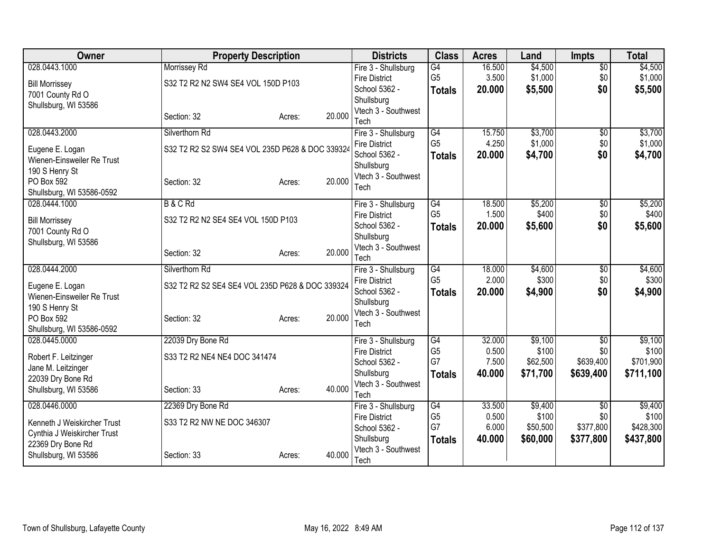| Owner                       | <b>Property Description</b>                     |                  | <b>Districts</b>                  | <b>Class</b>   | <b>Acres</b> | Land     | <b>Impts</b>    | <b>Total</b> |
|-----------------------------|-------------------------------------------------|------------------|-----------------------------------|----------------|--------------|----------|-----------------|--------------|
| 028.0443.1000               | Morrissey Rd                                    |                  | Fire 3 - Shullsburg               | G4             | 16.500       | \$4,500  | $\overline{50}$ | \$4,500      |
| <b>Bill Morrissey</b>       | S32 T2 R2 N2 SW4 SE4 VOL 150D P103              |                  | <b>Fire District</b>              | G <sub>5</sub> | 3.500        | \$1,000  | \$0             | \$1,000      |
| 7001 County Rd O            |                                                 |                  | School 5362 -                     | <b>Totals</b>  | 20.000       | \$5,500  | \$0             | \$5,500      |
| Shullsburg, WI 53586        |                                                 |                  | Shullsburg<br>Vtech 3 - Southwest |                |              |          |                 |              |
|                             | Section: 32                                     | 20.000<br>Acres: | Tech                              |                |              |          |                 |              |
| 028.0443.2000               | Silverthorn Rd                                  |                  | Fire 3 - Shullsburg               | G4             | 15.750       | \$3,700  | $\overline{50}$ | \$3,700      |
| Eugene E. Logan             | S32 T2 R2 S2 SW4 SE4 VOL 235D P628 & DOC 339324 |                  | <b>Fire District</b>              | G <sub>5</sub> | 4.250        | \$1,000  | \$0             | \$1,000      |
| Wienen-Einsweiler Re Trust  |                                                 |                  | School 5362 -                     | <b>Totals</b>  | 20,000       | \$4,700  | \$0             | \$4,700      |
| 190 S Henry St              |                                                 |                  | Shullsburg                        |                |              |          |                 |              |
| PO Box 592                  | Section: 32                                     | 20.000<br>Acres: | Vtech 3 - Southwest<br>Tech       |                |              |          |                 |              |
| Shullsburg, WI 53586-0592   |                                                 |                  |                                   |                |              |          |                 |              |
| 028.0444.1000               | <b>B&amp;CRd</b>                                |                  | Fire 3 - Shullsburg               | G4             | 18.500       | \$5,200  | $\overline{50}$ | \$5,200      |
| <b>Bill Morrissey</b>       | S32 T2 R2 N2 SE4 SE4 VOL 150D P103              |                  | <b>Fire District</b>              | G <sub>5</sub> | 1.500        | \$400    | \$0             | \$400        |
| 7001 County Rd O            |                                                 |                  | School 5362 -                     | <b>Totals</b>  | 20.000       | \$5,600  | \$0             | \$5,600      |
| Shullsburg, WI 53586        |                                                 |                  | Shullsburg<br>Vtech 3 - Southwest |                |              |          |                 |              |
|                             | Section: 32                                     | 20.000<br>Acres: | Tech                              |                |              |          |                 |              |
| 028.0444.2000               | Silverthorn Rd                                  |                  | Fire 3 - Shullsburg               | G4             | 18.000       | \$4,600  | $\sqrt[6]{3}$   | \$4,600      |
| Eugene E. Logan             | S32 T2 R2 S2 SE4 SE4 VOL 235D P628 & DOC 339324 |                  | <b>Fire District</b>              | G <sub>5</sub> | 2.000        | \$300    | \$0             | \$300        |
| Wienen-Einsweiler Re Trust  |                                                 |                  | School 5362 -                     | <b>Totals</b>  | 20,000       | \$4,900  | \$0             | \$4,900      |
| 190 S Henry St              |                                                 |                  | Shullsburg<br>Vtech 3 - Southwest |                |              |          |                 |              |
| PO Box 592                  | Section: 32                                     | 20.000<br>Acres: | Tech                              |                |              |          |                 |              |
| Shullsburg, WI 53586-0592   |                                                 |                  |                                   |                |              |          |                 |              |
| 028.0445.0000               | 22039 Dry Bone Rd                               |                  | Fire 3 - Shullsburg               | G4             | 32.000       | \$9,100  | $\overline{30}$ | \$9,100      |
| Robert F. Leitzinger        | S33 T2 R2 NE4 NE4 DOC 341474                    |                  | <b>Fire District</b>              | G <sub>5</sub> | 0.500        | \$100    | \$0             | \$100        |
| Jane M. Leitzinger          |                                                 |                  | School 5362 -                     | G7             | 7.500        | \$62,500 | \$639,400       | \$701,900    |
| 22039 Dry Bone Rd           |                                                 |                  | Shullsburg<br>Vtech 3 - Southwest | <b>Totals</b>  | 40.000       | \$71,700 | \$639,400       | \$711,100    |
| Shullsburg, WI 53586        | Section: 33                                     | 40.000<br>Acres: | Tech                              |                |              |          |                 |              |
| 028.0446.0000               | 22369 Dry Bone Rd                               |                  | Fire 3 - Shullsburg               | G4             | 33.500       | \$9,400  | \$0             | \$9,400      |
| Kenneth J Weiskircher Trust | S33 T2 R2 NW NE DOC 346307                      |                  | <b>Fire District</b>              | G <sub>5</sub> | 0.500        | \$100    | \$0             | \$100        |
| Cynthia J Weiskircher Trust |                                                 |                  | School 5362 -                     | G7             | 6.000        | \$50,500 | \$377,800       | \$428,300    |
| 22369 Dry Bone Rd           |                                                 |                  | Shullsburg                        | <b>Totals</b>  | 40.000       | \$60,000 | \$377,800       | \$437,800    |
| Shullsburg, WI 53586        | Section: 33                                     | 40.000<br>Acres: | Vtech 3 - Southwest<br>Tech       |                |              |          |                 |              |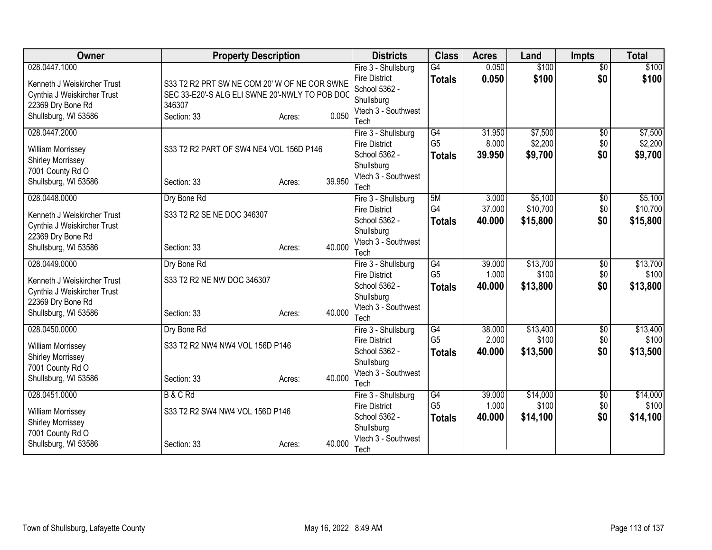| Owner                       | <b>Property Description</b>                    |                  | <b>Districts</b>                            | <b>Class</b>                      | <b>Acres</b>    | Land              | <b>Impts</b>    | <b>Total</b>      |
|-----------------------------|------------------------------------------------|------------------|---------------------------------------------|-----------------------------------|-----------------|-------------------|-----------------|-------------------|
| 028.0447.1000               |                                                |                  | Fire 3 - Shullsburg                         | G4                                | 0.050           | \$100             | $\overline{50}$ | \$100             |
| Kenneth J Weiskircher Trust | S33 T2 R2 PRT SW NE COM 20' W OF NE COR SWNE   |                  | <b>Fire District</b>                        | <b>Totals</b>                     | 0.050           | \$100             | \$0             | \$100             |
| Cynthia J Weiskircher Trust | SEC 33-E20'-S ALG ELI SWNE 20'-NWLY TO POB DOC |                  | School 5362 -                               |                                   |                 |                   |                 |                   |
| 22369 Dry Bone Rd           | 346307                                         |                  | Shullsburg                                  |                                   |                 |                   |                 |                   |
| Shullsburg, WI 53586        | Section: 33                                    | 0.050<br>Acres:  | Vtech 3 - Southwest<br>Tech                 |                                   |                 |                   |                 |                   |
| 028.0447.2000               |                                                |                  | Fire 3 - Shullsburg                         | G4                                | 31.950          | \$7,500           | $\overline{50}$ | \$7,500           |
|                             |                                                |                  | <b>Fire District</b>                        | G <sub>5</sub>                    | 8.000           | \$2,200           | \$0             | \$2,200           |
| <b>William Morrissey</b>    | S33 T2 R2 PART OF SW4 NE4 VOL 156D P146        |                  | School 5362 -                               | <b>Totals</b>                     | 39.950          | \$9,700           | \$0             | \$9,700           |
| <b>Shirley Morrissey</b>    |                                                |                  | Shullsburg                                  |                                   |                 |                   |                 |                   |
| 7001 County Rd O            |                                                |                  | Vtech 3 - Southwest                         |                                   |                 |                   |                 |                   |
| Shullsburg, WI 53586        | Section: 33                                    | 39.950<br>Acres: | Tech                                        |                                   |                 |                   |                 |                   |
| 028.0448.0000               | Dry Bone Rd                                    |                  | Fire 3 - Shullsburg                         | 5M                                | 3.000           | \$5,100           | $\overline{50}$ | \$5,100           |
| Kenneth J Weiskircher Trust | S33 T2 R2 SE NE DOC 346307                     |                  | <b>Fire District</b>                        | G4                                | 37.000          | \$10,700          | \$0             | \$10,700          |
| Cynthia J Weiskircher Trust |                                                |                  | School 5362 -                               | <b>Totals</b>                     | 40.000          | \$15,800          | \$0             | \$15,800          |
| 22369 Dry Bone Rd           |                                                |                  | Shullsburg                                  |                                   |                 |                   |                 |                   |
| Shullsburg, WI 53586        | Section: 33                                    | 40.000<br>Acres: | Vtech 3 - Southwest                         |                                   |                 |                   |                 |                   |
| 028.0449.0000               | Dry Bone Rd                                    |                  | Tech                                        | $\overline{G4}$                   | 39.000          | \$13,700          | $\overline{50}$ | \$13,700          |
|                             |                                                |                  | Fire 3 - Shullsburg<br><b>Fire District</b> | G <sub>5</sub>                    | 1.000           | \$100             | \$0             | \$100             |
| Kenneth J Weiskircher Trust | S33 T2 R2 NE NW DOC 346307                     |                  | School 5362 -                               | <b>Totals</b>                     | 40.000          | \$13,800          | \$0             | \$13,800          |
| Cynthia J Weiskircher Trust |                                                |                  | Shullsburg                                  |                                   |                 |                   |                 |                   |
| 22369 Dry Bone Rd           |                                                |                  | Vtech 3 - Southwest                         |                                   |                 |                   |                 |                   |
| Shullsburg, WI 53586        | Section: 33                                    | 40.000<br>Acres: | Tech                                        |                                   |                 |                   |                 |                   |
| 028.0450.0000               | Dry Bone Rd                                    |                  | Fire 3 - Shullsburg                         | $\overline{G4}$                   | 38.000          | \$13,400          | $\overline{$0}$ | \$13,400          |
| <b>William Morrissey</b>    | S33 T2 R2 NW4 NW4 VOL 156D P146                |                  | <b>Fire District</b>                        | G <sub>5</sub>                    | 2.000           | \$100             | \$0             | \$100             |
| <b>Shirley Morrissey</b>    |                                                |                  | School 5362 -                               | <b>Totals</b>                     | 40.000          | \$13,500          | \$0             | \$13,500          |
| 7001 County Rd O            |                                                |                  | Shullsburg                                  |                                   |                 |                   |                 |                   |
| Shullsburg, WI 53586        | Section: 33                                    | 40.000<br>Acres: | Vtech 3 - Southwest                         |                                   |                 |                   |                 |                   |
|                             |                                                |                  | Tech                                        |                                   |                 |                   |                 |                   |
| 028.0451.0000               | <b>B&amp;CRd</b>                               |                  | Fire 3 - Shullsburg<br><b>Fire District</b> | $\overline{G4}$<br>G <sub>5</sub> | 39.000<br>1.000 | \$14,000<br>\$100 | \$0<br>\$0      | \$14,000<br>\$100 |
| <b>William Morrissey</b>    | S33 T2 R2 SW4 NW4 VOL 156D P146                |                  | School 5362 -                               |                                   | 40.000          | \$14,100          | \$0             | \$14,100          |
| <b>Shirley Morrissey</b>    |                                                |                  | Shullsburg                                  | <b>Totals</b>                     |                 |                   |                 |                   |
| 7001 County Rd O            |                                                |                  | Vtech 3 - Southwest                         |                                   |                 |                   |                 |                   |
| Shullsburg, WI 53586        | Section: 33                                    | 40.000<br>Acres: | Tech                                        |                                   |                 |                   |                 |                   |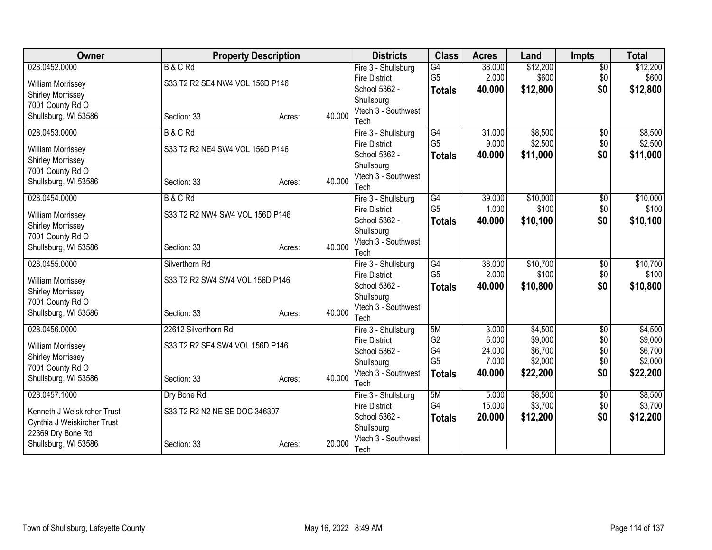| Owner                                        | <b>Property Description</b>     |                  | <b>Districts</b>                      | <b>Class</b>         | <b>Acres</b>    | Land     | <b>Impts</b>    | <b>Total</b> |
|----------------------------------------------|---------------------------------|------------------|---------------------------------------|----------------------|-----------------|----------|-----------------|--------------|
| 028.0452.0000                                | <b>B&amp;CRd</b>                |                  | Fire 3 - Shullsburg                   | G4                   | 38.000          | \$12,200 | $\overline{50}$ | \$12,200     |
| <b>William Morrissey</b>                     | S33 T2 R2 SE4 NW4 VOL 156D P146 |                  | <b>Fire District</b>                  | G <sub>5</sub>       | 2.000           | \$600    | \$0             | \$600        |
| <b>Shirley Morrissey</b>                     |                                 |                  | School 5362 -                         | <b>Totals</b>        | 40.000          | \$12,800 | \$0             | \$12,800     |
| 7001 County Rd O                             |                                 |                  | Shullsburg<br>Vtech 3 - Southwest     |                      |                 |          |                 |              |
| Shullsburg, WI 53586                         | Section: 33                     | 40.000<br>Acres: | Tech                                  |                      |                 |          |                 |              |
| 028.0453.0000                                | <b>B&amp;CRd</b>                |                  | Fire 3 - Shullsburg                   | G4                   | 31.000          | \$8,500  | $\overline{50}$ | \$8,500      |
|                                              |                                 |                  | <b>Fire District</b>                  | G <sub>5</sub>       | 9.000           | \$2,500  | \$0             | \$2,500      |
| William Morrissey                            | S33 T2 R2 NE4 SW4 VOL 156D P146 |                  | School 5362 -                         | <b>Totals</b>        | 40.000          | \$11,000 | \$0             | \$11,000     |
| <b>Shirley Morrissey</b><br>7001 County Rd O |                                 |                  | Shullsburg                            |                      |                 |          |                 |              |
| Shullsburg, WI 53586                         | Section: 33                     | 40.000<br>Acres: | Vtech 3 - Southwest                   |                      |                 |          |                 |              |
|                                              |                                 |                  | Tech                                  |                      |                 |          |                 |              |
| 028.0454.0000                                | <b>B&amp;CRd</b>                |                  | Fire 3 - Shullsburg                   | G4<br>G <sub>5</sub> | 39.000          | \$10,000 | \$0             | \$10,000     |
| William Morrissey                            | S33 T2 R2 NW4 SW4 VOL 156D P146 |                  | <b>Fire District</b><br>School 5362 - |                      | 1.000<br>40.000 | \$100    | \$0<br>\$0      | \$100        |
| <b>Shirley Morrissey</b>                     |                                 |                  | Shullsburg                            | <b>Totals</b>        |                 | \$10,100 |                 | \$10,100     |
| 7001 County Rd O                             |                                 |                  | Vtech 3 - Southwest                   |                      |                 |          |                 |              |
| Shullsburg, WI 53586                         | Section: 33                     | 40.000<br>Acres: | Tech                                  |                      |                 |          |                 |              |
| 028.0455.0000                                | Silverthorn Rd                  |                  | Fire 3 - Shullsburg                   | $\overline{G4}$      | 38.000          | \$10,700 | $\overline{50}$ | \$10,700     |
| <b>William Morrissev</b>                     | S33 T2 R2 SW4 SW4 VOL 156D P146 |                  | <b>Fire District</b>                  | G <sub>5</sub>       | 2.000           | \$100    | \$0             | \$100        |
| <b>Shirley Morrissey</b>                     |                                 |                  | School 5362 -                         | <b>Totals</b>        | 40.000          | \$10,800 | \$0             | \$10,800     |
| 7001 County Rd O                             |                                 |                  | Shullsburg                            |                      |                 |          |                 |              |
| Shullsburg, WI 53586                         | Section: 33                     | 40.000<br>Acres: | Vtech 3 - Southwest<br>Tech           |                      |                 |          |                 |              |
| 028.0456.0000                                | 22612 Silverthorn Rd            |                  | Fire 3 - Shullsburg                   | 5M                   | 3.000           | \$4,500  | $\overline{50}$ | \$4,500      |
|                                              |                                 |                  | <b>Fire District</b>                  | G <sub>2</sub>       | 6.000           | \$9,000  | \$0             | \$9,000      |
| <b>William Morrissey</b>                     | S33 T2 R2 SE4 SW4 VOL 156D P146 |                  | School 5362 -                         | G4                   | 24.000          | \$6,700  | \$0             | \$6,700      |
| <b>Shirley Morrissey</b><br>7001 County Rd O |                                 |                  | Shullsburg                            | G <sub>5</sub>       | 7.000           | \$2,000  | \$0             | \$2,000      |
| Shullsburg, WI 53586                         | Section: 33                     | 40.000<br>Acres: | Vtech 3 - Southwest                   | <b>Totals</b>        | 40.000          | \$22,200 | \$0             | \$22,200     |
|                                              |                                 |                  | Tech                                  |                      |                 |          |                 |              |
| 028.0457.1000                                | Dry Bone Rd                     |                  | Fire 3 - Shullsburg                   | 5M                   | 5.000           | \$8,500  | \$0             | \$8,500      |
| Kenneth J Weiskircher Trust                  | S33 T2 R2 N2 NE SE DOC 346307   |                  | <b>Fire District</b>                  | G4                   | 15.000          | \$3,700  | \$0             | \$3,700      |
| Cynthia J Weiskircher Trust                  |                                 |                  | School 5362 -<br>Shullsburg           | <b>Totals</b>        | 20,000          | \$12,200 | \$0             | \$12,200     |
| 22369 Dry Bone Rd                            |                                 |                  | Vtech 3 - Southwest                   |                      |                 |          |                 |              |
| Shullsburg, WI 53586                         | Section: 33                     | 20,000<br>Acres: | Tech                                  |                      |                 |          |                 |              |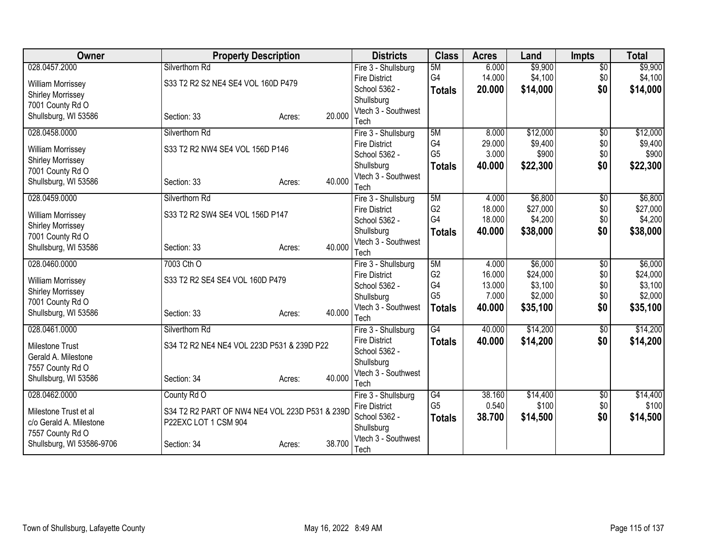| Owner                     | <b>Property Description</b>                    |                  | <b>Districts</b>                      | <b>Class</b>    | <b>Acres</b>    | Land                | <b>Impts</b>           | <b>Total</b>        |
|---------------------------|------------------------------------------------|------------------|---------------------------------------|-----------------|-----------------|---------------------|------------------------|---------------------|
| 028.0457.2000             | Silverthorn Rd                                 |                  | Fire 3 - Shullsburg                   | 5M              | 6.000           | \$9,900             | $\overline{50}$        | \$9,900             |
| <b>William Morrissey</b>  | S33 T2 R2 S2 NE4 SE4 VOL 160D P479             |                  | <b>Fire District</b>                  | G4              | 14.000          | \$4,100             | \$0                    | \$4,100             |
| <b>Shirley Morrissey</b>  |                                                |                  | School 5362 -                         | <b>Totals</b>   | 20.000          | \$14,000            | \$0                    | \$14,000            |
| 7001 County Rd O          |                                                |                  | Shullsburg                            |                 |                 |                     |                        |                     |
| Shullsburg, WI 53586      | Section: 33                                    | 20.000<br>Acres: | Vtech 3 - Southwest                   |                 |                 |                     |                        |                     |
|                           |                                                |                  | Tech                                  |                 |                 |                     |                        |                     |
| 028.0458.0000             | Silverthorn Rd                                 |                  | Fire 3 - Shullsburg                   | 5M<br>G4        | 8.000<br>29.000 | \$12,000<br>\$9,400 | $\overline{50}$<br>\$0 | \$12,000<br>\$9,400 |
| William Morrissey         | S33 T2 R2 NW4 SE4 VOL 156D P146                |                  | <b>Fire District</b><br>School 5362 - | G <sub>5</sub>  | 3.000           | \$900               | \$0                    | \$900               |
| <b>Shirley Morrissey</b>  |                                                |                  | Shullsburg                            | <b>Totals</b>   | 40.000          | \$22,300            | \$0                    | \$22,300            |
| 7001 County Rd O          |                                                |                  | Vtech 3 - Southwest                   |                 |                 |                     |                        |                     |
| Shullsburg, WI 53586      | Section: 33                                    | 40.000<br>Acres: | Tech                                  |                 |                 |                     |                        |                     |
| 028.0459.0000             | Silverthorn Rd                                 |                  | Fire 3 - Shullsburg                   | 5M              | 4.000           | \$6,800             | \$0                    | \$6,800             |
|                           |                                                |                  | <b>Fire District</b>                  | G <sub>2</sub>  | 18.000          | \$27,000            | \$0                    | \$27,000            |
| William Morrissey         | S33 T2 R2 SW4 SE4 VOL 156D P147                |                  | School 5362 -                         | G4              | 18.000          | \$4,200             | \$0                    | \$4,200             |
| <b>Shirley Morrissey</b>  |                                                |                  | Shullsburg                            | <b>Totals</b>   | 40.000          | \$38,000            | \$0                    | \$38,000            |
| 7001 County Rd O          |                                                | 40.000           | Vtech 3 - Southwest                   |                 |                 |                     |                        |                     |
| Shullsburg, WI 53586      | Section: 33                                    | Acres:           | Tech                                  |                 |                 |                     |                        |                     |
| 028.0460.0000             | 7003 Cth O                                     |                  | Fire 3 - Shullsburg                   | 5M              | 4.000           | \$6,000             | $\overline{50}$        | \$6,000             |
| <b>William Morrissey</b>  | S33 T2 R2 SE4 SE4 VOL 160D P479                |                  | <b>Fire District</b>                  | G <sub>2</sub>  | 16.000          | \$24,000            | \$0                    | \$24,000            |
| <b>Shirley Morrissey</b>  |                                                |                  | School 5362 -                         | G4              | 13.000          | \$3,100             | \$0                    | \$3,100             |
| 7001 County Rd O          |                                                |                  | Shullsburg                            | G <sub>5</sub>  | 7.000           | \$2,000             | \$0                    | \$2,000             |
| Shullsburg, WI 53586      | Section: 33                                    | 40.000<br>Acres: | Vtech 3 - Southwest                   | <b>Totals</b>   | 40.000          | \$35,100            | \$0                    | \$35,100            |
|                           |                                                |                  | Tech                                  |                 |                 |                     |                        |                     |
| 028.0461.0000             | Silverthorn Rd                                 |                  | Fire 3 - Shullsburg                   | $\overline{G4}$ | 40.000          | \$14,200            | $\sqrt{$0}$            | \$14,200            |
| <b>Milestone Trust</b>    | S34 T2 R2 NE4 NE4 VOL 223D P531 & 239D P22     |                  | <b>Fire District</b>                  | <b>Totals</b>   | 40.000          | \$14,200            | \$0                    | \$14,200            |
| Gerald A. Milestone       |                                                |                  | School 5362 -                         |                 |                 |                     |                        |                     |
| 7557 County Rd O          |                                                |                  | Shullsburg<br>Vtech 3 - Southwest     |                 |                 |                     |                        |                     |
| Shullsburg, WI 53586      | Section: 34                                    | 40.000<br>Acres: | Tech                                  |                 |                 |                     |                        |                     |
| 028.0462.0000             | County Rd O                                    |                  | Fire 3 - Shullsburg                   | G4              | 38.160          | \$14,400            | \$0                    | \$14,400            |
|                           |                                                |                  | <b>Fire District</b>                  | G <sub>5</sub>  | 0.540           | \$100               | \$0                    | \$100               |
| Milestone Trust et al     | S34 T2 R2 PART OF NW4 NE4 VOL 223D P531 & 239D |                  | School 5362 -                         | <b>Totals</b>   | 38,700          | \$14,500            | \$0                    | \$14,500            |
| c/o Gerald A. Milestone   | P22EXC LOT 1 CSM 904                           |                  | Shullsburg                            |                 |                 |                     |                        |                     |
| 7557 County Rd O          |                                                |                  | Vtech 3 - Southwest                   |                 |                 |                     |                        |                     |
| Shullsburg, WI 53586-9706 | Section: 34                                    | 38.700<br>Acres: | Tech                                  |                 |                 |                     |                        |                     |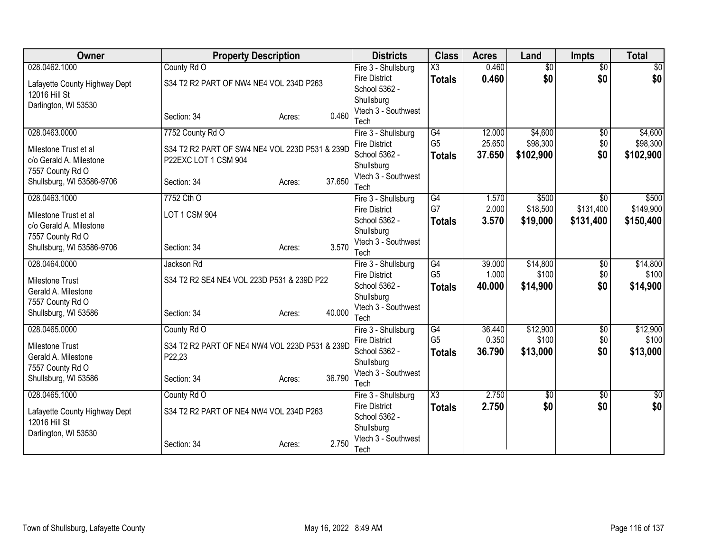| <b>Owner</b>                  | <b>Property Description</b>                    |                  | <b>Districts</b>                            | <b>Class</b>           | <b>Acres</b>    | Land              | <b>Impts</b>           | <b>Total</b>      |
|-------------------------------|------------------------------------------------|------------------|---------------------------------------------|------------------------|-----------------|-------------------|------------------------|-------------------|
| 028.0462.1000                 | County Rd O                                    |                  | Fire 3 - Shullsburg                         | $\overline{\text{X3}}$ | 0.460           | $\overline{50}$   | $\overline{50}$        | \$0               |
| Lafayette County Highway Dept | S34 T2 R2 PART OF NW4 NE4 VOL 234D P263        |                  | <b>Fire District</b>                        | <b>Totals</b>          | 0.460           | \$0               | \$0                    | \$0               |
| 12016 Hill St                 |                                                |                  | School 5362 -                               |                        |                 |                   |                        |                   |
| Darlington, WI 53530          |                                                |                  | Shullsburg                                  |                        |                 |                   |                        |                   |
|                               | Section: 34                                    | 0.460<br>Acres:  | Vtech 3 - Southwest<br>Tech                 |                        |                 |                   |                        |                   |
| 028.0463.0000                 | 7752 County Rd O                               |                  | Fire 3 - Shullsburg                         | $\overline{G4}$        | 12.000          | \$4,600           | $\overline{50}$        | \$4,600           |
|                               |                                                |                  | <b>Fire District</b>                        | G <sub>5</sub>         | 25.650          | \$98,300          | \$0                    | \$98,300          |
| Milestone Trust et al         | S34 T2 R2 PART OF SW4 NE4 VOL 223D P531 & 239D |                  | School 5362 -                               | <b>Totals</b>          | 37.650          | \$102,900         | \$0                    | \$102,900         |
| c/o Gerald A. Milestone       | P22EXC LOT 1 CSM 904                           |                  | Shullsburg                                  |                        |                 |                   |                        |                   |
| 7557 County Rd O              |                                                |                  | Vtech 3 - Southwest                         |                        |                 |                   |                        |                   |
| Shullsburg, WI 53586-9706     | Section: 34                                    | 37.650<br>Acres: | Tech                                        |                        |                 |                   |                        |                   |
| 028.0463.1000                 | 7752 Cth O                                     |                  | Fire 3 - Shullsburg                         | G4                     | 1.570           | \$500             | \$0                    | \$500             |
| Milestone Trust et al         | LOT 1 CSM 904                                  |                  | <b>Fire District</b>                        | G7                     | 2.000           | \$18,500          | \$131,400              | \$149,900         |
| c/o Gerald A. Milestone       |                                                |                  | School 5362 -                               | <b>Totals</b>          | 3.570           | \$19,000          | \$131,400              | \$150,400         |
| 7557 County Rd O              |                                                |                  | Shullsburg                                  |                        |                 |                   |                        |                   |
| Shullsburg, WI 53586-9706     | Section: 34                                    | 3.570<br>Acres:  | Vtech 3 - Southwest                         |                        |                 |                   |                        |                   |
|                               |                                                |                  | Tech                                        |                        |                 |                   |                        |                   |
| 028.0464.0000                 | Jackson Rd                                     |                  | Fire 3 - Shullsburg<br><b>Fire District</b> | G4<br>G <sub>5</sub>   | 39.000<br>1.000 | \$14,800<br>\$100 | $\overline{50}$<br>\$0 | \$14,800<br>\$100 |
| Milestone Trust               | S34 T2 R2 SE4 NE4 VOL 223D P531 & 239D P22     |                  | School 5362 -                               | <b>Totals</b>          | 40.000          | \$14,900          | \$0                    | \$14,900          |
| Gerald A. Milestone           |                                                |                  | Shullsburg                                  |                        |                 |                   |                        |                   |
| 7557 County Rd O              |                                                |                  | Vtech 3 - Southwest                         |                        |                 |                   |                        |                   |
| Shullsburg, WI 53586          | Section: 34                                    | 40.000<br>Acres: | Tech                                        |                        |                 |                   |                        |                   |
| 028.0465.0000                 | County Rd O                                    |                  | Fire 3 - Shullsburg                         | G4                     | 36.440          | \$12,900          | $\sqrt{6}$             | \$12,900          |
| <b>Milestone Trust</b>        | S34 T2 R2 PART OF NE4 NW4 VOL 223D P531 & 239D |                  | <b>Fire District</b>                        | G <sub>5</sub>         | 0.350           | \$100             | \$0                    | \$100             |
| Gerald A. Milestone           | P22,23                                         |                  | School 5362 -                               | <b>Totals</b>          | 36.790          | \$13,000          | \$0                    | \$13,000          |
| 7557 County Rd O              |                                                |                  | Shullsburg                                  |                        |                 |                   |                        |                   |
| Shullsburg, WI 53586          | Section: 34                                    | 36.790<br>Acres: | Vtech 3 - Southwest                         |                        |                 |                   |                        |                   |
|                               |                                                |                  | Tech                                        |                        |                 |                   |                        |                   |
| 028.0465.1000                 | County Rd O                                    |                  | Fire 3 - Shullsburg<br><b>Fire District</b> | X3                     | 2.750           | \$0               | \$0<br>\$0             | \$0               |
| Lafayette County Highway Dept | S34 T2 R2 PART OF NE4 NW4 VOL 234D P263        |                  | School 5362 -                               | <b>Totals</b>          | 2.750           | \$0               |                        | \$0               |
| 12016 Hill St                 |                                                |                  | Shullsburg                                  |                        |                 |                   |                        |                   |
| Darlington, WI 53530          |                                                |                  | Vtech 3 - Southwest                         |                        |                 |                   |                        |                   |
|                               | Section: 34                                    | 2.750<br>Acres:  | Tech                                        |                        |                 |                   |                        |                   |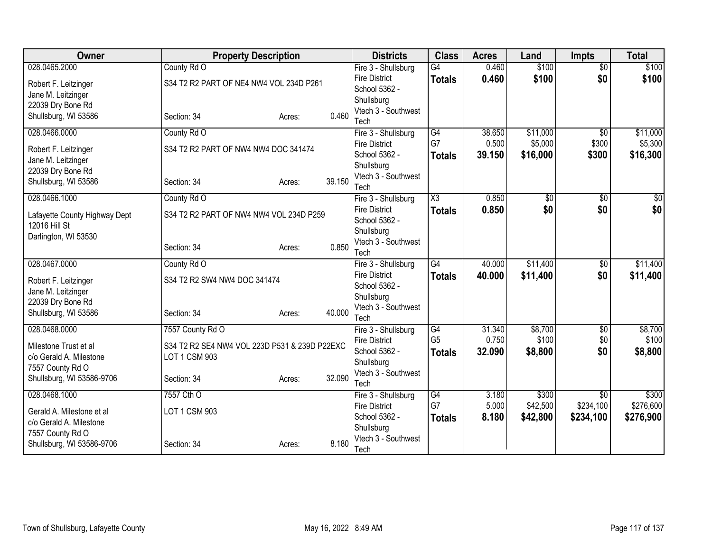| <b>Owner</b>                                     | <b>Property Description</b>                                    |        |        | <b>Districts</b>                            | <b>Class</b>          | <b>Acres</b>   | Land              | <b>Impts</b>                 | <b>Total</b>       |
|--------------------------------------------------|----------------------------------------------------------------|--------|--------|---------------------------------------------|-----------------------|----------------|-------------------|------------------------------|--------------------|
| 028.0465.2000                                    | County Rd O                                                    |        |        | Fire 3 - Shullsburg                         | $\overline{G4}$       | 0.460          | \$100             | $\overline{50}$              | \$100              |
| Robert F. Leitzinger                             | S34 T2 R2 PART OF NE4 NW4 VOL 234D P261                        |        |        | <b>Fire District</b>                        | <b>Totals</b>         | 0.460          | \$100             | \$0                          | \$100              |
| Jane M. Leitzinger                               |                                                                |        |        | School 5362 -                               |                       |                |                   |                              |                    |
| 22039 Dry Bone Rd                                |                                                                |        |        | Shullsburg<br>Vtech 3 - Southwest           |                       |                |                   |                              |                    |
| Shullsburg, WI 53586                             | Section: 34                                                    | Acres: | 0.460  | Tech                                        |                       |                |                   |                              |                    |
| 028.0466.0000                                    | County Rd O                                                    |        |        | Fire 3 - Shullsburg                         | $\overline{G4}$       | 38.650         | \$11,000          | $\overline{50}$              | \$11,000           |
| Robert F. Leitzinger                             | S34 T2 R2 PART OF NW4 NW4 DOC 341474                           |        |        | <b>Fire District</b>                        | G7                    | 0.500          | \$5,000           | \$300                        | \$5,300            |
| Jane M. Leitzinger                               |                                                                |        |        | School 5362 -                               | <b>Totals</b>         | 39.150         | \$16,000          | \$300                        | \$16,300           |
| 22039 Dry Bone Rd                                |                                                                |        |        | Shullsburg                                  |                       |                |                   |                              |                    |
| Shullsburg, WI 53586                             | Section: 34                                                    | Acres: | 39.150 | Vtech 3 - Southwest                         |                       |                |                   |                              |                    |
| 028.0466.1000                                    | County Rd O                                                    |        |        | Tech<br>Fire 3 - Shullsburg                 | X3                    | 0.850          | \$0               | \$0                          | $\sqrt{50}$        |
|                                                  |                                                                |        |        | <b>Fire District</b>                        |                       | 0.850          | \$0               | \$0                          | \$0                |
| Lafayette County Highway Dept                    | S34 T2 R2 PART OF NW4 NW4 VOL 234D P259                        |        |        | School 5362 -                               | <b>Totals</b>         |                |                   |                              |                    |
| 12016 Hill St                                    |                                                                |        |        | Shullsburg                                  |                       |                |                   |                              |                    |
| Darlington, WI 53530                             |                                                                |        |        | Vtech 3 - Southwest                         |                       |                |                   |                              |                    |
|                                                  | Section: 34                                                    | Acres: | 0.850  | Tech                                        |                       |                |                   |                              |                    |
| 028.0467.0000                                    | County Rd O                                                    |        |        | Fire 3 - Shullsburg                         | G4                    | 40.000         | \$11,400          | \$0                          | \$11,400           |
| Robert F. Leitzinger                             | S34 T2 R2 SW4 NW4 DOC 341474                                   |        |        | <b>Fire District</b>                        | <b>Totals</b>         | 40.000         | \$11,400          | \$0                          | \$11,400           |
| Jane M. Leitzinger                               |                                                                |        |        | School 5362 -                               |                       |                |                   |                              |                    |
| 22039 Dry Bone Rd                                |                                                                |        |        | Shullsburg<br>Vtech 3 - Southwest           |                       |                |                   |                              |                    |
| Shullsburg, WI 53586                             | Section: 34                                                    | Acres: | 40.000 | Tech                                        |                       |                |                   |                              |                    |
| 028.0468.0000                                    | 7557 County Rd O                                               |        |        | Fire 3 - Shullsburg                         | $\overline{G4}$       | 31.340         | \$8,700           | $\overline{60}$              | \$8,700            |
|                                                  |                                                                |        |        | <b>Fire District</b>                        | G <sub>5</sub>        | 0.750          | \$100             | \$0                          | \$100              |
| Milestone Trust et al<br>c/o Gerald A. Milestone | S34 T2 R2 SE4 NW4 VOL 223D P531 & 239D P22EXC<br>LOT 1 CSM 903 |        |        | School 5362 -                               | <b>Totals</b>         | 32.090         | \$8,800           | \$0                          | \$8,800            |
| 7557 County Rd O                                 |                                                                |        |        | Shullsburg                                  |                       |                |                   |                              |                    |
| Shullsburg, WI 53586-9706                        | Section: 34                                                    | Acres: | 32.090 | Vtech 3 - Southwest                         |                       |                |                   |                              |                    |
|                                                  |                                                                |        |        | Tech                                        |                       |                |                   |                              |                    |
| 028.0468.1000                                    | 7557 Cth O                                                     |        |        | Fire 3 - Shullsburg<br><b>Fire District</b> | $\overline{G4}$<br>G7 | 3.180<br>5.000 | \$300<br>\$42,500 | $\overline{50}$<br>\$234,100 | \$300<br>\$276,600 |
| Gerald A. Milestone et al                        | LOT 1 CSM 903                                                  |        |        | School 5362 -                               | <b>Totals</b>         | 8.180          | \$42,800          | \$234,100                    | \$276,900          |
| c/o Gerald A. Milestone                          |                                                                |        |        | Shullsburg                                  |                       |                |                   |                              |                    |
| 7557 County Rd O                                 |                                                                |        |        | Vtech 3 - Southwest                         |                       |                |                   |                              |                    |
| Shullsburg, WI 53586-9706                        | Section: 34                                                    | Acres: | 8.180  | Tech                                        |                       |                |                   |                              |                    |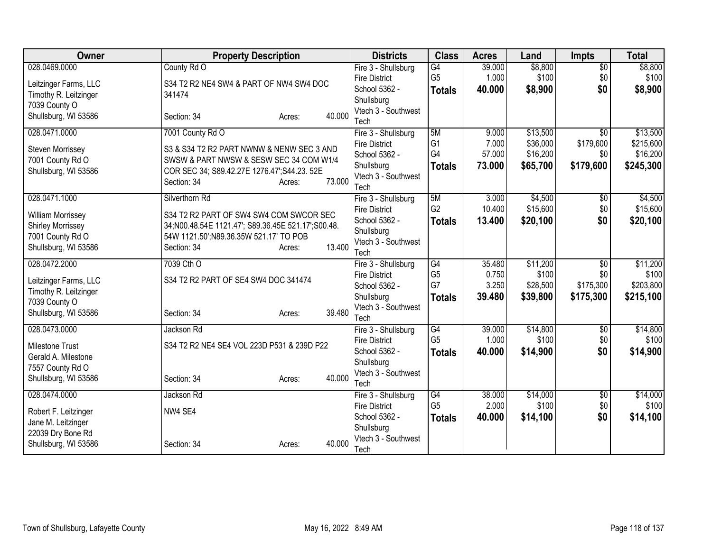| Owner                                                                                                             | <b>Property Description</b>                                                                                                                                                                    | <b>Districts</b>                                                                                          | <b>Class</b>                                | <b>Acres</b>                       | Land                                         | <b>Impts</b>                                     | <b>Total</b>                                   |
|-------------------------------------------------------------------------------------------------------------------|------------------------------------------------------------------------------------------------------------------------------------------------------------------------------------------------|-----------------------------------------------------------------------------------------------------------|---------------------------------------------|------------------------------------|----------------------------------------------|--------------------------------------------------|------------------------------------------------|
| 028.0469.0000                                                                                                     | County Rd O                                                                                                                                                                                    | Fire 3 - Shullsburg                                                                                       | G4                                          | 39.000                             | \$8,800                                      | $\overline{50}$                                  | \$8,800                                        |
| Leitzinger Farms, LLC<br>Timothy R. Leitzinger<br>7039 County O                                                   | S34 T2 R2 NE4 SW4 & PART OF NW4 SW4 DOC<br>341474                                                                                                                                              | <b>Fire District</b><br>School 5362 -<br>Shullsburg                                                       | G <sub>5</sub><br><b>Totals</b>             | 1.000<br>40.000                    | \$100<br>\$8,900                             | \$0<br>\$0                                       | \$100<br>\$8,900                               |
| Shullsburg, WI 53586                                                                                              | 40.000<br>Section: 34<br>Acres:                                                                                                                                                                | Vtech 3 - Southwest<br>Tech                                                                               |                                             |                                    |                                              |                                                  |                                                |
| 028.0471.0000<br><b>Steven Morrissey</b><br>7001 County Rd O<br>Shullsburg, WI 53586                              | 7001 County Rd O<br>S3 & S34 T2 R2 PART NWNW & NENW SEC 3 AND<br>SWSW & PART NWSW & SESW SEC 34 COM W1/4<br>COR SEC 34; S89.42.27E 1276.47'; S44.23. 52E<br>73.000<br>Section: 34<br>Acres:    | Fire 3 - Shullsburg<br><b>Fire District</b><br>School 5362 -<br>Shullsburg<br>Vtech 3 - Southwest<br>Tech | 5M<br>G <sub>1</sub><br>G4<br><b>Totals</b> | 9.000<br>7.000<br>57.000<br>73.000 | \$13,500<br>\$36,000<br>\$16,200<br>\$65,700 | $\overline{50}$<br>\$179,600<br>\$0<br>\$179,600 | \$13,500<br>\$215,600<br>\$16,200<br>\$245,300 |
| 028.0471.1000<br><b>William Morrissey</b><br><b>Shirley Morrissey</b><br>7001 County Rd O<br>Shullsburg, WI 53586 | Silverthorn Rd<br>S34 T2 R2 PART OF SW4 SW4 COM SWCOR SEC<br>34; N00.48.54E 1121.47'; S89.36.45E 521.17'; S00.48.<br>54W 1121.50';N89.36.35W 521.17' TO POB<br>13.400<br>Section: 34<br>Acres: | Fire 3 - Shullsburg<br><b>Fire District</b><br>School 5362 -<br>Shullsburg<br>Vtech 3 - Southwest<br>Tech | 5M<br>G <sub>2</sub><br><b>Totals</b>       | 3.000<br>10.400<br>13.400          | \$4,500<br>\$15,600<br>\$20,100              | \$0<br>\$0<br>\$0                                | \$4,500<br>\$15,600<br>\$20,100                |
| 028.0472.2000<br>Leitzinger Farms, LLC<br>Timothy R. Leitzinger<br>7039 County O<br>Shullsburg, WI 53586          | 7039 Cth O<br>S34 T2 R2 PART OF SE4 SW4 DOC 341474<br>39.480<br>Section: 34<br>Acres:                                                                                                          | Fire 3 - Shullsburg<br><b>Fire District</b><br>School 5362 -<br>Shullsburg<br>Vtech 3 - Southwest<br>Tech | G4<br>G <sub>5</sub><br>G7<br><b>Totals</b> | 35.480<br>0.750<br>3.250<br>39.480 | \$11,200<br>\$100<br>\$28,500<br>\$39,800    | $\overline{50}$<br>\$0<br>\$175,300<br>\$175,300 | \$11,200<br>\$100<br>\$203,800<br>\$215,100    |
| 028.0473.0000<br>Milestone Trust<br>Gerald A. Milestone<br>7557 County Rd O<br>Shullsburg, WI 53586               | Jackson Rd<br>S34 T2 R2 NE4 SE4 VOL 223D P531 & 239D P22<br>40.000<br>Section: 34<br>Acres:                                                                                                    | Fire 3 - Shullsburg<br><b>Fire District</b><br>School 5362 -<br>Shullsburg<br>Vtech 3 - Southwest<br>Tech | G4<br>G <sub>5</sub><br><b>Totals</b>       | 39.000<br>1.000<br>40.000          | \$14,800<br>\$100<br>\$14,900                | $\sqrt{$0}$<br>\$0<br>\$0                        | \$14,800<br>\$100<br>\$14,900                  |
| 028.0474.0000<br>Robert F. Leitzinger<br>Jane M. Leitzinger<br>22039 Dry Bone Rd<br>Shullsburg, WI 53586          | Jackson Rd<br>NW4 SE4<br>40.000<br>Section: 34<br>Acres:                                                                                                                                       | Fire 3 - Shullsburg<br><b>Fire District</b><br>School 5362 -<br>Shullsburg<br>Vtech 3 - Southwest<br>Tech | G4<br>G <sub>5</sub><br><b>Totals</b>       | 38.000<br>2.000<br>40.000          | \$14,000<br>\$100<br>\$14,100                | \$0<br>\$0<br>\$0                                | \$14,000<br>\$100<br>\$14,100                  |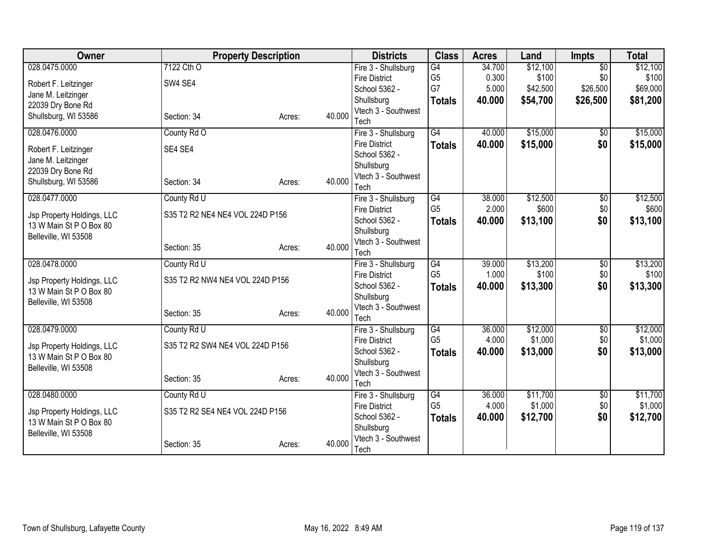| 028.0475.0000<br>7122 Cth O<br>G4<br>\$12,100<br>$\overline{50}$<br>Fire 3 - Shullsburg<br>34.700<br>G <sub>5</sub><br>\$100<br>\$100<br>0.300<br>\$0<br><b>Fire District</b><br>SW4 SE4<br>Robert F. Leitzinger<br>G7<br>\$42,500<br>\$26,500<br>\$69,000<br>5.000<br>School 5362 -<br>Jane M. Leitzinger<br>Shullsburg<br>40.000<br>\$54,700<br>\$26,500<br>\$81,200<br><b>Totals</b><br>22039 Dry Bone Rd<br>Vtech 3 - Southwest<br>40.000<br>Shullsburg, WI 53586<br>Section: 34<br>Acres:<br>Tech<br>028.0476.0000<br>$\overline{G4}$<br>\$15,000<br>\$15,000<br>County Rd O<br>Fire 3 - Shullsburg<br>40.000<br>$\sqrt{$0}$<br>\$15,000<br>\$0<br><b>Fire District</b><br>40.000<br>\$15,000<br><b>Totals</b><br>SE4 SE4<br>Robert F. Leitzinger<br>School 5362 -<br>Jane M. Leitzinger<br>Shullsburg<br>22039 Dry Bone Rd<br>Vtech 3 - Southwest<br>40.000<br>Shullsburg, WI 53586<br>Section: 34<br>Acres:<br>Tech<br>028.0477.0000<br>\$12,500<br>County Rd U<br>Fire 3 - Shullsburg<br>G4<br>38.000<br>\$0<br>G <sub>5</sub><br>2.000<br>\$600<br>\$0<br><b>Fire District</b><br>S35 T2 R2 NE4 NE4 VOL 224D P156<br>Jsp Property Holdings, LLC<br>\$13,100<br>\$0<br>School 5362 -<br>40.000<br><b>Totals</b><br>13 W Main St P O Box 80<br>Shullsburg<br>Belleville, WI 53508<br>Vtech 3 - Southwest<br>40.000<br>Section: 35<br>Acres:<br>Tech<br>\$13,200<br>028.0478.0000<br>G4<br>\$13,200<br>County Rd U<br>Fire 3 - Shullsburg<br>39.000<br>$\overline{50}$<br>G <sub>5</sub><br>\$100<br>1.000<br>\$0<br>\$100<br><b>Fire District</b><br>S35 T2 R2 NW4 NE4 VOL 224D P156<br>Jsp Property Holdings, LLC<br>40.000<br>\$13,300<br>\$0<br>School 5362 -<br>\$13,300<br><b>Totals</b><br>13 W Main St P O Box 80<br>Shullsburg<br>Belleville, WI 53508<br>Vtech 3 - Southwest<br>40.000<br>Section: 35<br>Acres:<br>Tech<br>\$12,000<br>028.0479.0000<br>County Rd U<br>G4<br>36.000<br>Fire 3 - Shullsburg<br>$\sqrt{$0}$<br>G <sub>5</sub><br>\$1,000<br>4.000<br>\$0<br><b>Fire District</b><br>S35 T2 R2 SW4 NE4 VOL 224D P156<br>Jsp Property Holdings, LLC<br>School 5362 -<br>40.000<br>\$13,000<br>\$0<br><b>Totals</b><br>13 W Main St P O Box 80<br>Shullsburg<br>Belleville, WI 53508<br>Vtech 3 - Southwest<br>40.000<br>Section: 35<br>Acres:<br>Tech<br>\$11,700<br>\$11,700<br>028.0480.0000<br>County Rd U<br>G4<br>36.000<br>$\overline{60}$<br>Fire 3 - Shullsburg<br>G <sub>5</sub><br>\$1,000<br>\$0<br>\$1,000<br>4.000<br><b>Fire District</b><br>S35 T2 R2 SE4 NE4 VOL 224D P156 | Owner                      | <b>Property Description</b> |  | <b>Districts</b> | <b>Class</b> | <b>Acres</b> | Land | <b>Impts</b> | <b>Total</b> |
|------------------------------------------------------------------------------------------------------------------------------------------------------------------------------------------------------------------------------------------------------------------------------------------------------------------------------------------------------------------------------------------------------------------------------------------------------------------------------------------------------------------------------------------------------------------------------------------------------------------------------------------------------------------------------------------------------------------------------------------------------------------------------------------------------------------------------------------------------------------------------------------------------------------------------------------------------------------------------------------------------------------------------------------------------------------------------------------------------------------------------------------------------------------------------------------------------------------------------------------------------------------------------------------------------------------------------------------------------------------------------------------------------------------------------------------------------------------------------------------------------------------------------------------------------------------------------------------------------------------------------------------------------------------------------------------------------------------------------------------------------------------------------------------------------------------------------------------------------------------------------------------------------------------------------------------------------------------------------------------------------------------------------------------------------------------------------------------------------------------------------------------------------------------------------------------------------------------------------------------------------------------------------------------------------------------------------------------------------------------------------------------------------------------------------------------------------------------------------------------------------------------------|----------------------------|-----------------------------|--|------------------|--------------|--------------|------|--------------|--------------|
|                                                                                                                                                                                                                                                                                                                                                                                                                                                                                                                                                                                                                                                                                                                                                                                                                                                                                                                                                                                                                                                                                                                                                                                                                                                                                                                                                                                                                                                                                                                                                                                                                                                                                                                                                                                                                                                                                                                                                                                                                                                                                                                                                                                                                                                                                                                                                                                                                                                                                                                        |                            |                             |  |                  |              |              |      |              | \$12,100     |
|                                                                                                                                                                                                                                                                                                                                                                                                                                                                                                                                                                                                                                                                                                                                                                                                                                                                                                                                                                                                                                                                                                                                                                                                                                                                                                                                                                                                                                                                                                                                                                                                                                                                                                                                                                                                                                                                                                                                                                                                                                                                                                                                                                                                                                                                                                                                                                                                                                                                                                                        |                            |                             |  |                  |              |              |      |              |              |
|                                                                                                                                                                                                                                                                                                                                                                                                                                                                                                                                                                                                                                                                                                                                                                                                                                                                                                                                                                                                                                                                                                                                                                                                                                                                                                                                                                                                                                                                                                                                                                                                                                                                                                                                                                                                                                                                                                                                                                                                                                                                                                                                                                                                                                                                                                                                                                                                                                                                                                                        |                            |                             |  |                  |              |              |      |              |              |
|                                                                                                                                                                                                                                                                                                                                                                                                                                                                                                                                                                                                                                                                                                                                                                                                                                                                                                                                                                                                                                                                                                                                                                                                                                                                                                                                                                                                                                                                                                                                                                                                                                                                                                                                                                                                                                                                                                                                                                                                                                                                                                                                                                                                                                                                                                                                                                                                                                                                                                                        |                            |                             |  |                  |              |              |      |              |              |
|                                                                                                                                                                                                                                                                                                                                                                                                                                                                                                                                                                                                                                                                                                                                                                                                                                                                                                                                                                                                                                                                                                                                                                                                                                                                                                                                                                                                                                                                                                                                                                                                                                                                                                                                                                                                                                                                                                                                                                                                                                                                                                                                                                                                                                                                                                                                                                                                                                                                                                                        |                            |                             |  |                  |              |              |      |              |              |
|                                                                                                                                                                                                                                                                                                                                                                                                                                                                                                                                                                                                                                                                                                                                                                                                                                                                                                                                                                                                                                                                                                                                                                                                                                                                                                                                                                                                                                                                                                                                                                                                                                                                                                                                                                                                                                                                                                                                                                                                                                                                                                                                                                                                                                                                                                                                                                                                                                                                                                                        |                            |                             |  |                  |              |              |      |              |              |
|                                                                                                                                                                                                                                                                                                                                                                                                                                                                                                                                                                                                                                                                                                                                                                                                                                                                                                                                                                                                                                                                                                                                                                                                                                                                                                                                                                                                                                                                                                                                                                                                                                                                                                                                                                                                                                                                                                                                                                                                                                                                                                                                                                                                                                                                                                                                                                                                                                                                                                                        |                            |                             |  |                  |              |              |      |              |              |
|                                                                                                                                                                                                                                                                                                                                                                                                                                                                                                                                                                                                                                                                                                                                                                                                                                                                                                                                                                                                                                                                                                                                                                                                                                                                                                                                                                                                                                                                                                                                                                                                                                                                                                                                                                                                                                                                                                                                                                                                                                                                                                                                                                                                                                                                                                                                                                                                                                                                                                                        |                            |                             |  |                  |              |              |      |              |              |
|                                                                                                                                                                                                                                                                                                                                                                                                                                                                                                                                                                                                                                                                                                                                                                                                                                                                                                                                                                                                                                                                                                                                                                                                                                                                                                                                                                                                                                                                                                                                                                                                                                                                                                                                                                                                                                                                                                                                                                                                                                                                                                                                                                                                                                                                                                                                                                                                                                                                                                                        |                            |                             |  |                  |              |              |      |              |              |
|                                                                                                                                                                                                                                                                                                                                                                                                                                                                                                                                                                                                                                                                                                                                                                                                                                                                                                                                                                                                                                                                                                                                                                                                                                                                                                                                                                                                                                                                                                                                                                                                                                                                                                                                                                                                                                                                                                                                                                                                                                                                                                                                                                                                                                                                                                                                                                                                                                                                                                                        |                            |                             |  |                  |              |              |      |              |              |
|                                                                                                                                                                                                                                                                                                                                                                                                                                                                                                                                                                                                                                                                                                                                                                                                                                                                                                                                                                                                                                                                                                                                                                                                                                                                                                                                                                                                                                                                                                                                                                                                                                                                                                                                                                                                                                                                                                                                                                                                                                                                                                                                                                                                                                                                                                                                                                                                                                                                                                                        |                            |                             |  |                  |              |              |      |              |              |
|                                                                                                                                                                                                                                                                                                                                                                                                                                                                                                                                                                                                                                                                                                                                                                                                                                                                                                                                                                                                                                                                                                                                                                                                                                                                                                                                                                                                                                                                                                                                                                                                                                                                                                                                                                                                                                                                                                                                                                                                                                                                                                                                                                                                                                                                                                                                                                                                                                                                                                                        |                            |                             |  |                  |              |              |      |              | \$12,500     |
|                                                                                                                                                                                                                                                                                                                                                                                                                                                                                                                                                                                                                                                                                                                                                                                                                                                                                                                                                                                                                                                                                                                                                                                                                                                                                                                                                                                                                                                                                                                                                                                                                                                                                                                                                                                                                                                                                                                                                                                                                                                                                                                                                                                                                                                                                                                                                                                                                                                                                                                        |                            |                             |  |                  |              |              |      |              | \$600        |
|                                                                                                                                                                                                                                                                                                                                                                                                                                                                                                                                                                                                                                                                                                                                                                                                                                                                                                                                                                                                                                                                                                                                                                                                                                                                                                                                                                                                                                                                                                                                                                                                                                                                                                                                                                                                                                                                                                                                                                                                                                                                                                                                                                                                                                                                                                                                                                                                                                                                                                                        |                            |                             |  |                  |              |              |      |              | \$13,100     |
|                                                                                                                                                                                                                                                                                                                                                                                                                                                                                                                                                                                                                                                                                                                                                                                                                                                                                                                                                                                                                                                                                                                                                                                                                                                                                                                                                                                                                                                                                                                                                                                                                                                                                                                                                                                                                                                                                                                                                                                                                                                                                                                                                                                                                                                                                                                                                                                                                                                                                                                        |                            |                             |  |                  |              |              |      |              |              |
|                                                                                                                                                                                                                                                                                                                                                                                                                                                                                                                                                                                                                                                                                                                                                                                                                                                                                                                                                                                                                                                                                                                                                                                                                                                                                                                                                                                                                                                                                                                                                                                                                                                                                                                                                                                                                                                                                                                                                                                                                                                                                                                                                                                                                                                                                                                                                                                                                                                                                                                        |                            |                             |  |                  |              |              |      |              |              |
|                                                                                                                                                                                                                                                                                                                                                                                                                                                                                                                                                                                                                                                                                                                                                                                                                                                                                                                                                                                                                                                                                                                                                                                                                                                                                                                                                                                                                                                                                                                                                                                                                                                                                                                                                                                                                                                                                                                                                                                                                                                                                                                                                                                                                                                                                                                                                                                                                                                                                                                        |                            |                             |  |                  |              |              |      |              |              |
|                                                                                                                                                                                                                                                                                                                                                                                                                                                                                                                                                                                                                                                                                                                                                                                                                                                                                                                                                                                                                                                                                                                                                                                                                                                                                                                                                                                                                                                                                                                                                                                                                                                                                                                                                                                                                                                                                                                                                                                                                                                                                                                                                                                                                                                                                                                                                                                                                                                                                                                        |                            |                             |  |                  |              |              |      |              |              |
|                                                                                                                                                                                                                                                                                                                                                                                                                                                                                                                                                                                                                                                                                                                                                                                                                                                                                                                                                                                                                                                                                                                                                                                                                                                                                                                                                                                                                                                                                                                                                                                                                                                                                                                                                                                                                                                                                                                                                                                                                                                                                                                                                                                                                                                                                                                                                                                                                                                                                                                        |                            |                             |  |                  |              |              |      |              |              |
|                                                                                                                                                                                                                                                                                                                                                                                                                                                                                                                                                                                                                                                                                                                                                                                                                                                                                                                                                                                                                                                                                                                                                                                                                                                                                                                                                                                                                                                                                                                                                                                                                                                                                                                                                                                                                                                                                                                                                                                                                                                                                                                                                                                                                                                                                                                                                                                                                                                                                                                        |                            |                             |  |                  |              |              |      |              |              |
|                                                                                                                                                                                                                                                                                                                                                                                                                                                                                                                                                                                                                                                                                                                                                                                                                                                                                                                                                                                                                                                                                                                                                                                                                                                                                                                                                                                                                                                                                                                                                                                                                                                                                                                                                                                                                                                                                                                                                                                                                                                                                                                                                                                                                                                                                                                                                                                                                                                                                                                        |                            |                             |  |                  |              |              |      |              |              |
|                                                                                                                                                                                                                                                                                                                                                                                                                                                                                                                                                                                                                                                                                                                                                                                                                                                                                                                                                                                                                                                                                                                                                                                                                                                                                                                                                                                                                                                                                                                                                                                                                                                                                                                                                                                                                                                                                                                                                                                                                                                                                                                                                                                                                                                                                                                                                                                                                                                                                                                        |                            |                             |  |                  |              |              |      |              |              |
|                                                                                                                                                                                                                                                                                                                                                                                                                                                                                                                                                                                                                                                                                                                                                                                                                                                                                                                                                                                                                                                                                                                                                                                                                                                                                                                                                                                                                                                                                                                                                                                                                                                                                                                                                                                                                                                                                                                                                                                                                                                                                                                                                                                                                                                                                                                                                                                                                                                                                                                        |                            |                             |  |                  |              |              |      |              | \$12,000     |
|                                                                                                                                                                                                                                                                                                                                                                                                                                                                                                                                                                                                                                                                                                                                                                                                                                                                                                                                                                                                                                                                                                                                                                                                                                                                                                                                                                                                                                                                                                                                                                                                                                                                                                                                                                                                                                                                                                                                                                                                                                                                                                                                                                                                                                                                                                                                                                                                                                                                                                                        |                            |                             |  |                  |              |              |      |              | \$1,000      |
|                                                                                                                                                                                                                                                                                                                                                                                                                                                                                                                                                                                                                                                                                                                                                                                                                                                                                                                                                                                                                                                                                                                                                                                                                                                                                                                                                                                                                                                                                                                                                                                                                                                                                                                                                                                                                                                                                                                                                                                                                                                                                                                                                                                                                                                                                                                                                                                                                                                                                                                        |                            |                             |  |                  |              |              |      |              | \$13,000     |
|                                                                                                                                                                                                                                                                                                                                                                                                                                                                                                                                                                                                                                                                                                                                                                                                                                                                                                                                                                                                                                                                                                                                                                                                                                                                                                                                                                                                                                                                                                                                                                                                                                                                                                                                                                                                                                                                                                                                                                                                                                                                                                                                                                                                                                                                                                                                                                                                                                                                                                                        |                            |                             |  |                  |              |              |      |              |              |
|                                                                                                                                                                                                                                                                                                                                                                                                                                                                                                                                                                                                                                                                                                                                                                                                                                                                                                                                                                                                                                                                                                                                                                                                                                                                                                                                                                                                                                                                                                                                                                                                                                                                                                                                                                                                                                                                                                                                                                                                                                                                                                                                                                                                                                                                                                                                                                                                                                                                                                                        |                            |                             |  |                  |              |              |      |              |              |
|                                                                                                                                                                                                                                                                                                                                                                                                                                                                                                                                                                                                                                                                                                                                                                                                                                                                                                                                                                                                                                                                                                                                                                                                                                                                                                                                                                                                                                                                                                                                                                                                                                                                                                                                                                                                                                                                                                                                                                                                                                                                                                                                                                                                                                                                                                                                                                                                                                                                                                                        |                            |                             |  |                  |              |              |      |              |              |
|                                                                                                                                                                                                                                                                                                                                                                                                                                                                                                                                                                                                                                                                                                                                                                                                                                                                                                                                                                                                                                                                                                                                                                                                                                                                                                                                                                                                                                                                                                                                                                                                                                                                                                                                                                                                                                                                                                                                                                                                                                                                                                                                                                                                                                                                                                                                                                                                                                                                                                                        |                            |                             |  |                  |              |              |      |              |              |
|                                                                                                                                                                                                                                                                                                                                                                                                                                                                                                                                                                                                                                                                                                                                                                                                                                                                                                                                                                                                                                                                                                                                                                                                                                                                                                                                                                                                                                                                                                                                                                                                                                                                                                                                                                                                                                                                                                                                                                                                                                                                                                                                                                                                                                                                                                                                                                                                                                                                                                                        | Jsp Property Holdings, LLC |                             |  |                  |              |              |      |              |              |
| School 5362 -<br>40.000<br>\$12,700<br>\$0<br><b>Totals</b><br>13 W Main St P O Box 80<br>Shullsburg                                                                                                                                                                                                                                                                                                                                                                                                                                                                                                                                                                                                                                                                                                                                                                                                                                                                                                                                                                                                                                                                                                                                                                                                                                                                                                                                                                                                                                                                                                                                                                                                                                                                                                                                                                                                                                                                                                                                                                                                                                                                                                                                                                                                                                                                                                                                                                                                                   |                            |                             |  |                  |              |              |      |              | \$12,700     |
| Belleville, WI 53508<br>Vtech 3 - Southwest                                                                                                                                                                                                                                                                                                                                                                                                                                                                                                                                                                                                                                                                                                                                                                                                                                                                                                                                                                                                                                                                                                                                                                                                                                                                                                                                                                                                                                                                                                                                                                                                                                                                                                                                                                                                                                                                                                                                                                                                                                                                                                                                                                                                                                                                                                                                                                                                                                                                            |                            |                             |  |                  |              |              |      |              |              |
| 40.000<br>Section: 35<br>Acres:<br>Tech                                                                                                                                                                                                                                                                                                                                                                                                                                                                                                                                                                                                                                                                                                                                                                                                                                                                                                                                                                                                                                                                                                                                                                                                                                                                                                                                                                                                                                                                                                                                                                                                                                                                                                                                                                                                                                                                                                                                                                                                                                                                                                                                                                                                                                                                                                                                                                                                                                                                                |                            |                             |  |                  |              |              |      |              |              |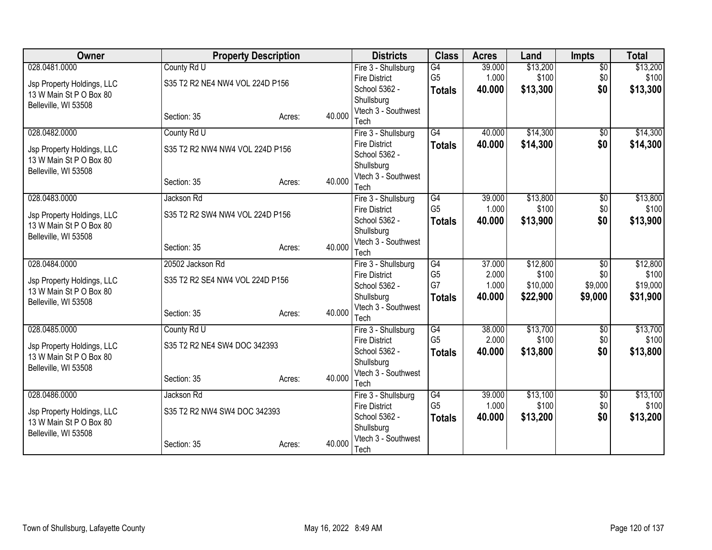| <b>Owner</b>               | <b>Property Description</b>     |        |        | <b>Districts</b>                            | <b>Class</b>         | <b>Acres</b>    | Land              | <b>Impts</b>           | <b>Total</b>      |
|----------------------------|---------------------------------|--------|--------|---------------------------------------------|----------------------|-----------------|-------------------|------------------------|-------------------|
| 028.0481.0000              | County Rd U                     |        |        | Fire 3 - Shullsburg                         | G4                   | 39.000          | \$13,200          | $\overline{50}$        | \$13,200          |
| Jsp Property Holdings, LLC | S35 T2 R2 NE4 NW4 VOL 224D P156 |        |        | <b>Fire District</b>                        | G <sub>5</sub>       | 1.000           | \$100             | \$0                    | \$100             |
| 13 W Main St P O Box 80    |                                 |        |        | School 5362 -                               | <b>Totals</b>        | 40.000          | \$13,300          | \$0                    | \$13,300          |
| Belleville, WI 53508       |                                 |        |        | Shullsburg                                  |                      |                 |                   |                        |                   |
|                            | Section: 35                     | Acres: | 40.000 | Vtech 3 - Southwest<br>Tech                 |                      |                 |                   |                        |                   |
| 028.0482.0000              | County Rd U                     |        |        | Fire 3 - Shullsburg                         | $\overline{G4}$      | 40.000          | \$14,300          | $\overline{50}$        | \$14,300          |
|                            |                                 |        |        | <b>Fire District</b>                        | <b>Totals</b>        | 40.000          | \$14,300          | \$0                    | \$14,300          |
| Jsp Property Holdings, LLC | S35 T2 R2 NW4 NW4 VOL 224D P156 |        |        | School 5362 -                               |                      |                 |                   |                        |                   |
| 13 W Main St P O Box 80    |                                 |        |        | Shullsburg                                  |                      |                 |                   |                        |                   |
| Belleville, WI 53508       |                                 |        |        | Vtech 3 - Southwest                         |                      |                 |                   |                        |                   |
|                            | Section: 35                     | Acres: | 40.000 | Tech                                        |                      |                 |                   |                        |                   |
| 028.0483.0000              | Jackson Rd                      |        |        | Fire 3 - Shullsburg                         | G4                   | 39.000          | \$13,800          | $\overline{50}$        | \$13,800          |
| Jsp Property Holdings, LLC | S35 T2 R2 SW4 NW4 VOL 224D P156 |        |        | <b>Fire District</b>                        | G <sub>5</sub>       | 1.000           | \$100             | \$0                    | \$100             |
| 13 W Main St P O Box 80    |                                 |        |        | School 5362 -                               | <b>Totals</b>        | 40.000          | \$13,900          | \$0                    | \$13,900          |
| Belleville, WI 53508       |                                 |        |        | Shullsburg                                  |                      |                 |                   |                        |                   |
|                            | Section: 35                     | Acres: | 40.000 | Vtech 3 - Southwest                         |                      |                 |                   |                        |                   |
| 028.0484.0000              | 20502 Jackson Rd                |        |        | Tech<br>Fire 3 - Shullsburg                 | G4                   | 37.000          | \$12,800          | $\overline{50}$        | \$12,800          |
|                            |                                 |        |        | <b>Fire District</b>                        | G <sub>5</sub>       | 2.000           | \$100             | \$0                    | \$100             |
| Jsp Property Holdings, LLC | S35 T2 R2 SE4 NW4 VOL 224D P156 |        |        | School 5362 -                               | G7                   | 1.000           | \$10,000          | \$9,000                | \$19,000          |
| 13 W Main St P O Box 80    |                                 |        |        | Shullsburg                                  | <b>Totals</b>        | 40.000          | \$22,900          | \$9,000                | \$31,900          |
| Belleville, WI 53508       |                                 |        |        | Vtech 3 - Southwest                         |                      |                 |                   |                        |                   |
|                            | Section: 35                     | Acres: | 40.000 | Tech                                        |                      |                 |                   |                        |                   |
| 028.0485.0000              | County Rd U                     |        |        | Fire 3 - Shullsburg                         | $\overline{G4}$      | 38.000          | \$13,700          | $\sqrt{6}$             | \$13,700          |
| Jsp Property Holdings, LLC | S35 T2 R2 NE4 SW4 DOC 342393    |        |        | <b>Fire District</b>                        | G <sub>5</sub>       | 2.000           | \$100             | \$0                    | \$100             |
| 13 W Main St P O Box 80    |                                 |        |        | School 5362 -                               | <b>Totals</b>        | 40.000          | \$13,800          | \$0                    | \$13,800          |
| Belleville, WI 53508       |                                 |        |        | Shullsburg                                  |                      |                 |                   |                        |                   |
|                            | Section: 35                     | Acres: | 40.000 | Vtech 3 - Southwest                         |                      |                 |                   |                        |                   |
|                            |                                 |        |        | Tech                                        |                      |                 |                   |                        |                   |
| 028.0486.0000              | Jackson Rd                      |        |        | Fire 3 - Shullsburg<br><b>Fire District</b> | G4<br>G <sub>5</sub> | 39.000<br>1.000 | \$13,100<br>\$100 | $\overline{60}$<br>\$0 | \$13,100<br>\$100 |
| Jsp Property Holdings, LLC | S35 T2 R2 NW4 SW4 DOC 342393    |        |        | School 5362 -                               |                      | 40.000          | \$13,200          | \$0                    | \$13,200          |
| 13 W Main St P O Box 80    |                                 |        |        | Shullsburg                                  | <b>Totals</b>        |                 |                   |                        |                   |
| Belleville, WI 53508       |                                 |        |        | Vtech 3 - Southwest                         |                      |                 |                   |                        |                   |
|                            | Section: 35                     | Acres: | 40.000 | Tech                                        |                      |                 |                   |                        |                   |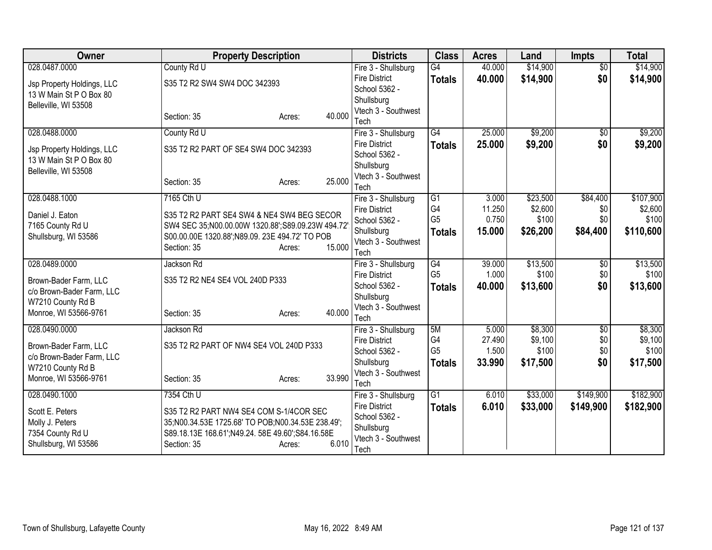| <b>Owner</b>               | <b>Property Description</b>                       | <b>Districts</b>                            | <b>Class</b>    | <b>Acres</b> | Land     | <b>Impts</b>           | <b>Total</b> |
|----------------------------|---------------------------------------------------|---------------------------------------------|-----------------|--------------|----------|------------------------|--------------|
| 028.0487.0000              | County Rd U                                       | Fire 3 - Shullsburg                         | $\overline{G4}$ | 40.000       | \$14,900 | $\overline{50}$        | \$14,900     |
| Jsp Property Holdings, LLC | S35 T2 R2 SW4 SW4 DOC 342393                      | <b>Fire District</b>                        | <b>Totals</b>   | 40.000       | \$14,900 | \$0                    | \$14,900     |
| 13 W Main St P O Box 80    |                                                   | School 5362 -                               |                 |              |          |                        |              |
| Belleville, WI 53508       |                                                   | Shullsburg                                  |                 |              |          |                        |              |
|                            | 40.000<br>Section: 35<br>Acres:                   | Vtech 3 - Southwest<br>Tech                 |                 |              |          |                        |              |
| 028.0488.0000              | County Rd U                                       | Fire 3 - Shullsburg                         | $\overline{G4}$ | 25.000       | \$9,200  | $\overline{50}$        | \$9,200      |
|                            |                                                   | <b>Fire District</b>                        | <b>Totals</b>   | 25.000       | \$9,200  | \$0                    | \$9,200      |
| Jsp Property Holdings, LLC | S35 T2 R2 PART OF SE4 SW4 DOC 342393              | School 5362 -                               |                 |              |          |                        |              |
| 13 W Main St P O Box 80    |                                                   | Shullsburg                                  |                 |              |          |                        |              |
| Belleville, WI 53508       |                                                   | Vtech 3 - Southwest                         |                 |              |          |                        |              |
|                            | 25.000<br>Section: 35<br>Acres:                   | Tech                                        |                 |              |          |                        |              |
| 028.0488.1000              | 7165 Cth U                                        | Fire 3 - Shullsburg                         | $\overline{G1}$ | 3.000        | \$23,500 | \$84,400               | \$107,900    |
| Daniel J. Eaton            | S35 T2 R2 PART SE4 SW4 & NE4 SW4 BEG SECOR        | <b>Fire District</b>                        | G4              | 11.250       | \$2,600  | \$0                    | \$2,600      |
| 7165 County Rd U           | SW4 SEC 35;N00.00.00W 1320.88;S89.09.23W 494.72   | School 5362 -                               | G <sub>5</sub>  | 0.750        | \$100    | \$0                    | \$100        |
| Shullsburg, WI 53586       | S00.00.00E 1320.88';N89.09. 23E 494.72' TO POB    | Shullsburg                                  | <b>Totals</b>   | 15,000       | \$26,200 | \$84,400               | \$110,600    |
|                            | 15.000<br>Section: 35<br>Acres:                   | Vtech 3 - Southwest                         |                 |              |          |                        |              |
| 028.0489.0000              | Jackson Rd                                        | Tech                                        | G4              | 39.000       | \$13,500 |                        | \$13,500     |
|                            |                                                   | Fire 3 - Shullsburg<br><b>Fire District</b> | G <sub>5</sub>  | 1.000        | \$100    | $\overline{50}$<br>\$0 | \$100        |
| Brown-Bader Farm, LLC      | S35 T2 R2 NE4 SE4 VOL 240D P333                   | School 5362 -                               | <b>Totals</b>   | 40.000       | \$13,600 | \$0                    | \$13,600     |
| c/o Brown-Bader Farm, LLC  |                                                   | Shullsburg                                  |                 |              |          |                        |              |
| W7210 County Rd B          |                                                   | Vtech 3 - Southwest                         |                 |              |          |                        |              |
| Monroe, WI 53566-9761      | 40.000<br>Section: 35<br>Acres:                   | Tech                                        |                 |              |          |                        |              |
| 028.0490.0000              | Jackson Rd                                        | Fire 3 - Shullsburg                         | 5M              | 5.000        | \$8,300  | $\overline{50}$        | \$8,300      |
| Brown-Bader Farm, LLC      | S35 T2 R2 PART OF NW4 SE4 VOL 240D P333           | <b>Fire District</b>                        | G4              | 27.490       | \$9,100  | \$0                    | \$9,100      |
| c/o Brown-Bader Farm, LLC  |                                                   | School 5362 -                               | G <sub>5</sub>  | 1.500        | \$100    | \$0                    | \$100        |
| W7210 County Rd B          |                                                   | Shullsburg                                  | <b>Totals</b>   | 33.990       | \$17,500 | \$0                    | \$17,500     |
| Monroe, WI 53566-9761      | 33.990<br>Section: 35<br>Acres:                   | Vtech 3 - Southwest                         |                 |              |          |                        |              |
|                            |                                                   | Tech                                        | $\overline{G1}$ |              |          |                        |              |
| 028.0490.1000              | 7354 Cth U                                        | Fire 3 - Shullsburg<br><b>Fire District</b> |                 | 6.010        | \$33,000 | \$149,900              | \$182,900    |
| Scott E. Peters            | S35 T2 R2 PART NW4 SE4 COM S-1/4COR SEC           | School 5362 -                               | <b>Totals</b>   | 6.010        | \$33,000 | \$149,900              | \$182,900    |
| Molly J. Peters            | 35;N00.34.53E 1725.68' TO POB;N00.34.53E 238.49'; | Shullsburg                                  |                 |              |          |                        |              |
| 7354 County Rd U           | S89.18.13E 168.61';N49.24. 58E 49.60';S84.16.58E  | Vtech 3 - Southwest                         |                 |              |          |                        |              |
| Shullsburg, WI 53586       | 6.010<br>Section: 35<br>Acres:                    | Tech                                        |                 |              |          |                        |              |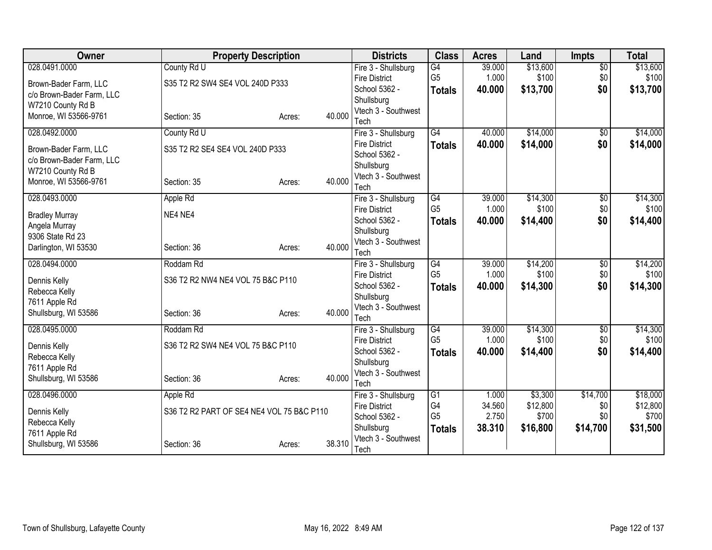| Owner                                          | <b>Property Description</b>               |        |        | <b>Districts</b>                      | <b>Class</b>         | <b>Acres</b>    | Land              | <b>Impts</b>           | <b>Total</b>      |
|------------------------------------------------|-------------------------------------------|--------|--------|---------------------------------------|----------------------|-----------------|-------------------|------------------------|-------------------|
| 028.0491.0000                                  | County Rd U                               |        |        | Fire 3 - Shullsburg                   | $\overline{G4}$      | 39.000          | \$13,600          | $\overline{50}$        | \$13,600          |
| Brown-Bader Farm, LLC                          | S35 T2 R2 SW4 SE4 VOL 240D P333           |        |        | <b>Fire District</b>                  | G <sub>5</sub>       | 1.000           | \$100             | \$0                    | \$100             |
| c/o Brown-Bader Farm, LLC                      |                                           |        |        | School 5362 -                         | <b>Totals</b>        | 40.000          | \$13,700          | \$0                    | \$13,700          |
| W7210 County Rd B                              |                                           |        |        | Shullsburg<br>Vtech 3 - Southwest     |                      |                 |                   |                        |                   |
| Monroe, WI 53566-9761                          | Section: 35                               | Acres: | 40.000 | Tech                                  |                      |                 |                   |                        |                   |
| 028.0492.0000                                  | County Rd U                               |        |        | Fire 3 - Shullsburg                   | $\overline{G4}$      | 40.000          | \$14,000          | $\overline{50}$        | \$14,000          |
|                                                |                                           |        |        | <b>Fire District</b>                  | <b>Totals</b>        | 40.000          | \$14,000          | \$0                    | \$14,000          |
| Brown-Bader Farm, LLC                          | S35 T2 R2 SE4 SE4 VOL 240D P333           |        |        | School 5362 -                         |                      |                 |                   |                        |                   |
| c/o Brown-Bader Farm, LLC<br>W7210 County Rd B |                                           |        |        | Shullsburg                            |                      |                 |                   |                        |                   |
| Monroe, WI 53566-9761                          | Section: 35                               | Acres: | 40.000 | Vtech 3 - Southwest                   |                      |                 |                   |                        |                   |
|                                                |                                           |        |        | Tech                                  |                      |                 |                   |                        |                   |
| 028.0493.0000                                  | Apple Rd                                  |        |        | Fire 3 - Shullsburg                   | G4                   | 39.000          | \$14,300          | $\overline{50}$        | \$14,300          |
| <b>Bradley Murray</b>                          | NE4 NE4                                   |        |        | <b>Fire District</b>                  | G <sub>5</sub>       | 1.000           | \$100             | \$0                    | \$100             |
| Angela Murray                                  |                                           |        |        | School 5362 -<br>Shullsburg           | <b>Totals</b>        | 40.000          | \$14,400          | \$0                    | \$14,400          |
| 9306 State Rd 23                               |                                           |        |        | Vtech 3 - Southwest                   |                      |                 |                   |                        |                   |
| Darlington, WI 53530                           | Section: 36                               | Acres: | 40.000 | Tech                                  |                      |                 |                   |                        |                   |
| 028.0494.0000                                  | Roddam Rd                                 |        |        | Fire 3 - Shullsburg                   | G4                   | 39.000          | \$14,200          | $\overline{50}$        | \$14,200          |
| Dennis Kelly                                   | S36 T2 R2 NW4 NE4 VOL 75 B&C P110         |        |        | <b>Fire District</b>                  | G <sub>5</sub>       | 1.000           | \$100             | \$0                    | \$100             |
| Rebecca Kelly                                  |                                           |        |        | School 5362 -                         | <b>Totals</b>        | 40.000          | \$14,300          | \$0                    | \$14,300          |
| 7611 Apple Rd                                  |                                           |        |        | Shullsburg                            |                      |                 |                   |                        |                   |
| Shullsburg, WI 53586                           | Section: 36                               | Acres: | 40.000 | Vtech 3 - Southwest                   |                      |                 |                   |                        |                   |
|                                                |                                           |        |        | Tech                                  |                      |                 |                   |                        |                   |
| 028.0495.0000                                  | Roddam Rd                                 |        |        | Fire 3 - Shullsburg                   | G4<br>G <sub>5</sub> | 39.000<br>1.000 | \$14,300<br>\$100 | $\overline{50}$<br>\$0 | \$14,300<br>\$100 |
| Dennis Kelly                                   | S36 T2 R2 SW4 NE4 VOL 75 B&C P110         |        |        | <b>Fire District</b><br>School 5362 - |                      | 40,000          | \$14,400          | \$0                    | \$14,400          |
| Rebecca Kelly                                  |                                           |        |        | Shullsburg                            | <b>Totals</b>        |                 |                   |                        |                   |
| 7611 Apple Rd                                  |                                           |        |        | Vtech 3 - Southwest                   |                      |                 |                   |                        |                   |
| Shullsburg, WI 53586                           | Section: 36                               | Acres: | 40.000 | Tech                                  |                      |                 |                   |                        |                   |
| 028.0496.0000                                  | Apple Rd                                  |        |        | Fire 3 - Shullsburg                   | G1                   | 1.000           | \$3,300           | \$14,700               | \$18,000          |
| Dennis Kelly                                   | S36 T2 R2 PART OF SE4 NE4 VOL 75 B&C P110 |        |        | <b>Fire District</b>                  | G4                   | 34.560          | \$12,800          | \$0                    | \$12,800          |
| Rebecca Kelly                                  |                                           |        |        | School 5362 -                         | G <sub>5</sub>       | 2.750           | \$700             | \$0                    | \$700             |
| 7611 Apple Rd                                  |                                           |        |        | Shullsburg                            | <b>Totals</b>        | 38.310          | \$16,800          | \$14,700               | \$31,500          |
| Shullsburg, WI 53586                           | Section: 36                               | Acres: | 38.310 | Vtech 3 - Southwest                   |                      |                 |                   |                        |                   |
|                                                |                                           |        |        | Tech                                  |                      |                 |                   |                        |                   |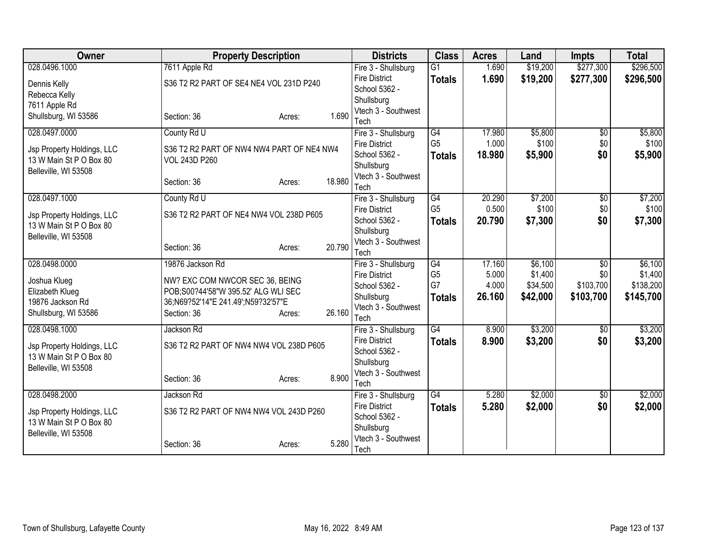| Owner                                                 | <b>Property Description</b>               |                  | <b>Districts</b>                            | <b>Class</b>         | <b>Acres</b> | Land     | <b>Impts</b>    | <b>Total</b> |
|-------------------------------------------------------|-------------------------------------------|------------------|---------------------------------------------|----------------------|--------------|----------|-----------------|--------------|
| 028.0496.1000                                         | 7611 Apple Rd                             |                  | Fire 3 - Shullsburg                         | $\overline{G1}$      | 1.690        | \$19,200 | \$277,300       | \$296,500    |
| Dennis Kelly                                          | S36 T2 R2 PART OF SE4 NE4 VOL 231D P240   |                  | <b>Fire District</b>                        | <b>Totals</b>        | 1.690        | \$19,200 | \$277,300       | \$296,500    |
| Rebecca Kelly                                         |                                           |                  | School 5362 -                               |                      |              |          |                 |              |
| 7611 Apple Rd                                         |                                           |                  | Shullsburg                                  |                      |              |          |                 |              |
| Shullsburg, WI 53586                                  | Section: 36                               | 1.690<br>Acres:  | Vtech 3 - Southwest                         |                      |              |          |                 |              |
| 028.0497.0000                                         | County Rd U                               |                  | Tech                                        | G4                   | 17.980       | \$5,800  | $\overline{50}$ | \$5,800      |
|                                                       |                                           |                  | Fire 3 - Shullsburg<br><b>Fire District</b> | G <sub>5</sub>       | 1.000        | \$100    | \$0             | \$100        |
| Jsp Property Holdings, LLC                            | S36 T2 R2 PART OF NW4 NW4 PART OF NE4 NW4 |                  | School 5362 -                               | <b>Totals</b>        | 18.980       | \$5,900  | \$0             | \$5,900      |
| 13 W Main St P O Box 80                               | <b>VOL 243D P260</b>                      |                  | Shullsburg                                  |                      |              |          |                 |              |
| Belleville, WI 53508                                  |                                           |                  | Vtech 3 - Southwest                         |                      |              |          |                 |              |
|                                                       | Section: 36                               | 18.980<br>Acres: | Tech                                        |                      |              |          |                 |              |
| 028.0497.1000                                         | County Rd U                               |                  | Fire 3 - Shullsburg                         | $\overline{G4}$      | 20.290       | \$7,200  | $\overline{50}$ | \$7,200      |
|                                                       | S36 T2 R2 PART OF NE4 NW4 VOL 238D P605   |                  | <b>Fire District</b>                        | G <sub>5</sub>       | 0.500        | \$100    | \$0             | \$100        |
| Jsp Property Holdings, LLC<br>13 W Main St P O Box 80 |                                           |                  | School 5362 -                               | <b>Totals</b>        | 20.790       | \$7,300  | \$0             | \$7,300      |
| Belleville, WI 53508                                  |                                           |                  | Shullsburg                                  |                      |              |          |                 |              |
|                                                       | Section: 36                               | 20.790<br>Acres: | Vtech 3 - Southwest                         |                      |              |          |                 |              |
|                                                       |                                           |                  | Tech                                        |                      |              |          |                 |              |
| 028.0498.0000                                         | 19876 Jackson Rd                          |                  | Fire 3 - Shullsburg                         | $\overline{G4}$      | 17.160       | \$6,100  | $\overline{50}$ | \$6,100      |
| Joshua Klueg                                          | NW? EXC COM NWCOR SEC 36, BEING           |                  | <b>Fire District</b>                        | G <sub>5</sub><br>G7 | 5.000        | \$1,400  | \$0             | \$1,400      |
| Elizabeth Klueg                                       | POB;S00?44'58"W 395.52' ALG WLI SEC       |                  | School 5362 -                               |                      | 4.000        | \$34,500 | \$103,700       | \$138,200    |
| 19876 Jackson Rd                                      | 36;N69?52'14"E 241.49';N59?32'57"E        |                  | Shullsburg<br>Vtech 3 - Southwest           | <b>Totals</b>        | 26.160       | \$42,000 | \$103,700       | \$145,700    |
| Shullsburg, WI 53586                                  | Section: 36                               | 26.160<br>Acres: | Tech                                        |                      |              |          |                 |              |
| 028.0498.1000                                         | Jackson Rd                                |                  | Fire 3 - Shullsburg                         | $\overline{G4}$      | 8.900        | \$3,200  | $\sqrt{6}$      | \$3,200      |
|                                                       |                                           |                  | <b>Fire District</b>                        | <b>Totals</b>        | 8.900        | \$3,200  | \$0             | \$3,200      |
| Jsp Property Holdings, LLC                            | S36 T2 R2 PART OF NW4 NW4 VOL 238D P605   |                  | School 5362 -                               |                      |              |          |                 |              |
| 13 W Main St P O Box 80                               |                                           |                  | Shullsburg                                  |                      |              |          |                 |              |
| Belleville, WI 53508                                  |                                           | 8.900            | Vtech 3 - Southwest                         |                      |              |          |                 |              |
|                                                       | Section: 36                               | Acres:           | Tech                                        |                      |              |          |                 |              |
| 028.0498.2000                                         | Jackson Rd                                |                  | Fire 3 - Shullsburg                         | G4                   | 5.280        | \$2,000  | \$0             | \$2,000      |
| Jsp Property Holdings, LLC                            | S36 T2 R2 PART OF NW4 NW4 VOL 243D P260   |                  | <b>Fire District</b>                        | <b>Totals</b>        | 5.280        | \$2,000  | \$0             | \$2,000      |
| 13 W Main St P O Box 80                               |                                           |                  | School 5362 -                               |                      |              |          |                 |              |
| Belleville, WI 53508                                  |                                           |                  | Shullsburg                                  |                      |              |          |                 |              |
|                                                       | Section: 36                               | 5.280<br>Acres:  | Vtech 3 - Southwest                         |                      |              |          |                 |              |
|                                                       |                                           |                  | Tech                                        |                      |              |          |                 |              |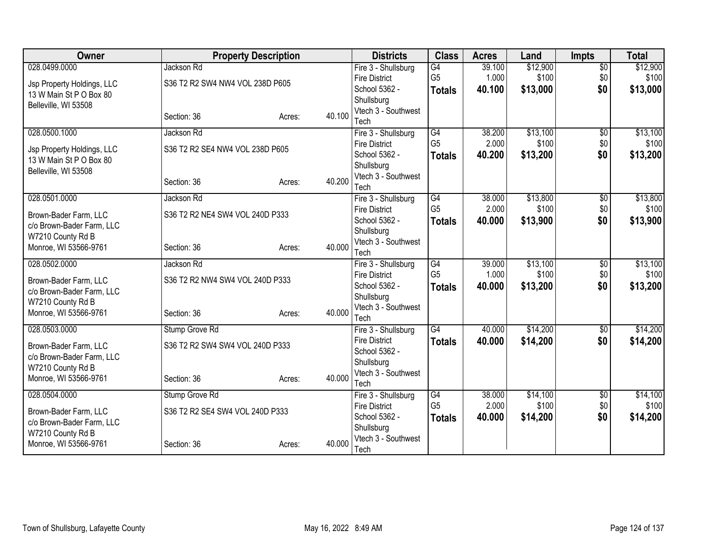| Owner                      | <b>Property Description</b>     |        |                | <b>Districts</b>                            | <b>Class</b>    | <b>Acres</b> | Land     | <b>Impts</b>    | <b>Total</b> |
|----------------------------|---------------------------------|--------|----------------|---------------------------------------------|-----------------|--------------|----------|-----------------|--------------|
| 028.0499.0000              | Jackson Rd                      |        |                | Fire 3 - Shullsburg                         | G4              | 39.100       | \$12,900 | $\overline{50}$ | \$12,900     |
| Jsp Property Holdings, LLC | S36 T2 R2 SW4 NW4 VOL 238D P605 |        |                | <b>Fire District</b>                        | G <sub>5</sub>  | 1.000        | \$100    | \$0             | \$100        |
| 13 W Main St P O Box 80    |                                 |        |                | School 5362 -                               | <b>Totals</b>   | 40.100       | \$13,000 | \$0             | \$13,000     |
| Belleville, WI 53508       |                                 |        |                | Shullsburg                                  |                 |              |          |                 |              |
|                            | Section: 36                     | Acres: | 40.100<br>Tech | Vtech 3 - Southwest                         |                 |              |          |                 |              |
| 028.0500.1000              | Jackson Rd                      |        |                | Fire 3 - Shullsburg                         | G4              | 38.200       | \$13,100 | $\overline{50}$ | \$13,100     |
|                            |                                 |        |                | <b>Fire District</b>                        | G <sub>5</sub>  | 2.000        | \$100    | \$0             | \$100        |
| Jsp Property Holdings, LLC | S36 T2 R2 SE4 NW4 VOL 238D P605 |        |                | School 5362 -                               | <b>Totals</b>   | 40.200       | \$13,200 | \$0             | \$13,200     |
| 13 W Main St P O Box 80    |                                 |        |                | Shullsburg                                  |                 |              |          |                 |              |
| Belleville, WI 53508       |                                 |        |                | Vtech 3 - Southwest                         |                 |              |          |                 |              |
|                            | Section: 36                     | Acres: | 40.200<br>Tech |                                             |                 |              |          |                 |              |
| 028.0501.0000              | Jackson Rd                      |        |                | Fire 3 - Shullsburg                         | $\overline{G4}$ | 38.000       | \$13,800 | $\overline{50}$ | \$13,800     |
| Brown-Bader Farm, LLC      | S36 T2 R2 NE4 SW4 VOL 240D P333 |        |                | <b>Fire District</b>                        | G <sub>5</sub>  | 2.000        | \$100    | \$0             | \$100        |
| c/o Brown-Bader Farm, LLC  |                                 |        |                | School 5362 -                               | <b>Totals</b>   | 40.000       | \$13,900 | \$0             | \$13,900     |
| W7210 County Rd B          |                                 |        |                | Shullsburg                                  |                 |              |          |                 |              |
| Monroe, WI 53566-9761      | Section: 36                     | Acres: | 40.000<br>Tech | Vtech 3 - Southwest                         |                 |              |          |                 |              |
| 028.0502.0000              | Jackson Rd                      |        |                | Fire 3 - Shullsburg                         | G4              | 39.000       | \$13,100 | $\overline{50}$ | \$13,100     |
|                            |                                 |        |                | <b>Fire District</b>                        | G <sub>5</sub>  | 1.000        | \$100    | \$0             | \$100        |
| Brown-Bader Farm, LLC      | S36 T2 R2 NW4 SW4 VOL 240D P333 |        |                | School 5362 -                               | <b>Totals</b>   | 40.000       | \$13,200 | \$0             | \$13,200     |
| c/o Brown-Bader Farm, LLC  |                                 |        |                | Shullsburg                                  |                 |              |          |                 |              |
| W7210 County Rd B          |                                 |        |                | Vtech 3 - Southwest                         |                 |              |          |                 |              |
| Monroe, WI 53566-9761      | Section: 36                     | Acres: | 40.000<br>Tech |                                             |                 |              |          |                 |              |
| 028.0503.0000              | Stump Grove Rd                  |        |                | Fire 3 - Shullsburg                         | $\overline{G4}$ | 40.000       | \$14,200 | $\sqrt{$0}$     | \$14,200     |
| Brown-Bader Farm, LLC      | S36 T2 R2 SW4 SW4 VOL 240D P333 |        |                | <b>Fire District</b>                        | <b>Totals</b>   | 40.000       | \$14,200 | \$0             | \$14,200     |
| c/o Brown-Bader Farm, LLC  |                                 |        |                | School 5362 -                               |                 |              |          |                 |              |
| W7210 County Rd B          |                                 |        |                | Shullsburg                                  |                 |              |          |                 |              |
| Monroe, WI 53566-9761      | Section: 36                     | Acres: | 40.000         | Vtech 3 - Southwest                         |                 |              |          |                 |              |
| 028.0504.0000              |                                 |        | Tech           |                                             | G <sub>4</sub>  | 38.000       | \$14,100 |                 | \$14,100     |
|                            | Stump Grove Rd                  |        |                | Fire 3 - Shullsburg<br><b>Fire District</b> | G <sub>5</sub>  | 2.000        | \$100    | \$0<br>\$0      | \$100        |
| Brown-Bader Farm, LLC      | S36 T2 R2 SE4 SW4 VOL 240D P333 |        |                | School 5362 -                               | <b>Totals</b>   | 40.000       | \$14,200 | \$0             | \$14,200     |
| c/o Brown-Bader Farm, LLC  |                                 |        |                | Shullsburg                                  |                 |              |          |                 |              |
| W7210 County Rd B          |                                 |        |                | Vtech 3 - Southwest                         |                 |              |          |                 |              |
| Monroe, WI 53566-9761      | Section: 36                     | Acres: | 40.000<br>Tech |                                             |                 |              |          |                 |              |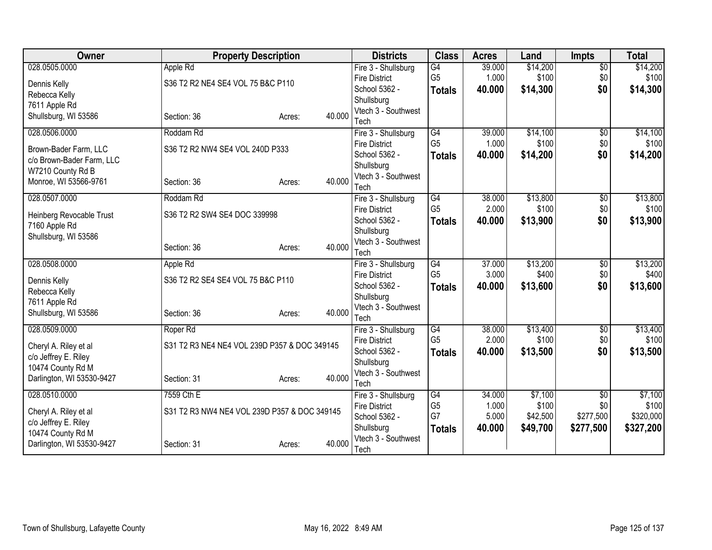| <b>Owner</b>                                   | <b>Property Description</b>                  |                  | <b>Districts</b>                  | <b>Class</b>    | <b>Acres</b> | Land     | <b>Impts</b>    | <b>Total</b> |
|------------------------------------------------|----------------------------------------------|------------------|-----------------------------------|-----------------|--------------|----------|-----------------|--------------|
| 028.0505.0000                                  | Apple Rd                                     |                  | Fire 3 - Shullsburg               | G4              | 39.000       | \$14,200 | $\overline{50}$ | \$14,200     |
| Dennis Kelly                                   | S36 T2 R2 NE4 SE4 VOL 75 B&C P110            |                  | <b>Fire District</b>              | G <sub>5</sub>  | 1.000        | \$100    | \$0             | \$100        |
| Rebecca Kelly                                  |                                              |                  | School 5362 -                     | <b>Totals</b>   | 40.000       | \$14,300 | \$0             | \$14,300     |
| 7611 Apple Rd                                  |                                              |                  | Shullsburg<br>Vtech 3 - Southwest |                 |              |          |                 |              |
| Shullsburg, WI 53586                           | Section: 36                                  | 40.000<br>Acres: | Tech                              |                 |              |          |                 |              |
| 028.0506.0000                                  | Roddam Rd                                    |                  | Fire 3 - Shullsburg               | $\overline{G4}$ | 39.000       | \$14,100 | $\overline{50}$ | \$14,100     |
|                                                |                                              |                  | <b>Fire District</b>              | G <sub>5</sub>  | 1.000        | \$100    | \$0             | \$100        |
| Brown-Bader Farm, LLC                          | S36 T2 R2 NW4 SE4 VOL 240D P333              |                  | School 5362 -                     | <b>Totals</b>   | 40.000       | \$14,200 | \$0             | \$14,200     |
| c/o Brown-Bader Farm, LLC<br>W7210 County Rd B |                                              |                  | Shullsburg                        |                 |              |          |                 |              |
| Monroe, WI 53566-9761                          | Section: 36                                  | 40.000<br>Acres: | Vtech 3 - Southwest               |                 |              |          |                 |              |
|                                                |                                              |                  | Tech                              |                 |              |          |                 |              |
| 028.0507.0000                                  | Roddam Rd                                    |                  | Fire 3 - Shullsburg               | $\overline{G4}$ | 38.000       | \$13,800 | $\overline{50}$ | \$13,800     |
| Heinberg Revocable Trust                       | S36 T2 R2 SW4 SE4 DOC 339998                 |                  | <b>Fire District</b>              | G <sub>5</sub>  | 2.000        | \$100    | \$0             | \$100        |
| 7160 Apple Rd                                  |                                              |                  | School 5362 -                     | <b>Totals</b>   | 40.000       | \$13,900 | \$0             | \$13,900     |
| Shullsburg, WI 53586                           |                                              |                  | Shullsburg<br>Vtech 3 - Southwest |                 |              |          |                 |              |
|                                                | Section: 36                                  | 40.000<br>Acres: | Tech                              |                 |              |          |                 |              |
| 028.0508.0000                                  | Apple Rd                                     |                  | Fire 3 - Shullsburg               | $\overline{G4}$ | 37.000       | \$13,200 | $\overline{50}$ | \$13,200     |
|                                                |                                              |                  | <b>Fire District</b>              | G <sub>5</sub>  | 3.000        | \$400    | \$0             | \$400        |
| Dennis Kelly                                   | S36 T2 R2 SE4 SE4 VOL 75 B&C P110            |                  | School 5362 -                     | <b>Totals</b>   | 40.000       | \$13,600 | \$0             | \$13,600     |
| Rebecca Kelly<br>7611 Apple Rd                 |                                              |                  | Shullsburg                        |                 |              |          |                 |              |
| Shullsburg, WI 53586                           | Section: 36                                  | 40.000<br>Acres: | Vtech 3 - Southwest               |                 |              |          |                 |              |
|                                                |                                              |                  | Tech                              |                 |              |          |                 |              |
| 028.0509.0000                                  | Roper Rd                                     |                  | Fire 3 - Shullsburg               | G4              | 38.000       | \$13,400 | $\overline{60}$ | \$13,400     |
| Cheryl A. Riley et al                          | S31 T2 R3 NE4 NE4 VOL 239D P357 & DOC 349145 |                  | <b>Fire District</b>              | G <sub>5</sub>  | 2.000        | \$100    | \$0             | \$100        |
| c/o Jeffrey E. Riley                           |                                              |                  | School 5362 -<br>Shullsburg       | <b>Totals</b>   | 40.000       | \$13,500 | \$0             | \$13,500     |
| 10474 County Rd M                              |                                              |                  | Vtech 3 - Southwest               |                 |              |          |                 |              |
| Darlington, WI 53530-9427                      | Section: 31                                  | 40.000<br>Acres: | Tech                              |                 |              |          |                 |              |
| 028.0510.0000                                  | 7559 Cth E                                   |                  | Fire 3 - Shullsburg               | G4              | 34.000       | \$7,100  | $\overline{50}$ | \$7,100      |
|                                                | S31 T2 R3 NW4 NE4 VOL 239D P357 & DOC 349145 |                  | <b>Fire District</b>              | G <sub>5</sub>  | 1.000        | \$100    | \$0             | \$100        |
| Cheryl A. Riley et al<br>c/o Jeffrey E. Riley  |                                              |                  | School 5362 -                     | G7              | 5.000        | \$42,500 | \$277,500       | \$320,000    |
| 10474 County Rd M                              |                                              |                  | Shullsburg                        | <b>Totals</b>   | 40.000       | \$49,700 | \$277,500       | \$327,200    |
| Darlington, WI 53530-9427                      | Section: 31                                  | 40.000<br>Acres: | Vtech 3 - Southwest               |                 |              |          |                 |              |
|                                                |                                              |                  | Tech                              |                 |              |          |                 |              |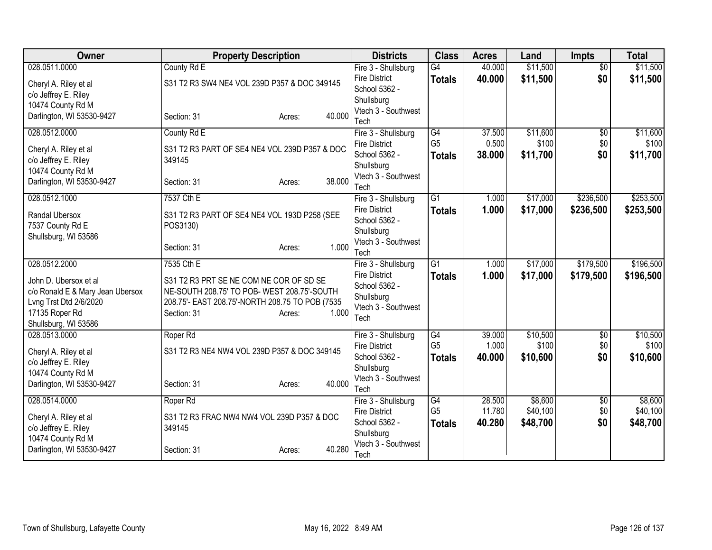| Owner                            | <b>Property Description</b>                     | <b>Districts</b>                            | <b>Class</b>         | <b>Acres</b>    | Land              | <b>Impts</b>           | <b>Total</b>      |
|----------------------------------|-------------------------------------------------|---------------------------------------------|----------------------|-----------------|-------------------|------------------------|-------------------|
| 028.0511.0000                    | County Rd E                                     | Fire 3 - Shullsburg                         | G4                   | 40.000          | \$11,500          | $\overline{50}$        | \$11,500          |
| Cheryl A. Riley et al            | S31 T2 R3 SW4 NE4 VOL 239D P357 & DOC 349145    | <b>Fire District</b>                        | <b>Totals</b>        | 40.000          | \$11,500          | \$0                    | \$11,500          |
| c/o Jeffrey E. Riley             |                                                 | School 5362 -                               |                      |                 |                   |                        |                   |
| 10474 County Rd M                |                                                 | Shullsburg<br>Vtech 3 - Southwest           |                      |                 |                   |                        |                   |
| Darlington, WI 53530-9427        | 40.000<br>Section: 31<br>Acres:                 | Tech                                        |                      |                 |                   |                        |                   |
| 028.0512.0000                    | County Rd E                                     | Fire 3 - Shullsburg                         | $\overline{G4}$      | 37.500          | \$11,600          | $\sqrt{6}$             | \$11,600          |
| Cheryl A. Riley et al            | S31 T2 R3 PART OF SE4 NE4 VOL 239D P357 & DOC   | <b>Fire District</b>                        | G <sub>5</sub>       | 0.500           | \$100             | \$0                    | \$100             |
| c/o Jeffrey E. Riley             | 349145                                          | School 5362 -                               | <b>Totals</b>        | 38.000          | \$11,700          | \$0                    | \$11,700          |
| 10474 County Rd M                |                                                 | Shullsburg                                  |                      |                 |                   |                        |                   |
| Darlington, WI 53530-9427        | 38.000<br>Section: 31<br>Acres:                 | Vtech 3 - Southwest<br>Tech                 |                      |                 |                   |                        |                   |
| 028.0512.1000                    | 7537 Cth E                                      | Fire 3 - Shullsburg                         | $\overline{G1}$      | 1.000           | \$17,000          | \$236,500              | \$253,500         |
| Randal Ubersox                   | S31 T2 R3 PART OF SE4 NE4 VOL 193D P258 (SEE    | <b>Fire District</b>                        | <b>Totals</b>        | 1.000           | \$17,000          | \$236,500              | \$253,500         |
| 7537 County Rd E                 | POS3130)                                        | School 5362 -                               |                      |                 |                   |                        |                   |
| Shullsburg, WI 53586             |                                                 | Shullsburg<br>Vtech 3 - Southwest           |                      |                 |                   |                        |                   |
|                                  | 1.000<br>Section: 31<br>Acres:                  | Tech                                        |                      |                 |                   |                        |                   |
| 028.0512.2000                    | 7535 Cth E                                      | Fire 3 - Shullsburg                         | $\overline{G1}$      | 1.000           | \$17,000          | \$179,500              | \$196,500         |
| John D. Ubersox et al            | S31 T2 R3 PRT SE NE COM NE COR OF SD SE         | <b>Fire District</b>                        | <b>Totals</b>        | 1.000           | \$17,000          | \$179,500              | \$196,500         |
| c/o Ronald E & Mary Jean Ubersox | NE-SOUTH 208.75' TO POB- WEST 208.75'-SOUTH     | School 5362 -                               |                      |                 |                   |                        |                   |
| Lvng Trst Dtd 2/6/2020           | 208.75'- EAST 208.75'-NORTH 208.75 TO POB (7535 | Shullsburg<br>Vtech 3 - Southwest           |                      |                 |                   |                        |                   |
| 17135 Roper Rd                   | 1.000<br>Section: 31<br>Acres:                  | Tech                                        |                      |                 |                   |                        |                   |
| Shullsburg, WI 53586             |                                                 |                                             |                      |                 |                   |                        |                   |
| 028.0513.0000                    | Roper Rd                                        | Fire 3 - Shullsburg<br><b>Fire District</b> | G4<br>G <sub>5</sub> | 39.000<br>1.000 | \$10,500<br>\$100 | $\overline{50}$<br>\$0 | \$10,500<br>\$100 |
| Cheryl A. Riley et al            | S31 T2 R3 NE4 NW4 VOL 239D P357 & DOC 349145    | School 5362 -                               | <b>Totals</b>        | 40.000          | \$10,600          | \$0                    | \$10,600          |
| c/o Jeffrey E. Riley             |                                                 | Shullsburg                                  |                      |                 |                   |                        |                   |
| 10474 County Rd M                |                                                 | Vtech 3 - Southwest                         |                      |                 |                   |                        |                   |
| Darlington, WI 53530-9427        | 40.000<br>Section: 31<br>Acres:                 | Tech                                        |                      |                 |                   |                        |                   |
| 028.0514.0000                    | Roper Rd                                        | Fire 3 - Shullsburg                         | G4                   | 28.500          | \$8,600           | $\sqrt{6}$             | \$8,600           |
| Cheryl A. Riley et al            | S31 T2 R3 FRAC NW4 NW4 VOL 239D P357 & DOC      | <b>Fire District</b>                        | G <sub>5</sub>       | 11.780          | \$40,100          | \$0                    | \$40,100          |
| c/o Jeffrey E. Riley             | 349145                                          | School 5362 -                               | <b>Totals</b>        | 40.280          | \$48,700          | \$0                    | \$48,700          |
| 10474 County Rd M                |                                                 | Shullsburg<br>Vtech 3 - Southwest           |                      |                 |                   |                        |                   |
| Darlington, WI 53530-9427        | 40.280<br>Section: 31<br>Acres:                 | Tech                                        |                      |                 |                   |                        |                   |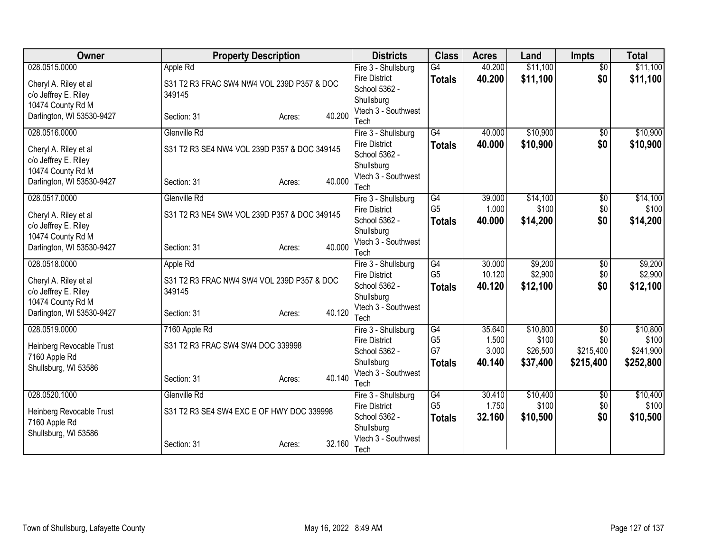| <b>Owner</b>              | <b>Property Description</b>                  |        |        | <b>Districts</b>                            | <b>Class</b>                      | <b>Acres</b>    | Land              | <b>Impts</b>           | <b>Total</b>      |
|---------------------------|----------------------------------------------|--------|--------|---------------------------------------------|-----------------------------------|-----------------|-------------------|------------------------|-------------------|
| 028.0515.0000             | Apple Rd                                     |        |        | Fire 3 - Shullsburg                         | $\overline{G4}$                   | 40.200          | \$11,100          | $\overline{50}$        | \$11,100          |
| Cheryl A. Riley et al     | S31 T2 R3 FRAC SW4 NW4 VOL 239D P357 & DOC   |        |        | <b>Fire District</b>                        | <b>Totals</b>                     | 40.200          | \$11,100          | \$0                    | \$11,100          |
| c/o Jeffrey E. Riley      | 349145                                       |        |        | School 5362 -                               |                                   |                 |                   |                        |                   |
| 10474 County Rd M         |                                              |        |        | Shullsburg<br>Vtech 3 - Southwest           |                                   |                 |                   |                        |                   |
| Darlington, WI 53530-9427 | Section: 31                                  | Acres: | 40.200 | Tech                                        |                                   |                 |                   |                        |                   |
| 028.0516.0000             | Glenville Rd                                 |        |        | Fire 3 - Shullsburg                         | $\overline{G4}$                   | 40.000          | \$10,900          | $\overline{50}$        | \$10,900          |
|                           |                                              |        |        | <b>Fire District</b>                        | <b>Totals</b>                     | 40.000          | \$10,900          | \$0                    | \$10,900          |
| Cheryl A. Riley et al     | S31 T2 R3 SE4 NW4 VOL 239D P357 & DOC 349145 |        |        | School 5362 -                               |                                   |                 |                   |                        |                   |
| c/o Jeffrey E. Riley      |                                              |        |        | Shullsburg                                  |                                   |                 |                   |                        |                   |
| 10474 County Rd M         |                                              |        |        | Vtech 3 - Southwest                         |                                   |                 |                   |                        |                   |
| Darlington, WI 53530-9427 | Section: 31                                  | Acres: | 40.000 | Tech                                        |                                   |                 |                   |                        |                   |
| 028.0517.0000             | Glenville Rd                                 |        |        | Fire 3 - Shullsburg                         | $\overline{G4}$                   | 39.000          | \$14,100          | $\overline{50}$        | \$14,100          |
| Cheryl A. Riley et al     | S31 T2 R3 NE4 SW4 VOL 239D P357 & DOC 349145 |        |        | <b>Fire District</b>                        | G <sub>5</sub>                    | 1.000           | \$100             | \$0                    | \$100             |
| c/o Jeffrey E. Riley      |                                              |        |        | School 5362 -                               | <b>Totals</b>                     | 40.000          | \$14,200          | \$0                    | \$14,200          |
| 10474 County Rd M         |                                              |        |        | Shullsburg                                  |                                   |                 |                   |                        |                   |
| Darlington, WI 53530-9427 | Section: 31                                  | Acres: | 40.000 | Vtech 3 - Southwest                         |                                   |                 |                   |                        |                   |
| 028.0518.0000             |                                              |        |        | Tech                                        | G4                                | 30.000          | \$9,200           |                        | \$9,200           |
|                           | Apple Rd                                     |        |        | Fire 3 - Shullsburg<br><b>Fire District</b> | G <sub>5</sub>                    | 10.120          | \$2,900           | $\overline{50}$<br>\$0 | \$2,900           |
| Cheryl A. Riley et al     | S31 T2 R3 FRAC NW4 SW4 VOL 239D P357 & DOC   |        |        | School 5362 -                               | <b>Totals</b>                     | 40.120          | \$12,100          | \$0                    | \$12,100          |
| c/o Jeffrey E. Riley      | 349145                                       |        |        | Shullsburg                                  |                                   |                 |                   |                        |                   |
| 10474 County Rd M         |                                              |        |        | Vtech 3 - Southwest                         |                                   |                 |                   |                        |                   |
| Darlington, WI 53530-9427 | Section: 31                                  | Acres: | 40.120 | Tech                                        |                                   |                 |                   |                        |                   |
| 028.0519.0000             | 7160 Apple Rd                                |        |        | Fire 3 - Shullsburg                         | G4                                | 35.640          | \$10,800          | $\overline{50}$        | \$10,800          |
| Heinberg Revocable Trust  | S31 T2 R3 FRAC SW4 SW4 DOC 339998            |        |        | <b>Fire District</b>                        | G <sub>5</sub>                    | 1.500           | \$100             | \$0                    | \$100             |
| 7160 Apple Rd             |                                              |        |        | School 5362 -                               | G7                                | 3.000           | \$26,500          | \$215,400              | \$241,900         |
| Shullsburg, WI 53586      |                                              |        |        | Shullsburg                                  | <b>Totals</b>                     | 40.140          | \$37,400          | \$215,400              | \$252,800         |
|                           | Section: 31                                  | Acres: | 40.140 | Vtech 3 - Southwest                         |                                   |                 |                   |                        |                   |
|                           |                                              |        |        | Tech                                        |                                   |                 |                   |                        |                   |
| 028.0520.1000             | Glenville Rd                                 |        |        | Fire 3 - Shullsburg<br><b>Fire District</b> | $\overline{G4}$<br>G <sub>5</sub> | 30.410<br>1.750 | \$10,400<br>\$100 | \$0<br>\$0             | \$10,400<br>\$100 |
| Heinberg Revocable Trust  | S31 T2 R3 SE4 SW4 EXC E OF HWY DOC 339998    |        |        | School 5362 -                               |                                   | 32.160          | \$10,500          | \$0                    | \$10,500          |
| 7160 Apple Rd             |                                              |        |        | Shullsburg                                  | <b>Totals</b>                     |                 |                   |                        |                   |
| Shullsburg, WI 53586      |                                              |        |        | Vtech 3 - Southwest                         |                                   |                 |                   |                        |                   |
|                           | Section: 31                                  | Acres: | 32.160 | Tech                                        |                                   |                 |                   |                        |                   |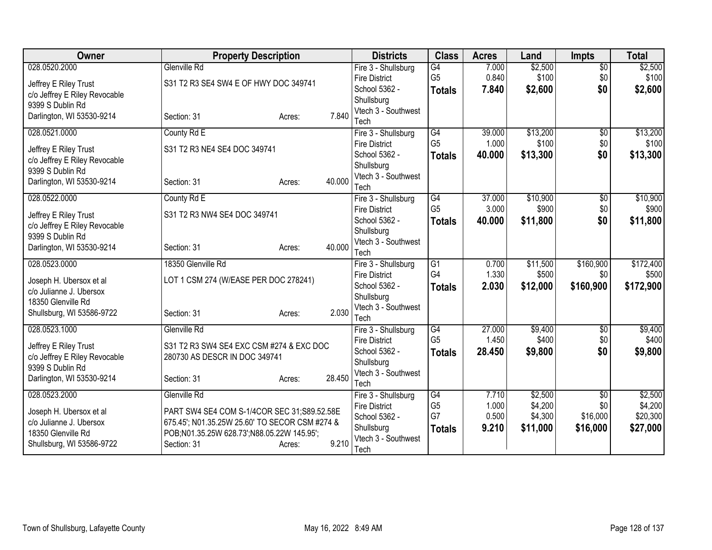| <b>Owner</b>                                      | <b>Property Description</b>                    |                  | <b>Districts</b>                            | <b>Class</b>         | <b>Acres</b>    | Land             | <b>Impts</b>      | <b>Total</b>     |
|---------------------------------------------------|------------------------------------------------|------------------|---------------------------------------------|----------------------|-----------------|------------------|-------------------|------------------|
| 028.0520.2000                                     | Glenville Rd                                   |                  | Fire 3 - Shullsburg                         | G4                   | 7.000           | \$2,500          | $\overline{50}$   | \$2,500          |
| Jeffrey E Riley Trust                             | S31 T2 R3 SE4 SW4 E OF HWY DOC 349741          |                  | <b>Fire District</b>                        | G <sub>5</sub>       | 0.840           | \$100            | \$0               | \$100            |
| c/o Jeffrey E Riley Revocable                     |                                                |                  | School 5362 -                               | <b>Totals</b>        | 7.840           | \$2,600          | \$0               | \$2,600          |
| 9399 S Dublin Rd                                  |                                                |                  | Shullsburg                                  |                      |                 |                  |                   |                  |
| Darlington, WI 53530-9214                         | Section: 31                                    | 7.840<br>Acres:  | Vtech 3 - Southwest                         |                      |                 |                  |                   |                  |
| 028.0521.0000                                     | County Rd E                                    |                  | Tech                                        | $\overline{G4}$      | 39.000          | \$13,200         | $\overline{50}$   | \$13,200         |
|                                                   |                                                |                  | Fire 3 - Shullsburg<br><b>Fire District</b> | G <sub>5</sub>       | 1.000           | \$100            | \$0               | \$100            |
| Jeffrey E Riley Trust                             | S31 T2 R3 NE4 SE4 DOC 349741                   |                  | School 5362 -                               | <b>Totals</b>        | 40.000          | \$13,300         | \$0               | \$13,300         |
| c/o Jeffrey E Riley Revocable                     |                                                |                  | Shullsburg                                  |                      |                 |                  |                   |                  |
| 9399 S Dublin Rd                                  |                                                |                  | Vtech 3 - Southwest                         |                      |                 |                  |                   |                  |
| Darlington, WI 53530-9214                         | Section: 31                                    | 40.000<br>Acres: | Tech                                        |                      |                 |                  |                   |                  |
| 028.0522.0000                                     | County Rd E                                    |                  | Fire 3 - Shullsburg                         | $\overline{G4}$      | 37.000          | \$10,900         | $\overline{50}$   | \$10,900         |
|                                                   |                                                |                  | <b>Fire District</b>                        | G <sub>5</sub>       | 3.000           | \$900            | \$0               | \$900            |
| Jeffrey E Riley Trust                             | S31 T2 R3 NW4 SE4 DOC 349741                   |                  | School 5362 -                               | <b>Totals</b>        | 40.000          | \$11,800         | \$0               | \$11,800         |
| c/o Jeffrey E Riley Revocable<br>9399 S Dublin Rd |                                                |                  | Shullsburg                                  |                      |                 |                  |                   |                  |
| Darlington, WI 53530-9214                         | Section: 31                                    | 40.000<br>Acres: | Vtech 3 - Southwest                         |                      |                 |                  |                   |                  |
|                                                   |                                                |                  | Tech                                        |                      |                 |                  |                   |                  |
| 028.0523.0000                                     | 18350 Glenville Rd                             |                  | Fire 3 - Shullsburg                         | $\overline{G1}$      | 0.700           | \$11,500         | \$160,900         | \$172,400        |
| Joseph H. Ubersox et al                           | LOT 1 CSM 274 (W/EASE PER DOC 278241)          |                  | <b>Fire District</b>                        | G4                   | 1.330           | \$500            | \$0               | \$500            |
| c/o Julianne J. Ubersox                           |                                                |                  | School 5362 -                               | <b>Totals</b>        | 2.030           | \$12,000         | \$160,900         | \$172,900        |
| 18350 Glenville Rd                                |                                                |                  | Shullsburg                                  |                      |                 |                  |                   |                  |
| Shullsburg, WI 53586-9722                         | Section: 31                                    | 2.030<br>Acres:  | Vtech 3 - Southwest                         |                      |                 |                  |                   |                  |
|                                                   |                                                |                  | Tech                                        |                      |                 |                  |                   |                  |
| 028.0523.1000                                     | Glenville Rd                                   |                  | Fire 3 - Shullsburg                         | G4<br>G <sub>5</sub> | 27.000<br>1.450 | \$9,400<br>\$400 | $\sqrt{6}$<br>\$0 | \$9,400<br>\$400 |
| Jeffrey E Riley Trust                             | S31 T2 R3 SW4 SE4 EXC CSM #274 & EXC DOC       |                  | <b>Fire District</b><br>School 5362 -       |                      | 28.450          | \$9,800          | \$0               | \$9,800          |
| c/o Jeffrey E Riley Revocable                     | 280730 AS DESCR IN DOC 349741                  |                  | Shullsburg                                  | <b>Totals</b>        |                 |                  |                   |                  |
| 9399 S Dublin Rd                                  |                                                |                  | Vtech 3 - Southwest                         |                      |                 |                  |                   |                  |
| Darlington, WI 53530-9214                         | Section: 31                                    | 28.450<br>Acres: | Tech                                        |                      |                 |                  |                   |                  |
| 028.0523.2000                                     | Glenville Rd                                   |                  | Fire 3 - Shullsburg                         | $\overline{G4}$      | 7.710           | \$2,500          | $\overline{50}$   | \$2,500          |
|                                                   |                                                |                  | <b>Fire District</b>                        | G <sub>5</sub>       | 1.000           | \$4,200          | \$0               | \$4,200          |
| Joseph H. Ubersox et al                           | PART SW4 SE4 COM S-1/4COR SEC 31;S89.52.58E    |                  | School 5362 -                               | G7                   | 0.500           | \$4,300          | \$16,000          | \$20,300         |
| c/o Julianne J. Ubersox                           | 675.45'; N01.35.25W 25.60' TO SECOR CSM #274 & |                  | Shullsburg                                  | <b>Totals</b>        | 9.210           | \$11,000         | \$16,000          | \$27,000         |
| 18350 Glenville Rd                                | POB;N01.35.25W 628.73';N88.05.22W 145.95';     | 9.210            | Vtech 3 - Southwest                         |                      |                 |                  |                   |                  |
| Shullsburg, WI 53586-9722                         | Section: 31                                    | Acres:           | Tech                                        |                      |                 |                  |                   |                  |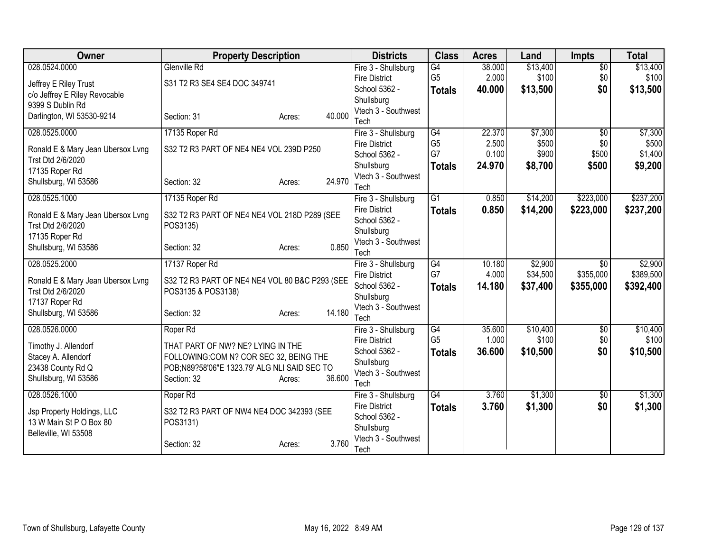| Owner                                                  | <b>Property Description</b>                                 |                  | <b>Districts</b>                      | <b>Class</b>    | <b>Acres</b> | Land     | <b>Impts</b>    | <b>Total</b> |
|--------------------------------------------------------|-------------------------------------------------------------|------------------|---------------------------------------|-----------------|--------------|----------|-----------------|--------------|
| 028.0524.0000                                          | Glenville Rd                                                |                  | Fire 3 - Shullsburg                   | G4              | 38.000       | \$13,400 | $\overline{50}$ | \$13,400     |
| Jeffrey E Riley Trust                                  | S31 T2 R3 SE4 SE4 DOC 349741                                |                  | <b>Fire District</b>                  | G <sub>5</sub>  | 2.000        | \$100    | \$0             | \$100        |
| c/o Jeffrey E Riley Revocable                          |                                                             |                  | School 5362 -                         | <b>Totals</b>   | 40.000       | \$13,500 | \$0             | \$13,500     |
| 9399 S Dublin Rd                                       |                                                             |                  | Shullsburg<br>Vtech 3 - Southwest     |                 |              |          |                 |              |
| Darlington, WI 53530-9214                              | Section: 31                                                 | 40.000<br>Acres: | Tech                                  |                 |              |          |                 |              |
| 028.0525.0000                                          | 17135 Roper Rd                                              |                  | Fire 3 - Shullsburg                   | $\overline{G4}$ | 22.370       | \$7,300  | $\overline{50}$ | \$7,300      |
|                                                        |                                                             |                  | <b>Fire District</b>                  | G <sub>5</sub>  | 2.500        | \$500    | \$0             | \$500        |
| Ronald E & Mary Jean Ubersox Lvng<br>Trst Dtd 2/6/2020 | S32 T2 R3 PART OF NE4 NE4 VOL 239D P250                     |                  | School 5362 -                         | G7              | 0.100        | \$900    | \$500           | \$1,400      |
| 17135 Roper Rd                                         |                                                             |                  | Shullsburg                            | <b>Totals</b>   | 24.970       | \$8,700  | \$500           | \$9,200      |
| Shullsburg, WI 53586                                   | Section: 32                                                 | 24.970<br>Acres: | Vtech 3 - Southwest                   |                 |              |          |                 |              |
|                                                        |                                                             |                  | Tech                                  |                 |              |          |                 |              |
| 028.0525.1000                                          | 17135 Roper Rd                                              |                  | Fire 3 - Shullsburg                   | G <sub>1</sub>  | 0.850        | \$14,200 | \$223,000       | \$237,200    |
| Ronald E & Mary Jean Ubersox Lvng                      | S32 T2 R3 PART OF NE4 NE4 VOL 218D P289 (SEE                |                  | <b>Fire District</b><br>School 5362 - | <b>Totals</b>   | 0.850        | \$14,200 | \$223,000       | \$237,200    |
| Trst Dtd 2/6/2020                                      | POS3135)                                                    |                  | Shullsburg                            |                 |              |          |                 |              |
| 17135 Roper Rd                                         |                                                             |                  | Vtech 3 - Southwest                   |                 |              |          |                 |              |
| Shullsburg, WI 53586                                   | Section: 32                                                 | 0.850<br>Acres:  | Tech                                  |                 |              |          |                 |              |
| 028.0525.2000                                          | 17137 Roper Rd                                              |                  | Fire 3 - Shullsburg                   | G4              | 10.180       | \$2,900  | $\overline{50}$ | \$2,900      |
| Ronald E & Mary Jean Ubersox Lvng                      | S32 T2 R3 PART OF NE4 NE4 VOL 80 B&C P293 (SEE              |                  | <b>Fire District</b>                  | G7              | 4.000        | \$34,500 | \$355,000       | \$389,500    |
| Trst Dtd 2/6/2020                                      | POS3135 & POS3138)                                          |                  | School 5362 -                         | <b>Totals</b>   | 14.180       | \$37,400 | \$355,000       | \$392,400    |
| 17137 Roper Rd                                         |                                                             |                  | Shullsburg                            |                 |              |          |                 |              |
| Shullsburg, WI 53586                                   | Section: 32                                                 | 14.180<br>Acres: | Vtech 3 - Southwest<br>Tech           |                 |              |          |                 |              |
| 028.0526.0000                                          | Roper Rd                                                    |                  | Fire 3 - Shullsburg                   | G4              | 35.600       | \$10,400 | $\overline{50}$ | \$10,400     |
|                                                        |                                                             |                  | <b>Fire District</b>                  | G <sub>5</sub>  | 1.000        | \$100    | \$0             | \$100        |
| Timothy J. Allendorf                                   | THAT PART OF NW? NE? LYING IN THE                           |                  | School 5362 -                         | <b>Totals</b>   | 36.600       | \$10,500 | \$0             | \$10,500     |
| Stacey A. Allendorf                                    | FOLLOWING:COM N? COR SEC 32, BEING THE                      |                  | Shullsburg                            |                 |              |          |                 |              |
| 23438 County Rd Q<br>Shullsburg, WI 53586              | POB;N89?58'06"E 1323.79' ALG NLI SAID SEC TO<br>Section: 32 | 36.600<br>Acres: | Vtech 3 - Southwest                   |                 |              |          |                 |              |
|                                                        |                                                             |                  | Tech                                  |                 |              |          |                 |              |
| 028.0526.1000                                          | Roper Rd                                                    |                  | Fire 3 - Shullsburg                   | $\overline{G4}$ | 3.760        | \$1,300  | \$0             | \$1,300      |
| Jsp Property Holdings, LLC                             | S32 T2 R3 PART OF NW4 NE4 DOC 342393 (SEE                   |                  | <b>Fire District</b>                  | <b>Totals</b>   | 3.760        | \$1,300  | \$0             | \$1,300      |
| 13 W Main St P O Box 80                                | POS3131)                                                    |                  | School 5362 -<br>Shullsburg           |                 |              |          |                 |              |
| Belleville, WI 53508                                   |                                                             |                  | Vtech 3 - Southwest                   |                 |              |          |                 |              |
|                                                        | Section: 32                                                 | 3.760<br>Acres:  | Tech                                  |                 |              |          |                 |              |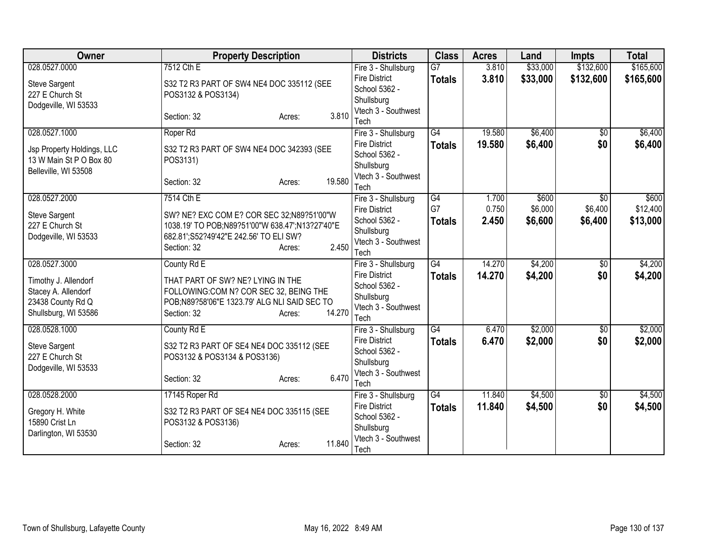| <b>Owner</b>                             | <b>Property Description</b>                                                                  | <b>Districts</b>                            | <b>Class</b>    | <b>Acres</b> | Land     | <b>Impts</b>    | <b>Total</b> |
|------------------------------------------|----------------------------------------------------------------------------------------------|---------------------------------------------|-----------------|--------------|----------|-----------------|--------------|
| 028.0527.0000                            | 7512 Cth E                                                                                   | Fire 3 - Shullsburg                         | $\overline{G}$  | 3.810        | \$33,000 | \$132,600       | \$165,600    |
| Steve Sargent                            | S32 T2 R3 PART OF SW4 NE4 DOC 335112 (SEE                                                    | <b>Fire District</b>                        | <b>Totals</b>   | 3.810        | \$33,000 | \$132,600       | \$165,600    |
| 227 E Church St                          | POS3132 & POS3134)                                                                           | School 5362 -<br>Shullsburg                 |                 |              |          |                 |              |
| Dodgeville, WI 53533                     |                                                                                              | Vtech 3 - Southwest                         |                 |              |          |                 |              |
|                                          | 3.810<br>Section: 32<br>Acres:                                                               | Tech                                        |                 |              |          |                 |              |
| 028.0527.1000                            | Roper Rd                                                                                     | Fire 3 - Shullsburg                         | $\overline{G4}$ | 19.580       | \$6,400  | $\overline{50}$ | \$6,400      |
| Jsp Property Holdings, LLC               | S32 T2 R3 PART OF SW4 NE4 DOC 342393 (SEE                                                    | <b>Fire District</b>                        | <b>Totals</b>   | 19.580       | \$6,400  | \$0             | \$6,400      |
| 13 W Main St P O Box 80                  | POS3131)                                                                                     | School 5362 -                               |                 |              |          |                 |              |
| Belleville, WI 53508                     |                                                                                              | Shullsburg                                  |                 |              |          |                 |              |
|                                          | 19.580<br>Section: 32<br>Acres:                                                              | Vtech 3 - Southwest<br>Tech                 |                 |              |          |                 |              |
| 028.0527.2000                            | 7514 Cth E                                                                                   | Fire 3 - Shullsburg                         | G4              | 1.700        | \$600    | \$0             | \$600        |
|                                          |                                                                                              | <b>Fire District</b>                        | G7              | 0.750        | \$6,000  | \$6,400         | \$12,400     |
| <b>Steve Sargent</b><br>227 E Church St  | SW? NE? EXC COM E? COR SEC 32;N89?51'00"W<br>1038.19' TO POB;N89?51'00"W 638.47';N13?27'40"E | School 5362 -                               | <b>Totals</b>   | 2.450        | \$6,600  | \$6,400         | \$13,000     |
| Dodgeville, WI 53533                     | 682.81';S52?49'42"E 242.56' TO ELI SW?                                                       | Shullsburg                                  |                 |              |          |                 |              |
|                                          | 2.450<br>Section: 32<br>Acres:                                                               | Vtech 3 - Southwest                         |                 |              |          |                 |              |
| 028.0527.3000                            | County Rd E                                                                                  | Tech<br>Fire 3 - Shullsburg                 | $\overline{G4}$ | 14.270       | \$4,200  | $\overline{30}$ | \$4,200      |
|                                          |                                                                                              | <b>Fire District</b>                        | <b>Totals</b>   | 14.270       | \$4,200  | \$0             | \$4,200      |
| Timothy J. Allendorf                     | THAT PART OF SW? NE? LYING IN THE                                                            | School 5362 -                               |                 |              |          |                 |              |
| Stacey A. Allendorf<br>23438 County Rd Q | FOLLOWING:COM N? COR SEC 32, BEING THE<br>POB;N89?58'06"E 1323.79' ALG NLI SAID SEC TO       | Shullsburg                                  |                 |              |          |                 |              |
| Shullsburg, WI 53586                     | 14.270<br>Section: 32<br>Acres:                                                              | Vtech 3 - Southwest                         |                 |              |          |                 |              |
|                                          |                                                                                              | Tech                                        |                 |              |          |                 |              |
| 028.0528.1000                            | County Rd E                                                                                  | Fire 3 - Shullsburg<br><b>Fire District</b> | $\overline{G4}$ | 6.470        | \$2,000  | $\sqrt{6}$      | \$2,000      |
| <b>Steve Sargent</b>                     | S32 T2 R3 PART OF SE4 NE4 DOC 335112 (SEE                                                    | School 5362 -                               | <b>Totals</b>   | 6.470        | \$2,000  | \$0             | \$2,000      |
| 227 E Church St                          | POS3132 & POS3134 & POS3136)                                                                 | Shullsburg                                  |                 |              |          |                 |              |
| Dodgeville, WI 53533                     | 6.470                                                                                        | Vtech 3 - Southwest                         |                 |              |          |                 |              |
|                                          | Section: 32<br>Acres:                                                                        | Tech                                        |                 |              |          |                 |              |
| 028.0528.2000                            | 17145 Roper Rd                                                                               | Fire 3 - Shullsburg                         | $\overline{G4}$ | 11.840       | \$4,500  | $\sqrt[6]{}$    | \$4,500      |
| Gregory H. White                         | S32 T2 R3 PART OF SE4 NE4 DOC 335115 (SEE                                                    | <b>Fire District</b>                        | <b>Totals</b>   | 11.840       | \$4,500  | \$0             | \$4,500      |
| 15890 Crist Ln                           | POS3132 & POS3136)                                                                           | School 5362 -<br>Shullsburg                 |                 |              |          |                 |              |
| Darlington, WI 53530                     |                                                                                              | Vtech 3 - Southwest                         |                 |              |          |                 |              |
|                                          | 11.840<br>Section: 32<br>Acres:                                                              | Tech                                        |                 |              |          |                 |              |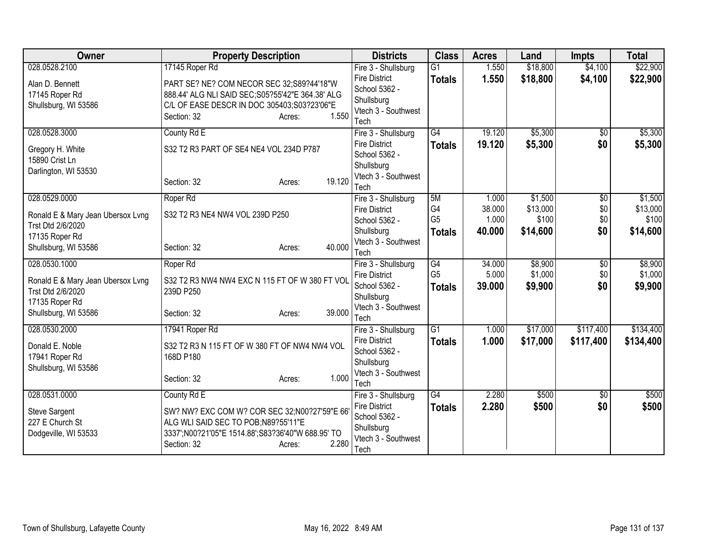| Owner                             | <b>Property Description</b>                                               | <b>Districts</b>                      | <b>Class</b>    | <b>Acres</b> | Land     | <b>Impts</b>    | <b>Total</b> |
|-----------------------------------|---------------------------------------------------------------------------|---------------------------------------|-----------------|--------------|----------|-----------------|--------------|
| 028.0528.2100                     | 17145 Roper Rd                                                            | Fire 3 - Shullsburg                   | $\overline{G1}$ | 1.550        | \$18,800 | \$4,100         | \$22,900     |
| Alan D. Bennett                   | PART SE? NE? COM NECOR SEC 32;S89?44'18"W                                 | <b>Fire District</b>                  | <b>Totals</b>   | 1.550        | \$18,800 | \$4,100         | \$22,900     |
| 17145 Roper Rd                    | 888.44' ALG NLI SAID SEC; S05?55'42"E 364.38' ALG                         | School 5362 -                         |                 |              |          |                 |              |
| Shullsburg, WI 53586              | C/L OF EASE DESCR IN DOC 305403;S03?23'06"E                               | Shullsburg                            |                 |              |          |                 |              |
|                                   | 1.550<br>Section: 32<br>Acres:                                            | Vtech 3 - Southwest                   |                 |              |          |                 |              |
|                                   |                                                                           | Tech                                  |                 |              |          |                 |              |
| 028.0528.3000                     | County Rd E                                                               | Fire 3 - Shullsburg                   | $\overline{G4}$ | 19.120       | \$5,300  | $\overline{50}$ | \$5,300      |
| Gregory H. White                  | S32 T2 R3 PART OF SE4 NE4 VOL 234D P787                                   | <b>Fire District</b><br>School 5362 - | <b>Totals</b>   | 19.120       | \$5,300  | \$0             | \$5,300      |
| 15890 Crist Ln                    |                                                                           | Shullsburg                            |                 |              |          |                 |              |
| Darlington, WI 53530              |                                                                           | Vtech 3 - Southwest                   |                 |              |          |                 |              |
|                                   | 19.120<br>Section: 32<br>Acres:                                           | Tech                                  |                 |              |          |                 |              |
| 028.0529.0000                     | Roper Rd                                                                  | Fire 3 - Shullsburg                   | 5M              | 1.000        | \$1,500  | \$0             | \$1,500      |
|                                   |                                                                           | <b>Fire District</b>                  | G4              | 38.000       | \$13,000 | \$0             | \$13,000     |
| Ronald E & Mary Jean Ubersox Lvng | S32 T2 R3 NE4 NW4 VOL 239D P250                                           | School 5362 -                         | G <sub>5</sub>  | 1.000        | \$100    | \$0             | \$100        |
| Trst Dtd 2/6/2020                 |                                                                           | Shullsburg                            | <b>Totals</b>   | 40.000       | \$14,600 | \$0             | \$14,600     |
| 17135 Roper Rd                    | 40.000                                                                    | Vtech 3 - Southwest                   |                 |              |          |                 |              |
| Shullsburg, WI 53586              | Section: 32<br>Acres:                                                     | Tech                                  |                 |              |          |                 |              |
| 028.0530.1000                     | Roper Rd                                                                  | Fire 3 - Shullsburg                   | G4              | 34.000       | \$8,900  | $\overline{30}$ | \$8,900      |
| Ronald E & Mary Jean Ubersox Lvng | S32 T2 R3 NW4 NW4 EXC N 115 FT OF W 380 FT VOL                            | <b>Fire District</b>                  | G <sub>5</sub>  | 5.000        | \$1,000  | \$0             | \$1,000      |
| Trst Dtd 2/6/2020                 | 239D P250                                                                 | School 5362 -                         | <b>Totals</b>   | 39.000       | \$9,900  | \$0             | \$9,900      |
| 17135 Roper Rd                    |                                                                           | Shullsburg                            |                 |              |          |                 |              |
| Shullsburg, WI 53586              | 39,000<br>Section: 32<br>Acres:                                           | Vtech 3 - Southwest                   |                 |              |          |                 |              |
|                                   |                                                                           | Tech                                  |                 |              |          |                 |              |
| 028.0530.2000                     | 17941 Roper Rd                                                            | Fire 3 - Shullsburg                   | $\overline{G1}$ | 1.000        | \$17,000 | \$117,400       | \$134,400    |
| Donald E. Noble                   | S32 T2 R3 N 115 FT OF W 380 FT OF NW4 NW4 VOL                             | <b>Fire District</b><br>School 5362 - | <b>Totals</b>   | 1.000        | \$17,000 | \$117,400       | \$134,400    |
| 17941 Roper Rd                    | 168D P180                                                                 | Shullsburg                            |                 |              |          |                 |              |
| Shullsburg, WI 53586              |                                                                           | Vtech 3 - Southwest                   |                 |              |          |                 |              |
|                                   | 1.000<br>Section: 32<br>Acres:                                            | Tech                                  |                 |              |          |                 |              |
| 028.0531.0000                     | County Rd E                                                               | Fire 3 - Shullsburg                   | $\overline{G4}$ | 2.280        | \$500    | $\sqrt[6]{}$    | \$500        |
|                                   |                                                                           | <b>Fire District</b>                  | <b>Totals</b>   | 2.280        | \$500    | \$0             | \$500        |
| <b>Steve Sargent</b>              | SW? NW? EXC COM W? COR SEC 32; N00?27'59"E 66                             | School 5362 -                         |                 |              |          |                 |              |
| 227 E Church St                   | ALG WLI SAID SEC TO POB;N89?55'11"E                                       | Shullsburg                            |                 |              |          |                 |              |
| Dodgeville, WI 53533              | 3337';N00?21'05"E 1514.88';S83?36'40"W 688.95' TO<br>2.280<br>Section: 32 | Vtech 3 - Southwest                   |                 |              |          |                 |              |
|                                   | Acres:                                                                    | Tech                                  |                 |              |          |                 |              |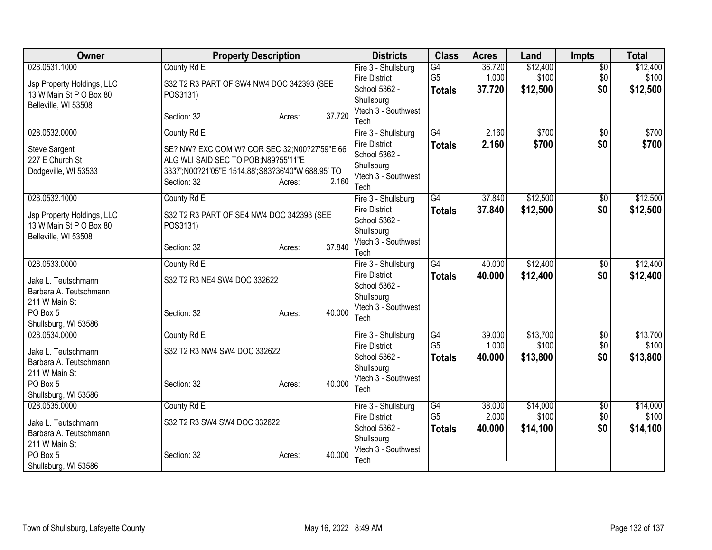| Owner                      | <b>Property Description</b>                       |                  | <b>Districts</b>                  | <b>Class</b>    | <b>Acres</b> | Land     | <b>Impts</b>    | <b>Total</b> |
|----------------------------|---------------------------------------------------|------------------|-----------------------------------|-----------------|--------------|----------|-----------------|--------------|
| 028.0531.1000              | County Rd E                                       |                  | Fire 3 - Shullsburg               | G4              | 36.720       | \$12,400 | $\overline{50}$ | \$12,400     |
| Jsp Property Holdings, LLC | S32 T2 R3 PART OF SW4 NW4 DOC 342393 (SEE         |                  | <b>Fire District</b>              | G <sub>5</sub>  | 1.000        | \$100    | \$0             | \$100        |
| 13 W Main St P O Box 80    | POS3131)                                          |                  | School 5362 -                     | <b>Totals</b>   | 37.720       | \$12,500 | \$0             | \$12,500     |
| Belleville, WI 53508       |                                                   |                  | Shullsburg                        |                 |              |          |                 |              |
|                            | Section: 32                                       | 37.720<br>Acres: | Vtech 3 - Southwest<br>Tech       |                 |              |          |                 |              |
| 028.0532.0000              | County Rd E                                       |                  | Fire 3 - Shullsburg               | $\overline{G4}$ | 2.160        | \$700    | $\sqrt{6}$      | \$700        |
| <b>Steve Sargent</b>       | SE? NW? EXC COM W? COR SEC 32;N00?27'59"E 66'     |                  | <b>Fire District</b>              | <b>Totals</b>   | 2.160        | \$700    | \$0             | \$700        |
| 227 E Church St            | ALG WLI SAID SEC TO POB;N89?55'11"E               |                  | School 5362 -                     |                 |              |          |                 |              |
| Dodgeville, WI 53533       | 3337';N00?21'05"E 1514.88';S83?36'40"W 688.95' TO |                  | Shullsburg                        |                 |              |          |                 |              |
|                            | Section: 32                                       | 2.160<br>Acres:  | Vtech 3 - Southwest<br>Tech       |                 |              |          |                 |              |
| 028.0532.1000              | County Rd E                                       |                  | Fire 3 - Shullsburg               | $\overline{G4}$ | 37.840       | \$12,500 | \$0             | \$12,500     |
|                            |                                                   |                  | <b>Fire District</b>              | <b>Totals</b>   | 37.840       | \$12,500 | \$0             | \$12,500     |
| Jsp Property Holdings, LLC | S32 T2 R3 PART OF SE4 NW4 DOC 342393 (SEE         |                  | School 5362 -                     |                 |              |          |                 |              |
| 13 W Main St P O Box 80    | POS3131)                                          |                  | Shullsburg                        |                 |              |          |                 |              |
| Belleville, WI 53508       |                                                   |                  | Vtech 3 - Southwest               |                 |              |          |                 |              |
|                            | Section: 32                                       | 37.840<br>Acres: | Tech                              |                 |              |          |                 |              |
| 028.0533.0000              | County Rd E                                       |                  | Fire 3 - Shullsburg               | G4              | 40.000       | \$12,400 | $\overline{50}$ | \$12,400     |
| Jake L. Teutschmann        | S32 T2 R3 NE4 SW4 DOC 332622                      |                  | <b>Fire District</b>              | <b>Totals</b>   | 40.000       | \$12,400 | \$0             | \$12,400     |
| Barbara A. Teutschmann     |                                                   |                  | School 5362 -                     |                 |              |          |                 |              |
| 211 W Main St              |                                                   |                  | Shullsburg                        |                 |              |          |                 |              |
| PO Box 5                   | Section: 32                                       | 40.000<br>Acres: | Vtech 3 - Southwest<br>Tech       |                 |              |          |                 |              |
| Shullsburg, WI 53586       |                                                   |                  |                                   |                 |              |          |                 |              |
| 028.0534.0000              | County Rd E                                       |                  | Fire 3 - Shullsburg               | G4              | 39.000       | \$13,700 | \$0             | \$13,700     |
| Jake L. Teutschmann        | S32 T2 R3 NW4 SW4 DOC 332622                      |                  | <b>Fire District</b>              | G <sub>5</sub>  | 1.000        | \$100    | \$0             | \$100        |
| Barbara A. Teutschmann     |                                                   |                  | School 5362 -                     | <b>Totals</b>   | 40.000       | \$13,800 | \$0             | \$13,800     |
| 211 W Main St              |                                                   |                  | Shullsburg<br>Vtech 3 - Southwest |                 |              |          |                 |              |
| PO Box 5                   | Section: 32                                       | 40.000<br>Acres: | Tech                              |                 |              |          |                 |              |
| Shullsburg, WI 53586       |                                                   |                  |                                   |                 |              |          |                 |              |
| 028.0535.0000              | County Rd E                                       |                  | Fire 3 - Shullsburg               | G4              | 38.000       | \$14,000 | \$0             | \$14,000     |
| Jake L. Teutschmann        | S32 T2 R3 SW4 SW4 DOC 332622                      |                  | <b>Fire District</b>              | G <sub>5</sub>  | 2.000        | \$100    | \$0             | \$100        |
| Barbara A. Teutschmann     |                                                   |                  | School 5362 -<br>Shullsburg       | <b>Totals</b>   | 40.000       | \$14,100 | \$0             | \$14,100     |
| 211 W Main St              |                                                   |                  | Vtech 3 - Southwest               |                 |              |          |                 |              |
| PO Box 5                   | Section: 32                                       | 40.000<br>Acres: | Tech                              |                 |              |          |                 |              |
| Shullsburg, WI 53586       |                                                   |                  |                                   |                 |              |          |                 |              |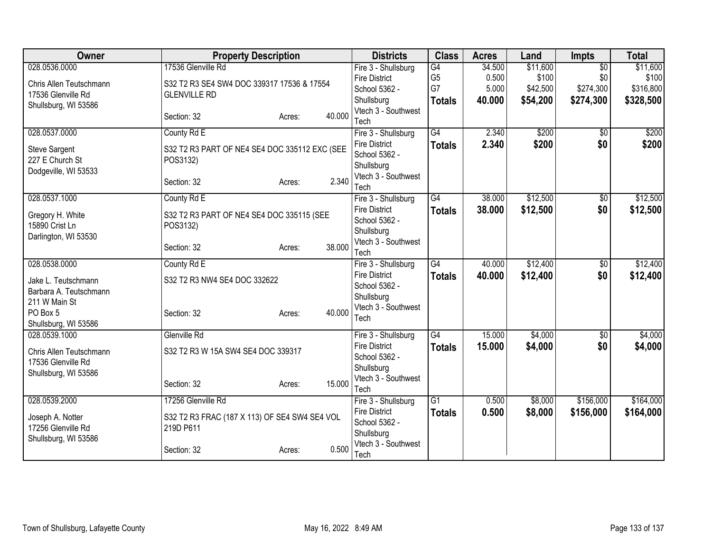| Owner                              | <b>Property Description</b>                   |        | <b>Districts</b>                  | <b>Class</b>    | <b>Acres</b> | Land     | <b>Impts</b>    | <b>Total</b> |
|------------------------------------|-----------------------------------------------|--------|-----------------------------------|-----------------|--------------|----------|-----------------|--------------|
| 028.0536.0000                      | 17536 Glenville Rd                            |        | Fire 3 - Shullsburg               | G4              | 34.500       | \$11,600 | $\overline{50}$ | \$11,600     |
| Chris Allen Teutschmann            | S32 T2 R3 SE4 SW4 DOC 339317 17536 & 17554    |        | <b>Fire District</b>              | G <sub>5</sub>  | 0.500        | \$100    | \$0             | \$100        |
| 17536 Glenville Rd                 | <b>GLENVILLE RD</b>                           |        | School 5362 -                     | G7              | 5.000        | \$42,500 | \$274,300       | \$316,800    |
| Shullsburg, WI 53586               |                                               |        | Shullsburg                        | <b>Totals</b>   | 40.000       | \$54,200 | \$274,300       | \$328,500    |
|                                    | Section: 32<br>Acres:                         | 40.000 | Vtech 3 - Southwest<br>Tech       |                 |              |          |                 |              |
| 028.0537.0000                      | County Rd E                                   |        | Fire 3 - Shullsburg               | $\overline{G4}$ | 2.340        | \$200    | \$0             | \$200        |
| <b>Steve Sargent</b>               | S32 T2 R3 PART OF NE4 SE4 DOC 335112 EXC (SEE |        | <b>Fire District</b>              | <b>Totals</b>   | 2.340        | \$200    | \$0             | \$200        |
| 227 E Church St                    | POS3132)                                      |        | School 5362 -                     |                 |              |          |                 |              |
| Dodgeville, WI 53533               |                                               |        | Shullsburg                        |                 |              |          |                 |              |
|                                    | Section: 32<br>Acres:                         | 2.340  | Vtech 3 - Southwest<br>Tech       |                 |              |          |                 |              |
| 028.0537.1000                      | County Rd E                                   |        | Fire 3 - Shullsburg               | G4              | 38.000       | \$12,500 | \$0             | \$12,500     |
|                                    |                                               |        | <b>Fire District</b>              | <b>Totals</b>   | 38.000       | \$12,500 | \$0             | \$12,500     |
| Gregory H. White<br>15890 Crist Ln | S32 T2 R3 PART OF NE4 SE4 DOC 335115 (SEE     |        | School 5362 -                     |                 |              |          |                 |              |
| Darlington, WI 53530               | POS3132)                                      |        | Shullsburg                        |                 |              |          |                 |              |
|                                    | Section: 32<br>Acres:                         | 38.000 | Vtech 3 - Southwest               |                 |              |          |                 |              |
|                                    |                                               |        | Tech                              |                 |              |          |                 |              |
| 028.0538.0000                      | County Rd E                                   |        | Fire 3 - Shullsburg               | G4              | 40.000       | \$12,400 | $\overline{50}$ | \$12,400     |
| Jake L. Teutschmann                | S32 T2 R3 NW4 SE4 DOC 332622                  |        | <b>Fire District</b>              | <b>Totals</b>   | 40.000       | \$12,400 | \$0             | \$12,400     |
| Barbara A. Teutschmann             |                                               |        | School 5362 -<br>Shullsburg       |                 |              |          |                 |              |
| 211 W Main St                      |                                               |        | Vtech 3 - Southwest               |                 |              |          |                 |              |
| PO Box 5                           | Section: 32<br>Acres:                         | 40.000 | Tech                              |                 |              |          |                 |              |
| Shullsburg, WI 53586               |                                               |        |                                   |                 |              |          |                 |              |
| 028.0539.1000                      | Glenville Rd                                  |        | Fire 3 - Shullsburg               | G4              | 15.000       | \$4,000  | \$0             | \$4,000      |
| Chris Allen Teutschmann            | S32 T2 R3 W 15A SW4 SE4 DOC 339317            |        | <b>Fire District</b>              | <b>Totals</b>   | 15.000       | \$4,000  | \$0             | \$4,000      |
| 17536 Glenville Rd                 |                                               |        | School 5362 -                     |                 |              |          |                 |              |
| Shullsburg, WI 53586               |                                               |        | Shullsburg<br>Vtech 3 - Southwest |                 |              |          |                 |              |
|                                    | Section: 32<br>Acres:                         | 15.000 | Tech                              |                 |              |          |                 |              |
| 028.0539.2000                      | 17256 Glenville Rd                            |        | Fire 3 - Shullsburg               | $\overline{G1}$ | 0.500        | \$8,000  | \$156,000       | \$164,000    |
| Joseph A. Notter                   | S32 T2 R3 FRAC (187 X 113) OF SE4 SW4 SE4 VOL |        | <b>Fire District</b>              | <b>Totals</b>   | 0.500        | \$8,000  | \$156,000       | \$164,000    |
| 17256 Glenville Rd                 | 219D P611                                     |        | School 5362 -                     |                 |              |          |                 |              |
| Shullsburg, WI 53586               |                                               |        | Shullsburg                        |                 |              |          |                 |              |
|                                    | Section: 32<br>Acres:                         | 0.500  | Vtech 3 - Southwest<br>Tech       |                 |              |          |                 |              |
|                                    |                                               |        |                                   |                 |              |          |                 |              |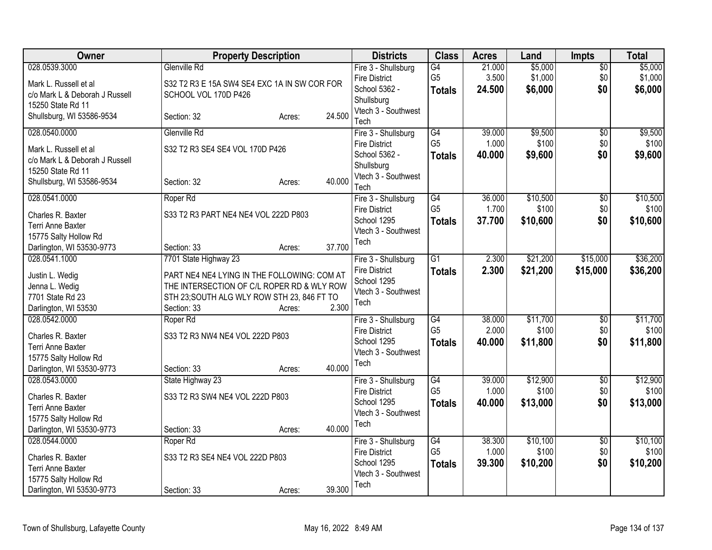| Owner                                                                                                                                      | <b>Property Description</b>                                                                                                                                                      |                  |                  | <b>Districts</b>                                                                                  | <b>Class</b>                                       | <b>Acres</b>              | Land                          | <b>Impts</b>                  | <b>Total</b>                  |
|--------------------------------------------------------------------------------------------------------------------------------------------|----------------------------------------------------------------------------------------------------------------------------------------------------------------------------------|------------------|------------------|---------------------------------------------------------------------------------------------------|----------------------------------------------------|---------------------------|-------------------------------|-------------------------------|-------------------------------|
| 028.0539.3000<br>Mark L. Russell et al<br>c/o Mark L & Deborah J Russell<br>15250 State Rd 11                                              | Glenville Rd<br>S32 T2 R3 E 15A SW4 SE4 EXC 1A IN SW COR FOR<br>SCHOOL VOL 170D P426                                                                                             |                  |                  | Fire 3 - Shullsburg<br><b>Fire District</b><br>School 5362 -<br>Shullsburg                        | $\overline{G4}$<br>G <sub>5</sub><br><b>Totals</b> | 21.000<br>3.500<br>24.500 | \$5,000<br>\$1,000<br>\$6,000 | $\overline{50}$<br>\$0<br>\$0 | \$5,000<br>\$1,000<br>\$6,000 |
| Shullsburg, WI 53586-9534                                                                                                                  | Section: 32                                                                                                                                                                      | Acres:           | 24.500           | Vtech 3 - Southwest<br>Tech                                                                       |                                                    |                           |                               |                               |                               |
| 028.0540.0000<br>Mark L. Russell et al<br>c/o Mark L & Deborah J Russell<br>15250 State Rd 11                                              | Glenville Rd<br>S32 T2 R3 SE4 SE4 VOL 170D P426                                                                                                                                  |                  |                  | Fire 3 - Shullsburg<br><b>Fire District</b><br>School 5362 -<br>Shullsburg<br>Vtech 3 - Southwest | $\overline{G4}$<br>G <sub>5</sub><br><b>Totals</b> | 39.000<br>1.000<br>40.000 | \$9,500<br>\$100<br>\$9,600   | $\overline{50}$<br>\$0<br>\$0 | \$9,500<br>\$100<br>\$9,600   |
| Shullsburg, WI 53586-9534<br>028.0541.0000<br>Charles R. Baxter<br>Terri Anne Baxter<br>15775 Salty Hollow Rd<br>Darlington, WI 53530-9773 | Section: 32<br>Roper Rd<br>S33 T2 R3 PART NE4 NE4 VOL 222D P803<br>Section: 33                                                                                                   | Acres:<br>Acres: | 40.000<br>37.700 | Tech<br>Fire 3 - Shullsburg<br><b>Fire District</b><br>School 1295<br>Vtech 3 - Southwest<br>Tech | G4<br>G <sub>5</sub><br><b>Totals</b>              | 36.000<br>1.700<br>37,700 | \$10,500<br>\$100<br>\$10,600 | \$0<br>\$0<br>\$0             | \$10,500<br>\$100<br>\$10,600 |
| 028.0541.1000<br>Justin L. Wedig<br>Jenna L. Wedig<br>7701 State Rd 23<br>Darlington, WI 53530                                             | 7701 State Highway 23<br>PART NE4 NE4 LYING IN THE FOLLOWING: COM AT<br>THE INTERSECTION OF C/L ROPER RD & WLY ROW<br>STH 23; SOUTH ALG WLY ROW STH 23, 846 FT TO<br>Section: 33 | Acres:           | 2.300            | Fire 3 - Shullsburg<br><b>Fire District</b><br>School 1295<br>Vtech 3 - Southwest<br>Tech         | $\overline{G1}$<br><b>Totals</b>                   | 2.300<br>2.300            | \$21,200<br>\$21,200          | \$15,000<br>\$15,000          | \$36,200<br>\$36,200          |
| 028.0542.0000<br>Charles R. Baxter<br>Terri Anne Baxter<br>15775 Salty Hollow Rd<br>Darlington, WI 53530-9773                              | Roper Rd<br>S33 T2 R3 NW4 NE4 VOL 222D P803<br>Section: 33                                                                                                                       | Acres:           | 40.000           | Fire 3 - Shullsburg<br><b>Fire District</b><br>School 1295<br>Vtech 3 - Southwest<br>Tech         | G4<br>G <sub>5</sub><br><b>Totals</b>              | 38.000<br>2.000<br>40.000 | \$11,700<br>\$100<br>\$11,800 | $\sqrt{6}$<br>\$0<br>\$0      | \$11,700<br>\$100<br>\$11,800 |
| 028.0543.0000<br>Charles R. Baxter<br>Terri Anne Baxter<br>15775 Salty Hollow Rd<br>Darlington, WI 53530-9773                              | State Highway 23<br>S33 T2 R3 SW4 NE4 VOL 222D P803<br>Section: 33                                                                                                               | Acres:           | 40.000           | Fire 3 - Shullsburg<br><b>Fire District</b><br>School 1295<br>Vtech 3 - Southwest<br>Tech         | G4<br>G <sub>5</sub><br><b>Totals</b>              | 39.000<br>1.000<br>40.000 | \$12,900<br>\$100<br>\$13,000 | $\overline{50}$<br>\$0<br>\$0 | \$12,900<br>\$100<br>\$13,000 |
| 028.0544.0000<br>Charles R. Baxter<br>Terri Anne Baxter<br>15775 Salty Hollow Rd<br>Darlington, WI 53530-9773                              | Roper Rd<br>S33 T2 R3 SE4 NE4 VOL 222D P803<br>Section: 33                                                                                                                       | Acres:           | 39.300           | Fire 3 - Shullsburg<br><b>Fire District</b><br>School 1295<br>Vtech 3 - Southwest<br>Tech         | G4<br>G <sub>5</sub><br><b>Totals</b>              | 38.300<br>1.000<br>39.300 | \$10,100<br>\$100<br>\$10,200 | $\overline{60}$<br>\$0<br>\$0 | \$10,100<br>\$100<br>\$10,200 |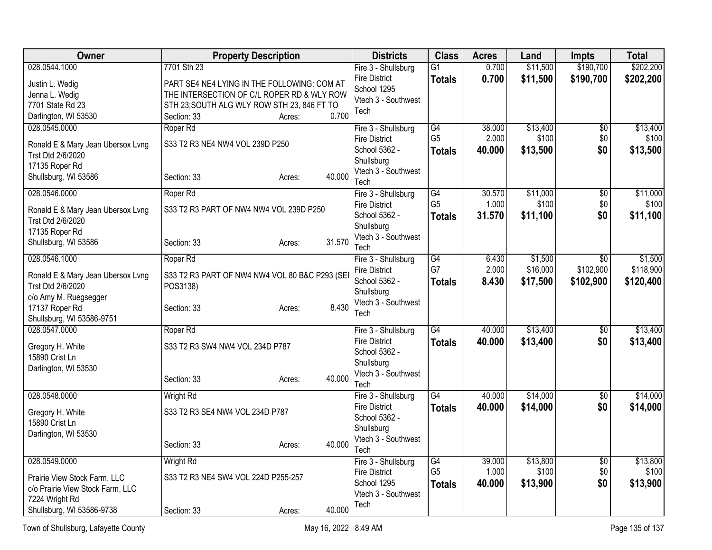| 028.0544.1000<br>7701 Sth 23<br>$\overline{G1}$<br>\$11,500<br>Fire 3 - Shullsburg<br><b>Fire District</b><br>0.700<br>\$11,500<br>\$190,700<br>\$202,200<br><b>Totals</b><br>Justin L. Wedig<br>PART SE4 NE4 LYING IN THE FOLLOWING: COM AT<br>School 1295<br>THE INTERSECTION OF C/L ROPER RD & WLY ROW<br>Jenna L. Wedig<br>Vtech 3 - Southwest<br>7701 State Rd 23<br>STH 23; SOUTH ALG WLY ROW STH 23, 846 FT TO<br>Tech<br>0.700<br>Darlington, WI 53530<br>Section: 33<br>Acres:<br>028.0545.0000<br>$\overline{G4}$<br>38.000<br>\$13,400<br>$\overline{50}$<br>Roper Rd<br>Fire 3 - Shullsburg<br>G <sub>5</sub><br>2.000<br>\$100<br>\$0<br><b>Fire District</b><br>S33 T2 R3 NE4 NW4 VOL 239D P250<br>Ronald E & Mary Jean Ubersox Lvng<br>\$0<br>School 5362 -<br>40.000<br>\$13,500<br><b>Totals</b><br>Trst Dtd 2/6/2020<br>Shullsburg<br>17135 Roper Rd<br>Vtech 3 - Southwest<br>40.000<br>Shullsburg, WI 53586<br>Section: 33<br>Acres:<br>Tech<br>\$11,000<br>028.0546.0000<br>$\overline{G4}$<br>30.570<br>$\overline{50}$<br>Roper Rd<br>Fire 3 - Shullsburg<br>G <sub>5</sub><br>\$100<br>1.000<br>\$0<br><b>Fire District</b><br>S33 T2 R3 PART OF NW4 NW4 VOL 239D P250<br>Ronald E & Mary Jean Ubersox Lvng<br>31.570<br>School 5362 -<br>\$11,100<br>\$0<br><b>Totals</b><br>Trst Dtd 2/6/2020<br>Shullsburg<br>17135 Roper Rd<br>Vtech 3 - Southwest<br>31.570<br>Shullsburg, WI 53586<br>Section: 33<br>Acres:<br>Tech<br>\$1,500<br>028.0546.1000<br>Roper Rd<br>$\overline{G4}$<br>\$1,500<br>Fire 3 - Shullsburg<br>6.430<br>$\overline{50}$<br>G7<br>2.000<br>\$16,000<br>\$102,900<br><b>Fire District</b><br>Ronald E & Mary Jean Ubersox Lvng<br>S33 T2 R3 PART OF NW4 NW4 VOL 80 B&C P293 (SEI<br>School 5362 -<br>8.430<br>\$17,500<br>\$102,900<br><b>Totals</b><br>Trst Dtd 2/6/2020<br>POS3138)<br>Shullsburg<br>c/o Amy M. Ruegsegger<br>Vtech 3 - Southwest<br>8.430<br>17137 Roper Rd<br>Section: 33<br>Acres:<br>Tech<br>Shullsburg, WI 53586-9751<br>G4<br>\$13,400<br>028.0547.0000<br>Roper Rd<br>40.000<br>\$0<br>Fire 3 - Shullsburg<br><b>Fire District</b><br>\$13,400<br>\$0<br>40.000<br><b>Totals</b><br>S33 T2 R3 SW4 NW4 VOL 234D P787<br>Gregory H. White<br>School 5362 -<br>15890 Crist Ln<br>Shullsburg<br>Darlington, WI 53530<br>Vtech 3 - Southwest<br>40.000<br>Section: 33<br>Acres:<br>Tech<br>\$14,000<br>\$14,000<br>028.0548.0000<br><b>Wright Rd</b><br>$\overline{G4}$<br>40.000<br>$\overline{50}$<br>Fire 3 - Shullsburg<br><b>Fire District</b><br>40.000<br>\$14,000<br>\$0<br><b>Totals</b><br>S33 T2 R3 SE4 NW4 VOL 234D P787<br>Gregory H. White<br>School 5362 -<br>15890 Crist Ln<br>Shullsburg<br>Darlington, WI 53530<br>Vtech 3 - Southwest<br>40.000<br>Section: 33<br>Acres:<br>Tech<br>\$13,800<br>028.0549.0000<br><b>Wright Rd</b><br>$\overline{G4}$<br>\$13,800<br>Fire 3 - Shullsburg<br>39.000<br>$\overline{50}$<br>G <sub>5</sub><br>1.000<br>\$100<br>\$0<br><b>Fire District</b><br>S33 T2 R3 NE4 SW4 VOL 224D P255-257<br>Prairie View Stock Farm, LLC<br>\$0<br>School 1295<br>40.000<br>\$13,900<br><b>Totals</b><br>c/o Prairie View Stock Farm, LLC<br>Vtech 3 - Southwest<br>7224 Wright Rd<br>Tech | Owner                     | <b>Property Description</b> |        |        | <b>Districts</b> | <b>Class</b> | <b>Acres</b> | Land | <b>Impts</b> | <b>Total</b> |
|----------------------------------------------------------------------------------------------------------------------------------------------------------------------------------------------------------------------------------------------------------------------------------------------------------------------------------------------------------------------------------------------------------------------------------------------------------------------------------------------------------------------------------------------------------------------------------------------------------------------------------------------------------------------------------------------------------------------------------------------------------------------------------------------------------------------------------------------------------------------------------------------------------------------------------------------------------------------------------------------------------------------------------------------------------------------------------------------------------------------------------------------------------------------------------------------------------------------------------------------------------------------------------------------------------------------------------------------------------------------------------------------------------------------------------------------------------------------------------------------------------------------------------------------------------------------------------------------------------------------------------------------------------------------------------------------------------------------------------------------------------------------------------------------------------------------------------------------------------------------------------------------------------------------------------------------------------------------------------------------------------------------------------------------------------------------------------------------------------------------------------------------------------------------------------------------------------------------------------------------------------------------------------------------------------------------------------------------------------------------------------------------------------------------------------------------------------------------------------------------------------------------------------------------------------------------------------------------------------------------------------------------------------------------------------------------------------------------------------------------------------------------------------------------------------------------------------------------------------------------------------------------------------------------------------------------------------------------------------------------------------------------------------------------------------------------------------------------------------------------------------------------------------------------------------------------------------|---------------------------|-----------------------------|--------|--------|------------------|--------------|--------------|------|--------------|--------------|
|                                                                                                                                                                                                                                                                                                                                                                                                                                                                                                                                                                                                                                                                                                                                                                                                                                                                                                                                                                                                                                                                                                                                                                                                                                                                                                                                                                                                                                                                                                                                                                                                                                                                                                                                                                                                                                                                                                                                                                                                                                                                                                                                                                                                                                                                                                                                                                                                                                                                                                                                                                                                                                                                                                                                                                                                                                                                                                                                                                                                                                                                                                                                                                                                          |                           |                             |        |        |                  |              | 0.700        |      | \$190,700    | \$202,200    |
| \$13,900                                                                                                                                                                                                                                                                                                                                                                                                                                                                                                                                                                                                                                                                                                                                                                                                                                                                                                                                                                                                                                                                                                                                                                                                                                                                                                                                                                                                                                                                                                                                                                                                                                                                                                                                                                                                                                                                                                                                                                                                                                                                                                                                                                                                                                                                                                                                                                                                                                                                                                                                                                                                                                                                                                                                                                                                                                                                                                                                                                                                                                                                                                                                                                                                 |                           |                             |        |        |                  |              |              |      |              |              |
| \$13,400<br>\$100<br>\$13,500                                                                                                                                                                                                                                                                                                                                                                                                                                                                                                                                                                                                                                                                                                                                                                                                                                                                                                                                                                                                                                                                                                                                                                                                                                                                                                                                                                                                                                                                                                                                                                                                                                                                                                                                                                                                                                                                                                                                                                                                                                                                                                                                                                                                                                                                                                                                                                                                                                                                                                                                                                                                                                                                                                                                                                                                                                                                                                                                                                                                                                                                                                                                                                            |                           |                             |        |        |                  |              |              |      |              |              |
|                                                                                                                                                                                                                                                                                                                                                                                                                                                                                                                                                                                                                                                                                                                                                                                                                                                                                                                                                                                                                                                                                                                                                                                                                                                                                                                                                                                                                                                                                                                                                                                                                                                                                                                                                                                                                                                                                                                                                                                                                                                                                                                                                                                                                                                                                                                                                                                                                                                                                                                                                                                                                                                                                                                                                                                                                                                                                                                                                                                                                                                                                                                                                                                                          |                           |                             |        |        |                  |              |              |      |              |              |
|                                                                                                                                                                                                                                                                                                                                                                                                                                                                                                                                                                                                                                                                                                                                                                                                                                                                                                                                                                                                                                                                                                                                                                                                                                                                                                                                                                                                                                                                                                                                                                                                                                                                                                                                                                                                                                                                                                                                                                                                                                                                                                                                                                                                                                                                                                                                                                                                                                                                                                                                                                                                                                                                                                                                                                                                                                                                                                                                                                                                                                                                                                                                                                                                          |                           |                             |        |        |                  |              |              |      |              |              |
|                                                                                                                                                                                                                                                                                                                                                                                                                                                                                                                                                                                                                                                                                                                                                                                                                                                                                                                                                                                                                                                                                                                                                                                                                                                                                                                                                                                                                                                                                                                                                                                                                                                                                                                                                                                                                                                                                                                                                                                                                                                                                                                                                                                                                                                                                                                                                                                                                                                                                                                                                                                                                                                                                                                                                                                                                                                                                                                                                                                                                                                                                                                                                                                                          |                           |                             |        |        |                  |              |              |      |              |              |
|                                                                                                                                                                                                                                                                                                                                                                                                                                                                                                                                                                                                                                                                                                                                                                                                                                                                                                                                                                                                                                                                                                                                                                                                                                                                                                                                                                                                                                                                                                                                                                                                                                                                                                                                                                                                                                                                                                                                                                                                                                                                                                                                                                                                                                                                                                                                                                                                                                                                                                                                                                                                                                                                                                                                                                                                                                                                                                                                                                                                                                                                                                                                                                                                          |                           |                             |        |        |                  |              |              |      |              |              |
| \$11,000<br>\$100<br>\$11,100<br>\$118,900<br>\$120,400<br>\$13,400<br>\$13,400<br>\$14,000<br>\$100                                                                                                                                                                                                                                                                                                                                                                                                                                                                                                                                                                                                                                                                                                                                                                                                                                                                                                                                                                                                                                                                                                                                                                                                                                                                                                                                                                                                                                                                                                                                                                                                                                                                                                                                                                                                                                                                                                                                                                                                                                                                                                                                                                                                                                                                                                                                                                                                                                                                                                                                                                                                                                                                                                                                                                                                                                                                                                                                                                                                                                                                                                     |                           |                             |        |        |                  |              |              |      |              |              |
|                                                                                                                                                                                                                                                                                                                                                                                                                                                                                                                                                                                                                                                                                                                                                                                                                                                                                                                                                                                                                                                                                                                                                                                                                                                                                                                                                                                                                                                                                                                                                                                                                                                                                                                                                                                                                                                                                                                                                                                                                                                                                                                                                                                                                                                                                                                                                                                                                                                                                                                                                                                                                                                                                                                                                                                                                                                                                                                                                                                                                                                                                                                                                                                                          |                           |                             |        |        |                  |              |              |      |              |              |
|                                                                                                                                                                                                                                                                                                                                                                                                                                                                                                                                                                                                                                                                                                                                                                                                                                                                                                                                                                                                                                                                                                                                                                                                                                                                                                                                                                                                                                                                                                                                                                                                                                                                                                                                                                                                                                                                                                                                                                                                                                                                                                                                                                                                                                                                                                                                                                                                                                                                                                                                                                                                                                                                                                                                                                                                                                                                                                                                                                                                                                                                                                                                                                                                          |                           |                             |        |        |                  |              |              |      |              |              |
|                                                                                                                                                                                                                                                                                                                                                                                                                                                                                                                                                                                                                                                                                                                                                                                                                                                                                                                                                                                                                                                                                                                                                                                                                                                                                                                                                                                                                                                                                                                                                                                                                                                                                                                                                                                                                                                                                                                                                                                                                                                                                                                                                                                                                                                                                                                                                                                                                                                                                                                                                                                                                                                                                                                                                                                                                                                                                                                                                                                                                                                                                                                                                                                                          |                           |                             |        |        |                  |              |              |      |              |              |
|                                                                                                                                                                                                                                                                                                                                                                                                                                                                                                                                                                                                                                                                                                                                                                                                                                                                                                                                                                                                                                                                                                                                                                                                                                                                                                                                                                                                                                                                                                                                                                                                                                                                                                                                                                                                                                                                                                                                                                                                                                                                                                                                                                                                                                                                                                                                                                                                                                                                                                                                                                                                                                                                                                                                                                                                                                                                                                                                                                                                                                                                                                                                                                                                          |                           |                             |        |        |                  |              |              |      |              |              |
|                                                                                                                                                                                                                                                                                                                                                                                                                                                                                                                                                                                                                                                                                                                                                                                                                                                                                                                                                                                                                                                                                                                                                                                                                                                                                                                                                                                                                                                                                                                                                                                                                                                                                                                                                                                                                                                                                                                                                                                                                                                                                                                                                                                                                                                                                                                                                                                                                                                                                                                                                                                                                                                                                                                                                                                                                                                                                                                                                                                                                                                                                                                                                                                                          |                           |                             |        |        |                  |              |              |      |              |              |
|                                                                                                                                                                                                                                                                                                                                                                                                                                                                                                                                                                                                                                                                                                                                                                                                                                                                                                                                                                                                                                                                                                                                                                                                                                                                                                                                                                                                                                                                                                                                                                                                                                                                                                                                                                                                                                                                                                                                                                                                                                                                                                                                                                                                                                                                                                                                                                                                                                                                                                                                                                                                                                                                                                                                                                                                                                                                                                                                                                                                                                                                                                                                                                                                          |                           |                             |        |        |                  |              |              |      |              |              |
|                                                                                                                                                                                                                                                                                                                                                                                                                                                                                                                                                                                                                                                                                                                                                                                                                                                                                                                                                                                                                                                                                                                                                                                                                                                                                                                                                                                                                                                                                                                                                                                                                                                                                                                                                                                                                                                                                                                                                                                                                                                                                                                                                                                                                                                                                                                                                                                                                                                                                                                                                                                                                                                                                                                                                                                                                                                                                                                                                                                                                                                                                                                                                                                                          |                           |                             |        |        |                  |              |              |      |              |              |
|                                                                                                                                                                                                                                                                                                                                                                                                                                                                                                                                                                                                                                                                                                                                                                                                                                                                                                                                                                                                                                                                                                                                                                                                                                                                                                                                                                                                                                                                                                                                                                                                                                                                                                                                                                                                                                                                                                                                                                                                                                                                                                                                                                                                                                                                                                                                                                                                                                                                                                                                                                                                                                                                                                                                                                                                                                                                                                                                                                                                                                                                                                                                                                                                          |                           |                             |        |        |                  |              |              |      |              |              |
|                                                                                                                                                                                                                                                                                                                                                                                                                                                                                                                                                                                                                                                                                                                                                                                                                                                                                                                                                                                                                                                                                                                                                                                                                                                                                                                                                                                                                                                                                                                                                                                                                                                                                                                                                                                                                                                                                                                                                                                                                                                                                                                                                                                                                                                                                                                                                                                                                                                                                                                                                                                                                                                                                                                                                                                                                                                                                                                                                                                                                                                                                                                                                                                                          |                           |                             |        |        |                  |              |              |      |              |              |
|                                                                                                                                                                                                                                                                                                                                                                                                                                                                                                                                                                                                                                                                                                                                                                                                                                                                                                                                                                                                                                                                                                                                                                                                                                                                                                                                                                                                                                                                                                                                                                                                                                                                                                                                                                                                                                                                                                                                                                                                                                                                                                                                                                                                                                                                                                                                                                                                                                                                                                                                                                                                                                                                                                                                                                                                                                                                                                                                                                                                                                                                                                                                                                                                          |                           |                             |        |        |                  |              |              |      |              |              |
|                                                                                                                                                                                                                                                                                                                                                                                                                                                                                                                                                                                                                                                                                                                                                                                                                                                                                                                                                                                                                                                                                                                                                                                                                                                                                                                                                                                                                                                                                                                                                                                                                                                                                                                                                                                                                                                                                                                                                                                                                                                                                                                                                                                                                                                                                                                                                                                                                                                                                                                                                                                                                                                                                                                                                                                                                                                                                                                                                                                                                                                                                                                                                                                                          |                           |                             |        |        |                  |              |              |      |              |              |
|                                                                                                                                                                                                                                                                                                                                                                                                                                                                                                                                                                                                                                                                                                                                                                                                                                                                                                                                                                                                                                                                                                                                                                                                                                                                                                                                                                                                                                                                                                                                                                                                                                                                                                                                                                                                                                                                                                                                                                                                                                                                                                                                                                                                                                                                                                                                                                                                                                                                                                                                                                                                                                                                                                                                                                                                                                                                                                                                                                                                                                                                                                                                                                                                          |                           |                             |        |        |                  |              |              |      |              |              |
|                                                                                                                                                                                                                                                                                                                                                                                                                                                                                                                                                                                                                                                                                                                                                                                                                                                                                                                                                                                                                                                                                                                                                                                                                                                                                                                                                                                                                                                                                                                                                                                                                                                                                                                                                                                                                                                                                                                                                                                                                                                                                                                                                                                                                                                                                                                                                                                                                                                                                                                                                                                                                                                                                                                                                                                                                                                                                                                                                                                                                                                                                                                                                                                                          |                           |                             |        |        |                  |              |              |      |              |              |
|                                                                                                                                                                                                                                                                                                                                                                                                                                                                                                                                                                                                                                                                                                                                                                                                                                                                                                                                                                                                                                                                                                                                                                                                                                                                                                                                                                                                                                                                                                                                                                                                                                                                                                                                                                                                                                                                                                                                                                                                                                                                                                                                                                                                                                                                                                                                                                                                                                                                                                                                                                                                                                                                                                                                                                                                                                                                                                                                                                                                                                                                                                                                                                                                          |                           |                             |        |        |                  |              |              |      |              |              |
|                                                                                                                                                                                                                                                                                                                                                                                                                                                                                                                                                                                                                                                                                                                                                                                                                                                                                                                                                                                                                                                                                                                                                                                                                                                                                                                                                                                                                                                                                                                                                                                                                                                                                                                                                                                                                                                                                                                                                                                                                                                                                                                                                                                                                                                                                                                                                                                                                                                                                                                                                                                                                                                                                                                                                                                                                                                                                                                                                                                                                                                                                                                                                                                                          |                           |                             |        |        |                  |              |              |      |              |              |
|                                                                                                                                                                                                                                                                                                                                                                                                                                                                                                                                                                                                                                                                                                                                                                                                                                                                                                                                                                                                                                                                                                                                                                                                                                                                                                                                                                                                                                                                                                                                                                                                                                                                                                                                                                                                                                                                                                                                                                                                                                                                                                                                                                                                                                                                                                                                                                                                                                                                                                                                                                                                                                                                                                                                                                                                                                                                                                                                                                                                                                                                                                                                                                                                          |                           |                             |        |        |                  |              |              |      |              |              |
|                                                                                                                                                                                                                                                                                                                                                                                                                                                                                                                                                                                                                                                                                                                                                                                                                                                                                                                                                                                                                                                                                                                                                                                                                                                                                                                                                                                                                                                                                                                                                                                                                                                                                                                                                                                                                                                                                                                                                                                                                                                                                                                                                                                                                                                                                                                                                                                                                                                                                                                                                                                                                                                                                                                                                                                                                                                                                                                                                                                                                                                                                                                                                                                                          |                           |                             |        |        |                  |              |              |      |              |              |
|                                                                                                                                                                                                                                                                                                                                                                                                                                                                                                                                                                                                                                                                                                                                                                                                                                                                                                                                                                                                                                                                                                                                                                                                                                                                                                                                                                                                                                                                                                                                                                                                                                                                                                                                                                                                                                                                                                                                                                                                                                                                                                                                                                                                                                                                                                                                                                                                                                                                                                                                                                                                                                                                                                                                                                                                                                                                                                                                                                                                                                                                                                                                                                                                          |                           |                             |        |        |                  |              |              |      |              |              |
|                                                                                                                                                                                                                                                                                                                                                                                                                                                                                                                                                                                                                                                                                                                                                                                                                                                                                                                                                                                                                                                                                                                                                                                                                                                                                                                                                                                                                                                                                                                                                                                                                                                                                                                                                                                                                                                                                                                                                                                                                                                                                                                                                                                                                                                                                                                                                                                                                                                                                                                                                                                                                                                                                                                                                                                                                                                                                                                                                                                                                                                                                                                                                                                                          |                           |                             |        |        |                  |              |              |      |              |              |
|                                                                                                                                                                                                                                                                                                                                                                                                                                                                                                                                                                                                                                                                                                                                                                                                                                                                                                                                                                                                                                                                                                                                                                                                                                                                                                                                                                                                                                                                                                                                                                                                                                                                                                                                                                                                                                                                                                                                                                                                                                                                                                                                                                                                                                                                                                                                                                                                                                                                                                                                                                                                                                                                                                                                                                                                                                                                                                                                                                                                                                                                                                                                                                                                          |                           |                             |        |        |                  |              |              |      |              |              |
|                                                                                                                                                                                                                                                                                                                                                                                                                                                                                                                                                                                                                                                                                                                                                                                                                                                                                                                                                                                                                                                                                                                                                                                                                                                                                                                                                                                                                                                                                                                                                                                                                                                                                                                                                                                                                                                                                                                                                                                                                                                                                                                                                                                                                                                                                                                                                                                                                                                                                                                                                                                                                                                                                                                                                                                                                                                                                                                                                                                                                                                                                                                                                                                                          |                           |                             |        |        |                  |              |              |      |              |              |
|                                                                                                                                                                                                                                                                                                                                                                                                                                                                                                                                                                                                                                                                                                                                                                                                                                                                                                                                                                                                                                                                                                                                                                                                                                                                                                                                                                                                                                                                                                                                                                                                                                                                                                                                                                                                                                                                                                                                                                                                                                                                                                                                                                                                                                                                                                                                                                                                                                                                                                                                                                                                                                                                                                                                                                                                                                                                                                                                                                                                                                                                                                                                                                                                          |                           |                             |        |        |                  |              |              |      |              |              |
|                                                                                                                                                                                                                                                                                                                                                                                                                                                                                                                                                                                                                                                                                                                                                                                                                                                                                                                                                                                                                                                                                                                                                                                                                                                                                                                                                                                                                                                                                                                                                                                                                                                                                                                                                                                                                                                                                                                                                                                                                                                                                                                                                                                                                                                                                                                                                                                                                                                                                                                                                                                                                                                                                                                                                                                                                                                                                                                                                                                                                                                                                                                                                                                                          |                           |                             |        |        |                  |              |              |      |              |              |
|                                                                                                                                                                                                                                                                                                                                                                                                                                                                                                                                                                                                                                                                                                                                                                                                                                                                                                                                                                                                                                                                                                                                                                                                                                                                                                                                                                                                                                                                                                                                                                                                                                                                                                                                                                                                                                                                                                                                                                                                                                                                                                                                                                                                                                                                                                                                                                                                                                                                                                                                                                                                                                                                                                                                                                                                                                                                                                                                                                                                                                                                                                                                                                                                          |                           |                             |        |        |                  |              |              |      |              |              |
|                                                                                                                                                                                                                                                                                                                                                                                                                                                                                                                                                                                                                                                                                                                                                                                                                                                                                                                                                                                                                                                                                                                                                                                                                                                                                                                                                                                                                                                                                                                                                                                                                                                                                                                                                                                                                                                                                                                                                                                                                                                                                                                                                                                                                                                                                                                                                                                                                                                                                                                                                                                                                                                                                                                                                                                                                                                                                                                                                                                                                                                                                                                                                                                                          |                           |                             |        |        |                  |              |              |      |              |              |
|                                                                                                                                                                                                                                                                                                                                                                                                                                                                                                                                                                                                                                                                                                                                                                                                                                                                                                                                                                                                                                                                                                                                                                                                                                                                                                                                                                                                                                                                                                                                                                                                                                                                                                                                                                                                                                                                                                                                                                                                                                                                                                                                                                                                                                                                                                                                                                                                                                                                                                                                                                                                                                                                                                                                                                                                                                                                                                                                                                                                                                                                                                                                                                                                          |                           |                             |        |        |                  |              |              |      |              |              |
|                                                                                                                                                                                                                                                                                                                                                                                                                                                                                                                                                                                                                                                                                                                                                                                                                                                                                                                                                                                                                                                                                                                                                                                                                                                                                                                                                                                                                                                                                                                                                                                                                                                                                                                                                                                                                                                                                                                                                                                                                                                                                                                                                                                                                                                                                                                                                                                                                                                                                                                                                                                                                                                                                                                                                                                                                                                                                                                                                                                                                                                                                                                                                                                                          |                           |                             |        |        |                  |              |              |      |              |              |
|                                                                                                                                                                                                                                                                                                                                                                                                                                                                                                                                                                                                                                                                                                                                                                                                                                                                                                                                                                                                                                                                                                                                                                                                                                                                                                                                                                                                                                                                                                                                                                                                                                                                                                                                                                                                                                                                                                                                                                                                                                                                                                                                                                                                                                                                                                                                                                                                                                                                                                                                                                                                                                                                                                                                                                                                                                                                                                                                                                                                                                                                                                                                                                                                          |                           |                             |        |        |                  |              |              |      |              |              |
|                                                                                                                                                                                                                                                                                                                                                                                                                                                                                                                                                                                                                                                                                                                                                                                                                                                                                                                                                                                                                                                                                                                                                                                                                                                                                                                                                                                                                                                                                                                                                                                                                                                                                                                                                                                                                                                                                                                                                                                                                                                                                                                                                                                                                                                                                                                                                                                                                                                                                                                                                                                                                                                                                                                                                                                                                                                                                                                                                                                                                                                                                                                                                                                                          | Shullsburg, WI 53586-9738 | Section: 33                 | Acres: | 40.000 |                  |              |              |      |              |              |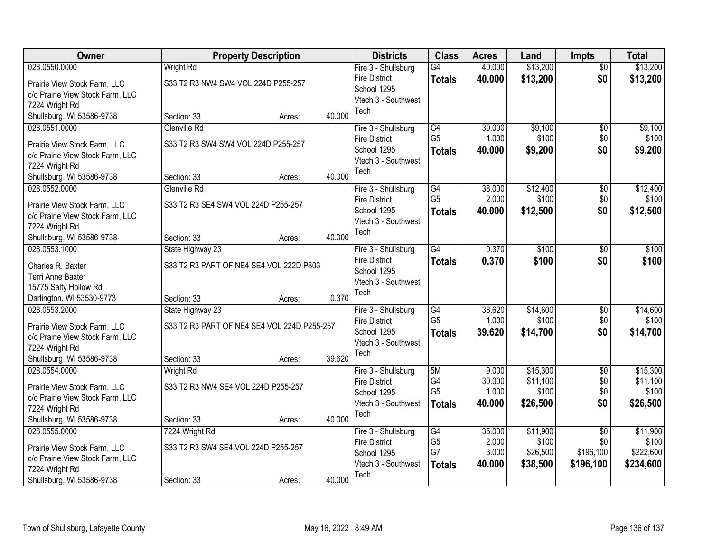| Owner                            |                                             | <b>Property Description</b> |        | <b>Districts</b>            | <b>Class</b>    | <b>Acres</b> | Land     | <b>Impts</b>    | <b>Total</b> |
|----------------------------------|---------------------------------------------|-----------------------------|--------|-----------------------------|-----------------|--------------|----------|-----------------|--------------|
| 028.0550.0000                    | <b>Wright Rd</b>                            |                             |        | Fire 3 - Shullsburg         | $\overline{G4}$ | 40.000       | \$13,200 | $\overline{50}$ | \$13,200     |
| Prairie View Stock Farm, LLC     | S33 T2 R3 NW4 SW4 VOL 224D P255-257         |                             |        | <b>Fire District</b>        | <b>Totals</b>   | 40.000       | \$13,200 | \$0             | \$13,200     |
| c/o Prairie View Stock Farm, LLC |                                             |                             |        | School 1295                 |                 |              |          |                 |              |
| 7224 Wright Rd                   |                                             |                             |        | Vtech 3 - Southwest<br>Tech |                 |              |          |                 |              |
| Shullsburg, WI 53586-9738        | Section: 33                                 | Acres:                      | 40.000 |                             |                 |              |          |                 |              |
| 028.0551.0000                    | Glenville Rd                                |                             |        | Fire 3 - Shullsburg         | $\overline{G4}$ | 39.000       | \$9,100  | $\overline{50}$ | \$9,100      |
| Prairie View Stock Farm, LLC     | S33 T2 R3 SW4 SW4 VOL 224D P255-257         |                             |        | <b>Fire District</b>        | G <sub>5</sub>  | 1.000        | \$100    | \$0             | \$100        |
| c/o Prairie View Stock Farm, LLC |                                             |                             |        | School 1295                 | <b>Totals</b>   | 40.000       | \$9,200  | \$0             | \$9,200      |
| 7224 Wright Rd                   |                                             |                             |        | Vtech 3 - Southwest<br>Tech |                 |              |          |                 |              |
| Shullsburg, WI 53586-9738        | Section: 33                                 | Acres:                      | 40.000 |                             |                 |              |          |                 |              |
| 028.0552.0000                    | Glenville Rd                                |                             |        | Fire 3 - Shullsburg         | $\overline{G4}$ | 38.000       | \$12,400 | \$0             | \$12,400     |
| Prairie View Stock Farm, LLC     | S33 T2 R3 SE4 SW4 VOL 224D P255-257         |                             |        | <b>Fire District</b>        | G <sub>5</sub>  | 2.000        | \$100    | \$0             | \$100        |
| c/o Prairie View Stock Farm, LLC |                                             |                             |        | School 1295                 | <b>Totals</b>   | 40.000       | \$12,500 | \$0             | \$12,500     |
| 7224 Wright Rd                   |                                             |                             |        | Vtech 3 - Southwest         |                 |              |          |                 |              |
| Shullsburg, WI 53586-9738        | Section: 33                                 | Acres:                      | 40.000 | Tech                        |                 |              |          |                 |              |
| 028.0553.1000                    | State Highway 23                            |                             |        | Fire 3 - Shullsburg         | $\overline{G4}$ | 0.370        | \$100    | \$0             | \$100        |
| Charles R. Baxter                | S33 T2 R3 PART OF NE4 SE4 VOL 222D P803     |                             |        | <b>Fire District</b>        | <b>Totals</b>   | 0.370        | \$100    | \$0             | \$100        |
| Terri Anne Baxter                |                                             |                             |        | School 1295                 |                 |              |          |                 |              |
| 15775 Salty Hollow Rd            |                                             |                             |        | Vtech 3 - Southwest         |                 |              |          |                 |              |
| Darlington, WI 53530-9773        | Section: 33                                 | Acres:                      | 0.370  | Tech                        |                 |              |          |                 |              |
| 028.0553.2000                    | State Highway 23                            |                             |        | Fire 3 - Shullsburg         | $\overline{G4}$ | 38.620       | \$14,600 | $\overline{30}$ | \$14,600     |
| Prairie View Stock Farm, LLC     | S33 T2 R3 PART OF NE4 SE4 VOL 224D P255-257 |                             |        | <b>Fire District</b>        | G <sub>5</sub>  | 1.000        | \$100    | \$0             | \$100        |
| c/o Prairie View Stock Farm, LLC |                                             |                             |        | School 1295                 | <b>Totals</b>   | 39.620       | \$14,700 | \$0             | \$14,700     |
| 7224 Wright Rd                   |                                             |                             |        | Vtech 3 - Southwest         |                 |              |          |                 |              |
| Shullsburg, WI 53586-9738        | Section: 33                                 | Acres:                      | 39.620 | Tech                        |                 |              |          |                 |              |
| 028.0554.0000                    | <b>Wright Rd</b>                            |                             |        | Fire 3 - Shullsburg         | 5M              | 9.000        | \$15,300 | $\overline{50}$ | \$15,300     |
| Prairie View Stock Farm, LLC     | S33 T2 R3 NW4 SE4 VOL 224D P255-257         |                             |        | <b>Fire District</b>        | G4              | 30.000       | \$11,100 | \$0             | \$11,100     |
| c/o Prairie View Stock Farm, LLC |                                             |                             |        | School 1295                 | G <sub>5</sub>  | 1.000        | \$100    | \$0             | \$100        |
| 7224 Wright Rd                   |                                             |                             |        | Vtech 3 - Southwest         | <b>Totals</b>   | 40.000       | \$26,500 | \$0             | \$26,500     |
| Shullsburg, WI 53586-9738        | Section: 33                                 | Acres:                      | 40.000 | Tech                        |                 |              |          |                 |              |
| 028.0555.0000                    | 7224 Wright Rd                              |                             |        | Fire 3 - Shullsburg         | G4              | 35.000       | \$11,900 | $\overline{50}$ | \$11,900     |
| Prairie View Stock Farm, LLC     | S33 T2 R3 SW4 SE4 VOL 224D P255-257         |                             |        | <b>Fire District</b>        | G <sub>5</sub>  | 2.000        | \$100    | \$0             | \$100        |
| c/o Prairie View Stock Farm, LLC |                                             |                             |        | School 1295                 | G7              | 3.000        | \$26,500 | \$196,100       | \$222,600    |
| 7224 Wright Rd                   |                                             |                             |        | Vtech 3 - Southwest         | <b>Totals</b>   | 40.000       | \$38,500 | \$196,100       | \$234,600    |
| Shullsburg, WI 53586-9738        | Section: 33                                 | Acres:                      | 40.000 | Tech                        |                 |              |          |                 |              |